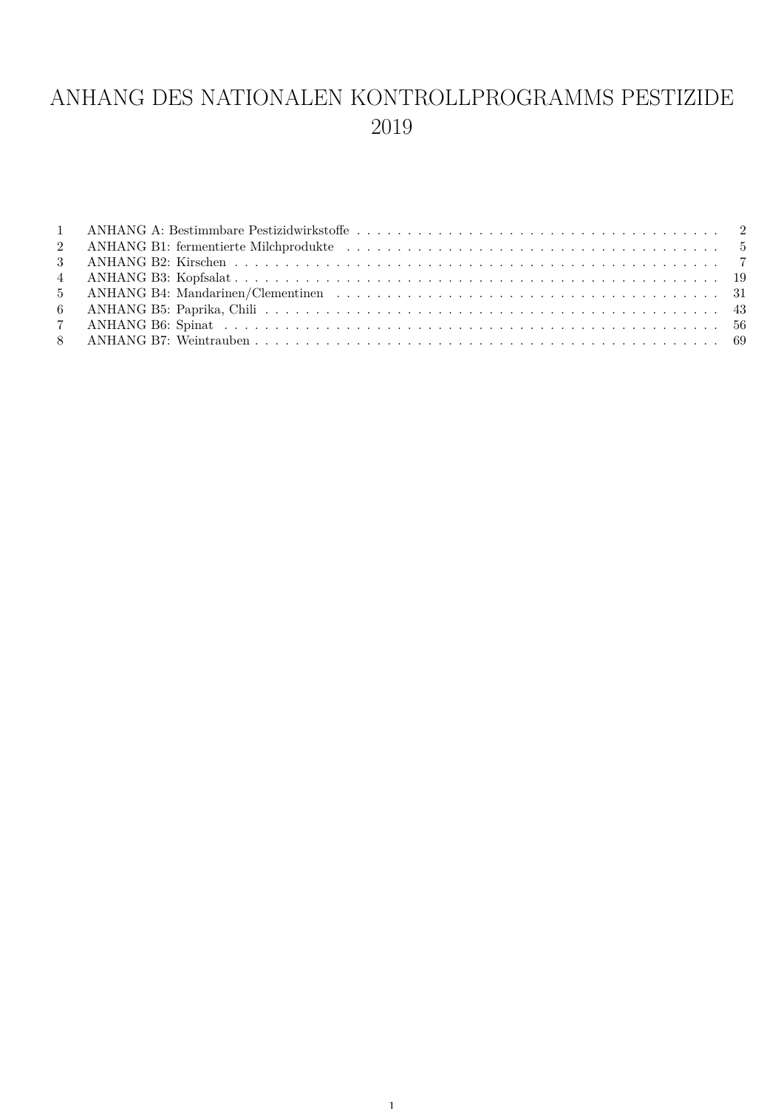## ANHANG DES NATIONALEN KONTROLLPROGRAMMS PESTIZIDE 2019

| $1\qquad \qquad \text{ANHANG A: Bestimmbare Pestivalwirkstoffe}\quad \ldots\qquad \ldots\qquad \ldots\qquad \ldots\qquad \ldots\qquad \ldots\qquad \ldots\qquad \ldots\qquad \qquad 2$ |  |
|----------------------------------------------------------------------------------------------------------------------------------------------------------------------------------------|--|
|                                                                                                                                                                                        |  |
|                                                                                                                                                                                        |  |
|                                                                                                                                                                                        |  |
|                                                                                                                                                                                        |  |
|                                                                                                                                                                                        |  |
|                                                                                                                                                                                        |  |
|                                                                                                                                                                                        |  |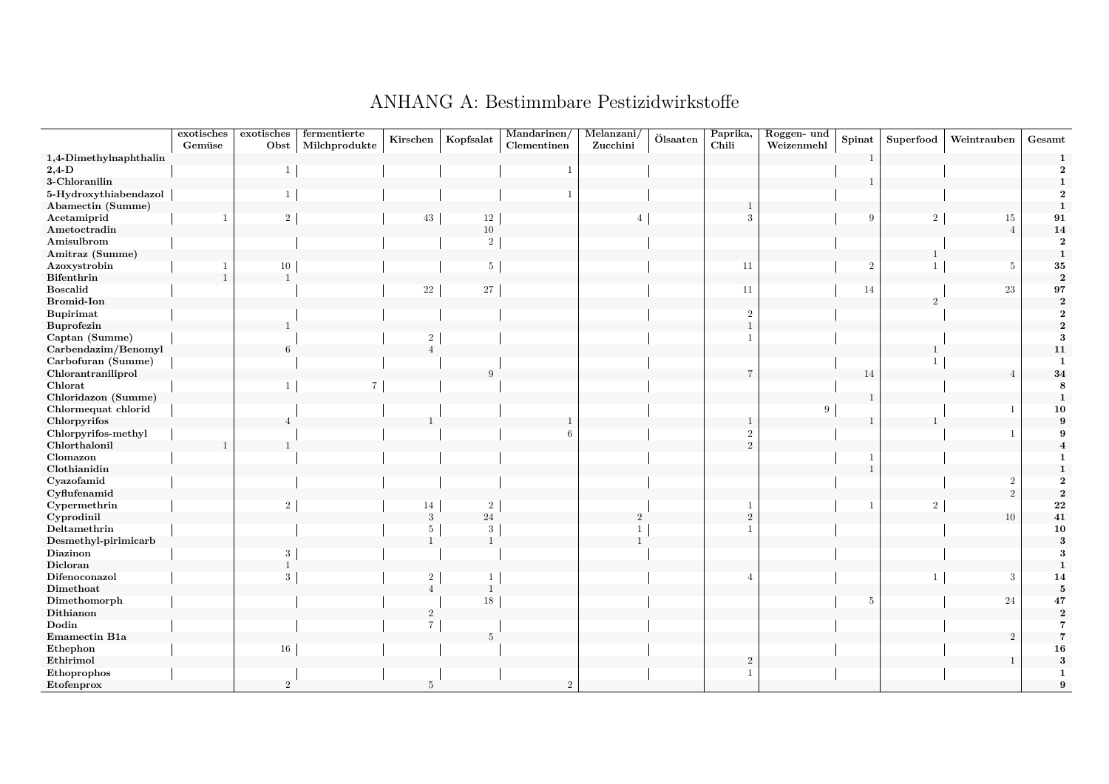<span id="page-1-0"></span>

| Paprika,<br>Roggen- und                                                                                                                                        | Weintrauben<br>Gesamt |
|----------------------------------------------------------------------------------------------------------------------------------------------------------------|-----------------------|
| $\ddot{\text{O}}$ lsaaten<br>Kopfsalat<br>Spinat<br>Kirschen<br>Superfood<br>Chili<br>Weizenmehl<br>Gemüse<br>Obst<br>Milchprodukte<br>Clementinen<br>Zucchini |                       |
| 1,4-Dimethylnaphthalin<br>1                                                                                                                                    |                       |
| $2,4-D$                                                                                                                                                        |                       |
| 3-Chloranilin                                                                                                                                                  |                       |
| 5-Hydroxythiabendazol                                                                                                                                          |                       |
| Abamectin (Summe)                                                                                                                                              |                       |
| $\sqrt{2}$<br>$12\,$<br>3<br>9<br>$\overline{2}$<br>43                                                                                                         | 91<br>15              |
| $10\,$<br>Ametoctradin                                                                                                                                         | 14<br>$\overline{4}$  |
| Amisulbrom<br>$\overline{2}$                                                                                                                                   | $\overline{2}$        |
| Amitraz (Summe)                                                                                                                                                | $\mathbf{1}$          |
| $\overline{5}$<br>Azoxystrobin<br>10<br>11<br>$\overline{2}$<br>$\overline{1}$                                                                                 | ${\bf 35}$<br>-5      |
| ${\bf Bifenthrin}$                                                                                                                                             | $\sqrt{2}$            |
| 22<br>$27\,$<br><b>Boscalid</b><br>11<br>14                                                                                                                    | 97<br>23              |
| <b>Bromid-Ion</b><br>$\sqrt{2}$                                                                                                                                |                       |
| <b>Bupirimat</b><br>$\overline{2}$                                                                                                                             |                       |
| Buprofezin                                                                                                                                                     |                       |
| Captan (Summe)                                                                                                                                                 |                       |
| Carbendazim/Benomyl                                                                                                                                            | 11                    |
| Carbofuran (Summe)                                                                                                                                             |                       |
| Chlorantraniliprol<br>9<br>14                                                                                                                                  | 34                    |
| Chlorat<br>7                                                                                                                                                   |                       |
| Chloridazon (Summe)                                                                                                                                            | $\mathbf{1}$          |
| Chlormequat chlorid<br><sup>Q</sup>                                                                                                                            | 10                    |
| Chlorpyrifos                                                                                                                                                   | $\mathbf{q}$          |
| Chlorpyrifos-methyl<br>6<br>$\overline{2}$                                                                                                                     |                       |
| Chlorthalonil<br>$\mathcal{D}$                                                                                                                                 |                       |
| Clomazon                                                                                                                                                       |                       |
| Clothianidin                                                                                                                                                   |                       |
| Cyazofamid                                                                                                                                                     | $\overline{2}$        |
| Cyflufenamid                                                                                                                                                   | $\mathcal{D}$         |
| ${\bf Cyper methrin}$<br>$\overline{2}$<br>$\sqrt{2}$<br>$\overline{2}$<br>14                                                                                  | 22                    |
| $24\,$<br>Cyprodinil<br>3<br>$\Omega$                                                                                                                          | ${\bf 41}$<br>10      |
| ${\bf Deltamethrin}$<br>3<br>5                                                                                                                                 | ${\bf 10}$            |
| Desmethyl-pirimicarb<br>$\overline{1}$<br>$\overline{1}$                                                                                                       |                       |
| Diazinon<br>3                                                                                                                                                  |                       |
| Dicloran                                                                                                                                                       |                       |
| Difenoconazol<br>$\mathcal{D}$<br>3<br>4                                                                                                                       | 3<br>14               |
| Dimethoat<br><sup>1</sup><br>$\overline{4}$                                                                                                                    | 5                     |
| 18<br>Dimethomorph<br>5                                                                                                                                        | 24<br>47              |
| Dithianon<br>$\overline{2}$                                                                                                                                    |                       |
| Dodin                                                                                                                                                          |                       |
| Emamectin B1a<br>5                                                                                                                                             | $\mathcal{D}$         |
| $E$ thephon<br>16                                                                                                                                              | 16                    |
| ${\bf Ethirimol}$<br>$\overline{2}$                                                                                                                            |                       |
| Ethoprophos<br>1                                                                                                                                               | -1                    |
| $\overline{2}$<br>Etofenprox<br>$\overline{2}$<br>$5\phantom{.0}$                                                                                              | 9                     |

#### ANHANG A: Bestimmbare Pestizidwirkstoffe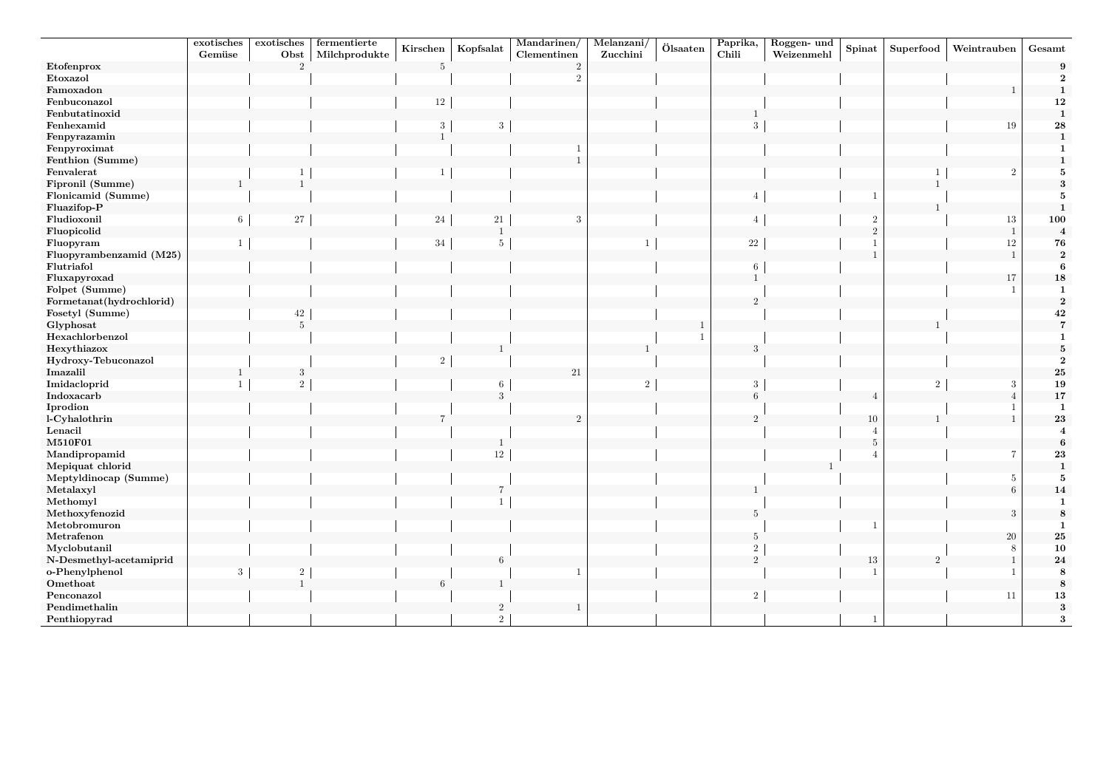|                          | exotisches | exotisches     | fermentierte  | Kirschen        | Kopfsalat        | $\overline{\text{M}$ andarinen/ | Melanzani/     | Ölsaaten | Paprika,       | Roggen- und | ${\bf Spinat}$ | Superfood      | Weintrauben    | Gesamt                  |
|--------------------------|------------|----------------|---------------|-----------------|------------------|---------------------------------|----------------|----------|----------------|-------------|----------------|----------------|----------------|-------------------------|
|                          | Gemüse     | Obst           | Milchprodukte |                 |                  | Clementinen                     | Zucchini       |          | Chili          | Weizenmehl  |                |                |                |                         |
| Etofenprox               |            | $\mathcal{D}$  |               | $5\phantom{.0}$ |                  | $\overline{2}$                  |                |          |                |             |                |                |                |                         |
| Etoxazol                 |            |                |               |                 |                  | $\overline{2}$                  |                |          |                |             |                |                |                | $\overline{2}$          |
| Famoxadon                |            |                |               |                 |                  |                                 |                |          |                |             |                |                |                | $\mathbf{1}$            |
| Fenbuconazol             |            |                |               | 12              |                  |                                 |                |          |                |             |                |                |                | 12                      |
| Fenbutatinoxid           |            |                |               |                 |                  |                                 |                |          |                |             |                |                |                | $\mathbf{1}$            |
| Fenhexamid               |            |                |               | 3               |                  |                                 |                |          |                |             |                |                | 19             | 28                      |
| Fenpyrazamin             |            |                |               | $\mathbf{1}$    |                  |                                 |                |          |                |             |                |                |                | $\mathbf{1}$            |
| Fenpyroximat             |            |                |               |                 |                  |                                 |                |          |                |             |                |                |                |                         |
| Fenthion (Summe)         |            |                |               |                 |                  |                                 |                |          |                |             |                |                |                |                         |
| Fenvalerat               |            |                |               | 1               |                  |                                 |                |          |                |             |                |                | $\overline{2}$ | 5                       |
| Fipronil (Summe)         |            | $\overline{1}$ |               |                 |                  |                                 |                |          |                |             |                |                |                | 3                       |
| Flonicamid (Summe)       |            |                |               |                 |                  |                                 |                |          | 4              |             |                |                |                | 5                       |
| Fluazifop-P              |            |                |               |                 |                  |                                 |                |          |                |             |                |                |                | $\mathbf{1}$            |
| Fludioxonil              | 6          | 27             |               | 24              | 21               | 3                               |                |          |                |             | $\overline{2}$ |                | 13             | 100                     |
| Fluopicolid              |            |                |               |                 | $\overline{1}$   |                                 |                |          |                |             | $\overline{2}$ |                | $\overline{1}$ | $\bf{4}$                |
| Fluopyram                |            |                |               | $34\,$          | 5                |                                 |                |          | $22\,$         |             |                |                | $12\,$         | 76                      |
| Fluopyrambenzamid (M25)  |            |                |               |                 |                  |                                 |                |          |                |             |                |                | $\overline{1}$ | $\bf{2}$                |
| Flutriafol               |            |                |               |                 |                  |                                 |                |          | -6             |             |                |                |                | $\bf{6}$                |
| Fluxapyroxad             |            |                |               |                 |                  |                                 |                |          |                |             |                |                | 17             | ${\bf 18}$              |
| Folpet (Summe)           |            |                |               |                 |                  |                                 |                |          |                |             |                |                | -1             | 1                       |
| Formetanat(hydrochlorid) |            |                |               |                 |                  |                                 |                |          |                |             |                |                |                | $\bf 2$                 |
| Fosetyl (Summe)          |            | 42             |               |                 |                  |                                 |                |          |                |             |                |                |                | 42                      |
| Glyphosat                |            | $\overline{5}$ |               |                 |                  |                                 |                |          |                |             |                |                |                | $\overline{7}$          |
| Hexachlorbenzol          |            |                |               |                 |                  |                                 |                |          |                |             |                |                |                | $\mathbf{1}$            |
| Hexythiazox              |            |                |               |                 |                  |                                 |                |          |                |             |                |                |                | $\overline{5}$          |
| Hydroxy-Tebuconazol      |            |                |               | $\,2$           |                  |                                 |                |          |                |             |                |                |                | $\overline{2}$          |
| Imazalil                 |            | 3              |               |                 |                  | 21                              |                |          |                |             |                |                |                | $\bf 25$                |
| Imidacloprid             |            | $\overline{2}$ |               |                 | 6                |                                 | $\overline{2}$ |          | 3              |             |                | $\sqrt{2}$     | 3              | 19                      |
| Indoxacarb               |            |                |               |                 |                  |                                 |                |          |                |             |                |                | $\overline{4}$ | $17\,$                  |
| Iprodion                 |            |                |               |                 |                  |                                 |                |          |                |             |                |                |                | $\mathbf 1$             |
| l-Cyhalothrin            |            |                |               |                 |                  | $\overline{2}$                  |                |          |                |             | 10             |                |                | 23                      |
| Lenacil                  |            |                |               |                 |                  |                                 |                |          |                |             | 4              |                |                | $\overline{\mathbf{4}}$ |
| M510F01                  |            |                |               |                 |                  |                                 |                |          |                |             | $\overline{5}$ |                |                | $\boldsymbol{6}$        |
| Mandipropamid            |            |                |               |                 | 12               |                                 |                |          |                |             |                |                | $\,7$          | 23                      |
| Mepiquat chlorid         |            |                |               |                 |                  |                                 |                |          |                |             |                |                |                | $\mathbf{1}$            |
| Meptyldinocap (Summe)    |            |                |               |                 |                  |                                 |                |          |                |             |                |                | 5              | ${\bf 5}$               |
| Metalaxyl                |            |                |               |                 |                  |                                 |                |          |                |             |                |                | 6              | 14                      |
| Methomyl                 |            |                |               |                 |                  |                                 |                |          |                |             |                |                |                | $\mathbf{1}$            |
| Methoxyfenozid           |            |                |               |                 |                  |                                 |                |          | 5              |             |                |                | $\sqrt{3}$     | $\bf 8$                 |
| Metobromuron             |            |                |               |                 |                  |                                 |                |          |                |             |                |                |                | $\mathbf 1$             |
| Metrafenon               |            |                |               |                 |                  |                                 |                |          | 5              |             |                |                | $20\,$         | ${\bf 25}$              |
| Myclobutanil             |            |                |               |                 |                  |                                 |                |          | $\overline{2}$ |             |                |                | $\,8\,$        | ${\bf 10}$              |
| N-Desmethyl-acetamiprid  |            |                |               |                 | 6                |                                 |                |          | $\mathcal{D}$  |             | 13             | $\overline{2}$ | $\mathbf{1}$   | 24                      |
| o-Phenylphenol           | 3          | $\overline{2}$ |               |                 |                  |                                 |                |          |                |             |                |                | $\mathbf{1}$   | 8                       |
| Omethoat                 |            | $\overline{1}$ |               | 6               |                  |                                 |                |          |                |             |                |                |                | $\bf 8$                 |
| Penconazol               |            |                |               |                 |                  |                                 |                |          | $\overline{2}$ |             |                |                | 11             | $\bf 13$                |
| Pendimethalin            |            |                |               |                 | $\boldsymbol{2}$ |                                 |                |          |                |             |                |                |                | $\bf{3}$                |
| Penthiopyrad             |            |                |               |                 | 2                |                                 |                |          |                |             | -1             |                |                | $\overline{\mathbf{3}}$ |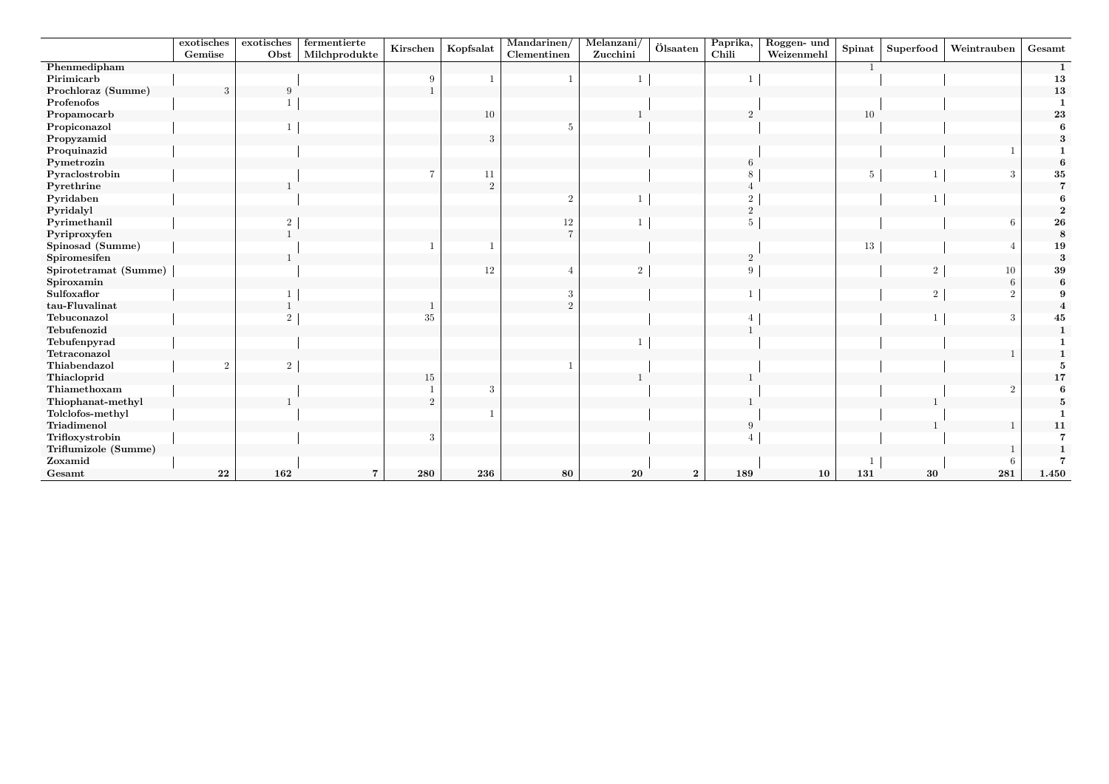|                       | exotisches | exotisches     | fermentierte   |                |                | Mandarinen/    | Melanzani/     |                  | Paprika,       | Roggen- und |                |                |                 |              |
|-----------------------|------------|----------------|----------------|----------------|----------------|----------------|----------------|------------------|----------------|-------------|----------------|----------------|-----------------|--------------|
|                       | Gemüse     | Obst           | Milchprodukte  | Kirschen       | Kopfsalat      | Clementinen    | Zucchini       | Ölsaaten         | Chili          | Weizenmehl  | Spinat         | Superfood      | Weintrauben     | Gesamt       |
| Phenmedipham          |            |                |                |                |                |                |                |                  |                |             | $\overline{1}$ |                |                 | $\mathbf{1}$ |
| Pirimicarb            |            |                |                | 9              |                |                |                |                  |                |             |                |                |                 | 13           |
| Prochloraz (Summe)    |            |                |                |                |                |                |                |                  |                |             |                |                |                 | 13           |
| Profenofos            |            |                |                |                |                |                |                |                  |                |             |                |                |                 |              |
| Propamocarb           |            |                |                |                | 10             |                |                |                  | $\mathcal{P}$  |             | 10             |                |                 | ${\bf 23}$   |
| Propiconazol          |            |                |                |                |                | 5              |                |                  |                |             |                |                |                 |              |
| Propyzamid            |            |                |                |                | 3              |                |                |                  |                |             |                |                |                 |              |
| Proquinazid           |            |                |                |                |                |                |                |                  |                |             |                |                |                 |              |
| Pymetrozin            |            |                |                |                |                |                |                |                  |                |             |                |                |                 | -6           |
| Pyraclostrobin        |            |                |                |                | 11             |                |                |                  |                |             | -5             |                | 3               | 35           |
| Pyrethrine            |            |                |                |                | $\overline{2}$ |                |                |                  |                |             |                |                |                 |              |
| Pyridaben             |            |                |                |                |                | $\overline{2}$ |                |                  | 2              |             |                |                |                 |              |
| Pyridalyl             |            |                |                |                |                |                |                |                  | $\overline{2}$ |             |                |                |                 |              |
| Pyrimethanil          |            | $\overline{2}$ |                |                |                | 12             |                |                  |                |             |                |                | 6               | 26           |
| Pyriproxyfen          |            |                |                |                |                | $\overline{7}$ |                |                  |                |             |                |                |                 | $\bf 8$      |
| Spinosad (Summe)      |            |                |                |                |                |                |                |                  |                |             | 13             |                | $\angle$        | 19           |
| Spiromesifen          |            |                |                |                |                |                |                |                  | $\overline{2}$ |             |                |                |                 | 3            |
| Spirotetramat (Summe) |            |                |                |                | 12             |                | $\overline{2}$ |                  |                |             |                | $\overline{2}$ | 10              | ${\bf 39}$   |
| Spiroxamin            |            |                |                |                |                |                |                |                  |                |             |                |                | $6\phantom{.}6$ | 6            |
| Sulfoxaflor           |            |                |                |                |                | 3              |                |                  |                |             |                | $\overline{2}$ | $\overline{2}$  |              |
| tau-Fluvalinat        |            |                |                |                |                | 2              |                |                  |                |             |                |                |                 |              |
| Tebuconazol           |            | $\mathcal{D}$  |                | 35             |                |                |                |                  |                |             |                |                | 3               | 45           |
| Tebufenozid           |            |                |                |                |                |                |                |                  |                |             |                |                |                 |              |
| Tebufenpyrad          |            |                |                |                |                |                |                |                  |                |             |                |                |                 |              |
| Tetraconazol          |            |                |                |                |                |                |                |                  |                |             |                |                |                 |              |
| Thiabendazol          |            | $\overline{2}$ |                |                |                |                |                |                  |                |             |                |                |                 |              |
| Thiacloprid           |            |                |                | 15             |                |                |                |                  |                |             |                |                |                 | 17           |
| Thiamethoxam          |            |                |                |                | 3              |                |                |                  |                |             |                |                | $\overline{2}$  |              |
| Thiophanat-methyl     |            |                |                | $\overline{2}$ |                |                |                |                  |                |             |                |                |                 |              |
| Tolclofos-methyl      |            |                |                |                |                |                |                |                  |                |             |                |                |                 |              |
| Triadimenol           |            |                |                |                |                |                |                |                  |                |             |                |                |                 | 11           |
| Trifloxystrobin       |            |                |                |                |                |                |                |                  |                |             |                |                |                 |              |
| Triflumizole (Summe)  |            |                |                |                |                |                |                |                  |                |             |                |                |                 |              |
| Zoxamid               |            |                |                |                |                |                |                |                  |                |             |                |                | 6               |              |
| Gesamt                | 22         | 162            | $\overline{7}$ | 280            | 236            | 80             | 20             | $\boldsymbol{2}$ | 189            | 10          | 131            | 30             | 281             | 1.450        |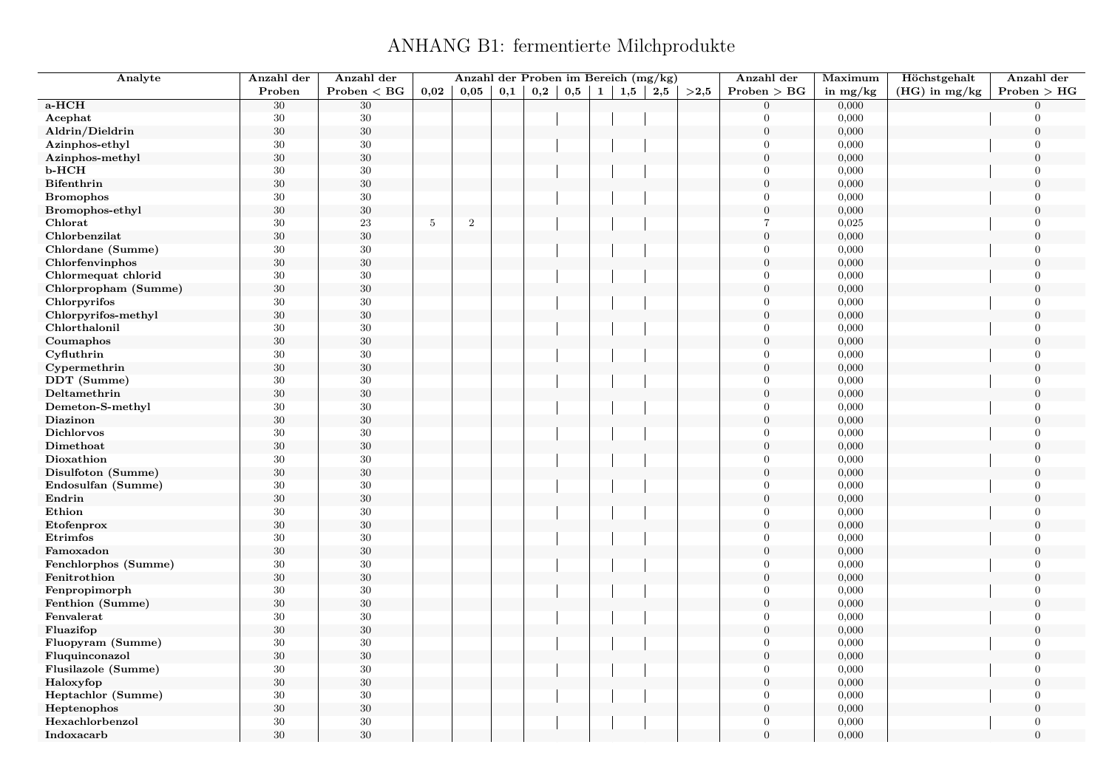### ANHANG B1: fermentierte Milchprodukte

<span id="page-4-0"></span>

| Analyte              | Anzahl der | Anzahl der      |                | Anzahl der Proben im Bereich (mg/kg) |     |     |          |              |     |     |      | Anzahl der       | Maximum    | Höchstgehalt    | Anzahl der     |
|----------------------|------------|-----------------|----------------|--------------------------------------|-----|-----|----------|--------------|-----|-----|------|------------------|------------|-----------------|----------------|
|                      | Proben     | $Problem < B$ G | 0,02           | 0,05                                 | 0,1 | 0,2 | $_{0,5}$ | $\mathbf{1}$ | 1,5 | 2,5 | >2,5 | Problem > BG     | in $mg/kg$ | $(HG)$ in mg/kg | Problem > HG   |
| a-HCH                | 30         | 30              |                |                                      |     |     |          |              |     |     |      | $\Omega$         | 0,000      |                 | $\Omega$       |
| Acephat              | $30\,$     | $30\,$          |                |                                      |     |     |          |              |     |     |      | $\Omega$         | 0,000      |                 | $\Omega$       |
| Aldrin/Dieldrin      | $30\,$     | $30\,$          |                |                                      |     |     |          |              |     |     |      | $\overline{0}$   | 0,000      |                 | $\mathbf{0}$   |
| Azinphos-ethyl       | $30\,$     | $30\,$          |                |                                      |     |     |          |              |     |     |      | $\Omega$         | 0,000      |                 | $\Omega$       |
| Azinphos-methyl      | $30\,$     | $30\,$          |                |                                      |     |     |          |              |     |     |      | $\theta$         | 0,000      |                 | $\Omega$       |
| b-HCH                | $30\,$     | $30\,$          |                |                                      |     |     |          |              |     |     |      | $\theta$         | 0,000      |                 | $\Omega$       |
| <b>Bifenthrin</b>    | $30\,$     | $30\,$          |                |                                      |     |     |          |              |     |     |      | $\boldsymbol{0}$ | 0,000      |                 | $\Omega$       |
| <b>Bromophos</b>     | 30         | $30\,$          |                |                                      |     |     |          |              |     |     |      | $\mathbf{0}$     | 0,000      |                 | $\overline{0}$ |
| Bromophos-ethyl      | $30\,$     | $30\,$          |                |                                      |     |     |          |              |     |     |      | $\overline{0}$   | 0,000      |                 | $\Omega$       |
| Chlorat              | $30\,$     | $\sqrt{23}$     | $\overline{5}$ | $\sqrt{2}$                           |     |     |          |              |     |     |      | $\overline{7}$   | 0,025      |                 | $\Omega$       |
| Chlorbenzilat        | $30\,$     | $30\,$          |                |                                      |     |     |          |              |     |     |      | $\overline{0}$   | 0,000      |                 | $\Omega$       |
| Chlordane (Summe)    | $30\,$     | $30\,$          |                |                                      |     |     |          |              |     |     |      | $\theta$         | 0,000      |                 | $\overline{0}$ |
| Chlorfenvinphos      | $30\,$     | $30\,$          |                |                                      |     |     |          |              |     |     |      | $\overline{0}$   | 0,000      |                 | $\overline{0}$ |
| Chlormequat chlorid  | 30         | $30\,$          |                |                                      |     |     |          |              |     |     |      | $\Omega$         | 0,000      |                 | $\overline{0}$ |
| Chlorpropham (Summe) | $30\,$     | $30\,$          |                |                                      |     |     |          |              |     |     |      | $\theta$         | 0,000      |                 | $\mathbf{0}$   |
| Chlorpyrifos         | $30\,$     | $30\,$          |                |                                      |     |     |          |              |     |     |      | $\Omega$         | 0,000      |                 | $\Omega$       |
| Chlorpyrifos-methyl  | $30\,$     | $30\,$          |                |                                      |     |     |          |              |     |     |      | $\boldsymbol{0}$ | 0,000      |                 | $\mathbf{0}$   |
| Chlorthalonil        | 30         | 30              |                |                                      |     |     |          |              |     |     |      | $\Omega$         | 0,000      |                 | $\theta$       |
| Coumaphos            | $30\,$     | $30\,$          |                |                                      |     |     |          |              |     |     |      | $\boldsymbol{0}$ | 0,000      |                 | $\overline{0}$ |
| Cyfluthrin           | $30\,$     | $30\,$          |                |                                      |     |     |          |              |     |     |      | $\overline{0}$   | 0,000      |                 | $\Omega$       |
| Cypermethrin         | $30\,$     | $30\,$          |                |                                      |     |     |          |              |     |     |      | $\overline{0}$   | 0,000      |                 | $\mathbf{0}$   |
| DDT (Summe)          | $30\,$     | $30\,$          |                |                                      |     |     |          |              |     |     |      | $\Omega$         | 0,000      |                 | $\Omega$       |
| Deltamethrin         | $30\,$     | $30\,$          |                |                                      |     |     |          |              |     |     |      | $\Omega$         | 0,000      |                 | $\Omega$       |
| Demeton-S-methyl     | $30\,$     | $30\,$          |                |                                      |     |     |          |              |     |     |      | $\theta$         | 0,000      |                 | $\Omega$       |
| <b>Diazinon</b>      | $30\,$     | $30\,$          |                |                                      |     |     |          |              |     |     |      | $\overline{0}$   | 0,000      |                 | $\overline{0}$ |
| Dichlorvos           | $30\,$     | $30\,$          |                |                                      |     |     |          |              |     |     |      | $\Omega$         | 0,000      |                 | $\Omega$       |
| Dimethoat            | $30\,$     | $30\,$          |                |                                      |     |     |          |              |     |     |      | $\Omega$         | 0,000      |                 | $\theta$       |
| Dioxathion           | $30\,$     | $30\,$          |                |                                      |     |     |          |              |     |     |      | $\Omega$         | 0,000      |                 | $\Omega$       |
| Disulfoton (Summe)   | $30\,$     | $30\,$          |                |                                      |     |     |          |              |     |     |      | $\overline{0}$   | 0,000      |                 | $\overline{0}$ |
| Endosulfan (Summe)   | 30         | $30\,$          |                |                                      |     |     |          |              |     |     |      | $\overline{0}$   | 0,000      |                 | $\Omega$       |
| Endrin               | $30\,$     | $30\,$          |                |                                      |     |     |          |              |     |     |      | $\Omega$         | 0,000      |                 | $\Omega$       |
| Ethion               | 30         | $30\,$          |                |                                      |     |     |          |              |     |     |      | $\mathbf{0}$     | 0,000      |                 | $\overline{0}$ |
| Etofenprox           | $30\,$     | $30\,$          |                |                                      |     |     |          |              |     |     |      | $\theta$         | 0,000      |                 | $\Omega$       |
| Etrimfos             | $30\,$     | $30\,$          |                |                                      |     |     |          |              |     |     |      | $\theta$         | 0,000      |                 | $\Omega$       |
| Famoxadon            | $30\,$     | $30\,$          |                |                                      |     |     |          |              |     |     |      | $\theta$         | 0,000      |                 | $\Omega$       |
| Fenchlorphos (Summe) | $30\,$     | $30\,$          |                |                                      |     |     |          |              |     |     |      | $\overline{0}$   | 0,000      |                 | $\mathbf{0}$   |
| Fenitrothion         | $30\,$     | $30\,$          |                |                                      |     |     |          |              |     |     |      | $\overline{0}$   | 0,000      |                 | $\overline{0}$ |
| Fenpropimorph        | 30         | 30              |                |                                      |     |     |          |              |     |     |      | $\Omega$         | 0,000      |                 | $\overline{0}$ |
| Fenthion (Summe)     | $30\,$     | $30\,$          |                |                                      |     |     |          |              |     |     |      | $\boldsymbol{0}$ | 0,000      |                 | $\mathbf{0}$   |
| Fenvalerat           | 30         | $30\,$          |                |                                      |     |     |          |              |     |     |      | $\Omega$         | 0,000      |                 | $\Omega$       |
| Fluazifop            | $30\,$     | $30\,$          |                |                                      |     |     |          |              |     |     |      | $\boldsymbol{0}$ | 0,000      |                 | $\overline{0}$ |
| Fluopyram (Summe)    | 30         | 30              |                |                                      |     |     |          |              |     |     |      | $\overline{0}$   | 0,000      |                 | $\theta$       |
| Fluquinconazol       | $30\,$     | $30\,$          |                |                                      |     |     |          |              |     |     |      | $\overline{0}$   | 0,000      |                 | $\overline{0}$ |
| Flusilazole (Summe)  | $30\,$     | $30\,$          |                |                                      |     |     |          |              |     |     |      | $\overline{0}$   | 0,000      |                 | $\Omega$       |
| Haloxyfop            | $30\,$     | $30\,$          |                |                                      |     |     |          |              |     |     |      | $\overline{0}$   | 0,000      |                 | $\theta$       |
| Heptachlor (Summe)   | $30\,$     | $30\,$          |                |                                      |     |     |          |              |     |     |      | $\Omega$         | 0,000      |                 | $\Omega$       |
| Heptenophos          | $30\,$     | $30\,$          |                |                                      |     |     |          |              |     |     |      | $\overline{0}$   | 0,000      |                 | $\mathbf{0}$   |
| Hexachlorbenzol      | $30\,$     | $30\,$          |                |                                      |     |     |          |              |     |     |      | $\overline{0}$   | 0,000      |                 | $\overline{0}$ |
| Indoxacarb           | 30         | 30              |                |                                      |     |     |          |              |     |     |      | $\Omega$         | 0,000      |                 | $\theta$       |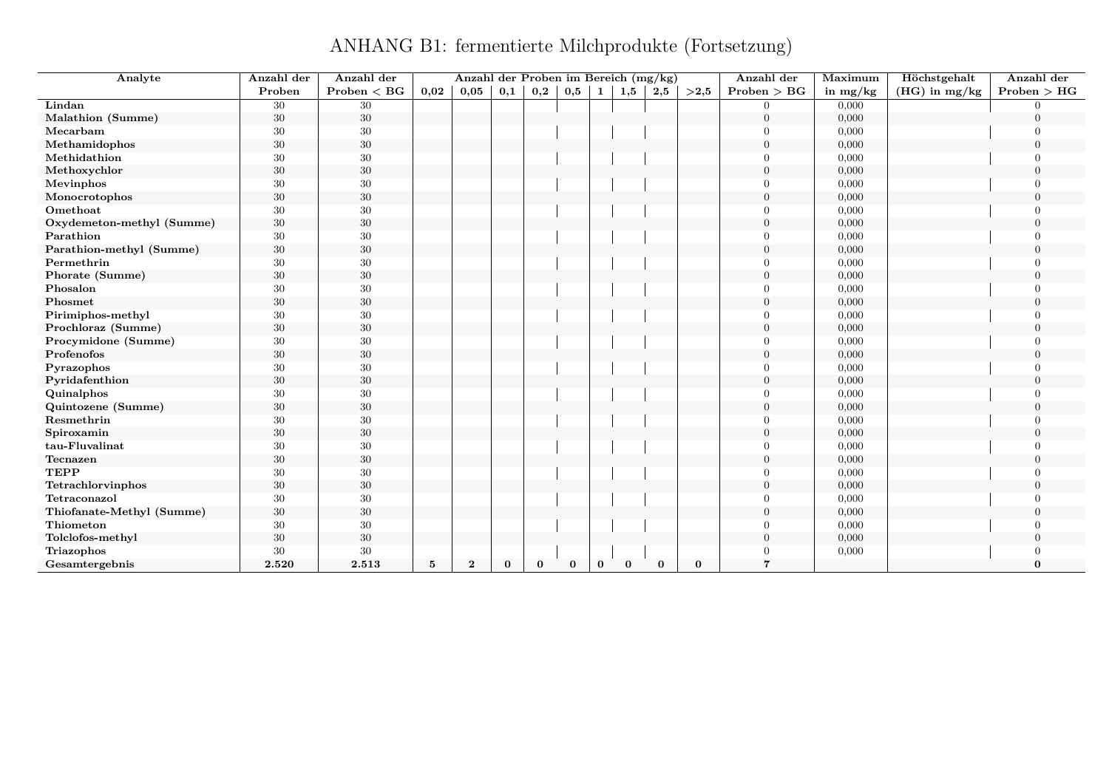### ANHANG B1: fermentierte Milchprodukte (Fortsetzung)

| Analyte                   | Anzahl der | Anzahl der      |                 | Anzahl der Proben im Bereich (mg/kg) |          |          |          |              |          |          |          | Anzahl der     | Maximum    | Höchstgehalt    | Anzahl der   |
|---------------------------|------------|-----------------|-----------------|--------------------------------------|----------|----------|----------|--------------|----------|----------|----------|----------------|------------|-----------------|--------------|
|                           | Proben     | $Problem < B$ G | 0,02            | 0,05                                 | 0,1      | 0,2      | 0,5      | $\mathbf{1}$ | 1,5      | 2,5      | >2.5     | Problem > BG   | in $mg/kg$ | $(HG)$ in mg/kg | Problem > HG |
| Lindan                    | 30         | 30              |                 |                                      |          |          |          |              |          |          |          | $\Omega$       | 0,000      |                 |              |
| Malathion (Summe)         | 30         | $30\,$          |                 |                                      |          |          |          |              |          |          |          | $\overline{0}$ | 0,000      |                 | $\Omega$     |
| Mecarbam                  | 30         | 30              |                 |                                      |          |          |          |              |          |          |          | $\Omega$       | 0,000      |                 |              |
| Methamidophos             | 30         | $30\,$          |                 |                                      |          |          |          |              |          |          |          | $\overline{0}$ | 0,000      |                 |              |
| Methidathion              | $30\,$     | $30\,$          |                 |                                      |          |          |          |              |          |          |          | $\Omega$       | 0,000      |                 |              |
| Methoxychlor              | $30\,$     | $30\,$          |                 |                                      |          |          |          |              |          |          |          | $\overline{0}$ | 0,000      |                 |              |
| Mevinphos                 | 30         | $30\,$          |                 |                                      |          |          |          |              |          |          |          | $\Omega$       | 0,000      |                 |              |
| Monocrotophos             | $30\,$     | $30\,$          |                 |                                      |          |          |          |              |          |          |          | $\theta$       | 0,000      |                 | $\Omega$     |
| Omethoat                  | 30         | 30              |                 |                                      |          |          |          |              |          |          |          | $\Omega$       | 0,000      |                 |              |
| Oxydemeton-methyl (Summe) | $30\,$     | $30\,$          |                 |                                      |          |          |          |              |          |          |          | $\theta$       | 0,000      |                 | $\Omega$     |
| Parathion                 | 30         | 30              |                 |                                      |          |          |          |              |          |          |          | $\Omega$       | 0,000      |                 |              |
| Parathion-methyl (Summe)  | $30\,$     | $30\,$          |                 |                                      |          |          |          |              |          |          |          | $\Omega$       | 0,000      |                 | $\Omega$     |
| Permethrin                | 30         | 30              |                 |                                      |          |          |          |              |          |          |          | $\Omega$       | 0,000      |                 |              |
| Phorate (Summe)           | 30         | 30              |                 |                                      |          |          |          |              |          |          |          | $\overline{0}$ | 0,000      |                 |              |
| Phosalon                  | 30         | 30              |                 |                                      |          |          |          |              |          |          |          | $\Omega$       | 0,000      |                 |              |
| Phosmet                   | $30\,$     | $30\,$          |                 |                                      |          |          |          |              |          |          |          | $\overline{0}$ | 0,000      |                 |              |
| Pirimiphos-methyl         | 30         | 30              |                 |                                      |          |          |          |              |          |          |          | $\Omega$       | 0,000      |                 |              |
| Prochloraz (Summe)        | $30\,$     | $30\,$          |                 |                                      |          |          |          |              |          |          |          | $\Omega$       | 0,000      |                 | $\Omega$     |
| Procymidone (Summe)       | 30         | 30              |                 |                                      |          |          |          |              |          |          |          | $\Omega$       | 0,000      |                 |              |
| Profenofos                | $30\,$     | 30              |                 |                                      |          |          |          |              |          |          |          | $\Omega$       | 0,000      |                 | $\Omega$     |
| Pyrazophos                | 30         | 30              |                 |                                      |          |          |          |              |          |          |          | $\Omega$       | 0,000      |                 |              |
| Pyridafenthion            | $30\,$     | $30\,$          |                 |                                      |          |          |          |              |          |          |          | $\Omega$       | 0,000      |                 | $\bigcap$    |
| Quinalphos                | 30         | 30              |                 |                                      |          |          |          |              |          |          |          | $\Omega$       | 0,000      |                 |              |
| Quintozene (Summe)        | $30\,$     | $30\,$          |                 |                                      |          |          |          |              |          |          |          | $\theta$       | 0,000      |                 |              |
| Resmethrin                | $30\,$     | 30              |                 |                                      |          |          |          |              |          |          |          | $\Omega$       | 0,000      |                 |              |
| Spiroxamin                | $30\,$     | $30\,$          |                 |                                      |          |          |          |              |          |          |          | $\overline{0}$ | 0,000      |                 |              |
| tau-Fluvalinat            | 30         | 30              |                 |                                      |          |          |          |              |          |          |          | $\Omega$       | 0,000      |                 |              |
| Tecnazen                  | $30\,$     | $30\,$          |                 |                                      |          |          |          |              |          |          |          | $\theta$       | 0,000      |                 | $\Omega$     |
| <b>TEPP</b>               | $30\,$     | $30\,$          |                 |                                      |          |          |          |              |          |          |          | $\Omega$       | 0,000      |                 |              |
| Tetrachlorvinphos         | $30\,$     | 30              |                 |                                      |          |          |          |              |          |          |          | $\theta$       | 0,000      |                 | $\Omega$     |
| Tetraconazol              | 30         | 30              |                 |                                      |          |          |          |              |          |          |          | $\Omega$       | 0,000      |                 |              |
| Thiofanate-Methyl (Summe) | 30         | 30              |                 |                                      |          |          |          |              |          |          |          | $\overline{0}$ | 0,000      |                 | $\Omega$     |
| Thiometon                 | 30         | $30\,$          |                 |                                      |          |          |          |              |          |          |          | $\Omega$       | 0,000      |                 |              |
| Tolclofos-methyl          | 30         | $30\,$          |                 |                                      |          |          |          |              |          |          |          | $\Omega$       | 0,000      |                 |              |
| Triazophos                | 30         | 30              |                 |                                      |          |          |          |              |          |          |          | $\Omega$       | 0,000      |                 |              |
| Gesamtergebnis            | 2.520      | 2.513           | $5\phantom{.0}$ | $\bf{2}$                             | $\bf{0}$ | $\bf{0}$ | $\bf{0}$ | $\bf{0}$     | $\bf{0}$ | $\bf{0}$ | $\bf{0}$ | 7              |            |                 | $\bf{0}$     |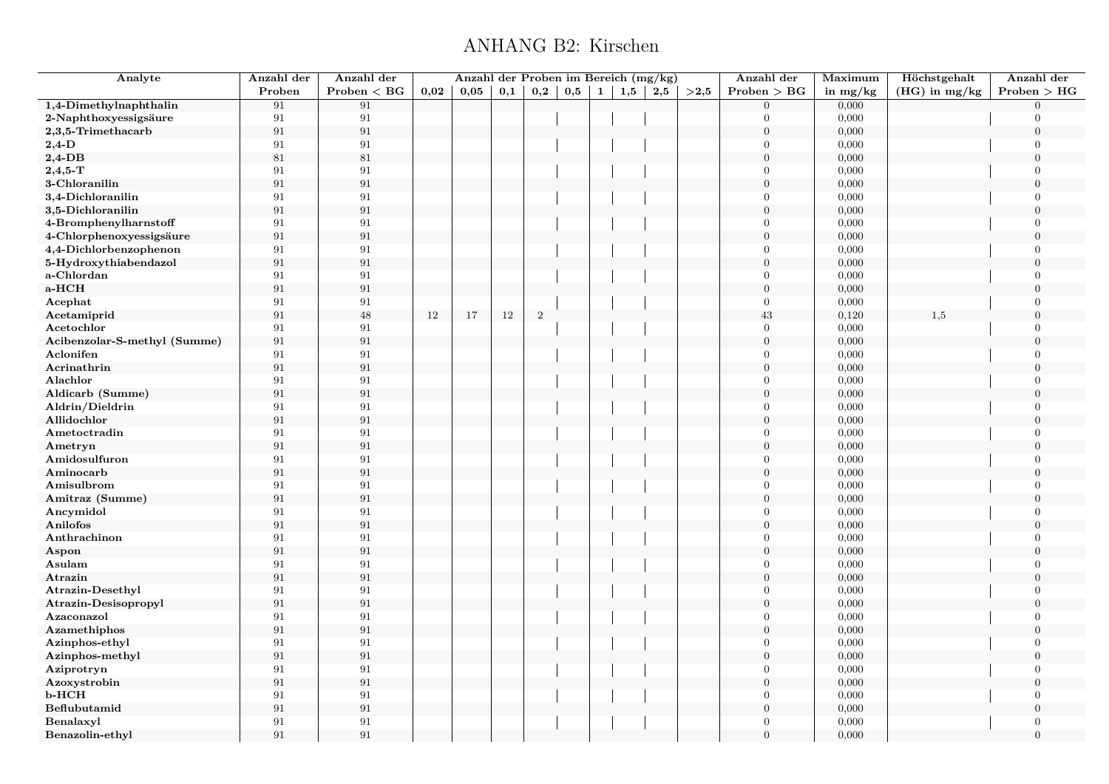#### ANHANG B2: Kirschen

<span id="page-6-0"></span>

| Analyte                      | Anzahl der        | Anzahl der   |      | Anzahl der Proben im Bereich (mg/kg) |     |                |     |              |     |     |      | Anzahl der       | Maximum    | Höchstgehalt    | Anzahl der     |
|------------------------------|-------------------|--------------|------|--------------------------------------|-----|----------------|-----|--------------|-----|-----|------|------------------|------------|-----------------|----------------|
|                              | Proben            | Problem < BG | 0,02 | 0,05                                 | 0,1 | $_{\rm 0,2}$   | 0,5 | $\mathbf{1}$ | 1,5 | 2,5 | >2,5 | Problem > BG     | in $mg/kg$ | $(HG)$ in mg/kg | Problem > HG   |
| 1,4-Dimethylnaphthalin       | 91                | 91           |      |                                      |     |                |     |              |     |     |      | $\overline{0}$   | 0,000      |                 | $\Omega$       |
| 2-Naphthoxyessigsäure        | 91                | 91           |      |                                      |     |                |     |              |     |     |      | $\Omega$         | 0,000      |                 | $\Omega$       |
| 2,3,5-Trimethacarb           | 91                | 91           |      |                                      |     |                |     |              |     |     |      | $\boldsymbol{0}$ | 0,000      |                 | $\overline{0}$ |
| $2,4$ -D                     | 91                | 91           |      |                                      |     |                |     |              |     |     |      | $\Omega$         | 0,000      |                 | $\Omega$       |
| $2,4$ -DB                    | 81                | 81           |      |                                      |     |                |     |              |     |     |      | $\boldsymbol{0}$ | 0,000      |                 | $\Omega$       |
| $2,4,5$ -T                   | 91                | 91           |      |                                      |     |                |     |              |     |     |      | $\overline{0}$   | 0,000      |                 | $\overline{0}$ |
| 3-Chloranilin                | 91                | 91           |      |                                      |     |                |     |              |     |     |      | $\boldsymbol{0}$ | 0,000      |                 | $\Omega$       |
| 3,4-Dichloranilin            | 91                | 91           |      |                                      |     |                |     |              |     |     |      | $\Omega$         | 0,000      |                 | $\mathbf{0}$   |
| 3,5-Dichloranilin            | 91                | 91           |      |                                      |     |                |     |              |     |     |      | $\Omega$         | 0,000      |                 | $\Omega$       |
| 4-Bromphenylharnstoff        | 91                | 91           |      |                                      |     |                |     |              |     |     |      | $\Omega$         | 0,000      |                 | $\mathbf{0}$   |
| 4-Chlorphenoxyessigsäure     | 91                | 91           |      |                                      |     |                |     |              |     |     |      | $\boldsymbol{0}$ | 0,000      |                 | $\overline{0}$ |
| 4,4-Dichlorbenzophenon       | 91                | 91           |      |                                      |     |                |     |              |     |     |      | $\overline{0}$   | 0,000      |                 | $\overline{0}$ |
| 5-Hydroxythiabendazol        | 91                | 91           |      |                                      |     |                |     |              |     |     |      | $\boldsymbol{0}$ | 0,000      |                 | $\overline{0}$ |
| a-Chlordan                   | 91                | 91           |      |                                      |     |                |     |              |     |     |      | $\overline{0}$   | 0,000      |                 | $\overline{0}$ |
| a-HCH                        | 91                | 91           |      |                                      |     |                |     |              |     |     |      | $\boldsymbol{0}$ | 0,000      |                 | $\theta$       |
| Acephat                      | 91                | 91           |      |                                      |     |                |     |              |     |     |      | $\overline{0}$   | 0,000      |                 | $\overline{0}$ |
| Acetamiprid                  | 91                | $48\,$       | 12   | 17                                   | 12  | $\overline{2}$ |     |              |     |     |      | $43\,$           | 0,120      | 1,5             | $\overline{0}$ |
| Acetochlor                   | 91                | 91           |      |                                      |     |                |     |              |     |     |      | $\overline{0}$   | 0,000      |                 | $\theta$       |
| Acibenzolar-S-methyl (Summe) | $\rm 91$          | 91           |      |                                      |     |                |     |              |     |     |      | $\overline{0}$   | 0,000      |                 | $\theta$       |
| Aclonifen                    | 91                | 91           |      |                                      |     |                |     |              |     |     |      | $\Omega$         | 0,000      |                 | $\Omega$       |
| Acrinathrin                  | $\rm 91$          | 91           |      |                                      |     |                |     |              |     |     |      | $\boldsymbol{0}$ | 0,000      |                 | $\overline{0}$ |
| Alachlor                     | 91                | 91           |      |                                      |     |                |     |              |     |     |      | $\Omega$         | 0,000      |                 | $\Omega$       |
| Aldicarb (Summe)             | $\rm 91$          | 91           |      |                                      |     |                |     |              |     |     |      | $\Omega$         | 0,000      |                 | $\Omega$       |
| Aldrin/Dieldrin              | 91                | 91           |      |                                      |     |                |     |              |     |     |      | $\Omega$         | 0,000      |                 | $\theta$       |
| Allidochlor                  | 91                | 91           |      |                                      |     |                |     |              |     |     |      | $\boldsymbol{0}$ | 0,000      |                 | $\Omega$       |
| Ametoctradin                 | 91                | 91           |      |                                      |     |                |     |              |     |     |      | $\overline{0}$   | 0,000      |                 | $\Omega$       |
| Ametryn                      | 91                | 91           |      |                                      |     |                |     |              |     |     |      | $\boldsymbol{0}$ | 0,000      |                 | $\Omega$       |
| Amidosulfuron                | 91                | 91           |      |                                      |     |                |     |              |     |     |      | $\Omega$         | 0,000      |                 | $\Omega$       |
| Aminocarb                    | $\boldsymbol{91}$ | 91           |      |                                      |     |                |     |              |     |     |      | $\overline{0}$   | 0,000      |                 | $\Omega$       |
| Amisulbrom                   | 91                | 91           |      |                                      |     |                |     |              |     |     |      | $\Omega$         | 0,000      |                 | $\Omega$       |
| Amitraz (Summe)              | 91                | 91           |      |                                      |     |                |     |              |     |     |      | $\overline{0}$   | 0,000      |                 | $\Omega$       |
| Ancymidol                    | 91                | 91           |      |                                      |     |                |     |              |     |     |      | $\overline{0}$   | 0,000      |                 | $\mathbf{0}$   |
| Anilofos                     | 91                | 91           |      |                                      |     |                |     |              |     |     |      | $\overline{0}$   | 0,000      |                 | $\Omega$       |
| Anthrachinon                 | 91                | 91           |      |                                      |     |                |     |              |     |     |      | $\Omega$         | 0,000      |                 | $\overline{0}$ |
| Aspon                        | 91                | 91           |      |                                      |     |                |     |              |     |     |      | $\Omega$         | 0,000      |                 | $\Omega$       |
| Asulam                       | 91                | 91           |      |                                      |     |                |     |              |     |     |      | $\overline{0}$   | 0,000      |                 | $\overline{0}$ |
| Atrazin                      | 91                | 91           |      |                                      |     |                |     |              |     |     |      | $\boldsymbol{0}$ | 0,000      |                 | $\overline{0}$ |
| <b>Atrazin-Desethyl</b>      | 91                | 91           |      |                                      |     |                |     |              |     |     |      | $\overline{0}$   | 0,000      |                 | $\overline{0}$ |
| Atrazin-Desisopropyl         | 91                | 91           |      |                                      |     |                |     |              |     |     |      | $\boldsymbol{0}$ | 0,000      |                 | $\overline{0}$ |
| Azaconazol                   | 91                | 91           |      |                                      |     |                |     |              |     |     |      | $\mathbf{0}$     | 0,000      |                 | $\Omega$       |
| Azamethiphos                 | 91                | 91           |      |                                      |     |                |     |              |     |     |      | $\boldsymbol{0}$ | 0,000      |                 | $\overline{0}$ |
| Azinphos-ethyl               | 91                | 91           |      |                                      |     |                |     |              |     |     |      | $\theta$         | 0,000      |                 | $\overline{0}$ |
| Azinphos-methyl              | 91                | 91           |      |                                      |     |                |     |              |     |     |      | $\boldsymbol{0}$ | 0,000      |                 | $\overline{0}$ |
| Aziprotryn                   | 91                | 91           |      |                                      |     |                |     |              |     |     |      | $\theta$         | 0,000      |                 | $\theta$       |
| Azoxystrobin                 | 91                | 91           |      |                                      |     |                |     |              |     |     |      | $\overline{0}$   | 0,000      |                 | $\Omega$       |
| $b$ -HCH                     | 91                | 91           |      |                                      |     |                |     |              |     |     |      | $\Omega$         | 0,000      |                 | $\overline{0}$ |
| Beflubutamid                 | 91                | 91           |      |                                      |     |                |     |              |     |     |      | $\boldsymbol{0}$ | 0,000      |                 | $\mathbf{0}$   |
| Benalaxyl                    | 91                | 91           |      |                                      |     |                |     |              |     |     |      | $\Omega$         | 0,000      |                 | $\theta$       |
| Benazolin-ethyl              | 91                | 91           |      |                                      |     |                |     |              |     |     |      | $\Omega$         | 0,000      |                 | $\overline{0}$ |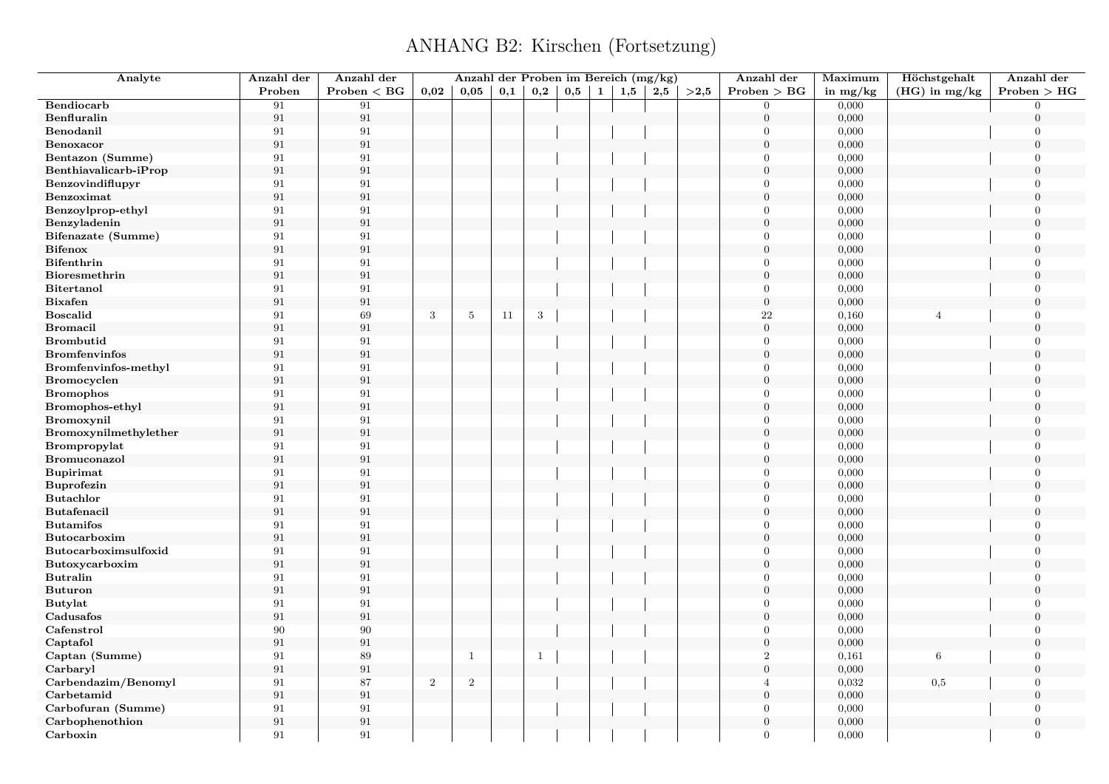| Analyte                        | Anzahl der              | Anzahl der   |                | Anzahl der Proben im Bereich (mg/kg) |     |              |     |           |     |     |      | Anzahl der               | Maximum    | Höchstgehalt    | Anzahl der       |
|--------------------------------|-------------------------|--------------|----------------|--------------------------------------|-----|--------------|-----|-----------|-----|-----|------|--------------------------|------------|-----------------|------------------|
|                                | Proben                  | Problem < BG | 0,02           | 0,05                                 | 0,1 | 0,2          | 0,5 | $1 \vert$ | 1,5 | 2,5 | >2,5 | Problem > BG             | in $mg/kg$ | $(HG)$ in mg/kg | Problem > HG     |
| Bendiocarb                     | 91                      | 91           |                |                                      |     |              |     |           |     |     |      | $\overline{0}$           | 0,000      |                 | $\overline{0}$   |
| Benfluralin                    | 91                      | 91           |                |                                      |     |              |     |           |     |     |      | $\boldsymbol{0}$         | 0,000      |                 | $\overline{0}$   |
| Benodanil                      | 91                      | 91           |                |                                      |     |              |     |           |     |     |      | $\theta$                 | 0,000      |                 | $\overline{0}$   |
| Benoxacor                      | $\rm 91$                | 91           |                |                                      |     |              |     |           |     |     |      | $\boldsymbol{0}$         | 0,000      |                 | $\overline{0}$   |
| Bentazon (Summe)               | 91                      | 91           |                |                                      |     |              |     |           |     |     |      | $\overline{0}$           | 0,000      |                 | $\overline{0}$   |
| Benthiavalicarb-iProp          | 91                      | 91           |                |                                      |     |              |     |           |     |     |      | $\boldsymbol{0}$         | 0,000      |                 | $\overline{0}$   |
| Benzovindiflupyr               | 91                      | 91           |                |                                      |     |              |     |           |     |     |      | $\Omega$                 | 0,000      |                 | $\Omega$         |
| Benzoximat                     | $\rm 91$                | 91           |                |                                      |     |              |     |           |     |     |      | $\overline{0}$           | 0,000      |                 | $\overline{0}$   |
| Benzoylprop-ethyl              | 91                      | 91           |                |                                      |     |              |     |           |     |     |      | $\Omega$                 | 0,000      |                 | $\Omega$         |
| Benzyladenin                   | 91                      | 91           |                |                                      |     |              |     |           |     |     |      | $\mathbf{0}$             | 0,000      |                 | $\overline{0}$   |
| Bifenazate (Summe)             | 91                      | 91           |                |                                      |     |              |     |           |     |     |      | $\theta$                 | 0,000      |                 | $\Omega$         |
| <b>Bifenox</b>                 | 91                      | 91           |                |                                      |     |              |     |           |     |     |      | $\theta$                 | 0,000      |                 | $\Omega$         |
| <b>Bifenthrin</b>              | 91                      | 91           |                |                                      |     |              |     |           |     |     |      | $\theta$                 | 0,000      |                 | $\Omega$         |
| Bioresmethrin                  | $\rm 91$                | 91           |                |                                      |     |              |     |           |     |     |      | $\overline{0}$           | 0,000      |                 | $\overline{0}$   |
| <b>Bitertanol</b>              | 91                      | 91           |                |                                      |     |              |     |           |     |     |      | $\mathbf{0}$             | 0,000      |                 | $\overline{0}$   |
| <b>Bixafen</b>                 | 91                      | 91           |                |                                      |     |              |     |           |     |     |      | $\mathbf{0}$             | 0,000      |                 | $\Omega$         |
| <b>Boscalid</b>                | 91                      | 69           | 3              | $5\phantom{.0}$                      | 11  | 3            |     |           |     |     |      | 22                       | 0,160      | $\overline{4}$  | $\overline{0}$   |
| <b>Bromacil</b>                | $\rm 91$                | 91           |                |                                      |     |              |     |           |     |     |      | $\boldsymbol{0}$         | 0,000      |                 | $\Omega$         |
| <b>Brombutid</b>               | 91                      | 91           |                |                                      |     |              |     |           |     |     |      | $\mathbf{0}$             | 0,000      |                 | $\overline{0}$   |
| <b>Bromfenvinfos</b>           | 91                      | 91           |                |                                      |     |              |     |           |     |     |      | $\overline{0}$           | 0,000      |                 | $\Omega$         |
| Bromfenvinfos-methyl           | 91                      | 91           |                |                                      |     |              |     |           |     |     |      | $\theta$                 | 0,000      |                 | $\overline{0}$   |
| Bromocyclen                    | $\rm 91$                | 91           |                |                                      |     |              |     |           |     |     |      | $\overline{0}$           | 0,000      |                 | $\Omega$         |
| <b>Bromophos</b>               | 91                      | 91           |                |                                      |     |              |     |           |     |     |      | $\theta$                 | 0,000      |                 | $\overline{0}$   |
| Bromophos-ethyl                | 91                      | 91           |                |                                      |     |              |     |           |     |     |      | $\overline{0}$           | 0,000      |                 | $\boldsymbol{0}$ |
| Bromoxynil                     | 91                      | 91           |                |                                      |     |              |     |           |     |     |      | $\Omega$                 | 0,000      |                 | $\overline{0}$   |
| Bromoxynilmethylether          | 91                      | 91           |                |                                      |     |              |     |           |     |     |      | $\overline{0}$           | 0,000      |                 | $\overline{0}$   |
| Brompropylat                   | 91                      | 91           |                |                                      |     |              |     |           |     |     |      | $\theta$                 | 0,000      |                 | $\overline{0}$   |
| Bromuconazol                   | $\rm 91$                | 91           |                |                                      |     |              |     |           |     |     |      | $\boldsymbol{0}$         | 0,000      |                 | $\boldsymbol{0}$ |
| <b>Bupirimat</b>               | 91                      | 91           |                |                                      |     |              |     |           |     |     |      | $\overline{0}$           | 0,000      |                 | $\overline{0}$   |
|                                |                         | 91           |                |                                      |     |              |     |           |     |     |      | $\boldsymbol{0}$         | 0,000      |                 | $\overline{0}$   |
| Buprofezin<br><b>Butachlor</b> | $\boldsymbol{91}$<br>91 | 91           |                |                                      |     |              |     |           |     |     |      | $\overline{0}$           | 0,000      |                 | $\overline{0}$   |
| Butafenacil                    | $\rm 91$                | 91           |                |                                      |     |              |     |           |     |     |      | $\boldsymbol{0}$         | 0,000      |                 | $\overline{0}$   |
|                                | 91                      | 91           |                |                                      |     |              |     |           |     |     |      | $\Omega$                 |            |                 | $\Omega$         |
| <b>Butamifos</b>               |                         |              |                |                                      |     |              |     |           |     |     |      |                          | 0,000      |                 | $\overline{0}$   |
| Butocarboxim                   | 91                      | 91           |                |                                      |     |              |     |           |     |     |      | $\mathbf{0}$<br>$\theta$ | 0,000      |                 |                  |
| Butocarboximsulfoxid           | 91                      | 91           |                |                                      |     |              |     |           |     |     |      |                          | 0,000      |                 | $\Omega$         |
| Butoxycarboxim                 | 91                      | 91           |                |                                      |     |              |     |           |     |     |      | $\mathbf{0}$<br>$\Omega$ | 0,000      |                 | $\overline{0}$   |
| <b>Butralin</b>                | 91                      | 91           |                |                                      |     |              |     |           |     |     |      |                          | 0,000      |                 | $\overline{0}$   |
| <b>Buturon</b>                 | 91                      | 91           |                |                                      |     |              |     |           |     |     |      | $\overline{0}$           | 0,000      |                 | $\overline{0}$   |
| <b>Butylat</b>                 | 91                      | 91           |                |                                      |     |              |     |           |     |     |      | $\overline{0}$           | 0,000      |                 | $\Omega$         |
| Cadusafos                      | 91                      | 91           |                |                                      |     |              |     |           |     |     |      | $\overline{0}$           | 0,000      |                 | $\overline{0}$   |
| Cafenstrol                     | 90                      | 90           |                |                                      |     |              |     |           |     |     |      | $\overline{0}$           | 0,000      |                 | $\overline{0}$   |
| Captafol                       | $\rm 91$                | 91           |                |                                      |     |              |     |           |     |     |      | $\theta$                 | 0,000      |                 | $\Omega$         |
| Captan (Summe)                 | 91                      | 89           |                | 1                                    |     | $\mathbf{1}$ |     |           |     |     |      | $\boldsymbol{2}$         | 0,161      | 6               | $\mathbf{0}$     |
| Carbaryl                       | 91                      | 91           |                |                                      |     |              |     |           |     |     |      | $\overline{0}$           | 0,000      |                 | $\Omega$         |
| Carbendazim/Benomyl            | 91                      | 87           | $\overline{2}$ | $\overline{2}$                       |     |              |     |           |     |     |      | $\overline{4}$           | 0,032      | $_{0,5}$        | $\overline{0}$   |
| Carbetamid                     | $\rm 91$                | 91           |                |                                      |     |              |     |           |     |     |      | $\theta$                 | 0,000      |                 | $\Omega$         |
| Carbofuran (Summe)             | 91                      | 91           |                |                                      |     |              |     |           |     |     |      | $\overline{0}$           | 0,000      |                 | $\overline{0}$   |
| Carbophenothion                | 91                      | 91           |                |                                      |     |              |     |           |     |     |      | $\overline{0}$           | 0,000      |                 | $\overline{0}$   |
| Carboxin                       | 91                      | 91           |                |                                      |     |              |     |           |     |     |      | $\Omega$                 | 0,000      |                 | $\overline{0}$   |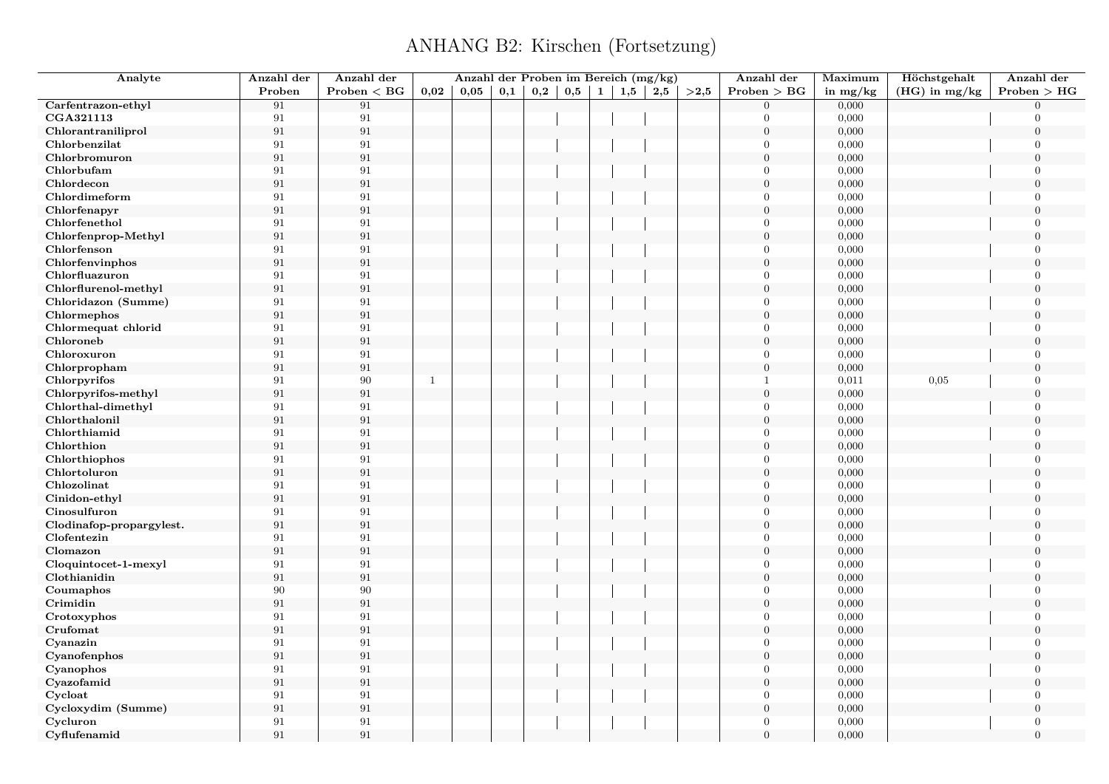| Analyte                  | Anzahl der        | Anzahl der        |              | Anzahl der Proben im Bereich (mg/kg) |     |     |              |              |     |     |      | Anzahl der       | Maximum    | Höchstgehalt    | Anzahl der       |
|--------------------------|-------------------|-------------------|--------------|--------------------------------------|-----|-----|--------------|--------------|-----|-----|------|------------------|------------|-----------------|------------------|
|                          | Proben            | $Problem < B$ G   | 0,02         | 0,05                                 | 0,1 | 0,2 | $_{\rm 0,5}$ | $\mathbf{1}$ | 1,5 | 2,5 | >2.5 | Problem > BG     | in $mg/kg$ | $(HG)$ in mg/kg | Problem > HG     |
| Carfentrazon-ethyl       | 91                | 91                |              |                                      |     |     |              |              |     |     |      | $\Omega$         | 0,000      |                 | $\Omega$         |
| CGA321113                | 91                | 91                |              |                                      |     |     |              |              |     |     |      | $\theta$         | 0,000      |                 | $\Omega$         |
| Chlorantraniliprol       | $\rm 91$          | $\rm 91$          |              |                                      |     |     |              |              |     |     |      | $\overline{0}$   | 0,000      |                 | $\overline{0}$   |
| Chlorbenzilat            | 91                | 91                |              |                                      |     |     |              |              |     |     |      | $\theta$         | 0,000      |                 | $\Omega$         |
| Chlorbromuron            | $\rm 91$          | $\rm 91$          |              |                                      |     |     |              |              |     |     |      | $\overline{0}$   | 0,000      |                 | $\Omega$         |
| Chlorbufam               | 91                | 91                |              |                                      |     |     |              |              |     |     |      | $\theta$         | 0,000      |                 | $\overline{0}$   |
| Chlordecon               | $\rm 91$          | $\rm 91$          |              |                                      |     |     |              |              |     |     |      | $\overline{0}$   | 0,000      |                 | $\Omega$         |
| Chlordimeform            | 91                | 91                |              |                                      |     |     |              |              |     |     |      | $\overline{0}$   | 0,000      |                 | $\overline{0}$   |
| Chlorfenapyr             | 91                | 91                |              |                                      |     |     |              |              |     |     |      | $\Omega$         | 0,000      |                 | $\Omega$         |
| Chlorfenethol            | 91                | $\rm 91$          |              |                                      |     |     |              |              |     |     |      | $\Omega$         | 0,000      |                 | $\overline{0}$   |
| Chlorfenprop-Methyl      | 91                | $\rm 91$          |              |                                      |     |     |              |              |     |     |      | $\overline{0}$   | 0,000      |                 | $\overline{0}$   |
| Chlorfenson              | 91                | $\rm 91$          |              |                                      |     |     |              |              |     |     |      | $\theta$         | 0,000      |                 | $\overline{0}$   |
| Chlorfenvinphos          | 91                | $\rm 91$          |              |                                      |     |     |              |              |     |     |      | $\overline{0}$   | 0,000      |                 | $\overline{0}$   |
| Chlorfluazuron           | 91                | $\rm 91$          |              |                                      |     |     |              |              |     |     |      | $\theta$         | 0,000      |                 | $\overline{0}$   |
| Chlorflurenol-methyl     | $\rm 91$          | $\rm 91$          |              |                                      |     |     |              |              |     |     |      | $\overline{0}$   | 0,000      |                 | $\theta$         |
| Chloridazon (Summe)      | 91                | $\rm 91$          |              |                                      |     |     |              |              |     |     |      | $\theta$         | 0,000      |                 | $\overline{0}$   |
| Chlormephos              | 91                | $\rm 91$          |              |                                      |     |     |              |              |     |     |      | $\overline{0}$   | 0,000      |                 | $\overline{0}$   |
| Chlormequat chlorid      | 91                | 91                |              |                                      |     |     |              |              |     |     |      | $\theta$         | 0,000      |                 | $\overline{0}$   |
| Chloroneb                | $\rm 91$          | $\rm 91$          |              |                                      |     |     |              |              |     |     |      | $\boldsymbol{0}$ | 0,000      |                 | $\overline{0}$   |
| Chloroxuron              | 91                | 91                |              |                                      |     |     |              |              |     |     |      | $\theta$         | 0,000      |                 | $\overline{0}$   |
| Chlorpropham             | 91                | $\rm 91$          |              |                                      |     |     |              |              |     |     |      | $\mathbf{0}$     | 0,000      |                 | $\overline{0}$   |
| Chlorpyrifos             | 91                | 90                | $\mathbf{1}$ |                                      |     |     |              |              |     |     |      | $\mathbf{1}$     | 0,011      | 0,05            | $\theta$         |
| Chlorpyrifos-methyl      | $\rm 91$          | $\rm 91$          |              |                                      |     |     |              |              |     |     |      | $\overline{0}$   | 0,000      |                 | $\Omega$         |
| Chlorthal-dimethyl       | 91                | 91                |              |                                      |     |     |              |              |     |     |      | $\theta$         | 0,000      |                 | $\Omega$         |
| Chlorthalonil            | 91                | $\rm 91$          |              |                                      |     |     |              |              |     |     |      | $\overline{0}$   | 0,000      |                 | $\overline{0}$   |
| Chlorthiamid             | 91                | $\rm 91$          |              |                                      |     |     |              |              |     |     |      | $\theta$         | 0,000      |                 | $\overline{0}$   |
| Chlorthion               | $\rm 91$          | $\rm 91$          |              |                                      |     |     |              |              |     |     |      | $\Omega$         | 0,000      |                 | $\theta$         |
| Chlorthiophos            | 91                | 91                |              |                                      |     |     |              |              |     |     |      | $\overline{0}$   | 0,000      |                 | $\overline{0}$   |
| Chlortoluron             | $\boldsymbol{91}$ | $\boldsymbol{91}$ |              |                                      |     |     |              |              |     |     |      | $\overline{0}$   | 0,000      |                 | $\theta$         |
| Chlozolinat              | 91                | 91                |              |                                      |     |     |              |              |     |     |      | $\overline{0}$   | 0,000      |                 | $\overline{0}$   |
| Cinidon-ethyl            | $\rm 91$          | $\rm 91$          |              |                                      |     |     |              |              |     |     |      | $\overline{0}$   | 0,000      |                 | $\Omega$         |
| Cinosulfuron             | 91                | 91                |              |                                      |     |     |              |              |     |     |      | $\overline{0}$   | 0,000      |                 | $\overline{0}$   |
| Clodinafop-propargylest. | $\rm 91$          | 91                |              |                                      |     |     |              |              |     |     |      | $\overline{0}$   | 0,000      |                 | $\Omega$         |
| Clofentezin              | 91                | $\rm 91$          |              |                                      |     |     |              |              |     |     |      | $\theta$         | 0,000      |                 | $\overline{0}$   |
| Clomazon                 | 91                | $\rm 91$          |              |                                      |     |     |              |              |     |     |      | $\Omega$         | 0,000      |                 | $\Omega$         |
| Cloquintocet-1-mexyl     | 91                | 91                |              |                                      |     |     |              |              |     |     |      | $\overline{0}$   | 0,000      |                 | $\overline{0}$   |
| Clothianidin             | 91                | $\rm 91$          |              |                                      |     |     |              |              |     |     |      | $\overline{0}$   | 0,000      |                 | $\overline{0}$   |
| Coumaphos                | 90                | 90                |              |                                      |     |     |              |              |     |     |      | $\theta$         | 0,000      |                 | $\overline{0}$   |
| Crimidin                 | 91                | $\rm 91$          |              |                                      |     |     |              |              |     |     |      | $\overline{0}$   | 0,000      |                 | $\boldsymbol{0}$ |
| Crotoxyphos              | 91                | $\rm 91$          |              |                                      |     |     |              |              |     |     |      | $\theta$         | 0,000      |                 | $\overline{0}$   |
| Crufomat                 | 91                | $\rm 91$          |              |                                      |     |     |              |              |     |     |      | $\overline{0}$   | 0,000      |                 | $\overline{0}$   |
| Cyanazin                 | 91                | 91                |              |                                      |     |     |              |              |     |     |      | $\theta$         | 0,000      |                 | $\Omega$         |
| Cyanofenphos             | 91                | $\rm 91$          |              |                                      |     |     |              |              |     |     |      | $\boldsymbol{0}$ | 0,000      |                 | $\overline{0}$   |
| Cyanophos                | 91                | 91                |              |                                      |     |     |              |              |     |     |      | $\theta$         | 0,000      |                 | $\Omega$         |
| Cyazofamid               | 91                | $\rm 91$          |              |                                      |     |     |              |              |     |     |      | $\overline{0}$   | 0,000      |                 | $\theta$         |
| Cycloat                  | 91                | 91                |              |                                      |     |     |              |              |     |     |      | $\Omega$         | 0,000      |                 | $\theta$         |
| Cycloxydim (Summe)       | $\rm 91$          | $\rm 91$          |              |                                      |     |     |              |              |     |     |      | $\mathbf{0}$     | 0,000      |                 | $\boldsymbol{0}$ |
| Cycluron                 | 91                | 91                |              |                                      |     |     |              |              |     |     |      | $\Omega$         | 0,000      |                 | $\overline{0}$   |
| Cyflufenamid             | 91                | 91                |              |                                      |     |     |              |              |     |     |      | $\Omega$         | 0,000      |                 | $\overline{0}$   |
|                          |                   |                   |              |                                      |     |     |              |              |     |     |      |                  |            |                 |                  |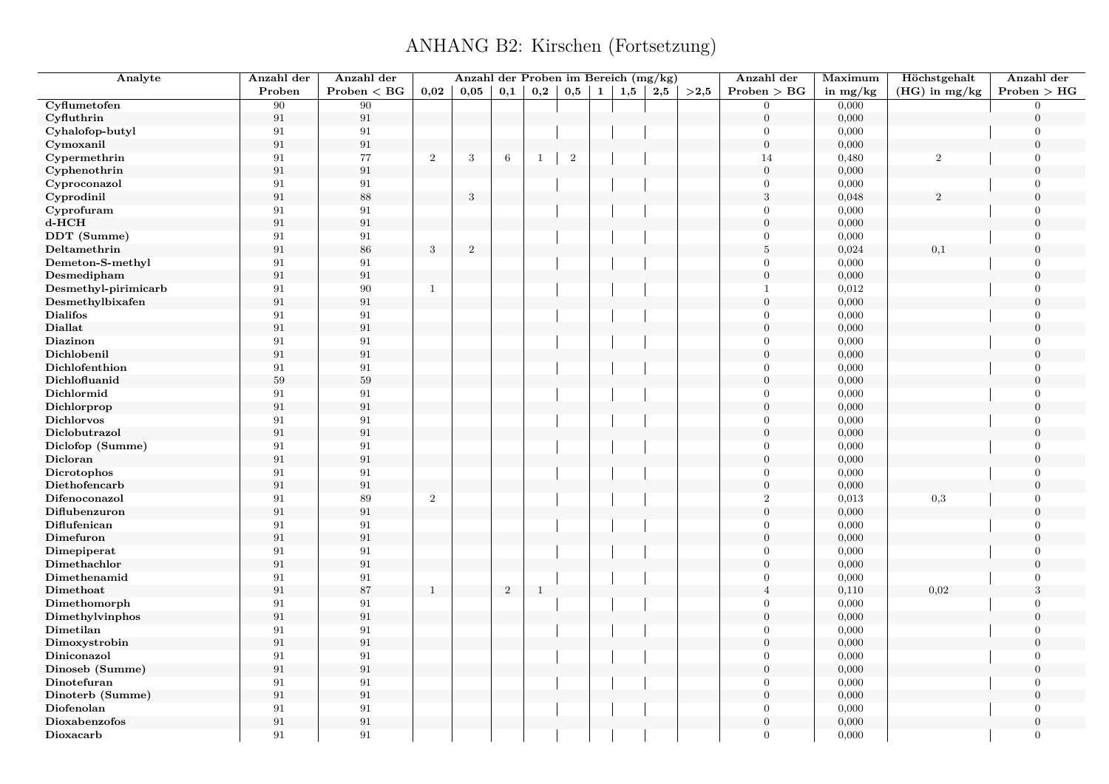| Analyte              | Anzahl der        | Anzahl der   |                | Anzahl der Proben im Bereich (mg/kg) |                 |              |                |              |     |     |      | Anzahl der       | Maximum    | Höchstgehalt     | Anzahl der     |
|----------------------|-------------------|--------------|----------------|--------------------------------------|-----------------|--------------|----------------|--------------|-----|-----|------|------------------|------------|------------------|----------------|
|                      | Proben            | Problem < BG | 0,02           | $0,\!05$                             | 0,1             | 0,2          | 0,5            | $\mathbf{1}$ | 1,5 | 2,5 | >2.5 | Problem > BG     | in $mg/kg$ | $(HG)$ in mg/kg  | Problem > HG   |
| Cyflumetofen         | 90                | 90           |                |                                      |                 |              |                |              |     |     |      | $\Omega$         | 0,000      |                  | $\Omega$       |
| Cyfluthrin           | 91                | $\rm 91$     |                |                                      |                 |              |                |              |     |     |      | $\overline{0}$   | 0,000      |                  | $\Omega$       |
| Cyhalofop-butyl      | 91                | $\rm 91$     |                |                                      |                 |              |                |              |     |     |      | $\theta$         | 0,000      |                  | $\overline{0}$ |
| Cymoxanil            | 91                | $\,91$       |                |                                      |                 |              |                |              |     |     |      | $\boldsymbol{0}$ | 0,000      |                  | $\overline{0}$ |
| Cypermethrin         | 91                | 77           | $\overline{2}$ | $\sqrt{3}$                           | $6\phantom{.}6$ | 1            | $\overline{2}$ |              |     |     |      | 14               | 0,480      | $\boldsymbol{2}$ | $\overline{0}$ |
| Cyphenothrin         | $\rm 91$          | 91           |                |                                      |                 |              |                |              |     |     |      | $\boldsymbol{0}$ | 0,000      |                  | $\overline{0}$ |
| Cyproconazol         | 91                | 91           |                |                                      |                 |              |                |              |     |     |      | $\overline{0}$   | 0,000      |                  | $\overline{0}$ |
| Cyprodinil           | $\rm 91$          | 88           |                | $\sqrt{3}$                           |                 |              |                |              |     |     |      | $\sqrt{3}$       | 0,048      | $\mathfrak{D}$   | $\Omega$       |
| Cyprofuram           | 91                | $\rm 91$     |                |                                      |                 |              |                |              |     |     |      | $\Omega$         | 0,000      |                  | $\Omega$       |
| $d$ - $HCH$          | 91                | 91           |                |                                      |                 |              |                |              |     |     |      | $\overline{0}$   | 0,000      |                  | $\mathbf{0}$   |
| DDT (Summe)          | 91                | 91           |                |                                      |                 |              |                |              |     |     |      | $\Omega$         | 0,000      |                  | $\Omega$       |
| Deltamethrin         | 91                | 86           | $\sqrt{3}$     | $\,2$                                |                 |              |                |              |     |     |      | $\sqrt{5}$       | 0,024      | 0,1              | $\Omega$       |
| Demeton-S-methyl     | 91                | 91           |                |                                      |                 |              |                |              |     |     |      | $\theta$         | 0,000      |                  | $\Omega$       |
| Desmedipham          | 91                | 91           |                |                                      |                 |              |                |              |     |     |      | $\overline{0}$   | 0,000      |                  | $\overline{0}$ |
| Desmethyl-pirimicarb | 91                | 90           | $\mathbf{1}$   |                                      |                 |              |                |              |     |     |      | $\mathbf{1}$     | 0,012      |                  | $\Omega$       |
| Desmethylbixafen     | 91                | $\rm 91$     |                |                                      |                 |              |                |              |     |     |      | $\Omega$         | 0,000      |                  | $\Omega$       |
| <b>Dialifos</b>      | 91                | 91           |                |                                      |                 |              |                |              |     |     |      | $\overline{0}$   | 0,000      |                  | $\overline{0}$ |
| <b>Diallat</b>       | $\boldsymbol{91}$ | 91           |                |                                      |                 |              |                |              |     |     |      | $\overline{0}$   | 0,000      |                  | $\Omega$       |
| Diazinon             | 91                | 91           |                |                                      |                 |              |                |              |     |     |      | $\overline{0}$   | 0,000      |                  | $\overline{0}$ |
| Dichlobenil          | 91                | 91           |                |                                      |                 |              |                |              |     |     |      | $\Omega$         | 0,000      |                  | $\Omega$       |
| Dichlofenthion       | 91                | 91           |                |                                      |                 |              |                |              |     |     |      | $\overline{0}$   | 0,000      |                  | $\overline{0}$ |
| Dichlofluanid        | $59\,$            | 59           |                |                                      |                 |              |                |              |     |     |      | $\overline{0}$   | 0,000      |                  | $\theta$       |
| Dichlormid           | 91                | 91           |                |                                      |                 |              |                |              |     |     |      | $\theta$         | 0,000      |                  | $\Omega$       |
| Dichlorprop          | 91                | 91           |                |                                      |                 |              |                |              |     |     |      | $\overline{0}$   | 0,000      |                  | $\theta$       |
| <b>Dichlorvos</b>    | 91                | 91           |                |                                      |                 |              |                |              |     |     |      | $\theta$         | 0,000      |                  | $\Omega$       |
| Diclobutrazol        | 91                | 91           |                |                                      |                 |              |                |              |     |     |      | $\overline{0}$   | 0,000      |                  | $\mathbf{0}$   |
| Diclofop (Summe)     | 91                | $\rm 91$     |                |                                      |                 |              |                |              |     |     |      | $\theta$         | 0,000      |                  | $\Omega$       |
| Dicloran             | 91                | 91           |                |                                      |                 |              |                |              |     |     |      | $\mathbf{0}$     | 0,000      |                  | $\overline{0}$ |
| Dicrotophos          | 91                | $\rm 91$     |                |                                      |                 |              |                |              |     |     |      | $\theta$         | 0,000      |                  | $\theta$       |
| Diethofencarb        | 91                | 91           |                |                                      |                 |              |                |              |     |     |      | $\boldsymbol{0}$ | 0,000      |                  | $\mathbf{0}$   |
| Difenoconazol        | 91                | 89           | $\overline{2}$ |                                      |                 |              |                |              |     |     |      | $\overline{2}$   | 0,013      | 0,3              | $\overline{0}$ |
| Diflubenzuron        | $\rm 91$          | 91           |                |                                      |                 |              |                |              |     |     |      | $\boldsymbol{0}$ | 0,000      |                  | $\overline{0}$ |
| Diflufenican         | 91                | 91           |                |                                      |                 |              |                |              |     |     |      | $\Omega$         | 0,000      |                  | $\Omega$       |
| Dimefuron            | 91                | $\rm 91$     |                |                                      |                 |              |                |              |     |     |      | $\Omega$         | 0,000      |                  | $\Omega$       |
| Dimepiperat          | 91                | 91           |                |                                      |                 |              |                |              |     |     |      | $\Omega$         | 0,000      |                  | $\Omega$       |
| Dimethachlor         | 91                | 91           |                |                                      |                 |              |                |              |     |     |      | $\overline{0}$   | 0,000      |                  | $\mathbf{0}$   |
| Dimethenamid         | 91                | 91           |                |                                      |                 |              |                |              |     |     |      | $\theta$         | 0,000      |                  | $\Omega$       |
| Dimethoat            | 91                | 87           | $\mathbf{1}$   |                                      | $\sqrt{2}$      | $\mathbf{1}$ |                |              |     |     |      | $\overline{4}$   | 0,110      | 0,02             | 3              |
| Dimethomorph         | 91                | 91           |                |                                      |                 |              |                |              |     |     |      | $\Omega$         | 0,000      |                  | $\Omega$       |
| Dimethylvinphos      | 91                | 91           |                |                                      |                 |              |                |              |     |     |      | $\overline{0}$   | 0,000      |                  | $\overline{0}$ |
| Dimetilan            | 91                | 91           |                |                                      |                 |              |                |              |     |     |      | $\overline{0}$   | 0,000      |                  | $\overline{0}$ |
| Dimoxystrobin        | 91                | 91           |                |                                      |                 |              |                |              |     |     |      | $\Omega$         | 0,000      |                  | $\Omega$       |
| Diniconazol          | 91                | 91           |                |                                      |                 |              |                |              |     |     |      | $\Omega$         | 0,000      |                  | $\overline{0}$ |
| Dinoseb (Summe)      | 91                | 91           |                |                                      |                 |              |                |              |     |     |      | $\overline{0}$   | 0,000      |                  | $\theta$       |
| Dinotefuran          | 91                | 91           |                |                                      |                 |              |                |              |     |     |      | $\overline{0}$   | 0,000      |                  | $\overline{0}$ |
| Dinoterb (Summe)     | 91                | $\rm 91$     |                |                                      |                 |              |                |              |     |     |      | $\Omega$         | 0,000      |                  | $\Omega$       |
| Diofenolan           | 91                | 91           |                |                                      |                 |              |                |              |     |     |      | $\Omega$         | 0,000      |                  | $\Omega$       |
| Dioxabenzofos        | 91                | 91           |                |                                      |                 |              |                |              |     |     |      | $\overline{0}$   | 0,000      |                  | $\overline{0}$ |
| Dioxacarb            | 91                | 91           |                |                                      |                 |              |                |              |     |     |      | $\Omega$         | 0,000      |                  | $\overline{0}$ |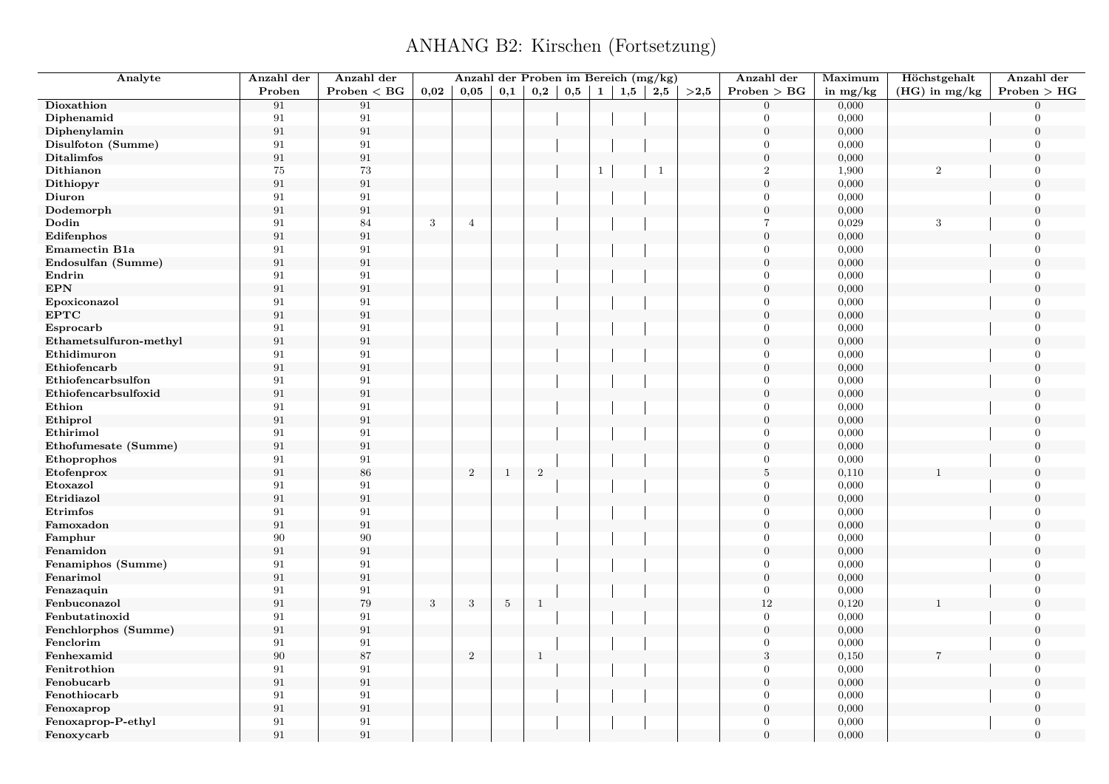| Analyte                | Anzahl der        | Anzahl der   |              | Anzahl der Proben im Bereich (mg/kg) |              |                |     |              |     |              |      | Anzahl der       | Maximum    | Höchstgehalt    | Anzahl der       |
|------------------------|-------------------|--------------|--------------|--------------------------------------|--------------|----------------|-----|--------------|-----|--------------|------|------------------|------------|-----------------|------------------|
|                        | Proben            | Problem < BG | 0,02         | 0,05                                 | 0,1          | $_{0,2}$       | 0,5 | $\mathbf{1}$ | 1,5 | 2,5          | >2,5 | Problem > BG     | in $mg/kg$ | $(HG)$ in mg/kg | Problem > HG     |
| Dioxathion             | 91                | 91           |              |                                      |              |                |     |              |     |              |      | $\overline{0}$   | 0,000      |                 | $\Omega$         |
| Diphenamid             | 91                | $\rm 91$     |              |                                      |              |                |     |              |     |              |      | $\Omega$         | 0,000      |                 | $\Omega$         |
| Diphenylamin           | 91                | $\rm 91$     |              |                                      |              |                |     |              |     |              |      | $\boldsymbol{0}$ | 0,000      |                 | $\boldsymbol{0}$ |
| Disulfoton (Summe)     | 91                | 91           |              |                                      |              |                |     |              |     |              |      | $\overline{0}$   | 0,000      |                 | $\Omega$         |
| <b>Ditalimfos</b>      | 91                | $\rm 91$     |              |                                      |              |                |     |              |     |              |      | $\overline{0}$   | 0,000      |                 | $\Omega$         |
| Dithianon              | 75                | 73           |              |                                      |              |                |     |              |     | $\mathbf{1}$ |      | $\overline{2}$   | 1,900      | 2               | $\overline{0}$   |
| Dithiopyr              | 91                | $\rm 91$     |              |                                      |              |                |     |              |     |              |      | $\overline{0}$   | 0,000      |                 | $\overline{0}$   |
| Diuron                 | 91                | 91           |              |                                      |              |                |     |              |     |              |      | $\mathbf{0}$     | 0,000      |                 | $\overline{0}$   |
| Dodemorph              | 91                | $\rm 91$     |              |                                      |              |                |     |              |     |              |      | $\boldsymbol{0}$ | 0,000      |                 | $\Omega$         |
| Dodin                  | 91                | 84           | $\sqrt{3}$   | $\overline{4}$                       |              |                |     |              |     |              |      | $\overline{7}$   | 0,029      | 3               | $\mathbf{0}$     |
| Edifenphos             | 91                | $\rm 91$     |              |                                      |              |                |     |              |     |              |      | $\overline{0}$   | 0,000      |                 | $\Omega$         |
| Emamectin B1a          | 91                | $\rm 91$     |              |                                      |              |                |     |              |     |              |      | $\overline{0}$   | 0,000      |                 | $\overline{0}$   |
| Endosulfan (Summe)     | 91                | $\rm 91$     |              |                                      |              |                |     |              |     |              |      | $\boldsymbol{0}$ | 0,000      |                 | $\overline{0}$   |
| Endrin                 | 91                | 91           |              |                                      |              |                |     |              |     |              |      | $\overline{0}$   | 0,000      |                 | $\overline{0}$   |
| $\mathbf{EPN}$         | 91                | $\rm 91$     |              |                                      |              |                |     |              |     |              |      | $\boldsymbol{0}$ | 0,000      |                 | $\theta$         |
| Epoxiconazol           | 91                | $\rm 91$     |              |                                      |              |                |     |              |     |              |      | $\overline{0}$   | 0,000      |                 | $\overline{0}$   |
| <b>EPTC</b>            | 91                | $\rm 91$     |              |                                      |              |                |     |              |     |              |      | $\boldsymbol{0}$ | 0,000      |                 | $\overline{0}$   |
| Esprocarb              | 91                | 91           |              |                                      |              |                |     |              |     |              |      | $\Omega$         | 0,000      |                 | $\theta$         |
| Ethametsulfuron-methyl | 91                | $\rm 91$     |              |                                      |              |                |     |              |     |              |      | $\overline{0}$   | 0,000      |                 | $\overline{0}$   |
| Ethidimuron            | 91                | $\rm 91$     |              |                                      |              |                |     |              |     |              |      | $\overline{0}$   | 0,000      |                 | $\overline{0}$   |
| Ethiofencarb           | 91                | $\rm 91$     |              |                                      |              |                |     |              |     |              |      | $\overline{0}$   | 0,000      |                 | $\overline{0}$   |
| Ethiofencarbsulfon     | 91                | 91           |              |                                      |              |                |     |              |     |              |      | $\Omega$         | 0,000      |                 | $\theta$         |
| Ethiofencarbsulfoxid   | 91                | $\rm 91$     |              |                                      |              |                |     |              |     |              |      | $\Omega$         | 0,000      |                 | $\Omega$         |
| Ethion                 | 91                | 91           |              |                                      |              |                |     |              |     |              |      | $\overline{0}$   | 0,000      |                 | $\Omega$         |
| Ethiprol               | 91                | $\rm 91$     |              |                                      |              |                |     |              |     |              |      | $\boldsymbol{0}$ | 0,000      |                 | $\overline{0}$   |
| Ethirimol              | 91                | $\rm 91$     |              |                                      |              |                |     |              |     |              |      | $\overline{0}$   | 0,000      |                 | $\Omega$         |
| Ethofumesate (Summe)   | 91                | 91           |              |                                      |              |                |     |              |     |              |      | $\overline{0}$   | 0,000      |                 | $\Omega$         |
| Ethoprophos            | 91                | 91           |              |                                      |              |                |     |              |     |              |      | $\mathbf{0}$     | 0,000      |                 | $\overline{0}$   |
| Etofenprox             | 91                | 86           |              | $\overline{2}$                       | $\mathbf{1}$ | $\overline{2}$ |     |              |     |              |      | $\bf 5$          | 0,110      |                 | $\overline{0}$   |
| Etoxazol               | 91                | 91           |              |                                      |              |                |     |              |     |              |      | $\overline{0}$   | 0,000      |                 | $\overline{0}$   |
| Etridiazol             | 91                | $\rm 91$     |              |                                      |              |                |     |              |     |              |      | $\overline{0}$   | 0,000      |                 | $\Omega$         |
| Etrimfos               | 91                | 91           |              |                                      |              |                |     |              |     |              |      | $\mathbf{0}$     | 0,000      |                 | $\overline{0}$   |
| Famoxadon              | 91                | $\rm 91$     |              |                                      |              |                |     |              |     |              |      | $\overline{0}$   | 0,000      |                 | $\Omega$         |
| Famphur                | 90                | 90           |              |                                      |              |                |     |              |     |              |      | $\overline{0}$   | 0,000      |                 | $\overline{0}$   |
| Fenamidon              | 91                | $\rm 91$     |              |                                      |              |                |     |              |     |              |      | $\overline{0}$   | 0,000      |                 | $\Omega$         |
| Fenamiphos (Summe)     | 91                | 91           |              |                                      |              |                |     |              |     |              |      | $\mathbf{0}$     | 0,000      |                 | $\overline{0}$   |
| Fenarimol              | 91                | $\rm 91$     |              |                                      |              |                |     |              |     |              |      | $\boldsymbol{0}$ | 0,000      |                 | $\overline{0}$   |
| Fenazaquin             | 91                | 91           |              |                                      |              |                |     |              |     |              |      | $\overline{0}$   | 0,000      |                 | $\mathbf{0}$     |
| Fenbuconazol           | $\boldsymbol{91}$ | $79\,$       | $\mathbf{3}$ | 3                                    | $\sqrt{5}$   | $\mathbf{1}$   |     |              |     |              |      | $12\,$           | 0,120      |                 | $\boldsymbol{0}$ |
| Fenbutatinoxid         | 91                | $\rm 91$     |              |                                      |              |                |     |              |     |              |      | $\boldsymbol{0}$ | 0,000      |                 | $\overline{0}$   |
| Fenchlorphos (Summe)   | 91                | $\rm 91$     |              |                                      |              |                |     |              |     |              |      | $\boldsymbol{0}$ | 0,000      |                 | $\mathbf{0}$     |
| Fenclorim              | 91                | 91           |              |                                      |              |                |     |              |     |              |      | $\overline{0}$   | 0,000      |                 | $\mathbf{0}$     |
| Fenhexamid             | $90\,$            | 87           |              | $\overline{2}$                       |              | $\mathbf{1}$   |     |              |     |              |      | $\sqrt{3}$       | 0,150      |                 | $\overline{0}$   |
| Fenitrothion           | 91                | 91           |              |                                      |              |                |     |              |     |              |      | $\overline{0}$   | 0,000      |                 | $\overline{0}$   |
| Fenobucarb             | 91                | $\rm 91$     |              |                                      |              |                |     |              |     |              |      | $\boldsymbol{0}$ | 0,000      |                 | $\overline{0}$   |
| Fenothiocarb           | 91                | 91           |              |                                      |              |                |     |              |     |              |      | $\Omega$         | 0,000      |                 | $\Omega$         |
| Fenoxaprop             | $\rm 91$          | $\rm 91$     |              |                                      |              |                |     |              |     |              |      | $\boldsymbol{0}$ | 0,000      |                 | $\boldsymbol{0}$ |
| Fenoxaprop-P-ethyl     | 91                | 91           |              |                                      |              |                |     |              |     |              |      | $\overline{0}$   | 0,000      |                 | $\mathbf{0}$     |
| Fenoxycarb             | 91                | 91           |              |                                      |              |                |     |              |     |              |      | $\Omega$         | 0,000      |                 | $\theta$         |
|                        |                   |              |              |                                      |              |                |     |              |     |              |      |                  |            |                 |                  |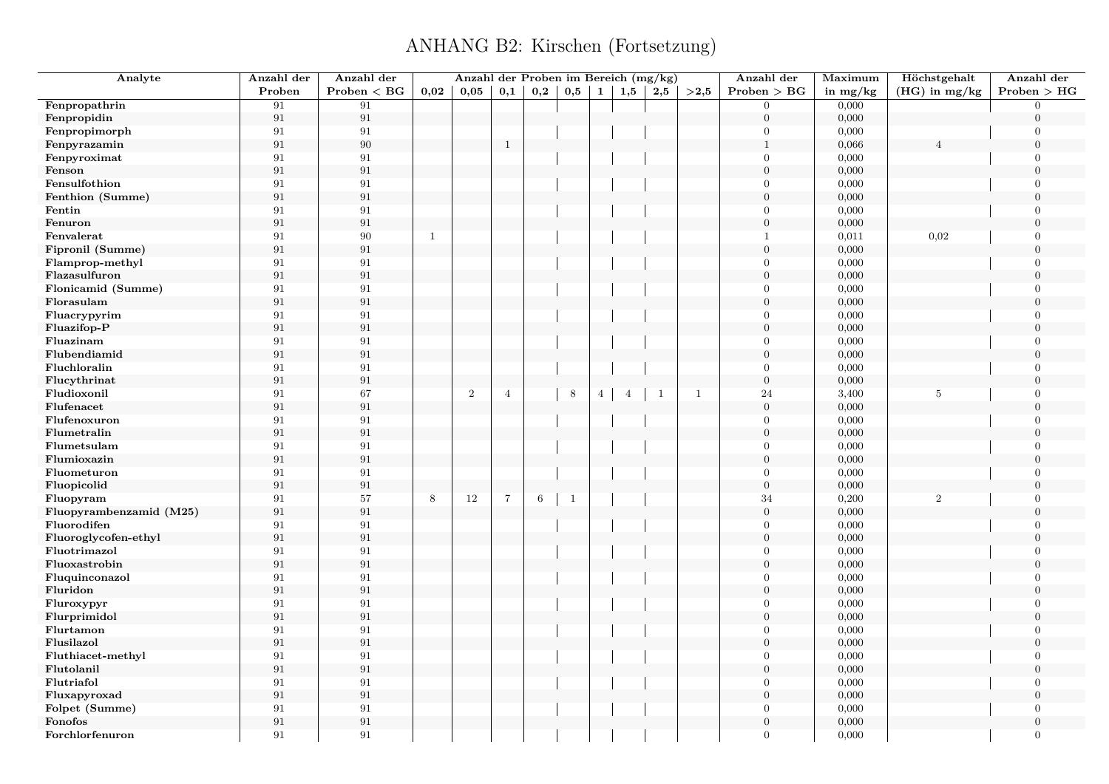| Analyte                 | Anzahl der        | Anzahl der      |              | Anzahl der Proben im Bereich (mg/kg) |                |         |              |                |                |              |              | Anzahl der       | Maximum    | Höchstgehalt    | Anzahl der       |
|-------------------------|-------------------|-----------------|--------------|--------------------------------------|----------------|---------|--------------|----------------|----------------|--------------|--------------|------------------|------------|-----------------|------------------|
|                         | Proben            | $Problem < B$ G | 0,02         | 0,05                                 | 0,1            | 0,2     | 0,5          | $\mathbf{1}$   | 1,5            | 2,5          | >2,5         | Problem > BG     | in $mg/kg$ | $(HG)$ in mg/kg | Problem > HG     |
| Fenpropathrin           | 91                | 91              |              |                                      |                |         |              |                |                |              |              | $\overline{0}$   | 0,000      |                 | $\overline{0}$   |
| Fenpropidin             | 91                | 91              |              |                                      |                |         |              |                |                |              |              | $\boldsymbol{0}$ | 0,000      |                 | $\overline{0}$   |
| Fenpropimorph           | 91                | 91              |              |                                      |                |         |              |                |                |              |              | $\theta$         | 0,000      |                 | $\overline{0}$   |
| Fenpyrazamin            | $\rm 91$          | 90              |              |                                      | $\,$ 1         |         |              |                |                |              |              | $\mathbf{1}$     | 0,066      |                 | $\boldsymbol{0}$ |
| Fenpyroximat            | 91                | 91              |              |                                      |                |         |              |                |                |              |              | $\overline{0}$   | 0,000      |                 | $\overline{0}$   |
| Fenson                  | 91                | 91              |              |                                      |                |         |              |                |                |              |              | $\boldsymbol{0}$ | 0,000      |                 | $\overline{0}$   |
| Fensulfothion           | 91                | 91              |              |                                      |                |         |              |                |                |              |              | $\Omega$         | 0,000      |                 | $\overline{0}$   |
| Fenthion (Summe)        | $\rm 91$          | 91              |              |                                      |                |         |              |                |                |              |              | $\mathbf{0}$     | 0,000      |                 | $\overline{0}$   |
| Fentin                  | 91                | 91              |              |                                      |                |         |              |                |                |              |              | $\Omega$         | 0,000      |                 | $\Omega$         |
| Fenuron                 | 91                | 91              |              |                                      |                |         |              |                |                |              |              | $\mathbf{0}$     | 0,000      |                 | $\overline{0}$   |
| Fenvalerat              | 91                | 90              | $\mathbf{1}$ |                                      |                |         |              |                |                |              |              | $\mathbf{1}$     | 0,011      | 0,02            | $\overline{0}$   |
| Fipronil (Summe)        | 91                | 91              |              |                                      |                |         |              |                |                |              |              | $\overline{0}$   | 0,000      |                 | $\Omega$         |
| Flamprop-methyl         | 91                | 91              |              |                                      |                |         |              |                |                |              |              | $\theta$         | 0,000      |                 | $\Omega$         |
| Flazasulfuron           | $\rm 91$          | 91              |              |                                      |                |         |              |                |                |              |              | $\overline{0}$   | 0,000      |                 | $\overline{0}$   |
| Flonicamid (Summe)      | 91                | 91              |              |                                      |                |         |              |                |                |              |              | $\theta$         | 0,000      |                 | $\overline{0}$   |
| Florasulam              | 91                | 91              |              |                                      |                |         |              |                |                |              |              | $\overline{0}$   | 0,000      |                 | $\Omega$         |
| Fluacrypyrim            | 91                | 91              |              |                                      |                |         |              |                |                |              |              | $\mathbf{0}$     | 0,000      |                 | $\overline{0}$   |
| Fluazifop-P             | $\rm 91$          | 91              |              |                                      |                |         |              |                |                |              |              | $\boldsymbol{0}$ | 0,000      |                 | $\Omega$         |
| Fluazinam               | 91                | 91              |              |                                      |                |         |              |                |                |              |              | $\mathbf{0}$     | 0,000      |                 | $\overline{0}$   |
| Flubendiamid            | 91                | 91              |              |                                      |                |         |              |                |                |              |              | $\overline{0}$   | 0,000      |                 | $\Omega$         |
| Fluchloralin            | 91                | 91              |              |                                      |                |         |              |                |                |              |              | $\overline{0}$   | 0,000      |                 | $\overline{0}$   |
| Flucythrinat            | $\rm 91$          | 91              |              |                                      |                |         |              |                |                |              |              | $\overline{0}$   | 0,000      |                 | $\Omega$         |
| Fludioxonil             | 91                | 67              |              | $\,2$                                | $\overline{4}$ |         | $\,8\,$      | $\overline{4}$ | $\overline{4}$ | $\mathbf{1}$ | $\mathbf{1}$ | 24               | 3,400      | $\,$ 5 $\,$     | $\overline{0}$   |
| Flufenacet              | 91                | 91              |              |                                      |                |         |              |                |                |              |              | $\boldsymbol{0}$ | 0,000      |                 | $\boldsymbol{0}$ |
| Flufenoxuron            | 91                | 91              |              |                                      |                |         |              |                |                |              |              | $\overline{0}$   | 0,000      |                 | $\overline{0}$   |
| Flumetralin             | 91                | 91              |              |                                      |                |         |              |                |                |              |              | $\overline{0}$   | 0,000      |                 | $\overline{0}$   |
| Flumetsulam             | 91                | 91              |              |                                      |                |         |              |                |                |              |              | $\theta$         | 0,000      |                 | $\overline{0}$   |
| Flumioxazin             | $\rm 91$          | 91              |              |                                      |                |         |              |                |                |              |              | $\boldsymbol{0}$ | 0,000      |                 | $\boldsymbol{0}$ |
| Fluometuron             | 91                | 91              |              |                                      |                |         |              |                |                |              |              | $\mathbf{0}$     | 0,000      |                 | $\overline{0}$   |
| Fluopicolid             | $\boldsymbol{91}$ | 91              |              |                                      |                |         |              |                |                |              |              | $\boldsymbol{0}$ | 0,000      |                 | $\overline{0}$   |
| Fluopyram               | 91                | 57              | 8            | $12\,$                               | $\overline{7}$ | $\,6\,$ | $\mathbf{1}$ |                |                |              |              | 34               | 0,200      | $\overline{2}$  | $\overline{0}$   |
| Fluopyrambenzamid (M25) | $\rm 91$          | 91              |              |                                      |                |         |              |                |                |              |              | $\boldsymbol{0}$ | 0,000      |                 | $\boldsymbol{0}$ |
| Fluorodifen             | 91                | 91              |              |                                      |                |         |              |                |                |              |              | $\Omega$         | 0,000      |                 | $\Omega$         |
| Fluoroglycofen-ethyl    | 91                | 91              |              |                                      |                |         |              |                |                |              |              | $\mathbf{0}$     | 0,000      |                 | $\overline{0}$   |
| Fluotrimazol            | 91                | 91              |              |                                      |                |         |              |                |                |              |              | $\theta$         | 0,000      |                 | $\overline{0}$   |
| Fluoxastrobin           | 91                | 91              |              |                                      |                |         |              |                |                |              |              | $\mathbf{0}$     | 0,000      |                 | $\overline{0}$   |
| Fluquinconazol          | 91                | 91              |              |                                      |                |         |              |                |                |              |              | $\Omega$         | 0,000      |                 | $\overline{0}$   |
| Fluridon                | 91                | 91              |              |                                      |                |         |              |                |                |              |              | $\overline{0}$   | 0,000      |                 | $\overline{0}$   |
| Fluroxypyr              | 91                | 91              |              |                                      |                |         |              |                |                |              |              | $\overline{0}$   | 0,000      |                 | $\Omega$         |
| Flurprimidol            | 91                | 91              |              |                                      |                |         |              |                |                |              |              | $\overline{0}$   | 0,000      |                 | $\overline{0}$   |
| Flurtamon               | 91                | 91              |              |                                      |                |         |              |                |                |              |              | $\overline{0}$   | 0,000      |                 | $\overline{0}$   |
| Flusilazol              | $\rm 91$          | 91              |              |                                      |                |         |              |                |                |              |              | $\theta$         | 0,000      |                 | $\Omega$         |
| Fluthiacet-methyl       | 91                | 91              |              |                                      |                |         |              |                |                |              |              | $\mathbf{0}$     | 0,000      |                 | $\mathbf{0}$     |
| Flutolanil              | 91                | 91              |              |                                      |                |         |              |                |                |              |              | $\overline{0}$   | 0,000      |                 | $\Omega$         |
| Flutriafol              | 91                | 91              |              |                                      |                |         |              |                |                |              |              | $\overline{0}$   | 0,000      |                 | $\overline{0}$   |
| Fluxapyroxad            | $\rm 91$          | 91              |              |                                      |                |         |              |                |                |              |              | $\theta$         | 0,000      |                 | $\Omega$         |
| Folpet (Summe)          | 91                | 91              |              |                                      |                |         |              |                |                |              |              | $\overline{0}$   | 0,000      |                 | $\overline{0}$   |
| Fonofos                 | 91                | 91              |              |                                      |                |         |              |                |                |              |              | $\overline{0}$   | 0,000      |                 | $\overline{0}$   |
| Forchlorfenuron         | 91                | 91              |              |                                      |                |         |              |                |                |              |              | $\Omega$         | 0,000      |                 | $\overline{0}$   |
|                         |                   |                 |              |                                      |                |         |              |                |                |              |              |                  |            |                 |                  |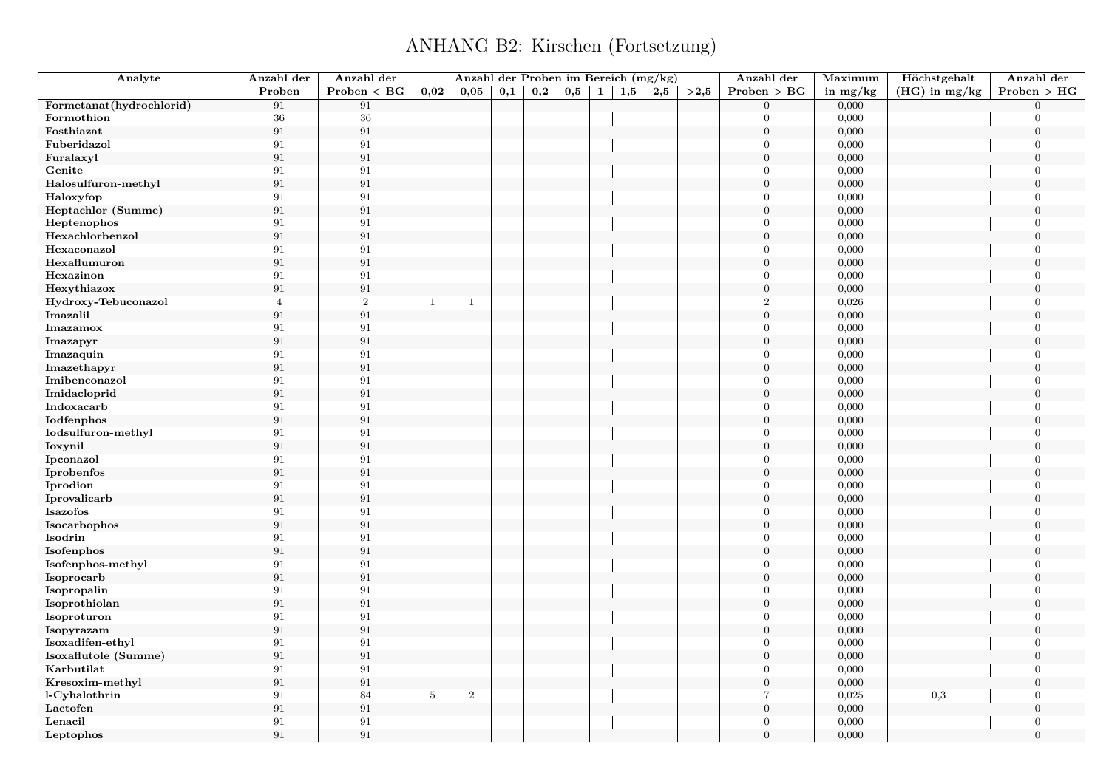| Analyte                  | Anzahl der        | Anzahl der     |              | Anzahl der Proben im Bereich (mg/kg) |     |          |     |              |     |     |      | Anzahl der       | Maximum    | Höchstgehalt    | Anzahl der       |
|--------------------------|-------------------|----------------|--------------|--------------------------------------|-----|----------|-----|--------------|-----|-----|------|------------------|------------|-----------------|------------------|
|                          | Proben            | Problem < BG   | 0,02         | 0,05                                 | 0,1 | $_{0,2}$ | 0,5 | $\mathbf{1}$ | 1,5 | 2,5 | >2,5 | Problem > BG     | in $mg/kg$ | $(HG)$ in mg/kg | Problem > HG     |
| Formetanat(hydrochlorid) | 91                | 91             |              |                                      |     |          |     |              |     |     |      | $\overline{0}$   | 0,000      |                 | $\Omega$         |
| Formothion               | $36\,$            | $36\,$         |              |                                      |     |          |     |              |     |     |      | $\Omega$         | 0,000      |                 | $\Omega$         |
| Fosthiazat               | $\boldsymbol{91}$ | $\rm 91$       |              |                                      |     |          |     |              |     |     |      | $\boldsymbol{0}$ | 0,000      |                 | $\overline{0}$   |
| Fuberidazol              | 91                | 91             |              |                                      |     |          |     |              |     |     |      | $\Omega$         | 0,000      |                 | $\Omega$         |
| Furalaxyl                | 91                | $\rm 91$       |              |                                      |     |          |     |              |     |     |      | $\boldsymbol{0}$ | 0,000      |                 | $\Omega$         |
| Genite                   | 91                | 91             |              |                                      |     |          |     |              |     |     |      | $\overline{0}$   | 0,000      |                 | $\overline{0}$   |
| Halosulfuron-methyl      | $\boldsymbol{91}$ | $\rm 91$       |              |                                      |     |          |     |              |     |     |      | $\boldsymbol{0}$ | 0,000      |                 | $\Omega$         |
| Haloxyfop                | 91                | 91             |              |                                      |     |          |     |              |     |     |      | $\boldsymbol{0}$ | 0,000      |                 | $\overline{0}$   |
| Heptachlor (Summe)       | 91                | $\rm 91$       |              |                                      |     |          |     |              |     |     |      | $\boldsymbol{0}$ | 0,000      |                 | $\Omega$         |
| Heptenophos              | 91                | 91             |              |                                      |     |          |     |              |     |     |      | $\overline{0}$   | 0,000      |                 | $\overline{0}$   |
| Hexachlorbenzol          | 91                | $\rm 91$       |              |                                      |     |          |     |              |     |     |      | $\overline{0}$   | 0,000      |                 | $\Omega$         |
| Hexaconazol              | 91                | $\rm 91$       |              |                                      |     |          |     |              |     |     |      | $\Omega$         | 0,000      |                 | $\Omega$         |
| Hexaflumuron             | 91                | $\rm 91$       |              |                                      |     |          |     |              |     |     |      | $\overline{0}$   | 0,000      |                 | $\Omega$         |
| Hexazinon                | 91                | 91             |              |                                      |     |          |     |              |     |     |      | $\mathbf{0}$     | 0,000      |                 | $\overline{0}$   |
| Hexythiazox              | 91                | 91             |              |                                      |     |          |     |              |     |     |      | $\boldsymbol{0}$ | 0,000      |                 | $\overline{0}$   |
| Hydroxy-Tebuconazol      | $\overline{4}$    | $\overline{2}$ | $\mathbf{1}$ | $\overline{1}$                       |     |          |     |              |     |     |      | $\overline{2}$   | 0,026      |                 | $\overline{0}$   |
| Imazalil                 | $\rm 91$          | $\rm 91$       |              |                                      |     |          |     |              |     |     |      | $\boldsymbol{0}$ | 0,000      |                 | $\boldsymbol{0}$ |
| Imazamox                 | 91                | 91             |              |                                      |     |          |     |              |     |     |      | $\overline{0}$   | 0,000      |                 | $\overline{0}$   |
| Imazapyr                 | 91                | $\rm 91$       |              |                                      |     |          |     |              |     |     |      | $\boldsymbol{0}$ | 0,000      |                 | $\theta$         |
| Imazaquin                | 91                | 91             |              |                                      |     |          |     |              |     |     |      | $\overline{0}$   | 0,000      |                 | $\overline{0}$   |
| Imazethapyr              | 91                | $\rm 91$       |              |                                      |     |          |     |              |     |     |      | $\overline{0}$   | 0,000      |                 | $\overline{0}$   |
| Imibenconazol            | 91                | 91             |              |                                      |     |          |     |              |     |     |      | $\Omega$         | 0,000      |                 | $\theta$         |
| Imidacloprid             | 91                | $\rm 91$       |              |                                      |     |          |     |              |     |     |      | $\overline{0}$   | 0,000      |                 | $\theta$         |
| Indoxacarb               | 91                | $\rm 91$       |              |                                      |     |          |     |              |     |     |      | $\Omega$         | 0,000      |                 | $\Omega$         |
| Iodfenphos               | 91                | $\rm 91$       |              |                                      |     |          |     |              |     |     |      | $\overline{0}$   | 0,000      |                 | $\overline{0}$   |
| Iodsulfuron-methyl       | 91                | $\rm 91$       |              |                                      |     |          |     |              |     |     |      | $\Omega$         | 0,000      |                 | $\Omega$         |
| Ioxynil                  | 91                | $\rm 91$       |              |                                      |     |          |     |              |     |     |      | $\mathbf{0}$     | 0,000      |                 | $\Omega$         |
| Ipconazol                | 91                | 91             |              |                                      |     |          |     |              |     |     |      | $\overline{0}$   | 0,000      |                 | $\Omega$         |
| Iprobenfos               | 91                | $\rm 91$       |              |                                      |     |          |     |              |     |     |      | $\boldsymbol{0}$ | 0,000      |                 | $\overline{0}$   |
| Iprodion                 | 91                | $\rm 91$       |              |                                      |     |          |     |              |     |     |      | $\Omega$         | 0,000      |                 | $\Omega$         |
| Iprovalicarb             | $\rm 91$          | $\rm 91$       |              |                                      |     |          |     |              |     |     |      | $\overline{0}$   | 0,000      |                 | $\Omega$         |
| Isazofos                 | 91                | $\rm 91$       |              |                                      |     |          |     |              |     |     |      | $\overline{0}$   | 0,000      |                 | $\overline{0}$   |
| Isocarbophos             | 91                | 91             |              |                                      |     |          |     |              |     |     |      | $\boldsymbol{0}$ | 0,000      |                 | $\Omega$         |
| Isodrin                  | 91                | 91             |              |                                      |     |          |     |              |     |     |      | $\overline{0}$   | 0,000      |                 | $\mathbf{0}$     |
| Isofenphos               | 91                | $\rm 91$       |              |                                      |     |          |     |              |     |     |      | $\overline{0}$   | 0,000      |                 | $\Omega$         |
| Isofenphos-methyl        | 91                | $\rm 91$       |              |                                      |     |          |     |              |     |     |      | $\overline{0}$   | 0,000      |                 | $\overline{0}$   |
| Isoprocarb               | 91                | $\rm 91$       |              |                                      |     |          |     |              |     |     |      | $\boldsymbol{0}$ | 0,000      |                 | $\Omega$         |
| Isopropalin              | 91                | 91             |              |                                      |     |          |     |              |     |     |      | $\overline{0}$   | 0,000      |                 | $\overline{0}$   |
| Isoprothiolan            | 91                | $\rm 91$       |              |                                      |     |          |     |              |     |     |      | $\boldsymbol{0}$ | 0,000      |                 | $\overline{0}$   |
| Isoproturon              | 91                | 91             |              |                                      |     |          |     |              |     |     |      | $\overline{0}$   | 0,000      |                 | $\overline{0}$   |
| Isopyrazam               | $\boldsymbol{91}$ | $\rm 91$       |              |                                      |     |          |     |              |     |     |      | $\boldsymbol{0}$ | 0,000      |                 | $\overline{0}$   |
| Isoxadifen-ethyl         | 91                | $\rm 91$       |              |                                      |     |          |     |              |     |     |      | $\overline{0}$   | 0,000      |                 | $\overline{0}$   |
| Isoxaflutole (Summe)     | $\boldsymbol{91}$ | $\rm 91$       |              |                                      |     |          |     |              |     |     |      | $\boldsymbol{0}$ | 0,000      |                 | $\overline{0}$   |
| Karbutilat               | 91                | 91             |              |                                      |     |          |     |              |     |     |      | $\overline{0}$   | 0,000      |                 | $\overline{0}$   |
| Kresoxim-methyl          | $\rm 91$          | $\rm 91$       |              |                                      |     |          |     |              |     |     |      | $\boldsymbol{0}$ | 0,000      |                 | $\theta$         |
| l-Cyhalothrin            | 91                | 84             | $5\,$        | $\sqrt{2}$                           |     |          |     |              |     |     |      | $\overline{7}$   | 0,025      | $_{0,3}$        | $\overline{0}$   |
| Lactofen                 | 91                | $\rm 91$       |              |                                      |     |          |     |              |     |     |      | $\boldsymbol{0}$ | 0,000      |                 | $\overline{0}$   |
| Lenacil                  | 91                | 91             |              |                                      |     |          |     |              |     |     |      | $\overline{0}$   | 0,000      |                 | $\theta$         |
| Leptophos                | 91                | 91             |              |                                      |     |          |     |              |     |     |      | $\Omega$         | 0,000      |                 | $\overline{0}$   |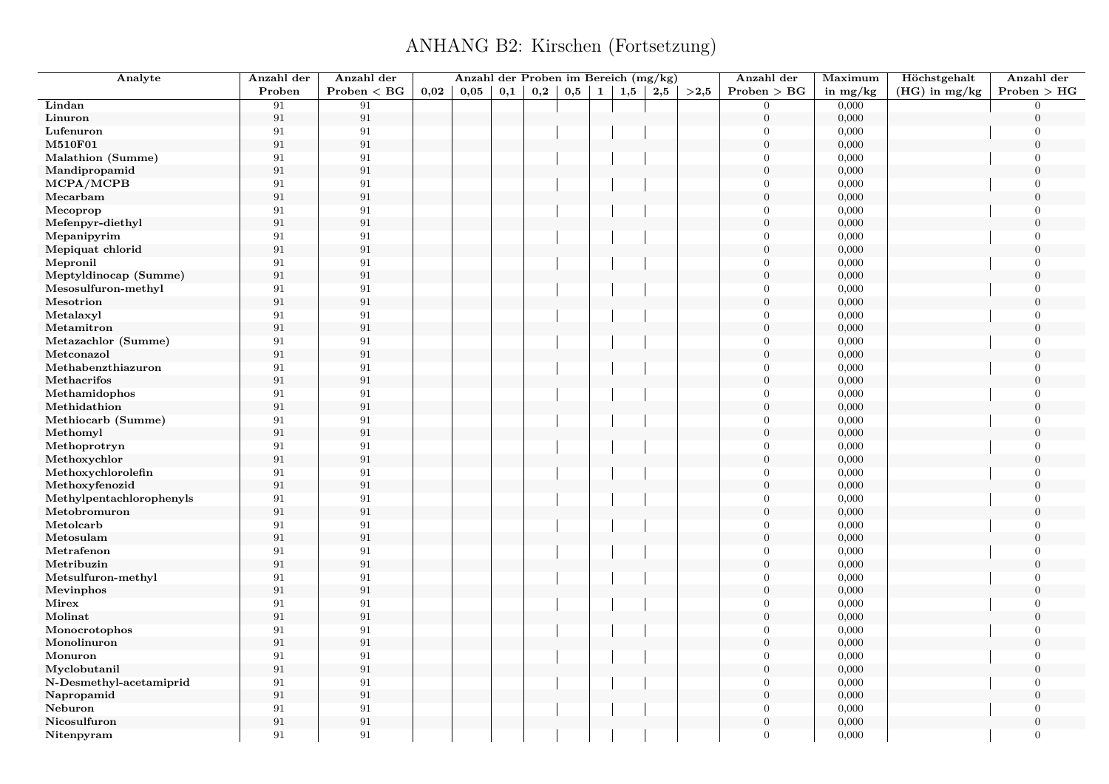| Analyte                  | Anzahl der        | Anzahl der   |      | Anzahl der Proben im Bereich (mg/kg) |     |     |     |   |     |     |      | Anzahl der       | Maximum        | Höchstgehalt    | Anzahl der                 |
|--------------------------|-------------------|--------------|------|--------------------------------------|-----|-----|-----|---|-----|-----|------|------------------|----------------|-----------------|----------------------------|
|                          | Proben            | Problem < BG | 0,02 | 0,05                                 | 0,1 | 0,2 | 0,5 | 1 | 1,5 | 2,5 | >2,5 | Problem > BG     | in $mg/kg$     | $(HG)$ in mg/kg | Problem > HG               |
| Lindan                   | 91                | 91           |      |                                      |     |     |     |   |     |     |      | $\theta$         | 0,000          |                 | $\Omega$                   |
| Linuron                  | $\rm 91$          | $\,91$       |      |                                      |     |     |     |   |     |     |      | $\boldsymbol{0}$ | 0,000          |                 | $\theta$                   |
| Lufenuron                | 91                | 91           |      |                                      |     |     |     |   |     |     |      | $\theta$         | 0,000          |                 | $\mathbf{0}$               |
| <b>M510F01</b>           | $\rm 91$          | 91           |      |                                      |     |     |     |   |     |     |      | $\theta$         | 0,000          |                 | $\overline{0}$             |
| Malathion (Summe)        | $\rm 91$          | $\rm 91$     |      |                                      |     |     |     |   |     |     |      | $\Omega$         | 0,000          |                 | $\overline{0}$             |
| Mandipropamid            | 91                | 91           |      |                                      |     |     |     |   |     |     |      | $\boldsymbol{0}$ | 0,000          |                 | $\overline{0}$             |
| MCPA/MCPB                | 91                | 91           |      |                                      |     |     |     |   |     |     |      | $\Omega$         | 0,000          |                 | $\theta$                   |
| Mecarbam                 | $\rm 91$          | $\rm 91$     |      |                                      |     |     |     |   |     |     |      | $\theta$         | 0,000          |                 | $\theta$                   |
| Mecoprop                 | 91                | 91           |      |                                      |     |     |     |   |     |     |      | $\Omega$         | 0,000          |                 | $\overline{0}$             |
| Mefenpyr-diethyl         | 91                | 91           |      |                                      |     |     |     |   |     |     |      | $\mathbf{0}$     | 0,000          |                 | $\overline{0}$             |
| Mepanipyrim              | $\rm 91$          | 91           |      |                                      |     |     |     |   |     |     |      | $\Omega$         | 0,000          |                 | $\Omega$                   |
| Mepiquat chlorid         | 91                | 91           |      |                                      |     |     |     |   |     |     |      | $\overline{0}$   | 0,000          |                 | $\Omega$                   |
| Mepronil                 | 91                | 91           |      |                                      |     |     |     |   |     |     |      | $\theta$         | 0,000          |                 | $\overline{0}$             |
| Meptyldinocap (Summe)    | 91                | $\rm 91$     |      |                                      |     |     |     |   |     |     |      | $\boldsymbol{0}$ | 0,000          |                 | $\theta$                   |
| Mesosulfuron-methyl      | 91                | 91           |      |                                      |     |     |     |   |     |     |      | $\mathbf{0}$     | 0,000          |                 | $\overline{0}$             |
| Mesotrion                | 91                | 91           |      |                                      |     |     |     |   |     |     |      | $\theta$         | 0,000          |                 | $\theta$                   |
| Metalaxyl                | 91                | 91           |      |                                      |     |     |     |   |     |     |      | $\theta$         | 0,000          |                 | $\Omega$                   |
| Metamitron               | 91                | 91           |      |                                      |     |     |     |   |     |     |      | $\overline{0}$   | 0,000          |                 | $\theta$                   |
| Metazachlor (Summe)      | 91                | 91           |      |                                      |     |     |     |   |     |     |      | $\Omega$         | 0,000          |                 | $\overline{0}$             |
| Metconazol               | $\rm 91$          | 91           |      |                                      |     |     |     |   |     |     |      | $\theta$         | 0,000          |                 | $\boldsymbol{0}$           |
| Methabenzthiazuron       | 91                | 91           |      |                                      |     |     |     |   |     |     |      | $\theta$         | 0,000          |                 | $\overline{0}$             |
| Methacrifos              | $\rm 91$          | 91           |      |                                      |     |     |     |   |     |     |      | $\overline{0}$   | 0,000          |                 | $\overline{0}$             |
| Methamidophos            | 91                | $\rm 91$     |      |                                      |     |     |     |   |     |     |      | $\Omega$         | 0,000          |                 | $\Omega$                   |
| Methidathion             | $\rm 91$          | 91           |      |                                      |     |     |     |   |     |     |      | $\overline{0}$   | 0,000          |                 | $\mathbf{0}$               |
| Methiocarb (Summe)       | 91                | 91           |      |                                      |     |     |     |   |     |     |      | $\Omega$         | 0,000          |                 | $\overline{0}$             |
| Methomyl                 | $\rm 91$          | $\rm 91$     |      |                                      |     |     |     |   |     |     |      | $\Omega$         | 0,000          |                 | $\theta$                   |
| Methoprotryn             | 91                | 91           |      |                                      |     |     |     |   |     |     |      | $\Omega$         | 0,000          |                 | $\Omega$                   |
| Methoxychlor             | $\rm 91$          | $\rm 91$     |      |                                      |     |     |     |   |     |     |      | $\overline{0}$   | 0,000          |                 | $\overline{0}$             |
| Methoxychlorolefin       | 91                | $\rm 91$     |      |                                      |     |     |     |   |     |     |      | $\Omega$         | 0,000          |                 | $\Omega$                   |
| Methoxyfenozid           | 91                | 91           |      |                                      |     |     |     |   |     |     |      | $\theta$         | 0,000          |                 | $\Omega$                   |
| Methylpentachlorophenyls | 91                | 91           |      |                                      |     |     |     |   |     |     |      | $\Omega$         | 0,000          |                 | $\overline{0}$             |
| Metobromuron             | $\rm 91$          | 91           |      |                                      |     |     |     |   |     |     |      | $\boldsymbol{0}$ | 0,000          |                 | $\theta$                   |
| Metolcarb                | 91                | 91           |      |                                      |     |     |     |   |     |     |      | $\theta$         | 0,000          |                 | $\overline{0}$             |
| Metosulam                | 91                | 91           |      |                                      |     |     |     |   |     |     |      | $\Omega$         | 0,000          |                 | $\Omega$                   |
| Metrafenon               | 91                | 91           |      |                                      |     |     |     |   |     |     |      | $\theta$         | 0,000          |                 | $\overline{0}$             |
| Metribuzin               | 91                | $\rm 91$     |      |                                      |     |     |     |   |     |     |      | $\overline{0}$   | 0,000          |                 | $\Omega$                   |
| Metsulfuron-methyl       | 91                | 91           |      |                                      |     |     |     |   |     |     |      | $\theta$         | 0,000          |                 | $\overline{0}$             |
| Mevinphos                | 91                | 91           |      |                                      |     |     |     |   |     |     |      | $\Omega$         | 0,000          |                 | $\Omega$                   |
| Mirex                    | 91                | 91           |      |                                      |     |     |     |   |     |     |      | $\Omega$         | 0,000          |                 | $\overline{0}$             |
| Molinat                  | 91                | 91           |      |                                      |     |     |     |   |     |     |      | $\overline{0}$   | 0,000          |                 | $\theta$                   |
|                          | 91                | 91           |      |                                      |     |     |     |   |     |     |      | $\Omega$         |                |                 | $\overline{0}$             |
| Monocrotophos            |                   |              |      |                                      |     |     |     |   |     |     |      | $\mathbf{0}$     | 0,000          |                 |                            |
| Monolinuron<br>Monuron   | 91<br>91          | 91<br>91     |      |                                      |     |     |     |   |     |     |      | $\Omega$         | 0,000<br>0,000 |                 | $\overline{0}$<br>$\Omega$ |
|                          |                   |              |      |                                      |     |     |     |   |     |     |      |                  |                |                 | $\theta$                   |
| Myclobutanil             | $\rm 91$          | $\rm 91$     |      |                                      |     |     |     |   |     |     |      | $\boldsymbol{0}$ | 0,000          |                 |                            |
| N-Desmethyl-acetamiprid  | 91                | 91           |      |                                      |     |     |     |   |     |     |      | $\Omega$         | 0,000          |                 | $\overline{0}$             |
| Napropamid               | $\boldsymbol{91}$ | 91           |      |                                      |     |     |     |   |     |     |      | $\mathbf{0}$     | 0,000          |                 | $\overline{0}$             |
| Neburon                  | $\rm 91$          | 91           |      |                                      |     |     |     |   |     |     |      | $\Omega$         | 0,000          |                 | $\overline{0}$             |
| Nicosulfuron             | $\rm 91$          | $\rm 91$     |      |                                      |     |     |     |   |     |     |      | $\overline{0}$   | 0,000          |                 | $\boldsymbol{0}$           |
| Nitenpyram               | 91                | 91           |      |                                      |     |     |     |   |     |     |      | $\Omega$         | 0,000          |                 | $\overline{0}$             |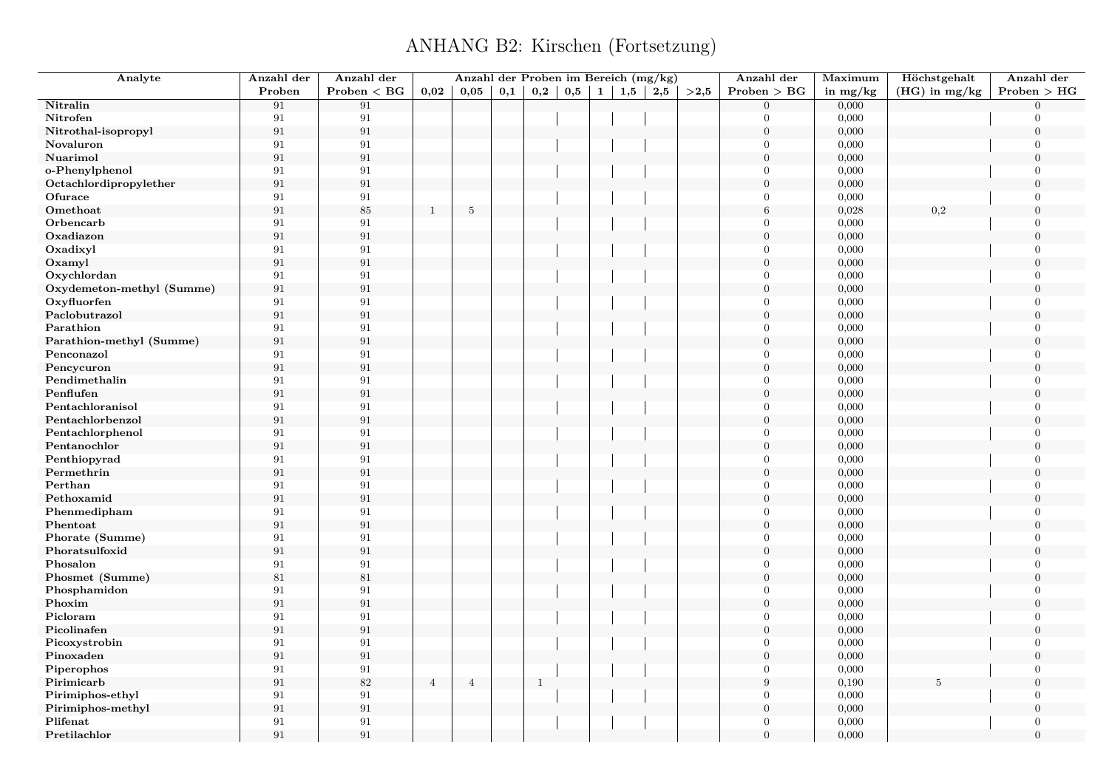| Analyte                   | Anzahl der | Anzahl der        |                | Anzahl der Proben im Bereich (mg/kg) |     |              |     |              |     |     |      | Anzahl der       | Maximum    | Höchstgehalt    | Anzahl der     |
|---------------------------|------------|-------------------|----------------|--------------------------------------|-----|--------------|-----|--------------|-----|-----|------|------------------|------------|-----------------|----------------|
|                           | Proben     | Problem < BG      | 0,02           | 0,05                                 | 0,1 | 0,2          | 0,5 | $\mathbf{1}$ | 1,5 | 2,5 | >2,5 | Problem > BG     | in $mg/kg$ | $(HG)$ in mg/kg | Problem > HG   |
| Nitralin                  | 91         | 91                |                |                                      |     |              |     |              |     |     |      | $\Omega$         | 0,000      |                 | $\Omega$       |
| Nitrofen                  | 91         | 91                |                |                                      |     |              |     |              |     |     |      | $\Omega$         | 0,000      |                 | $\Omega$       |
| Nitrothal-isopropyl       | 91         | $\rm 91$          |                |                                      |     |              |     |              |     |     |      | $\overline{0}$   | 0,000      |                 | $\overline{0}$ |
| Novaluron                 | 91         | $\rm 91$          |                |                                      |     |              |     |              |     |     |      | $\Omega$         | 0,000      |                 | $\Omega$       |
| Nuarimol                  | 91         | $\boldsymbol{91}$ |                |                                      |     |              |     |              |     |     |      | $\overline{0}$   | 0,000      |                 | $\Omega$       |
| o-Phenylphenol            | 91         | 91                |                |                                      |     |              |     |              |     |     |      | $\mathbf{0}$     | 0,000      |                 | $\overline{0}$ |
| Octachlordipropylether    | 91         | $\rm 91$          |                |                                      |     |              |     |              |     |     |      | $\boldsymbol{0}$ | 0,000      |                 | $\Omega$       |
| Ofurace                   | 91         | $\rm 91$          |                |                                      |     |              |     |              |     |     |      | $\overline{0}$   | 0,000      |                 | $\Omega$       |
| Omethoat                  | 91         | $85\,$            | $\mathbf{1}$   | $\mathbf 5$                          |     |              |     |              |     |     |      | $6\phantom{.}6$  | 0,028      | $_{0,2}$        | $\Omega$       |
| Orbencarb                 | 91         | $\rm 91$          |                |                                      |     |              |     |              |     |     |      | $\Omega$         | 0,000      |                 | $\Omega$       |
| Oxadiazon                 | 91         | $\rm 91$          |                |                                      |     |              |     |              |     |     |      | $\overline{0}$   | 0,000      |                 | $\theta$       |
| Oxadixyl                  | 91         | 91                |                |                                      |     |              |     |              |     |     |      | $\theta$         | 0,000      |                 | $\overline{0}$ |
| Oxamyl                    | 91         | $\rm 91$          |                |                                      |     |              |     |              |     |     |      | $\overline{0}$   | 0,000      |                 | $\overline{0}$ |
| Oxychlordan               | 91         | $\rm 91$          |                |                                      |     |              |     |              |     |     |      | $\Omega$         | 0,000      |                 | $\overline{0}$ |
| Oxydemeton-methyl (Summe) | $\rm 91$   | $\rm 91$          |                |                                      |     |              |     |              |     |     |      | $\overline{0}$   | 0,000      |                 | $\mathbf{0}$   |
| Oxyfluorfen               | 91         | $\rm 91$          |                |                                      |     |              |     |              |     |     |      | $\Omega$         | 0,000      |                 | $\Omega$       |
| Paclobutrazol             | 91         | $\rm 91$          |                |                                      |     |              |     |              |     |     |      | $\boldsymbol{0}$ | 0,000      |                 | $\mathbf{0}$   |
| Parathion                 | 91         | 91                |                |                                      |     |              |     |              |     |     |      | $\overline{0}$   | 0,000      |                 | $\theta$       |
| Parathion-methyl (Summe)  | $\rm 91$   | $\rm 91$          |                |                                      |     |              |     |              |     |     |      | $\overline{0}$   | 0,000      |                 | $\overline{0}$ |
| Penconazol                | 91         | 91                |                |                                      |     |              |     |              |     |     |      | $\Omega$         | 0,000      |                 | $\Omega$       |
| Pencycuron                | 91         | $\rm 91$          |                |                                      |     |              |     |              |     |     |      | $\overline{0}$   | 0,000      |                 | $\mathbf{0}$   |
| Pendimethalin             | 91         | 91                |                |                                      |     |              |     |              |     |     |      | $\Omega$         | 0,000      |                 | $\Omega$       |
| Penflufen                 | 91         | $\rm 91$          |                |                                      |     |              |     |              |     |     |      | $\overline{0}$   | 0,000      |                 | $\Omega$       |
| Pentachloranisol          | 91         | 91                |                |                                      |     |              |     |              |     |     |      | $\Omega$         | 0,000      |                 | $\Omega$       |
| Pentachlorbenzol          | 91         | $\rm 91$          |                |                                      |     |              |     |              |     |     |      | $\overline{0}$   | 0,000      |                 | $\mathbf{0}$   |
| Pentachlorphenol          | 91         | 91                |                |                                      |     |              |     |              |     |     |      | $\overline{0}$   | 0,000      |                 | $\overline{0}$ |
| Pentanochlor              | 91         | $\rm 91$          |                |                                      |     |              |     |              |     |     |      | $\overline{0}$   | 0,000      |                 | $\Omega$       |
| Penthiopyrad              | 91         | 91                |                |                                      |     |              |     |              |     |     |      | $\Omega$         | 0,000      |                 | $\Omega$       |
| Permethrin                | 91         | $\rm 91$          |                |                                      |     |              |     |              |     |     |      | $\overline{0}$   | 0,000      |                 | $\overline{0}$ |
| Perthan                   | 91         | $\rm 91$          |                |                                      |     |              |     |              |     |     |      | $\Omega$         | 0,000      |                 | $\Omega$       |
| Pethoxamid                | 91         | $\rm 91$          |                |                                      |     |              |     |              |     |     |      | $\theta$         | 0,000      |                 | $\Omega$       |
| Phenmedipham              | 91         | 91                |                |                                      |     |              |     |              |     |     |      | $\mathbf{0}$     | 0,000      |                 | $\overline{0}$ |
| Phentoat                  | 91         | $\rm 91$          |                |                                      |     |              |     |              |     |     |      | $\overline{0}$   | 0,000      |                 | $\theta$       |
| Phorate (Summe)           | 91         | $\rm 91$          |                |                                      |     |              |     |              |     |     |      | $\overline{0}$   | 0,000      |                 | $\Omega$       |
| Phoratsulfoxid            | 91         | $\rm 91$          |                |                                      |     |              |     |              |     |     |      | $\Omega$         | 0,000      |                 | $\Omega$       |
| Phosalon                  | 91         | $\boldsymbol{91}$ |                |                                      |     |              |     |              |     |     |      | $\overline{0}$   | 0,000      |                 | $\Omega$       |
| Phosmet (Summe)           | 81         | $81\,$            |                |                                      |     |              |     |              |     |     |      | $\overline{0}$   | 0,000      |                 | $\theta$       |
| Phosphamidon              | 91         | 91                |                |                                      |     |              |     |              |     |     |      | $\theta$         | 0,000      |                 | $\overline{0}$ |
| Phoxim                    | 91         | $\rm 91$          |                |                                      |     |              |     |              |     |     |      | $\overline{0}$   | 0,000      |                 | $\overline{0}$ |
| Picloram                  | 91         | $\rm 91$          |                |                                      |     |              |     |              |     |     |      | $\Omega$         | 0,000      |                 | $\overline{0}$ |
| Picolinafen               | 91         | $\rm 91$          |                |                                      |     |              |     |              |     |     |      | $\boldsymbol{0}$ | 0,000      |                 | $\mathbf{0}$   |
| Picoxystrobin             | 91         | $\rm 91$          |                |                                      |     |              |     |              |     |     |      | $\Omega$         | 0,000      |                 | $\Omega$       |
| Pinoxaden                 | 91         | $\rm 91$          |                |                                      |     |              |     |              |     |     |      | $\boldsymbol{0}$ | 0,000      |                 | $\mathbf{0}$   |
| Piperophos                | 91         | 91                |                |                                      |     |              |     |              |     |     |      | $\theta$         | 0,000      |                 | $\theta$       |
| Pirimicarb                | $\rm 91$   | $82\,$            | $\overline{4}$ | $\overline{4}$                       |     | $\mathbf{1}$ |     |              |     |     |      | $\boldsymbol{9}$ | 0,190      | 5               | $\mathbf{0}$   |
| Pirimiphos-ethyl          | 91         | 91                |                |                                      |     |              |     |              |     |     |      | $\overline{0}$   | 0,000      |                 | $\Omega$       |
| Pirimiphos-methyl         | 91         | $\rm 91$          |                |                                      |     |              |     |              |     |     |      | $\boldsymbol{0}$ | 0,000      |                 | $\mathbf{0}$   |
| Plifenat                  | 91         | 91                |                |                                      |     |              |     |              |     |     |      | $\theta$         | 0,000      |                 | $\Omega$       |
| Pretilachlor              | 91         | 91                |                |                                      |     |              |     |              |     |     |      | $\Omega$         | 0,000      |                 | $\Omega$       |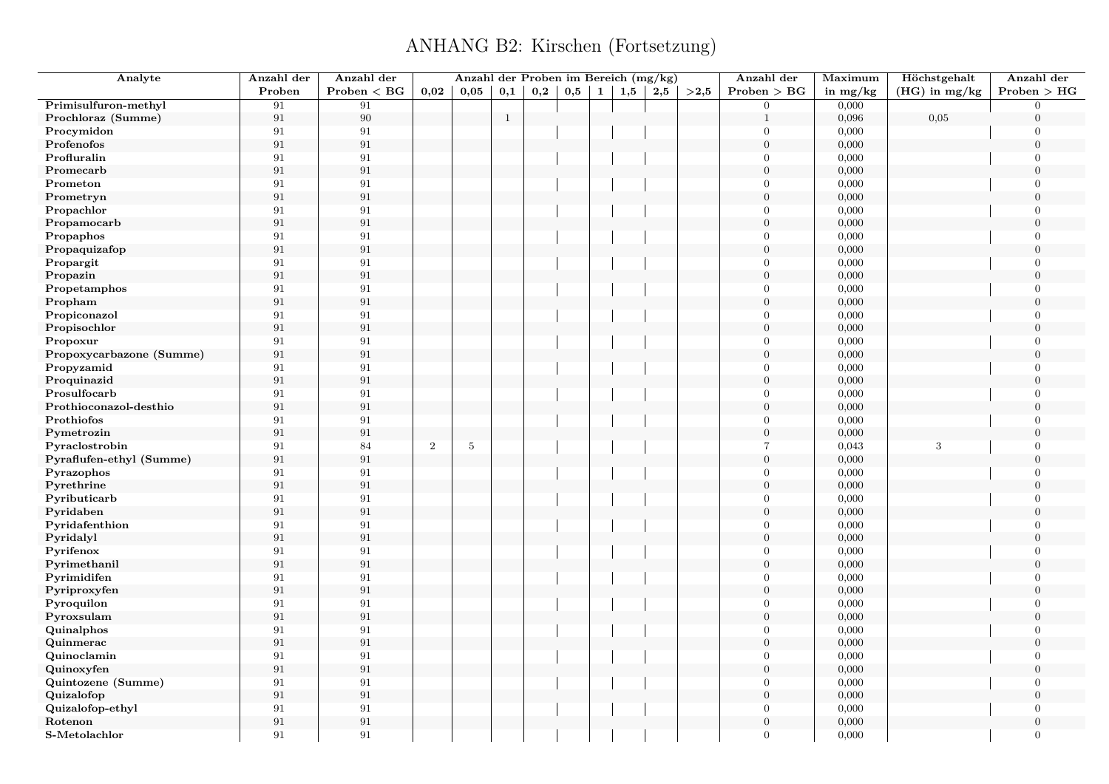| Analyte                  | Anzahl der        | Anzahl der   |            | Anzahl der Proben im Bereich (mg/kg) |              |              |     |              |     |     |      | Anzahl der       | Maximum    | Höchstgehalt     | Anzahl der       |
|--------------------------|-------------------|--------------|------------|--------------------------------------|--------------|--------------|-----|--------------|-----|-----|------|------------------|------------|------------------|------------------|
|                          | Proben            | Problem < BG | 0,02       | 0,05                                 | 0,1          | $_{\rm 0,2}$ | 0,5 | $\mathbf{1}$ | 1,5 | 2,5 | >2,5 | Problem > BG     | in $mg/kg$ | $(HG)$ in mg/kg  | Problem > HG     |
| Primisulfuron-methyl     | 91                | 91           |            |                                      |              |              |     |              |     |     |      | $\overline{0}$   | 0,000      |                  | $\Omega$         |
| Prochloraz (Summe)       | $\rm 91$          | $90\,$       |            |                                      | $\mathbf{1}$ |              |     |              |     |     |      | $\mathbf{1}$     | 0,096      | 0,05             | $\overline{0}$   |
| Procymidon               | 91                | 91           |            |                                      |              |              |     |              |     |     |      | $\theta$         | 0,000      |                  | $\overline{0}$   |
| Profenofos               | $\rm 91$          | 91           |            |                                      |              |              |     |              |     |     |      | $\overline{0}$   | 0,000      |                  | $\mathbf{0}$     |
| Profluralin              | 91                | 91           |            |                                      |              |              |     |              |     |     |      | $\theta$         | 0,000      |                  | $\overline{0}$   |
| Promecarb                | 91                | 91           |            |                                      |              |              |     |              |     |     |      | $\overline{0}$   | 0,000      |                  | $\overline{0}$   |
| Prometon                 | 91                | 91           |            |                                      |              |              |     |              |     |     |      | $\Omega$         | 0,000      |                  | $\overline{0}$   |
| Prometryn                | $\rm 91$          | $\rm 91$     |            |                                      |              |              |     |              |     |     |      | $\overline{0}$   | 0,000      |                  | $\overline{0}$   |
| Propachlor               | 91                | 91           |            |                                      |              |              |     |              |     |     |      | $\Omega$         | 0,000      |                  | $\Omega$         |
| Propamocarb              | $\boldsymbol{91}$ | 91           |            |                                      |              |              |     |              |     |     |      | $\mathbf{0}$     | 0,000      |                  | $\overline{0}$   |
| Propaphos                | 91                | 91           |            |                                      |              |              |     |              |     |     |      | $\Omega$         | 0,000      |                  | $\Omega$         |
| Propaquizafop            | 91                | 91           |            |                                      |              |              |     |              |     |     |      | $\theta$         | 0,000      |                  | $\theta$         |
| Propargit                | 91                | 91           |            |                                      |              |              |     |              |     |     |      | $\Omega$         | 0,000      |                  | $\Omega$         |
| Propazin                 | 91                | 91           |            |                                      |              |              |     |              |     |     |      | $\mathbf{0}$     | 0,000      |                  | $\overline{0}$   |
| Propetamphos             | 91                | 91           |            |                                      |              |              |     |              |     |     |      | $\Omega$         | 0,000      |                  | $\overline{0}$   |
| Propham                  | $\rm 91$          | 91           |            |                                      |              |              |     |              |     |     |      | $\overline{0}$   | 0,000      |                  | $\theta$         |
| Propiconazol             | 91                | 91           |            |                                      |              |              |     |              |     |     |      | $\theta$         | 0,000      |                  | $\overline{0}$   |
| Propisochlor             | $\rm 91$          | 91           |            |                                      |              |              |     |              |     |     |      | $\boldsymbol{0}$ | 0,000      |                  | $\Omega$         |
| Propoxur                 | 91                | 91           |            |                                      |              |              |     |              |     |     |      | $\mathbf{0}$     | 0,000      |                  | $\mathbf{0}$     |
| Propoxycarbazone (Summe) | $\rm 91$          | 91           |            |                                      |              |              |     |              |     |     |      | $\theta$         | 0,000      |                  | $\theta$         |
| Propyzamid               | 91                | 91           |            |                                      |              |              |     |              |     |     |      | $\theta$         | 0,000      |                  | $\overline{0}$   |
| Proquinazid              | $\rm 91$          | 91           |            |                                      |              |              |     |              |     |     |      | $\boldsymbol{0}$ | 0,000      |                  | $\theta$         |
| Prosulfocarb             | $\rm 91$          | $\rm 91$     |            |                                      |              |              |     |              |     |     |      | $\Omega$         | 0,000      |                  | $\overline{0}$   |
| Prothioconazol-desthio   | 91                | 91           |            |                                      |              |              |     |              |     |     |      | $\mathbf{0}$     | 0,000      |                  | $\overline{0}$   |
| Prothiofos               | 91                | 91           |            |                                      |              |              |     |              |     |     |      | $\theta$         | 0,000      |                  | $\overline{0}$   |
| Pymetrozin               | $\rm 91$          | 91           |            |                                      |              |              |     |              |     |     |      | $\overline{0}$   | 0,000      |                  | $\theta$         |
| Pyraclostrobin           | $\rm 91$          | 84           | $\sqrt{2}$ | $5\phantom{.0}$                      |              |              |     |              |     |     |      | $\overline{7}$   | 0,043      | $\boldsymbol{3}$ | $\overline{0}$   |
| Pyraflufen-ethyl (Summe) | $\boldsymbol{91}$ | 91           |            |                                      |              |              |     |              |     |     |      | $\boldsymbol{0}$ | 0,000      |                  | $\mathbf{0}$     |
| Pyrazophos               | 91                | 91           |            |                                      |              |              |     |              |     |     |      | $\theta$         | 0,000      |                  | $\overline{0}$   |
| Pyrethrine               | $\rm 91$          | 91           |            |                                      |              |              |     |              |     |     |      | $\overline{0}$   | 0,000      |                  | $\overline{0}$   |
| Pyributicarb             | $\rm 91$          | $\rm 91$     |            |                                      |              |              |     |              |     |     |      | $\theta$         | 0,000      |                  | $\overline{0}$   |
| Pyridaben                | $\rm 91$          | 91           |            |                                      |              |              |     |              |     |     |      | $\boldsymbol{0}$ | 0,000      |                  | $\boldsymbol{0}$ |
| Pyridafenthion           | 91                | 91           |            |                                      |              |              |     |              |     |     |      | $\Omega$         | 0,000      |                  | $\overline{0}$   |
| Pyridalyl                | $\rm 91$          | $\rm 91$     |            |                                      |              |              |     |              |     |     |      | $\theta$         | 0,000      |                  | $\overline{0}$   |
| Pyrifenox                | 91                | 91           |            |                                      |              |              |     |              |     |     |      | $\Omega$         | 0,000      |                  | $\theta$         |
| Pyrimethanil             | 91                | 91           |            |                                      |              |              |     |              |     |     |      | $\theta$         | 0,000      |                  | $\overline{0}$   |
| Pyrimidifen              | 91                | $\rm 91$     |            |                                      |              |              |     |              |     |     |      | $\Omega$         | 0,000      |                  | $\Omega$         |
| Pyriproxyfen             | 91                | 91           |            |                                      |              |              |     |              |     |     |      | $\theta$         | 0,000      |                  | $\Omega$         |
| Pyroquilon               | 91                | 91           |            |                                      |              |              |     |              |     |     |      | $\Omega$         | 0,000      |                  | $\overline{0}$   |
| Pyroxsulam               | $\rm 91$          | $\,91$       |            |                                      |              |              |     |              |     |     |      | $\overline{0}$   | 0,000      |                  | $\theta$         |
| Quinalphos               | $\rm 91$          | 91           |            |                                      |              |              |     |              |     |     |      | $\Omega$         | 0,000      |                  | $\overline{0}$   |
| Quinmerac                | 91                | 91           |            |                                      |              |              |     |              |     |     |      | $\mathbf{0}$     | 0,000      |                  | $\Omega$         |
| Quinoclamin              | 91                | 91           |            |                                      |              |              |     |              |     |     |      | $\mathbf{0}$     | 0,000      |                  | $\mathbf{0}$     |
| Quinoxyfen               | $\rm 91$          | $\rm 91$     |            |                                      |              |              |     |              |     |     |      | $\overline{0}$   | 0,000      |                  | $\theta$         |
| Quintozene (Summe)       | 91                | 91           |            |                                      |              |              |     |              |     |     |      | $\theta$         | 0,000      |                  | $\overline{0}$   |
| Quizalofop               | 91                | $\rm 91$     |            |                                      |              |              |     |              |     |     |      | $\Omega$         | 0,000      |                  | $\Omega$         |
| Quizalofop-ethyl         | 91                | 91           |            |                                      |              |              |     |              |     |     |      | $\theta$         | 0,000      |                  | $\overline{0}$   |
| Rotenon                  | 91                | $\rm 91$     |            |                                      |              |              |     |              |     |     |      | $\overline{0}$   | 0,000      |                  | $\overline{0}$   |
|                          |                   |              |            |                                      |              |              |     |              |     |     |      |                  |            |                  |                  |
| S-Metolachlor            | 91                | 91           |            |                                      |              |              |     |              |     |     |      | $\theta$         | 0,000      |                  | $\overline{0}$   |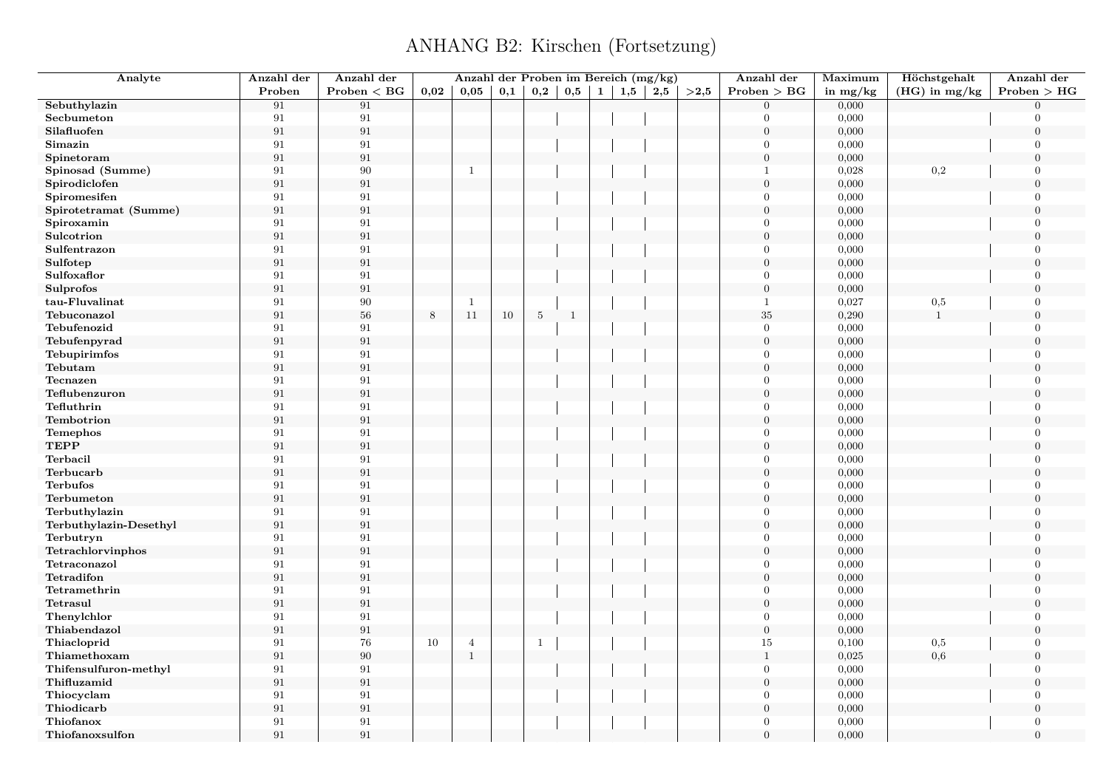| Analyte                | Anzahl der        | Anzahl der      |         | Anzahl der Proben im Bereich (mg/kg) |     |                |              |              |     |     |      | Anzahl der       | Maximum    | Höchstgehalt    | Anzahl der       |
|------------------------|-------------------|-----------------|---------|--------------------------------------|-----|----------------|--------------|--------------|-----|-----|------|------------------|------------|-----------------|------------------|
|                        | Proben            | $Problem < B$ G | 0,02    | 0,05                                 | 0,1 | 0,2            | 0,5          | $\mathbf{1}$ | 1,5 | 2,5 | >2.5 | Problem > BG     | in $mg/kg$ | $(HG)$ in mg/kg | Problem > HG     |
| Sebuthylazin           | 91                | 91              |         |                                      |     |                |              |              |     |     |      | $\overline{0}$   | 0,000      |                 | $\Omega$         |
| Secbumeton             | 91                | 91              |         |                                      |     |                |              |              |     |     |      | $\Omega$         | 0,000      |                 | $\Omega$         |
| Silafluofen            | $\boldsymbol{91}$ | $\rm 91$        |         |                                      |     |                |              |              |     |     |      | $\overline{0}$   | 0,000      |                 | $\overline{0}$   |
| Simazin                | 91                | 91              |         |                                      |     |                |              |              |     |     |      | $\theta$         | 0,000      |                 | $\Omega$         |
| Spinetoram             | 91                | $\rm 91$        |         |                                      |     |                |              |              |     |     |      | $\boldsymbol{0}$ | 0,000      |                 | $\theta$         |
| Spinosad (Summe)       | 91                | 90              |         | $\mathbf{1}$                         |     |                |              |              |     |     |      | $\mathbf{1}$     | 0,028      | 0,2             | $\overline{0}$   |
| Spirodiclofen          | 91                | $\rm 91$        |         |                                      |     |                |              |              |     |     |      | $\boldsymbol{0}$ | 0,000      |                 | $\theta$         |
| Spiromesifen           | 91                | 91              |         |                                      |     |                |              |              |     |     |      | $\mathbf{0}$     | 0,000      |                 | $\Omega$         |
| Spirotetramat (Summe)  | 91                | $\rm 91$        |         |                                      |     |                |              |              |     |     |      | $\overline{0}$   | 0,000      |                 | $\theta$         |
| Spiroxamin             | 91                | 91              |         |                                      |     |                |              |              |     |     |      | $\theta$         | 0,000      |                 | $\overline{0}$   |
| Sulcotrion             | 91                | $\rm 91$        |         |                                      |     |                |              |              |     |     |      | $\overline{0}$   | 0,000      |                 | $\theta$         |
| Sulfentrazon           | 91                | 91              |         |                                      |     |                |              |              |     |     |      | $\mathbf{0}$     | 0,000      |                 | $\Omega$         |
| Sulfotep               | 91                | $\rm 91$        |         |                                      |     |                |              |              |     |     |      | $\mathbf{0}$     | 0,000      |                 | $\overline{0}$   |
| Sulfoxaflor            | 91                | 91              |         |                                      |     |                |              |              |     |     |      | $\theta$         | 0,000      |                 | $\overline{0}$   |
| Sulprofos              | 91                | $\rm 91$        |         |                                      |     |                |              |              |     |     |      | $\overline{0}$   | 0,000      |                 | $\overline{0}$   |
| tau-Fluvalinat         | 91                | $90\,$          |         | -1                                   |     |                |              |              |     |     |      | $\mathbf{1}$     | 0,027      | $_{0,5}$        | $\overline{0}$   |
| Tebuconazol            | $\,91$            | $56\,$          | $\,8\,$ | 11                                   | 10  | $\overline{5}$ | $\mathbf{1}$ |              |     |     |      | $35\,$           | 0,290      | $\mathbf{1}$    | $\boldsymbol{0}$ |
| Tebufenozid            | 91                | 91              |         |                                      |     |                |              |              |     |     |      | $\mathbf{0}$     | 0,000      |                 | $\overline{0}$   |
| Tebufenpyrad           | 91                | $\rm 91$        |         |                                      |     |                |              |              |     |     |      | $\overline{0}$   | 0,000      |                 | $\overline{0}$   |
| Tebupirimfos           | 91                | 91              |         |                                      |     |                |              |              |     |     |      | $\Omega$         | 0,000      |                 | $\Omega$         |
| Tebutam                | $\boldsymbol{91}$ | $\rm 91$        |         |                                      |     |                |              |              |     |     |      | $\boldsymbol{0}$ | 0,000      |                 | $\overline{0}$   |
| Tecnazen               | 91                | 91              |         |                                      |     |                |              |              |     |     |      | $\theta$         | 0,000      |                 | $\Omega$         |
| Teflubenzuron          | 91                | $\rm 91$        |         |                                      |     |                |              |              |     |     |      | $\theta$         | 0,000      |                 | $\theta$         |
| Tefluthrin             | 91                | 91              |         |                                      |     |                |              |              |     |     |      | $\Omega$         | 0,000      |                 | $\Omega$         |
| Tembotrion             | 91                | $\rm 91$        |         |                                      |     |                |              |              |     |     |      | $\boldsymbol{0}$ | 0,000      |                 | $\overline{0}$   |
| <b>Temephos</b>        | 91                | 91              |         |                                      |     |                |              |              |     |     |      | $\theta$         | 0,000      |                 | $\overline{0}$   |
| <b>TEPP</b>            | 91                | $\rm 91$        |         |                                      |     |                |              |              |     |     |      | $\overline{0}$   | 0,000      |                 | $\overline{0}$   |
| Terbacil               | 91                | $\rm 91$        |         |                                      |     |                |              |              |     |     |      | $\theta$         | 0,000      |                 | $\overline{0}$   |
| Terbucarb              | $\boldsymbol{91}$ | $\rm 91$        |         |                                      |     |                |              |              |     |     |      | $\boldsymbol{0}$ | 0,000      |                 | $\theta$         |
| <b>Terbufos</b>        | 91                | 91              |         |                                      |     |                |              |              |     |     |      | $\mathbf{0}$     | 0,000      |                 | $\overline{0}$   |
| Terbumeton             | 91                | $\rm 91$        |         |                                      |     |                |              |              |     |     |      | $\mathbf{0}$     | 0,000      |                 | $\theta$         |
| Terbuthylazin          | 91                | 91              |         |                                      |     |                |              |              |     |     |      | $\mathbf{0}$     | 0,000      |                 | $\overline{0}$   |
| Terbuthylazin-Desethyl | 91                | $\rm 91$        |         |                                      |     |                |              |              |     |     |      | $\boldsymbol{0}$ | 0,000      |                 | $\Omega$         |
| Terbutryn              | 91                | $\rm 91$        |         |                                      |     |                |              |              |     |     |      | $\overline{0}$   | 0,000      |                 | $\theta$         |
| Tetrachlorvinphos      | 91                | $\rm 91$        |         |                                      |     |                |              |              |     |     |      | $\mathbf{0}$     | 0,000      |                 | $\overline{0}$   |
| Tetraconazol           | 91                | 91              |         |                                      |     |                |              |              |     |     |      | $\mathbf{0}$     | 0,000      |                 | $\overline{0}$   |
| Tetradifon             | 91                | $\rm 91$        |         |                                      |     |                |              |              |     |     |      | $\overline{0}$   | 0,000      |                 | $\overline{0}$   |
| Tetramethrin           | 91                | 91              |         |                                      |     |                |              |              |     |     |      | $\overline{0}$   | 0,000      |                 | $\theta$         |
| Tetrasul               | 91                | $\rm 91$        |         |                                      |     |                |              |              |     |     |      | $\boldsymbol{0}$ | 0,000      |                 | $\overline{0}$   |
| Thenylchlor            | 91                | 91              |         |                                      |     |                |              |              |     |     |      | $\theta$         | 0,000      |                 | $\overline{0}$   |
| Thiabendazol           | 91                | $\rm 91$        |         |                                      |     |                |              |              |     |     |      | $\boldsymbol{0}$ | 0,000      |                 | $\overline{0}$   |
| Thiacloprid            | 91                | 76              | 10      | $\overline{4}$                       |     | -1             |              |              |     |     |      | $15\,$           | 0,100      | 0,5             | $\theta$         |
| Thiamethoxam           | 91                | $90\,$          |         | $\mathbf{1}$                         |     |                |              |              |     |     |      | $\mathbf{1}$     | 0,025      | 0,6             | $\boldsymbol{0}$ |
| Thifensulfuron-methyl  | 91                | 91              |         |                                      |     |                |              |              |     |     |      | $\theta$         | 0,000      |                 | $\Omega$         |
| Thifluzamid            | 91                | $\rm 91$        |         |                                      |     |                |              |              |     |     |      | $\overline{0}$   | 0,000      |                 | $\overline{0}$   |
| Thiocyclam             | 91                | 91              |         |                                      |     |                |              |              |     |     |      | $\Omega$         | 0,000      |                 | $\Omega$         |
| Thiodicarb             | $\rm 91$          | $\rm 91$        |         |                                      |     |                |              |              |     |     |      | $\boldsymbol{0}$ | 0,000      |                 | $\Omega$         |
| Thiofanox              | 91                | 91              |         |                                      |     |                |              |              |     |     |      | $\theta$         | 0,000      |                 | $\Omega$         |
|                        | 91                | 91              |         |                                      |     |                |              |              |     |     |      | $\theta$         |            |                 | $\Omega$         |
| Thiofanoxsulfon        |                   |                 |         |                                      |     |                |              |              |     |     |      |                  | 0,000      |                 |                  |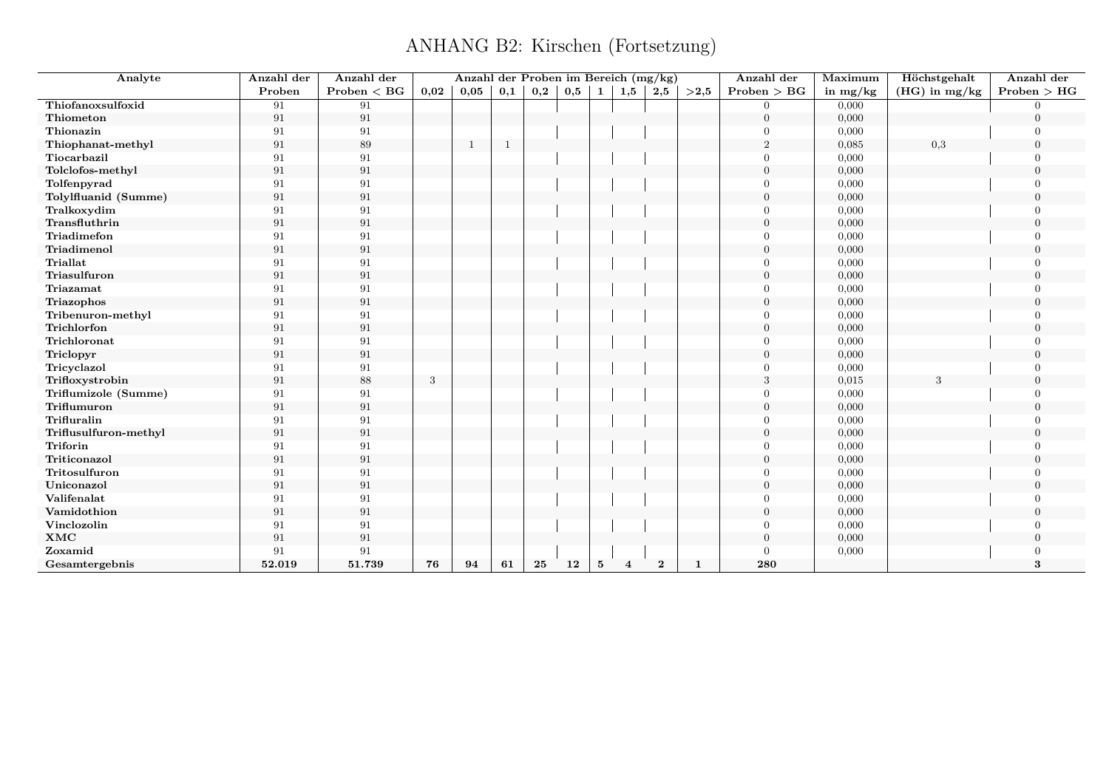| Analyte               | Anzahl der | Anzahl der      |      | Anzahl der Proben im Bereich (mg/kg) |                |                   |                   |          |                |                  |              | Anzahl der     | Maximum    | Höchstgehalt    | Anzahl der     |
|-----------------------|------------|-----------------|------|--------------------------------------|----------------|-------------------|-------------------|----------|----------------|------------------|--------------|----------------|------------|-----------------|----------------|
|                       | Proben     | $Problem < B$ G | 0,02 | 0,05                                 | 0,1            | $_{\mathbf{0,2}}$ | $0,5 \mid 1 \mid$ |          | 1,5            | 2,5              | >2,5         | Problem > BG   | in $mg/kg$ | $(HG)$ in mg/kg | Problem > HG   |
| Thiofanoxsulfoxid     | 91         | 91              |      |                                      |                |                   |                   |          |                |                  |              | $\Omega$       | 0,000      |                 |                |
| Thiometon             | 91         | 91              |      |                                      |                |                   |                   |          |                |                  |              | $\overline{0}$ | 0,000      |                 | $\overline{0}$ |
| Thionazin             | 91         | 91              |      |                                      |                |                   |                   |          |                |                  |              | $\Omega$       | 0,000      |                 |                |
| Thiophanat-methyl     | 91         | 89              |      | 1                                    | $\overline{1}$ |                   |                   |          |                |                  |              | $\overline{2}$ | 0,085      | 0,3             | $\theta$       |
| Tiocarbazil           | 91         | 91              |      |                                      |                |                   |                   |          |                |                  |              | $\Omega$       | 0,000      |                 |                |
| Tolclofos-methyl      | 91         | 91              |      |                                      |                |                   |                   |          |                |                  |              | $\overline{0}$ | 0,000      |                 | $\Omega$       |
| Tolfenpyrad           | 91         | 91              |      |                                      |                |                   |                   |          |                |                  |              | $\Omega$       | 0,000      |                 |                |
| Tolylfluanid (Summe)  | 91         | 91              |      |                                      |                |                   |                   |          |                |                  |              | $\Omega$       | 0,000      |                 | $\Omega$       |
| Tralkoxydim           | 91         | 91              |      |                                      |                |                   |                   |          |                |                  |              | $\Omega$       | 0,000      |                 |                |
| Transfluthrin         | 91         | 91              |      |                                      |                |                   |                   |          |                |                  |              | $\overline{0}$ | 0,000      |                 | $\Omega$       |
| Triadimefon           | 91         | 91              |      |                                      |                |                   |                   |          |                |                  |              | $\Omega$       | 0,000      |                 |                |
| Triadimenol           | 91         | 91              |      |                                      |                |                   |                   |          |                |                  |              | $\overline{0}$ | 0,000      |                 | $\Omega$       |
| <b>Triallat</b>       | 91         | 91              |      |                                      |                |                   |                   |          |                |                  |              | $\Omega$       | 0,000      |                 |                |
| Triasulfuron          | 91         | 91              |      |                                      |                |                   |                   |          |                |                  |              | $\Omega$       | 0,000      |                 | $\Omega$       |
| Triazamat             | 91         | 91              |      |                                      |                |                   |                   |          |                |                  |              | $\Omega$       | 0,000      |                 |                |
| Triazophos            | 91         | $\rm 91$        |      |                                      |                |                   |                   |          |                |                  |              | $\Omega$       | 0,000      |                 | $\Omega$       |
| Tribenuron-methyl     | 91         | 91              |      |                                      |                |                   |                   |          |                |                  |              | $\Omega$       | 0,000      |                 |                |
| Trichlorfon           | 91         | 91              |      |                                      |                |                   |                   |          |                |                  |              | $\Omega$       | 0,000      |                 | $\Omega$       |
| Trichloronat          | 91         | 91              |      |                                      |                |                   |                   |          |                |                  |              | $\Omega$       | 0,000      |                 | $\cap$         |
| Triclopyr             | 91         | 91              |      |                                      |                |                   |                   |          |                |                  |              | $\overline{0}$ | 0,000      |                 | $\Omega$       |
| Tricyclazol           | 91         | 91              |      |                                      |                |                   |                   |          |                |                  |              | $\Omega$       | 0,000      |                 |                |
| Trifloxystrobin       | 91         | 88              | 3    |                                      |                |                   |                   |          |                |                  |              | 3              | 0,015      |                 | $\overline{0}$ |
| Triflumizole (Summe)  | 91         | 91              |      |                                      |                |                   |                   |          |                |                  |              | $\overline{0}$ | 0,000      |                 | $\cap$         |
| Triflumuron           | 91         | 91              |      |                                      |                |                   |                   |          |                |                  |              | $\overline{0}$ | 0,000      |                 | $\Omega$       |
| Trifluralin           | 91         | 91              |      |                                      |                |                   |                   |          |                |                  |              | $\overline{0}$ | 0,000      |                 | $\Omega$       |
| Triflusulfuron-methyl | 91         | 91              |      |                                      |                |                   |                   |          |                |                  |              | $\overline{0}$ | 0,000      |                 | $\Omega$       |
| Triforin              | 91         | 91              |      |                                      |                |                   |                   |          |                |                  |              | $\Omega$       | 0,000      |                 | $\Omega$       |
| Triticonazol          | 91         | 91              |      |                                      |                |                   |                   |          |                |                  |              | $\theta$       | 0,000      |                 | $\Omega$       |
| Tritosulfuron         | 91         | 91              |      |                                      |                |                   |                   |          |                |                  |              | $\Omega$       | 0,000      |                 | $\cap$         |
| Uniconazol            | 91         | 91              |      |                                      |                |                   |                   |          |                |                  |              | $\overline{0}$ | 0,000      |                 | $\Omega$       |
| Valifenalat           | 91         | 91              |      |                                      |                |                   |                   |          |                |                  |              | $\Omega$       | 0,000      |                 |                |
| Vamidothion           | 91         | 91              |      |                                      |                |                   |                   |          |                |                  |              | $\overline{0}$ | 0,000      |                 | $\Omega$       |
| Vinclozolin           | 91         | 91              |      |                                      |                |                   |                   |          |                |                  |              | $\Omega$       | 0,000      |                 |                |
| $\mathbf{XMC}$        | 91         | 91              |      |                                      |                |                   |                   |          |                |                  |              | $\overline{0}$ | 0,000      |                 | $\Omega$       |
| Zoxamid               | 91         | 91              |      |                                      |                |                   |                   |          |                |                  |              | $\Omega$       | 0,000      |                 |                |
| Gesamtergebnis        | 52.019     | 51.739          | 76   | 94                                   | 61             | 25                | 12                | $\bf{5}$ | $\overline{4}$ | $\boldsymbol{2}$ | $\mathbf{1}$ | 280            |            |                 | 3              |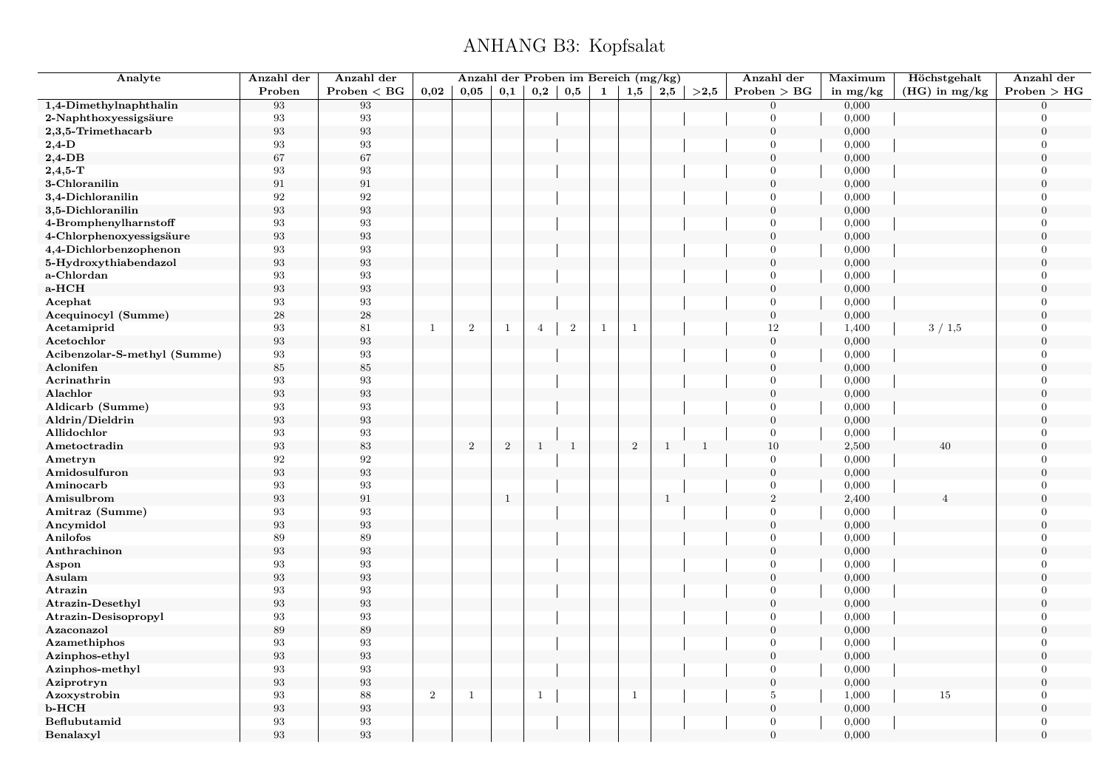## ANHANG B3: Kopfsalat

<span id="page-18-0"></span>

| Analyte                      | Anzahl der        | Anzahl der        |            | Anzahl der Proben im Bereich (mg/kg) |              |                |                |              |              |              |              | Anzahl der       | Maximum    | Höchstgehalt    | Anzahl der       |
|------------------------------|-------------------|-------------------|------------|--------------------------------------|--------------|----------------|----------------|--------------|--------------|--------------|--------------|------------------|------------|-----------------|------------------|
|                              | Proben            | Problem < BG      | 0,02       | 0,05                                 | 0,1          | 0,2            | 0,5            | $\mathbf{1}$ | 1,5          | $2{,}5$      | >2,5         | Problem > BG     | in $mg/kg$ | $(HG)$ in mg/kg | Problem > HG     |
| 1,4-Dimethylnaphthalin       | 93                | 93                |            |                                      |              |                |                |              |              |              |              | $\Omega$         | 0,000      |                 | $\Omega$         |
| 2-Naphthoxyessigsäure        | 93                | $\boldsymbol{93}$ |            |                                      |              |                |                |              |              |              |              | $\overline{0}$   | 0,000      |                 | $\Omega$         |
| 2,3,5-Trimethacarb           | 93                | $\boldsymbol{93}$ |            |                                      |              |                |                |              |              |              |              | $\boldsymbol{0}$ | 0,000      |                 | $\boldsymbol{0}$ |
| $2,4$ -D                     | 93                | 93                |            |                                      |              |                |                |              |              |              |              | $\Omega$         | 0,000      |                 | $\overline{0}$   |
| $2,4$ -DB                    | 67                | 67                |            |                                      |              |                |                |              |              |              |              | $\overline{0}$   | 0,000      |                 | $\Omega$         |
| $2,4,5$ -T                   | 93                | 93                |            |                                      |              |                |                |              |              |              |              | $\overline{0}$   | 0,000      |                 | $\overline{0}$   |
| 3-Chloranilin                | 91                | $\rm 91$          |            |                                      |              |                |                |              |              |              |              | $\boldsymbol{0}$ | 0,000      |                 | $\Omega$         |
| 3,4-Dichloranilin            | 92                | 92                |            |                                      |              |                |                |              |              |              |              | $\overline{0}$   | 0,000      |                 | $\overline{0}$   |
| 3,5-Dichloranilin            | 93                | 93                |            |                                      |              |                |                |              |              |              |              | $\overline{0}$   | 0,000      |                 | $\Omega$         |
| 4-Bromphenylharnstoff        | 93                | $\boldsymbol{93}$ |            |                                      |              |                |                |              |              |              |              | $\overline{0}$   | 0,000      |                 | $\Omega$         |
| 4-Chlorphenoxyessigsäure     | 93                | $\boldsymbol{93}$ |            |                                      |              |                |                |              |              |              |              | $\overline{0}$   | 0,000      |                 | $\Omega$         |
| 4,4-Dichlorbenzophenon       | 93                | 93                |            |                                      |              |                |                |              |              |              |              | $\overline{0}$   | 0,000      |                 | $\overline{0}$   |
| 5-Hydroxythiabendazol        | 93                | 93                |            |                                      |              |                |                |              |              |              |              | $\overline{0}$   | 0,000      |                 | $\overline{0}$   |
| a-Chlordan                   | 93                | 93                |            |                                      |              |                |                |              |              |              |              | $\overline{0}$   | 0,000      |                 | $\boldsymbol{0}$ |
| a-HCH                        | 93                | $\boldsymbol{93}$ |            |                                      |              |                |                |              |              |              |              | $\overline{0}$   | 0,000      |                 | $\overline{0}$   |
| Acephat                      | 93                | 93                |            |                                      |              |                |                |              |              |              |              | $\overline{0}$   | 0,000      |                 | $\overline{0}$   |
| Acequinocyl (Summe)          | $\sqrt{28}$       | ${\bf 28}$        |            |                                      |              |                |                |              |              |              |              | $\boldsymbol{0}$ | 0,000      |                 | $\overline{0}$   |
| Acetamiprid                  | 93                | 81                | -1         | $\overline{2}$                       | $\mathbf{1}$ | $\overline{4}$ | $\overline{2}$ | -1           | $\mathbf{1}$ |              |              | 12               | 1,400      | 3/1,5           | $\overline{0}$   |
| Acetochlor                   | 93                | $\boldsymbol{93}$ |            |                                      |              |                |                |              |              |              |              | $\boldsymbol{0}$ | 0,000      |                 | $\overline{0}$   |
| Acibenzolar-S-methyl (Summe) | 93                | 93                |            |                                      |              |                |                |              |              |              |              | $\overline{0}$   | 0,000      |                 | $\overline{0}$   |
| Aclonifen                    | $85\,$            | $85\,$            |            |                                      |              |                |                |              |              |              |              | $\boldsymbol{0}$ | 0,000      |                 | $\overline{0}$   |
| Acrinathrin                  | 93                | $\boldsymbol{93}$ |            |                                      |              |                |                |              |              |              |              | $\Omega$         | 0,000      |                 | $\Omega$         |
| Alachlor                     | $\boldsymbol{93}$ | $\boldsymbol{93}$ |            |                                      |              |                |                |              |              |              |              | $\mathbf{0}$     | 0,000      |                 | $\Omega$         |
| Aldicarb (Summe)             | 93                | 93                |            |                                      |              |                |                |              |              |              |              | $\overline{0}$   | 0,000      |                 | $\Omega$         |
| Aldrin/Dieldrin              | $\boldsymbol{93}$ | 93                |            |                                      |              |                |                |              |              |              |              | $\boldsymbol{0}$ | 0,000      |                 | $\overline{0}$   |
| Allidochlor                  | 93                | 93                |            |                                      |              |                |                |              |              |              |              | $\boldsymbol{0}$ | 0,000      |                 | $\overline{0}$   |
| Ametoctradin                 | $\boldsymbol{93}$ | 83                |            | $\sqrt{2}$                           | $\,2$        | <sup>1</sup>   | $\mathbf{1}$   |              | $\,2$        | $\mathbf{1}$ | $\mathbf{1}$ | $10\,$           | 2,500      | 40              | $\Omega$         |
| Ametryn                      | 92                | $\boldsymbol{92}$ |            |                                      |              |                |                |              |              |              |              | $\overline{0}$   | 0,000      |                 | $\overline{0}$   |
| Amidosulfuron                | $\boldsymbol{93}$ | $\boldsymbol{93}$ |            |                                      |              |                |                |              |              |              |              | $\boldsymbol{0}$ | 0,000      |                 | $\overline{0}$   |
| Aminocarb                    | 93                | 93                |            |                                      |              |                |                |              |              |              |              | $\overline{0}$   | 0,000      |                 | $\overline{0}$   |
| Amisulbrom                   | 93                | $\rm 91$          |            |                                      | $\mathbf{1}$ |                |                |              |              | $\mathbf{1}$ |              | $\sqrt{2}$       | 2,400      |                 | $\Omega$         |
| Amitraz (Summe)              | 93                | 93                |            |                                      |              |                |                |              |              |              |              | $\overline{0}$   | 0,000      |                 | $\overline{0}$   |
| Ancymidol                    | $\boldsymbol{93}$ | 93                |            |                                      |              |                |                |              |              |              |              | $\overline{0}$   | 0,000      |                 | $\Omega$         |
| Anilofos                     | 89                | 89                |            |                                      |              |                |                |              |              |              |              | $\overline{0}$   | 0,000      |                 | $\Omega$         |
| Anthrachinon                 | 93                | $\boldsymbol{93}$ |            |                                      |              |                |                |              |              |              |              | $\overline{0}$   | 0,000      |                 | $\Omega$         |
| Aspon                        | 93                | 93                |            |                                      |              |                |                |              |              |              |              | $\overline{0}$   | 0,000      |                 | $\overline{0}$   |
| Asulam                       | 93                | 93                |            |                                      |              |                |                |              |              |              |              | $\overline{0}$   | 0,000      |                 | $\theta$         |
| Atrazin                      | 93                | 93                |            |                                      |              |                |                |              |              |              |              | $\overline{0}$   | 0,000      |                 | $\overline{0}$   |
| Atrazin-Desethyl             | $\boldsymbol{93}$ | $\boldsymbol{93}$ |            |                                      |              |                |                |              |              |              |              | $\boldsymbol{0}$ | 0,000      |                 | $\boldsymbol{0}$ |
| Atrazin-Desisopropyl         | 93                | 93                |            |                                      |              |                |                |              |              |              |              | $\overline{0}$   | 0,000      |                 | $\overline{0}$   |
| Azaconazol                   | 89                | 89                |            |                                      |              |                |                |              |              |              |              | $\overline{0}$   | 0,000      |                 | $\overline{0}$   |
| Azamethiphos                 | 93                | 93                |            |                                      |              |                |                |              |              |              |              | $\overline{0}$   | 0,000      |                 | $\overline{0}$   |
| Azinphos-ethyl               | $\boldsymbol{93}$ | $\boldsymbol{93}$ |            |                                      |              |                |                |              |              |              |              | $\boldsymbol{0}$ | 0,000      |                 | $\boldsymbol{0}$ |
| Azinphos-methyl              | 93                | 93                |            |                                      |              |                |                |              |              |              |              | $\overline{0}$   | 0,000      |                 | $\overline{0}$   |
| Aziprotryn                   | 93                | 93                |            |                                      |              |                |                |              |              |              |              | $\mathbf{0}$     | 0,000      |                 | $\Omega$         |
| Azoxystrobin                 | 93                | 88                | $\sqrt{2}$ | $\mathbf{1}$                         |              | $\mathbf{1}$   |                |              | $\mathbf{1}$ |              |              | $\overline{5}$   | 1,000      | 15              | $\Omega$         |
| $b$ - $HCH$                  | $\boldsymbol{93}$ | $\boldsymbol{93}$ |            |                                      |              |                |                |              |              |              |              | $\mathbf{0}$     | 0,000      |                 | $\boldsymbol{0}$ |
| Beflubutamid                 | 93                | 93                |            |                                      |              |                |                |              |              |              |              | $\overline{0}$   | 0,000      |                 | $\overline{0}$   |
| Benalaxyl                    | 93                | 93                |            |                                      |              |                |                |              |              |              |              | $\theta$         | 0,000      |                 | $\overline{0}$   |
|                              |                   |                   |            |                                      |              |                |                |              |              |              |              |                  |            |                 |                  |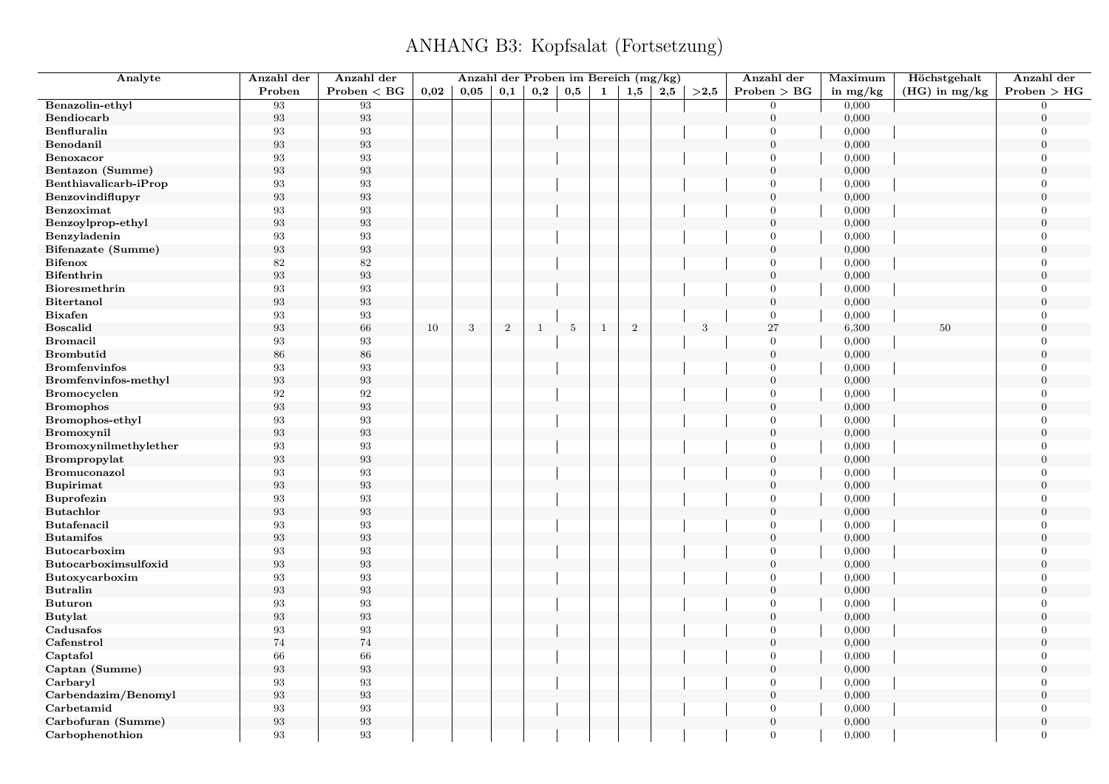| Analyte               | Anzahl der        | Anzahl der        |      |      | Anzahl der Proben im Bereich (mg/kg) |              |                 |              |                |     |      | Anzahl der       | Maximum    | Höchstgehalt    | Anzahl der       |
|-----------------------|-------------------|-------------------|------|------|--------------------------------------|--------------|-----------------|--------------|----------------|-----|------|------------------|------------|-----------------|------------------|
|                       | Proben            | Problem < BG      | 0,02 | 0.05 | 0,1                                  | 0,2          | 0,5             | 1            | 1,5            | 2,5 | >2.5 | Problem > BG     | in $mg/kg$ | $(HG)$ in mg/kg | Problem > HG     |
| Benazolin-ethyl       | 93                | 93                |      |      |                                      |              |                 |              |                |     |      | $\overline{0}$   | 0,000      |                 | $\overline{0}$   |
| Bendiocarb            | 93                | $\boldsymbol{93}$ |      |      |                                      |              |                 |              |                |     |      | $\overline{0}$   | 0,000      |                 | $\overline{0}$   |
| Benfluralin           | 93                | 93                |      |      |                                      |              |                 |              |                |     |      | $\overline{0}$   | 0,000      |                 | $\overline{0}$   |
| Benodanil             | 93                | $\boldsymbol{93}$ |      |      |                                      |              |                 |              |                |     |      | $\overline{0}$   | 0,000      |                 | $\overline{0}$   |
| Benoxacor             | 93                | 93                |      |      |                                      |              |                 |              |                |     |      | $\Omega$         | 0,000      |                 | $\overline{0}$   |
| Bentazon (Summe)      | $\boldsymbol{93}$ | $\boldsymbol{93}$ |      |      |                                      |              |                 |              |                |     |      | $\boldsymbol{0}$ | 0,000      |                 | $\boldsymbol{0}$ |
| Benthiavalicarb-iProp | 93                | 93                |      |      |                                      |              |                 |              |                |     |      | $\overline{0}$   | 0,000      |                 | $\overline{0}$   |
| Benzovindiflupyr      | 93                | $\boldsymbol{93}$ |      |      |                                      |              |                 |              |                |     |      | $\overline{0}$   | 0,000      |                 | $\overline{0}$   |
| Benzoximat            | 93                | 93                |      |      |                                      |              |                 |              |                |     |      | $\overline{0}$   | 0,000      |                 | $\Omega$         |
| Benzoylprop-ethyl     | $\boldsymbol{93}$ | $\boldsymbol{93}$ |      |      |                                      |              |                 |              |                |     |      | $\boldsymbol{0}$ | 0,000      |                 | $\boldsymbol{0}$ |
| Benzyladenin          | 93                | $\boldsymbol{93}$ |      |      |                                      |              |                 |              |                |     |      | $\overline{0}$   | 0,000      |                 | $\Omega$         |
| Bifenazate (Summe)    | $\boldsymbol{93}$ | $\boldsymbol{93}$ |      |      |                                      |              |                 |              |                |     |      | $\overline{0}$   | 0,000      |                 | $\Omega$         |
| <b>Bifenox</b>        | 82                | 82                |      |      |                                      |              |                 |              |                |     |      | $\overline{0}$   | 0,000      |                 | $\overline{0}$   |
| <b>Bifenthrin</b>     | 93                | $\boldsymbol{93}$ |      |      |                                      |              |                 |              |                |     |      | $\boldsymbol{0}$ | 0,000      |                 | $\overline{0}$   |
| Bioresmethrin         | 93                | 93                |      |      |                                      |              |                 |              |                |     |      | $\overline{0}$   | 0,000      |                 | $\overline{0}$   |
| <b>Bitertanol</b>     | 93                | $\boldsymbol{93}$ |      |      |                                      |              |                 |              |                |     |      | $\mathbf{0}$     | 0,000      |                 | $\Omega$         |
| <b>Bixafen</b>        | 93                | $\boldsymbol{93}$ |      |      |                                      |              |                 |              |                |     |      | $\overline{0}$   | 0,000      |                 | $\overline{0}$   |
| <b>Boscalid</b>       | $\boldsymbol{93}$ | $66\,$            | 10   | 3    | $\overline{2}$                       | $\mathbf{1}$ | $5\phantom{.0}$ | $\mathbf{1}$ | $\overline{2}$ |     | 3    | 27               | 6,300      | 50              | $\overline{0}$   |
| <b>Bromacil</b>       | 93                | 93                |      |      |                                      |              |                 |              |                |     |      | $\overline{0}$   | 0,000      |                 | $\overline{0}$   |
| <b>Brombutid</b>      | 86                | $86\,$            |      |      |                                      |              |                 |              |                |     |      | $\mathbf{0}$     | 0,000      |                 | $\Omega$         |
| <b>Bromfenvinfos</b>  | 93                | 93                |      |      |                                      |              |                 |              |                |     |      | $\overline{0}$   | 0,000      |                 | $\boldsymbol{0}$ |
| Bromfenvinfos-methyl  | $\boldsymbol{93}$ | 93                |      |      |                                      |              |                 |              |                |     |      | $\boldsymbol{0}$ | 0,000      |                 | $\overline{0}$   |
| <b>Bromocyclen</b>    | 92                | $\boldsymbol{92}$ |      |      |                                      |              |                 |              |                |     |      | $\overline{0}$   | 0,000      |                 | $\overline{0}$   |
| <b>Bromophos</b>      | 93                | $\boldsymbol{93}$ |      |      |                                      |              |                 |              |                |     |      | $\overline{0}$   | 0,000      |                 | $\overline{0}$   |
| Bromophos-ethyl       | 93                | 93                |      |      |                                      |              |                 |              |                |     |      | $\boldsymbol{0}$ | 0,000      |                 | $\overline{0}$   |
| Bromoxynil            | 93                | $\boldsymbol{93}$ |      |      |                                      |              |                 |              |                |     |      | $\boldsymbol{0}$ | 0,000      |                 | $\overline{0}$   |
| Bromoxynilmethylether | 93                | 93                |      |      |                                      |              |                 |              |                |     |      | $\overline{0}$   | 0,000      |                 | $\overline{0}$   |
| Brompropylat          | $\boldsymbol{93}$ | $\boldsymbol{93}$ |      |      |                                      |              |                 |              |                |     |      | $\mathbf{0}$     | 0,000      |                 | $\overline{0}$   |
| Bromuconazol          | 93                | 93                |      |      |                                      |              |                 |              |                |     |      | $\Omega$         | 0,000      |                 | $\overline{0}$   |
| <b>Bupirimat</b>      | 93                | $\boldsymbol{93}$ |      |      |                                      |              |                 |              |                |     |      | $\overline{0}$   | 0,000      |                 | $\overline{0}$   |
| Buprofezin            | 93                | 93                |      |      |                                      |              |                 |              |                |     |      | $\overline{0}$   | 0,000      |                 | $\overline{0}$   |
| <b>Butachlor</b>      | $\boldsymbol{93}$ | $\boldsymbol{93}$ |      |      |                                      |              |                 |              |                |     |      | $\boldsymbol{0}$ | 0,000      |                 | $\boldsymbol{0}$ |
| Butafenacil           | $\boldsymbol{93}$ | 93                |      |      |                                      |              |                 |              |                |     |      | $\overline{0}$   | 0,000      |                 | $\Omega$         |
| <b>Butamifos</b>      | 93                | $\boldsymbol{93}$ |      |      |                                      |              |                 |              |                |     |      | $\overline{0}$   | 0,000      |                 | $\overline{0}$   |
| <b>Butocarboxim</b>   | 93                | $\boldsymbol{93}$ |      |      |                                      |              |                 |              |                |     |      | $\overline{0}$   | 0,000      |                 | $\Omega$         |
| Butocarboximsulfoxid  | 93                | $\boldsymbol{93}$ |      |      |                                      |              |                 |              |                |     |      | $\mathbf{0}$     | 0,000      |                 | $\boldsymbol{0}$ |
| Butoxycarboxim        | 93                | 93                |      |      |                                      |              |                 |              |                |     |      | $\overline{0}$   | 0,000      |                 | $\overline{0}$   |
| <b>Butralin</b>       | 93                | $\boldsymbol{93}$ |      |      |                                      |              |                 |              |                |     |      | $\overline{0}$   | 0,000      |                 | $\overline{0}$   |
| <b>Buturon</b>        | 93                | $\boldsymbol{93}$ |      |      |                                      |              |                 |              |                |     |      | $\overline{0}$   | 0,000      |                 | $\overline{0}$   |
| <b>Butylat</b>        | $\boldsymbol{93}$ | $\boldsymbol{93}$ |      |      |                                      |              |                 |              |                |     |      | $\boldsymbol{0}$ | 0,000      |                 | $\Omega$         |
| Cadusafos             | 93                | 93                |      |      |                                      |              |                 |              |                |     |      | $\overline{0}$   | 0,000      |                 | $\overline{0}$   |
| Cafenstrol            | 74                | $74\,$            |      |      |                                      |              |                 |              |                |     |      | $\overline{0}$   | 0,000      |                 | $\Omega$         |
| Captafol              | 66                | 66                |      |      |                                      |              |                 |              |                |     |      | $\overline{0}$   | 0,000      |                 | $\overline{0}$   |
| Captan (Summe)        | $\boldsymbol{93}$ | 93                |      |      |                                      |              |                 |              |                |     |      | $\mathbf{0}$     | 0,000      |                 | $\Omega$         |
| Carbaryl              | 93                | $\boldsymbol{93}$ |      |      |                                      |              |                 |              |                |     |      | $\overline{0}$   | 0,000      |                 | $\overline{0}$   |
| Carbendazim/Benomyl   | 93                | $\boldsymbol{93}$ |      |      |                                      |              |                 |              |                |     |      | $\overline{0}$   | 0,000      |                 | $\overline{0}$   |
| Carbetamid            | 93                | 93                |      |      |                                      |              |                 |              |                |     |      | $\overline{0}$   | 0,000      |                 | $\overline{0}$   |
| Carbofuran (Summe)    | 93                | $\boldsymbol{93}$ |      |      |                                      |              |                 |              |                |     |      | $\boldsymbol{0}$ | 0,000      |                 | $\mathbf{0}$     |
| Carbophenothion       | 93                | 93                |      |      |                                      |              |                 |              |                |     |      | $\overline{0}$   | 0,000      |                 | $\overline{0}$   |
|                       |                   |                   |      |      |                                      |              |                 |              |                |     |      |                  |            |                 |                  |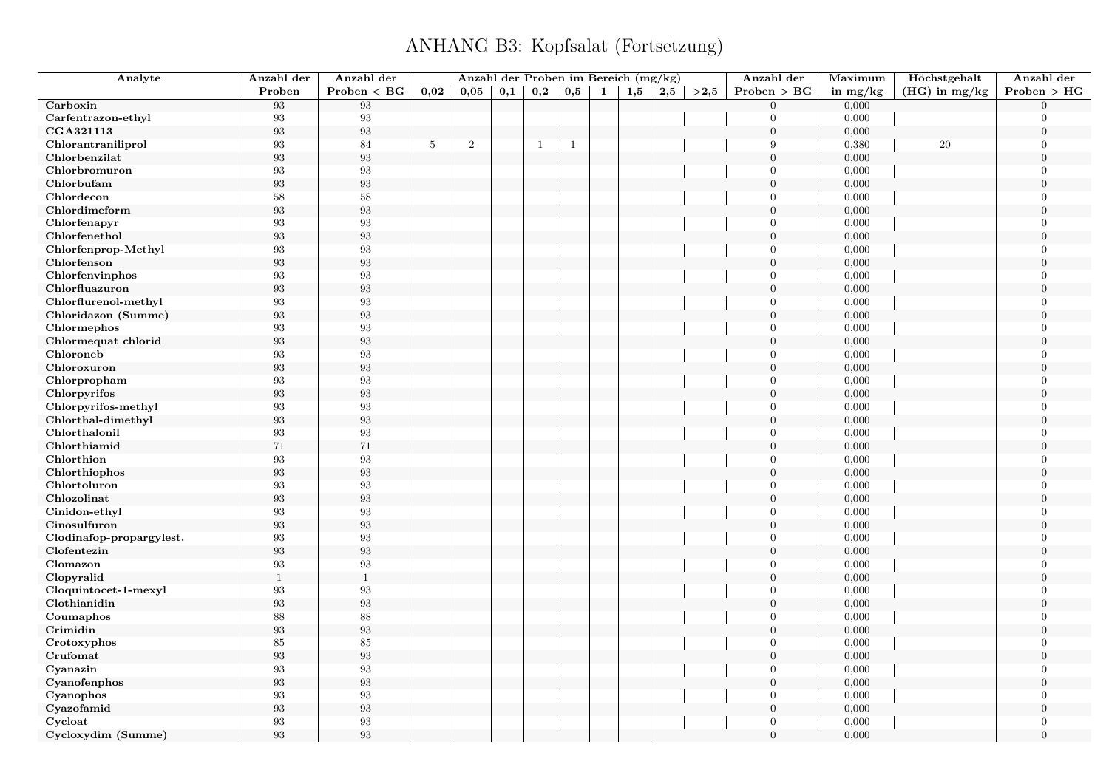| Analyte                  | Anzahl der        | Anzahl der        |                 |                |     |              |              |   | Anzahl der Proben im Bereich (mg/kg) |     |      | Anzahl der       | Maximum    | Höchstgehalt    | Anzahl der       |
|--------------------------|-------------------|-------------------|-----------------|----------------|-----|--------------|--------------|---|--------------------------------------|-----|------|------------------|------------|-----------------|------------------|
|                          | Proben            | Problem < BG      | 0,02            | 0,05           | 0,1 | $_{\rm 0,2}$ | 0,5          | 1 | 1,5                                  | 2,5 | >2,5 | Problem > BG     | in $mg/kg$ | $(HG)$ in mg/kg | Problem > HG     |
| Carboxin                 | 93                | 93                |                 |                |     |              |              |   |                                      |     |      | $\mathbf{0}$     | 0,000      |                 | $\Omega$         |
| Carfentrazon-ethyl       | $\boldsymbol{93}$ | 93                |                 |                |     |              |              |   |                                      |     |      | $\overline{0}$   | 0,000      |                 | $\Omega$         |
| CGA321113                | $\boldsymbol{93}$ | $\boldsymbol{93}$ |                 |                |     |              |              |   |                                      |     |      | $\mathbf{0}$     | 0,000      |                 | $\overline{0}$   |
| Chlorantraniliprol       | 93                | 84                | $5\phantom{.0}$ | $\overline{2}$ |     | $\mathbf{1}$ | $\mathbf{1}$ |   |                                      |     |      | 9                | 0,380      | 20              | $\Omega$         |
| Chlorbenzilat            | 93                | 93                |                 |                |     |              |              |   |                                      |     |      | $\mathbf{0}$     | 0,000      |                 | $\theta$         |
| Chlorbromuron            | 93                | 93                |                 |                |     |              |              |   |                                      |     |      | $\overline{0}$   | 0,000      |                 | $\Omega$         |
| Chlorbufam               | $\boldsymbol{93}$ | $\boldsymbol{93}$ |                 |                |     |              |              |   |                                      |     |      | $\mathbf{0}$     | 0,000      |                 | $\theta$         |
| Chlordecon               | 58                | $58\,$            |                 |                |     |              |              |   |                                      |     |      | $\mathbf{0}$     | 0,000      |                 | $\Omega$         |
| Chlordimeform            | 93                | $\boldsymbol{93}$ |                 |                |     |              |              |   |                                      |     |      | $\mathbf{0}$     | 0,000      |                 | $\Omega$         |
| Chlorfenapyr             | 93                | 93                |                 |                |     |              |              |   |                                      |     |      | $\mathbf{0}$     | 0,000      |                 | $\overline{0}$   |
| Chlorfenethol            | 93                | $\boldsymbol{93}$ |                 |                |     |              |              |   |                                      |     |      | $\mathbf{0}$     | 0,000      |                 | $\theta$         |
| Chlorfenprop-Methyl      | $\boldsymbol{93}$ | $\boldsymbol{93}$ |                 |                |     |              |              |   |                                      |     |      | $\overline{0}$   | 0,000      |                 | $\theta$         |
| Chlorfenson              | 93                | $\boldsymbol{93}$ |                 |                |     |              |              |   |                                      |     |      | $\mathbf{0}$     | 0,000      |                 | $\theta$         |
| Chlorfenvinphos          | 93                | 93                |                 |                |     |              |              |   |                                      |     |      | $\mathbf{0}$     | 0,000      |                 | $\overline{0}$   |
| Chlorfluazuron           | 93                | $\boldsymbol{93}$ |                 |                |     |              |              |   |                                      |     |      | $\mathbf{0}$     | 0,000      |                 | $\overline{0}$   |
| Chlorflurenol-methyl     | 93                | 93                |                 |                |     |              |              |   |                                      |     |      | $\overline{0}$   | 0,000      |                 | $\overline{0}$   |
| Chloridazon (Summe)      | $\boldsymbol{93}$ | $\boldsymbol{93}$ |                 |                |     |              |              |   |                                      |     |      | $\boldsymbol{0}$ | 0,000      |                 | $\boldsymbol{0}$ |
| Chlormephos              | 93                | 93                |                 |                |     |              |              |   |                                      |     |      | $\overline{0}$   | 0,000      |                 | $\overline{0}$   |
| Chlormequat chlorid      | $\boldsymbol{93}$ | $\boldsymbol{93}$ |                 |                |     |              |              |   |                                      |     |      | $\mathbf{0}$     | 0,000      |                 | $\overline{0}$   |
| Chloroneb                | 93                | 93                |                 |                |     |              |              |   |                                      |     |      | $\overline{0}$   | 0,000      |                 | $\overline{0}$   |
| Chloroxuron              | $\boldsymbol{93}$ | $\boldsymbol{93}$ |                 |                |     |              |              |   |                                      |     |      | $\mathbf{0}$     | 0,000      |                 | $\overline{0}$   |
| Chlorpropham             | $\boldsymbol{93}$ | $\boldsymbol{93}$ |                 |                |     |              |              |   |                                      |     |      | $\overline{0}$   | 0,000      |                 | $\Omega$         |
| Chlorpyrifos             | $\boldsymbol{93}$ | $\boldsymbol{93}$ |                 |                |     |              |              |   |                                      |     |      | $\mathbf{0}$     | 0,000      |                 | $\overline{0}$   |
| Chlorpyrifos-methyl      | 93                | 93                |                 |                |     |              |              |   |                                      |     |      | $\overline{0}$   | 0,000      |                 | $\theta$         |
| Chlorthal-dimethyl       | 93                | $\boldsymbol{93}$ |                 |                |     |              |              |   |                                      |     |      | $\mathbf{0}$     | 0,000      |                 | $\overline{0}$   |
| Chlorthalonil            | $\boldsymbol{93}$ | $\boldsymbol{93}$ |                 |                |     |              |              |   |                                      |     |      | $\overline{0}$   | 0,000      |                 | $\Omega$         |
| Chlorthiamid             | 71                | $71\,$            |                 |                |     |              |              |   |                                      |     |      | $\mathbf{0}$     | 0,000      |                 | $\Omega$         |
| Chlorthion               | 93                | 93                |                 |                |     |              |              |   |                                      |     |      | $\overline{0}$   | 0,000      |                 | $\overline{0}$   |
| Chlorthiophos            | $\boldsymbol{93}$ | 93                |                 |                |     |              |              |   |                                      |     |      | $\mathbf{0}$     | 0,000      |                 | $\overline{0}$   |
| Chlortoluron             | $\boldsymbol{93}$ | 93                |                 |                |     |              |              |   |                                      |     |      | $\overline{0}$   | 0,000      |                 | $\theta$         |
| Chlozolinat              | $\boldsymbol{93}$ | $\boldsymbol{93}$ |                 |                |     |              |              |   |                                      |     |      | $\mathbf{0}$     | 0,000      |                 | $\theta$         |
| Cinidon-ethyl            | $\boldsymbol{93}$ | $\boldsymbol{93}$ |                 |                |     |              |              |   |                                      |     |      | $\mathbf{0}$     | 0,000      |                 | $\overline{0}$   |
| Cinosulfuron             | $\boldsymbol{93}$ | $\boldsymbol{93}$ |                 |                |     |              |              |   |                                      |     |      | $\mathbf{0}$     | 0,000      |                 | $\theta$         |
| Clodinafop-propargylest. | 93                | 93                |                 |                |     |              |              |   |                                      |     |      | $\mathbf{0}$     | 0,000      |                 | $\overline{0}$   |
| Clofentezin              | 93                | $\boldsymbol{93}$ |                 |                |     |              |              |   |                                      |     |      | $\overline{0}$   | 0,000      |                 | $\theta$         |
| Clomazon                 | $\boldsymbol{93}$ | $\boldsymbol{93}$ |                 |                |     |              |              |   |                                      |     |      | $\boldsymbol{0}$ | 0,000      |                 | $\overline{0}$   |
| Clopyralid               | $\mathbf{1}$      | $\mathbf{1}$      |                 |                |     |              |              |   |                                      |     |      | $\mathbf{0}$     | 0,000      |                 | $\overline{0}$   |
| Cloquintocet-1-mexyl     | 93                | 93                |                 |                |     |              |              |   |                                      |     |      | $\overline{0}$   | 0,000      |                 | $\overline{0}$   |
| Clothianidin             | 93                | $\boldsymbol{93}$ |                 |                |     |              |              |   |                                      |     |      | $\mathbf{0}$     | 0,000      |                 | $\overline{0}$   |
| Coumaphos                | 88                | 88                |                 |                |     |              |              |   |                                      |     |      | $\overline{0}$   | 0,000      |                 | $\overline{0}$   |
| Crimidin                 | $\boldsymbol{93}$ | $\boldsymbol{93}$ |                 |                |     |              |              |   |                                      |     |      | $\overline{0}$   | 0,000      |                 | $\overline{0}$   |
| Crotoxyphos              | 85                | $85\,$            |                 |                |     |              |              |   |                                      |     |      | $\overline{0}$   | 0,000      |                 | $\overline{0}$   |
| Crufomat                 | $\boldsymbol{93}$ | $\boldsymbol{93}$ |                 |                |     |              |              |   |                                      |     |      | $\mathbf{0}$     | 0,000      |                 | $\boldsymbol{0}$ |
| Cyanazin                 | 93                | 93                |                 |                |     |              |              |   |                                      |     |      | $\overline{0}$   | 0,000      |                 | $\theta$         |
| Cyanofenphos             | $\boldsymbol{93}$ | $\boldsymbol{93}$ |                 |                |     |              |              |   |                                      |     |      | $\overline{0}$   | 0,000      |                 | $\overline{0}$   |
| Cyanophos                | 93                | $\boldsymbol{93}$ |                 |                |     |              |              |   |                                      |     |      | $\overline{0}$   | 0,000      |                 | $\overline{0}$   |
| Cyazofamid               | $\boldsymbol{93}$ | $\boldsymbol{93}$ |                 |                |     |              |              |   |                                      |     |      | $\mathbf{0}$     | 0,000      |                 | $\overline{0}$   |
| Cycloat                  | $\boldsymbol{93}$ | 93                |                 |                |     |              |              |   |                                      |     |      | $\overline{0}$   | 0,000      |                 | $\theta$         |
| Cycloxydim (Summe)       | 93                | 93                |                 |                |     |              |              |   |                                      |     |      | $\Omega$         | 0,000      |                 | $\theta$         |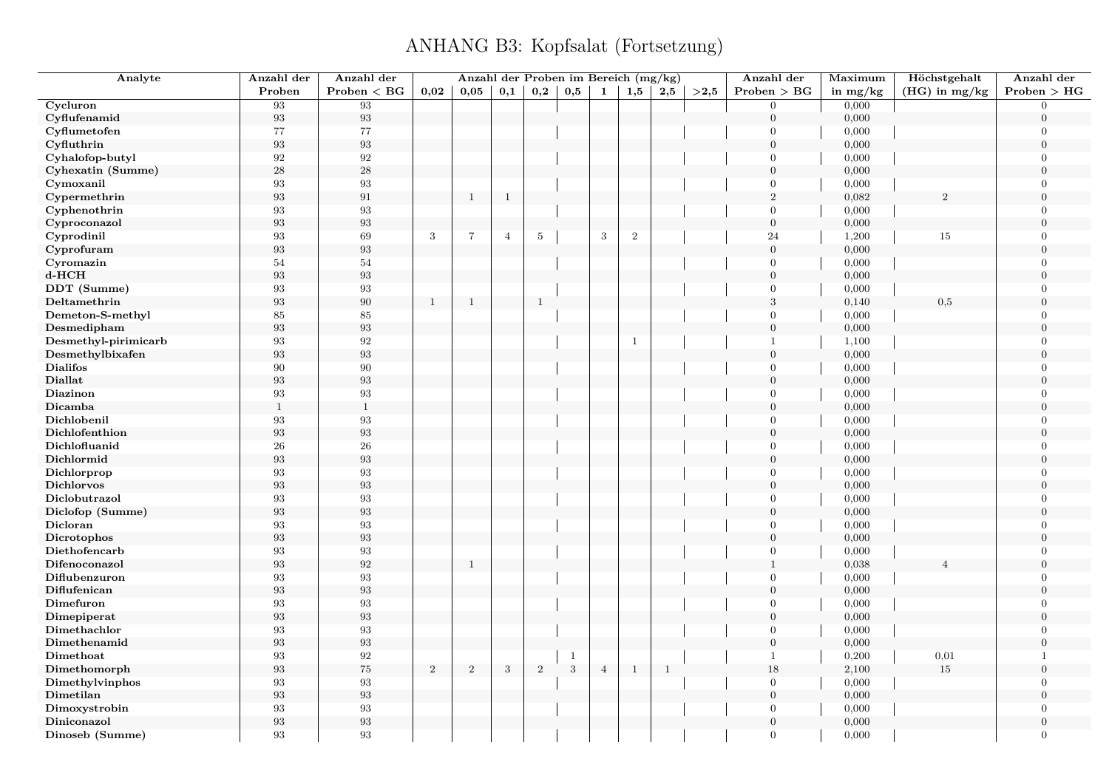| Analyte                     | Anzahl der              | Anzahl der        |              | Anzahl der Proben im Bereich (mg/kg) |                |                 |            |                |              |              |      | Anzahl der       | Maximum        | Höchstgehalt    | Anzahl der       |
|-----------------------------|-------------------------|-------------------|--------------|--------------------------------------|----------------|-----------------|------------|----------------|--------------|--------------|------|------------------|----------------|-----------------|------------------|
|                             | Proben                  | Problem < BG      | 0,02         | 0.05                                 | 0,1            | 0,2             | 0,5        | 1              | 1,5          | 2,5          | >2.5 | Problem > BG     | in $mg/kg$     | $(HG)$ in mg/kg | Problem > HG     |
| Cycluron                    | 93                      | 93                |              |                                      |                |                 |            |                |              |              |      | $\overline{0}$   | 0,000          |                 | $\overline{0}$   |
| Cyflufenamid                | $\boldsymbol{93}$       | $\boldsymbol{93}$ |              |                                      |                |                 |            |                |              |              |      | $\mathbf{0}$     | 0,000          |                 | $\overline{0}$   |
| Cyflumetofen                | 77                      | $77\,$            |              |                                      |                |                 |            |                |              |              |      | $\mathbf{0}$     | 0,000          |                 | $\boldsymbol{0}$ |
| Cyfluthrin                  | $\boldsymbol{93}$       | $\boldsymbol{93}$ |              |                                      |                |                 |            |                |              |              |      | $\mathbf{0}$     | 0,000          |                 | $\boldsymbol{0}$ |
| Cyhalofop-butyl             | 92                      | 92                |              |                                      |                |                 |            |                |              |              |      | $\overline{0}$   | 0,000          |                 | $\overline{0}$   |
| Cyhexatin (Summe)           | $\bf 28$                | $\sqrt{28}$       |              |                                      |                |                 |            |                |              |              |      | $\mathbf{0}$     | 0,000          |                 | $\overline{0}$   |
| Cymoxanil                   | 93                      | $\boldsymbol{93}$ |              |                                      |                |                 |            |                |              |              |      | $\mathbf{0}$     | 0,000          |                 | $\overline{0}$   |
| Cypermethrin                | 93                      | $\rm 91$          |              | $\mathbf{1}$                         | $\mathbf{1}$   |                 |            |                |              |              |      | $\overline{2}$   | 0,082          | $\overline{2}$  | $\overline{0}$   |
| Cyphenothrin                | 93                      | $\boldsymbol{93}$ |              |                                      |                |                 |            |                |              |              |      | $\overline{0}$   | 0,000          |                 | $\Omega$         |
| Cyproconazol                | 93                      | $\boldsymbol{93}$ |              |                                      |                |                 |            |                |              |              |      | $\mathbf{0}$     | 0,000          |                 | $\overline{0}$   |
| Cyprodinil                  | $\rm 93$                | 69                | $\sqrt{3}$   | $\,7$                                | $\overline{4}$ | $5\phantom{.0}$ |            | $\sqrt{3}$     | $\sqrt{2}$   |              |      | 24               | 1,200          | $15\,$          | $\Omega$         |
| Cyprofuram                  | 93                      | $\boldsymbol{93}$ |              |                                      |                |                 |            |                |              |              |      | $\overline{0}$   | 0,000          |                 | $\overline{0}$   |
| Cyromazin                   | $54\,$                  | $54\,$            |              |                                      |                |                 |            |                |              |              |      | $\mathbf{0}$     | 0,000          |                 | $\overline{0}$   |
| d-HCH                       | $\boldsymbol{93}$       | $\boldsymbol{93}$ |              |                                      |                |                 |            |                |              |              |      | $\mathbf{0}$     | 0,000          |                 | $\overline{0}$   |
| DDT (Summe)                 | $\rm 93$                | $\boldsymbol{93}$ |              |                                      |                |                 |            |                |              |              |      | $\overline{0}$   | 0,000          |                 | $\overline{0}$   |
| Deltamethrin                | $\boldsymbol{93}$       | $90\,$            | $\mathbf{1}$ | $\mathbf{1}$                         |                | $\mathbf{1}$    |            |                |              |              |      | $\sqrt{3}$       | 0,140          | 0,5             | $\overline{0}$   |
| Demeton-S-methyl            | 85                      | 85                |              |                                      |                |                 |            |                |              |              |      | $\mathbf{0}$     | 0,000          |                 | $\overline{0}$   |
| Desmedipham                 | 93                      | $\boldsymbol{93}$ |              |                                      |                |                 |            |                |              |              |      | $\mathbf{0}$     | 0,000          |                 | $\Omega$         |
| Desmethyl-pirimicarb        | 93                      | $\boldsymbol{92}$ |              |                                      |                |                 |            |                | $\mathbf{1}$ |              |      | $\mathbf{1}$     | 1,100          |                 | $\overline{0}$   |
| Desmethylbixafen            | 93                      | $\boldsymbol{93}$ |              |                                      |                |                 |            |                |              |              |      | $\boldsymbol{0}$ | 0,000          |                 | $\Omega$         |
| <b>Dialifos</b>             | 90                      | $\,90$            |              |                                      |                |                 |            |                |              |              |      | $\mathbf{0}$     | 0,000          |                 | $\overline{0}$   |
| <b>Diallat</b>              | 93                      | $\boldsymbol{93}$ |              |                                      |                |                 |            |                |              |              |      | $\mathbf{0}$     | 0,000          |                 | $\overline{0}$   |
| Diazinon                    | 93                      | $\boldsymbol{93}$ |              |                                      |                |                 |            |                |              |              |      | $\overline{0}$   | 0,000          |                 | $\overline{0}$   |
| Dicamba                     | $\mathbf{1}$            | $\mathbf{1}$      |              |                                      |                |                 |            |                |              |              |      | $\mathbf{0}$     | 0,000          |                 | $\overline{0}$   |
| Dichlobenil                 | 93                      | $\boldsymbol{93}$ |              |                                      |                |                 |            |                |              |              |      | $\mathbf{0}$     | 0,000          |                 | $\overline{0}$   |
| Dichlofenthion              | 93                      | $\boldsymbol{93}$ |              |                                      |                |                 |            |                |              |              |      | $\mathbf{0}$     | 0,000          |                 | $\overline{0}$   |
| Dichlofluanid               | 26                      | ${\bf 26}$        |              |                                      |                |                 |            |                |              |              |      | $\overline{0}$   | 0,000          |                 | $\boldsymbol{0}$ |
| Dichlormid                  | $\boldsymbol{93}$       | $\boldsymbol{93}$ |              |                                      |                |                 |            |                |              |              |      | $\mathbf{0}$     | 0,000          |                 | $\boldsymbol{0}$ |
| Dichlorprop                 | 93                      | 93                |              |                                      |                |                 |            |                |              |              |      | $\overline{0}$   | 0,000          |                 | $\overline{0}$   |
| <b>Dichlorvos</b>           | $\boldsymbol{93}$       | $\boldsymbol{93}$ |              |                                      |                |                 |            |                |              |              |      | $\overline{0}$   | 0,000          |                 | $\overline{0}$   |
| Diclobutrazol               | 93                      | $\boldsymbol{93}$ |              |                                      |                |                 |            |                |              |              |      | $\mathbf{0}$     | 0,000          |                 | $\Omega$         |
| Diclofop (Summe)            | $\boldsymbol{93}$       | $\boldsymbol{93}$ |              |                                      |                |                 |            |                |              |              |      | $\boldsymbol{0}$ | 0,000          |                 | $\overline{0}$   |
| Dicloran                    | 93                      | 93                |              |                                      |                |                 |            |                |              |              |      | $\overline{0}$   | 0,000          |                 | $\overline{0}$   |
| Dicrotophos                 | 93                      | $\boldsymbol{93}$ |              |                                      |                |                 |            |                |              |              |      | $\mathbf{0}$     | 0,000          |                 | $\overline{0}$   |
| Diethofencarb               | 93                      | $\boldsymbol{93}$ |              |                                      |                |                 |            |                |              |              |      | $\overline{0}$   | 0,000          |                 | $\Omega$         |
| Difenoconazol               | 93                      | $\boldsymbol{92}$ |              | $\mathbf{1}$                         |                |                 |            |                |              |              |      | $\mathbf{1}$     | 0,038          | Δ               | $\mathbf{0}$     |
| Diflubenzuron               | 93                      | $\boldsymbol{93}$ |              |                                      |                |                 |            |                |              |              |      | $\mathbf{0}$     | 0,000          |                 | $\overline{0}$   |
| Diflufenican                | 93                      | $\boldsymbol{93}$ |              |                                      |                |                 |            |                |              |              |      | $\mathbf{0}$     | 0,000          |                 | $\overline{0}$   |
| Dimefuron                   | 93                      | $\boldsymbol{93}$ |              |                                      |                |                 |            |                |              |              |      | $\overline{0}$   |                |                 | $\overline{0}$   |
|                             |                         | $\boldsymbol{93}$ |              |                                      |                |                 |            |                |              |              |      | $\mathbf{0}$     | 0,000<br>0,000 |                 | $\overline{0}$   |
| Dimepiperat<br>Dimethachlor | $\boldsymbol{93}$<br>93 | 93                |              |                                      |                |                 |            |                |              |              |      | $\mathbf{0}$     | 0,000          |                 | $\overline{0}$   |
| Dimethenamid                |                         | $\boldsymbol{93}$ |              |                                      |                |                 |            |                |              |              |      | $\mathbf{0}$     |                |                 | $\Omega$         |
| Dimethoat                   | 93                      | $\sqrt{92}$       |              |                                      |                |                 |            |                |              |              |      | $\mathbf{1}$     | 0,000          |                 |                  |
|                             | 93                      |                   |              |                                      |                |                 | -1         |                |              |              |      |                  | 0,200          | $_{0,01}$       | 1                |
| Dimethomorph                | 93                      | $75\,$            | $\,2$        | $\,2$                                | $\sqrt{3}$     | $\sqrt{2}$      | $\sqrt{3}$ | $\overline{4}$ | $\,$ 1       | $\mathbf{1}$ |      | 18               | 2,100          | 15              | $\boldsymbol{0}$ |
| Dimethylvinphos             | 93                      | $\boldsymbol{93}$ |              |                                      |                |                 |            |                |              |              |      | $\mathbf{0}$     | 0,000          |                 | $\overline{0}$   |
| Dimetilan                   | 93                      | $\boldsymbol{93}$ |              |                                      |                |                 |            |                |              |              |      | $\mathbf{0}$     | 0,000          |                 | $\overline{0}$   |
| Dimoxystrobin               | 93                      | $\boldsymbol{93}$ |              |                                      |                |                 |            |                |              |              |      | $\overline{0}$   | 0,000          |                 | $\overline{0}$   |
| Diniconazol                 | 93                      | $\boldsymbol{93}$ |              |                                      |                |                 |            |                |              |              |      | $\mathbf{0}$     | 0,000          |                 | $\mathbf{0}$     |
| Dinoseb (Summe)             | 93                      | 93                |              |                                      |                |                 |            |                |              |              |      | $\overline{0}$   | 0,000          |                 | $\overline{0}$   |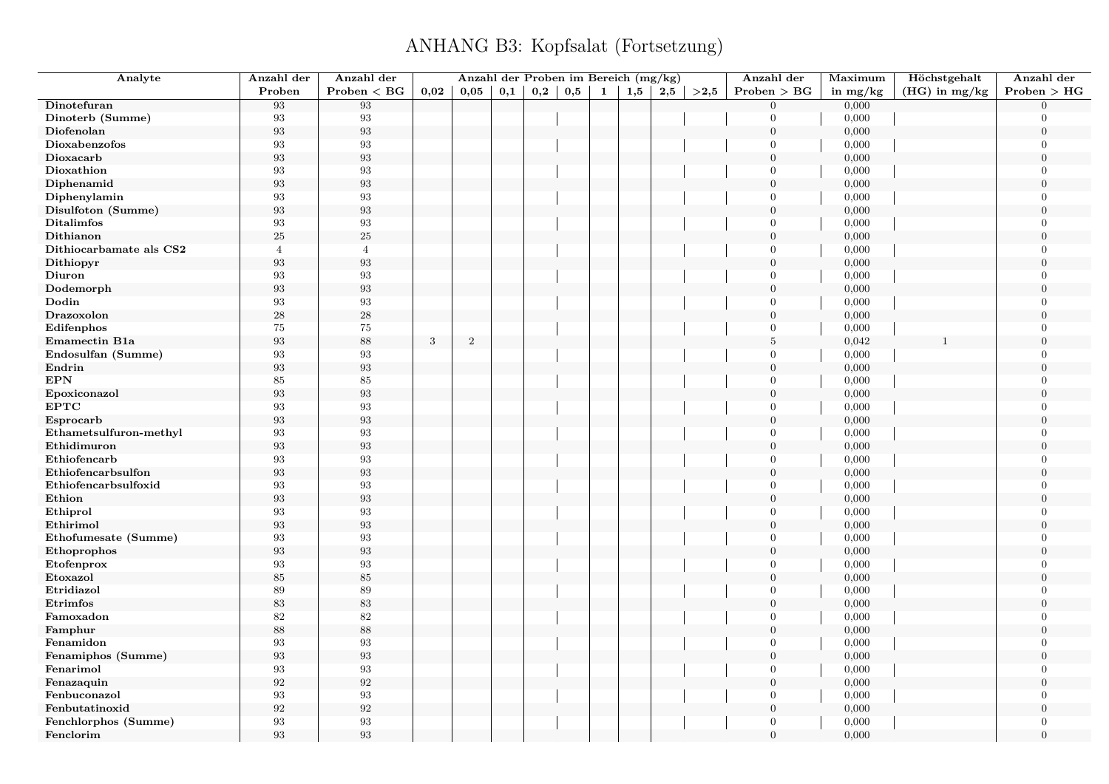| Analyte                 | Anzahl der        | Anzahl der        |      | Anzahl der Proben im Bereich (mg/kg) |     |     |     |              |     |     |      | Anzahl der       | Maximum    | Höchstgehalt    | Anzahl der       |
|-------------------------|-------------------|-------------------|------|--------------------------------------|-----|-----|-----|--------------|-----|-----|------|------------------|------------|-----------------|------------------|
|                         | Proben            | Problem < BG      | 0,02 | 0,05                                 | 0,1 | 0,2 | 0,5 | $\mathbf{1}$ | 1,5 | 2,5 | >2,5 | Problem > BG     | in $mg/kg$ | $(HG)$ in mg/kg | Problem > HG     |
| Dinotefuran             | 93                | 93                |      |                                      |     |     |     |              |     |     |      | $\Omega$         | 0,000      |                 | $\Omega$         |
| Dinoterb (Summe)        | 93                | 93                |      |                                      |     |     |     |              |     |     |      | $\overline{0}$   | 0,000      |                 | $\Omega$         |
| Diofenolan              | 93                | 93                |      |                                      |     |     |     |              |     |     |      | $\overline{0}$   | 0,000      |                 | $\boldsymbol{0}$ |
| Dioxabenzofos           | 93                | $\boldsymbol{93}$ |      |                                      |     |     |     |              |     |     |      | $\overline{0}$   | 0,000      |                 | $\overline{0}$   |
| Dioxacarb               | 93                | 93                |      |                                      |     |     |     |              |     |     |      | $\overline{0}$   | 0,000      |                 | $\theta$         |
| Dioxathion              | 93                | 93                |      |                                      |     |     |     |              |     |     |      | $\overline{0}$   | 0,000      |                 | $\overline{0}$   |
| Diphenamid              | 93                | $\boldsymbol{93}$ |      |                                      |     |     |     |              |     |     |      | $\boldsymbol{0}$ | 0,000      |                 | $\overline{0}$   |
| Diphenylamin            | 93                | 93                |      |                                      |     |     |     |              |     |     |      | $\overline{0}$   | 0,000      |                 | $\overline{0}$   |
| Disulfoton (Summe)      | 93                | $\boldsymbol{93}$ |      |                                      |     |     |     |              |     |     |      | $\boldsymbol{0}$ | 0,000      |                 | $\Omega$         |
| <b>Ditalimfos</b>       | 93                | $\boldsymbol{93}$ |      |                                      |     |     |     |              |     |     |      | $\overline{0}$   | 0,000      |                 | $\mathbf{0}$     |
| Dithianon               | 25                | $25\,$            |      |                                      |     |     |     |              |     |     |      | $\overline{0}$   | 0,000      |                 | $\boldsymbol{0}$ |
| Dithiocarbamate als CS2 | $\overline{4}$    | $\overline{4}$    |      |                                      |     |     |     |              |     |     |      | $\mathbf{0}$     | 0,000      |                 | $\overline{0}$   |
| Dithiopyr               | 93                | 93                |      |                                      |     |     |     |              |     |     |      | $\boldsymbol{0}$ | 0,000      |                 | $\boldsymbol{0}$ |
| Diuron                  | 93                | 93                |      |                                      |     |     |     |              |     |     |      | $\theta$         | 0,000      |                 | $\overline{0}$   |
| Dodemorph               | $\boldsymbol{93}$ | $\boldsymbol{93}$ |      |                                      |     |     |     |              |     |     |      | $\mathbf{0}$     | 0,000      |                 | $\boldsymbol{0}$ |
| Dodin                   | 93                | 93                |      |                                      |     |     |     |              |     |     |      | $\theta$         | 0,000      |                 | $\Omega$         |
| Drazoxolon              | $\bf 28$          | $\sqrt{28}$       |      |                                      |     |     |     |              |     |     |      | $\boldsymbol{0}$ | 0,000      |                 | $\boldsymbol{0}$ |
| Edifenphos              | 75                | $75\,$            |      |                                      |     |     |     |              |     |     |      | $\overline{0}$   | 0,000      |                 | $\Omega$         |
| Emamectin B1a           | 93                | $88\,$            | 3    | $\overline{2}$                       |     |     |     |              |     |     |      | $\overline{5}$   | 0,042      |                 | $\overline{0}$   |
| Endosulfan (Summe)      | 93                | 93                |      |                                      |     |     |     |              |     |     |      | $\overline{0}$   | 0,000      |                 | $\Omega$         |
| Endrin                  | 93                | 93                |      |                                      |     |     |     |              |     |     |      | $\overline{0}$   | 0,000      |                 | $\boldsymbol{0}$ |
| <b>EPN</b>              | 85                | 85                |      |                                      |     |     |     |              |     |     |      | $\theta$         | 0,000      |                 | $\Omega$         |
| Epoxiconazol            | 93                | $\boldsymbol{93}$ |      |                                      |     |     |     |              |     |     |      | $\boldsymbol{0}$ | 0,000      |                 | $\theta$         |
| <b>EPTC</b>             | 93                | 93                |      |                                      |     |     |     |              |     |     |      | $\mathbf{0}$     | 0,000      |                 | $\overline{0}$   |
| Esprocarb               | $\boldsymbol{93}$ | 93                |      |                                      |     |     |     |              |     |     |      | $\boldsymbol{0}$ | 0,000      |                 | $\overline{0}$   |
| Ethametsulfuron-methyl  | 93                | 93                |      |                                      |     |     |     |              |     |     |      | $\mathbf{0}$     | 0,000      |                 | $\overline{0}$   |
| Ethidimuron             | 93                | $\boldsymbol{93}$ |      |                                      |     |     |     |              |     |     |      | $\overline{0}$   | 0,000      |                 | $\Omega$         |
| Ethiofencarb            | 93                | $\boldsymbol{93}$ |      |                                      |     |     |     |              |     |     |      | $\mathbf{0}$     | 0,000      |                 | $\overline{0}$   |
| Ethiofencarbsulfon      | $\boldsymbol{93}$ | $\boldsymbol{93}$ |      |                                      |     |     |     |              |     |     |      | $\boldsymbol{0}$ | 0,000      |                 | $\Omega$         |
| Ethiofencarbsulfoxid    | 93                | 93                |      |                                      |     |     |     |              |     |     |      | $\theta$         | 0,000      |                 | $\overline{0}$   |
| Ethion                  | 93                | $\boldsymbol{93}$ |      |                                      |     |     |     |              |     |     |      | $\boldsymbol{0}$ | 0,000      |                 | $\boldsymbol{0}$ |
| Ethiprol                | 93                | 93                |      |                                      |     |     |     |              |     |     |      | $\mathbf{0}$     | 0,000      |                 | $\overline{0}$   |
| Ethirimol               | 93                | $\boldsymbol{93}$ |      |                                      |     |     |     |              |     |     |      | $\boldsymbol{0}$ | 0,000      |                 | $\boldsymbol{0}$ |
| Ethofumesate (Summe)    | 93                | $\boldsymbol{93}$ |      |                                      |     |     |     |              |     |     |      | $\Omega$         | 0,000      |                 | $\theta$         |
| Ethoprophos             | 93                | $\,93$            |      |                                      |     |     |     |              |     |     |      | $\mathbf{0}$     | 0,000      |                 | $\boldsymbol{0}$ |
| Etofenprox              | 93                | 93                |      |                                      |     |     |     |              |     |     |      | $\theta$         | 0,000      |                 | $\Omega$         |
| Etoxazol                | $85\,$            | $85\,$            |      |                                      |     |     |     |              |     |     |      | $\boldsymbol{0}$ | 0,000      |                 | $\mathbf{0}$     |
| Etridiazol              | 89                | 89                |      |                                      |     |     |     |              |     |     |      | $\overline{0}$   | 0,000      |                 | $\Omega$         |
| Etrimfos                | $83\,$            | 83                |      |                                      |     |     |     |              |     |     |      | $\boldsymbol{0}$ | 0,000      |                 | $\overline{0}$   |
| Famoxadon               | 82                | 82                |      |                                      |     |     |     |              |     |     |      | $\overline{0}$   | 0,000      |                 | $\overline{0}$   |
| Famphur                 | 88                | 88                |      |                                      |     |     |     |              |     |     |      | $\theta$         | 0,000      |                 | $\Omega$         |
| Fenamidon               | 93                | 93                |      |                                      |     |     |     |              |     |     |      | $\mathbf{0}$     | 0,000      |                 | $\Omega$         |
| Fenamiphos (Summe)      | 93                | $\boldsymbol{93}$ |      |                                      |     |     |     |              |     |     |      | $\mathbf{0}$     | 0,000      |                 | $\boldsymbol{0}$ |
| Fenarimol               | 93                | $\boldsymbol{93}$ |      |                                      |     |     |     |              |     |     |      | $\overline{0}$   | 0,000      |                 | $\Omega$         |
| Fenazaquin              | 92                | 92                |      |                                      |     |     |     |              |     |     |      | $\boldsymbol{0}$ | 0,000      |                 | $\Omega$         |
| Fenbuconazol            | 93                | 93                |      |                                      |     |     |     |              |     |     |      | $\overline{0}$   | 0,000      |                 | $\overline{0}$   |
| Fenbutatinoxid          | $\boldsymbol{92}$ | $\boldsymbol{92}$ |      |                                      |     |     |     |              |     |     |      | $\boldsymbol{0}$ | 0,000      |                 | $\overline{0}$   |
| Fenchlorphos (Summe)    | 93                | 93                |      |                                      |     |     |     |              |     |     |      | $\overline{0}$   | 0,000      |                 | $\overline{0}$   |
| Fenclorim               | 93                | 93                |      |                                      |     |     |     |              |     |     |      | $\overline{0}$   | 0,000      |                 | $\overline{0}$   |
|                         |                   |                   |      |                                      |     |     |     |              |     |     |      |                  |            |                 |                  |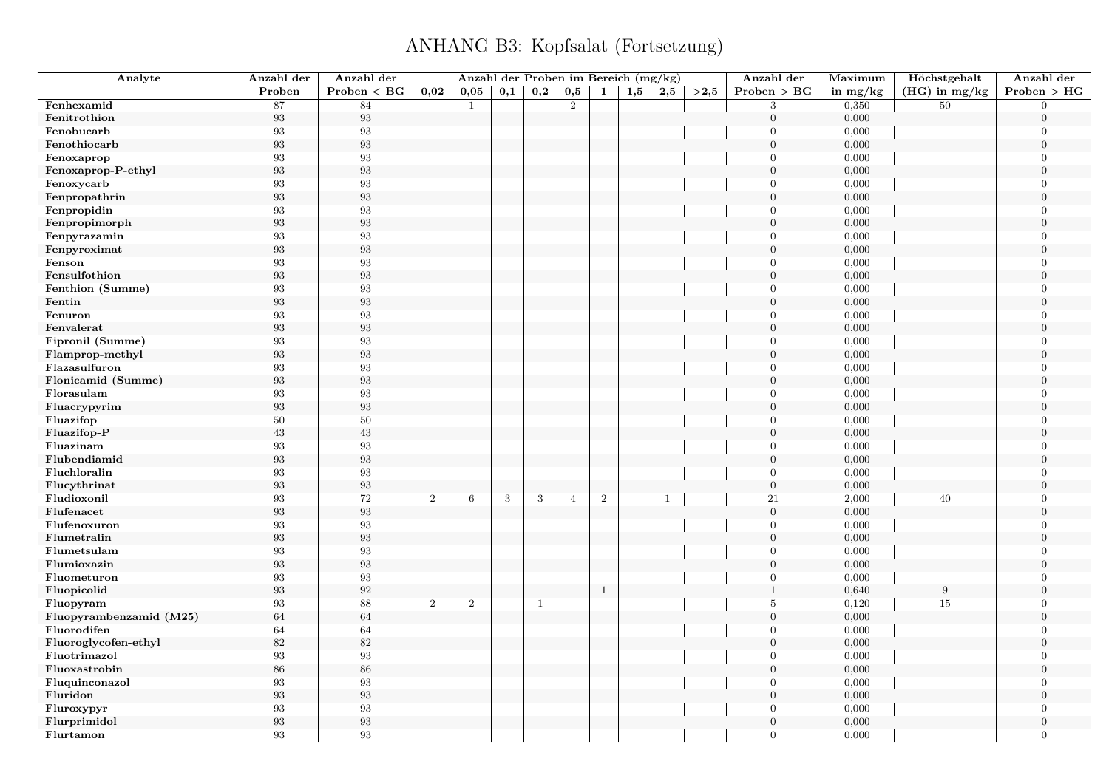| Analyte                 | Anzahl der        | Anzahl der        |                  |                |            |     |                |              | Anzahl der Proben im Bereich (mg/kg) |              |      | Anzahl der       | Maximum    | Höchstgehalt    | Anzahl der       |
|-------------------------|-------------------|-------------------|------------------|----------------|------------|-----|----------------|--------------|--------------------------------------|--------------|------|------------------|------------|-----------------|------------------|
|                         | Proben            | Problem < BG      | 0,02             | 0,05           | 0,1        | 0,2 | 0,5            | 1            | 1,5                                  | 2,5          | >2.5 | Problem > BG     | in $mg/kg$ | $(HG)$ in mg/kg | Problem > HG     |
| Fenhexamid              | 87                | 84                |                  | $\mathbf{1}$   |            |     | 2              |              |                                      |              |      | 3                | 0,350      | 50              | $\Omega$         |
| Fenitrothion            | $\boldsymbol{93}$ | $\boldsymbol{93}$ |                  |                |            |     |                |              |                                      |              |      | $\boldsymbol{0}$ | 0,000      |                 | $\overline{0}$   |
| Fenobucarb              | 93                | $\boldsymbol{93}$ |                  |                |            |     |                |              |                                      |              |      | $\Omega$         | 0,000      |                 | $\overline{0}$   |
| Fenothiocarb            | 93                | $\boldsymbol{93}$ |                  |                |            |     |                |              |                                      |              |      | $\theta$         | 0,000      |                 | $\boldsymbol{0}$ |
| Fenoxaprop              | $\boldsymbol{93}$ | $\boldsymbol{93}$ |                  |                |            |     |                |              |                                      |              |      | $\Omega$         | 0,000      |                 | $\theta$         |
| Fenoxaprop-P-ethyl      | $\boldsymbol{93}$ | $\boldsymbol{93}$ |                  |                |            |     |                |              |                                      |              |      | $\mathbf{0}$     | 0,000      |                 | $\boldsymbol{0}$ |
| Fenoxycarb              | 93                | 93                |                  |                |            |     |                |              |                                      |              |      | $\theta$         | 0,000      |                 | $\overline{0}$   |
| Fenpropathrin           | $\boldsymbol{93}$ | $\boldsymbol{93}$ |                  |                |            |     |                |              |                                      |              |      | $\overline{0}$   | 0,000      |                 | $\overline{0}$   |
| Fenpropidin             | $\boldsymbol{93}$ | $\boldsymbol{93}$ |                  |                |            |     |                |              |                                      |              |      | $\Omega$         | 0,000      |                 | $\Omega$         |
| Fenpropimorph           | $\boldsymbol{93}$ | $\boldsymbol{93}$ |                  |                |            |     |                |              |                                      |              |      | $\overline{0}$   | 0,000      |                 | $\overline{0}$   |
| Fenpyrazamin            | 93                | $\boldsymbol{93}$ |                  |                |            |     |                |              |                                      |              |      | $\theta$         | 0,000      |                 | $\Omega$         |
| Fenpyroximat            | $\boldsymbol{93}$ | $\boldsymbol{93}$ |                  |                |            |     |                |              |                                      |              |      | $\theta$         | 0,000      |                 | $\theta$         |
| Fenson                  | 93                | $\boldsymbol{93}$ |                  |                |            |     |                |              |                                      |              |      | $\Omega$         | 0,000      |                 | $\Omega$         |
| Fensulfothion           | 93                | $\boldsymbol{93}$ |                  |                |            |     |                |              |                                      |              |      | $\overline{0}$   | 0,000      |                 | $\overline{0}$   |
| Fenthion (Summe)        | 93                | $\boldsymbol{93}$ |                  |                |            |     |                |              |                                      |              |      | $\theta$         | 0,000      |                 | $\theta$         |
| Fentin                  | $\boldsymbol{93}$ | $\boldsymbol{93}$ |                  |                |            |     |                |              |                                      |              |      | $\Omega$         | 0,000      |                 | $\theta$         |
| Fenuron                 | 93                | $\boldsymbol{93}$ |                  |                |            |     |                |              |                                      |              |      | $\mathbf{0}$     | 0,000      |                 | $\overline{0}$   |
| Fenvalerat              | $\boldsymbol{93}$ | $\boldsymbol{93}$ |                  |                |            |     |                |              |                                      |              |      | $\overline{0}$   | 0,000      |                 | $\theta$         |
| Fipronil (Summe)        | 93                | 93                |                  |                |            |     |                |              |                                      |              |      | $\overline{0}$   | 0,000      |                 | $\Omega$         |
| Flamprop-methyl         | $\boldsymbol{93}$ | $\boldsymbol{93}$ |                  |                |            |     |                |              |                                      |              |      | $\Omega$         | 0,000      |                 | $\Omega$         |
| Flazasulfuron           | 93                | $\boldsymbol{93}$ |                  |                |            |     |                |              |                                      |              |      | $\mathbf{0}$     | 0,000      |                 | $\overline{0}$   |
| Flonicamid (Summe)      | $\boldsymbol{93}$ | $\boldsymbol{93}$ |                  |                |            |     |                |              |                                      |              |      | $\theta$         | 0,000      |                 | $\overline{0}$   |
| Florasulam              | 93                | $\boldsymbol{93}$ |                  |                |            |     |                |              |                                      |              |      | $\theta$         | 0,000      |                 | $\theta$         |
| Fluacrypyrim            | $\boldsymbol{93}$ | $\boldsymbol{93}$ |                  |                |            |     |                |              |                                      |              |      | $\overline{0}$   | 0,000      |                 | $\overline{0}$   |
| Fluazifop               | 50                | $50\,$            |                  |                |            |     |                |              |                                      |              |      | $\Omega$         | 0,000      |                 | $\overline{0}$   |
| Fluazifop-P             | $\!43\!$          | $43\,$            |                  |                |            |     |                |              |                                      |              |      | $\overline{0}$   | 0,000      |                 | $\overline{0}$   |
| Fluazinam               | $\boldsymbol{93}$ | $\boldsymbol{93}$ |                  |                |            |     |                |              |                                      |              |      | $\Omega$         | 0,000      |                 | $\theta$         |
| Flubendiamid            | 93                | $\boldsymbol{93}$ |                  |                |            |     |                |              |                                      |              |      | $\mathbf{0}$     | 0,000      |                 | $\mathbf{0}$     |
| Fluchloralin            | 93                | 93                |                  |                |            |     |                |              |                                      |              |      | $\theta$         | 0,000      |                 | $\Omega$         |
| Flucythrinat            | $\boldsymbol{93}$ | $\boldsymbol{93}$ |                  |                |            |     |                |              |                                      |              |      | $\boldsymbol{0}$ | 0,000      |                 | $\overline{0}$   |
| Fludioxonil             | 93                | 72                | $\boldsymbol{2}$ | 6              | $\sqrt{3}$ | 3   | $\overline{4}$ | $\sqrt{2}$   |                                      | $\mathbf{1}$ |      | 21               | 2,000      | 40              | $\Omega$         |
| Flufenacet              | $\boldsymbol{93}$ | $\boldsymbol{93}$ |                  |                |            |     |                |              |                                      |              |      | $\mathbf{0}$     | 0,000      |                 | $\overline{0}$   |
| Flufenoxuron            | 93                | $\boldsymbol{93}$ |                  |                |            |     |                |              |                                      |              |      | $\Omega$         | 0,000      |                 | $\Omega$         |
| Flumetralin             | $\boldsymbol{93}$ | $\boldsymbol{93}$ |                  |                |            |     |                |              |                                      |              |      | $\overline{0}$   | 0,000      |                 | $\theta$         |
| Flumetsulam             | 93                | 93                |                  |                |            |     |                |              |                                      |              |      | $\Omega$         | 0,000      |                 | $\Omega$         |
| Flumioxazin             | 93                | $\boldsymbol{93}$ |                  |                |            |     |                |              |                                      |              |      | $\mathbf{0}$     | 0,000      |                 | $\overline{0}$   |
| Fluometuron             | 93                | $\boldsymbol{93}$ |                  |                |            |     |                |              |                                      |              |      | $\theta$         | 0,000      |                 | $\Omega$         |
| Fluopicolid             | $\boldsymbol{93}$ | $\sqrt{92}$       |                  |                |            |     |                | $\mathbf{1}$ |                                      |              |      | $\mathbf{1}$     | 0,640      | 9               | $\overline{0}$   |
| Fluopyram               | 93                | 88                | $\sqrt{2}$       | $\overline{2}$ |            | -1  |                |              |                                      |              |      | $\,$ 5 $\,$      | 0,120      | 15              | $\overline{0}$   |
| Fluopyrambenzamid (M25) | $64\,$            | $64\,$            |                  |                |            |     |                |              |                                      |              |      | $\theta$         | 0,000      |                 | $\theta$         |
| Fluorodifen             | 64                | 64                |                  |                |            |     |                |              |                                      |              |      | $\theta$         | 0,000      |                 | $\Omega$         |
| Fluoroglycofen-ethyl    | 82                | 82                |                  |                |            |     |                |              |                                      |              |      | $\overline{0}$   | 0,000      |                 | $\theta$         |
| Fluotrimazol            | 93                | $\boldsymbol{93}$ |                  |                |            |     |                |              |                                      |              |      | $\mathbf{0}$     | 0,000      |                 | $\overline{0}$   |
| Fluoxastrobin           | 86                | $86\,$            |                  |                |            |     |                |              |                                      |              |      | $\theta$         | 0,000      |                 | $\theta$         |
| Fluquinconazol          | $\boldsymbol{93}$ | $\boldsymbol{93}$ |                  |                |            |     |                |              |                                      |              |      | $\mathbf{0}$     | 0,000      |                 | $\overline{0}$   |
| Fluridon                | 93                | $\boldsymbol{93}$ |                  |                |            |     |                |              |                                      |              |      | $\mathbf{0}$     | 0,000      |                 | $\overline{0}$   |
| Fluroxypyr              | 93                | 93                |                  |                |            |     |                |              |                                      |              |      | $\Omega$         | 0,000      |                 | $\overline{0}$   |
| Flurprimidol            | $\boldsymbol{93}$ | $\boldsymbol{93}$ |                  |                |            |     |                |              |                                      |              |      | $\boldsymbol{0}$ | 0,000      |                 | $\overline{0}$   |
| Flurtamon               | 93                | 93                |                  |                |            |     |                |              |                                      |              |      | $\Omega$         | 0,000      |                 | $\overline{0}$   |
|                         |                   |                   |                  |                |            |     |                |              |                                      |              |      |                  |            |                 |                  |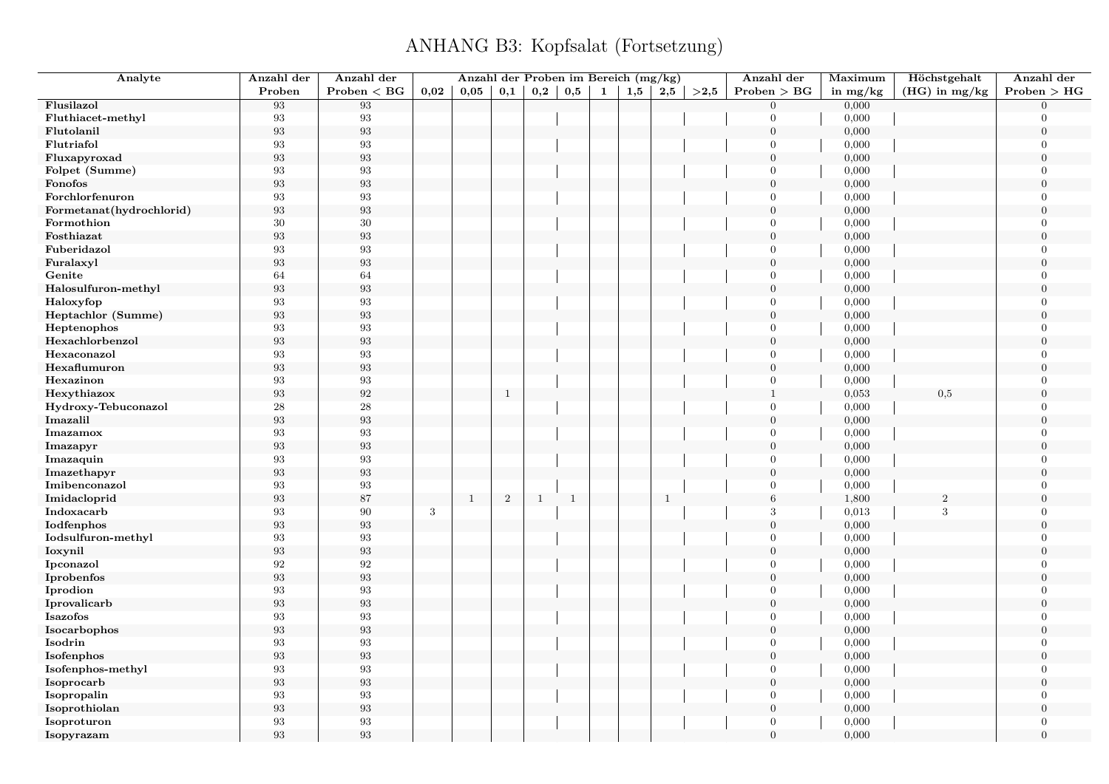| Analyte                  | Anzahl der        | Anzahl der        |      |              |                |              |              |   | Anzahl der Proben im Bereich (mg/kg) |              |      | Anzahl der       | Maximum    | Höchstgehalt    | Anzahl der       |
|--------------------------|-------------------|-------------------|------|--------------|----------------|--------------|--------------|---|--------------------------------------|--------------|------|------------------|------------|-----------------|------------------|
|                          | Proben            | Problem < BG      | 0,02 | 0,05         | 0,1            | 0,2          | 0,5          | 1 | 1,5                                  | 2,5          | >2,5 | Problem > BG     | in $mg/kg$ | $(HG)$ in mg/kg | Problem > HG     |
| Flusilazol               | 93                | 93                |      |              |                |              |              |   |                                      |              |      | $\overline{0}$   | 0,000      |                 | $\Omega$         |
| Fluthiacet-methyl        | 93                | 93                |      |              |                |              |              |   |                                      |              |      | $\overline{0}$   | 0,000      |                 | $\overline{0}$   |
| Flutolanil               | 93                | $\boldsymbol{93}$ |      |              |                |              |              |   |                                      |              |      | $\overline{0}$   | 0,000      |                 | $\overline{0}$   |
| Flutriafol               | 93                | 93                |      |              |                |              |              |   |                                      |              |      | $\overline{0}$   | 0,000      |                 | $\overline{0}$   |
| Fluxapyroxad             | 93                | 93                |      |              |                |              |              |   |                                      |              |      | $\overline{0}$   | 0,000      |                 | $\theta$         |
| Folpet (Summe)           | 93                | 93                |      |              |                |              |              |   |                                      |              |      | $\overline{0}$   | 0,000      |                 | $\overline{0}$   |
| Fonofos                  | 93                | 93                |      |              |                |              |              |   |                                      |              |      | $\mathbf{0}$     | 0,000      |                 | $\overline{0}$   |
| Forchlorfenuron          | 93                | 93                |      |              |                |              |              |   |                                      |              |      | $\overline{0}$   | 0,000      |                 | $\overline{0}$   |
| Formetanat(hydrochlorid) | 93                | 93                |      |              |                |              |              |   |                                      |              |      | $\boldsymbol{0}$ | 0,000      |                 | $\theta$         |
| Formothion               | 30                | $30\,$            |      |              |                |              |              |   |                                      |              |      | $\overline{0}$   | 0,000      |                 | $\overline{0}$   |
| Fosthiazat               | 93                | $\boldsymbol{93}$ |      |              |                |              |              |   |                                      |              |      | $\overline{0}$   | 0,000      |                 | $\overline{0}$   |
| Fuberidazol              | 93                | $\boldsymbol{93}$ |      |              |                |              |              |   |                                      |              |      | $\overline{0}$   | 0,000      |                 | $\theta$         |
| Furalaxyl                | $\boldsymbol{93}$ | $\boldsymbol{93}$ |      |              |                |              |              |   |                                      |              |      | $\overline{0}$   | 0,000      |                 | $\overline{0}$   |
| Genite                   | 64                | 64                |      |              |                |              |              |   |                                      |              |      | $\Omega$         | 0,000      |                 | $\overline{0}$   |
| Halosulfuron-methyl      | 93                | $\boldsymbol{93}$ |      |              |                |              |              |   |                                      |              |      | $\mathbf{0}$     | 0,000      |                 | $\overline{0}$   |
| Haloxyfop                | 93                | 93                |      |              |                |              |              |   |                                      |              |      | $\overline{0}$   | 0,000      |                 | $\overline{0}$   |
| Heptachlor (Summe)       | 93                | $\boldsymbol{93}$ |      |              |                |              |              |   |                                      |              |      | $\boldsymbol{0}$ | 0,000      |                 | $\overline{0}$   |
| Heptenophos              | 93                | 93                |      |              |                |              |              |   |                                      |              |      | $\overline{0}$   | 0,000      |                 | $\Omega$         |
| Hexachlorbenzol          | 93                | $\boldsymbol{93}$ |      |              |                |              |              |   |                                      |              |      | $\overline{0}$   | 0,000      |                 | $\theta$         |
| Hexaconazol              | 93                | $\boldsymbol{93}$ |      |              |                |              |              |   |                                      |              |      | $\overline{0}$   | 0,000      |                 | $\Omega$         |
| Hexaflumuron             | $\boldsymbol{93}$ | 93                |      |              |                |              |              |   |                                      |              |      | $\mathbf{0}$     | 0,000      |                 | $\overline{0}$   |
| Hexazinon                | 93                | 93                |      |              |                |              |              |   |                                      |              |      | $\overline{0}$   | 0,000      |                 | $\Omega$         |
| Hexythiazox              | 93                | $\boldsymbol{92}$ |      |              | $\,$ 1         |              |              |   |                                      |              |      | $\mathbf{1}$     | 0,053      | 0,5             | $\theta$         |
| Hydroxy-Tebuconazol      | 28                | $\sqrt{28}$       |      |              |                |              |              |   |                                      |              |      | $\overline{0}$   | 0,000      |                 | $\overline{0}$   |
| Imazalil                 | 93                | 93                |      |              |                |              |              |   |                                      |              |      | $\overline{0}$   | 0,000      |                 | $\theta$         |
| Imazamox                 | 93                | $\boldsymbol{93}$ |      |              |                |              |              |   |                                      |              |      | $\overline{0}$   | 0,000      |                 | $\overline{0}$   |
| Imazapyr                 | 93                | 93                |      |              |                |              |              |   |                                      |              |      | $\mathbf{0}$     | 0,000      |                 | $\Omega$         |
| Imazaquin                | 93                | 93                |      |              |                |              |              |   |                                      |              |      | $\mathbf{0}$     | 0,000      |                 | $\overline{0}$   |
| Imazethapyr              | 93                | 93                |      |              |                |              |              |   |                                      |              |      | $\overline{0}$   | 0,000      |                 | $\overline{0}$   |
| Imibenconazol            | 93                | 93                |      |              |                |              |              |   |                                      |              |      | $\overline{0}$   | 0,000      |                 | $\overline{0}$   |
| Imidacloprid             | 93                | 87                |      | $\mathbf{1}$ | $\overline{2}$ | <sup>1</sup> | $\mathbf{1}$ |   |                                      | $\mathbf{1}$ |      | $\,6\,$          | 1,800      | $\sqrt{2}$      | $\theta$         |
| Indoxacarb               | 93                | 90                | 3    |              |                |              |              |   |                                      |              |      | 3                | 0,013      | 3               | $\overline{0}$   |
| Iodfenphos               | $\boldsymbol{93}$ | $\boldsymbol{93}$ |      |              |                |              |              |   |                                      |              |      | $\mathbf{0}$     | 0,000      |                 | $\overline{0}$   |
| Iodsulfuron-methyl       | 93                | $\boldsymbol{93}$ |      |              |                |              |              |   |                                      |              |      | $\Omega$         | 0,000      |                 | $\theta$         |
| Ioxynil                  | $\boldsymbol{93}$ | $\boldsymbol{93}$ |      |              |                |              |              |   |                                      |              |      | $\overline{0}$   | 0,000      |                 | $\boldsymbol{0}$ |
| Ipconazol                | 92                | 92                |      |              |                |              |              |   |                                      |              |      | $\overline{0}$   | 0,000      |                 | $\Omega$         |
| Iprobenfos               | 93                | $\boldsymbol{93}$ |      |              |                |              |              |   |                                      |              |      | $\mathbf{0}$     | 0,000      |                 | $\overline{0}$   |
| Iprodion                 | 93                | 93                |      |              |                |              |              |   |                                      |              |      | $\overline{0}$   | 0,000      |                 | $\Omega$         |
| Iprovalicarb             | $\boldsymbol{93}$ | $\boldsymbol{93}$ |      |              |                |              |              |   |                                      |              |      | $\mathbf{0}$     | 0,000      |                 | $\overline{0}$   |
| Isazofos                 | 93                | 93                |      |              |                |              |              |   |                                      |              |      | $\overline{0}$   | 0,000      |                 | $\Omega$         |
| Isocarbophos             | 93                | 93                |      |              |                |              |              |   |                                      |              |      | $\overline{0}$   | 0,000      |                 | $\Omega$         |
| Isodrin                  | 93                | 93                |      |              |                |              |              |   |                                      |              |      | $\overline{0}$   | 0,000      |                 | $\theta$         |
| Isofenphos               | $\boldsymbol{93}$ | $\boldsymbol{93}$ |      |              |                |              |              |   |                                      |              |      | $\mathbf{0}$     | 0,000      |                 | $\overline{0}$   |
| Isofenphos-methyl        | $\boldsymbol{93}$ | $\boldsymbol{93}$ |      |              |                |              |              |   |                                      |              |      | $\overline{0}$   | 0,000      |                 | $\theta$         |
| Isoprocarb               | 93                | $\boldsymbol{93}$ |      |              |                |              |              |   |                                      |              |      | $\mathbf{0}$     | 0,000      |                 | $\overline{0}$   |
| Isopropalin              | 93                | 93                |      |              |                |              |              |   |                                      |              |      | $\overline{0}$   | 0,000      |                 | $\overline{0}$   |
| Isoprothiolan            | $\boldsymbol{93}$ | 93                |      |              |                |              |              |   |                                      |              |      | $\mathbf{0}$     | 0,000      |                 | $\theta$         |
| Isoproturon              | 93                | $\boldsymbol{93}$ |      |              |                |              |              |   |                                      |              |      | $\overline{0}$   | 0,000      |                 | $\overline{0}$   |
| Isopyrazam               | 93                | 93                |      |              |                |              |              |   |                                      |              |      | $\theta$         | 0,000      |                 | $\theta$         |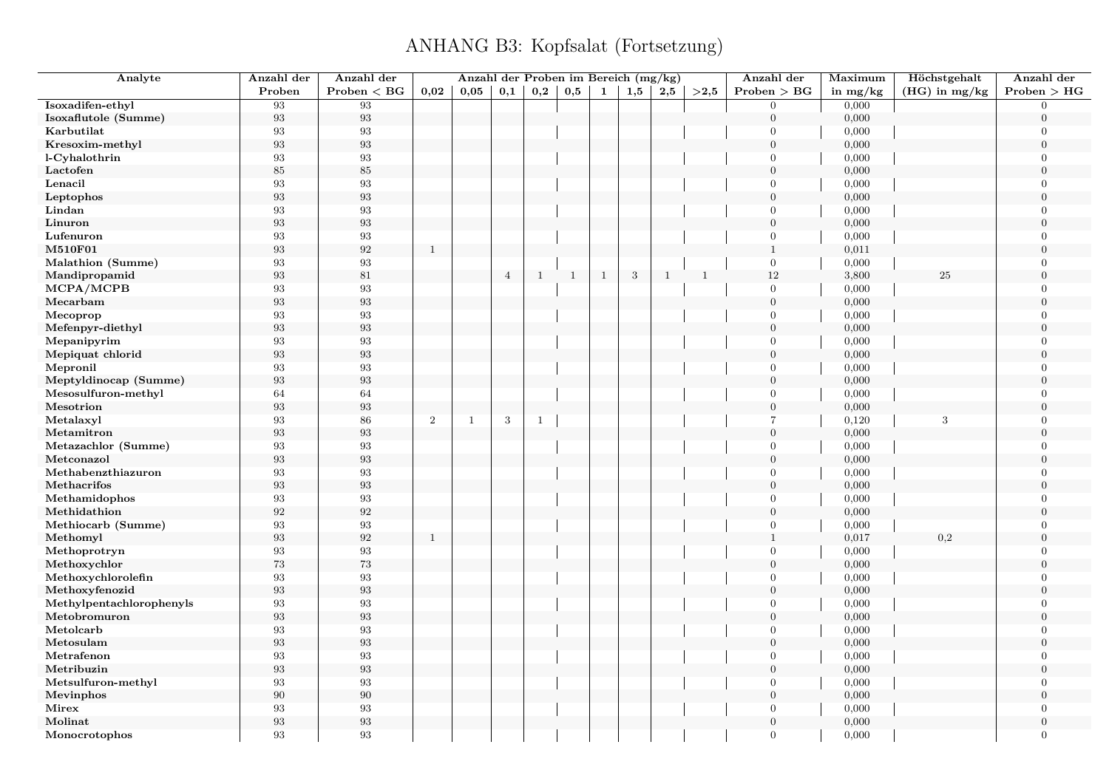| Analyte                          | Anzahl der        | Anzahl der              |                | Anzahl der Proben im Bereich (mg/kg) |            |              |              |              |            |              |              | Anzahl der       | Maximum    | Höchstgehalt    | Anzahl der       |
|----------------------------------|-------------------|-------------------------|----------------|--------------------------------------|------------|--------------|--------------|--------------|------------|--------------|--------------|------------------|------------|-----------------|------------------|
|                                  | Proben            | Problem < BG            | 0,02           | 0,05                                 | 0,1        | 0,2          | 0,5          | 1            | 1,5        | $2{,}5$      | >2.5         | Problem > BG     | in $mg/kg$ | $(HG)$ in mg/kg | Problem > HG     |
| Isoxadifen-ethyl                 | 93                | 93                      |                |                                      |            |              |              |              |            |              |              | $\overline{0}$   | 0,000      |                 | $\overline{0}$   |
| Isoxaflutole (Summe)             | $\boldsymbol{93}$ | $\boldsymbol{93}$       |                |                                      |            |              |              |              |            |              |              | $\overline{0}$   | 0,000      |                 | $\overline{0}$   |
| Karbutilat                       | $\boldsymbol{93}$ | 93                      |                |                                      |            |              |              |              |            |              |              | $\mathbf{0}$     | 0,000      |                 | $\boldsymbol{0}$ |
| Kresoxim-methyl                  | $\boldsymbol{93}$ | $\boldsymbol{93}$       |                |                                      |            |              |              |              |            |              |              | $\mathbf{0}$     | 0,000      |                 | $\boldsymbol{0}$ |
| l-Cyhalothrin                    | 93                | 93                      |                |                                      |            |              |              |              |            |              |              | $\overline{0}$   | 0,000      |                 | $\overline{0}$   |
| Lactofen                         | $85\,$            | $85\,$                  |                |                                      |            |              |              |              |            |              |              | $\mathbf{0}$     | 0,000      |                 | $\overline{0}$   |
| Lenacil                          | $\boldsymbol{93}$ | $\boldsymbol{93}$       |                |                                      |            |              |              |              |            |              |              | $\boldsymbol{0}$ | 0,000      |                 | $\overline{0}$   |
| Leptophos                        | $\boldsymbol{93}$ | $\boldsymbol{93}$       |                |                                      |            |              |              |              |            |              |              | $\mathbf{0}$     | 0,000      |                 | $\overline{0}$   |
| Lindan                           | 93                | $\boldsymbol{93}$       |                |                                      |            |              |              |              |            |              |              | $\overline{0}$   | 0,000      |                 | $\Omega$         |
| Linuron                          | 93                | $\boldsymbol{93}$       |                |                                      |            |              |              |              |            |              |              | $\mathbf{0}$     | 0,000      |                 | $\overline{0}$   |
| Lufenuron                        | 93                | $\boldsymbol{93}$       |                |                                      |            |              |              |              |            |              |              | $\overline{0}$   | 0,000      |                 | $\Omega$         |
| M510F01                          | 93                | $\boldsymbol{92}$       | <sup>1</sup>   |                                      |            |              |              |              |            |              |              | $\mathbf{1}$     | 0,011      |                 | $\overline{0}$   |
| <b>Malathion</b> (Summe)         | 93                | $\boldsymbol{93}$       |                |                                      |            |              |              |              |            |              |              | $\mathbf{0}$     | 0,000      |                 | $\overline{0}$   |
| Mandipropamid                    | $\boldsymbol{93}$ | $81\,$                  |                |                                      | $\sqrt{4}$ | $\mathbf{1}$ | <sup>1</sup> | $\mathbf{1}$ | $\sqrt{3}$ | $\mathbf{1}$ | <sup>1</sup> | $12\,$           | 3,800      | 25              | $\overline{0}$   |
| MCPA/MCPB                        | $\boldsymbol{93}$ | $\boldsymbol{93}$       |                |                                      |            |              |              |              |            |              |              | $\boldsymbol{0}$ | 0,000      |                 | $\overline{0}$   |
| Mecarbam                         | $\boldsymbol{93}$ | $\boldsymbol{93}$       |                |                                      |            |              |              |              |            |              |              | $\overline{0}$   | 0,000      |                 | $\overline{0}$   |
| Mecoprop                         | 93                | 93                      |                |                                      |            |              |              |              |            |              |              | $\mathbf{0}$     | 0,000      |                 | $\overline{0}$   |
| Mefenpyr-diethyl                 | $\boldsymbol{93}$ | $\boldsymbol{93}$       |                |                                      |            |              |              |              |            |              |              | $\mathbf{0}$     | 0,000      |                 | $\overline{0}$   |
| Mepanipyrim                      | 93                | $\boldsymbol{93}$       |                |                                      |            |              |              |              |            |              |              | $\mathbf{0}$     | 0,000      |                 | $\overline{0}$   |
| Mepiquat chlorid                 | 93                | $\boldsymbol{93}$       |                |                                      |            |              |              |              |            |              |              | $\boldsymbol{0}$ | 0,000      |                 | $\Omega$         |
| Mepronil                         | 93                | $\boldsymbol{93}$       |                |                                      |            |              |              |              |            |              |              | $\boldsymbol{0}$ | 0,000      |                 | $\overline{0}$   |
| Meptyldinocap (Summe)            | 93                | $\boldsymbol{93}$       |                |                                      |            |              |              |              |            |              |              | $\mathbf{0}$     | 0,000      |                 | $\overline{0}$   |
|                                  | 64                | 64                      |                |                                      |            |              |              |              |            |              |              | $\overline{0}$   | 0,000      |                 | $\overline{0}$   |
| Mesosulfuron-methyl<br>Mesotrion | $\boldsymbol{93}$ | $\boldsymbol{93}$       |                |                                      |            |              |              |              |            |              |              | $\boldsymbol{0}$ | 0,000      |                 | $\mathbf{0}$     |
|                                  | 93                | $86\,$                  | $\overline{2}$ | $\mathbf{1}$                         | 3          |              |              |              |            |              |              | $\overline{7}$   |            | 3               | $\overline{0}$   |
| Metalaxyl                        |                   |                         |                |                                      |            | $\mathbf{1}$ |              |              |            |              |              | $\overline{0}$   | 0,120      |                 | $\overline{0}$   |
| Metamitron                       | $\boldsymbol{93}$ | $\boldsymbol{93}$<br>93 |                |                                      |            |              |              |              |            |              |              | $\overline{0}$   | 0,000      |                 |                  |
| Metazachlor (Summe)              | $\boldsymbol{93}$ |                         |                |                                      |            |              |              |              |            |              |              |                  | 0,000      |                 | $\boldsymbol{0}$ |
| Metconazol                       | $\boldsymbol{93}$ | $\boldsymbol{93}$       |                |                                      |            |              |              |              |            |              |              | $\mathbf{0}$     | 0,000      |                 | $\boldsymbol{0}$ |
| Methabenzthiazuron               | 93                | 93                      |                |                                      |            |              |              |              |            |              |              | $\overline{0}$   | 0,000      |                 | $\overline{0}$   |
| Methacrifos                      | $\boldsymbol{93}$ | $\boldsymbol{93}$       |                |                                      |            |              |              |              |            |              |              | $\mathbf{0}$     | 0,000      |                 | $\overline{0}$   |
| Methamidophos                    | $\boldsymbol{93}$ | $\boldsymbol{93}$       |                |                                      |            |              |              |              |            |              |              | $\overline{0}$   | 0,000      |                 | $\Omega$         |
| Methidathion                     | $\boldsymbol{92}$ | $\boldsymbol{92}$       |                |                                      |            |              |              |              |            |              |              | $\boldsymbol{0}$ | 0,000      |                 | $\boldsymbol{0}$ |
| Methiocarb (Summe)               | $\boldsymbol{93}$ | $\boldsymbol{93}$       |                |                                      |            |              |              |              |            |              |              | $\overline{0}$   | 0,000      |                 | $\overline{0}$   |
| Methomyl                         | 93                | $\boldsymbol{92}$       | $\mathbf{1}$   |                                      |            |              |              |              |            |              |              | $\mathbf{1}$     | 0,017      | 0.2             | $\overline{0}$   |
| Methoprotryn                     | $\boldsymbol{93}$ | $\boldsymbol{93}$       |                |                                      |            |              |              |              |            |              |              | $\overline{0}$   | 0,000      |                 | $\Omega$         |
| Methoxychlor                     | $73\,$            | $73\,$                  |                |                                      |            |              |              |              |            |              |              | $\mathbf{0}$     | 0,000      |                 | $\mathbf{0}$     |
| Methoxychlorolefin               | 93                | 93                      |                |                                      |            |              |              |              |            |              |              | $\overline{0}$   | 0,000      |                 | $\overline{0}$   |
| Methoxyfenozid                   | $\boldsymbol{93}$ | $\boldsymbol{93}$       |                |                                      |            |              |              |              |            |              |              | $\mathbf{0}$     | 0,000      |                 | $\overline{0}$   |
| Methylpentachlorophenyls         | $\boldsymbol{93}$ | $\boldsymbol{93}$       |                |                                      |            |              |              |              |            |              |              | $\overline{0}$   | 0,000      |                 | $\overline{0}$   |
| Metobromuron                     | $\boldsymbol{93}$ | $\boldsymbol{93}$       |                |                                      |            |              |              |              |            |              |              | $\mathbf{0}$     | 0,000      |                 | $\overline{0}$   |
| Metolcarb                        | 93                | 93                      |                |                                      |            |              |              |              |            |              |              | $\mathbf{0}$     | 0,000      |                 | $\overline{0}$   |
| Metosulam                        | $\boldsymbol{93}$ | $\boldsymbol{93}$       |                |                                      |            |              |              |              |            |              |              | $\mathbf{0}$     | 0,000      |                 | $\Omega$         |
| Metrafenon                       | $\boldsymbol{93}$ | $\boldsymbol{93}$       |                |                                      |            |              |              |              |            |              |              | $\mathbf{0}$     | 0,000      |                 | $\overline{0}$   |
| Metribuzin                       | $\boldsymbol{93}$ | $\boldsymbol{93}$       |                |                                      |            |              |              |              |            |              |              | $\boldsymbol{0}$ | 0,000      |                 | $\overline{0}$   |
| Metsulfuron-methyl               | 93                | $\boldsymbol{93}$       |                |                                      |            |              |              |              |            |              |              | $\boldsymbol{0}$ | 0,000      |                 | $\overline{0}$   |
| Mevinphos                        | 90                | $90\,$                  |                |                                      |            |              |              |              |            |              |              | $\mathbf{0}$     | 0,000      |                 | $\overline{0}$   |
| Mirex                            | 93                | $\boldsymbol{93}$       |                |                                      |            |              |              |              |            |              |              | $\overline{0}$   | 0,000      |                 | $\overline{0}$   |
| Molinat                          | 93                | $\boldsymbol{93}$       |                |                                      |            |              |              |              |            |              |              | $\boldsymbol{0}$ | 0,000      |                 | $\mathbf{0}$     |
| Monocrotophos                    | 93                | 93                      |                |                                      |            |              |              |              |            |              |              | $\overline{0}$   | 0,000      |                 | $\overline{0}$   |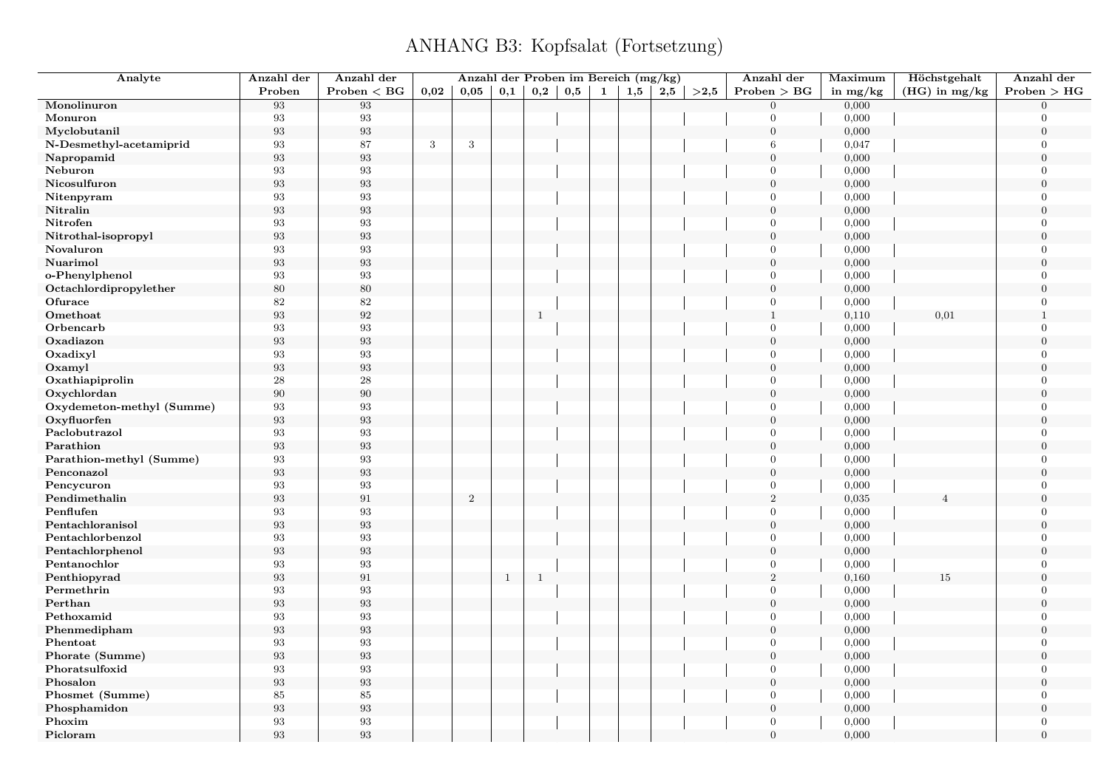| Analyte                   | Anzahl der        | Anzahl der        |      | Anzahl der Proben im Bereich (mg/kg) |              |              |              |   |          |     |      | Anzahl der       | Maximum    | Höchstgehalt    | Anzahl der       |
|---------------------------|-------------------|-------------------|------|--------------------------------------|--------------|--------------|--------------|---|----------|-----|------|------------------|------------|-----------------|------------------|
|                           | Proben            | Problem < BG      | 0,02 | 0,05                                 | $_{\rm 0,1}$ | $_{\rm 0,2}$ | $_{\rm 0,5}$ | 1 | $_{1,5}$ | 2,5 | >2,5 | Problem > BG     | in $mg/kg$ | $(HG)$ in mg/kg | Problem > HG     |
| Monolinuron               | $\boldsymbol{93}$ | $\boldsymbol{93}$ |      |                                      |              |              |              |   |          |     |      | $\overline{0}$   | 0,000      |                 | $\Omega$         |
| Monuron                   | 93                | 93                |      |                                      |              |              |              |   |          |     |      | $\overline{0}$   | 0,000      |                 | $\overline{0}$   |
| Myclobutanil              | $\boldsymbol{93}$ | $\boldsymbol{93}$ |      |                                      |              |              |              |   |          |     |      | $\mathbf{0}$     | 0,000      |                 | $\overline{0}$   |
| N-Desmethyl-acetamiprid   | 93                | 87                | 3    | 3                                    |              |              |              |   |          |     |      | 6                | 0,047      |                 | $\Omega$         |
| Napropamid                | $\boldsymbol{93}$ | $\boldsymbol{93}$ |      |                                      |              |              |              |   |          |     |      | $\overline{0}$   | 0,000      |                 | $\theta$         |
| Neburon                   | 93                | 93                |      |                                      |              |              |              |   |          |     |      | $\overline{0}$   | 0,000      |                 | $\theta$         |
| Nicosulfuron              | 93                | 93                |      |                                      |              |              |              |   |          |     |      | $\overline{0}$   | 0,000      |                 | $\Omega$         |
| Nitenpyram                | 93                | 93                |      |                                      |              |              |              |   |          |     |      | $\overline{0}$   | 0,000      |                 | $\Omega$         |
| Nitralin                  | 93                | 93                |      |                                      |              |              |              |   |          |     |      | $\overline{0}$   | 0,000      |                 | $\theta$         |
| Nitrofen                  | 93                | 93                |      |                                      |              |              |              |   |          |     |      | $\overline{0}$   | 0,000      |                 | $\overline{0}$   |
| Nitrothal-isopropyl       | 93                | 93                |      |                                      |              |              |              |   |          |     |      | $\boldsymbol{0}$ | 0,000      |                 | $\theta$         |
| Novaluron                 | 93                | 93                |      |                                      |              |              |              |   |          |     |      | $\overline{0}$   | 0,000      |                 | $\overline{0}$   |
| Nuarimol                  | $\boldsymbol{93}$ | $\boldsymbol{93}$ |      |                                      |              |              |              |   |          |     |      | $\mathbf{0}$     | 0,000      |                 | $\overline{0}$   |
| o-Phenylphenol            | 93                | 93                |      |                                      |              |              |              |   |          |     |      | $\overline{0}$   | 0,000      |                 | $\overline{0}$   |
| Octachlordipropylether    | 80                | 80                |      |                                      |              |              |              |   |          |     |      | $\overline{0}$   | 0,000      |                 | $\overline{0}$   |
| Ofurace                   | 82                | $82\,$            |      |                                      |              |              |              |   |          |     |      | $\overline{0}$   | 0,000      |                 | $\theta$         |
| Omethoat                  | 93                | $\boldsymbol{92}$ |      |                                      |              | $\mathbf{1}$ |              |   |          |     |      | $\mathbf{1}$     | 0,110      | 0,01            | $\mathbf{1}$     |
| Orbencarb                 | 93                | 93                |      |                                      |              |              |              |   |          |     |      | $\overline{0}$   | 0,000      |                 | $\Omega$         |
| Oxadiazon                 | 93                | $\boldsymbol{93}$ |      |                                      |              |              |              |   |          |     |      | $\mathbf{0}$     | 0,000      |                 | $\overline{0}$   |
| Oxadixyl                  | 93                | 93                |      |                                      |              |              |              |   |          |     |      | $\overline{0}$   | 0,000      |                 | $\Omega$         |
| Oxamyl                    | $\boldsymbol{93}$ | $\boldsymbol{93}$ |      |                                      |              |              |              |   |          |     |      | $\mathbf{0}$     | 0,000      |                 | $\theta$         |
| Oxathiapiprolin           | 28                | $\bf 28$          |      |                                      |              |              |              |   |          |     |      | $\overline{0}$   | 0,000      |                 | $\Omega$         |
| Oxychlordan               | 90                | $90\,$            |      |                                      |              |              |              |   |          |     |      | $\overline{0}$   | 0,000      |                 | $\theta$         |
| Oxydemeton-methyl (Summe) | $\boldsymbol{93}$ | $\boldsymbol{93}$ |      |                                      |              |              |              |   |          |     |      | $\overline{0}$   | 0,000      |                 | $\overline{0}$   |
| Oxyfluorfen               | $\boldsymbol{93}$ | $\boldsymbol{93}$ |      |                                      |              |              |              |   |          |     |      | $\mathbf{0}$     | 0,000      |                 | $\overline{0}$   |
| Paclobutrazol             | 93                | 93                |      |                                      |              |              |              |   |          |     |      | $\overline{0}$   | 0,000      |                 | $\theta$         |
| Parathion                 | 93                | 93                |      |                                      |              |              |              |   |          |     |      | $\mathbf{0}$     | 0,000      |                 | $\Omega$         |
| Parathion-methyl (Summe)  | 93                | 93                |      |                                      |              |              |              |   |          |     |      | $\overline{0}$   | 0,000      |                 | $\overline{0}$   |
| Penconazol                | 93                | 93                |      |                                      |              |              |              |   |          |     |      | $\boldsymbol{0}$ | 0,000      |                 | $\theta$         |
| Pencycuron                | 93                | 93                |      |                                      |              |              |              |   |          |     |      | $\overline{0}$   | 0,000      |                 | $\overline{0}$   |
| Pendimethalin             | $\boldsymbol{93}$ | $\rm 91$          |      | $\boldsymbol{2}$                     |              |              |              |   |          |     |      | $\overline{2}$   | 0,035      |                 | $\overline{0}$   |
| Penflufen                 | 93                | $\boldsymbol{93}$ |      |                                      |              |              |              |   |          |     |      | $\overline{0}$   | 0,000      |                 | $\Omega$         |
| Pentachloranisol          | 93                | $\boldsymbol{93}$ |      |                                      |              |              |              |   |          |     |      | $\overline{0}$   | 0,000      |                 | $\overline{0}$   |
| Pentachlorbenzol          | 93                | 93                |      |                                      |              |              |              |   |          |     |      | $\theta$         | 0,000      |                 | $\overline{0}$   |
| Pentachlorphenol          | $\boldsymbol{93}$ | $\boldsymbol{93}$ |      |                                      |              |              |              |   |          |     |      | $\mathbf{0}$     | 0,000      |                 | $\overline{0}$   |
| Pentanochlor              | 93                | 93                |      |                                      |              |              |              |   |          |     |      | $\overline{0}$   | 0,000      |                 | $\overline{0}$   |
| Penthiopyrad              | 93                | $\rm 91$          |      |                                      | $\mathbf{1}$ | $\mathbf{1}$ |              |   |          |     |      | $\,2$            | 0,160      | 15              | $\overline{0}$   |
| Permethrin                | 93                | 93                |      |                                      |              |              |              |   |          |     |      | $\overline{0}$   | 0,000      |                 | $\Omega$         |
| Perthan                   | 93                | $\boldsymbol{93}$ |      |                                      |              |              |              |   |          |     |      | $\overline{0}$   | 0,000      |                 | $\overline{0}$   |
| Pethoxamid                | 93                | $\boldsymbol{93}$ |      |                                      |              |              |              |   |          |     |      | $\overline{0}$   | 0,000      |                 | $\Omega$         |
| Phenmedipham              | 93                | 93                |      |                                      |              |              |              |   |          |     |      | $\overline{0}$   | 0,000      |                 | $\Omega$         |
| Phentoat                  | 93                | 93                |      |                                      |              |              |              |   |          |     |      | $\overline{0}$   | 0,000      |                 | $\Omega$         |
| Phorate (Summe)           | $\boldsymbol{93}$ | $\boldsymbol{93}$ |      |                                      |              |              |              |   |          |     |      | $\boldsymbol{0}$ | 0,000      |                 | $\overline{0}$   |
| Phoratsulfoxid            | 93                | 93                |      |                                      |              |              |              |   |          |     |      | $\overline{0}$   | 0,000      |                 | $\theta$         |
| Phosalon                  | 93                | $\boldsymbol{93}$ |      |                                      |              |              |              |   |          |     |      | $\boldsymbol{0}$ | 0,000      |                 | $\theta$         |
| Phosmet (Summe)           | 85                | 85                |      |                                      |              |              |              |   |          |     |      | $\overline{0}$   | 0,000      |                 | $\overline{0}$   |
| Phosphamidon              | $\boldsymbol{93}$ | 93                |      |                                      |              |              |              |   |          |     |      | $\overline{0}$   | 0,000      |                 | $\theta$         |
| Phoxim                    | 93                | $\boldsymbol{93}$ |      |                                      |              |              |              |   |          |     |      | $\overline{0}$   | 0,000      |                 | $\boldsymbol{0}$ |
| Picloram                  | 93                | 93                |      |                                      |              |              |              |   |          |     |      | $\theta$         | 0,000      |                 | $\theta$         |
|                           |                   |                   |      |                                      |              |              |              |   |          |     |      |                  |            |                 |                  |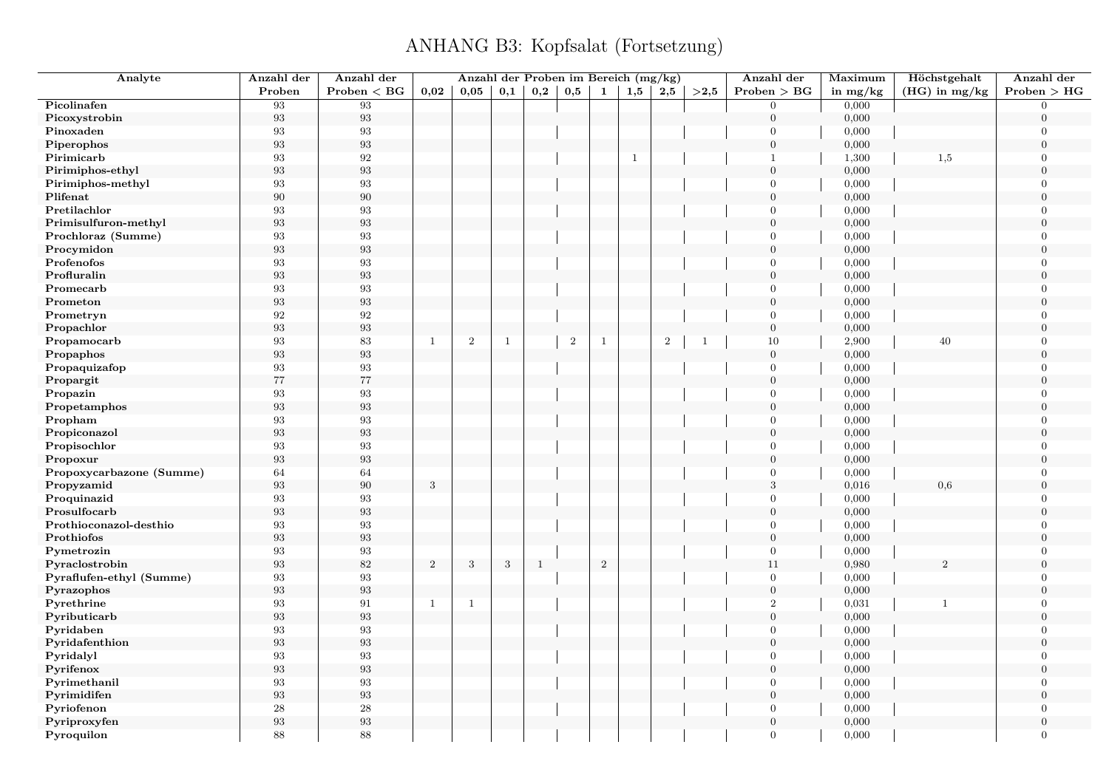| Analyte                              | Anzahl der              | Anzahl der        |              | Anzahl der Proben im Bereich (mg/kg) |              |              |                |              |              |                |              | Anzahl der       | Maximum    | Höchstgehalt    | Anzahl der       |
|--------------------------------------|-------------------------|-------------------|--------------|--------------------------------------|--------------|--------------|----------------|--------------|--------------|----------------|--------------|------------------|------------|-----------------|------------------|
|                                      | Proben                  | $Problem < B$ G   | 0.02         | 0.05                                 | 0,1          | 0,2          | 0,5            | 1            | 1,5          | 2,5            | >2.5         | Problem > BG     | in $mg/kg$ | $(HG)$ in mg/kg | Problem > HG     |
| Picolinafen                          | 93                      | 93                |              |                                      |              |              |                |              |              |                |              | $\overline{0}$   | 0,000      |                 | $\overline{0}$   |
| Picoxystrobin                        | $\boldsymbol{93}$       | $\boldsymbol{93}$ |              |                                      |              |              |                |              |              |                |              | $\boldsymbol{0}$ | 0,000      |                 | $\theta$         |
| Pinoxaden                            | 93                      | $\sqrt{93}$       |              |                                      |              |              |                |              |              |                |              | $\mathbf{0}$     | 0,000      |                 | $\overline{0}$   |
| Piperophos                           | 93                      | $\boldsymbol{93}$ |              |                                      |              |              |                |              |              |                |              | $\boldsymbol{0}$ | 0,000      |                 | $\overline{0}$   |
| Pirimicarb                           | 93                      | 92                |              |                                      |              |              |                |              | $\mathbf{1}$ |                |              | $\mathbf{1}$     | 1,300      | 1,5             | $\theta$         |
| Pirimiphos-ethyl                     | $\boldsymbol{93}$       | $\boldsymbol{93}$ |              |                                      |              |              |                |              |              |                |              | $\boldsymbol{0}$ | 0,000      |                 | $\overline{0}$   |
| Pirimiphos-methyl                    | 93                      | 93                |              |                                      |              |              |                |              |              |                |              | $\overline{0}$   | 0,000      |                 | $\Omega$         |
| Plifenat                             | $90\,$                  | $90\,$            |              |                                      |              |              |                |              |              |                |              | $\overline{0}$   | 0,000      |                 | $\overline{0}$   |
| Pretilachlor                         | 93                      | 93                |              |                                      |              |              |                |              |              |                |              | $\Omega$         | 0,000      |                 | $\Omega$         |
| Primisulfuron-methyl                 | $\boldsymbol{93}$       | $\boldsymbol{93}$ |              |                                      |              |              |                |              |              |                |              | $\overline{0}$   | 0,000      |                 | $\overline{0}$   |
| Prochloraz (Summe)                   | 93                      | $\sqrt{93}$       |              |                                      |              |              |                |              |              |                |              | $\Omega$         | 0,000      |                 | $\Omega$         |
| Procymidon                           | 93                      | $\boldsymbol{93}$ |              |                                      |              |              |                |              |              |                |              | $\overline{0}$   | 0,000      |                 | $\theta$         |
| Profenofos                           | 93                      | 93                |              |                                      |              |              |                |              |              |                |              | $\Omega$         | 0,000      |                 | $\Omega$         |
| Profluralin                          | $\boldsymbol{93}$       | $\boldsymbol{93}$ |              |                                      |              |              |                |              |              |                |              | $\boldsymbol{0}$ | 0,000      |                 | $\overline{0}$   |
| Promecarb                            | 93                      | $\sqrt{93}$       |              |                                      |              |              |                |              |              |                |              | $\overline{0}$   | 0,000      |                 | $\Omega$         |
| Prometon                             | 93                      | $\boldsymbol{93}$ |              |                                      |              |              |                |              |              |                |              | $\overline{0}$   | 0,000      |                 | $\Omega$         |
| Prometryn                            | $\rm 92$                | $\boldsymbol{92}$ |              |                                      |              |              |                |              |              |                |              | $\overline{0}$   | 0,000      |                 | $\theta$         |
| Propachlor                           | $\boldsymbol{93}$       | $\boldsymbol{93}$ |              |                                      |              |              |                |              |              |                |              | $\boldsymbol{0}$ | 0,000      |                 | $\Omega$         |
| Propamocarb                          | 93                      | 83                | $\mathbf{1}$ | $\mathbf{2}$                         | $\mathbf{1}$ |              | $\overline{2}$ | $\mathbf{1}$ |              | $\overline{2}$ | $\mathbf{1}$ | 10               | 2,900      | 40              | $\mathbf{0}$     |
| Propaphos                            | 93                      | $\boldsymbol{93}$ |              |                                      |              |              |                |              |              |                |              | $\overline{0}$   | 0,000      |                 | $\Omega$         |
| Propaquizafop                        | $\boldsymbol{93}$       | $\boldsymbol{93}$ |              |                                      |              |              |                |              |              |                |              | $\boldsymbol{0}$ | 0,000      |                 | $\theta$         |
| Propargit                            | $77\,$                  | 77                |              |                                      |              |              |                |              |              |                |              | $\boldsymbol{0}$ | 0,000      |                 | $\Omega$         |
| Propazin                             | 93                      | 93                |              |                                      |              |              |                |              |              |                |              | $\overline{0}$   | 0,000      |                 | $\overline{0}$   |
| Propetamphos                         | 93                      | $\boldsymbol{93}$ |              |                                      |              |              |                |              |              |                |              | $\boldsymbol{0}$ | 0,000      |                 | $\mathbf{0}$     |
| Propham                              | 93                      | $\boldsymbol{93}$ |              |                                      |              |              |                |              |              |                |              | $\mathbf{0}$     | 0,000      |                 | $\theta$         |
| Propiconazol                         | 93                      | $\boldsymbol{93}$ |              |                                      |              |              |                |              |              |                |              | $\boldsymbol{0}$ | 0,000      |                 | $\overline{0}$   |
| Propisochlor                         | 93                      | 93                |              |                                      |              |              |                |              |              |                |              | $\overline{0}$   | 0,000      |                 | $\Omega$         |
| Propoxur                             | $\boldsymbol{93}$       | $\boldsymbol{93}$ |              |                                      |              |              |                |              |              |                |              | $\boldsymbol{0}$ | 0,000      |                 | $\overline{0}$   |
| Propoxycarbazone (Summe)             | 64                      | 64                |              |                                      |              |              |                |              |              |                |              | $\Omega$         | 0,000      |                 | $\theta$         |
|                                      |                         | $90\,$            |              |                                      |              |              |                |              |              |                |              | 3                | 0,016      | 0,6             | $\mathbf{0}$     |
| Propyzamid                           | $\boldsymbol{93}$<br>93 | 93                | $\sqrt{3}$   |                                      |              |              |                |              |              |                |              | $\overline{0}$   | 0,000      |                 | $\Omega$         |
| Proquinazid<br>Prosulfocarb          | $\boldsymbol{93}$       | $\boldsymbol{93}$ |              |                                      |              |              |                |              |              |                |              | $\boldsymbol{0}$ |            |                 | $\overline{0}$   |
|                                      | 93                      | $\sqrt{93}$       |              |                                      |              |              |                |              |              |                |              | $\overline{0}$   | 0,000      |                 | $\Omega$         |
| Prothioconazol-desthio<br>Prothiofos |                         | $\boldsymbol{93}$ |              |                                      |              |              |                |              |              |                |              | $\overline{0}$   | 0,000      |                 | $\theta$         |
|                                      | 93                      |                   |              |                                      |              |              |                |              |              |                |              |                  | 0,000      |                 | $\Omega$         |
| Pymetrozin                           | 93                      | 93                |              |                                      |              |              |                |              |              |                |              | $\overline{0}$   | 0,000      |                 |                  |
| Pyraclostrobin                       | 93                      | $82\,$            | $\,2$        | 3                                    | 3            | $\mathbf{1}$ |                | $\sqrt{2}$   |              |                |              | 11               | 0,980      | 2               | $\boldsymbol{0}$ |
| Pyraflufen-ethyl (Summe)             | 93                      | 93                |              |                                      |              |              |                |              |              |                |              | $\overline{0}$   | 0,000      |                 | $\Omega$         |
| Pyrazophos                           | 93                      | $\boldsymbol{93}$ |              |                                      |              |              |                |              |              |                |              | $\boldsymbol{0}$ | 0,000      |                 | $\theta$         |
| Pyrethrine                           | 93                      | $\bf 91$          | $\mathbf{1}$ | 1                                    |              |              |                |              |              |                |              | $\overline{2}$   | 0,031      | $\mathbf{1}$    | $\theta$         |
| Pyributicarb                         | 93                      | $\boldsymbol{93}$ |              |                                      |              |              |                |              |              |                |              | $\boldsymbol{0}$ | 0,000      |                 | $\Omega$         |
| Pyridaben                            | 93                      | 93                |              |                                      |              |              |                |              |              |                |              | $\mathbf{0}$     | 0,000      |                 | $\Omega$         |
| Pyridafenthion                       | 93                      | $\boldsymbol{93}$ |              |                                      |              |              |                |              |              |                |              | $\overline{0}$   | 0,000      |                 | $\theta$         |
| Pyridalyl                            | $\boldsymbol{93}$       | $\boldsymbol{93}$ |              |                                      |              |              |                |              |              |                |              | $\mathbf{0}$     | 0,000      |                 | $\Omega$         |
| Pyrifenox                            | 93                      | $\boldsymbol{93}$ |              |                                      |              |              |                |              |              |                |              | $\boldsymbol{0}$ | 0,000      |                 | $\Omega$         |
| Pyrimethanil                         | 93                      | $\sqrt{93}$       |              |                                      |              |              |                |              |              |                |              | $\overline{0}$   | 0,000      |                 | $\Omega$         |
| Pyrimidifen                          | 93                      | $\boldsymbol{93}$ |              |                                      |              |              |                |              |              |                |              | $\overline{0}$   | 0,000      |                 | $\theta$         |
| Pyriofenon                           | 28                      | $\sqrt{28}$       |              |                                      |              |              |                |              |              |                |              | $\overline{0}$   | 0,000      |                 | $\overline{0}$   |
| Pyriproxyfen                         | $\boldsymbol{93}$       | $\boldsymbol{93}$ |              |                                      |              |              |                |              |              |                |              | $\mathbf{0}$     | 0,000      |                 | $\Omega$         |
| Pyroquilon                           | 88                      | 88                |              |                                      |              |              |                |              |              |                |              | $\Omega$         | 0,000      |                 | $\overline{0}$   |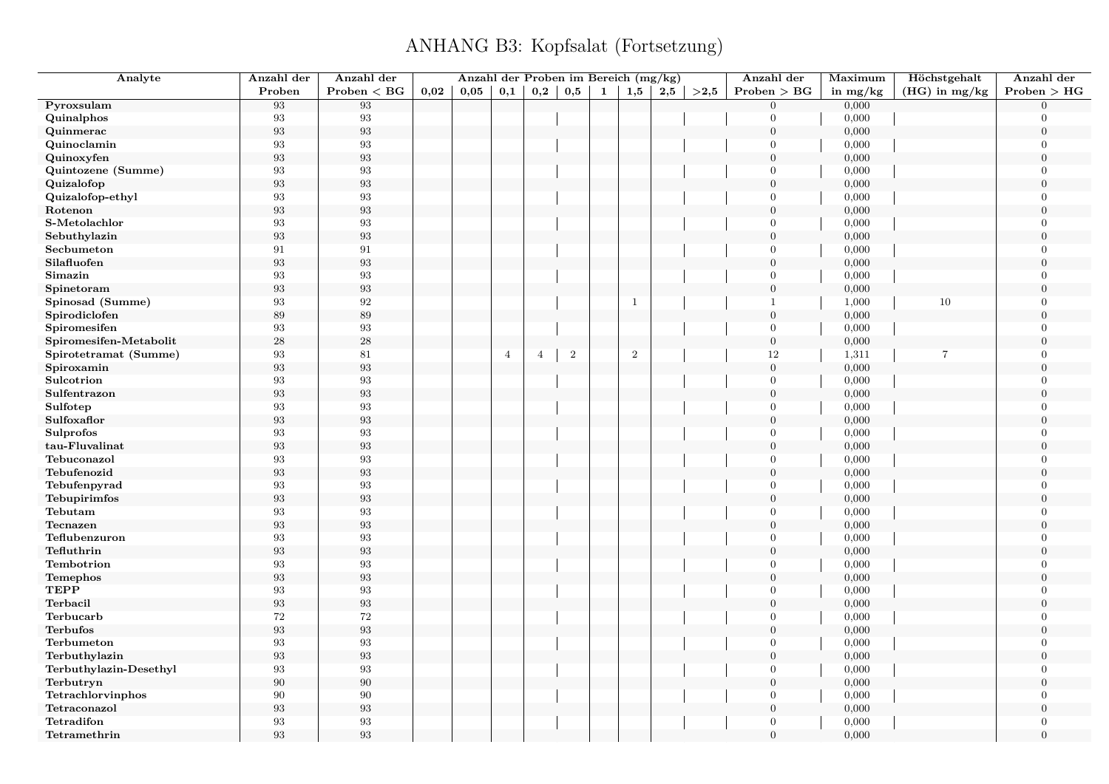| Analyte                      | Anzahl der        | Anzahl der              |      | Anzahl der Proben im Bereich (mg/kg) |                |                |          |              |              |     |      | Anzahl der       | Maximum        | Höchstgehalt    | Anzahl der                       |
|------------------------------|-------------------|-------------------------|------|--------------------------------------|----------------|----------------|----------|--------------|--------------|-----|------|------------------|----------------|-----------------|----------------------------------|
|                              | Proben            | Problem < BG            | 0,02 | 0,05                                 | 0,1            | 0,2            | $_{0,5}$ | $\mathbf{1}$ | 1,5          | 2,5 | >2,5 | Problem > BG     | in $mg/kg$     | $(HG)$ in mg/kg | Problem > HG                     |
| Pyroxsulam                   | 93                | 93                      |      |                                      |                |                |          |              |              |     |      | $\overline{0}$   | 0,000          |                 | $\Omega$                         |
| Quinalphos                   | $\boldsymbol{93}$ | $\boldsymbol{93}$       |      |                                      |                |                |          |              |              |     |      | $\overline{0}$   | 0,000          |                 | $\Omega$                         |
| Quinmerac                    | 93                | $\boldsymbol{93}$       |      |                                      |                |                |          |              |              |     |      | $\boldsymbol{0}$ | 0,000          |                 | $\mathbf{0}$                     |
| Quinoclamin                  | 93                | 93                      |      |                                      |                |                |          |              |              |     |      | $\overline{0}$   | 0,000          |                 | $\Omega$                         |
| Quinoxyfen                   | 93                | $\boldsymbol{93}$       |      |                                      |                |                |          |              |              |     |      | $\overline{0}$   | 0,000          |                 | $\Omega$                         |
| Quintozene (Summe)           | 93                | 93                      |      |                                      |                |                |          |              |              |     |      | $\overline{0}$   | 0,000          |                 | $\Omega$                         |
| Quizalofop                   | 93                | $\boldsymbol{93}$       |      |                                      |                |                |          |              |              |     |      | $\boldsymbol{0}$ | 0,000          |                 | $\Omega$                         |
| Quizalofop-ethyl             | 93                | 93                      |      |                                      |                |                |          |              |              |     |      | $\overline{0}$   | 0,000          |                 | $\overline{0}$                   |
| Rotenon                      | 93                | $\boldsymbol{93}$       |      |                                      |                |                |          |              |              |     |      | $\mathbf{0}$     | 0,000          |                 | $\Omega$                         |
| S-Metolachlor                | $\boldsymbol{93}$ | $\boldsymbol{93}$       |      |                                      |                |                |          |              |              |     |      | $\overline{0}$   | 0,000          |                 | $\Omega$                         |
| Sebuthylazin                 | $\boldsymbol{93}$ | $\boldsymbol{93}$       |      |                                      |                |                |          |              |              |     |      | $\boldsymbol{0}$ | 0,000          |                 | $\Omega$                         |
| Secbumeton                   | 91                | 91                      |      |                                      |                |                |          |              |              |     |      | $\overline{0}$   | 0,000          |                 | $\overline{0}$                   |
| Silafluofen                  | 93                | 93                      |      |                                      |                |                |          |              |              |     |      | $\overline{0}$   | 0,000          |                 | $\boldsymbol{0}$                 |
| Simazin                      | 93                | 93                      |      |                                      |                |                |          |              |              |     |      | $\overline{0}$   | 0,000          |                 | $\overline{0}$                   |
| Spinetoram                   | 93                | 93                      |      |                                      |                |                |          |              |              |     |      | $\boldsymbol{0}$ | 0,000          |                 | $\overline{0}$                   |
| Spinosad (Summe)             | 93                | $\boldsymbol{92}$       |      |                                      |                |                |          |              | $\mathbf{1}$ |     |      | $\overline{1}$   | 1,000          | 10              | $\overline{0}$                   |
| Spirodiclofen                | 89                | 89                      |      |                                      |                |                |          |              |              |     |      | $\boldsymbol{0}$ | 0,000          |                 | $\boldsymbol{0}$                 |
| Spiromesifen                 | 93                | 93                      |      |                                      |                |                |          |              |              |     |      | $\overline{0}$   | 0,000          |                 | $\overline{0}$                   |
| Spiromesifen-Metabolit       | 28                | 28                      |      |                                      |                |                |          |              |              |     |      | $\boldsymbol{0}$ | 0,000          |                 | $\mathbf{0}$                     |
| Spirotetramat (Summe)        | 93                | 81                      |      |                                      | $\overline{4}$ | $\overline{4}$ | $\,2$    |              | $\sqrt{2}$   |     |      | 12               | 1,311          | $\overline{7}$  | $\Omega$                         |
| Spiroxamin                   | 93                | $\boldsymbol{93}$       |      |                                      |                |                |          |              |              |     |      | $\boldsymbol{0}$ | 0,000          |                 | $\boldsymbol{0}$                 |
| Sulcotrion                   | $\boldsymbol{93}$ | 93                      |      |                                      |                |                |          |              |              |     |      | $\overline{0}$   | 0,000          |                 | $\Omega$                         |
| Sulfentrazon                 | 93                | $\boldsymbol{93}$       |      |                                      |                |                |          |              |              |     |      | $\boldsymbol{0}$ | 0,000          |                 | $\Omega$                         |
| Sulfotep                     | 93                | 93                      |      |                                      |                |                |          |              |              |     |      | $\overline{0}$   | 0,000          |                 | $\Omega$                         |
| Sulfoxaflor                  | 93                | 93                      |      |                                      |                |                |          |              |              |     |      | $\overline{0}$   | 0,000          |                 | $\boldsymbol{0}$                 |
| Sulprofos                    | 93                | 93                      |      |                                      |                |                |          |              |              |     |      | $\overline{0}$   | 0,000          |                 | $\Omega$                         |
| tau-Fluvalinat               | $\boldsymbol{93}$ | $\boldsymbol{93}$       |      |                                      |                |                |          |              |              |     |      | $\mathbf{0}$     | 0,000          |                 | $\theta$                         |
| Tebuconazol                  | 93                | 93                      |      |                                      |                |                |          |              |              |     |      | $\overline{0}$   | 0,000          |                 | $\overline{0}$                   |
| Tebufenozid                  | $\boldsymbol{93}$ | 93                      |      |                                      |                |                |          |              |              |     |      | $\overline{0}$   | 0,000          |                 | $\overline{0}$                   |
| Tebufenpyrad                 | 93                | 93                      |      |                                      |                |                |          |              |              |     |      | $\overline{0}$   | 0,000          |                 | $\Omega$                         |
| Tebupirimfos                 | 93                | $\boldsymbol{93}$       |      |                                      |                |                |          |              |              |     |      | $\mathbf{0}$     | 0,000          |                 | $\Omega$                         |
| Tebutam                      | 93                | 93                      |      |                                      |                |                |          |              |              |     |      | $\mathbf{0}$     | 0,000          |                 | $\overline{0}$                   |
| Tecnazen                     | 93                | $\boldsymbol{93}$       |      |                                      |                |                |          |              |              |     |      | $\mathbf{0}$     | 0,000          |                 | $\theta$                         |
| Teflubenzuron                | $\boldsymbol{93}$ | $\boldsymbol{93}$       |      |                                      |                |                |          |              |              |     |      | $\overline{0}$   | 0,000          |                 | $\overline{0}$                   |
| Tefluthrin                   | $\boldsymbol{93}$ | $\boldsymbol{93}$       |      |                                      |                |                |          |              |              |     |      | $\boldsymbol{0}$ | 0,000          |                 | $\Omega$                         |
| Tembotrion                   | 93                | 93                      |      |                                      |                |                |          |              |              |     |      | $\overline{0}$   | 0,000          |                 | $\mathbf{0}$                     |
| Temephos                     | 93                | 93                      |      |                                      |                |                |          |              |              |     |      | $\overline{0}$   | 0,000          |                 | $\overline{0}$                   |
| <b>TEPP</b>                  | 93                | 93                      |      |                                      |                |                |          |              |              |     |      | $\overline{0}$   |                |                 | $\overline{0}$                   |
| Terbacil                     |                   | $\boldsymbol{93}$       |      |                                      |                |                |          |              |              |     |      | $\boldsymbol{0}$ | 0,000          |                 | $\boldsymbol{0}$                 |
|                              | $\boldsymbol{93}$ |                         |      |                                      |                |                |          |              |              |     |      | $\overline{0}$   | 0,000          |                 | $\overline{0}$                   |
| Terbucarb<br><b>Terbufos</b> | 72                | $72\,$                  |      |                                      |                |                |          |              |              |     |      | $\overline{0}$   | 0,000<br>0,000 |                 | $\boldsymbol{0}$                 |
|                              | $\boldsymbol{93}$ | $\boldsymbol{93}$<br>93 |      |                                      |                |                |          |              |              |     |      | $\overline{0}$   |                |                 |                                  |
| Terbumeton                   | 93                |                         |      |                                      |                |                |          |              |              |     |      |                  | 0,000          |                 | $\overline{0}$<br>$\overline{0}$ |
| Terbuthylazin                | $\boldsymbol{93}$ | $\boldsymbol{93}$       |      |                                      |                |                |          |              |              |     |      | $\boldsymbol{0}$ | 0,000          |                 |                                  |
| Terbuthylazin-Desethyl       | 93                | 93                      |      |                                      |                |                |          |              |              |     |      | $\overline{0}$   | 0,000          |                 | $\Omega$                         |
| Terbutryn                    | 90                | $90\,$                  |      |                                      |                |                |          |              |              |     |      | $\mathbf{0}$     | 0,000          |                 | $\theta$<br>$\Omega$             |
| Tetrachlorvinphos            | 90                | 90                      |      |                                      |                |                |          |              |              |     |      | $\overline{0}$   | 0,000          |                 |                                  |
| Tetraconazol                 | $\boldsymbol{93}$ | $\boldsymbol{93}$       |      |                                      |                |                |          |              |              |     |      | $\boldsymbol{0}$ | 0,000          |                 | $\overline{0}$                   |
| Tetradifon                   | 93                | 93                      |      |                                      |                |                |          |              |              |     |      | $\overline{0}$   | 0,000          |                 | $\overline{0}$                   |
| Tetramethrin                 | 93                | 93                      |      |                                      |                |                |          |              |              |     |      | $\overline{0}$   | 0,000          |                 | $\overline{0}$                   |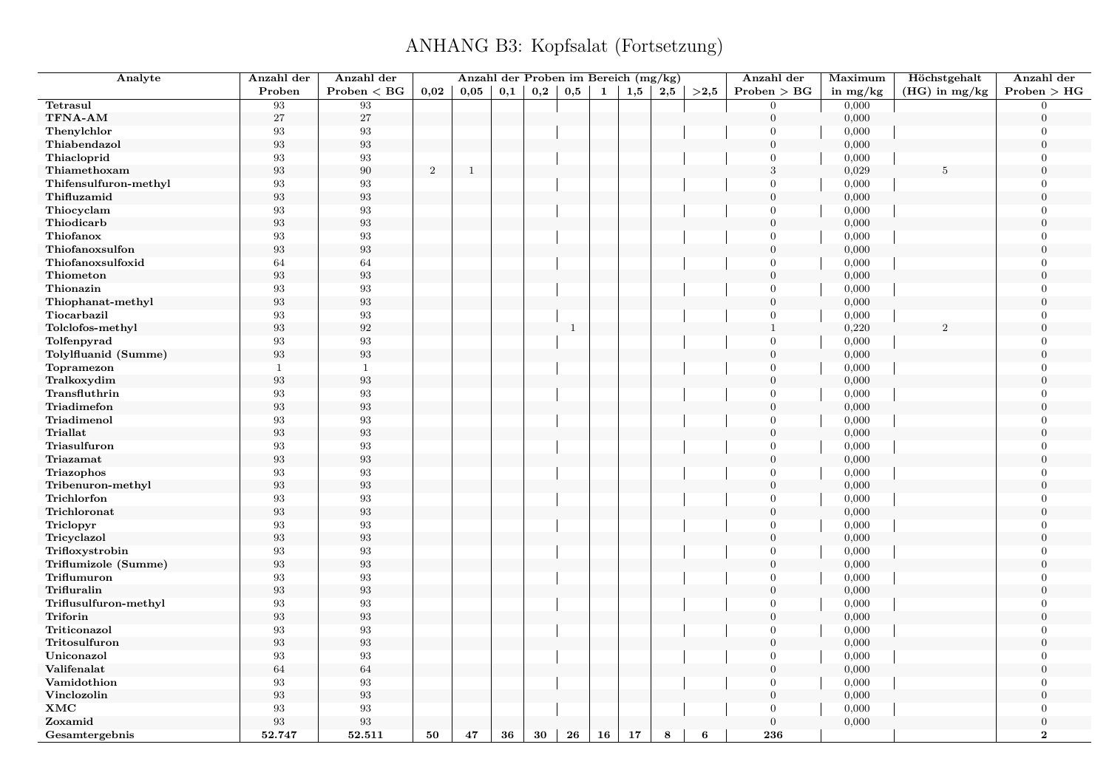| Analyte               | Anzahl der        | Anzahl der        |                  | Anzahl der Proben im Bereich (mg/kg) |     |     |              |    |     |     |      | Anzahl der       | Maximum    | Höchstgehalt    | Anzahl der       |
|-----------------------|-------------------|-------------------|------------------|--------------------------------------|-----|-----|--------------|----|-----|-----|------|------------------|------------|-----------------|------------------|
|                       | Proben            | Problem < BG      | 0,02             | 0.05                                 | 0,1 | 0,2 | 0,5          | 1  | 1,5 | 2,5 | >2.5 | Problem > BG     | in $mg/kg$ | $(HG)$ in mg/kg | Problem > HG     |
| Tetrasul              | 93                | 93                |                  |                                      |     |     |              |    |     |     |      | $\mathbf{0}$     | 0,000      |                 | $\overline{0}$   |
| TFNA-AM               | 27                | $27\,$            |                  |                                      |     |     |              |    |     |     |      | $\mathbf{0}$     | 0,000      |                 | $\overline{0}$   |
| Thenylchlor           | 93                | 93                |                  |                                      |     |     |              |    |     |     |      | $\overline{0}$   | 0,000      |                 | $\overline{0}$   |
| Thiabendazol          | $\boldsymbol{93}$ | $\boldsymbol{93}$ |                  |                                      |     |     |              |    |     |     |      | $\overline{0}$   | 0,000      |                 | $\boldsymbol{0}$ |
| Thiacloprid           | 93                | 93                |                  |                                      |     |     |              |    |     |     |      | $\overline{0}$   | 0,000      |                 | $\overline{0}$   |
| Thiamethoxam          | $\boldsymbol{93}$ | $90\,$            | $\boldsymbol{2}$ | $\mathbf{1}$                         |     |     |              |    |     |     |      | $\sqrt{3}$       | 0,029      | 5               | $\boldsymbol{0}$ |
| Thifensulfuron-methyl | 93                | 93                |                  |                                      |     |     |              |    |     |     |      | $\overline{0}$   | 0,000      |                 | $\overline{0}$   |
| Thifluzamid           | 93                | $\boldsymbol{93}$ |                  |                                      |     |     |              |    |     |     |      | $\mathbf{0}$     | 0,000      |                 | $\overline{0}$   |
| Thiocyclam            | 93                | $\boldsymbol{93}$ |                  |                                      |     |     |              |    |     |     |      | $\overline{0}$   | 0,000      |                 | $\Omega$         |
| Thiodicarb            | $\boldsymbol{93}$ | $\boldsymbol{93}$ |                  |                                      |     |     |              |    |     |     |      | $\boldsymbol{0}$ | 0,000      |                 | $\boldsymbol{0}$ |
| Thiofanox             | 93                | $\boldsymbol{93}$ |                  |                                      |     |     |              |    |     |     |      | $\overline{0}$   | 0,000      |                 | $\overline{0}$   |
| Thiofanoxsulfon       | 93                | $\boldsymbol{93}$ |                  |                                      |     |     |              |    |     |     |      | $\overline{0}$   | 0,000      |                 | $\overline{0}$   |
| Thiofanoxsulfoxid     | 64                | 64                |                  |                                      |     |     |              |    |     |     |      | $\overline{0}$   | 0,000      |                 | $\overline{0}$   |
| Thiometon             | $\boldsymbol{93}$ | $\boldsymbol{93}$ |                  |                                      |     |     |              |    |     |     |      | $\boldsymbol{0}$ | 0,000      |                 | $\boldsymbol{0}$ |
| Thionazin             | $\rm 93$          | $\boldsymbol{93}$ |                  |                                      |     |     |              |    |     |     |      | $\mathbf{0}$     | 0,000      |                 | $\Omega$         |
| Thiophanat-methyl     | 93                | $\boldsymbol{93}$ |                  |                                      |     |     |              |    |     |     |      | $\mathbf{0}$     | 0,000      |                 | $\overline{0}$   |
| Tiocarbazil           | 93                | 93                |                  |                                      |     |     |              |    |     |     |      | $\mathbf{0}$     | 0,000      |                 | $\overline{0}$   |
| Tolclofos-methyl      | 93                | $\boldsymbol{92}$ |                  |                                      |     |     | $\mathbf{1}$ |    |     |     |      | $\mathbf{1}$     | 0,220      | $\mathfrak{D}$  | $\overline{0}$   |
| Tolfenpyrad           | 93                | $\boldsymbol{93}$ |                  |                                      |     |     |              |    |     |     |      | $\overline{0}$   | 0,000      |                 | $\overline{0}$   |
| Tolylfluanid (Summe)  | 93                | $\boldsymbol{93}$ |                  |                                      |     |     |              |    |     |     |      | $\boldsymbol{0}$ | 0,000      |                 | $\overline{0}$   |
| Topramezon            | 1                 | $\mathbf{1}$      |                  |                                      |     |     |              |    |     |     |      | $\mathbf{0}$     | 0,000      |                 | $\overline{0}$   |
| Tralkoxydim           | 93                | $\boldsymbol{93}$ |                  |                                      |     |     |              |    |     |     |      | $\mathbf{0}$     | 0,000      |                 | $\overline{0}$   |
| Transfluthrin         | 93                | $\boldsymbol{93}$ |                  |                                      |     |     |              |    |     |     |      | $\mathbf{0}$     | 0,000      |                 | $\overline{0}$   |
| Triadimefon           | $\boldsymbol{93}$ | $\boldsymbol{93}$ |                  |                                      |     |     |              |    |     |     |      | $\overline{0}$   | 0,000      |                 | $\overline{0}$   |
| Triadimenol           | 93                | $\boldsymbol{93}$ |                  |                                      |     |     |              |    |     |     |      | $\mathbf{0}$     | 0,000      |                 | $\overline{0}$   |
| <b>Triallat</b>       | 93                | $\boldsymbol{93}$ |                  |                                      |     |     |              |    |     |     |      | $\mathbf{0}$     | 0,000      |                 | $\overline{0}$   |
| Triasulfuron          | 93                | $\boldsymbol{93}$ |                  |                                      |     |     |              |    |     |     |      | $\mathbf{0}$     | 0,000      |                 | $\overline{0}$   |
| Triazamat             | $\boldsymbol{93}$ | $\boldsymbol{93}$ |                  |                                      |     |     |              |    |     |     |      | $\mathbf{0}$     | 0,000      |                 | $\overline{0}$   |
| Triazophos            | 93                | 93                |                  |                                      |     |     |              |    |     |     |      | $\overline{0}$   | 0,000      |                 | $\overline{0}$   |
| Tribenuron-methyl     | 93                | $\boldsymbol{93}$ |                  |                                      |     |     |              |    |     |     |      | $\mathbf{0}$     | 0,000      |                 | $\boldsymbol{0}$ |
| Trichlorfon           | 93                | 93                |                  |                                      |     |     |              |    |     |     |      | $\overline{0}$   | 0,000      |                 | $\overline{0}$   |
| Trichloronat          | $\boldsymbol{93}$ | $\boldsymbol{93}$ |                  |                                      |     |     |              |    |     |     |      | $\mathbf{0}$     | 0,000      |                 | $\boldsymbol{0}$ |
| Triclopyr             | 93                | 93                |                  |                                      |     |     |              |    |     |     |      | $\overline{0}$   | 0,000      |                 | $\overline{0}$   |
| Tricyclazol           | $\boldsymbol{93}$ | $\boldsymbol{93}$ |                  |                                      |     |     |              |    |     |     |      | $\mathbf{0}$     | 0,000      |                 | $\overline{0}$   |
| Trifloxystrobin       | 93                | $\boldsymbol{93}$ |                  |                                      |     |     |              |    |     |     |      | $\mathbf{0}$     | 0,000      |                 | $\Omega$         |
| Triflumizole (Summe)  | $\boldsymbol{93}$ | $\boldsymbol{93}$ |                  |                                      |     |     |              |    |     |     |      | $\mathbf{0}$     | 0,000      |                 | $\overline{0}$   |
| Triflumuron           | 93                | $\boldsymbol{93}$ |                  |                                      |     |     |              |    |     |     |      | $\overline{0}$   | 0,000      |                 | $\overline{0}$   |
| Trifluralin           | 93                | $\boldsymbol{93}$ |                  |                                      |     |     |              |    |     |     |      | $\overline{0}$   | 0,000      |                 | $\overline{0}$   |
| Triflusulfuron-methyl | 93                | 93                |                  |                                      |     |     |              |    |     |     |      | $\overline{0}$   | 0,000      |                 | $\overline{0}$   |
| Triforin              | $\rm 93$          | $\boldsymbol{93}$ |                  |                                      |     |     |              |    |     |     |      | $\boldsymbol{0}$ | 0,000      |                 | $\overline{0}$   |
| Triticonazol          | 93                | 93                |                  |                                      |     |     |              |    |     |     |      | $\mathbf{0}$     | 0,000      |                 | $\overline{0}$   |
| Tritosulfuron         | 93                | $\boldsymbol{93}$ |                  |                                      |     |     |              |    |     |     |      | $\mathbf{0}$     | 0,000      |                 | $\overline{0}$   |
| Uniconazol            | 93                | 93                |                  |                                      |     |     |              |    |     |     |      | $\mathbf{0}$     | 0,000      |                 | $\overline{0}$   |
| Valifenalat           | 64                | $64\,$            |                  |                                      |     |     |              |    |     |     |      | $\mathbf{0}$     | 0,000      |                 | $\overline{0}$   |
| Vamidothion           | 93                | $\boldsymbol{93}$ |                  |                                      |     |     |              |    |     |     |      | $\mathbf{0}$     | 0,000      |                 | $\overline{0}$   |
| Vinclozolin           | 93                | $\boldsymbol{93}$ |                  |                                      |     |     |              |    |     |     |      | $\mathbf{0}$     | 0,000      |                 | $\overline{0}$   |
| <b>XMC</b>            | 93                | 93                |                  |                                      |     |     |              |    |     |     |      | $\mathbf{0}$     | 0,000      |                 | $\overline{0}$   |
| Zoxamid               | 93                | $\boldsymbol{93}$ |                  |                                      |     |     |              |    |     |     |      | $\mathbf{0}$     | 0,000      |                 | $\overline{0}$   |
| Gesamtergebnis        | 52.747            | 52.511            | 50               | 47                                   | 36  | 30  | 26           | 16 | 17  | 8   | 6    | 236              |            |                 | $\overline{2}$   |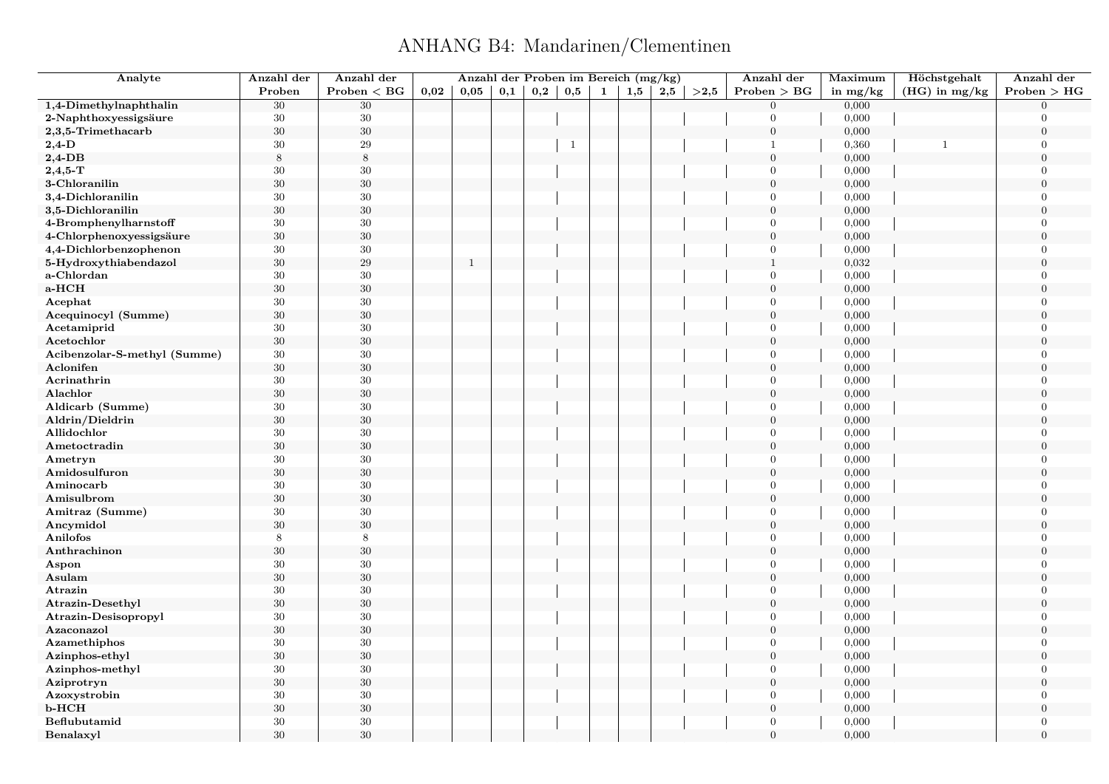# ANHANG B4: Mandarinen/Clementinen

<span id="page-30-0"></span>

| Analyte                      | Anzahl der | Anzahl der   |      |      |     |              |              |   | Anzahl der Proben im Bereich (mg/kg) |     |      | Anzahl der       | Maximum    | Höchstgehalt    | Anzahl der       |
|------------------------------|------------|--------------|------|------|-----|--------------|--------------|---|--------------------------------------|-----|------|------------------|------------|-----------------|------------------|
|                              | Proben     | Problem < BG | 0,02 | 0,05 | 0,1 | $_{\rm 0,2}$ | $_{\rm 0,5}$ | 1 | 1,5                                  | 2,5 | >2,5 | Problem > BG     | in $mg/kg$ | $(HG)$ in mg/kg | Problem > HG     |
| 1,4-Dimethylnaphthalin       | $30\,$     | $30\,$       |      |      |     |              |              |   |                                      |     |      | $\overline{0}$   | 0,000      |                 | $\Omega$         |
| 2-Naphthoxyessigsäure        | $30\,$     | $30\,$       |      |      |     |              |              |   |                                      |     |      | $\overline{0}$   | 0,000      |                 | $\Omega$         |
| 2,3,5-Trimethacarb           | $30\,$     | $30\,$       |      |      |     |              |              |   |                                      |     |      | $\overline{0}$   | 0,000      |                 | $\overline{0}$   |
| $2,4$ -D                     | 30         | $\,29$       |      |      |     |              | $\mathbf{1}$ |   |                                      |     |      | $\mathbf{1}$     | 0,360      | $\mathbf{1}$    | $\overline{0}$   |
| $2,4$ -DB                    | 8          | $\,8\,$      |      |      |     |              |              |   |                                      |     |      | $\overline{0}$   | 0,000      |                 | $\overline{0}$   |
| $2,4,5$ -T                   | 30         | 30           |      |      |     |              |              |   |                                      |     |      | $\overline{0}$   | 0,000      |                 | $\overline{0}$   |
| 3-Chloranilin                | 30         | $30\,$       |      |      |     |              |              |   |                                      |     |      | $\overline{0}$   | 0,000      |                 | $\theta$         |
| 3,4-Dichloranilin            | $30\,$     | $30\,$       |      |      |     |              |              |   |                                      |     |      | $\overline{0}$   | 0,000      |                 | $\Omega$         |
| 3,5-Dichloranilin            | 30         | $30\,$       |      |      |     |              |              |   |                                      |     |      | $\overline{0}$   | 0,000      |                 | $\Omega$         |
| 4-Bromphenylharnstoff        | 30         | $30\,$       |      |      |     |              |              |   |                                      |     |      | $\overline{0}$   | 0,000      |                 | $\overline{0}$   |
| 4-Chlorphenoxyessigsäure     | 30         | 30           |      |      |     |              |              |   |                                      |     |      | $\theta$         | 0,000      |                 | $\theta$         |
| 4,4-Dichlorbenzophenon       | $30\,$     | $30\,$       |      |      |     |              |              |   |                                      |     |      | $\overline{0}$   | 0,000      |                 | $\theta$         |
| 5-Hydroxythiabendazol        | 30         | $\,29$       |      | 1    |     |              |              |   |                                      |     |      | $\mathbf{1}$     | 0,032      |                 | $\Omega$         |
| a-Chlordan                   | 30         | $30\,$       |      |      |     |              |              |   |                                      |     |      | $\overline{0}$   | 0,000      |                 | $\overline{0}$   |
| a-HCH                        | 30         | $30\,$       |      |      |     |              |              |   |                                      |     |      | $\overline{0}$   | 0,000      |                 | $\overline{0}$   |
| Acephat                      | 30         | 30           |      |      |     |              |              |   |                                      |     |      | $\overline{0}$   | 0,000      |                 | $\overline{0}$   |
| Acequinocyl (Summe)          | $30\,$     | $30\,$       |      |      |     |              |              |   |                                      |     |      | $\boldsymbol{0}$ | 0,000      |                 | $\boldsymbol{0}$ |
| Acetamiprid                  | 30         | 30           |      |      |     |              |              |   |                                      |     |      | $\overline{0}$   | 0,000      |                 | $\overline{0}$   |
| Acetochlor                   | $30\,$     | $30\,$       |      |      |     |              |              |   |                                      |     |      | $\overline{0}$   | 0,000      |                 | $\overline{0}$   |
| Acibenzolar-S-methyl (Summe) | 30         | 30           |      |      |     |              |              |   |                                      |     |      | $\overline{0}$   | 0,000      |                 | $\overline{0}$   |
| Aclonifen                    | $30\,$     | $30\,$       |      |      |     |              |              |   |                                      |     |      | $\boldsymbol{0}$ | 0,000      |                 | $\overline{0}$   |
| Acrinathrin                  | $30\,$     | $30\,$       |      |      |     |              |              |   |                                      |     |      | $\overline{0}$   | 0,000      |                 | $\Omega$         |
| Alachlor                     | $30\,$     | $30\,$       |      |      |     |              |              |   |                                      |     |      | $\overline{0}$   | 0,000      |                 | $\overline{0}$   |
| Aldicarb (Summe)             | 30         | $30\,$       |      |      |     |              |              |   |                                      |     |      | $\overline{0}$   | 0,000      |                 | $\theta$         |
| Aldrin/Dieldrin              | $30\,$     | $30\,$       |      |      |     |              |              |   |                                      |     |      | $\overline{0}$   | 0,000      |                 | $\overline{0}$   |
| Allidochlor                  | $30\,$     | $30\,$       |      |      |     |              |              |   |                                      |     |      | $\overline{0}$   | 0,000      |                 | $\Omega$         |
| Ametoctradin                 | 30         | $30\,$       |      |      |     |              |              |   |                                      |     |      | $\mathbf{0}$     | 0,000      |                 | $\Omega$         |
| Ametryn                      | 30         | $30\,$       |      |      |     |              |              |   |                                      |     |      | $\overline{0}$   | 0,000      |                 | $\overline{0}$   |
| Amidosulfuron                | $30\,$     | $30\,$       |      |      |     |              |              |   |                                      |     |      | $\overline{0}$   | 0,000      |                 | $\overline{0}$   |
| Aminocarb                    | 30         | $30\,$       |      |      |     |              |              |   |                                      |     |      | $\overline{0}$   | 0,000      |                 | $\theta$         |
| Amisulbrom                   | 30         | 30           |      |      |     |              |              |   |                                      |     |      | $\mathbf{0}$     | 0,000      |                 | $\theta$         |
| Amitraz (Summe)              | 30         | $30\,$       |      |      |     |              |              |   |                                      |     |      | $\overline{0}$   | 0,000      |                 | $\overline{0}$   |
| Ancymidol                    | $30\,$     | 30           |      |      |     |              |              |   |                                      |     |      | $\overline{0}$   | 0,000      |                 | $\theta$         |
| Anilofos                     | 8          | 8            |      |      |     |              |              |   |                                      |     |      | $\overline{0}$   | 0,000      |                 | $\overline{0}$   |
| Anthrachinon                 | 30         | $30\,$       |      |      |     |              |              |   |                                      |     |      | $\overline{0}$   | 0,000      |                 | $\theta$         |
| Aspon                        | $30\,$     | 30           |      |      |     |              |              |   |                                      |     |      | $\overline{0}$   | 0,000      |                 | $\overline{0}$   |
| Asulam                       | $30\,$     | 30           |      |      |     |              |              |   |                                      |     |      | $\mathbf{0}$     | 0,000      |                 | $\Omega$         |
| Atrazin                      | 30         | $30\,$       |      |      |     |              |              |   |                                      |     |      | $\overline{0}$   | 0,000      |                 | $\overline{0}$   |
| <b>Atrazin-Desethyl</b>      | $30\,$     | $30\,$       |      |      |     |              |              |   |                                      |     |      | $\overline{0}$   | 0,000      |                 | $\overline{0}$   |
| Atrazin-Desisopropyl         | $30\,$     | $30\,$       |      |      |     |              |              |   |                                      |     |      | $\overline{0}$   | 0,000      |                 | $\overline{0}$   |
| Azaconazol                   | 30         | $30\,$       |      |      |     |              |              |   |                                      |     |      | $\mathbf{0}$     | 0,000      |                 | $\overline{0}$   |
| Azamethiphos                 | 30         | $30\,$       |      |      |     |              |              |   |                                      |     |      | $\overline{0}$   | 0,000      |                 | $\overline{0}$   |
| Azinphos-ethyl               | $30\,$     | $30\,$       |      |      |     |              |              |   |                                      |     |      | $\overline{0}$   | 0,000      |                 | $\boldsymbol{0}$ |
| Azinphos-methyl              | 30         | 30           |      |      |     |              |              |   |                                      |     |      | $\overline{0}$   | 0,000      |                 | $\theta$         |
| Aziprotryn                   | 30         | $30\,$       |      |      |     |              |              |   |                                      |     |      | $\mathbf{0}$     | 0,000      |                 | $\overline{0}$   |
| Azoxystrobin                 | 30         | $30\,$       |      |      |     |              |              |   |                                      |     |      | $\overline{0}$   | 0,000      |                 | $\overline{0}$   |
| b-HCH                        | $30\,$     | $30\,$       |      |      |     |              |              |   |                                      |     |      | $\overline{0}$   | 0,000      |                 | $\overline{0}$   |
| Beflubutamid                 | $30\,$     | $30\,$       |      |      |     |              |              |   |                                      |     |      | $\overline{0}$   | 0,000      |                 | $\theta$         |
| Benalaxyl                    | 30         | 30           |      |      |     |              |              |   |                                      |     |      | $\overline{0}$   | 0,000      |                 | $\theta$         |
|                              |            |              |      |      |     |              |              |   |                                      |     |      |                  |            |                 |                  |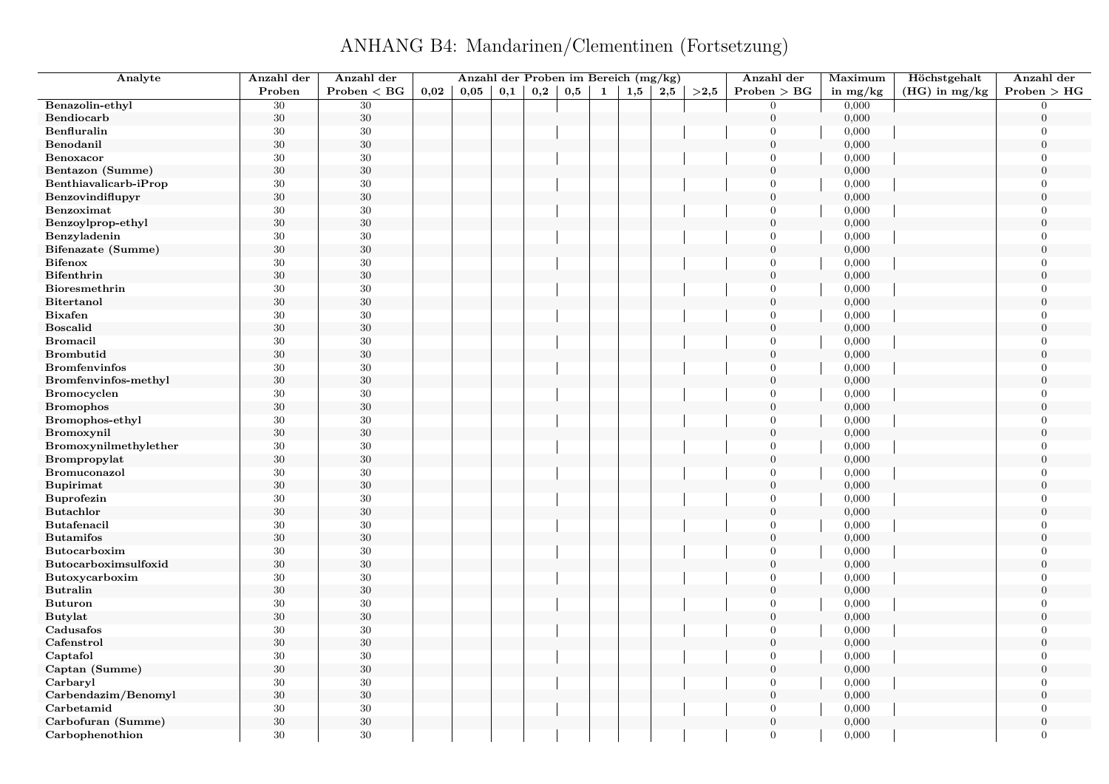ANHANG B4: Mandarinen/Clementinen (Fortsetzung)

| Analyte               | Anzahl der | Anzahl der   |      |      |     | Anzahl der Proben im Bereich (mg/kg) |     |   |     |         |      | Anzahl der     | Maximum    | Höchstgehalt    | Anzahl der     |
|-----------------------|------------|--------------|------|------|-----|--------------------------------------|-----|---|-----|---------|------|----------------|------------|-----------------|----------------|
|                       | Proben     | Problem < BG | 0,02 | 0,05 | 0,1 | 0,2                                  | 0,5 | 1 | 1,5 | $2{,}5$ | >2.5 | Problem > BG   | in $mg/kg$ | $(HG)$ in mg/kg | Problem > HG   |
| Benazolin-ethyl       | 30         | $30\,$       |      |      |     |                                      |     |   |     |         |      | $\mathbf{0}$   | 0,000      |                 | $\Omega$       |
| Bendiocarb            | $30\,$     | $30\,$       |      |      |     |                                      |     |   |     |         |      | $\mathbf{0}$   | 0,000      |                 | $\overline{0}$ |
| Benfluralin           | $30\,$     | $30\,$       |      |      |     |                                      |     |   |     |         |      | $\overline{0}$ | 0,000      |                 | $\overline{0}$ |
| Benodanil             | $30\,$     | $30\,$       |      |      |     |                                      |     |   |     |         |      | $\overline{0}$ | 0,000      |                 | $\overline{0}$ |
| Benoxacor             | 30         | 30           |      |      |     |                                      |     |   |     |         |      | $\overline{0}$ | 0,000      |                 | $\overline{0}$ |
| Bentazon (Summe)      | $30\,$     | $30\,$       |      |      |     |                                      |     |   |     |         |      | $\overline{0}$ | 0,000      |                 | $\overline{0}$ |
| Benthiavalicarb-iProp | $30\,$     | 30           |      |      |     |                                      |     |   |     |         |      | $\overline{0}$ | 0,000      |                 | $\Omega$       |
| Benzovindiflupyr      | $30\,$     | $30\,$       |      |      |     |                                      |     |   |     |         |      | $\mathbf{0}$   | 0,000      |                 | $\theta$       |
| Benzoximat            | $30\,$     | $30\,$       |      |      |     |                                      |     |   |     |         |      | $\overline{0}$ | 0,000      |                 | $\Omega$       |
| Benzoylprop-ethyl     | $30\,$     | $30\,$       |      |      |     |                                      |     |   |     |         |      | $\overline{0}$ | 0,000      |                 | $\overline{0}$ |
| Benzyladenin          | 30         | $30\,$       |      |      |     |                                      |     |   |     |         |      | $\Omega$       | 0,000      |                 | $\Omega$       |
| Bifenazate (Summe)    | $30\,$     | $30\,$       |      |      |     |                                      |     |   |     |         |      | $\mathbf{0}$   | 0,000      |                 | $\Omega$       |
| <b>Bifenox</b>        | 30         | $30\,$       |      |      |     |                                      |     |   |     |         |      | $\mathbf{0}$   | 0,000      |                 | $\Omega$       |
| <b>Bifenthrin</b>     | $30\,$     | $30\,$       |      |      |     |                                      |     |   |     |         |      | $\mathbf{0}$   | 0,000      |                 | $\overline{0}$ |
| Bioresmethrin         | 30         | 30           |      |      |     |                                      |     |   |     |         |      | $\overline{0}$ | 0,000      |                 | $\theta$       |
| <b>Bitertanol</b>     | $30\,$     | $30\,$       |      |      |     |                                      |     |   |     |         |      | $\overline{0}$ | 0,000      |                 | $\theta$       |
| <b>Bixafen</b>        | 30         | $30\,$       |      |      |     |                                      |     |   |     |         |      | $\mathbf{0}$   | 0,000      |                 | $\overline{0}$ |
| <b>Boscalid</b>       | $30\,$     | $30\,$       |      |      |     |                                      |     |   |     |         |      | $\mathbf{0}$   | 0,000      |                 | $\overline{0}$ |
| <b>Bromacil</b>       | 30         | 30           |      |      |     |                                      |     |   |     |         |      | $\mathbf{0}$   | 0,000      |                 | $\overline{0}$ |
| <b>Brombutid</b>      | $30\,$     | $30\,$       |      |      |     |                                      |     |   |     |         |      | $\overline{0}$ | 0,000      |                 | $\Omega$       |
| <b>Bromfenvinfos</b>  | 30         | $30\,$       |      |      |     |                                      |     |   |     |         |      | $\mathbf{0}$   | 0,000      |                 | $\overline{0}$ |
| Bromfenvinfos-methyl  | $30\,$     | 30           |      |      |     |                                      |     |   |     |         |      | $\mathbf{0}$   | 0,000      |                 | $\overline{0}$ |
| <b>Bromocyclen</b>    | 30         | $30\,$       |      |      |     |                                      |     |   |     |         |      | $\overline{0}$ | 0,000      |                 | $\Omega$       |
| <b>Bromophos</b>      | 30         | $30\,$       |      |      |     |                                      |     |   |     |         |      | $\mathbf{0}$   | 0,000      |                 | $\overline{0}$ |
| Bromophos-ethyl       | $30\,$     | $30\,$       |      |      |     |                                      |     |   |     |         |      | $\mathbf{0}$   | 0,000      |                 | $\theta$       |
| Bromoxynil            | 30         | $30\,$       |      |      |     |                                      |     |   |     |         |      | $\mathbf{0}$   | 0,000      |                 | $\overline{0}$ |
| Bromoxynilmethylether | 30         | $30\,$       |      |      |     |                                      |     |   |     |         |      | $\mathbf{0}$   | 0,000      |                 | $\overline{0}$ |
| Brompropylat          | $30\,$     | $30\,$       |      |      |     |                                      |     |   |     |         |      | $\mathbf{0}$   | 0,000      |                 | $\overline{0}$ |
| Bromuconazol          | $30\,$     | $30\,$       |      |      |     |                                      |     |   |     |         |      | $\overline{0}$ | 0,000      |                 | $\theta$       |
| <b>Bupirimat</b>      | $30\,$     | $30\,$       |      |      |     |                                      |     |   |     |         |      | $\mathbf{0}$   | 0,000      |                 | $\overline{0}$ |
| <b>Buprofezin</b>     | 30         | 30           |      |      |     |                                      |     |   |     |         |      | $\overline{0}$ | 0,000      |                 | $\overline{0}$ |
| <b>Butachlor</b>      | $30\,$     | $30\,$       |      |      |     |                                      |     |   |     |         |      | $\overline{0}$ | 0,000      |                 | $\overline{0}$ |
| <b>Butafenacil</b>    | $30\,$     | 30           |      |      |     |                                      |     |   |     |         |      | $\overline{0}$ | 0,000      |                 | $\Omega$       |
| <b>Butamifos</b>      | $30\,$     | $30\,$       |      |      |     |                                      |     |   |     |         |      | $\mathbf{0}$   | 0,000      |                 | $\theta$       |
| Butocarboxim          | $30\,$     | $30\,$       |      |      |     |                                      |     |   |     |         |      | $\overline{0}$ | 0,000      |                 | $\Omega$       |
| Butocarboximsulfoxid  | 30         | $30\,$       |      |      |     |                                      |     |   |     |         |      | $\overline{0}$ | 0,000      |                 | $\overline{0}$ |
| Butoxycarboxim        | 30         | $30\,$       |      |      |     |                                      |     |   |     |         |      | $\overline{0}$ | 0,000      |                 | $\theta$       |
| <b>Butralin</b>       | 30         | $30\,$       |      |      |     |                                      |     |   |     |         |      | $\mathbf{0}$   | 0,000      |                 | $\theta$       |
| <b>Buturon</b>        | $30\,$     | 30           |      |      |     |                                      |     |   |     |         |      | $\mathbf{0}$   | 0,000      |                 | $\overline{0}$ |
| <b>Butylat</b>        | 30         | $30\,$       |      |      |     |                                      |     |   |     |         |      | $\mathbf{0}$   | 0,000      |                 | $\overline{0}$ |
| Cadusafos             | 30         | 30           |      |      |     |                                      |     |   |     |         |      | $\overline{0}$ | 0,000      |                 | $\theta$       |
| Cafenstrol            | $30\,$     | $30\,$       |      |      |     |                                      |     |   |     |         |      | $\overline{0}$ | 0,000      |                 | $\theta$       |
| Captafol              | 30         | $30\,$       |      |      |     |                                      |     |   |     |         |      | $\mathbf{0}$   | 0,000      |                 | $\Omega$       |
| Captan (Summe)        | 30         | 30           |      |      |     |                                      |     |   |     |         |      | $\mathbf{0}$   | 0,000      |                 | $\theta$       |
| Carbaryl              | 30         | $30\,$       |      |      |     |                                      |     |   |     |         |      | $\mathbf{0}$   | 0,000      |                 | $\overline{0}$ |
| Carbendazim/Benomyl   | $30\,$     | 30           |      |      |     |                                      |     |   |     |         |      | $\overline{0}$ | 0,000      |                 | $\theta$       |
| Carbetamid            | $30\,$     | 30           |      |      |     |                                      |     |   |     |         |      | $\mathbf{0}$   | 0,000      |                 | $\overline{0}$ |
| Carbofuran (Summe)    | $30\,$     | $30\,$       |      |      |     |                                      |     |   |     |         |      | $\mathbf{0}$   | 0,000      |                 | $\overline{0}$ |
| Carbophenothion       | 30         | 30           |      |      |     |                                      |     |   |     |         |      | $\overline{0}$ | 0,000      |                 | $\theta$       |
|                       |            |              |      |      |     |                                      |     |   |     |         |      |                |            |                 |                |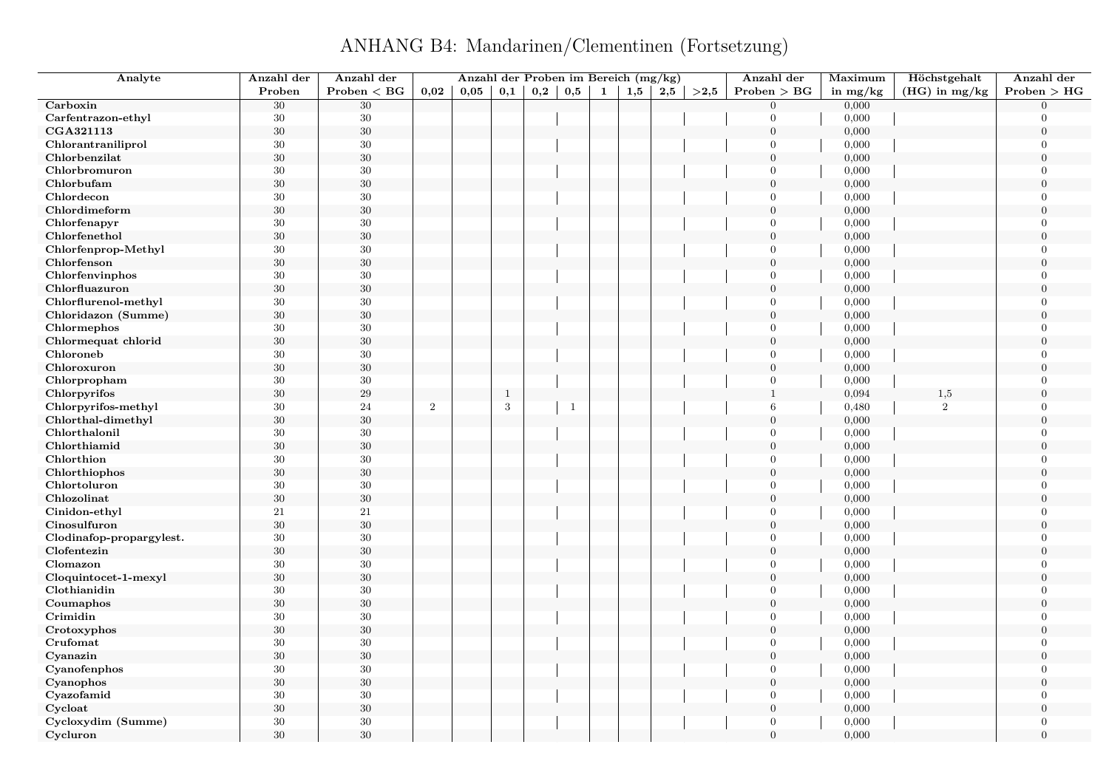ANHANG B4: Mandarinen/Clementinen (Fortsetzung)

| Analyte                  | Anzahl der | Anzahl der   |      | Anzahl der Proben im Bereich (mg/kg) |              |     |              |              |     |     |      | Anzahl der       | Maximum    | Höchstgehalt    | Anzahl der       |
|--------------------------|------------|--------------|------|--------------------------------------|--------------|-----|--------------|--------------|-----|-----|------|------------------|------------|-----------------|------------------|
|                          | Proben     | Problem < BG | 0,02 | 0,05                                 | 0,1          | 0,2 | 0,5          | $\mathbf{1}$ | 1,5 | 2,5 | >2,5 | Problem > BG     | in $mg/kg$ | $(HG)$ in mg/kg | Problem > HG     |
| Carboxin                 | 30         | $30\,$       |      |                                      |              |     |              |              |     |     |      | $\mathbf{0}$     | 0,000      |                 | $\Omega$         |
| Carfentrazon-ethyl       | $30\,$     | $30\,$       |      |                                      |              |     |              |              |     |     |      | $\overline{0}$   | 0,000      |                 | $\Omega$         |
| CGA321113                | $30\,$     | $30\,$       |      |                                      |              |     |              |              |     |     |      | $\mathbf{0}$     | 0,000      |                 | $\overline{0}$   |
| Chlorantraniliprol       | $30\,$     | $30\,$       |      |                                      |              |     |              |              |     |     |      | $\overline{0}$   | 0,000      |                 | $\overline{0}$   |
| Chlorbenzilat            | $30\,$     | $30\,$       |      |                                      |              |     |              |              |     |     |      | $\overline{0}$   | 0,000      |                 | $\theta$         |
| Chlorbromuron            | 30         | 30           |      |                                      |              |     |              |              |     |     |      | $\overline{0}$   | 0,000      |                 | $\overline{0}$   |
| Chlorbufam               | $30\,$     | $30\,$       |      |                                      |              |     |              |              |     |     |      | $\boldsymbol{0}$ | 0,000      |                 | $\theta$         |
| Chlordecon               | 30         | $30\,$       |      |                                      |              |     |              |              |     |     |      | $\mathbf{0}$     | 0,000      |                 | $\Omega$         |
| Chlordimeform            | $30\,$     | $30\,$       |      |                                      |              |     |              |              |     |     |      | $\mathbf{0}$     | 0,000      |                 | $\theta$         |
| Chlorfenapyr             | 30         | $30\,$       |      |                                      |              |     |              |              |     |     |      | $\overline{0}$   | 0,000      |                 | $\overline{0}$   |
| Chlorfenethol            | $30\,$     | $30\,$       |      |                                      |              |     |              |              |     |     |      | $\boldsymbol{0}$ | 0,000      |                 | $\theta$         |
| Chlorfenprop-Methyl      | 30         | $30\,$       |      |                                      |              |     |              |              |     |     |      | $\overline{0}$   | 0,000      |                 | $\Omega$         |
| Chlorfenson              | 30         | $30\,$       |      |                                      |              |     |              |              |     |     |      | $\overline{0}$   | 0,000      |                 | $\overline{0}$   |
| Chlorfenvinphos          | 30         | $30\,$       |      |                                      |              |     |              |              |     |     |      | $\overline{0}$   | 0,000      |                 | $\overline{0}$   |
| Chlorfluazuron           | $30\,$     | $30\,$       |      |                                      |              |     |              |              |     |     |      | $\overline{0}$   | 0,000      |                 | $\overline{0}$   |
| Chlorflurenol-methyl     | $30\,$     | $30\,$       |      |                                      |              |     |              |              |     |     |      | $\Omega$         | 0,000      |                 | $\overline{0}$   |
| Chloridazon (Summe)      | $30\,$     | $30\,$       |      |                                      |              |     |              |              |     |     |      | $\boldsymbol{0}$ | 0,000      |                 | $\boldsymbol{0}$ |
| Chlormephos              | 30         | $30\,$       |      |                                      |              |     |              |              |     |     |      | $\overline{0}$   | 0,000      |                 | $\overline{0}$   |
| Chlormequat chlorid      | $30\,$     | $30\,$       |      |                                      |              |     |              |              |     |     |      | $\overline{0}$   | 0,000      |                 | $\overline{0}$   |
| Chloroneb                | 30         | 30           |      |                                      |              |     |              |              |     |     |      | $\overline{0}$   | 0,000      |                 | $\Omega$         |
| Chloroxuron              | $30\,$     | $30\,$       |      |                                      |              |     |              |              |     |     |      | $\boldsymbol{0}$ | 0,000      |                 | $\overline{0}$   |
| Chlorpropham             | 30         | $30\,$       |      |                                      |              |     |              |              |     |     |      | $\overline{0}$   | 0,000      |                 | $\Omega$         |
| Chlorpyrifos             | $30\,$     | $\,29$       |      |                                      | $\mathbf{1}$ |     |              |              |     |     |      | $\mathbf{1}$     | 0,094      | 1,5             | $\overline{0}$   |
| Chlorpyrifos-methyl      | 30         | 24           | 2    |                                      | 3            |     | $\mathbf{1}$ |              |     |     |      | 6                | 0,480      | $\overline{2}$  | $\theta$         |
| Chlorthal-dimethyl       | $30\,$     | $30\,$       |      |                                      |              |     |              |              |     |     |      | $\overline{0}$   | 0,000      |                 | $\theta$         |
| Chlorthalonil            | 30         | $30\,$       |      |                                      |              |     |              |              |     |     |      | $\overline{0}$   | 0,000      |                 | $\overline{0}$   |
| Chlorthiamid             | $30\,$     | $30\,$       |      |                                      |              |     |              |              |     |     |      | $\overline{0}$   | 0,000      |                 | $\overline{0}$   |
| Chlorthion               | 30         | $30\,$       |      |                                      |              |     |              |              |     |     |      | $\overline{0}$   | 0,000      |                 | $\overline{0}$   |
| Chlorthiophos            | $30\,$     | $30\,$       |      |                                      |              |     |              |              |     |     |      | $\mathbf{0}$     | 0,000      |                 | $\theta$         |
| Chlortoluron             | 30         | $30\,$       |      |                                      |              |     |              |              |     |     |      | $\overline{0}$   | 0,000      |                 | $\overline{0}$   |
| Chlozolinat              | $30\,$     | $30\,$       |      |                                      |              |     |              |              |     |     |      | $\overline{0}$   | 0,000      |                 | $\theta$         |
| Cinidon-ethyl            | 21         | 21           |      |                                      |              |     |              |              |     |     |      | $\overline{0}$   | 0,000      |                 | $\overline{0}$   |
| Cinosulfuron             | $30\,$     | 30           |      |                                      |              |     |              |              |     |     |      | $\boldsymbol{0}$ | 0,000      |                 | $\theta$         |
| Clodinafop-propargylest. | 30         | $30\,$       |      |                                      |              |     |              |              |     |     |      | $\overline{0}$   | 0,000      |                 | $\theta$         |
| Clofentezin              | $30\,$     | $30\,$       |      |                                      |              |     |              |              |     |     |      | $\overline{0}$   | 0,000      |                 | $\overline{0}$   |
| Clomazon                 | 30         | $30\,$       |      |                                      |              |     |              |              |     |     |      | $\overline{0}$   | 0,000      |                 | $\overline{0}$   |
| Cloquintocet-1-mexyl     | $30\,$     | $30\,$       |      |                                      |              |     |              |              |     |     |      | $\mathbf{0}$     | 0,000      |                 | $\overline{0}$   |
| Clothianidin             | $30\,$     | $30\,$       |      |                                      |              |     |              |              |     |     |      | $\overline{0}$   | 0,000      |                 | $\theta$         |
| Coumaphos                | $30\,$     | $30\,$       |      |                                      |              |     |              |              |     |     |      | $\mathbf{0}$     | 0,000      |                 | $\overline{0}$   |
| Crimidin                 | 30         | $30\,$       |      |                                      |              |     |              |              |     |     |      | $\overline{0}$   | 0,000      |                 | $\overline{0}$   |
| Crotoxyphos              | $30\,$     | $30\,$       |      |                                      |              |     |              |              |     |     |      | $\overline{0}$   | 0,000      |                 | $\overline{0}$   |
| Crufomat                 | 30         | $30\,$       |      |                                      |              |     |              |              |     |     |      | $\overline{0}$   | 0,000      |                 | $\theta$         |
| Cyanazin                 | 30         | $30\,$       |      |                                      |              |     |              |              |     |     |      | $\boldsymbol{0}$ | 0,000      |                 | $\boldsymbol{0}$ |
| Cyanofenphos             | 30         | $30\,$       |      |                                      |              |     |              |              |     |     |      | $\overline{0}$   | 0,000      |                 | $\Omega$         |
| Cyanophos                | $30\,$     | $30\,$       |      |                                      |              |     |              |              |     |     |      | $\overline{0}$   | 0,000      |                 | $\overline{0}$   |
| Cyazofamid               | 30         | 30           |      |                                      |              |     |              |              |     |     |      | $\overline{0}$   | 0,000      |                 | $\Omega$         |
| Cycloat                  | $30\,$     | $30\,$       |      |                                      |              |     |              |              |     |     |      | $\boldsymbol{0}$ | 0,000      |                 | $\theta$         |
| Cycloxydim (Summe)       | 30         | $30\,$       |      |                                      |              |     |              |              |     |     |      | $\overline{0}$   | 0,000      |                 | $\Omega$         |
| Cycluron                 | 30         | 30           |      |                                      |              |     |              |              |     |     |      | $\overline{0}$   | 0,000      |                 | $\theta$         |
|                          |            |              |      |                                      |              |     |              |              |     |     |      |                  |            |                 |                  |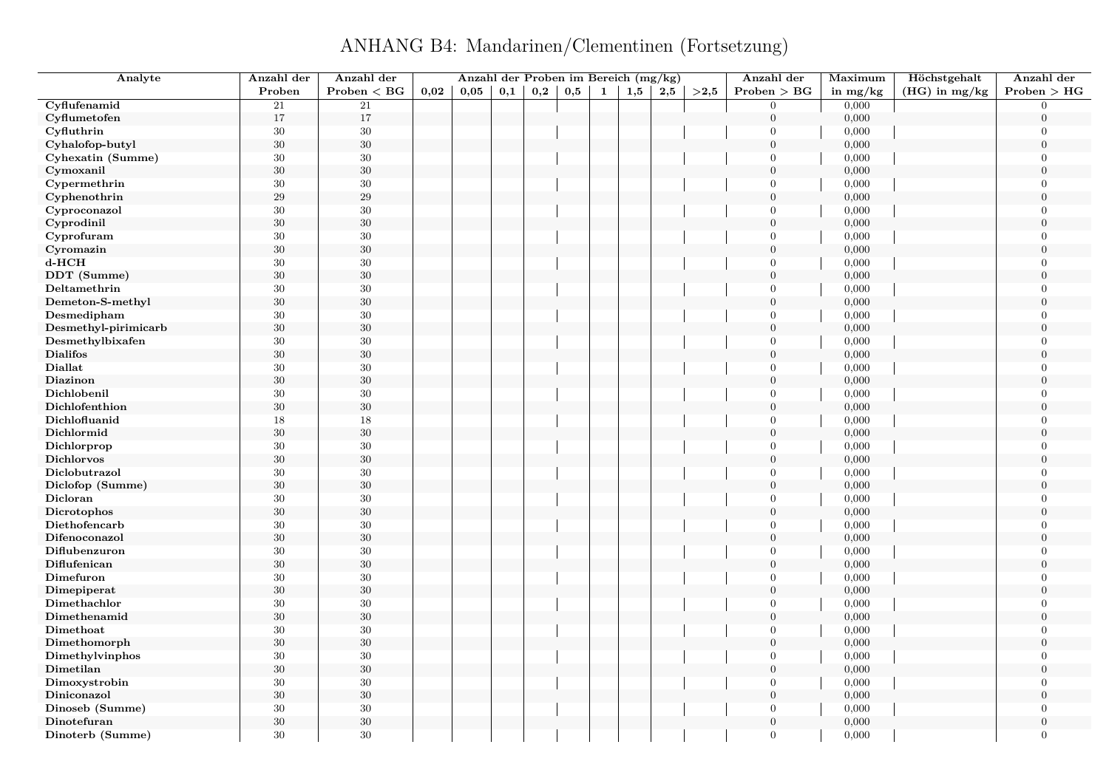ANHANG B4: Mandarinen/Clementinen (Fortsetzung)

| Analyte              | Anzahl der | Anzahl der   |      |      |     |     |     |              | Anzahl der Proben im Bereich (mg/kg) |     |      | Anzahl der       | Maximum    | Höchstgehalt    | Anzahl der       |
|----------------------|------------|--------------|------|------|-----|-----|-----|--------------|--------------------------------------|-----|------|------------------|------------|-----------------|------------------|
|                      | Proben     | Problem < BG | 0,02 | 0,05 | 0,1 | 0,2 | 0,5 | $\mathbf{1}$ | 1,5                                  | 2,5 | >2,5 | Problem > BG     | in $mg/kg$ | $(HG)$ in mg/kg | Problem > HG     |
| Cyflufenamid         | 21         | 21           |      |      |     |     |     |              |                                      |     |      | $\overline{0}$   | 0,000      |                 | $\Omega$         |
| Cyflumetofen         | $17\,$     | $17\,$       |      |      |     |     |     |              |                                      |     |      | $\boldsymbol{0}$ | 0,000      |                 | $\overline{0}$   |
| Cyfluthrin           | $30\,$     | $30\,$       |      |      |     |     |     |              |                                      |     |      | $\Omega$         | 0,000      |                 | $\overline{0}$   |
| Cyhalofop-butyl      | $30\,$     | $30\,$       |      |      |     |     |     |              |                                      |     |      | $\boldsymbol{0}$ | 0,000      |                 | $\boldsymbol{0}$ |
| Cyhexatin (Summe)    | 30         | 30           |      |      |     |     |     |              |                                      |     |      | $\overline{0}$   | 0,000      |                 | $\overline{0}$   |
| Cymoxanil            | $30\,$     | $30\,$       |      |      |     |     |     |              |                                      |     |      | $\overline{0}$   | 0,000      |                 | $\mathbf{0}$     |
| Cypermethrin         | $30\,$     | $30\,$       |      |      |     |     |     |              |                                      |     |      | $\Omega$         | 0,000      |                 | $\theta$         |
| Cyphenothrin         | 29         | $29\,$       |      |      |     |     |     |              |                                      |     |      | $\overline{0}$   | 0,000      |                 | $\overline{0}$   |
| Cyproconazol         | $30\,$     | $30\,$       |      |      |     |     |     |              |                                      |     |      | $\Omega$         | 0,000      |                 | $\theta$         |
| Cyprodinil           | $30\,$     | $30\,$       |      |      |     |     |     |              |                                      |     |      | $\overline{0}$   | 0,000      |                 | $\overline{0}$   |
| Cyprofuram           | $30\,$     | $30\,$       |      |      |     |     |     |              |                                      |     |      | $\Omega$         | 0,000      |                 | $\Omega$         |
| Cyromazin            | $30\,$     | $30\,$       |      |      |     |     |     |              |                                      |     |      | $\overline{0}$   | 0,000      |                 | $\overline{0}$   |
| $d$ - $HCH$          | 30         | $30\,$       |      |      |     |     |     |              |                                      |     |      | $\Omega$         | 0,000      |                 | $\Omega$         |
| DDT (Summe)          | $30\,$     | $30\,$       |      |      |     |     |     |              |                                      |     |      | $\boldsymbol{0}$ | 0,000      |                 | $\overline{0}$   |
| Deltamethrin         | $30\,$     | $30\,$       |      |      |     |     |     |              |                                      |     |      | $\Omega$         | 0,000      |                 | $\theta$         |
| Demeton-S-methyl     | $30\,$     | $30\,$       |      |      |     |     |     |              |                                      |     |      | $\overline{0}$   | 0,000      |                 | $\overline{0}$   |
| Desmedipham          | $30\,$     | $30\,$       |      |      |     |     |     |              |                                      |     |      | $\mathbf{0}$     | 0,000      |                 | $\overline{0}$   |
| Desmethyl-pirimicarb | $30\,$     | $30\,$       |      |      |     |     |     |              |                                      |     |      | $\overline{0}$   | 0,000      |                 | $\theta$         |
| Desmethylbixafen     | $30\,$     | $30\,$       |      |      |     |     |     |              |                                      |     |      | $\boldsymbol{0}$ | 0,000      |                 | $\theta$         |
| <b>Dialifos</b>      | 30         | $30\,$       |      |      |     |     |     |              |                                      |     |      | $\overline{0}$   | 0,000      |                 | $\Omega$         |
| Diallat              | $30\,$     | $30\,$       |      |      |     |     |     |              |                                      |     |      | $\boldsymbol{0}$ | 0,000      |                 | $\overline{0}$   |
| Diazinon             | $30\,$     | $30\,$       |      |      |     |     |     |              |                                      |     |      | $\overline{0}$   | 0,000      |                 | $\theta$         |
| Dichlobenil          | $30\,$     | $30\,$       |      |      |     |     |     |              |                                      |     |      | $\overline{0}$   | 0,000      |                 | $\theta$         |
| Dichlofenthion       | $30\,$     | $30\,$       |      |      |     |     |     |              |                                      |     |      | $\overline{0}$   | 0,000      |                 | $\overline{0}$   |
| Dichlofluanid        | 18         | $18\,$       |      |      |     |     |     |              |                                      |     |      | $\overline{0}$   | 0,000      |                 | $\overline{0}$   |
| Dichlormid           | $30\,$     | $30\,$       |      |      |     |     |     |              |                                      |     |      | $\boldsymbol{0}$ | 0,000      |                 | $\overline{0}$   |
| Dichlorprop          | $30\,$     | $30\,$       |      |      |     |     |     |              |                                      |     |      | $\Omega$         | 0,000      |                 | $\theta$         |
| <b>Dichlorvos</b>    | $30\,$     | $30\,$       |      |      |     |     |     |              |                                      |     |      | $\boldsymbol{0}$ | 0,000      |                 | $\mathbf{0}$     |
| Diclobutrazol        | $30\,$     | 30           |      |      |     |     |     |              |                                      |     |      | $\overline{0}$   | 0,000      |                 | $\overline{0}$   |
| Diclofop (Summe)     | $30\,$     | $30\,$       |      |      |     |     |     |              |                                      |     |      | $\overline{0}$   | 0,000      |                 | $\overline{0}$   |
| Dicloran             | $30\,$     | $30\,$       |      |      |     |     |     |              |                                      |     |      | $\boldsymbol{0}$ | 0,000      |                 | $\Omega$         |
| Dicrotophos          | $30\,$     | $30\,$       |      |      |     |     |     |              |                                      |     |      | $\overline{0}$   | 0,000      |                 | $\boldsymbol{0}$ |
| Diethofencarb        | $30\,$     | $30\,$       |      |      |     |     |     |              |                                      |     |      | $\Omega$         | 0,000      |                 | $\theta$         |
| Difenoconazol        | $30\,$     | $30\,$       |      |      |     |     |     |              |                                      |     |      | $\overline{0}$   | 0,000      |                 | $\theta$         |
| Diflubenzuron        | 30         | $30\,$       |      |      |     |     |     |              |                                      |     |      | $\Omega$         | 0,000      |                 | $\Omega$         |
| Diflufenican         | $30\,$     | $30\,$       |      |      |     |     |     |              |                                      |     |      | $\mathbf{0}$     | 0,000      |                 | $\overline{0}$   |
| Dimefuron            | $30\,$     | $30\,$       |      |      |     |     |     |              |                                      |     |      | $\Omega$         | 0,000      |                 | $\Omega$         |
| Dimepiperat          | $30\,$     | $30\,$       |      |      |     |     |     |              |                                      |     |      | $\overline{0}$   | 0,000      |                 | $\theta$         |
| Dimethachlor         | 30         | $30\,$       |      |      |     |     |     |              |                                      |     |      | $\overline{0}$   | 0,000      |                 | $\theta$         |
| Dimethenamid         | $30\,$     | $30\,$       |      |      |     |     |     |              |                                      |     |      | $\boldsymbol{0}$ | 0,000      |                 | $\overline{0}$   |
| Dimethoat            | $30\,$     | $30\,$       |      |      |     |     |     |              |                                      |     |      | $\mathbf{0}$     | 0,000      |                 | $\overline{0}$   |
| Dimethomorph         | $30\,$     | $30\,$       |      |      |     |     |     |              |                                      |     |      | $\overline{0}$   | 0,000      |                 | $\theta$         |
| Dimethylvinphos      | $30\,$     | $30\,$       |      |      |     |     |     |              |                                      |     |      | $\overline{0}$   | 0,000      |                 | $\overline{0}$   |
| Dimetilan            | 30         | $30\,$       |      |      |     |     |     |              |                                      |     |      | $\boldsymbol{0}$ | 0,000      |                 | $\overline{0}$   |
| Dimoxystrobin        | $30\,$     | $30\,$       |      |      |     |     |     |              |                                      |     |      | $\overline{0}$   | 0,000      |                 | $\overline{0}$   |
| Diniconazol          | $30\,$     | $30\,$       |      |      |     |     |     |              |                                      |     |      | $\overline{0}$   | 0,000      |                 | $\overline{0}$   |
| Dinoseb (Summe)      | $30\,$     | $30\,$       |      |      |     |     |     |              |                                      |     |      | $\overline{0}$   | 0,000      |                 | $\overline{0}$   |
| Dinotefuran          | $30\,$     | $30\,$       |      |      |     |     |     |              |                                      |     |      | $\mathbf{0}$     | 0,000      |                 | $\overline{0}$   |
| Dinoterb (Summe)     | 30         | 30           |      |      |     |     |     |              |                                      |     |      | $\Omega$         | 0,000      |                 | $\theta$         |
|                      |            |              |      |      |     |     |     |              |                                      |     |      |                  |            |                 |                  |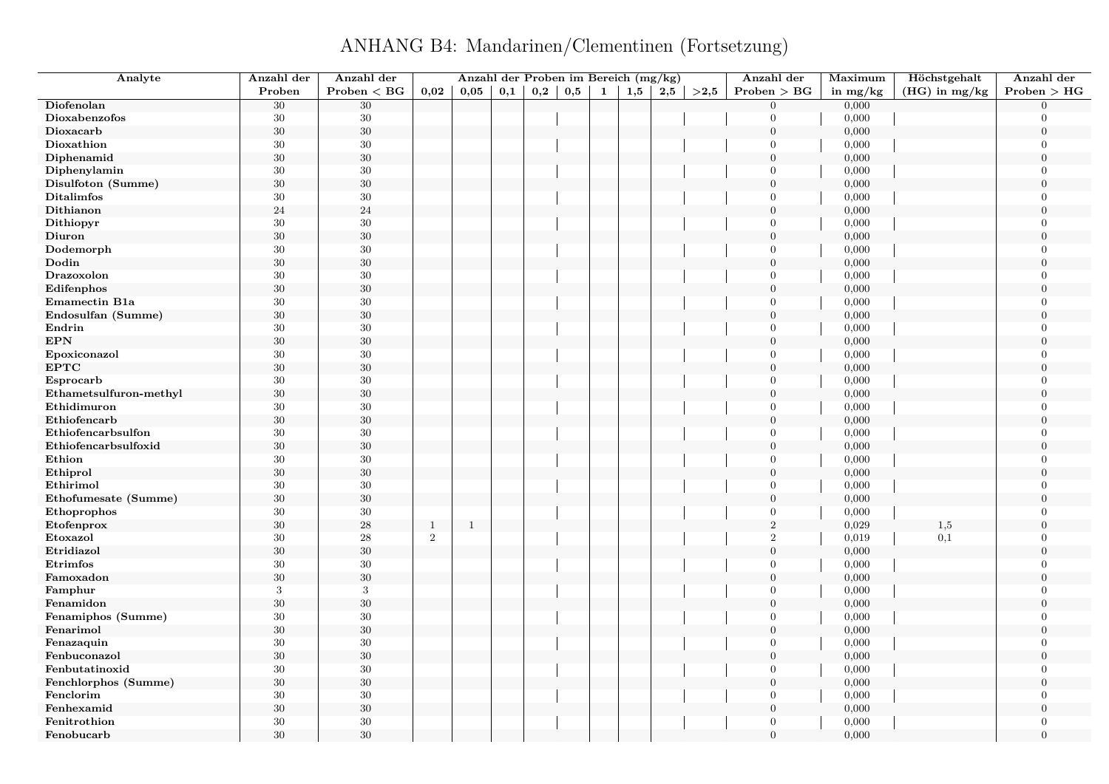ANHANG B4: Mandarinen/Clementinen (Fortsetzung)

| Analyte                | Anzahl der | Anzahl der   |              | Anzahl der Proben im Bereich (mg/kg) |          |     |     |   |     |     |      | Anzahl der       | Maximum    | Höchstgehalt    | Anzahl der       |
|------------------------|------------|--------------|--------------|--------------------------------------|----------|-----|-----|---|-----|-----|------|------------------|------------|-----------------|------------------|
|                        | Proben     | Problem < BG | 0,02         | 0,05                                 | $_{0,1}$ | 0,2 | 0,5 | 1 | 1,5 | 2,5 | >2,5 | Problem > BG     | in $mg/kg$ | $(HG)$ in mg/kg | Problem > HG     |
| Diofenolan             | $30\,$     | $30\,$       |              |                                      |          |     |     |   |     |     |      | $\theta$         | 0,000      |                 | $\Omega$         |
| Dioxabenzofos          | 30         | $30\,$       |              |                                      |          |     |     |   |     |     |      | $\theta$         | 0,000      |                 | $\Omega$         |
| Dioxacarb              | 30         | $30\,$       |              |                                      |          |     |     |   |     |     |      | $\overline{0}$   | 0,000      |                 | $\overline{0}$   |
| Dioxathion             | 30         | $30\,$       |              |                                      |          |     |     |   |     |     |      | $\theta$         | 0,000      |                 | $\overline{0}$   |
| Diphenamid             | $30\,$     | $30\,$       |              |                                      |          |     |     |   |     |     |      | $\overline{0}$   | 0,000      |                 | $\Omega$         |
| Diphenylamin           | 30         | 30           |              |                                      |          |     |     |   |     |     |      | $\mathbf{0}$     | 0,000      |                 | $\overline{0}$   |
| Disulfoton (Summe)     | $30\,$     | $30\,$       |              |                                      |          |     |     |   |     |     |      | $\boldsymbol{0}$ | 0,000      |                 | $\Omega$         |
| <b>Ditalimfos</b>      | 30         | 30           |              |                                      |          |     |     |   |     |     |      | $\mathbf{0}$     | 0,000      |                 | $\Omega$         |
| Dithianon              | 24         | $\sqrt{24}$  |              |                                      |          |     |     |   |     |     |      | $\overline{0}$   | 0,000      |                 | $\Omega$         |
| Dithiopyr              | 30         | $30\,$       |              |                                      |          |     |     |   |     |     |      | $\overline{0}$   | 0,000      |                 | $\overline{0}$   |
| Diuron                 | 30         | $30\,$       |              |                                      |          |     |     |   |     |     |      | $\overline{0}$   | 0,000      |                 | $\Omega$         |
| Dodemorph              | 30         | $30\,$       |              |                                      |          |     |     |   |     |     |      | $\overline{0}$   | 0,000      |                 | $\Omega$         |
| Dodin                  | 30         | $30\,$       |              |                                      |          |     |     |   |     |     |      | $\boldsymbol{0}$ | 0,000      |                 | $\overline{0}$   |
| Drazoxolon             | 30         | $30\,$       |              |                                      |          |     |     |   |     |     |      | $\theta$         | 0,000      |                 | $\overline{0}$   |
| Edifenphos             | 30         | $30\,$       |              |                                      |          |     |     |   |     |     |      | $\overline{0}$   | 0,000      |                 | $\overline{0}$   |
| Emamectin B1a          | 30         | $30\,$       |              |                                      |          |     |     |   |     |     |      | $\overline{0}$   | 0,000      |                 | $\overline{0}$   |
| Endosulfan (Summe)     | $30\,$     | $30\,$       |              |                                      |          |     |     |   |     |     |      | $\mathbf{0}$     | 0,000      |                 | $\boldsymbol{0}$ |
| Endrin                 | 30         | 30           |              |                                      |          |     |     |   |     |     |      | $\overline{0}$   | 0,000      |                 | $\overline{0}$   |
| <b>EPN</b>             | $30\,$     | $30\,$       |              |                                      |          |     |     |   |     |     |      | $\mathbf{0}$     | 0,000      |                 | $\overline{0}$   |
| Epoxiconazol           | 30         | 30           |              |                                      |          |     |     |   |     |     |      | $\overline{0}$   | 0,000      |                 | $\Omega$         |
| EPTC                   | $30\,$     | $30\,$       |              |                                      |          |     |     |   |     |     |      | $\boldsymbol{0}$ | 0,000      |                 | $\overline{0}$   |
| Esprocarb              | $30\,$     | $30\,$       |              |                                      |          |     |     |   |     |     |      | $\theta$         | 0,000      |                 | $\Omega$         |
| Ethametsulfuron-methyl | 30         | $30\,$       |              |                                      |          |     |     |   |     |     |      | $\overline{0}$   | 0,000      |                 | $\Omega$         |
| Ethidimuron            | 30         | $30\,$       |              |                                      |          |     |     |   |     |     |      | $\theta$         | 0,000      |                 | $\Omega$         |
| Ethiofencarb           | $30\,$     | $30\,$       |              |                                      |          |     |     |   |     |     |      | $\boldsymbol{0}$ | 0,000      |                 | $\overline{0}$   |
| Ethiofencarbsulfon     | 30         | 30           |              |                                      |          |     |     |   |     |     |      | $\overline{0}$   | 0,000      |                 | $\overline{0}$   |
| Ethiofencarbsulfoxid   | 30         | $30\,$       |              |                                      |          |     |     |   |     |     |      | $\overline{0}$   | 0,000      |                 | $\overline{0}$   |
| Ethion                 | 30         | $30\,$       |              |                                      |          |     |     |   |     |     |      | $\theta$         | 0,000      |                 | $\overline{0}$   |
| Ethiprol               | $30\,$     | $30\,$       |              |                                      |          |     |     |   |     |     |      | $\boldsymbol{0}$ | 0,000      |                 | $\Omega$         |
| Ethirimol              | 30         | $30\,$       |              |                                      |          |     |     |   |     |     |      | $\overline{0}$   | 0,000      |                 | $\overline{0}$   |
| Ethofumesate (Summe)   | 30         | $30\,$       |              |                                      |          |     |     |   |     |     |      | $\theta$         | 0,000      |                 | $\Omega$         |
| Ethoprophos            | 30         | $30\,$       |              |                                      |          |     |     |   |     |     |      | $\overline{0}$   | 0,000      |                 | $\overline{0}$   |
| Etofenprox             | $30\,$     | $\bf 28$     | $\mathbf{1}$ | $\overline{1}$                       |          |     |     |   |     |     |      | $\sqrt{2}$       | 0,029      | 1,5             | $\Omega$         |
| Etoxazol               | 30         | $\bf 28$     | $\,2$        |                                      |          |     |     |   |     |     |      | $\,2$            | 0,019      | 0,1             | $\theta$         |
| Etridiazol             | 30         | $30\,$       |              |                                      |          |     |     |   |     |     |      | $\overline{0}$   | 0,000      |                 | $\Omega$         |
| Etrimfos               | 30         | $30\,$       |              |                                      |          |     |     |   |     |     |      | $\overline{0}$   | 0,000      |                 | $\overline{0}$   |
| Famoxadon              | 30         | $30\,$       |              |                                      |          |     |     |   |     |     |      | $\mathbf{0}$     | 0,000      |                 | $\overline{0}$   |
| Famphur                | 3          | $\sqrt{3}$   |              |                                      |          |     |     |   |     |     |      | $\mathbf{0}$     | 0,000      |                 | $\theta$         |
| Fenamidon              | 30         | $30\,$       |              |                                      |          |     |     |   |     |     |      | $\boldsymbol{0}$ | 0,000      |                 | $\overline{0}$   |
| Fenamiphos (Summe)     | 30         | $30\,$       |              |                                      |          |     |     |   |     |     |      | $\theta$         | 0,000      |                 | $\overline{0}$   |
| Fenarimol              | $30\,$     | $30\,$       |              |                                      |          |     |     |   |     |     |      | $\mathbf{0}$     | 0,000      |                 | $\overline{0}$   |
| Fenazaquin             | 30         | $30\,$       |              |                                      |          |     |     |   |     |     |      | $\overline{0}$   | 0,000      |                 | $\theta$         |
| Fenbuconazol           | $30\,$     | $30\,$       |              |                                      |          |     |     |   |     |     |      | $\boldsymbol{0}$ | 0,000      |                 | $\boldsymbol{0}$ |
| Fenbutatinoxid         | 30         | $30\,$       |              |                                      |          |     |     |   |     |     |      | $\theta$         | 0,000      |                 | $\Omega$         |
| Fenchlorphos (Summe)   | 30         | $30\,$       |              |                                      |          |     |     |   |     |     |      | $\mathbf{0}$     | 0,000      |                 | $\overline{0}$   |
| Fenclorim              | 30         | $30\,$       |              |                                      |          |     |     |   |     |     |      | $\Omega$         | 0,000      |                 | $\Omega$         |
| Fenhexamid             | $30\,$     | $30\,$       |              |                                      |          |     |     |   |     |     |      | $\boldsymbol{0}$ | 0,000      |                 | $\overline{0}$   |
| Fenitrothion           | 30         | $30\,$       |              |                                      |          |     |     |   |     |     |      | $\overline{0}$   | 0,000      |                 | $\Omega$         |
| Fenobucarb             | 30         | 30           |              |                                      |          |     |     |   |     |     |      | $\theta$         | 0,000      |                 | $\Omega$         |
|                        |            |              |              |                                      |          |     |     |   |     |     |      |                  |            |                 |                  |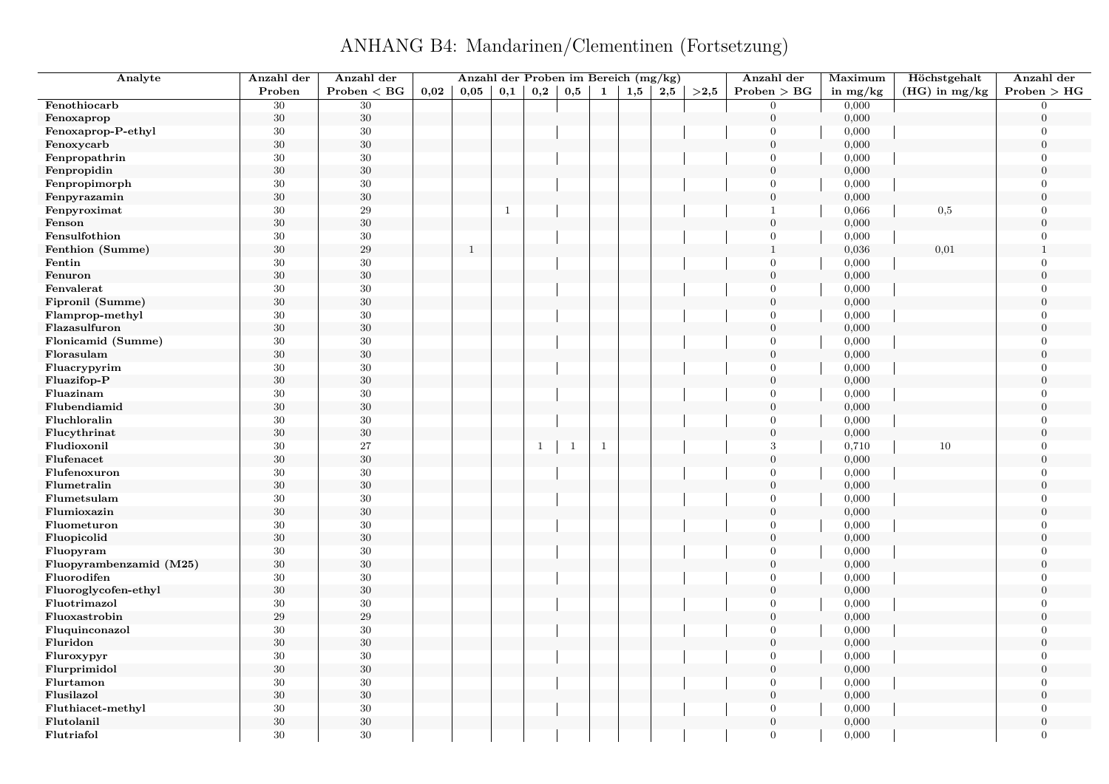ANHANG B4: Mandarinen/Clementinen (Fortsetzung)

| Analyte                 | Anzahl der | Anzahl der      |      |              |              |                |              |              | Anzahl der Proben im Bereich (mg/kg) |     |      | Anzahl der     | Maximum    | Höchstgehalt    | Anzahl der       |
|-------------------------|------------|-----------------|------|--------------|--------------|----------------|--------------|--------------|--------------------------------------|-----|------|----------------|------------|-----------------|------------------|
|                         | Proben     | Problem < BG    | 0,02 | 0.05         | 0,1          | $_{\rm 0,2}$   | 0,5          | $\mathbf{1}$ | 1,5                                  | 2,5 | >2.5 | Problem > BG   | in $mg/kg$ | $(HG)$ in mg/kg | Problem > HG     |
| Fenothiocarb            | 30         | $\overline{30}$ |      |              |              |                |              |              |                                      |     |      | $\Omega$       | 0,000      |                 | $\Omega$         |
| Fenoxaprop              | $30\,$     | $30\,$          |      |              |              |                |              |              |                                      |     |      | $\overline{0}$ | 0,000      |                 | $\overline{0}$   |
| Fenoxaprop-P-ethyl      | 30         | $30\,$          |      |              |              |                |              |              |                                      |     |      | $\Omega$       | 0,000      |                 | $\overline{0}$   |
| Fenoxycarb              | $30\,$     | $30\,$          |      |              |              |                |              |              |                                      |     |      | $\overline{0}$ | 0,000      |                 | $\boldsymbol{0}$ |
| Fenpropathrin           | 30         | 30              |      |              |              |                |              |              |                                      |     |      | $\theta$       | 0,000      |                 | $\overline{0}$   |
| Fenpropidin             | $30\,$     | $30\,$          |      |              |              |                |              |              |                                      |     |      | $\mathbf{0}$   | 0,000      |                 | $\mathbf{0}$     |
| Fenpropimorph           | $30\,$     | $30\,$          |      |              |              |                |              |              |                                      |     |      | $\Omega$       | 0,000      |                 | $\theta$         |
| Fenpyrazamin            | $30\,$     | $30\,$          |      |              |              |                |              |              |                                      |     |      | $\overline{0}$ | 0,000      |                 | $\overline{0}$   |
| Fenpyroximat            | $30\,$     | $\sqrt{29}$     |      |              | $\mathbf{1}$ |                |              |              |                                      |     |      | $\mathbf{1}$   | 0,066      | 0,5             | $\theta$         |
| Fenson                  | $30\,$     | $30\,$          |      |              |              |                |              |              |                                      |     |      | $\overline{0}$ | 0,000      |                 | $\overline{0}$   |
| Fensulfothion           | $30\,$     | $30\,$          |      |              |              |                |              |              |                                      |     |      | $\overline{0}$ | 0,000      |                 | $\Omega$         |
| Fenthion (Summe)        | $30\,$     | $\sqrt{29}$     |      | $\mathbf{1}$ |              |                |              |              |                                      |     |      | $\mathbf{1}$   | 0,036      | 0,01            | $\mathbf{1}$     |
| Fentin                  | $30\,$     | $30\,$          |      |              |              |                |              |              |                                      |     |      | $\Omega$       | 0,000      |                 | $\overline{0}$   |
| Fenuron                 | $30\,$     | $30\,$          |      |              |              |                |              |              |                                      |     |      | $\overline{0}$ | 0,000      |                 | $\overline{0}$   |
| Fenvalerat              | 30         | $30\,$          |      |              |              |                |              |              |                                      |     |      | $\Omega$       | 0,000      |                 | $\theta$         |
| Fipronil (Summe)        | $30\,$     | $30\,$          |      |              |              |                |              |              |                                      |     |      | $\theta$       | 0,000      |                 | $\overline{0}$   |
| Flamprop-methyl         | $30\,$     | $30\,$          |      |              |              |                |              |              |                                      |     |      | $\mathbf{0}$   | 0,000      |                 | $\overline{0}$   |
| Flazasulfuron           | $30\,$     | $30\,$          |      |              |              |                |              |              |                                      |     |      | $\theta$       | 0,000      |                 | $\theta$         |
| Flonicamid (Summe)      | $30\,$     | $30\,$          |      |              |              |                |              |              |                                      |     |      | $\overline{0}$ | 0,000      |                 | $\overline{0}$   |
| Florasulam              | 30         | $30\,$          |      |              |              |                |              |              |                                      |     |      | $\overline{0}$ | 0,000      |                 | $\Omega$         |
| Fluacrypyrim            | 30         | $30\,$          |      |              |              |                |              |              |                                      |     |      | $\overline{0}$ | 0,000      |                 | $\overline{0}$   |
| Fluazifop-P             | $30\,$     | $30\,$          |      |              |              |                |              |              |                                      |     |      | $\theta$       | 0,000      |                 | $\overline{0}$   |
| Fluazinam               | $30\,$     | $30\,$          |      |              |              |                |              |              |                                      |     |      | $\theta$       | 0,000      |                 | $\theta$         |
| Flubendiamid            | $30\,$     | $30\,$          |      |              |              |                |              |              |                                      |     |      | $\overline{0}$ | 0,000      |                 | $\overline{0}$   |
| Fluchloralin            | $30\,$     | $30\,$          |      |              |              |                |              |              |                                      |     |      | $\Omega$       | 0,000      |                 | $\overline{0}$   |
|                         |            | $30\,$          |      |              |              |                |              |              |                                      |     |      | $\overline{0}$ |            |                 | $\overline{0}$   |
| Flucythrinat            | $30\,$     | 27              |      |              |              |                |              |              |                                      |     |      | 3              | 0,000      |                 | $\overline{0}$   |
| Fludioxonil             | $30\,$     |                 |      |              |              | $\overline{1}$ | $\mathbf{1}$ | $\,$ 1       |                                      |     |      |                | 0,710      | 10              |                  |
| Flufenacet              | $30\,$     | $30\,$          |      |              |              |                |              |              |                                      |     |      | $\mathbf{0}$   | 0,000      |                 | $\mathbf{0}$     |
| Flufenoxuron            | 30         | 30              |      |              |              |                |              |              |                                      |     |      | $\Omega$       | 0,000      |                 | $\overline{0}$   |
| Flumetralin             | $30\,$     | $30\,$          |      |              |              |                |              |              |                                      |     |      | $\overline{0}$ | 0,000      |                 | $\overline{0}$   |
| Flumetsulam             | $30\,$     | $30\,$          |      |              |              |                |              |              |                                      |     |      | $\theta$       | 0,000      |                 | $\Omega$         |
| Flumioxazin             | $30\,$     | $30\,$          |      |              |              |                |              |              |                                      |     |      | $\mathbf{0}$   | 0,000      |                 | $\boldsymbol{0}$ |
| Fluometuron             | $30\,$     | $30\,$          |      |              |              |                |              |              |                                      |     |      | $\theta$       | 0,000      |                 | $\theta$         |
| Fluopicolid             | $30\,$     | $30\,$          |      |              |              |                |              |              |                                      |     |      | $\overline{0}$ | 0,000      |                 | $\theta$         |
| Fluopyram               | $30\,$     | $30\,$          |      |              |              |                |              |              |                                      |     |      | $\Omega$       | 0,000      |                 | $\Omega$         |
| Fluopyrambenzamid (M25) | $30\,$     | $30\,$          |      |              |              |                |              |              |                                      |     |      | $\mathbf{0}$   | 0,000      |                 | $\overline{0}$   |
| Fluorodifen             | $30\,$     | $30\,$          |      |              |              |                |              |              |                                      |     |      | $\Omega$       | 0,000      |                 | $\Omega$         |
| Fluoroglycofen-ethyl    | $30\,$     | $30\,$          |      |              |              |                |              |              |                                      |     |      | $\theta$       | 0,000      |                 | $\theta$         |
| Fluotrimazol            | 30         | $30\,$          |      |              |              |                |              |              |                                      |     |      | $\theta$       | 0,000      |                 | $\overline{0}$   |
| Fluoxastrobin           | $\,29$     | $\,29$          |      |              |              |                |              |              |                                      |     |      | $\mathbf{0}$   | 0,000      |                 | $\overline{0}$   |
| Fluquinconazol          | $30\,$     | $30\,$          |      |              |              |                |              |              |                                      |     |      | $\mathbf{0}$   | 0,000      |                 | $\overline{0}$   |
| Fluridon                | $30\,$     | $30\,$          |      |              |              |                |              |              |                                      |     |      | $\theta$       | 0,000      |                 | $\theta$         |
| Fluroxypyr              | $30\,$     | $30\,$          |      |              |              |                |              |              |                                      |     |      | $\overline{0}$ | 0,000      |                 | $\overline{0}$   |
| Flurprimidol            | 30         | $30\,$          |      |              |              |                |              |              |                                      |     |      | $\overline{0}$ | 0,000      |                 | $\overline{0}$   |
| Flurtamon               | $30\,$     | $30\,$          |      |              |              |                |              |              |                                      |     |      | $\overline{0}$ | 0,000      |                 | $\overline{0}$   |
| Flusilazol              | $30\,$     | $30\,$          |      |              |              |                |              |              |                                      |     |      | $\theta$       | 0,000      |                 | $\overline{0}$   |
| Fluthiacet-methyl       | 30         | $30\,$          |      |              |              |                |              |              |                                      |     |      | $\Omega$       | 0,000      |                 | $\overline{0}$   |
| Flutolanil              | $30\,$     | $30\,$          |      |              |              |                |              |              |                                      |     |      | $\Omega$       | 0,000      |                 | $\overline{0}$   |
| Flutriafol              | 30         | 30              |      |              |              |                |              |              |                                      |     |      | $\Omega$       | 0,000      |                 | $\theta$         |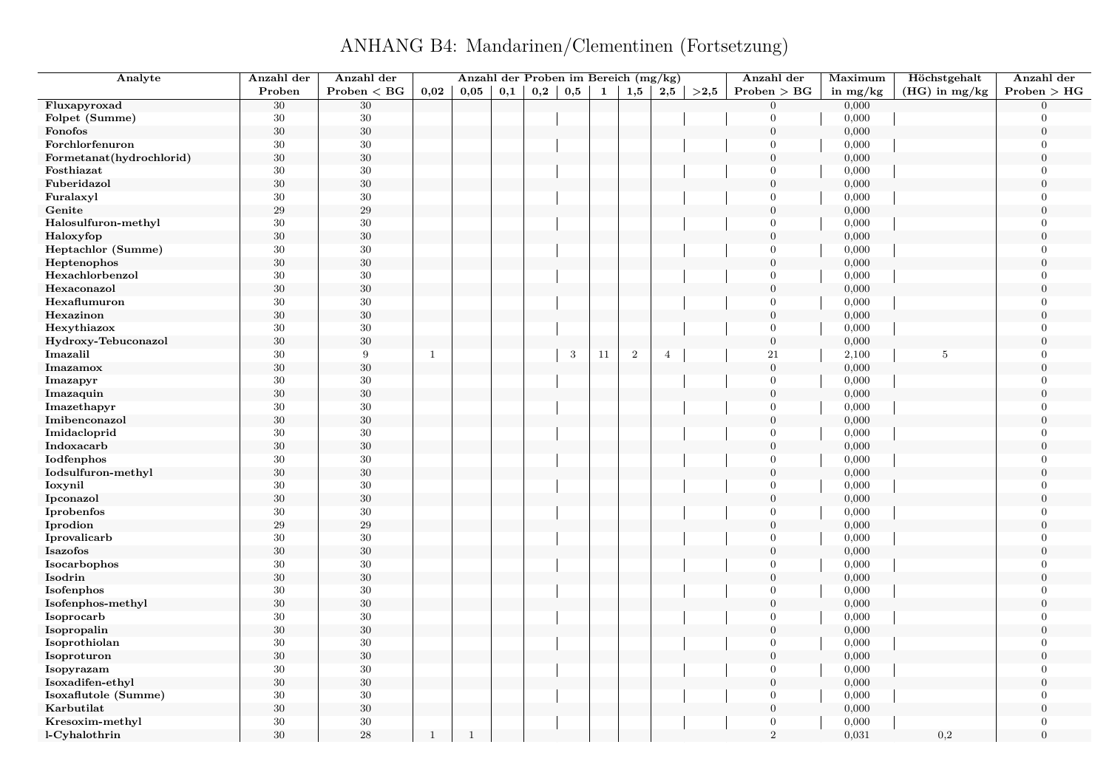## ANHANG B4: Mandarinen/Clementinen (Fortsetzung)

| Analyte                  | Anzahl der | Anzahl der      |              | Anzahl der Proben im Bereich (mg/kg) |     |     |     |              |                |                |      | Anzahl der       | Maximum    | Höchstgehalt    | Anzahl der       |
|--------------------------|------------|-----------------|--------------|--------------------------------------|-----|-----|-----|--------------|----------------|----------------|------|------------------|------------|-----------------|------------------|
|                          | Proben     | Problem < BG    | 0.02         | 0,05                                 | 0,1 | 0,2 | 0,5 | $\mathbf{1}$ | 1,5            | 2,5            | >2,5 | Problem > BG     | in $mg/kg$ | $(HG)$ in mg/kg | Problem > HG     |
| Fluxapyroxad             | 30         | $\overline{30}$ |              |                                      |     |     |     |              |                |                |      | $\overline{0}$   | 0,000      |                 | $\Omega$         |
| Folpet (Summe)           | 30         | 30              |              |                                      |     |     |     |              |                |                |      | $\overline{0}$   | 0,000      |                 | $\Omega$         |
| Fonofos                  | $30\,$     | $30\,$          |              |                                      |     |     |     |              |                |                |      | $\overline{0}$   | 0,000      |                 | $\mathbf{0}$     |
| Forchlorfenuron          | $30\,$     | 30              |              |                                      |     |     |     |              |                |                |      | $\overline{0}$   | 0,000      |                 | $\Omega$         |
| Formetanat(hydrochlorid) | 30         | $30\,$          |              |                                      |     |     |     |              |                |                |      | $\mathbf{0}$     | 0,000      |                 | $\overline{0}$   |
| Fosthiazat               | 30         | $30\,$          |              |                                      |     |     |     |              |                |                |      | $\overline{0}$   | 0,000      |                 | $\Omega$         |
| Fuberidazol              | $30\,$     | $30\,$          |              |                                      |     |     |     |              |                |                |      | $\mathbf{0}$     | 0,000      |                 | $\theta$         |
| Furalaxyl                | 30         | $30\,$          |              |                                      |     |     |     |              |                |                |      | $\overline{0}$   | 0,000      |                 | $\Omega$         |
| Genite                   | 29         | 29              |              |                                      |     |     |     |              |                |                |      | $\overline{0}$   | 0,000      |                 | $\Omega$         |
| Halosulfuron-methyl      | 30         | $30\,$          |              |                                      |     |     |     |              |                |                |      | $\overline{0}$   | 0,000      |                 | $\overline{0}$   |
| Haloxyfop                | 30         | $30\,$          |              |                                      |     |     |     |              |                |                |      | $\mathbf{0}$     | 0,000      |                 | $\theta$         |
| Heptachlor (Summe)       | 30         | $30\,$          |              |                                      |     |     |     |              |                |                |      | $\overline{0}$   | 0,000      |                 | $\overline{0}$   |
| Heptenophos              | 30         | $30\,$          |              |                                      |     |     |     |              |                |                |      | $\overline{0}$   | 0,000      |                 | $\overline{0}$   |
| Hexachlorbenzol          | 30         | $30\,$          |              |                                      |     |     |     |              |                |                |      | $\overline{0}$   | 0,000      |                 | $\overline{0}$   |
| Hexaconazol              | $30\,$     | $30\,$          |              |                                      |     |     |     |              |                |                |      | $\boldsymbol{0}$ | 0,000      |                 | $\overline{0}$   |
| Hexaflumuron             | 30         | $30\,$          |              |                                      |     |     |     |              |                |                |      | $\overline{0}$   | 0,000      |                 | $\overline{0}$   |
| Hexazinon                | $30\,$     | $30\,$          |              |                                      |     |     |     |              |                |                |      | $\mathbf{0}$     | 0,000      |                 | $\boldsymbol{0}$ |
| Hexythiazox              | 30         | $30\,$          |              |                                      |     |     |     |              |                |                |      | $\overline{0}$   | 0,000      |                 | $\theta$         |
| Hydroxy-Tebuconazol      | 30         | $30\,$          |              |                                      |     |     |     |              |                |                |      | $\boldsymbol{0}$ | 0,000      |                 | $\overline{0}$   |
| Imazalil                 | 30         | 9               | -1           |                                      |     |     | 3   | 11           | $\overline{2}$ | $\overline{4}$ |      | 21               | 2,100      | 5               | $\Omega$         |
| Imazamox                 | $30\,$     | $30\,$          |              |                                      |     |     |     |              |                |                |      | $\overline{0}$   | 0,000      |                 | $\overline{0}$   |
| Imazapyr                 | 30         | $30\,$          |              |                                      |     |     |     |              |                |                |      | $\overline{0}$   | 0,000      |                 | $\Omega$         |
| Imazaquin                | 30         | $30\,$          |              |                                      |     |     |     |              |                |                |      | $\mathbf{0}$     | 0,000      |                 | $\Omega$         |
| Imazethapyr              | 30         | $30\,$          |              |                                      |     |     |     |              |                |                |      | $\overline{0}$   | 0,000      |                 | $\Omega$         |
| Imibenconazol            | $30\,$     | $30\,$          |              |                                      |     |     |     |              |                |                |      | $\mathbf{0}$     | 0,000      |                 | $\overline{0}$   |
| Imidacloprid             | 30         | $30\,$          |              |                                      |     |     |     |              |                |                |      | $\overline{0}$   | 0,000      |                 | $\Omega$         |
| Indoxacarb               | 30         | $30\,$          |              |                                      |     |     |     |              |                |                |      | $\overline{0}$   | 0,000      |                 | $\overline{0}$   |
| Iodfenphos               | 30         | $30\,$          |              |                                      |     |     |     |              |                |                |      | $\overline{0}$   | 0,000      |                 | $\Omega$         |
| Iodsulfuron-methyl       | $30\,$     | $30\,$          |              |                                      |     |     |     |              |                |                |      | $\mathbf{0}$     | 0,000      |                 | $\overline{0}$   |
| Ioxynil                  | 30         | $30\,$          |              |                                      |     |     |     |              |                |                |      | $\overline{0}$   | 0,000      |                 | $\overline{0}$   |
| Ipconazol                | $30\,$     | $30\,$          |              |                                      |     |     |     |              |                |                |      | $\overline{0}$   | 0,000      |                 | $\Omega$         |
| Iprobenfos               | 30         | $30\,$          |              |                                      |     |     |     |              |                |                |      | $\overline{0}$   | 0,000      |                 | $\overline{0}$   |
| Iprodion                 | 29         | 29              |              |                                      |     |     |     |              |                |                |      | $\boldsymbol{0}$ | 0,000      |                 | $\theta$         |
| Iprovalicarb             | 30         | $30\,$          |              |                                      |     |     |     |              |                |                |      | $\overline{0}$   | 0,000      |                 | $\Omega$         |
| Isazofos                 | 30         | $30\,$          |              |                                      |     |     |     |              |                |                |      | $\mathbf{0}$     | 0,000      |                 | $\Omega$         |
| Isocarbophos             | $30\,$     | 30              |              |                                      |     |     |     |              |                |                |      | $\overline{0}$   | 0,000      |                 | $\overline{0}$   |
| Isodrin                  | 30         | $30\,$          |              |                                      |     |     |     |              |                |                |      | $\boldsymbol{0}$ | 0,000      |                 | $\mathbf{0}$     |
| Isofenphos               | 30         | $30\,$          |              |                                      |     |     |     |              |                |                |      | $\overline{0}$   | 0,000      |                 | $\overline{0}$   |
| Isofenphos-methyl        | 30         | $30\,$          |              |                                      |     |     |     |              |                |                |      | $\mathbf{0}$     | 0,000      |                 | $\boldsymbol{0}$ |
| Isoprocarb               | 30         | 30              |              |                                      |     |     |     |              |                |                |      | $\overline{0}$   | 0,000      |                 | $\Omega$         |
| Isopropalin              | $30\,$     | $30\,$          |              |                                      |     |     |     |              |                |                |      | $\overline{0}$   | 0,000      |                 | $\boldsymbol{0}$ |
| Isoprothiolan            | 30         | 30              |              |                                      |     |     |     |              |                |                |      | $\overline{0}$   | 0,000      |                 | $\overline{0}$   |
| Isoproturon              | $30\,$     | $30\,$          |              |                                      |     |     |     |              |                |                |      | $\overline{0}$   | 0,000      |                 | $\boldsymbol{0}$ |
| Isopyrazam               | 30         | $30\,$          |              |                                      |     |     |     |              |                |                |      | $\overline{0}$   | 0,000      |                 | $\Omega$         |
| Isoxadifen-ethyl         | $30\,$     | $30\,$          |              |                                      |     |     |     |              |                |                |      | $\boldsymbol{0}$ | 0,000      |                 | $\theta$         |
| Isoxaflutole (Summe)     | 30         | $30\,$          |              |                                      |     |     |     |              |                |                |      | $\overline{0}$   | 0,000      |                 | $\Omega$         |
| Karbutilat               | $30\,$     | $30\,$          |              |                                      |     |     |     |              |                |                |      | $\boldsymbol{0}$ | 0,000      |                 | $\overline{0}$   |
| Kresoxim-methyl          | 30         | $30\,$          |              |                                      |     |     |     |              |                |                |      | $\overline{0}$   | 0,000      |                 | $\overline{0}$   |
| l-Cyhalothrin            | 30         | 28              | $\mathbf{1}$ | $\mathbf{1}$                         |     |     |     |              |                |                |      | 2                | 0,031      | 0,2             | $\overline{0}$   |
|                          |            |                 |              |                                      |     |     |     |              |                |                |      |                  |            |                 |                  |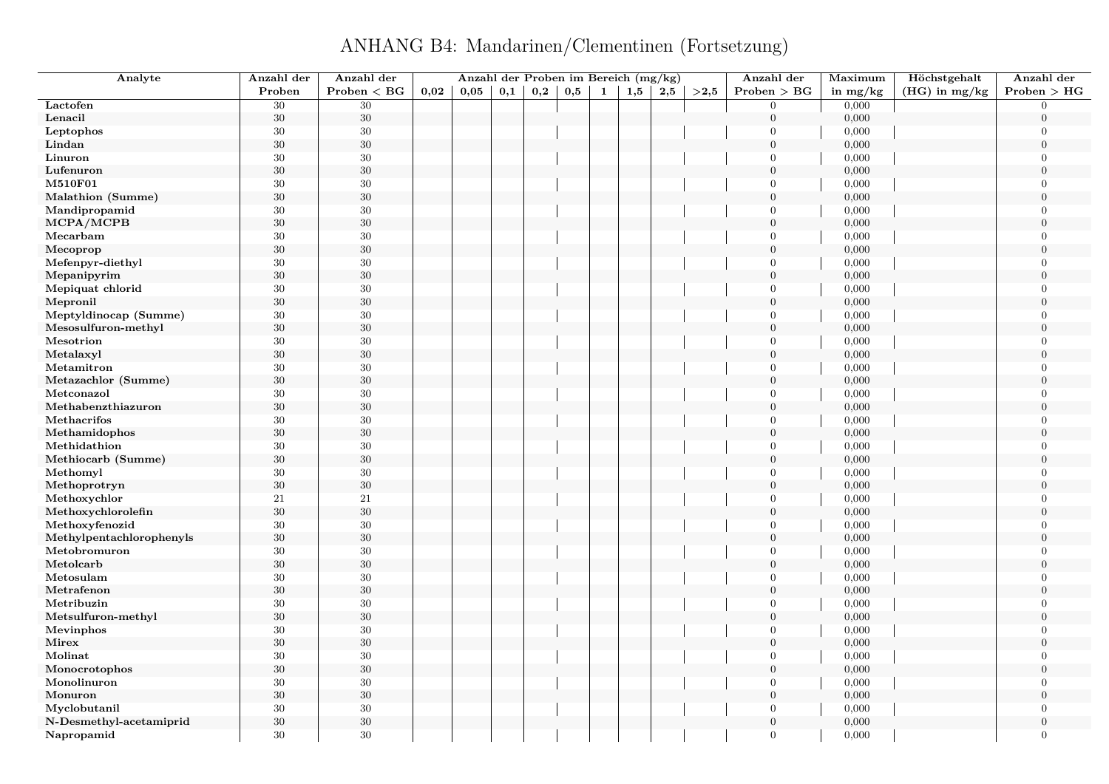ANHANG B4: Mandarinen/Clementinen (Fortsetzung)

| Analyte                                  | Anzahl der | Anzahl der   |      |      |     | Anzahl der Proben im Bereich (mg/kg) |     |   |     |         |      | Anzahl der                       | Maximum    | Höchstgehalt    | Anzahl der     |
|------------------------------------------|------------|--------------|------|------|-----|--------------------------------------|-----|---|-----|---------|------|----------------------------------|------------|-----------------|----------------|
|                                          | Proben     | Problem < BG | 0,02 | 0,05 | 0,1 | 0,2                                  | 0,5 | 1 | 1,5 | $2{,}5$ | >2.5 | Problem > BG                     | in $mg/kg$ | $(HG)$ in mg/kg | Problem > HG   |
| Lactofen                                 | 30         | 30           |      |      |     |                                      |     |   |     |         |      | $\overline{0}$                   | 0,000      |                 | $\Omega$       |
| Lenacil                                  | $30\,$     | $30\,$       |      |      |     |                                      |     |   |     |         |      | $\mathbf{0}$                     | 0,000      |                 | $\overline{0}$ |
| Leptophos                                | $30\,$     | $30\,$       |      |      |     |                                      |     |   |     |         |      | $\overline{0}$                   | 0,000      |                 | $\theta$       |
| Lindan                                   | $30\,$     | $30\,$       |      |      |     |                                      |     |   |     |         |      | $\overline{0}$                   | 0,000      |                 | $\overline{0}$ |
| Linuron                                  | 30         | 30           |      |      |     |                                      |     |   |     |         |      | $\overline{0}$                   | 0,000      |                 | $\Omega$       |
| Lufenuron                                | $30\,$     | $30\,$       |      |      |     |                                      |     |   |     |         |      | $\overline{0}$                   | 0,000      |                 | $\overline{0}$ |
| M510F01                                  | $30\,$     | 30           |      |      |     |                                      |     |   |     |         |      | $\mathbf{0}$                     | 0,000      |                 | $\Omega$       |
| Malathion (Summe)                        | $30\,$     | $30\,$       |      |      |     |                                      |     |   |     |         |      | $\mathbf{0}$                     | 0,000      |                 | $\overline{0}$ |
| Mandipropamid                            | $30\,$     | $30\,$       |      |      |     |                                      |     |   |     |         |      | $\overline{0}$                   | 0,000      |                 | $\Omega$       |
| MCPA/MCPB                                | $30\,$     | $30\,$       |      |      |     |                                      |     |   |     |         |      | $\overline{0}$                   | 0,000      |                 | $\overline{0}$ |
| Mecarbam                                 | $30\,$     | $30\,$       |      |      |     |                                      |     |   |     |         |      | $\Omega$                         | 0,000      |                 | $\Omega$       |
| Mecoprop                                 | $30\,$     | $30\,$       |      |      |     |                                      |     |   |     |         |      | $\mathbf{0}$                     | 0,000      |                 | $\Omega$       |
| Mefenpyr-diethyl                         | 30         | $30\,$       |      |      |     |                                      |     |   |     |         |      | $\overline{0}$                   | 0,000      |                 | $\Omega$       |
| Mepanipyrim                              | $30\,$     | $30\,$       |      |      |     |                                      |     |   |     |         |      | $\mathbf{0}$                     | 0,000      |                 | $\overline{0}$ |
| Mepiquat chlorid                         | $30\,$     | $30\,$       |      |      |     |                                      |     |   |     |         |      | $\overline{0}$                   | 0,000      |                 | $\theta$       |
| Mepronil                                 | $30\,$     | $30\,$       |      |      |     |                                      |     |   |     |         |      | $\mathbf{0}$                     | 0,000      |                 | $\theta$       |
| Meptyldinocap (Summe)                    | 30         | $30\,$       |      |      |     |                                      |     |   |     |         |      | $\mathbf{0}$                     | 0,000      |                 | $\overline{0}$ |
| Mesosulfuron-methyl                      | $30\,$     | $30\,$       |      |      |     |                                      |     |   |     |         |      | $\mathbf{0}$                     | 0,000      |                 | $\theta$       |
| Mesotrion                                | $30\,$     | $30\,$       |      |      |     |                                      |     |   |     |         |      | $\mathbf{0}$                     | 0,000      |                 | $\Omega$       |
| Metalaxyl                                | $30\,$     | $30\,$       |      |      |     |                                      |     |   |     |         |      | $\boldsymbol{0}$                 | 0,000      |                 | $\Omega$       |
| Metamitron                               | $30\,$     | $30\,$       |      |      |     |                                      |     |   |     |         |      | $\mathbf{0}$                     | 0,000      |                 | $\overline{0}$ |
| Metazachlor (Summe)                      | $30\,$     | $30\,$       |      |      |     |                                      |     |   |     |         |      | $\overline{0}$                   | 0,000      |                 | $\theta$       |
| Metconazol                               | $30\,$     | $30\,$       |      |      |     |                                      |     |   |     |         |      | $\overline{0}$                   | 0,000      |                 | $\theta$       |
| Methabenzthiazuron                       | 30         | $30\,$       |      |      |     |                                      |     |   |     |         |      | $\mathbf{0}$                     | 0,000      |                 | $\overline{0}$ |
| Methacrifos                              | $30\,$     | $30\,$       |      |      |     |                                      |     |   |     |         |      | $\mathbf{0}$                     | 0,000      |                 | $\overline{0}$ |
| Methamidophos                            | $30\,$     | $30\,$       |      |      |     |                                      |     |   |     |         |      | $\mathbf{0}$                     | 0,000      |                 | $\overline{0}$ |
| Methidathion                             | $30\,$     | $30\,$       |      |      |     |                                      |     |   |     |         |      | $\overline{0}$                   | 0,000      |                 | $\theta$       |
| Methiocarb (Summe)                       | $30\,$     | $30\,$       |      |      |     |                                      |     |   |     |         |      | $\overline{0}$                   | 0,000      |                 | $\overline{0}$ |
| Methomyl                                 | 30         | $30\,$       |      |      |     |                                      |     |   |     |         |      | $\overline{0}$                   | 0,000      |                 | $\overline{0}$ |
| Methoprotryn                             | $30\,$     | $30\,$       |      |      |     |                                      |     |   |     |         |      | $\overline{0}$                   | 0,000      |                 | $\overline{0}$ |
|                                          | 21         | $21\,$       |      |      |     |                                      |     |   |     |         |      | $\mathbf{0}$                     | 0,000      |                 | $\Omega$       |
| Methoxychlor<br>Methoxychlorolefin       | $30\,$     | $30\,$       |      |      |     |                                      |     |   |     |         |      | $\mathbf{0}$                     | 0,000      |                 | $\overline{0}$ |
|                                          | $30\,$     | $30\,$       |      |      |     |                                      |     |   |     |         |      | $\overline{0}$                   | 0,000      |                 | $\Omega$       |
| Methoxyfenozid                           | 30         | $30\,$       |      |      |     |                                      |     |   |     |         |      | $\overline{0}$                   | 0,000      |                 | $\theta$       |
| Methylpentachlorophenyls<br>Metobromuron | $30\,$     | $30\,$       |      |      |     |                                      |     |   |     |         |      | $\overline{0}$                   | 0,000      |                 | $\Omega$       |
| Metolcarb                                | 30         | $30\,$       |      |      |     |                                      |     |   |     |         |      | $\mathbf{0}$                     | 0,000      |                 | $\overline{0}$ |
|                                          |            |              |      |      |     |                                      |     |   |     |         |      | $\overline{0}$                   |            |                 | $\Omega$       |
| Metosulam                                | $30\,$     | $30\,$       |      |      |     |                                      |     |   |     |         |      |                                  | 0,000      |                 | $\theta$       |
| Metrafenon                               | 30         | $30\,$       |      |      |     |                                      |     |   |     |         |      | $\overline{0}$<br>$\overline{0}$ | 0,000      |                 | $\theta$       |
| Metribuzin                               | $30\,$     | $30\,$       |      |      |     |                                      |     |   |     |         |      |                                  | 0,000      |                 |                |
| Metsulfuron-methyl                       | $30\,$     | $30\,$       |      |      |     |                                      |     |   |     |         |      | $\mathbf{0}$                     | 0,000      |                 | $\overline{0}$ |
| Mevinphos                                | 30         | 30           |      |      |     |                                      |     |   |     |         |      | $\mathbf{0}$                     | 0,000      |                 | $\overline{0}$ |
| Mirex                                    | $30\,$     | $30\,$       |      |      |     |                                      |     |   |     |         |      | $\overline{0}$                   | 0,000      |                 | $\theta$       |
| Molinat                                  | $30\,$     | $30\,$       |      |      |     |                                      |     |   |     |         |      | $\mathbf{0}$                     | 0,000      |                 | $\overline{0}$ |
| Monocrotophos                            | $30\,$     | 30           |      |      |     |                                      |     |   |     |         |      | $\mathbf{0}$                     | 0,000      |                 | $\overline{0}$ |
| Monolinuron                              | $30\,$     | $30\,$       |      |      |     |                                      |     |   |     |         |      | $\mathbf{0}$                     | 0,000      |                 | $\overline{0}$ |
| Monuron                                  | 30         | $30\,$       |      |      |     |                                      |     |   |     |         |      | $\mathbf{0}$                     | 0,000      |                 | $\theta$       |
| Myclobutanil                             | $30\,$     | 30           |      |      |     |                                      |     |   |     |         |      | $\overline{0}$                   | 0,000      |                 | $\overline{0}$ |
| N-Desmethyl-acetamiprid                  | 30         | 30           |      |      |     |                                      |     |   |     |         |      | $\mathbf{0}$                     | 0,000      |                 | $\overline{0}$ |
| Napropamid                               | 30         | 30           |      |      |     |                                      |     |   |     |         |      | $\overline{0}$                   | 0,000      |                 | $\Omega$       |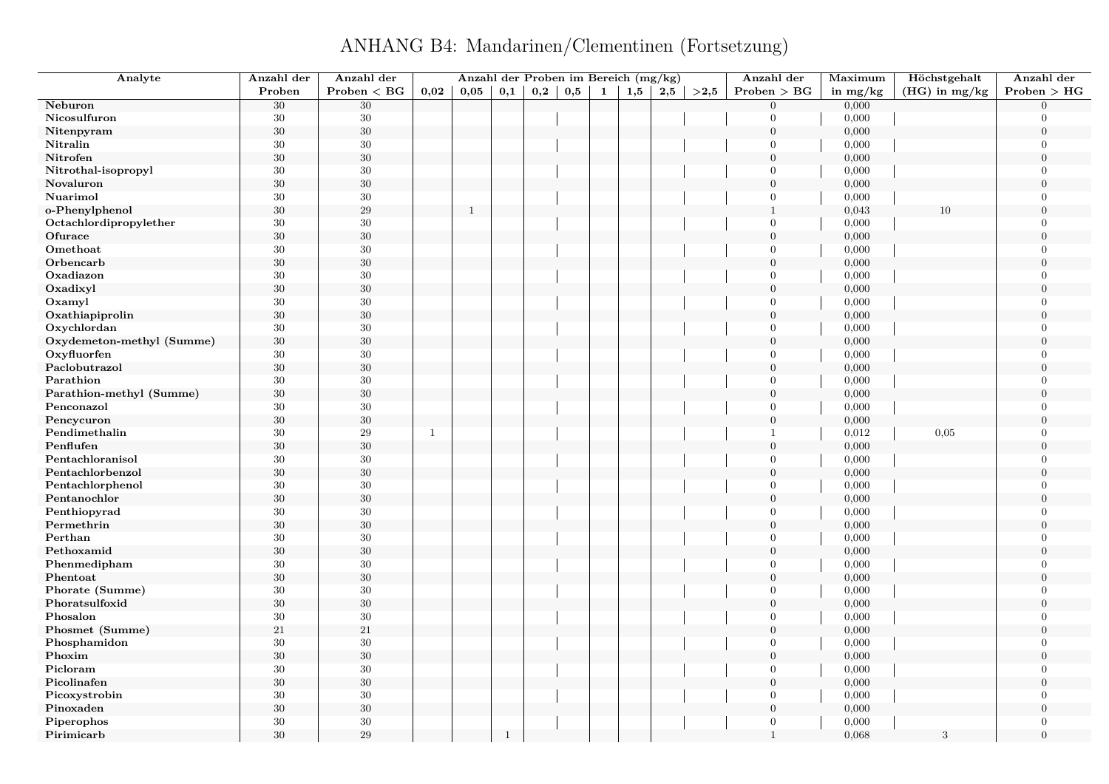## ANHANG B4: Mandarinen/Clementinen (Fortsetzung)

| Analyte                   | Anzahl der | Anzahl der   |              | Anzahl der Proben im Bereich (mg/kg) |              |     |     |              |              |     |      | Anzahl der       | Maximum    | Höchstgehalt    | Anzahl der       |
|---------------------------|------------|--------------|--------------|--------------------------------------|--------------|-----|-----|--------------|--------------|-----|------|------------------|------------|-----------------|------------------|
|                           | Proben     | Problem < BG | 0.02         | 0,05                                 | 0,1          | 0,2 | 0,5 | $\mathbf{1}$ | $_{\rm 1,5}$ | 2,5 | >2,5 | Problem > BG     | in $mg/kg$ | $(HG)$ in mg/kg | Problem > HG     |
| Neburon                   | $30\,$     | $30\,$       |              |                                      |              |     |     |              |              |     |      | $\overline{0}$   | 0,000      |                 | $\Omega$         |
| Nicosulfuron              | 30         | 30           |              |                                      |              |     |     |              |              |     |      | $\Omega$         | 0,000      |                 | $\Omega$         |
| Nitenpyram                | $30\,$     | $30\,$       |              |                                      |              |     |     |              |              |     |      | $\overline{0}$   | 0,000      |                 | $\mathbf{0}$     |
| Nitralin                  | $30\,$     | 30           |              |                                      |              |     |     |              |              |     |      | $\overline{0}$   | 0,000      |                 | $\Omega$         |
| Nitrofen                  | 30         | $30\,$       |              |                                      |              |     |     |              |              |     |      | $\mathbf{0}$     | 0,000      |                 | $\overline{0}$   |
| Nitrothal-isopropyl       | 30         | $30\,$       |              |                                      |              |     |     |              |              |     |      | $\overline{0}$   | 0,000      |                 | $\Omega$         |
| Novaluron                 | $30\,$     | $30\,$       |              |                                      |              |     |     |              |              |     |      | $\boldsymbol{0}$ | 0,000      |                 | $\theta$         |
| Nuarimol                  | 30         | $30\,$       |              |                                      |              |     |     |              |              |     |      | $\overline{0}$   | 0,000      |                 | $\Omega$         |
| o-Phenylphenol            | $30\,$     | 29           |              | $\mathbf{1}$                         |              |     |     |              |              |     |      | $\mathbf{1}$     | 0,043      | 10              | $\Omega$         |
| Octachlordipropylether    | 30         | $30\,$       |              |                                      |              |     |     |              |              |     |      | $\overline{0}$   | 0,000      |                 | $\overline{0}$   |
| Ofurace                   | 30         | $30\,$       |              |                                      |              |     |     |              |              |     |      | $\mathbf{0}$     | 0,000      |                 | $\theta$         |
| Omethoat                  | 30         | $30\,$       |              |                                      |              |     |     |              |              |     |      | $\overline{0}$   | 0,000      |                 | $\overline{0}$   |
| Orbencarb                 | 30         | $30\,$       |              |                                      |              |     |     |              |              |     |      | $\overline{0}$   | 0,000      |                 | $\theta$         |
| Oxadiazon                 | 30         | $30\,$       |              |                                      |              |     |     |              |              |     |      | $\overline{0}$   | 0,000      |                 | $\overline{0}$   |
| Oxadixyl                  | $30\,$     | $30\,$       |              |                                      |              |     |     |              |              |     |      | $\boldsymbol{0}$ | 0,000      |                 | $\overline{0}$   |
| Oxamyl                    | 30         | $30\,$       |              |                                      |              |     |     |              |              |     |      | $\overline{0}$   | 0,000      |                 | $\overline{0}$   |
| Oxathiapiprolin           | $30\,$     | $30\,$       |              |                                      |              |     |     |              |              |     |      | $\boldsymbol{0}$ | 0,000      |                 | $\boldsymbol{0}$ |
| Oxychlordan               | 30         | $30\,$       |              |                                      |              |     |     |              |              |     |      | $\overline{0}$   | 0,000      |                 | $\theta$         |
| Oxydemeton-methyl (Summe) | $30\,$     | $30\,$       |              |                                      |              |     |     |              |              |     |      | $\mathbf{0}$     | 0,000      |                 | $\overline{0}$   |
| Oxyfluorfen               | 30         | 30           |              |                                      |              |     |     |              |              |     |      | $\overline{0}$   | 0,000      |                 | $\Omega$         |
| Paclobutrazol             | $30\,$     | $30\,$       |              |                                      |              |     |     |              |              |     |      | $\boldsymbol{0}$ | 0,000      |                 | $\boldsymbol{0}$ |
| Parathion                 | 30         | $30\,$       |              |                                      |              |     |     |              |              |     |      | $\overline{0}$   | 0,000      |                 | $\Omega$         |
| Parathion-methyl (Summe)  | 30         | $30\,$       |              |                                      |              |     |     |              |              |     |      | $\mathbf{0}$     | 0,000      |                 | $\Omega$         |
| Penconazol                | 30         | $30\,$       |              |                                      |              |     |     |              |              |     |      | $\overline{0}$   | 0,000      |                 | $\Omega$         |
| Pencycuron                | $30\,$     | $30\,$       |              |                                      |              |     |     |              |              |     |      | $\overline{0}$   | 0,000      |                 | $\overline{0}$   |
| Pendimethalin             | 30         | $\,29$       | $\mathbf{1}$ |                                      |              |     |     |              |              |     |      | $\mathbf{1}$     | 0,012      | 0,05            | $\Omega$         |
| Penflufen                 | $30\,$     | $30\,$       |              |                                      |              |     |     |              |              |     |      | $\overline{0}$   | 0,000      |                 | $\Omega$         |
| Pentachloranisol          | 30         | $30\,$       |              |                                      |              |     |     |              |              |     |      | $\overline{0}$   | 0,000      |                 | $\Omega$         |
| Pentachlorbenzol          | $30\,$     | $30\,$       |              |                                      |              |     |     |              |              |     |      | $\mathbf{0}$     | 0,000      |                 | $\overline{0}$   |
| Pentachlorphenol          | 30         | $30\,$       |              |                                      |              |     |     |              |              |     |      | $\overline{0}$   | 0,000      |                 | $\overline{0}$   |
| Pentanochlor              | $30\,$     | $30\,$       |              |                                      |              |     |     |              |              |     |      | $\overline{0}$   | 0,000      |                 | $\Omega$         |
| Penthiopyrad              | 30         | $30\,$       |              |                                      |              |     |     |              |              |     |      | $\overline{0}$   | 0,000      |                 | $\overline{0}$   |
| Permethrin                | 30         | $30\,$       |              |                                      |              |     |     |              |              |     |      | $\boldsymbol{0}$ | 0,000      |                 | $\Omega$         |
| Perthan                   | 30         | $30\,$       |              |                                      |              |     |     |              |              |     |      | $\overline{0}$   | 0,000      |                 | $\Omega$         |
| Pethoxamid                | 30         | $30\,$       |              |                                      |              |     |     |              |              |     |      | $\mathbf{0}$     | 0,000      |                 | $\Omega$         |
| Phenmedipham              | $30\,$     | 30           |              |                                      |              |     |     |              |              |     |      | $\overline{0}$   | 0,000      |                 | $\overline{0}$   |
| Phentoat                  | 30         | $30\,$       |              |                                      |              |     |     |              |              |     |      | $\boldsymbol{0}$ | 0,000      |                 | $\mathbf{0}$     |
| Phorate (Summe)           | 30         | $30\,$       |              |                                      |              |     |     |              |              |     |      | $\overline{0}$   | 0,000      |                 | $\overline{0}$   |
| Phoratsulfoxid            | 30         | $30\,$       |              |                                      |              |     |     |              |              |     |      | $\mathbf{0}$     | 0,000      |                 | $\boldsymbol{0}$ |
| Phosalon                  | 30         | 30           |              |                                      |              |     |     |              |              |     |      | $\overline{0}$   | 0,000      |                 | $\Omega$         |
| Phosmet (Summe)           | $21\,$     | $21\,$       |              |                                      |              |     |     |              |              |     |      | $\overline{0}$   | 0,000      |                 | $\boldsymbol{0}$ |
| Phosphamidon              | 30         | 30           |              |                                      |              |     |     |              |              |     |      | $\overline{0}$   | 0,000      |                 | $\overline{0}$   |
| Phoxim                    | $30\,$     | $30\,$       |              |                                      |              |     |     |              |              |     |      | $\overline{0}$   | 0,000      |                 | $\boldsymbol{0}$ |
| Picloram                  | 30         | $30\,$       |              |                                      |              |     |     |              |              |     |      | $\overline{0}$   | 0,000      |                 | $\Omega$         |
| Picolinafen               | 30         | $30\,$       |              |                                      |              |     |     |              |              |     |      | $\boldsymbol{0}$ | 0,000      |                 | $\theta$         |
| Picoxystrobin             | 30         | $30\,$       |              |                                      |              |     |     |              |              |     |      | $\overline{0}$   | 0,000      |                 | $\Omega$         |
| Pinoxaden                 | $30\,$     | $30\,$       |              |                                      |              |     |     |              |              |     |      | $\boldsymbol{0}$ | 0,000      |                 | $\overline{0}$   |
| Piperophos                | 30         | $30\,$       |              |                                      |              |     |     |              |              |     |      | $\overline{0}$   | 0,000      |                 | $\overline{0}$   |
| Pirimicarb                | 30         | 29           |              |                                      | $\mathbf{1}$ |     |     |              |              |     |      | $\overline{1}$   | 0,068      | 3               | $\overline{0}$   |
|                           |            |              |              |                                      |              |     |     |              |              |     |      |                  |            |                 |                  |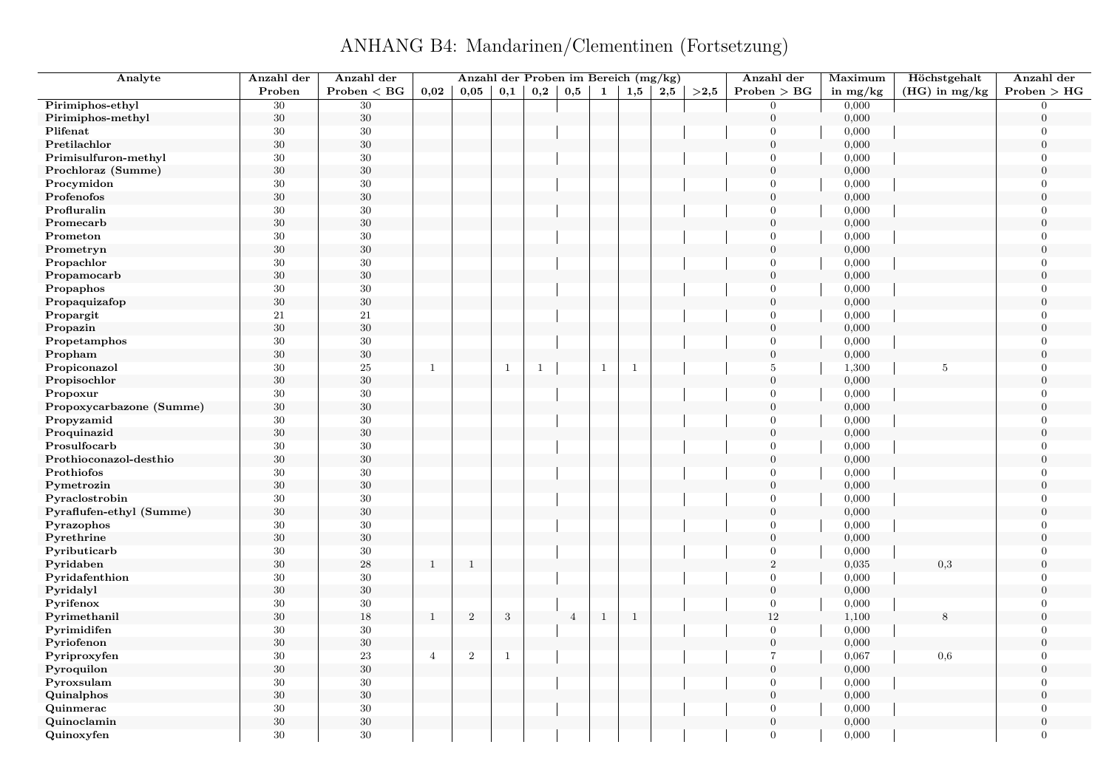ANHANG B4: Mandarinen/Clementinen (Fortsetzung)

| Analyte                  | Anzahl der | Anzahl der    |                | Anzahl der Proben im Bereich (mg/kg) |              |              |                |              |                |     |      | Anzahl der       | Maximum    | Höchstgehalt    | Anzahl der     |
|--------------------------|------------|---------------|----------------|--------------------------------------|--------------|--------------|----------------|--------------|----------------|-----|------|------------------|------------|-----------------|----------------|
|                          | Proben     | Proben $<$ BG | 0,02           | 0,05                                 | 0,1          | 0,2          | 0,5            | 1            | 1,5            | 2,5 | >2.5 | Problem > BG     | in $mg/kg$ | $(HG)$ in mg/kg | Problem > HG   |
| Pirimiphos-ethyl         | 30         | 30            |                |                                      |              |              |                |              |                |     |      | $\overline{0}$   | 0,000      |                 | $\Omega$       |
| Pirimiphos-methyl        | $30\,$     | $30\,$        |                |                                      |              |              |                |              |                |     |      | $\mathbf{0}$     | 0,000      |                 | $\overline{0}$ |
| Plifenat                 | $30\,$     | $30\,$        |                |                                      |              |              |                |              |                |     |      | $\mathbf{0}$     | 0,000      |                 | $\overline{0}$ |
| Pretilachlor             | $30\,$     | $30\,$        |                |                                      |              |              |                |              |                |     |      | $\overline{0}$   | 0,000      |                 | $\overline{0}$ |
| Primisulfuron-methyl     | 30         | 30            |                |                                      |              |              |                |              |                |     |      | $\overline{0}$   | 0,000      |                 | $\overline{0}$ |
| Prochloraz (Summe)       | $30\,$     | $30\,$        |                |                                      |              |              |                |              |                |     |      | $\overline{0}$   | 0,000      |                 | $\overline{0}$ |
| Procymidon               | $30\,$     | 30            |                |                                      |              |              |                |              |                |     |      | $\mathbf{0}$     | 0,000      |                 | $\theta$       |
| Profenofos               | 30         | $30\,$        |                |                                      |              |              |                |              |                |     |      | $\overline{0}$   | 0,000      |                 | $\overline{0}$ |
| Profluralin              | 30         | $30\,$        |                |                                      |              |              |                |              |                |     |      | $\overline{0}$   | 0,000      |                 | $\theta$       |
| Promecarb                | $30\,$     | $30\,$        |                |                                      |              |              |                |              |                |     |      | $\mathbf{0}$     | 0,000      |                 | $\overline{0}$ |
| Prometon                 | $30\,$     | $30\,$        |                |                                      |              |              |                |              |                |     |      | $\Omega$         | 0,000      |                 | $\Omega$       |
| Prometryn                | 30         | $30\,$        |                |                                      |              |              |                |              |                |     |      | $\mathbf{0}$     | 0,000      |                 | $\overline{0}$ |
| Propachlor               | 30         | 30            |                |                                      |              |              |                |              |                |     |      | $\overline{0}$   | 0,000      |                 | $\Omega$       |
| Propamocarb              | $30\,$     | $30\,$        |                |                                      |              |              |                |              |                |     |      | $\mathbf{0}$     | 0,000      |                 | $\overline{0}$ |
| Propaphos                | $30\,$     | $30\,$        |                |                                      |              |              |                |              |                |     |      | $\overline{0}$   | 0,000      |                 | $\theta$       |
| Propaquizafop            | $30\,$     | $30\,$        |                |                                      |              |              |                |              |                |     |      | $\overline{0}$   | 0,000      |                 | $\overline{0}$ |
| Propargit                | 21         | 21            |                |                                      |              |              |                |              |                |     |      | $\mathbf{0}$     | 0,000      |                 | $\overline{0}$ |
| Propazin                 | $30\,$     | $30\,$        |                |                                      |              |              |                |              |                |     |      | $\mathbf{0}$     | 0,000      |                 | $\theta$       |
| Propetamphos             | $30\,$     | $30\,$        |                |                                      |              |              |                |              |                |     |      | $\mathbf{0}$     | 0,000      |                 | $\Omega$       |
| Propham                  | $30\,$     | $30\,$        |                |                                      |              |              |                |              |                |     |      | $\boldsymbol{0}$ | 0,000      |                 | $\Omega$       |
| Propiconazol             | $30\,$     | $25\,$        | $\mathbf{1}$   |                                      | $\mathbf{1}$ | $\mathbf{1}$ |                | $\mathbf{1}$ | $\mathbf{1}$   |     |      | $\,$ 5 $\,$      | 1,300      | $\,$ 5 $\,$     | $\overline{0}$ |
| Propisochlor             | $30\,$     | $30\,$        |                |                                      |              |              |                |              |                |     |      | $\overline{0}$   | 0,000      |                 | $\theta$       |
|                          |            |               |                |                                      |              |              |                |              |                |     |      | $\overline{0}$   |            |                 | $\theta$       |
| Propoxur                 | $30\,$     | $30\,$        |                |                                      |              |              |                |              |                |     |      | $\mathbf{0}$     | 0,000      |                 | $\overline{0}$ |
| Propoxycarbazone (Summe) | 30         | $30\,$        |                |                                      |              |              |                |              |                |     |      |                  | 0,000      |                 |                |
| Propyzamid               | $30\,$     | $30\,$        |                |                                      |              |              |                |              |                |     |      | $\mathbf{0}$     | 0,000      |                 | $\overline{0}$ |
| Proquinazid              | $30\,$     | $30\,$        |                |                                      |              |              |                |              |                |     |      | $\mathbf{0}$     | 0,000      |                 | $\overline{0}$ |
| Prosulfocarb             | $30\,$     | $30\,$        |                |                                      |              |              |                |              |                |     |      | $\overline{0}$   | 0,000      |                 | $\theta$       |
| Prothioconazol-desthio   | $30\,$     | $30\,$        |                |                                      |              |              |                |              |                |     |      | $\overline{0}$   | 0,000      |                 | $\overline{0}$ |
| Prothiofos               | 30         | $30\,$        |                |                                      |              |              |                |              |                |     |      | $\overline{0}$   | 0,000      |                 | $\overline{0}$ |
| Pymetrozin               | $30\,$     | $30\,$        |                |                                      |              |              |                |              |                |     |      | $\overline{0}$   | 0,000      |                 | $\overline{0}$ |
| Pyraclostrobin           | $30\,$     | $30\,$        |                |                                      |              |              |                |              |                |     |      | $\mathbf{0}$     | 0,000      |                 | $\Omega$       |
| Pyraflufen-ethyl (Summe) | $30\,$     | $30\,$        |                |                                      |              |              |                |              |                |     |      | $\boldsymbol{0}$ | 0,000      |                 | $\overline{0}$ |
| Pyrazophos               | $30\,$     | $30\,$        |                |                                      |              |              |                |              |                |     |      | $\overline{0}$   | 0,000      |                 | $\theta$       |
| Pyrethrine               | 30         | $30\,$        |                |                                      |              |              |                |              |                |     |      | $\overline{0}$   | 0,000      |                 | $\theta$       |
| Pyributicarb             | $30\,$     | $30\,$        |                |                                      |              |              |                |              |                |     |      | $\overline{0}$   | 0,000      |                 | $\theta$       |
| Pyridaben                | 30         | $\sqrt{28}$   | $\mathbf{1}$   | $\mathbf{1}$                         |              |              |                |              |                |     |      | $\,2$            | 0,035      | 0,3             | $\overline{0}$ |
| Pyridafenthion           | $30\,$     | 30            |                |                                      |              |              |                |              |                |     |      | $\overline{0}$   | 0,000      |                 | $\Omega$       |
| Pyridalyl                | 30         | $30\,$        |                |                                      |              |              |                |              |                |     |      | $\mathbf{0}$     | 0,000      |                 | $\theta$       |
| Pyrifenox                | $30\,$     | $30\,$        |                |                                      |              |              |                |              |                |     |      | $\boldsymbol{0}$ | 0,000      |                 | $\overline{0}$ |
| Pyrimethanil             | $30\,$     | $18\,$        | $\mathbf{1}$   | $\mathbf{2}$                         | $\sqrt{3}$   |              | $\overline{4}$ | $\mathbf{1}$ | $\overline{1}$ |     |      | 12               | 1,100      | 8               | $\overline{0}$ |
| Pyrimidifen              | $30\,$     | 30            |                |                                      |              |              |                |              |                |     |      | $\overline{0}$   | 0,000      |                 | $\overline{0}$ |
| Pyriofenon               | $30\,$     | $30\,$        |                |                                      |              |              |                |              |                |     |      | $\mathbf{0}$     | 0,000      |                 | $\theta$       |
| Pyriproxyfen             | 30         | 23            | $\overline{4}$ | $\overline{2}$                       | $\mathbf{1}$ |              |                |              |                |     |      | $\overline{7}$   | 0,067      | 0,6             | $\overline{0}$ |
| Pyroquilon               | $30\,$     | $30\,$        |                |                                      |              |              |                |              |                |     |      | $\boldsymbol{0}$ | 0,000      |                 | $\overline{0}$ |
| Pyroxsulam               | $30\,$     | $30\,$        |                |                                      |              |              |                |              |                |     |      | $\mathbf{0}$     | 0,000      |                 | $\overline{0}$ |
| Quinalphos               | 30         | $30\,$        |                |                                      |              |              |                |              |                |     |      | $\mathbf{0}$     | 0,000      |                 | $\overline{0}$ |
| Quinmerac                | $30\,$     | 30            |                |                                      |              |              |                |              |                |     |      | $\overline{0}$   | 0,000      |                 | $\overline{0}$ |
| Quinoclamin              | 30         | 30            |                |                                      |              |              |                |              |                |     |      | $\mathbf{0}$     | 0,000      |                 | $\overline{0}$ |
| Quinoxyfen               | 30         | 30            |                |                                      |              |              |                |              |                |     |      | $\overline{0}$   | 0,000      |                 | $\Omega$       |
|                          |            |               |                |                                      |              |              |                |              |                |     |      |                  |            |                 |                |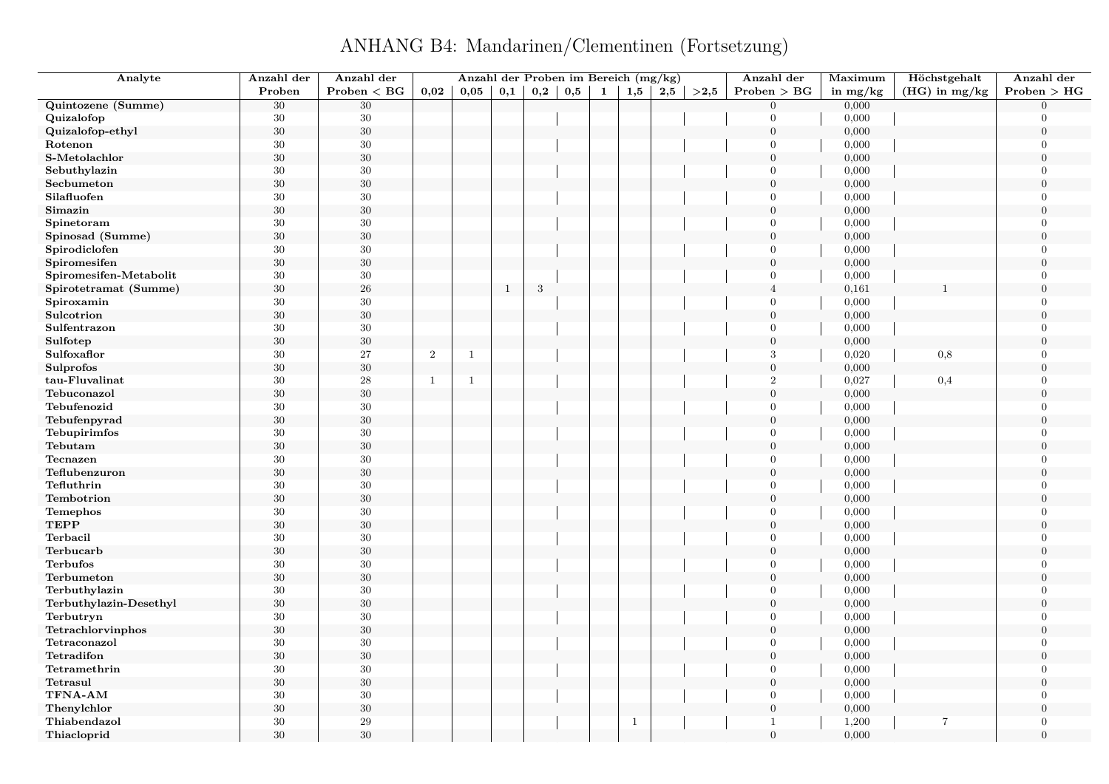ANHANG B4: Mandarinen/Clementinen (Fortsetzung)

| Analyte                                   | Anzahl der | Anzahl der   |                | Anzahl der Proben im Bereich (mg/kg) |              |              |          |              |              |     |      | Anzahl der       | Maximum    | Höchstgehalt    | Anzahl der       |
|-------------------------------------------|------------|--------------|----------------|--------------------------------------|--------------|--------------|----------|--------------|--------------|-----|------|------------------|------------|-----------------|------------------|
|                                           | Proben     | Problem < BG | 0,02           | 0,05                                 | 0,1          | $_{\rm 0,2}$ | $_{0,5}$ | $\mathbf{1}$ | 1,5          | 2,5 | >2,5 | Problem > BG     | in $mg/kg$ | $(HG)$ in mg/kg | Problem > HG     |
| Quintozene (Summe)                        | $30\,$     | $30\,$       |                |                                      |              |              |          |              |              |     |      | $\mathbf{0}$     | 0,000      |                 | $\Omega$         |
| Quizalofop                                | $30\,$     | $30\,$       |                |                                      |              |              |          |              |              |     |      | $\overline{0}$   | 0,000      |                 | $\Omega$         |
| Quizalofop-ethyl                          | $30\,$     | $30\,$       |                |                                      |              |              |          |              |              |     |      | $\mathbf{0}$     | 0,000      |                 | $\overline{0}$   |
| Rotenon                                   | $30\,$     | 30           |                |                                      |              |              |          |              |              |     |      | $\overline{0}$   | 0,000      |                 | $\overline{0}$   |
| S-Metolachlor                             | $30\,$     | 30           |                |                                      |              |              |          |              |              |     |      | $\overline{0}$   | 0,000      |                 | $\theta$         |
| Sebuthylazin                              | 30         | 30           |                |                                      |              |              |          |              |              |     |      | $\overline{0}$   | 0,000      |                 | $\overline{0}$   |
| Secbumeton                                | $30\,$     | $30\,$       |                |                                      |              |              |          |              |              |     |      | $\boldsymbol{0}$ | 0,000      |                 | $\theta$         |
| Silafluofen                               | 30         | 30           |                |                                      |              |              |          |              |              |     |      | $\overline{0}$   | 0,000      |                 | $\Omega$         |
| Simazin                                   | $30\,$     | $30\,$       |                |                                      |              |              |          |              |              |     |      | $\overline{0}$   | 0,000      |                 | $\theta$         |
| Spinetoram                                | 30         | $30\,$       |                |                                      |              |              |          |              |              |     |      | $\overline{0}$   | 0,000      |                 | $\overline{0}$   |
| Spinosad (Summe)                          | $30\,$     | $30\,$       |                |                                      |              |              |          |              |              |     |      | $\boldsymbol{0}$ | 0,000      |                 | $\theta$         |
| Spirodiclofen                             | 30         | $30\,$       |                |                                      |              |              |          |              |              |     |      | $\mathbf{0}$     | 0,000      |                 | $\Omega$         |
| Spiromesifen                              | $30\,$     | $30\,$       |                |                                      |              |              |          |              |              |     |      | $\overline{0}$   | 0,000      |                 | $\overline{0}$   |
| ${\bf Spiromes} if \textbf{en-Metabolit}$ | 30         | $30\,$       |                |                                      |              |              |          |              |              |     |      | $\overline{0}$   | 0,000      |                 | $\overline{0}$   |
| Spirotetramat (Summe)                     | $30\,$     | $\sqrt{26}$  |                |                                      | $\mathbf{1}$ | 3            |          |              |              |     |      | $\overline{4}$   | 0,161      |                 | $\overline{0}$   |
| Spiroxamin                                | $30\,$     | $30\,$       |                |                                      |              |              |          |              |              |     |      | $\Omega$         | 0,000      |                 | $\overline{0}$   |
| Sulcotrion                                | 30         | $30\,$       |                |                                      |              |              |          |              |              |     |      | $\boldsymbol{0}$ | 0,000      |                 | $\boldsymbol{0}$ |
| Sulfentrazon                              | 30         | $30\,$       |                |                                      |              |              |          |              |              |     |      | $\overline{0}$   | 0,000      |                 | $\Omega$         |
| Sulfotep                                  | $30\,$     | $30\,$       |                |                                      |              |              |          |              |              |     |      | $\overline{0}$   | 0,000      |                 | $\overline{0}$   |
| Sulfoxaflor                               | 30         | 27           | $\overline{2}$ | $\mathbf{1}$                         |              |              |          |              |              |     |      | 3                | 0,020      | 0,8             | $\Omega$         |
| <b>Sulprofos</b>                          | $30\,$     | $30\,$       |                |                                      |              |              |          |              |              |     |      | $\boldsymbol{0}$ | 0,000      |                 | $\overline{0}$   |
| tau-Fluvalinat                            | 30         | 28           | -1             | $\mathbf{1}$                         |              |              |          |              |              |     |      | $\overline{2}$   | 0,027      | $_{0,4}$        | $\Omega$         |
| Tebuconazol                               | $30\,$     | $30\,$       |                |                                      |              |              |          |              |              |     |      | $\mathbf{0}$     | 0,000      |                 | $\theta$         |
| Tebufenozid                               | 30         | $30\,$       |                |                                      |              |              |          |              |              |     |      | $\overline{0}$   | 0,000      |                 | $\Omega$         |
| Tebufenpyrad                              | $30\,$     | $30\,$       |                |                                      |              |              |          |              |              |     |      | $\boldsymbol{0}$ | 0,000      |                 | $\overline{0}$   |
| Tebupirimfos                              | 30         | $30\,$       |                |                                      |              |              |          |              |              |     |      | $\overline{0}$   | 0,000      |                 | $\overline{0}$   |
| Tebutam                                   | $30\,$     | $30\,$       |                |                                      |              |              |          |              |              |     |      | $\overline{0}$   | 0,000      |                 | $\overline{0}$   |
| Tecnazen                                  | 30         | $30\,$       |                |                                      |              |              |          |              |              |     |      | $\overline{0}$   | 0,000      |                 | $\overline{0}$   |
| Teflubenzuron                             | $30\,$     | $30\,$       |                |                                      |              |              |          |              |              |     |      | $\overline{0}$   | 0,000      |                 | $\theta$         |
| Tefluthrin                                | 30         | 30           |                |                                      |              |              |          |              |              |     |      | $\overline{0}$   | 0,000      |                 | $\overline{0}$   |
| Tembotrion                                | $30\,$     | $30\,$       |                |                                      |              |              |          |              |              |     |      | $\overline{0}$   | 0,000      |                 | $\Omega$         |
| <b>Temephos</b>                           | 30         | $30\,$       |                |                                      |              |              |          |              |              |     |      | $\overline{0}$   | 0,000      |                 | $\overline{0}$   |
| <b>TEPP</b>                               | $30\,$     | $30\,$       |                |                                      |              |              |          |              |              |     |      | $\boldsymbol{0}$ | 0,000      |                 | $\theta$         |
| Terbacil                                  | 30         | $30\,$       |                |                                      |              |              |          |              |              |     |      | $\overline{0}$   | 0,000      |                 | $\theta$         |
| Terbucarb                                 | $30\,$     | $30\,$       |                |                                      |              |              |          |              |              |     |      | $\overline{0}$   | 0,000      |                 | $\overline{0}$   |
| Terbufos                                  | 30         | $30\,$       |                |                                      |              |              |          |              |              |     |      | $\overline{0}$   | 0,000      |                 | $\overline{0}$   |
| Terbumeton                                | $30\,$     | $30\,$       |                |                                      |              |              |          |              |              |     |      | $\overline{0}$   | 0,000      |                 | $\overline{0}$   |
| Terbuthylazin                             | $30\,$     | $30\,$       |                |                                      |              |              |          |              |              |     |      | $\overline{0}$   | 0,000      |                 | $\theta$         |
| Terbuthylazin-Desethyl                    | $30\,$     | $30\,$       |                |                                      |              |              |          |              |              |     |      | $\overline{0}$   | 0,000      |                 | $\overline{0}$   |
| Terbutryn                                 | 30         | $30\,$       |                |                                      |              |              |          |              |              |     |      | $\overline{0}$   | 0,000      |                 | $\overline{0}$   |
| Tetrachlorvinphos                         | $30\,$     | $30\,$       |                |                                      |              |              |          |              |              |     |      | $\overline{0}$   | 0,000      |                 | $\overline{0}$   |
| Tetraconazol                              | 30         | $30\,$       |                |                                      |              |              |          |              |              |     |      | $\overline{0}$   | 0,000      |                 | $\theta$         |
| Tetradifon                                | 30         | $30\,$       |                |                                      |              |              |          |              |              |     |      | $\boldsymbol{0}$ | 0,000      |                 | $\boldsymbol{0}$ |
| Tetramethrin                              | 30         | $30\,$       |                |                                      |              |              |          |              |              |     |      | $\overline{0}$   | 0,000      |                 | $\Omega$         |
| Tetrasul                                  | $30\,$     | $30\,$       |                |                                      |              |              |          |              |              |     |      | $\overline{0}$   | 0,000      |                 | $\theta$         |
| TFNA-AM                                   | 30         | $30\,$       |                |                                      |              |              |          |              |              |     |      | $\overline{0}$   | 0,000      |                 | $\theta$         |
| Thenylchlor                               | $30\,$     | $30\,$       |                |                                      |              |              |          |              |              |     |      | $\boldsymbol{0}$ | 0,000      |                 | $\theta$         |
| Thiabendazol                              | 30         | 29           |                |                                      |              |              |          |              | $\mathbf{1}$ |     |      | $\mathbf{1}$     | 1,200      | $\overline{7}$  | $\Omega$         |
| Thiacloprid                               | 30         | 30           |                |                                      |              |              |          |              |              |     |      | $\overline{0}$   | 0,000      |                 | $\theta$         |
|                                           |            |              |                |                                      |              |              |          |              |              |     |      |                  |            |                 |                  |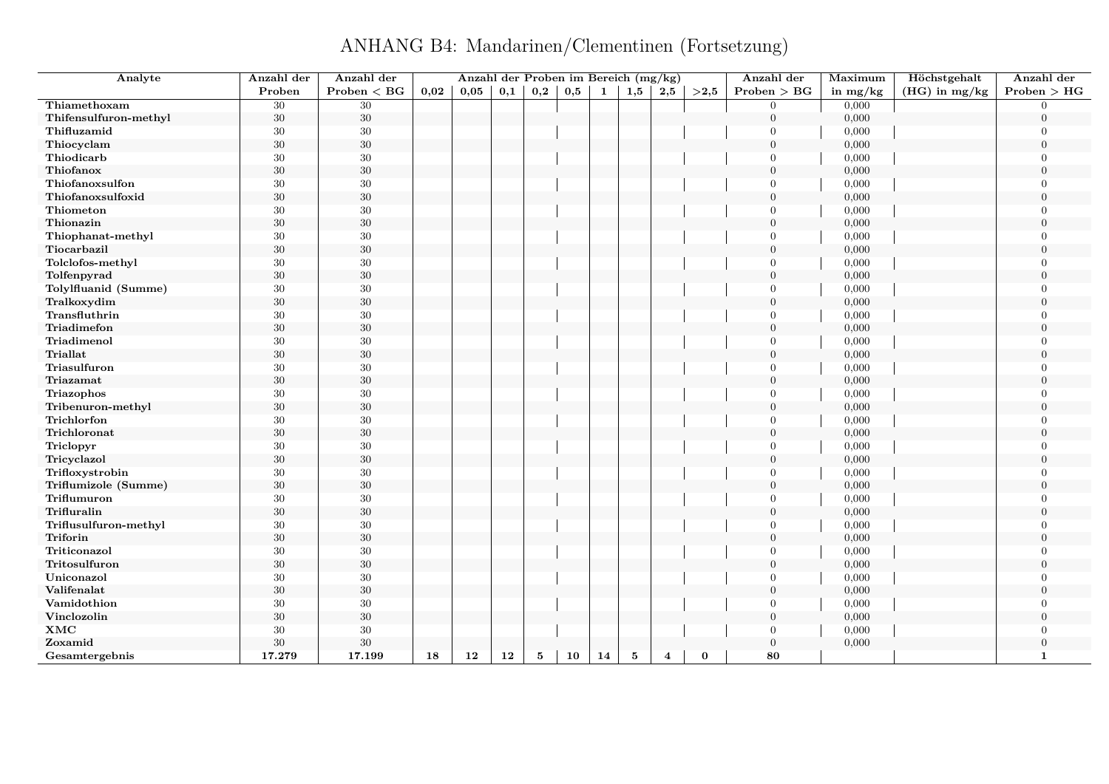ANHANG B4: Mandarinen/Clementinen (Fortsetzung)

| Analyte               | Anzahl der | Anzahl der      |      | Anzahl der Proben im Bereich (mg/kg) |     |          |     |    |              |                         |            | Anzahl der     | Maximum    | Höchstgehalt    | Anzahl der     |
|-----------------------|------------|-----------------|------|--------------------------------------|-----|----------|-----|----|--------------|-------------------------|------------|----------------|------------|-----------------|----------------|
|                       | Proben     | $Problem < B$ G | 0.02 | 0.05                                 | 0,1 | 0,2      | 0,5 | 1  | 1,5          | 2,5                     | $>\!\!2,5$ | Problem > BG   | in $mg/kg$ | $(HG)$ in mg/kg | Problem > HG   |
| Thiamethoxam          | 30         | 30              |      |                                      |     |          |     |    |              |                         |            | $\overline{0}$ | 0,000      |                 | $\Omega$       |
| Thifensulfuron-methyl | $30\,$     | $30\,$          |      |                                      |     |          |     |    |              |                         |            | $\mathbf{0}$   | 0,000      |                 | $\Omega$       |
| Thifluzamid           | 30         | 30              |      |                                      |     |          |     |    |              |                         |            | $\Omega$       | 0,000      |                 | $\Omega$       |
| Thiocyclam            | 30         | 30              |      |                                      |     |          |     |    |              |                         |            | $\overline{0}$ | 0,000      |                 | $\theta$       |
| Thiodicarb            | $30\,$     | 30              |      |                                      |     |          |     |    |              |                         |            | $\mathbf{0}$   | 0,000      |                 | $\overline{0}$ |
| Thiofanox             | $30\,$     | $30\,$          |      |                                      |     |          |     |    |              |                         |            | $\overline{0}$ | 0,000      |                 | $\overline{0}$ |
| Thiofanoxsulfon       | 30         | $30\,$          |      |                                      |     |          |     |    |              |                         |            | $\mathbf{0}$   | 0,000      |                 | $\Omega$       |
| Thiofanoxsulfoxid     | $30\,$     | $30\,$          |      |                                      |     |          |     |    |              |                         |            | $\overline{0}$ | 0,000      |                 | $\theta$       |
| Thiometon             | 30         | 30              |      |                                      |     |          |     |    |              |                         |            | $\Omega$       | 0,000      |                 | $\Omega$       |
| Thionazin             | $30\,$     | $30\,$          |      |                                      |     |          |     |    |              |                         |            | $\mathbf{0}$   | 0,000      |                 | $\overline{0}$ |
| Thiophanat-methyl     | 30         | $30\,$          |      |                                      |     |          |     |    |              |                         |            | $\Omega$       | 0,000      |                 | $\Omega$       |
| Tiocarbazil           | $30\,$     | $30\,$          |      |                                      |     |          |     |    |              |                         |            | $\overline{0}$ | 0,000      |                 | $\theta$       |
| Tolclofos-methyl      | 30         | $30\,$          |      |                                      |     |          |     |    |              |                         |            | $\mathbf{0}$   | 0,000      |                 | $\Omega$       |
| Tolfenpyrad           | $30\,$     | $30\,$          |      |                                      |     |          |     |    |              |                         |            | $\overline{0}$ | 0,000      |                 | $\theta$       |
| Tolylfluanid (Summe)  | 30         | $30\,$          |      |                                      |     |          |     |    |              |                         |            | $\Omega$       | 0,000      |                 | $\Omega$       |
| Tralkoxydim           | $30\,$     | $30\,$          |      |                                      |     |          |     |    |              |                         |            | $\mathbf{0}$   | 0,000      |                 | $\overline{0}$ |
| Transfluthrin         | 30         | 30              |      |                                      |     |          |     |    |              |                         |            | $\Omega$       | 0,000      |                 | $\Omega$       |
| Triadimefon           | $30\,$     | $30\,$          |      |                                      |     |          |     |    |              |                         |            | $\overline{0}$ | 0,000      |                 | $\theta$       |
| Triadimenol           | 30         | $30\,$          |      |                                      |     |          |     |    |              |                         |            | $\mathbf{0}$   | 0,000      |                 | $\Omega$       |
| <b>Triallat</b>       | $30\,$     | $30\,$          |      |                                      |     |          |     |    |              |                         |            | $\mathbf{0}$   | 0,000      |                 | $\theta$       |
| Triasulfuron          | $30\,$     | $30\,$          |      |                                      |     |          |     |    |              |                         |            | $\overline{0}$ | 0,000      |                 | $\Omega$       |
| Triazamat             | $30\,$     | $30\,$          |      |                                      |     |          |     |    |              |                         |            | $\mathbf{0}$   | 0,000      |                 | $\overline{0}$ |
| Triazophos            | 30         | $30\,$          |      |                                      |     |          |     |    |              |                         |            | $\Omega$       | 0,000      |                 | $\Omega$       |
| Tribenuron-methyl     | $30\,$     | $30\,$          |      |                                      |     |          |     |    |              |                         |            | $\theta$       | 0,000      |                 | $\theta$       |
| Trichlorfon           | 30         | $30\,$          |      |                                      |     |          |     |    |              |                         |            | $\mathbf{0}$   | 0,000      |                 | $\Omega$       |
| Trichloronat          | $30\,$     | $30\,$          |      |                                      |     |          |     |    |              |                         |            | $\mathbf{0}$   | 0,000      |                 | $\Omega$       |
| Triclopyr             | $30\,$     | $30\,$          |      |                                      |     |          |     |    |              |                         |            | $\overline{0}$ | 0,000      |                 | $\Omega$       |
| Tricyclazol           | $30\,$     | 30              |      |                                      |     |          |     |    |              |                         |            | $\mathbf{0}$   | 0,000      |                 | $\overline{0}$ |
| Trifloxystrobin       | 30         | $30\,$          |      |                                      |     |          |     |    |              |                         |            | $\Omega$       | 0,000      |                 | $\Omega$       |
| Triflumizole (Summe)  | $30\,$     | 30              |      |                                      |     |          |     |    |              |                         |            | $\theta$       | 0,000      |                 | $\theta$       |
| Triflumuron           | $30\,$     | $30\,$          |      |                                      |     |          |     |    |              |                         |            | $\overline{0}$ | 0,000      |                 | $\theta$       |
| Trifluralin           | $30\,$     | $30\,$          |      |                                      |     |          |     |    |              |                         |            | $\Omega$       | 0,000      |                 | $\Omega$       |
| Triflusulfuron-methyl | $30\,$     | $30\,$          |      |                                      |     |          |     |    |              |                         |            | $\mathbf{0}$   | 0,000      |                 | $\Omega$       |
| Triforin              | $30\,$     | 30              |      |                                      |     |          |     |    |              |                         |            | $\mathbf{0}$   | 0,000      |                 | $\overline{0}$ |
| Triticonazol          | 30         | 30              |      |                                      |     |          |     |    |              |                         |            | $\Omega$       | 0,000      |                 | $\Omega$       |
| Tritosulfuron         | $30\,$     | $30\,$          |      |                                      |     |          |     |    |              |                         |            | $\mathbf{0}$   | 0,000      |                 | $\overline{0}$ |
| Uniconazol            | $30\,$     | $30\,$          |      |                                      |     |          |     |    |              |                         |            | $\overline{0}$ | 0,000      |                 | $\overline{0}$ |
| Valifenalat           | $30\,$     | $30\,$          |      |                                      |     |          |     |    |              |                         |            | $\Omega$       | 0,000      |                 | $\Omega$       |
| Vamidothion           | 30         | $30\,$          |      |                                      |     |          |     |    |              |                         |            | $\mathbf{0}$   | 0,000      |                 | $\overline{0}$ |
| Vinclozolin           | $30\,$     | $30\,$          |      |                                      |     |          |     |    |              |                         |            | $\mathbf{0}$   | 0,000      |                 | $\overline{0}$ |
| XMC                   | 30         | $30\,$          |      |                                      |     |          |     |    |              |                         |            | $\overline{0}$ | 0,000      |                 | $\Omega$       |
| Zoxamid               | $30\,$     | $30\,$          |      |                                      |     |          |     |    |              |                         |            | $\mathbf{0}$   | 0,000      |                 | $\overline{0}$ |
| Gesamtergebnis        | 17.279     | 17.199          | 18   | 12                                   | 12  | $\bf{5}$ | 10  | 14 | $\mathbf{5}$ | $\overline{\mathbf{4}}$ | $\bf{0}$   | 80             |            |                 | $\mathbf{1}$   |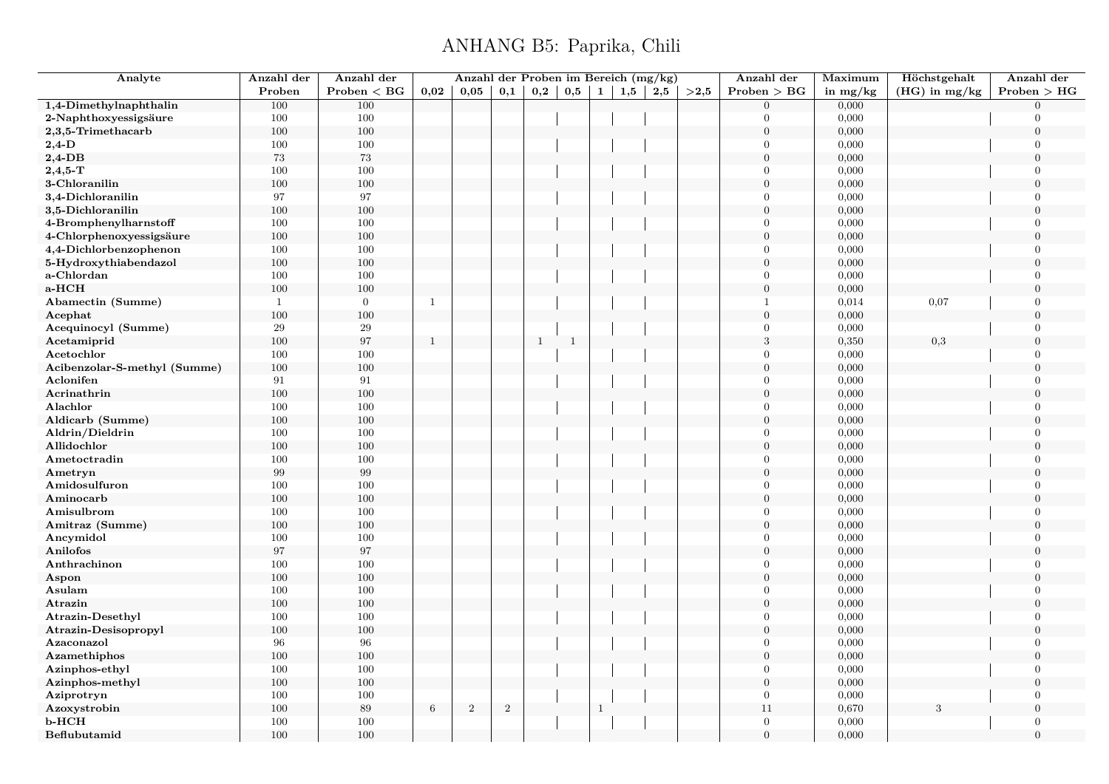#### ANHANG B5: Paprika, Chili

| Analyte                      | Anzahl der     | Anzahl der        |              | Anzahl der Proben im Bereich (mg/kg) |       |              |              |              |     |     |      | Anzahl der       | Maximum    | Höchstgehalt    | Anzahl der       |
|------------------------------|----------------|-------------------|--------------|--------------------------------------|-------|--------------|--------------|--------------|-----|-----|------|------------------|------------|-----------------|------------------|
|                              | Proben         | Problem < BG      | 0,02         | 0,05                                 | 0,1   | 0,2          | 0,5          | $\mathbf{1}$ | 1,5 | 2,5 | >2,5 | Problem > BG     | in $mg/kg$ | $(HG)$ in mg/kg | Problem > HG     |
| 1,4-Dimethylnaphthalin       | 100            | 100               |              |                                      |       |              |              |              |     |     |      | $\Omega$         | 0,000      |                 | $\Omega$         |
| 2-Naphthoxyessigsäure        | 100            | 100               |              |                                      |       |              |              |              |     |     |      | $\Omega$         | 0,000      |                 | $\overline{0}$   |
| 2,3,5-Trimethacarb           | 100            | 100               |              |                                      |       |              |              |              |     |     |      | $\overline{0}$   | 0,000      |                 | $\overline{0}$   |
| $2,4$ -D                     | 100            | 100               |              |                                      |       |              |              |              |     |     |      | $\theta$         | 0,000      |                 | $\Omega$         |
| $2,4$ -DB                    | $73\,$         | $73\,$            |              |                                      |       |              |              |              |     |     |      | $\Omega$         | 0,000      |                 | $\Omega$         |
| $2,4,5$ -T                   | 100            | 100               |              |                                      |       |              |              |              |     |     |      | $\Omega$         | 0,000      |                 | $\Omega$         |
| 3-Chloranilin                | $100\,$        | 100               |              |                                      |       |              |              |              |     |     |      | $\overline{0}$   | 0,000      |                 | $\Omega$         |
| 3,4-Dichloranilin            | 97             | 97                |              |                                      |       |              |              |              |     |     |      | $\overline{0}$   | 0,000      |                 | $\overline{0}$   |
| 3,5-Dichloranilin            | $100\,$        | 100               |              |                                      |       |              |              |              |     |     |      | $\overline{0}$   | 0,000      |                 | $\Omega$         |
| 4-Bromphenylharnstoff        | 100            | 100               |              |                                      |       |              |              |              |     |     |      | $\overline{0}$   | 0,000      |                 | $\overline{0}$   |
| 4-Chlorphenoxyessigsäure     | 100            | 100               |              |                                      |       |              |              |              |     |     |      | $\overline{0}$   | 0,000      |                 | $\Omega$         |
| 4,4-Dichlorbenzophenon       | 100            | 100               |              |                                      |       |              |              |              |     |     |      | $\theta$         | 0,000      |                 | $\overline{0}$   |
| 5-Hydroxythiabendazol        | 100            | 100               |              |                                      |       |              |              |              |     |     |      | $\Omega$         | 0,000      |                 | $\Omega$         |
| a-Chlordan                   | 100            | 100               |              |                                      |       |              |              |              |     |     |      | $\overline{0}$   | 0,000      |                 | $\overline{0}$   |
| a-HCH                        | 100            | 100               |              |                                      |       |              |              |              |     |     |      | $\overline{0}$   | 0,000      |                 | $\overline{0}$   |
| Abamectin (Summe)            | $\overline{1}$ | $\overline{0}$    | 1            |                                      |       |              |              |              |     |     |      | $\mathbf{1}$     | 0,014      | 0,07            | $\Omega$         |
| Acephat                      | 100            | 100               |              |                                      |       |              |              |              |     |     |      | $\overline{0}$   | 0,000      |                 | $\boldsymbol{0}$ |
| Acequinocyl (Summe)          | 29             | 29                |              |                                      |       |              |              |              |     |     |      | $\theta$         | 0,000      |                 | $\overline{0}$   |
| Acetamiprid                  | 100            | $\rm 97$          | $\mathbf{1}$ |                                      |       | $\mathbf{1}$ | $\mathbf{1}$ |              |     |     |      | $\,3$            | 0,350      | $_{0,3}$        | $\overline{0}$   |
| Acetochlor                   | 100            | 100               |              |                                      |       |              |              |              |     |     |      | $\theta$         | 0,000      |                 | $\overline{0}$   |
| Acibenzolar-S-methyl (Summe) | 100            | 100               |              |                                      |       |              |              |              |     |     |      | $\boldsymbol{0}$ | 0,000      |                 | $\overline{0}$   |
| Aclonifen                    | 91             | $\sqrt{91}$       |              |                                      |       |              |              |              |     |     |      | $\theta$         | 0,000      |                 | $\Omega$         |
| Acrinathrin                  | 100            | 100               |              |                                      |       |              |              |              |     |     |      | $\Omega$         | 0,000      |                 | $\theta$         |
| Alachlor                     | 100            | 100               |              |                                      |       |              |              |              |     |     |      | $\Omega$         | 0,000      |                 | $\Omega$         |
| Aldicarb (Summe)             | 100            | 100               |              |                                      |       |              |              |              |     |     |      | $\overline{0}$   | 0,000      |                 | $\overline{0}$   |
| Aldrin/Dieldrin              | 100            | 100               |              |                                      |       |              |              |              |     |     |      | $\theta$         | 0,000      |                 | $\Omega$         |
| Allidochlor                  | 100            | 100               |              |                                      |       |              |              |              |     |     |      | $\Omega$         | 0,000      |                 | $\Omega$         |
| Ametoctradin                 | 100            | 100               |              |                                      |       |              |              |              |     |     |      | $\theta$         | 0,000      |                 | $\Omega$         |
| Ametryn                      | 99             | $\boldsymbol{99}$ |              |                                      |       |              |              |              |     |     |      | $\overline{0}$   | 0,000      |                 | $\overline{0}$   |
| Amidosulfuron                | 100            | 100               |              |                                      |       |              |              |              |     |     |      | $\overline{0}$   | 0,000      |                 | $\overline{0}$   |
| Aminocarb                    | 100            | 100               |              |                                      |       |              |              |              |     |     |      | $\Omega$         | 0,000      |                 | $\Omega$         |
| Amisulbrom                   | 100            | 100               |              |                                      |       |              |              |              |     |     |      | $\theta$         | 0,000      |                 | $\Omega$         |
| Amitraz (Summe)              | 100            | 100               |              |                                      |       |              |              |              |     |     |      | $\overline{0}$   | 0,000      |                 | $\Omega$         |
| Ancymidol                    | 100            | 100               |              |                                      |       |              |              |              |     |     |      | $\theta$         | 0,000      |                 | $\overline{0}$   |
| Anilofos                     | 97             | $\rm 97$          |              |                                      |       |              |              |              |     |     |      | $\Omega$         | 0,000      |                 | $\Omega$         |
| Anthrachinon                 | 100            | 100               |              |                                      |       |              |              |              |     |     |      | $\theta$         | 0,000      |                 | $\Omega$         |
| Aspon                        | 100            | 100               |              |                                      |       |              |              |              |     |     |      | $\overline{0}$   | 0,000      |                 | $\overline{0}$   |
| Asulam                       | 100            | 100               |              |                                      |       |              |              |              |     |     |      | $\theta$         | 0,000      |                 | $\overline{0}$   |
| Atrazin                      | 100            | 100               |              |                                      |       |              |              |              |     |     |      | $\overline{0}$   | 0,000      |                 | $\overline{0}$   |
| <b>Atrazin-Desethyl</b>      | 100            | 100               |              |                                      |       |              |              |              |     |     |      | $\overline{0}$   | 0,000      |                 | $\overline{0}$   |
| Atrazin-Desisopropyl         | 100            | 100               |              |                                      |       |              |              |              |     |     |      | $\overline{0}$   | 0,000      |                 | $\overline{0}$   |
| Azaconazol                   | 96             | 96                |              |                                      |       |              |              |              |     |     |      | $\theta$         | 0,000      |                 | $\Omega$         |
| Azamethiphos                 | 100            | 100               |              |                                      |       |              |              |              |     |     |      | $\boldsymbol{0}$ | 0,000      |                 | $\overline{0}$   |
| Azinphos-ethyl               | 100            | 100               |              |                                      |       |              |              |              |     |     |      | $\Omega$         | 0,000      |                 | $\Omega$         |
| Azinphos-methyl              | 100            | 100               |              |                                      |       |              |              |              |     |     |      | $\overline{0}$   | 0,000      |                 | $\Omega$         |
| Aziprotryn                   | 100            | 100               |              |                                      |       |              |              |              |     |     |      | $\Omega$         | 0,000      |                 | $\Omega$         |
| Azoxystrobin                 | 100            | $89\,$            | $\,6\,$      | $\overline{2}$                       | $\,2$ |              |              | $\mathbf{1}$ |     |     |      | 11               | 0,670      | 3               | $\overline{0}$   |
| $b$ - $HCH$                  | 100            | 100               |              |                                      |       |              |              |              |     |     |      | $\mathbf{0}$     | 0,000      |                 | $\overline{0}$   |
| Beflubutamid                 | 100            | 100               |              |                                      |       |              |              |              |     |     |      | $\theta$         | 0,000      |                 | $\overline{0}$   |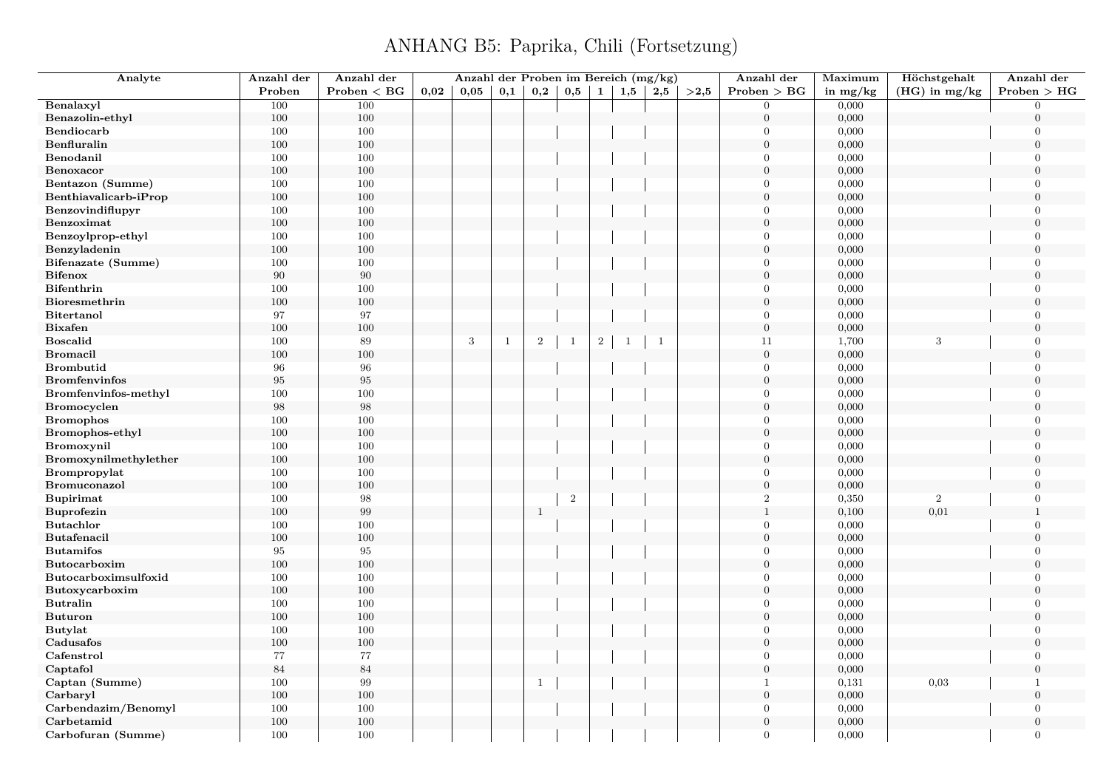| Analyte                              | Anzahl der | Anzahl der              |      | Anzahl der Proben im Bereich (mg/kg) |              |              |              |              |              |              |      | Anzahl der       | Maximum        | Höchstgehalt    | Anzahl der                       |
|--------------------------------------|------------|-------------------------|------|--------------------------------------|--------------|--------------|--------------|--------------|--------------|--------------|------|------------------|----------------|-----------------|----------------------------------|
|                                      | Proben     | Problem < BG            | 0.02 | 0.05                                 | 0,1          | 0,2          | 0,5          | $\mathbf{1}$ | 1,5          | 2,5          | >2,5 | Problem > BG     | in $mg/kg$     | $(HG)$ in mg/kg | Problem > HG                     |
| Benalaxyl                            | 100        | 100                     |      |                                      |              |              |              |              |              |              |      | $\Omega$         | 0,000          |                 | $\Omega$                         |
| Benazolin-ethyl                      | 100        | $100\,$                 |      |                                      |              |              |              |              |              |              |      | $\overline{0}$   | 0,000          |                 | $\overline{0}$                   |
| Bendiocarb                           | 100        | 100                     |      |                                      |              |              |              |              |              |              |      | $\theta$         | 0,000          |                 | $\boldsymbol{0}$                 |
| Benfluralin                          | 100        | 100                     |      |                                      |              |              |              |              |              |              |      | $\overline{0}$   | 0,000          |                 | $\overline{0}$                   |
| Benodanil                            | 100        | 100                     |      |                                      |              |              |              |              |              |              |      | $\theta$         | 0,000          |                 | $\overline{0}$                   |
| Benoxacor                            | 100        | 100                     |      |                                      |              |              |              |              |              |              |      | $\mathbf{0}$     | 0,000          |                 | $\overline{0}$                   |
| Bentazon (Summe)                     | 100        | 100                     |      |                                      |              |              |              |              |              |              |      | $\Omega$         | 0,000          |                 | $\overline{0}$                   |
| Benthiavalicarb-iProp                | 100        | $100\,$                 |      |                                      |              |              |              |              |              |              |      | $\boldsymbol{0}$ | 0,000          |                 | $\overline{0}$                   |
| Benzovindiflupyr                     | 100        | 100                     |      |                                      |              |              |              |              |              |              |      | $\theta$         | 0,000          |                 | $\overline{0}$                   |
| Benzoximat                           | 100        | 100                     |      |                                      |              |              |              |              |              |              |      | $\mathbf{0}$     | 0,000          |                 | $\overline{0}$                   |
| Benzoylprop-ethyl                    | 100        | 100                     |      |                                      |              |              |              |              |              |              |      | $\Omega$         | 0,000          |                 | $\Omega$                         |
| Benzyladenin                         | 100        | $100\,$                 |      |                                      |              |              |              |              |              |              |      | $\theta$         | 0,000          |                 | $\overline{0}$                   |
| Bifenazate (Summe)                   | 100        | 100                     |      |                                      |              |              |              |              |              |              |      | $\Omega$         | 0,000          |                 | $\Omega$                         |
| <b>Bifenox</b>                       | 90         | 90                      |      |                                      |              |              |              |              |              |              |      | $\overline{0}$   | 0,000          |                 | $\overline{0}$                   |
| <b>Bifenthrin</b>                    | 100        | 100                     |      |                                      |              |              |              |              |              |              |      | $\theta$         | 0,000          |                 | $\Omega$                         |
| Bioresmethrin                        | 100        | $100\,$                 |      |                                      |              |              |              |              |              |              |      | $\overline{0}$   | 0,000          |                 | $\Omega$                         |
| <b>Bitertanol</b>                    | 97         | 97                      |      |                                      |              |              |              |              |              |              |      | $\theta$         | 0,000          |                 | $\overline{0}$                   |
| <b>Bixafen</b>                       | 100        | 100                     |      |                                      |              |              |              |              |              |              |      | $\mathbf{0}$     | 0,000          |                 | $\overline{0}$                   |
| <b>Boscalid</b>                      | 100        | 89                      |      | 3                                    | $\mathbf{1}$ | $\,2\,$      | $\mathbf{1}$ | $\sqrt{2}$   | $\mathbf{1}$ | $\mathbf{1}$ |      | 11               | 1,700          | 3               | $\overline{0}$                   |
| <b>Bromacil</b>                      | 100        | 100                     |      |                                      |              |              |              |              |              |              |      | $\overline{0}$   | 0,000          |                 | $\Omega$                         |
| <b>Brombutid</b>                     | 96         | 96                      |      |                                      |              |              |              |              |              |              |      | $\mathbf{0}$     | 0,000          |                 | $\overline{0}$                   |
| <b>Bromfenvinfos</b>                 | $\rm 95$   | 95                      |      |                                      |              |              |              |              |              |              |      | $\Omega$         | 0,000          |                 | $\Omega$                         |
| Bromfenvinfos-methyl                 | 100        | 100                     |      |                                      |              |              |              |              |              |              |      | $\theta$         | 0,000          |                 | $\overline{0}$                   |
| <b>Bromocyclen</b>                   | $98\,$     | 98                      |      |                                      |              |              |              |              |              |              |      | $\overline{0}$   | 0,000          |                 | $\Omega$                         |
| <b>Bromophos</b>                     | 100        | 100                     |      |                                      |              |              |              |              |              |              |      | $\theta$         | 0,000          |                 | $\overline{0}$                   |
|                                      |            | 100                     |      |                                      |              |              |              |              |              |              |      | $\theta$         | 0,000          |                 | $\Omega$                         |
| Bromophos-ethyl<br><b>Bromoxynil</b> | 100<br>100 | 100                     |      |                                      |              |              |              |              |              |              |      | $\Omega$         | 0,000          |                 | 0                                |
| Bromoxynilmethylether                | 100        | 100                     |      |                                      |              |              |              |              |              |              |      | $\overline{0}$   | 0,000          |                 | $\overline{0}$                   |
| Brompropylat                         | 100        | 100                     |      |                                      |              |              |              |              |              |              |      | $\theta$         | 0,000          |                 | $\overline{0}$                   |
| <b>Bromuconazol</b>                  | 100        | 100                     |      |                                      |              |              |              |              |              |              |      | $\boldsymbol{0}$ | 0,000          |                 | $\overline{0}$                   |
|                                      |            |                         |      |                                      |              |              |              |              |              |              |      | $\overline{2}$   |                | $\overline{2}$  | $\overline{0}$                   |
| <b>Bupirimat</b>                     | 100<br>100 | $\boldsymbol{98}$<br>99 |      |                                      |              |              | $\,2$        |              |              |              |      | $1\,$            | 0,350<br>0,100 | 0,01            | $\mathbf{1}$                     |
| Buprofezin                           |            |                         |      |                                      |              | $\mathbf{1}$ |              |              |              |              |      | $\overline{0}$   |                |                 |                                  |
| <b>Butachlor</b>                     | 100        | 100<br>100              |      |                                      |              |              |              |              |              |              |      | $\mathbf{0}$     | 0,000          |                 | $\overline{0}$<br>$\overline{0}$ |
| Butafenacil                          | 100<br>95  | 95                      |      |                                      |              |              |              |              |              |              |      | $\Omega$         | 0,000          |                 | $\overline{0}$                   |
| <b>Butamifos</b>                     |            |                         |      |                                      |              |              |              |              |              |              |      | $\overline{0}$   | 0,000          |                 | $\overline{0}$                   |
| Butocarboxim                         | 100        | $100\,$                 |      |                                      |              |              |              |              |              |              |      | $\Omega$         | 0,000          |                 | $\Omega$                         |
| Butocarboximsulfoxid                 | 100        | 100                     |      |                                      |              |              |              |              |              |              |      |                  | 0,000          |                 |                                  |
| Butoxycarboxim                       | 100        | 100                     |      |                                      |              |              |              |              |              |              |      | $\theta$         | 0,000          |                 | $\overline{0}$                   |
| <b>Butralin</b>                      | 100        | 100                     |      |                                      |              |              |              |              |              |              |      | $\theta$         | 0,000          |                 | $\Omega$                         |
| <b>Buturon</b>                       | 100        | 100                     |      |                                      |              |              |              |              |              |              |      | $\overline{0}$   | 0,000          |                 | $\overline{0}$                   |
| <b>Butylat</b>                       | 100        | $100\,$                 |      |                                      |              |              |              |              |              |              |      | $\Omega$         | 0,000          |                 | $\Omega$                         |
| Cadusafos                            | 100        | 100                     |      |                                      |              |              |              |              |              |              |      | $\overline{0}$   | 0,000          |                 | $\overline{0}$                   |
| Cafenstrol                           | $77\,$     | 77                      |      |                                      |              |              |              |              |              |              |      | $\overline{0}$   | 0,000          |                 | $\overline{0}$                   |
| Captafol                             | 84         | 84                      |      |                                      |              |              |              |              |              |              |      | $\overline{0}$   | 0,000          |                 | $\overline{0}$                   |
| Captan (Summe)                       | 100        | 99                      |      |                                      |              | $\mathbf{1}$ |              |              |              |              |      | $\mathbf{1}$     | 0,131          | 0,03            | $\mathbf{1}$                     |
| Carbaryl                             | 100        | 100                     |      |                                      |              |              |              |              |              |              |      | $\overline{0}$   | 0,000          |                 | $\Omega$                         |
| Carbendazim/Benomyl                  | 100        | 100                     |      |                                      |              |              |              |              |              |              |      | $\mathbf{0}$     | 0,000          |                 | $\overline{0}$                   |
| Carbetamid                           | 100        | 100                     |      |                                      |              |              |              |              |              |              |      | $\Omega$         | 0,000          |                 | $\Omega$                         |
| Carbofuran (Summe)                   | 100        | 100                     |      |                                      |              |              |              |              |              |              |      | $\Omega$         | 0,000          |                 | $\overline{0}$                   |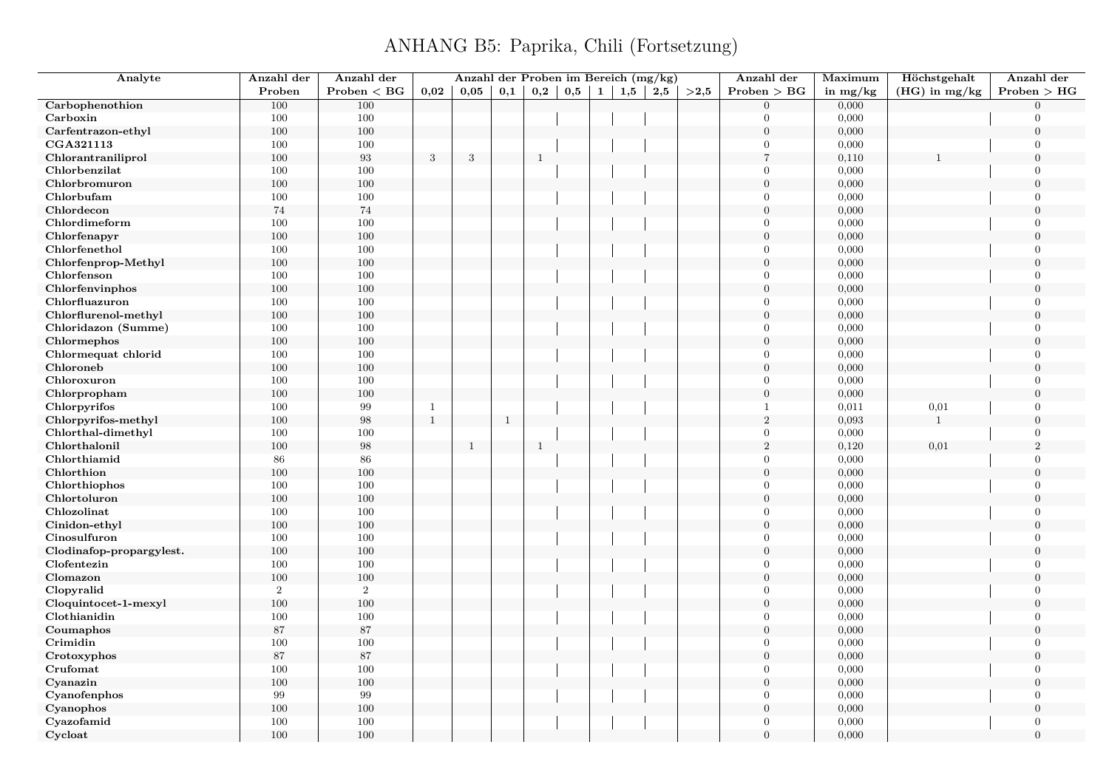| Analyte                  | Anzahl der     | Anzahl der        |                | Anzahl der Proben im Bereich (mg/kg) |              |              |     |              |     |     |      | Anzahl der       | Maximum    | Höchstgehalt    | Anzahl der     |
|--------------------------|----------------|-------------------|----------------|--------------------------------------|--------------|--------------|-----|--------------|-----|-----|------|------------------|------------|-----------------|----------------|
|                          | Proben         | $Problem < B$ G   | 0,02           | 0.05                                 | 0,1          | 0,2          | 0,5 | $\mathbf{1}$ | 1,5 | 2,5 | >2,5 | Problem > BG     | in $mg/kg$ | $(HG)$ in mg/kg | Problem > HG   |
| Carbophenothion          | 100            | 100               |                |                                      |              |              |     |              |     |     |      | $\theta$         | 0,000      |                 | $\Omega$       |
| Carboxin                 | 100            | 100               |                |                                      |              |              |     |              |     |     |      | $\mathbf{0}$     | 0,000      |                 | $\Omega$       |
| Carfentrazon-ethyl       | 100            | 100               |                |                                      |              |              |     |              |     |     |      | $\mathbf{0}$     | 0,000      |                 | $\overline{0}$ |
| CGA321113                | 100            | 100               |                |                                      |              |              |     |              |     |     |      | $\theta$         | 0,000      |                 | $\theta$       |
| Chlorantraniliprol       | 100            | $\boldsymbol{93}$ | $\sqrt{3}$     | 3                                    |              | $\mathbf{1}$ |     |              |     |     |      | $\overline{7}$   | 0,110      |                 | $\theta$       |
| Chlorbenzilat            | 100            | 100               |                |                                      |              |              |     |              |     |     |      | $\theta$         | 0,000      |                 | $\overline{0}$ |
| Chlorbromuron            | 100            | 100               |                |                                      |              |              |     |              |     |     |      | $\boldsymbol{0}$ | 0,000      |                 | $\overline{0}$ |
| Chlorbufam               | 100            | 100               |                |                                      |              |              |     |              |     |     |      | $\theta$         | 0,000      |                 | $\theta$       |
| Chlordecon               | $74\,$         | 74                |                |                                      |              |              |     |              |     |     |      | $\boldsymbol{0}$ | 0,000      |                 | $\Omega$       |
| Chlordimeform            | 100            | 100               |                |                                      |              |              |     |              |     |     |      | $\mathbf{0}$     | 0,000      |                 | $\Omega$       |
| Chlorfenapyr             | 100            | 100               |                |                                      |              |              |     |              |     |     |      | $\boldsymbol{0}$ | 0,000      |                 | $\theta$       |
| Chlorfenethol            | 100            | 100               |                |                                      |              |              |     |              |     |     |      | $\mathbf{0}$     | 0,000      |                 | $\overline{0}$ |
| Chlorfenprop-Methyl      | $100\,$        | 100               |                |                                      |              |              |     |              |     |     |      | $\overline{0}$   | 0,000      |                 | $\Omega$       |
| Chlorfenson              | 100            | 100               |                |                                      |              |              |     |              |     |     |      | $\mathbf{0}$     | 0,000      |                 | $\overline{0}$ |
| Chlorfenvinphos          | 100            | 100               |                |                                      |              |              |     |              |     |     |      | $\theta$         | 0,000      |                 | $\overline{0}$ |
| Chlorfluazuron           | 100            | 100               |                |                                      |              |              |     |              |     |     |      | $\theta$         | 0,000      |                 | $\overline{0}$ |
| Chlorflurenol-methyl     | 100            | $100\,$           |                |                                      |              |              |     |              |     |     |      | $\overline{0}$   | 0,000      |                 | $\overline{0}$ |
| Chloridazon (Summe)      | 100            | 100               |                |                                      |              |              |     |              |     |     |      | $\Omega$         | 0,000      |                 | $\Omega$       |
| Chlormephos              | 100            | 100               |                |                                      |              |              |     |              |     |     |      | $\overline{0}$   | 0,000      |                 | $\overline{0}$ |
| Chlormequat chlorid      | 100            | 100               |                |                                      |              |              |     |              |     |     |      | $\theta$         | 0,000      |                 | $\theta$       |
| Chloroneb                | 100            | 100               |                |                                      |              |              |     |              |     |     |      | $\boldsymbol{0}$ | 0,000      |                 | $\overline{0}$ |
| Chloroxuron              | 100            | 100               |                |                                      |              |              |     |              |     |     |      | $\overline{0}$   | 0,000      |                 | $\Omega$       |
| Chlorpropham             | 100            | 100               |                |                                      |              |              |     |              |     |     |      | $\mathbf{0}$     | 0,000      |                 | $\overline{0}$ |
| Chlorpyrifos             | 100            | 99                | $\overline{1}$ |                                      |              |              |     |              |     |     |      | $\overline{1}$   | 0,011      | 0,01            | $\Omega$       |
| Chlorpyrifos-methyl      | $100\,$        | 98                | $\mathbf{1}$   |                                      | <sup>1</sup> |              |     |              |     |     |      | 2                | 0,093      | $\mathbf{1}$    | $\overline{0}$ |
| Chlorthal-dimethyl       | 100            | 100               |                |                                      |              |              |     |              |     |     |      | $\overline{0}$   | 0,000      |                 | $\Omega$       |
| Chlorthalonil            | 100            | 98                |                | $\mathbf{1}$                         |              | $\mathbf{1}$ |     |              |     |     |      | $\sqrt{2}$       | 0,120      | 0,01            | $\overline{2}$ |
| Chlorthiamid             | 86             | 86                |                |                                      |              |              |     |              |     |     |      | $\theta$         | 0,000      |                 | $\theta$       |
| Chlorthion               | $100\,$        | 100               |                |                                      |              |              |     |              |     |     |      | $\overline{0}$   | 0,000      |                 | $\overline{0}$ |
| Chlorthiophos            | 100            | 100               |                |                                      |              |              |     |              |     |     |      | $\Omega$         | 0,000      |                 | $\Omega$       |
| Chlortoluron             | 100            | 100               |                |                                      |              |              |     |              |     |     |      | $\overline{0}$   | 0,000      |                 | $\overline{0}$ |
| Chlozolinat              | 100            | 100               |                |                                      |              |              |     |              |     |     |      | $\mathbf{0}$     | 0,000      |                 | $\overline{0}$ |
| Cinidon-ethyl            | 100            | 100               |                |                                      |              |              |     |              |     |     |      | $\overline{0}$   | 0,000      |                 | $\theta$       |
| Cinosulfuron             | 100            | 100               |                |                                      |              |              |     |              |     |     |      | $\mathbf{0}$     | 0,000      |                 | $\Omega$       |
| Clodinafop-propargylest. | 100            | 100               |                |                                      |              |              |     |              |     |     |      | $\overline{0}$   | 0,000      |                 | $\Omega$       |
| Clofentezin              | 100            | 100               |                |                                      |              |              |     |              |     |     |      | $\mathbf{0}$     | 0,000      |                 | $\overline{0}$ |
| Clomazon                 | $100\,$        | 100               |                |                                      |              |              |     |              |     |     |      | $\overline{0}$   | 0,000      |                 | $\Omega$       |
| Clopyralid               | $\overline{2}$ | $\,2$             |                |                                      |              |              |     |              |     |     |      | $\Omega$         | 0,000      |                 | $\Omega$       |
| Cloquintocet-1-mexyl     | 100            | 100               |                |                                      |              |              |     |              |     |     |      | $\theta$         | 0,000      |                 | $\overline{0}$ |
| Clothianidin             | 100            | 100               |                |                                      |              |              |     |              |     |     |      | $\mathbf{0}$     | 0,000      |                 | $\overline{0}$ |
| Coumaphos                | 87             | 87                |                |                                      |              |              |     |              |     |     |      | $\boldsymbol{0}$ | 0,000      |                 | $\overline{0}$ |
| Crimidin                 | 100            | 100               |                |                                      |              |              |     |              |     |     |      | $\mathbf{0}$     | 0,000      |                 | $\theta$       |
| Crotoxyphos              | 87             | 87                |                |                                      |              |              |     |              |     |     |      | $\mathbf{0}$     | 0,000      |                 | $\overline{0}$ |
| Crufomat                 | 100            | 100               |                |                                      |              |              |     |              |     |     |      | $\theta$         | 0,000      |                 | $\overline{0}$ |
| Cyanazin                 | $100\,$        | 100               |                |                                      |              |              |     |              |     |     |      | $\mathbf{0}$     | 0,000      |                 | $\overline{0}$ |
| Cyanofenphos             | 99             | 99                |                |                                      |              |              |     |              |     |     |      | $\overline{0}$   | 0,000      |                 | $\Omega$       |
| Cyanophos                | 100            | 100               |                |                                      |              |              |     |              |     |     |      | $\boldsymbol{0}$ | 0,000      |                 | $\overline{0}$ |
| Cyazofamid               | 100            | 100               |                |                                      |              |              |     |              |     |     |      | $\theta$         | 0,000      |                 | $\Omega$       |
| Cycloat                  | 100            | 100               |                |                                      |              |              |     |              |     |     |      | $\overline{0}$   | 0,000      |                 | $\Omega$       |
|                          |                |                   |                |                                      |              |              |     |              |     |     |      |                  |            |                 |                |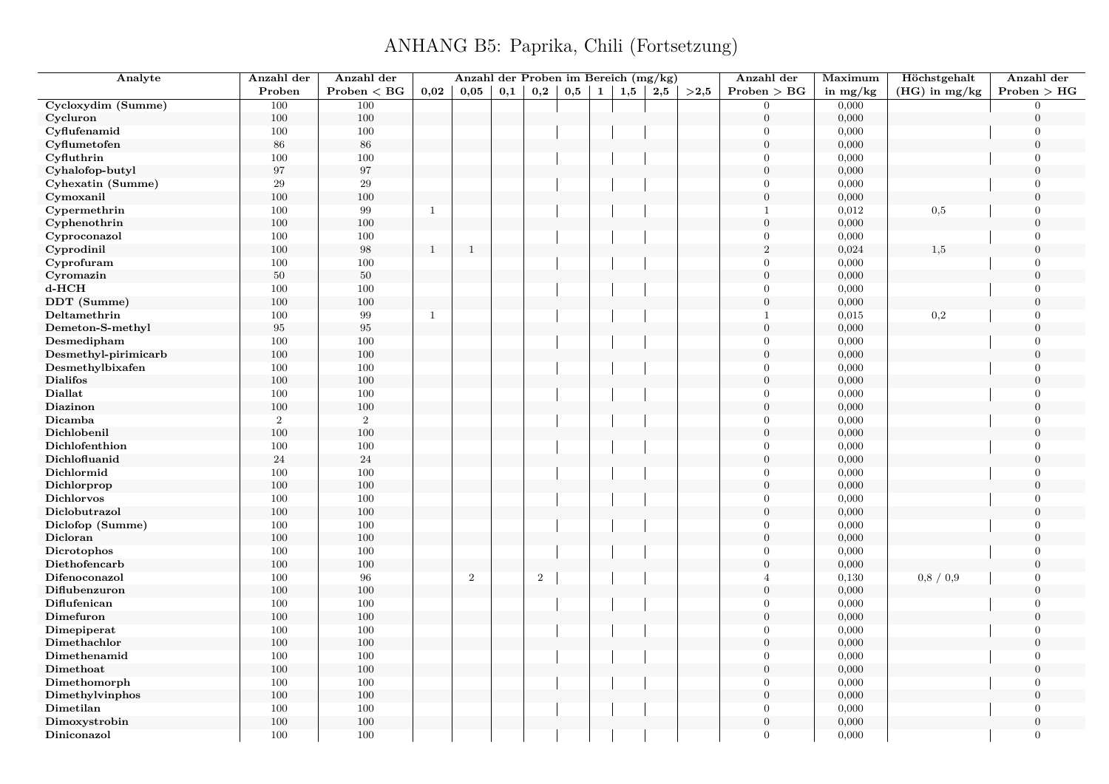| Analyte                      | Anzahl der | Anzahl der     |              | Anzahl der Proben im Bereich (mg/kg) |     |       |     |              |     |     |      | Anzahl der                 | Maximum    | Höchstgehalt    | Anzahl der                 |
|------------------------------|------------|----------------|--------------|--------------------------------------|-----|-------|-----|--------------|-----|-----|------|----------------------------|------------|-----------------|----------------------------|
|                              | Proben     | Problem < BG   | 0.02         | 0.05                                 | 0,1 | 0,2   | 0,5 | $\mathbf{1}$ | 1,5 | 2,5 | >2.5 | Problem > BG               | in $mg/kg$ | $(HG)$ in mg/kg | Problem > HG               |
| Cycloxydim (Summe)           | 100        | 100            |              |                                      |     |       |     |              |     |     |      | $\Omega$                   | 0,000      |                 | $\Omega$                   |
| Cycluron                     | 100        | $100\,$        |              |                                      |     |       |     |              |     |     |      | $\overline{0}$             | 0,000      |                 | $\Omega$                   |
| Cyflufenamid                 | 100        | 100            |              |                                      |     |       |     |              |     |     |      | $\theta$                   | 0,000      |                 | $\Omega$                   |
| Cyflumetofen                 | $86\,$     | 86             |              |                                      |     |       |     |              |     |     |      | $\boldsymbol{0}$           | 0,000      |                 | $\mathbf{0}$               |
| Cyfluthrin                   | 100        | 100            |              |                                      |     |       |     |              |     |     |      | $\theta$                   | 0,000      |                 | $\theta$                   |
| Cyhalofop-butyl              | $\rm 97$   | 97             |              |                                      |     |       |     |              |     |     |      | $\overline{0}$             | 0,000      |                 | $\overline{0}$             |
| Cyhexatin (Summe)            | 29         | 29             |              |                                      |     |       |     |              |     |     |      | $\boldsymbol{0}$           | 0,000      |                 | $\theta$                   |
| Cymoxanil                    | 100        | 100            |              |                                      |     |       |     |              |     |     |      | $\boldsymbol{0}$           | 0,000      |                 | $\overline{0}$             |
| Cypermethrin                 | 100        | 99             | $\mathbf{1}$ |                                      |     |       |     |              |     |     |      | $\mathbf{1}$               | 0,012      | 0,5             | $\Omega$                   |
| Cyphenothrin                 | 100        | 100            |              |                                      |     |       |     |              |     |     |      | $\overline{0}$             | 0,000      |                 | $\overline{0}$             |
| Cyproconazol                 | 100        | 100            |              |                                      |     |       |     |              |     |     |      | $\Omega$                   | 0,000      |                 | $\Omega$                   |
| Cyprodinil                   | 100        | 98             | $\mathbf{1}$ | $\mathbf{1}$                         |     |       |     |              |     |     |      | $\sqrt{2}$                 | 0,024      | 1,5             | $\Omega$                   |
| Cyprofuram                   | 100        | 100            |              |                                      |     |       |     |              |     |     |      | $\theta$                   | 0,000      |                 | $\Omega$                   |
| Cyromazin                    | $50\,$     | 50             |              |                                      |     |       |     |              |     |     |      | $\mathbf{0}$               | 0,000      |                 | $\Omega$                   |
| $d$ - $HCH$                  | 100        | $100\,$        |              |                                      |     |       |     |              |     |     |      | $\theta$                   | 0,000      |                 | $\Omega$                   |
| DDT (Summe)                  | 100        | $100\,$        |              |                                      |     |       |     |              |     |     |      | $\overline{0}$             | 0,000      |                 | $\Omega$                   |
| Deltamethrin                 | 100        | 99             | $\mathbf{1}$ |                                      |     |       |     |              |     |     |      | $\mathbf{1}$               | 0,015      | 0,2             | $\overline{0}$             |
| Demeton-S-methyl             | $\rm 95$   | 95             |              |                                      |     |       |     |              |     |     |      | $\overline{0}$             | 0,000      |                 | $\Omega$                   |
| Desmedipham                  | 100        | 100            |              |                                      |     |       |     |              |     |     |      | $\overline{0}$             | 0,000      |                 | $\overline{0}$             |
| Desmethyl-pirimicarb         | 100        | $100\,$        |              |                                      |     |       |     |              |     |     |      | $\Omega$                   | 0,000      |                 | $\Omega$                   |
| Desmethylbixafen             | 100        | 100            |              |                                      |     |       |     |              |     |     |      | $\overline{0}$             | 0,000      |                 | $\overline{0}$             |
| <b>Dialifos</b>              | 100        | 100            |              |                                      |     |       |     |              |     |     |      | $\overline{0}$             | 0,000      |                 | $\Omega$                   |
| <b>Diallat</b>               | 100        | 100            |              |                                      |     |       |     |              |     |     |      | $\theta$                   | 0,000      |                 | $\theta$                   |
| Diazinon                     | 100        | $100\,$        |              |                                      |     |       |     |              |     |     |      | $\Omega$                   | 0,000      |                 | $\Omega$                   |
| Dicamba                      | $\,2$      | $\overline{2}$ |              |                                      |     |       |     |              |     |     |      | $\overline{0}$             | 0,000      |                 | $\Omega$                   |
| Dichlobenil                  | 100        | 100            |              |                                      |     |       |     |              |     |     |      | $\overline{0}$             | 0,000      |                 | $\theta$                   |
| Dichlofenthion               | 100        | 100            |              |                                      |     |       |     |              |     |     |      | $\theta$                   | 0,000      |                 | $\Omega$                   |
| Dichlofluanid                | $24\,$     | 24             |              |                                      |     |       |     |              |     |     |      | $\overline{0}$             | 0,000      |                 | $\mathbf{0}$               |
| Dichlormid                   | 100        | 100            |              |                                      |     |       |     |              |     |     |      | $\theta$                   | 0,000      |                 | $\Omega$                   |
| Dichlorprop                  | 100        | 100            |              |                                      |     |       |     |              |     |     |      | $\boldsymbol{0}$           | 0,000      |                 | $\overline{0}$             |
| <b>Dichlorvos</b>            | 100        | 100            |              |                                      |     |       |     |              |     |     |      | $\theta$                   | 0,000      |                 | $\theta$                   |
| Diclobutrazol                | 100        | 100            |              |                                      |     |       |     |              |     |     |      | $\mathbf{0}$               | 0,000      |                 | $\overline{0}$             |
| Diclofop (Summe)             | 100        | 100            |              |                                      |     |       |     |              |     |     |      | $\boldsymbol{0}$           | 0,000      |                 | $\Omega$                   |
| Dicloran                     | 100        | $100\,$        |              |                                      |     |       |     |              |     |     |      | $\boldsymbol{0}$           | 0,000      |                 | $\Omega$                   |
| Dicrotophos                  | 100        | 100            |              |                                      |     |       |     |              |     |     |      | $\Omega$                   | 0,000      |                 | $\Omega$                   |
| Diethofencarb                | 100        | 100            |              |                                      |     |       |     |              |     |     |      | $\overline{0}$             | 0,000      |                 | $\overline{0}$             |
| Difenoconazol                | 100        | 96             |              | $\,2$                                |     | $\,2$ |     |              |     |     |      | $\overline{4}$             | 0,130      | 0,8 / 0,9       | $\Omega$                   |
| Diflubenzuron                | 100        | $100\,$        |              |                                      |     |       |     |              |     |     |      | $\overline{0}$             | 0,000      |                 | $\Omega$                   |
| Diflufenican                 | 100        | 100            |              |                                      |     |       |     |              |     |     |      | $\theta$                   | 0,000      |                 | $\Omega$                   |
|                              | 100        | 100            |              |                                      |     |       |     |              |     |     |      | $\overline{0}$             | 0,000      |                 | $\overline{0}$             |
| Dimefuron                    |            |                |              |                                      |     |       |     |              |     |     |      | $\theta$                   |            |                 | $\Omega$                   |
| Dimepiperat                  | 100        | 100            |              |                                      |     |       |     |              |     |     |      | $\overline{0}$             | 0,000      |                 | $\Omega$                   |
| Dimethachlor<br>Dimethenamid | 100<br>100 | $100\,$<br>100 |              |                                      |     |       |     |              |     |     |      | $\overline{0}$             | 0,000      |                 | $\overline{0}$             |
|                              |            |                |              |                                      |     |       |     |              |     |     |      | $\overline{0}$             | 0,000      |                 | $\theta$                   |
| Dimethoat                    | 100        | 100            |              |                                      |     |       |     |              |     |     |      |                            | 0,000      |                 |                            |
| Dimethomorph                 | 100        | 100            |              |                                      |     |       |     |              |     |     |      | $\overline{0}$<br>$\Omega$ | 0,000      |                 | $\overline{0}$<br>$\Omega$ |
| Dimethylvinphos              | 100        | $100\,$        |              |                                      |     |       |     |              |     |     |      |                            | 0,000      |                 |                            |
| Dimetilan                    | 100        | 100            |              |                                      |     |       |     |              |     |     |      | $\overline{0}$             | 0,000      |                 | $\Omega$                   |
| Dimoxystrobin                | 100        | 100            |              |                                      |     |       |     |              |     |     |      | $\theta$                   | 0,000      |                 | $\overline{0}$             |
| Diniconazol                  | 100        | 100            |              |                                      |     |       |     |              |     |     |      | $\theta$                   | 0,000      |                 | $\overline{0}$             |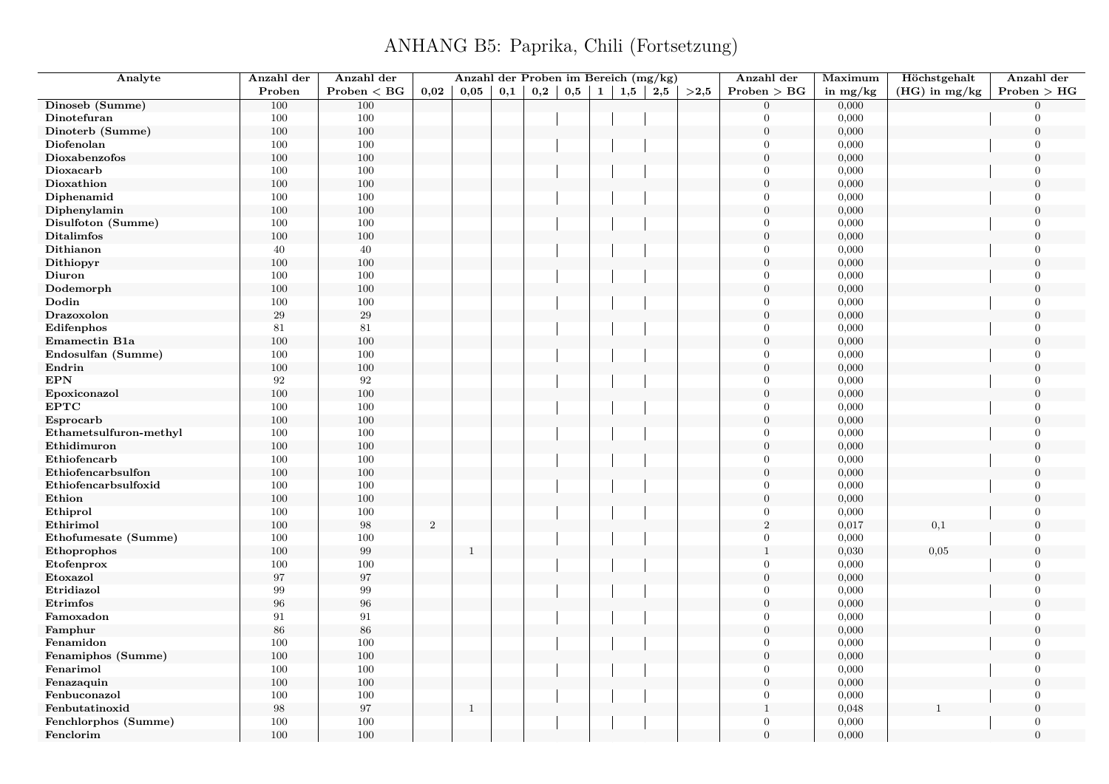| Analyte                | Anzahl der        | Anzahl der   |       | Anzahl der Proben im Bereich (mg/kg) |     |              |              |     |     |      | Anzahl der     | Maximum    | Höchstgehalt    | Anzahl der       |
|------------------------|-------------------|--------------|-------|--------------------------------------|-----|--------------|--------------|-----|-----|------|----------------|------------|-----------------|------------------|
|                        | Proben            | Problem < BG | 0,02  | 0,05                                 | 0,1 | $_{\rm 0,2}$ | $0,5 \mid 1$ | 1,5 | 2,5 | >2,5 | Problem > BG   | in $mg/kg$ | $(HG)$ in mg/kg | Problem > HG     |
| Dinoseb (Summe)        | 100               | 100          |       |                                      |     |              |              |     |     |      | $\Omega$       | 0,000      |                 | $\Omega$         |
| Dinotefuran            | 100               | 100          |       |                                      |     |              |              |     |     |      | $\Omega$       | 0,000      |                 | $\Omega$         |
| Dinoterb (Summe)       | 100               | 100          |       |                                      |     |              |              |     |     |      | $\overline{0}$ | 0,000      |                 | $\boldsymbol{0}$ |
| Diofenolan             | 100               | 100          |       |                                      |     |              |              |     |     |      | $\theta$       | 0,000      |                 | $\Omega$         |
| Dioxabenzofos          | 100               | 100          |       |                                      |     |              |              |     |     |      | $\overline{0}$ | 0,000      |                 | $\theta$         |
| Dioxacarb              | 100               | 100          |       |                                      |     |              |              |     |     |      | $\Omega$       | 0,000      |                 | $\overline{0}$   |
| Dioxathion             | 100               | 100          |       |                                      |     |              |              |     |     |      | $\overline{0}$ | 0,000      |                 | $\overline{0}$   |
| Diphenamid             | 100               | 100          |       |                                      |     |              |              |     |     |      | $\mathbf{0}$   | 0,000      |                 | $\overline{0}$   |
| Diphenylamin           | 100               | 100          |       |                                      |     |              |              |     |     |      | $\overline{0}$ | 0,000      |                 | $\Omega$         |
| Disulfoton (Summe)     | 100               | 100          |       |                                      |     |              |              |     |     |      | $\theta$       | 0,000      |                 | $\Omega$         |
| <b>Ditalimfos</b>      | 100               | 100          |       |                                      |     |              |              |     |     |      | $\overline{0}$ | 0,000      |                 | $\theta$         |
| Dithianon              | 40                | 40           |       |                                      |     |              |              |     |     |      | $\theta$       | 0,000      |                 | $\overline{0}$   |
| Dithiopyr              | 100               | 100          |       |                                      |     |              |              |     |     |      | $\overline{0}$ | 0,000      |                 | $\mathbf{0}$     |
| Diuron                 | 100               | 100          |       |                                      |     |              |              |     |     |      | $\theta$       | 0,000      |                 | $\mathbf{0}$     |
| Dodemorph              | 100               | 100          |       |                                      |     |              |              |     |     |      | $\overline{0}$ | 0,000      |                 | $\overline{0}$   |
| Dodin                  | 100               | 100          |       |                                      |     |              |              |     |     |      | $\theta$       | 0,000      |                 | $\overline{0}$   |
| Drazoxolon             | $29\,$            | $29\,$       |       |                                      |     |              |              |     |     |      | $\mathbf{0}$   | 0,000      |                 | $\mathbf{0}$     |
| Edifenphos             | 81                | 81           |       |                                      |     |              |              |     |     |      | $\Omega$       | 0,000      |                 | $\Omega$         |
| Emamectin B1a          | 100               | 100          |       |                                      |     |              |              |     |     |      | $\mathbf{0}$   | 0,000      |                 | $\overline{0}$   |
| Endosulfan (Summe)     | 100               | 100          |       |                                      |     |              |              |     |     |      | $\Omega$       | 0,000      |                 | $\Omega$         |
| Endrin                 | 100               | 100          |       |                                      |     |              |              |     |     |      | $\mathbf{0}$   | 0,000      |                 | $\mathbf{0}$     |
| <b>EPN</b>             | 92                | 92           |       |                                      |     |              |              |     |     |      | $\theta$       | 0,000      |                 | $\Omega$         |
| Epoxiconazol           | 100               | 100          |       |                                      |     |              |              |     |     |      | $\overline{0}$ | 0,000      |                 | $\overline{0}$   |
| <b>EPTC</b>            | 100               | 100          |       |                                      |     |              |              |     |     |      | $\theta$       | 0,000      |                 | $\Omega$         |
| Esprocarb              | 100               | 100          |       |                                      |     |              |              |     |     |      | $\overline{0}$ | 0,000      |                 | $\overline{0}$   |
| Ethametsulfuron-methyl | 100               | 100          |       |                                      |     |              |              |     |     |      | $\overline{0}$ | 0,000      |                 | $\overline{0}$   |
| Ethidimuron            | 100               | 100          |       |                                      |     |              |              |     |     |      | $\theta$       | 0,000      |                 | $\Omega$         |
| Ethiofencarb           | 100               | 100          |       |                                      |     |              |              |     |     |      | $\mathbf{0}$   | 0,000      |                 | $\overline{0}$   |
| Ethiofencarbsulfon     | 100               | 100          |       |                                      |     |              |              |     |     |      | $\overline{0}$ | 0,000      |                 | $\theta$         |
| Ethiofencarbsulfoxid   | 100               | 100          |       |                                      |     |              |              |     |     |      | $\theta$       | 0,000      |                 | $\Omega$         |
| Ethion                 | 100               | 100          |       |                                      |     |              |              |     |     |      | $\overline{0}$ | 0,000      |                 | $\overline{0}$   |
| Ethiprol               | 100               | 100          |       |                                      |     |              |              |     |     |      | $\overline{0}$ | 0,000      |                 | $\overline{0}$   |
| Ethirimol              | 100               | $98\,$       | $\,2$ |                                      |     |              |              |     |     |      | $\,2$          | 0,017      | 0,1             | $\mathbf{0}$     |
| Ethofumesate (Summe)   | 100               | 100          |       |                                      |     |              |              |     |     |      | $\theta$       | 0,000      |                 | $\Omega$         |
| Ethoprophos            | 100               | $\,99$       |       | $\mathbf{1}$                         |     |              |              |     |     |      | $\mathbf{1}$   | 0,030      | 0,05            | $\boldsymbol{0}$ |
| Etofenprox             | 100               | 100          |       |                                      |     |              |              |     |     |      | $\Omega$       | 0,000      |                 | $\overline{0}$   |
| Etoxazol               | 97                | 97           |       |                                      |     |              |              |     |     |      | $\mathbf{0}$   | 0,000      |                 | $\overline{0}$   |
| Etridiazol             | 99                | $\,99$       |       |                                      |     |              |              |     |     |      | $\Omega$       | 0,000      |                 | $\Omega$         |
| Etrimfos               | 96                | $96\,$       |       |                                      |     |              |              |     |     |      | $\mathbf{0}$   | 0,000      |                 | $\mathbf{0}$     |
| Famoxadon              | 91                | 91           |       |                                      |     |              |              |     |     |      | $\Omega$       | 0,000      |                 | $\Omega$         |
| Famphur                | 86                | 86           |       |                                      |     |              |              |     |     |      | $\overline{0}$ | 0,000      |                 | $\Omega$         |
| Fenamidon              | 100               | 100          |       |                                      |     |              |              |     |     |      | $\theta$       | 0,000      |                 | $\overline{0}$   |
| Fenamiphos (Summe)     | 100               | 100          |       |                                      |     |              |              |     |     |      | $\overline{0}$ | 0,000      |                 | $\mathbf{0}$     |
| Fenarimol              | 100               | 100          |       |                                      |     |              |              |     |     |      | $\theta$       | 0,000      |                 | $\Omega$         |
| Fenazaquin             | 100               | 100          |       |                                      |     |              |              |     |     |      | $\overline{0}$ | 0,000      |                 | $\theta$         |
| Fenbuconazol           | 100               | 100          |       |                                      |     |              |              |     |     |      | $\overline{0}$ | 0,000      |                 | $\overline{0}$   |
| Fenbutatinoxid         | $\boldsymbol{98}$ | 97           |       | 1                                    |     |              |              |     |     |      | $\mathbf{1}$   | 0,048      |                 | $\overline{0}$   |
| Fenchlorphos (Summe)   | 100               | 100          |       |                                      |     |              |              |     |     |      | $\mathbf{0}$   | 0,000      |                 | $\overline{0}$   |
| Fenclorim              | 100               | 100          |       |                                      |     |              |              |     |     |      | $\Omega$       | 0,000      |                 | $\overline{0}$   |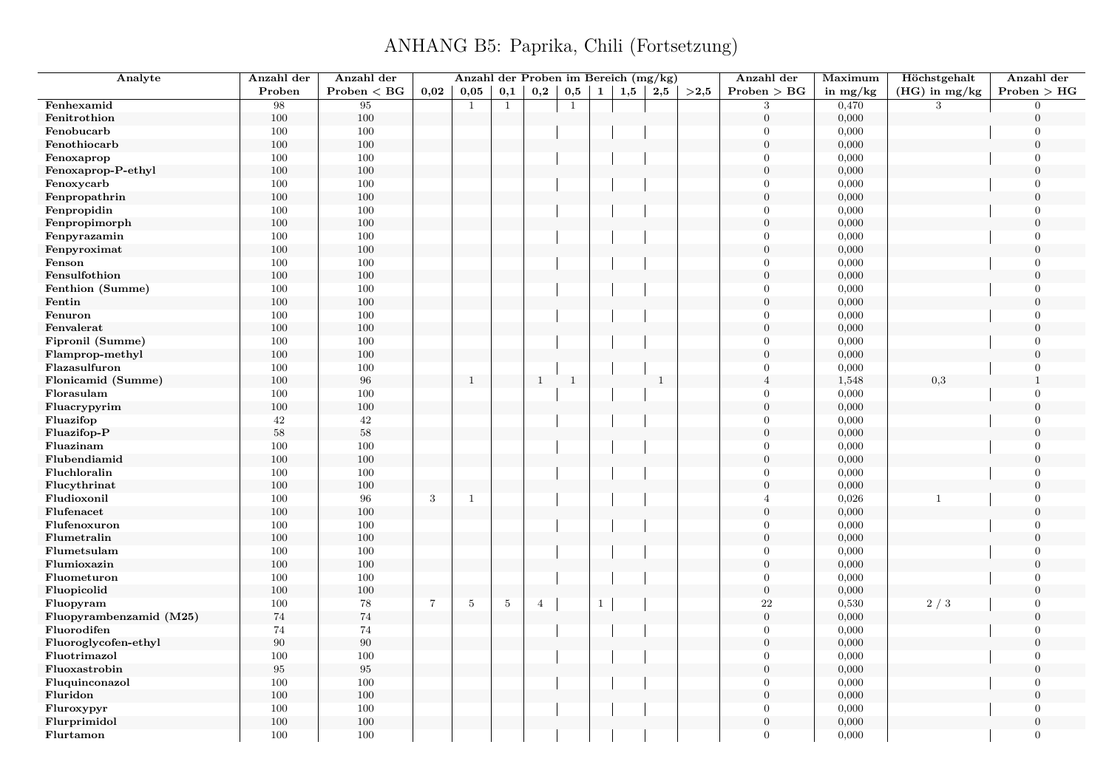| Analyte                    | Anzahl der | Anzahl der   |            | Anzahl der Proben im Bereich (mg/kg) |              |                |              |                |     |              |      | Anzahl der       | Maximum        | Höchstgehalt    | Anzahl der       |
|----------------------------|------------|--------------|------------|--------------------------------------|--------------|----------------|--------------|----------------|-----|--------------|------|------------------|----------------|-----------------|------------------|
|                            | Proben     | Problem < BG | 0.02       | 0.05                                 | 0,1          | 0,2            | 0,5          | $\mathbf{1}$   | 1,5 | 2,5          | >2,5 | Problem > BG     | in $mg/kg$     | $(HG)$ in mg/kg | Problem > HG     |
| Fenhexamid                 | 98         | 95           |            | $\mathbf{1}$                         | $\mathbf{1}$ |                | $\mathbf{1}$ |                |     |              |      | 3                | 0,470          | 3               | $\Omega$         |
| Fenitrothion               | 100        | $100\,$      |            |                                      |              |                |              |                |     |              |      | $\boldsymbol{0}$ | 0,000          |                 | $\overline{0}$   |
| Fenobucarb                 | 100        | 100          |            |                                      |              |                |              |                |     |              |      | $\overline{0}$   | 0,000          |                 | $\boldsymbol{0}$ |
| Fenothiocarb               | 100        | 100          |            |                                      |              |                |              |                |     |              |      | $\mathbf{0}$     | 0,000          |                 | $\overline{0}$   |
| Fenoxaprop                 | 100        | 100          |            |                                      |              |                |              |                |     |              |      | $\theta$         | 0,000          |                 | $\overline{0}$   |
| Fenoxaprop-P-ethyl         | 100        | $100\,$      |            |                                      |              |                |              |                |     |              |      | $\boldsymbol{0}$ | 0,000          |                 | $\boldsymbol{0}$ |
| Fenoxycarb                 | 100        | 100          |            |                                      |              |                |              |                |     |              |      | $\overline{0}$   | 0,000          |                 | $\overline{0}$   |
| Fenpropathrin              | 100        | 100          |            |                                      |              |                |              |                |     |              |      | $\mathbf{0}$     | 0,000          |                 | $\overline{0}$   |
| Fenpropidin                | 100        | 100          |            |                                      |              |                |              |                |     |              |      | $\Omega$         | 0,000          |                 | $\Omega$         |
| Fenpropimorph              | 100        | $100\,$      |            |                                      |              |                |              |                |     |              |      | $\mathbf{0}$     | 0,000          |                 | $\overline{0}$   |
| Fenpyrazamin               | 100        | 100          |            |                                      |              |                |              |                |     |              |      | $\Omega$         | 0,000          |                 | $\overline{0}$   |
| Fenpyroximat               | 100        | 100          |            |                                      |              |                |              |                |     |              |      | $\overline{0}$   | 0,000          |                 | $\overline{0}$   |
| Fenson                     | 100        | 100          |            |                                      |              |                |              |                |     |              |      | $\theta$         | 0,000          |                 | $\Omega$         |
| Fensulfothion              | 100        | 100          |            |                                      |              |                |              |                |     |              |      | $\overline{0}$   | 0,000          |                 | $\overline{0}$   |
| Fenthion (Summe)           | 100        | $100\,$      |            |                                      |              |                |              |                |     |              |      | $\Omega$         | 0,000          |                 | $\Omega$         |
| Fentin                     | 100        | 100          |            |                                      |              |                |              |                |     |              |      | $\overline{0}$   | 0,000          |                 | $\overline{0}$   |
| Fenuron                    | 100        | 100          |            |                                      |              |                |              |                |     |              |      | $\theta$         | 0,000          |                 | $\overline{0}$   |
| Fenvalerat                 | 100        | 100          |            |                                      |              |                |              |                |     |              |      | $\overline{0}$   | 0,000          |                 | $\Omega$         |
| Fipronil (Summe)           | 100        | 100          |            |                                      |              |                |              |                |     |              |      | $\mathbf{0}$     | 0,000          |                 | $\overline{0}$   |
| Flamprop-methyl            | 100        | 100          |            |                                      |              |                |              |                |     |              |      | $\overline{0}$   | 0,000          |                 | $\Omega$         |
| Flazasulfuron              | 100        | 100          |            |                                      |              |                |              |                |     |              |      | $\overline{0}$   | 0,000          |                 | $\overline{0}$   |
| Flonicamid (Summe)         | 100        | 96           |            | $\mathbf{1}$                         |              | $\mathbf{1}$   | $\mathbf{1}$ |                |     | $\mathbf{1}$ |      | $\overline{4}$   | 1,548          | $_{0,3}$        |                  |
| Florasulam                 | 100        | 100          |            |                                      |              |                |              |                |     |              |      | $\Omega$         | 0,000          |                 | $\Omega$         |
| Fluacrypyrim               | 100        | 100          |            |                                      |              |                |              |                |     |              |      | $\overline{0}$   | 0,000          |                 | $\overline{0}$   |
| Fluazifop                  | 42         | 42           |            |                                      |              |                |              |                |     |              |      | $\theta$         | 0,000          |                 | $\overline{0}$   |
| Fluazifop-P                | $58\,$     | 58           |            |                                      |              |                |              |                |     |              |      | $\overline{0}$   | 0,000          |                 | $\overline{0}$   |
| Fluazinam                  | 100        | 100          |            |                                      |              |                |              |                |     |              |      | $\theta$         | 0,000          |                 | $\Omega$         |
| Flubendiamid               | 100        | 100          |            |                                      |              |                |              |                |     |              |      | $\overline{0}$   | 0,000          |                 | $\boldsymbol{0}$ |
| Fluchloralin               | 100        | 100          |            |                                      |              |                |              |                |     |              |      | $\theta$         | 0,000          |                 | $\overline{0}$   |
| Flucythrinat               | 100        | $100\,$      |            |                                      |              |                |              |                |     |              |      | $\overline{0}$   | 0,000          |                 | $\overline{0}$   |
| Fludioxonil                | 100        | 96           | $\sqrt{3}$ | 1                                    |              |                |              |                |     |              |      | $\overline{4}$   | 0,026          | $\mathbf{1}$    | $\overline{0}$   |
| Flufenacet                 | 100        | 100          |            |                                      |              |                |              |                |     |              |      | $\boldsymbol{0}$ | 0,000          |                 | $\overline{0}$   |
| Flufenoxuron               | 100        | 100          |            |                                      |              |                |              |                |     |              |      | $\Omega$         | 0,000          |                 | $\Omega$         |
| Flumetralin                | 100        | $100\,$      |            |                                      |              |                |              |                |     |              |      | $\overline{0}$   | 0,000          |                 | $\overline{0}$   |
| Flumetsulam                | 100        | 100          |            |                                      |              |                |              |                |     |              |      | $\Omega$         | 0,000          |                 | $\Omega$         |
| Flumioxazin                | 100        | 100          |            |                                      |              |                |              |                |     |              |      | $\mathbf{0}$     | 0,000          |                 | $\overline{0}$   |
| Fluometuron                | 100        | 100          |            |                                      |              |                |              |                |     |              |      | $\theta$         | 0,000          |                 | $\Omega$         |
| Fluopicolid                | 100        | 100          |            |                                      |              |                |              |                |     |              |      | $\mathbf{0}$     | 0,000          |                 | $\Omega$         |
| Fluopyram                  | 100        | 78           | $\,7$      | $\sqrt{5}$                           | $\,$ 5 $\,$  | $\overline{4}$ |              | $\overline{1}$ |     |              |      | $\bf 22$         | 0,530          | 2/3             | $\overline{0}$   |
| Fluopyrambenzamid (M25)    | $74\,$     | 74           |            |                                      |              |                |              |                |     |              |      | $\boldsymbol{0}$ | 0,000          |                 | $\overline{0}$   |
| Fluorodifen                | 74         | 74           |            |                                      |              |                |              |                |     |              |      | $\overline{0}$   | 0,000          |                 | $\overline{0}$   |
| Fluoroglycofen-ethyl       | 90         | 90           |            |                                      |              |                |              |                |     |              |      | $\Omega$         | 0,000          |                 | $\Omega$         |
| Fluotrimazol               | 100        | 100          |            |                                      |              |                |              |                |     |              |      | $\overline{0}$   | 0,000          |                 | $\boldsymbol{0}$ |
| Fluoxastrobin              | $\bf 95$   | 95           |            |                                      |              |                |              |                |     |              |      | $\overline{0}$   | 0,000          |                 | $\overline{0}$   |
|                            |            | 100          |            |                                      |              |                |              |                |     |              |      | $\overline{0}$   |                |                 | $\overline{0}$   |
| Fluquinconazol             | 100<br>100 | 100          |            |                                      |              |                |              |                |     |              |      | $\Omega$         | 0,000<br>0,000 |                 | $\Omega$         |
| Fluridon                   | 100        | 100          |            |                                      |              |                |              |                |     |              |      | $\theta$         | 0,000          |                 | $\overline{0}$   |
| Fluroxypyr<br>Flurprimidol | 100        | 100          |            |                                      |              |                |              |                |     |              |      | $\overline{0}$   | 0,000          |                 | $\overline{0}$   |
|                            |            |              |            |                                      |              |                |              |                |     |              |      | $\Omega$         |                |                 |                  |
| Flurtamon                  | 100        | 100          |            |                                      |              |                |              |                |     |              |      |                  | 0,000          |                 | $\overline{0}$   |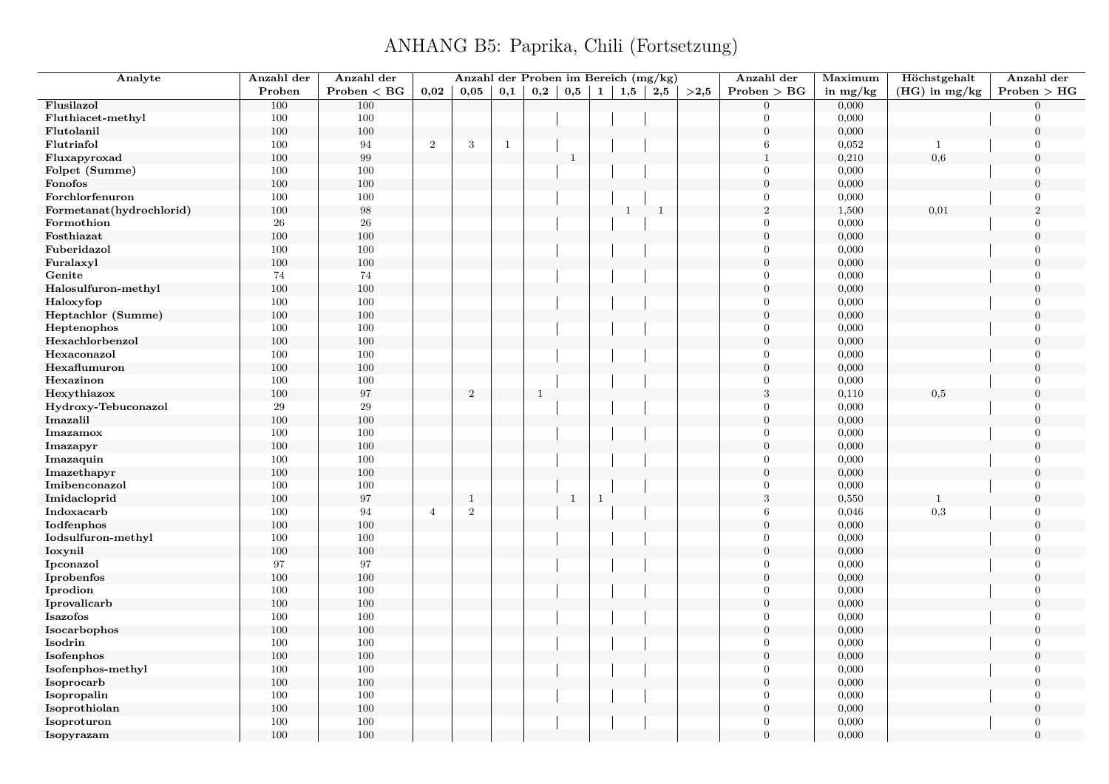| Analyte                  | Anzahl der | Anzahl der        |                | Anzahl der Proben im Bereich (mg/kg) |              |              |              |              |              |              |      | Anzahl der       | Maximum    | Höchstgehalt    | Anzahl der       |
|--------------------------|------------|-------------------|----------------|--------------------------------------|--------------|--------------|--------------|--------------|--------------|--------------|------|------------------|------------|-----------------|------------------|
|                          | Proben     | $Problem < B$ G   | 0,02           | 0,05                                 | 0,1          | $_{\rm 0,2}$ | $_{\rm 0,5}$ | $\mathbf{1}$ | 1,5          | 2,5          | >2,5 | Problem > BG     | in $mg/kg$ | $(HG)$ in mg/kg | Problem > HG     |
| Flusilazol               | 100        | 100               |                |                                      |              |              |              |              |              |              |      | $\Omega$         | 0,000      |                 | $\Omega$         |
| Fluthiacet-methyl        | 100        | 100               |                |                                      |              |              |              |              |              |              |      | $\Omega$         | 0,000      |                 | $\overline{0}$   |
| Flutolanil               | 100        | 100               |                |                                      |              |              |              |              |              |              |      | $\boldsymbol{0}$ | 0,000      |                 | $\boldsymbol{0}$ |
| Flutriafol               | 100        | 94                | $\sqrt{2}$     | 3                                    | $\mathbf{1}$ |              |              |              |              |              |      | 6                | 0,052      | $\mathbf{1}$    | $\Omega$         |
| Fluxapyroxad             | $100\,$    | $\boldsymbol{99}$ |                |                                      |              |              | $\,1\,$      |              |              |              |      | $\mathbf{1}$     | 0,210      | 0,6             | $\theta$         |
| Folpet (Summe)           | 100        | 100               |                |                                      |              |              |              |              |              |              |      | $\boldsymbol{0}$ | 0,000      |                 | $\Omega$         |
| Fonofos                  | 100        | 100               |                |                                      |              |              |              |              |              |              |      | $\overline{0}$   | 0,000      |                 | $\Omega$         |
| Forchlorfenuron          | 100        | 100               |                |                                      |              |              |              |              |              |              |      | $\overline{0}$   | 0,000      |                 | $\overline{0}$   |
| Formetanat(hydrochlorid) | 100        | 98                |                |                                      |              |              |              |              | $\mathbf{1}$ | $\mathbf{1}$ |      | $\sqrt{2}$       | 1,500      | 0,01            | $\overline{2}$   |
| Formothion               | 26         | $\sqrt{26}$       |                |                                      |              |              |              |              |              |              |      | $\overline{0}$   | 0,000      |                 | $\overline{0}$   |
| Fosthiazat               | 100        | 100               |                |                                      |              |              |              |              |              |              |      | $\Omega$         | 0,000      |                 | $\mathbf{0}$     |
| Fuberidazol              | 100        | 100               |                |                                      |              |              |              |              |              |              |      | $\Omega$         | 0,000      |                 | $\overline{0}$   |
| Furalaxyl                | $100\,$    | 100               |                |                                      |              |              |              |              |              |              |      | $\overline{0}$   | 0,000      |                 | $\mathbf{0}$     |
| Genite                   | 74         | $74\,$            |                |                                      |              |              |              |              |              |              |      | $\Omega$         | 0,000      |                 | $\overline{0}$   |
| Halosulfuron-methyl      | 100        | 100               |                |                                      |              |              |              |              |              |              |      | $\overline{0}$   | 0,000      |                 | $\overline{0}$   |
| Haloxyfop                | 100        | 100               |                |                                      |              |              |              |              |              |              |      | $\Omega$         | 0,000      |                 | $\Omega$         |
| Heptachlor (Summe)       | 100        | 100               |                |                                      |              |              |              |              |              |              |      | $\overline{0}$   | 0,000      |                 | $\mathbf{0}$     |
| Heptenophos              | 100        | 100               |                |                                      |              |              |              |              |              |              |      | $\Omega$         | 0,000      |                 | $\Omega$         |
| Hexachlorbenzol          | 100        | 100               |                |                                      |              |              |              |              |              |              |      | $\overline{0}$   | 0,000      |                 | $\Omega$         |
| Hexaconazol              | 100        | 100               |                |                                      |              |              |              |              |              |              |      | $\Omega$         | 0,000      |                 | $\Omega$         |
| Hexaflumuron             | 100        | 100               |                |                                      |              |              |              |              |              |              |      | $\overline{0}$   | 0,000      |                 | $\overline{0}$   |
| Hexazinon                | 100        | 100               |                |                                      |              |              |              |              |              |              |      | $\Omega$         | 0,000      |                 | $\Omega$         |
| Hexythiazox              | 100        | 97                |                | $\overline{2}$                       |              | $\mathbf{1}$ |              |              |              |              |      | $\sqrt{3}$       | 0,110      | 0,5             | $\mathbf{0}$     |
| Hydroxy-Tebuconazol      | $\,29$     | $\,29$            |                |                                      |              |              |              |              |              |              |      | $\Omega$         | 0,000      |                 | $\Omega$         |
| Imazalil                 | 100        | 100               |                |                                      |              |              |              |              |              |              |      | $\overline{0}$   | 0,000      |                 | $\overline{0}$   |
| Imazamox                 | 100        | 100               |                |                                      |              |              |              |              |              |              |      | $\overline{0}$   | 0,000      |                 | $\overline{0}$   |
| Imazapyr                 | 100        | 100               |                |                                      |              |              |              |              |              |              |      | $\Omega$         | 0,000      |                 | $\Omega$         |
| Imazaquin                | 100        | 100               |                |                                      |              |              |              |              |              |              |      | $\overline{0}$   | 0,000      |                 | $\overline{0}$   |
| Imazethapyr              | 100        | 100               |                |                                      |              |              |              |              |              |              |      | $\Omega$         | 0,000      |                 | $\Omega$         |
| Imibenconazol            | 100        | 100               |                |                                      |              |              |              |              |              |              |      | $\Omega$         | 0,000      |                 | $\overline{0}$   |
| Imidacloprid             | $100\,$    | $\rm 97$          |                | $\mathbf{1}$                         |              |              | $\mathbf{1}$ | $\mathbf{1}$ |              |              |      | 3                | 0,550      | $\mathbf 1$     | $\overline{0}$   |
| Indoxacarb               | 100        | 94                | $\overline{4}$ | $\mathbf{2}$                         |              |              |              |              |              |              |      | 6                | 0,046      | $_{0,3}$        | $\mathbf{0}$     |
| Iodfenphos               | 100        | 100               |                |                                      |              |              |              |              |              |              |      | $\overline{0}$   | 0,000      |                 | $\mathbf{0}$     |
| Iodsulfuron-methyl       | 100        | 100               |                |                                      |              |              |              |              |              |              |      | $\Omega$         | 0,000      |                 | $\Omega$         |
| Ioxynil                  | 100        | 100               |                |                                      |              |              |              |              |              |              |      | $\overline{0}$   | 0,000      |                 | $\mathbf{0}$     |
| Ipconazol                | 97         | 97                |                |                                      |              |              |              |              |              |              |      | $\Omega$         | 0,000      |                 | $\Omega$         |
| Iprobenfos               | 100        | 100               |                |                                      |              |              |              |              |              |              |      | $\overline{0}$   | 0,000      |                 | $\overline{0}$   |
| Iprodion                 | 100        | 100               |                |                                      |              |              |              |              |              |              |      | $\Omega$         | 0,000      |                 | $\Omega$         |
| Iprovalicarb             | 100        | 100               |                |                                      |              |              |              |              |              |              |      | $\overline{0}$   | 0,000      |                 | $\overline{0}$   |
| Isazofos                 | 100        | 100               |                |                                      |              |              |              |              |              |              |      | $\Omega$         | 0,000      |                 | $\Omega$         |
| Isocarbophos             | 100        | 100               |                |                                      |              |              |              |              |              |              |      | $\overline{0}$   | 0,000      |                 | $\Omega$         |
| Isodrin                  | 100        | 100               |                |                                      |              |              |              |              |              |              |      | $\Omega$         | 0,000      |                 | $\Omega$         |
| Isofenphos               | 100        | 100               |                |                                      |              |              |              |              |              |              |      | $\overline{0}$   | 0,000      |                 | $\mathbf{0}$     |
| Isofenphos-methyl        | 100        | 100               |                |                                      |              |              |              |              |              |              |      | $\Omega$         | 0,000      |                 | $\Omega$         |
| Isoprocarb               | $100\,$    | 100               |                |                                      |              |              |              |              |              |              |      | $\theta$         | 0,000      |                 | $\Omega$         |
| Isopropalin              | 100        | 100               |                |                                      |              |              |              |              |              |              |      | $\mathbf{0}$     | 0,000      |                 | $\overline{0}$   |
| Isoprothiolan            | 100        | 100               |                |                                      |              |              |              |              |              |              |      | $\boldsymbol{0}$ | 0,000      |                 | $\theta$         |
| Isoproturon              | 100        | 100               |                |                                      |              |              |              |              |              |              |      | $\overline{0}$   | 0,000      |                 | $\mathbf{0}$     |
| Isopyrazam               | 100        | 100               |                |                                      |              |              |              |              |              |              |      | $\theta$         | 0,000      |                 | $\overline{0}$   |
|                          |            |                   |                |                                      |              |              |              |              |              |              |      |                  |            |                 |                  |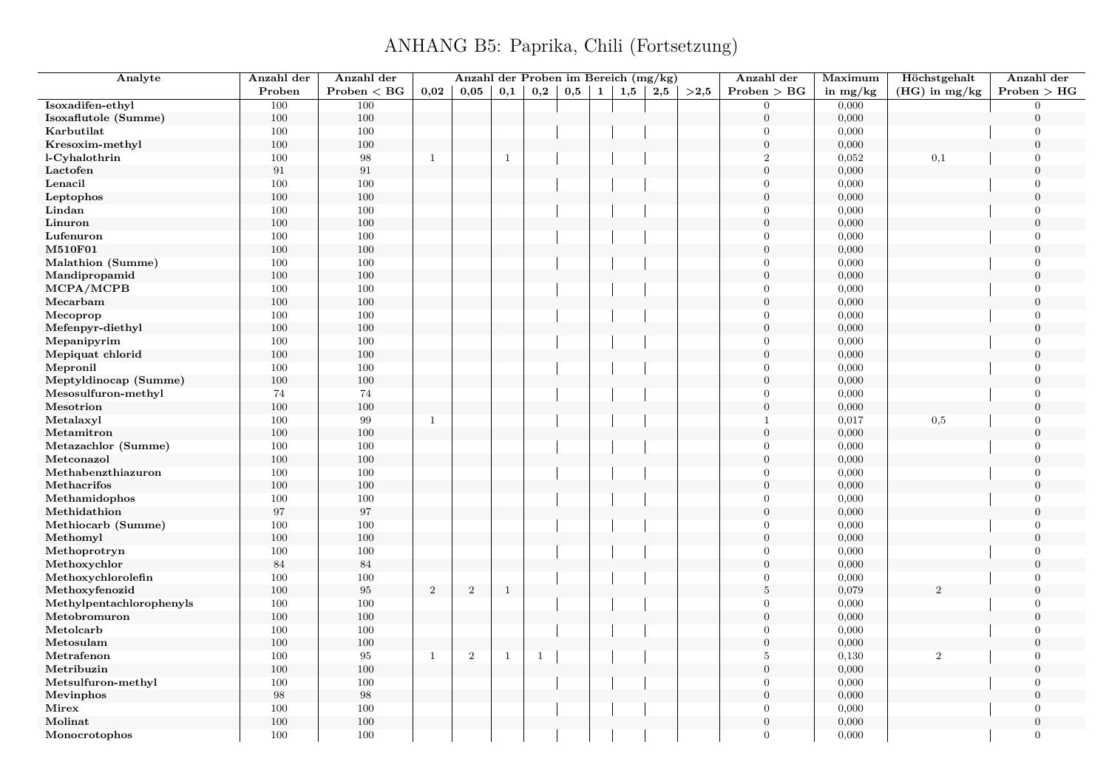| Analyte                  | Anzahl der | Anzahl der      |                |                |              |     | Anzahl der Proben im Bereich (mg/kg) |              |     |     |      | Anzahl der       | Maximum    | Höchstgehalt    | Anzahl der     |
|--------------------------|------------|-----------------|----------------|----------------|--------------|-----|--------------------------------------|--------------|-----|-----|------|------------------|------------|-----------------|----------------|
|                          | Proben     | $Problem < B$ G | 0.02           | 0,05           | 0,1          | 0,2 | 0,5                                  | $\mathbf{1}$ | 1,5 | 2,5 | >2,5 | Problem > BG     | in $mg/kg$ | $(HG)$ in mg/kg | Problem > HG   |
| Isoxadifen-ethyl         | 100        | 100             |                |                |              |     |                                      |              |     |     |      | $\Omega$         | 0,000      |                 | $\Omega$       |
| Isoxaflutole (Summe)     | 100        | $100\,$         |                |                |              |     |                                      |              |     |     |      | $\mathbf{0}$     | 0,000      |                 | $\Omega$       |
| Karbutilat               | 100        | 100             |                |                |              |     |                                      |              |     |     |      | $\theta$         | 0,000      |                 | $\Omega$       |
| Kresoxim-methyl          | 100        | 100             |                |                |              |     |                                      |              |     |     |      | $\boldsymbol{0}$ | 0,000      |                 | $\mathbf{0}$   |
| l-Cyhalothrin            | 100        | 98              | $\mathbf{1}$   |                | $\mathbf{1}$ |     |                                      |              |     |     |      | $\overline{2}$   | 0,052      | 0,1             | $\theta$       |
| Lactofen                 | $\rm 91$   | 91              |                |                |              |     |                                      |              |     |     |      | $\mathbf{0}$     | 0,000      |                 | $\overline{0}$ |
| Lenacil                  | 100        | $100\,$         |                |                |              |     |                                      |              |     |     |      | $\Omega$         | 0,000      |                 | $\overline{0}$ |
| Leptophos                | 100        | $100\,$         |                |                |              |     |                                      |              |     |     |      | $\boldsymbol{0}$ | 0,000      |                 | $\Omega$       |
| Lindan                   | 100        | 100             |                |                |              |     |                                      |              |     |     |      | $\theta$         | 0,000      |                 | $\Omega$       |
| Linuron                  | 100        | 100             |                |                |              |     |                                      |              |     |     |      | $\mathbf{0}$     | 0,000      |                 | $\overline{0}$ |
| Lufenuron                | 100        | 100             |                |                |              |     |                                      |              |     |     |      | $\Omega$         | 0,000      |                 | $\Omega$       |
| <b>M510F01</b>           | 100        | $100\,$         |                |                |              |     |                                      |              |     |     |      | $\Omega$         | 0,000      |                 | $\Omega$       |
| Malathion (Summe)        | 100        | 100             |                |                |              |     |                                      |              |     |     |      | $\Omega$         | 0,000      |                 | $\Omega$       |
| Mandipropamid            | 100        | 100             |                |                |              |     |                                      |              |     |     |      | $\mathbf{0}$     | 0,000      |                 | $\overline{0}$ |
| MCPA/MCPB                | 100        | 100             |                |                |              |     |                                      |              |     |     |      | $\theta$         | 0,000      |                 | $\Omega$       |
| Mecarbam                 | 100        | 100             |                |                |              |     |                                      |              |     |     |      | $\overline{0}$   | 0,000      |                 | $\Omega$       |
| Mecoprop                 | 100        | 100             |                |                |              |     |                                      |              |     |     |      | $\theta$         | 0,000      |                 | $\Omega$       |
| Mefenpyr-diethyl         | 100        | 100             |                |                |              |     |                                      |              |     |     |      | $\overline{0}$   | 0,000      |                 | $\overline{0}$ |
| Mepanipyrim              | 100        | 100             |                |                |              |     |                                      |              |     |     |      | $\theta$         | 0,000      |                 | $\overline{0}$ |
| Mepiquat chlorid         | 100        | 100             |                |                |              |     |                                      |              |     |     |      | $\theta$         | 0,000      |                 | $\Omega$       |
| Mepronil                 | 100        | $100\,$         |                |                |              |     |                                      |              |     |     |      | $\theta$         | 0,000      |                 | $\overline{0}$ |
| Meptyldinocap (Summe)    | 100        | 100             |                |                |              |     |                                      |              |     |     |      | $\Omega$         | 0,000      |                 | $\Omega$       |
| Mesosulfuron-methyl      | 74         | 74              |                |                |              |     |                                      |              |     |     |      | $\theta$         | 0,000      |                 | $\Omega$       |
| Mesotrion                | 100        | 100             |                |                |              |     |                                      |              |     |     |      | $\theta$         | 0,000      |                 | $\theta$       |
| Metalaxyl                | 100        | 99              | $\mathbf{1}$   |                |              |     |                                      |              |     |     |      | $\mathbf{1}$     | 0,017      | $_{0,5}$        | $\Omega$       |
| Metamitron               | 100        | 100             |                |                |              |     |                                      |              |     |     |      | $\Omega$         | 0,000      |                 | $\Omega$       |
| Metazachlor (Summe)      | 100        | 100             |                |                |              |     |                                      |              |     |     |      | $\Omega$         | 0,000      |                 | $\Omega$       |
| Metconazol               | 100        | 100             |                |                |              |     |                                      |              |     |     |      | $\overline{0}$   | 0,000      |                 | $\mathbf{0}$   |
| Methabenzthiazuron       | 100        | 100             |                |                |              |     |                                      |              |     |     |      | $\theta$         | 0,000      |                 | $\Omega$       |
| Methacrifos              | 100        | 100             |                |                |              |     |                                      |              |     |     |      | $\overline{0}$   | 0,000      |                 | $\overline{0}$ |
| Methamidophos            | 100        | 100             |                |                |              |     |                                      |              |     |     |      | $\Omega$         | 0,000      |                 | $\theta$       |
|                          | $\rm 97$   | 97              |                |                |              |     |                                      |              |     |     |      | $\mathbf{0}$     | 0,000      |                 | $\mathbf{0}$   |
| Methidathion             |            |                 |                |                |              |     |                                      |              |     |     |      | $\theta$         |            |                 | $\Omega$       |
| Methiocarb (Summe)       | 100        | 100             |                |                |              |     |                                      |              |     |     |      | $\overline{0}$   | 0,000      |                 | $\Omega$       |
| Methomyl                 | 100        | 100<br>100      |                |                |              |     |                                      |              |     |     |      | $\Omega$         | 0,000      |                 | $\Omega$       |
| Methoprotryn             | 100        |                 |                |                |              |     |                                      |              |     |     |      | $\overline{0}$   | 0,000      |                 | $\overline{0}$ |
| Methoxychlor             | $\bf 84$   | 84              |                |                |              |     |                                      |              |     |     |      | $\Omega$         | 0,000      |                 | $\Omega$       |
| Methoxychlorolefin       | 100        | 100             |                |                |              |     |                                      |              |     |     |      |                  | 0,000      |                 |                |
| Methoxyfenozid           | 100        | 95              | $\overline{2}$ | $\overline{2}$ | $\mathbf{1}$ |     |                                      |              |     |     |      | $\,$ 5           | 0,079      | $\mathcal{D}$   | $\theta$       |
| Methylpentachlorophenyls | 100        | 100             |                |                |              |     |                                      |              |     |     |      | $\theta$         | 0,000      |                 | $\Omega$       |
| Metobromuron             | 100        | 100             |                |                |              |     |                                      |              |     |     |      | $\boldsymbol{0}$ | 0,000      |                 | $\theta$       |
| Metolcarb                | 100        | $100\,$         |                |                |              |     |                                      |              |     |     |      | $\Omega$         | 0,000      |                 | $\Omega$       |
| Metosulam                | 100        | 100             |                |                |              |     |                                      |              |     |     |      | $\overline{0}$   | 0,000      |                 | $\Omega$       |
| Metrafenon               | 100        | 95              | $\mathbf{1}$   | $\,2$          | $\mathbf{1}$ | -1  |                                      |              |     |     |      | 5                | 0,130      | 2               | $\overline{0}$ |
| Metribuzin               | 100        | 100             |                |                |              |     |                                      |              |     |     |      | $\overline{0}$   | 0,000      |                 | $\theta$       |
| Metsulfuron-methyl       | 100        | 100             |                |                |              |     |                                      |              |     |     |      | $\overline{0}$   | 0,000      |                 | $\overline{0}$ |
| Mevinphos                | $98\,$     | 98              |                |                |              |     |                                      |              |     |     |      | $\overline{0}$   | 0,000      |                 | $\Omega$       |
| Mirex                    | 100        | 100             |                |                |              |     |                                      |              |     |     |      | $\Omega$         | 0,000      |                 | $\overline{0}$ |
| Molinat                  | 100        | 100             |                |                |              |     |                                      |              |     |     |      | $\theta$         | 0,000      |                 | $\theta$       |
| Monocrotophos            | 100        | 100             |                |                |              |     |                                      |              |     |     |      | $\Omega$         | 0,000      |                 | $\overline{0}$ |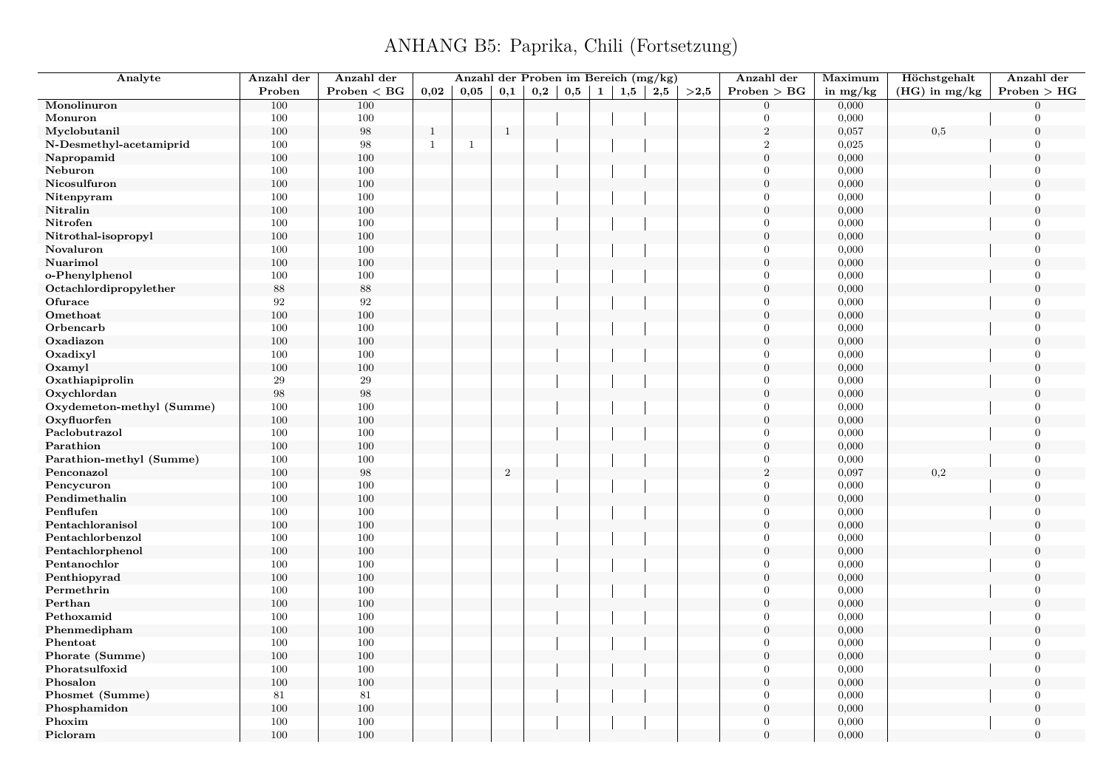| Analyte                   | Anzahl der        | Anzahl der        |              | Anzahl der Proben im Bereich (mg/kg) |              |              |     |              |     |     |      | Anzahl der       | Maximum    | Höchstgehalt    | Anzahl der     |
|---------------------------|-------------------|-------------------|--------------|--------------------------------------|--------------|--------------|-----|--------------|-----|-----|------|------------------|------------|-----------------|----------------|
|                           | Proben            | Problem < BG      | 0,02         | 0,05                                 | 0,1          | $_{\rm 0,2}$ | 0,5 | $\mathbf{1}$ | 1,5 | 2,5 | >2,5 | Problem > BG     | in $mg/kg$ | $(HG)$ in mg/kg | Problem > HG   |
| Monolinuron               | 100               | 100               |              |                                      |              |              |     |              |     |     |      | $\Omega$         | 0,000      |                 | $\Omega$       |
| Monuron                   | 100               | $100\,$           |              |                                      |              |              |     |              |     |     |      | $\Omega$         | 0,000      |                 | $\Omega$       |
| Myclobutanil              | 100               | 98                | $\mathbf{1}$ |                                      | $\mathbf{1}$ |              |     |              |     |     |      | $\,2$            | 0,057      | 0,5             | $\overline{0}$ |
| N-Desmethyl-acetamiprid   | 100               | 98                | $\mathbf{1}$ | $\mathbf{1}$                         |              |              |     |              |     |     |      | $\overline{2}$   | 0,025      |                 | $\Omega$       |
| Napropamid                | 100               | 100               |              |                                      |              |              |     |              |     |     |      | $\overline{0}$   | 0,000      |                 | $\theta$       |
| Neburon                   | 100               | 100               |              |                                      |              |              |     |              |     |     |      | $\theta$         | 0,000      |                 | $\overline{0}$ |
| Nicosulfuron              | $100\,$           | 100               |              |                                      |              |              |     |              |     |     |      | $\overline{0}$   | 0,000      |                 | $\theta$       |
| Nitenpyram                | 100               | 100               |              |                                      |              |              |     |              |     |     |      | $\mathbf{0}$     | 0,000      |                 | $\overline{0}$ |
| Nitralin                  | 100               | 100               |              |                                      |              |              |     |              |     |     |      | $\theta$         | 0,000      |                 | $\theta$       |
| Nitrofen                  | 100               | 100               |              |                                      |              |              |     |              |     |     |      | $\theta$         | 0,000      |                 | $\Omega$       |
| Nitrothal-isopropyl       | 100               | 100               |              |                                      |              |              |     |              |     |     |      | $\mathbf{0}$     | 0,000      |                 | $\overline{0}$ |
| Novaluron                 | 100               | 100               |              |                                      |              |              |     |              |     |     |      | $\theta$         | 0,000      |                 | $\theta$       |
| Nuarimol                  | 100               | 100               |              |                                      |              |              |     |              |     |     |      | $\overline{0}$   | 0,000      |                 | $\overline{0}$ |
| o-Phenylphenol            | 100               | 100               |              |                                      |              |              |     |              |     |     |      | $\theta$         | 0,000      |                 | $\overline{0}$ |
| Octachlordipropylether    | 88                | $88\,$            |              |                                      |              |              |     |              |     |     |      | $\theta$         | 0,000      |                 | $\overline{0}$ |
| Ofurace                   | 92                | 92                |              |                                      |              |              |     |              |     |     |      | $\Omega$         | 0,000      |                 | $\overline{0}$ |
| Omethoat                  | 100               | 100               |              |                                      |              |              |     |              |     |     |      | $\mathbf{0}$     | 0,000      |                 | $\mathbf{0}$   |
| Orbencarb                 | 100               | 100               |              |                                      |              |              |     |              |     |     |      | $\theta$         | 0,000      |                 | $\Omega$       |
| Oxadiazon                 | 100               | 100               |              |                                      |              |              |     |              |     |     |      | $\theta$         | 0,000      |                 | $\overline{0}$ |
| Oxadixyl                  | 100               | 100               |              |                                      |              |              |     |              |     |     |      | $\Omega$         | 0,000      |                 | $\Omega$       |
| Oxamyl                    | 100               | 100               |              |                                      |              |              |     |              |     |     |      | $\mathbf{0}$     | 0,000      |                 | $\overline{0}$ |
| Oxathiapiprolin           | 29                | 29                |              |                                      |              |              |     |              |     |     |      | $\Omega$         | 0,000      |                 | $\Omega$       |
| Oxychlordan               | $\boldsymbol{98}$ | $\boldsymbol{98}$ |              |                                      |              |              |     |              |     |     |      | $\overline{0}$   | 0,000      |                 | $\overline{0}$ |
| Oxydemeton-methyl (Summe) | 100               | 100               |              |                                      |              |              |     |              |     |     |      | $\Omega$         | 0,000      |                 | $\overline{0}$ |
| Oxyfluorfen               | 100               | 100               |              |                                      |              |              |     |              |     |     |      | $\boldsymbol{0}$ | 0,000      |                 | $\Omega$       |
| Paclobutrazol             | 100               | 100               |              |                                      |              |              |     |              |     |     |      | $\theta$         | 0,000      |                 | $\overline{0}$ |
| Parathion                 | 100               | 100               |              |                                      |              |              |     |              |     |     |      | $\theta$         | 0,000      |                 | $\theta$       |
| Parathion-methyl (Summe)  | 100               | 100               |              |                                      |              |              |     |              |     |     |      | $\mathbf{0}$     | 0,000      |                 | $\overline{0}$ |
| Penconazol                | 100               | $\boldsymbol{98}$ |              |                                      | $\sqrt{2}$   |              |     |              |     |     |      | $\,2$            | 0,097      | 0,2             | $\overline{0}$ |
| Pencycuron                | 100               | 100               |              |                                      |              |              |     |              |     |     |      | $\theta$         | 0,000      |                 | $\theta$       |
| Pendimethalin             | 100               | 100               |              |                                      |              |              |     |              |     |     |      | $\mathbf{0}$     | 0,000      |                 | $\overline{0}$ |
| Penflufen                 | 100               | 100               |              |                                      |              |              |     |              |     |     |      | $\theta$         | 0,000      |                 | $\overline{0}$ |
| Pentachloranisol          | 100               | 100               |              |                                      |              |              |     |              |     |     |      | $\boldsymbol{0}$ | 0,000      |                 | $\overline{0}$ |
| Pentachlorbenzol          | 100               | 100               |              |                                      |              |              |     |              |     |     |      | $\Omega$         | 0,000      |                 | $\overline{0}$ |
| Pentachlorphenol          | 100               | 100               |              |                                      |              |              |     |              |     |     |      | $\boldsymbol{0}$ | 0,000      |                 | $\overline{0}$ |
| Pentanochlor              | 100               | 100               |              |                                      |              |              |     |              |     |     |      | $\theta$         | 0,000      |                 | $\overline{0}$ |
| Penthiopyrad              | 100               | 100               |              |                                      |              |              |     |              |     |     |      | $\theta$         | 0,000      |                 | $\overline{0}$ |
| Permethrin                | 100               | 100               |              |                                      |              |              |     |              |     |     |      | $\theta$         | 0,000      |                 | $\overline{0}$ |
| Perthan                   | 100               | 100               |              |                                      |              |              |     |              |     |     |      | $\overline{0}$   | 0,000      |                 | $\overline{0}$ |
| Pethoxamid                | 100               | 100               |              |                                      |              |              |     |              |     |     |      | $\Omega$         | 0,000      |                 | $\Omega$       |
| Phenmedipham              | 100               | 100               |              |                                      |              |              |     |              |     |     |      | $\theta$         | 0,000      |                 | $\Omega$       |
| Phentoat                  | 100               | 100               |              |                                      |              |              |     |              |     |     |      | $\Omega$         | 0,000      |                 | $\Omega$       |
| Phorate (Summe)           | 100               | 100               |              |                                      |              |              |     |              |     |     |      | $\boldsymbol{0}$ | 0,000      |                 | $\overline{0}$ |
| Phoratsulfoxid            | 100               | 100               |              |                                      |              |              |     |              |     |     |      | $\Omega$         | 0,000      |                 | $\Omega$       |
| Phosalon                  | $100\,$           | 100               |              |                                      |              |              |     |              |     |     |      | $\overline{0}$   | 0,000      |                 | $\theta$       |
| Phosmet (Summe)           | 81                | 81                |              |                                      |              |              |     |              |     |     |      | $\mathbf{0}$     | 0,000      |                 | $\overline{0}$ |
| Phosphamidon              | 100               | 100               |              |                                      |              |              |     |              |     |     |      | $\overline{0}$   | 0,000      |                 | $\theta$       |
| Phoxim                    | 100               | 100               |              |                                      |              |              |     |              |     |     |      | $\overline{0}$   | 0,000      |                 | $\mathbf{0}$   |
| Picloram                  | 100               | 100               |              |                                      |              |              |     |              |     |     |      | $\Omega$         | 0,000      |                 | $\Omega$       |
|                           |                   |                   |              |                                      |              |              |     |              |     |     |      |                  |            |                 |                |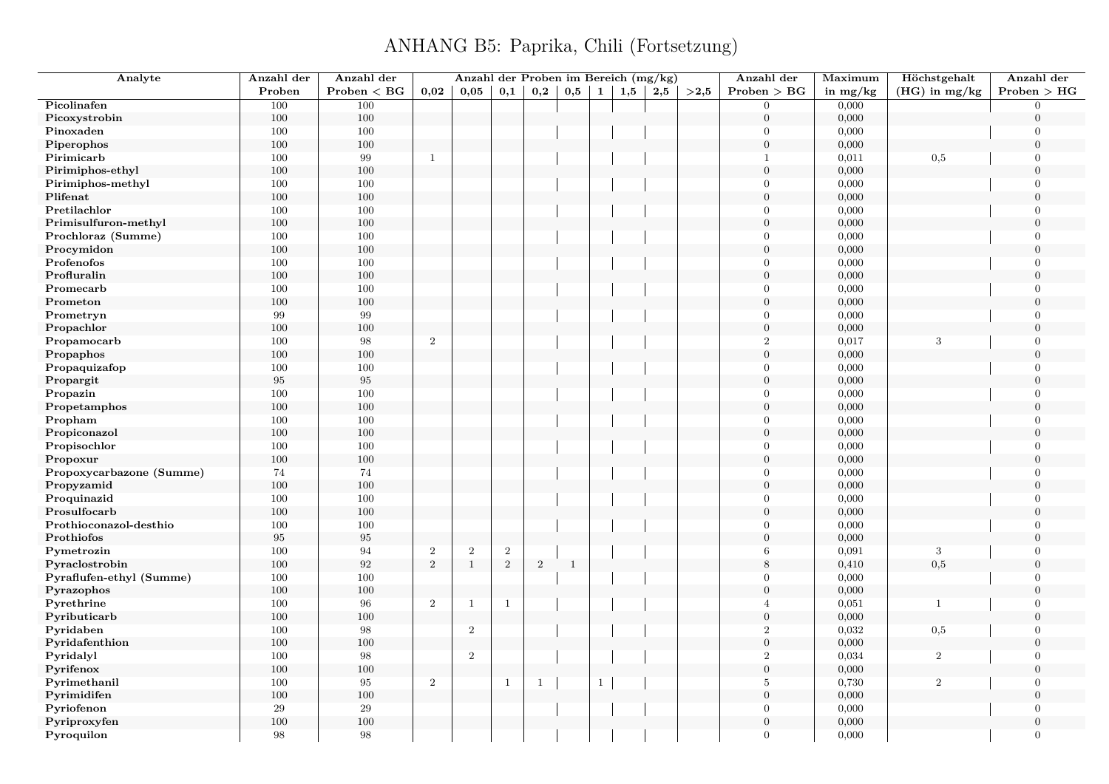| Analyte                  | Anzahl der | Anzahl der   |                | Anzahl der Proben im Bereich (mg/kg) |                |                |              |              |     |     |      | Anzahl der       | Maximum    | Höchstgehalt    | Anzahl der       |
|--------------------------|------------|--------------|----------------|--------------------------------------|----------------|----------------|--------------|--------------|-----|-----|------|------------------|------------|-----------------|------------------|
|                          | Proben     | Problem < BG | 0,02           | $0.05\,$                             | 0,1            | 0,2            | 0,5          | $1 \vert$    | 1,5 | 2,5 | >2,5 | Problem > BG     | in $mg/kg$ | $(HG)$ in mg/kg | Problem > HG     |
| Picolinafen              | 100        | 100          |                |                                      |                |                |              |              |     |     |      | $\Omega$         | 0,000      |                 | $\Omega$         |
| Picoxystrobin            | 100        | $100\,$      |                |                                      |                |                |              |              |     |     |      | $\overline{0}$   | 0,000      |                 | $\Omega$         |
| Pinoxaden                | 100        | 100          |                |                                      |                |                |              |              |     |     |      | $\theta$         | 0,000      |                 | $\boldsymbol{0}$ |
| Piperophos               | 100        | 100          |                |                                      |                |                |              |              |     |     |      | $\boldsymbol{0}$ | 0,000      |                 | $\overline{0}$   |
| Pirimicarb               | 100        | 99           | $\mathbf{1}$   |                                      |                |                |              |              |     |     |      | $\mathbf{1}$     | 0,011      | 0,5             | $\overline{0}$   |
| Pirimiphos-ethyl         | 100        | 100          |                |                                      |                |                |              |              |     |     |      | $\mathbf{0}$     | 0,000      |                 | $\overline{0}$   |
| Pirimiphos-methyl        | 100        | 100          |                |                                      |                |                |              |              |     |     |      | $\Omega$         | 0,000      |                 | $\overline{0}$   |
| Plifenat                 | 100        | $100\,$      |                |                                      |                |                |              |              |     |     |      | $\boldsymbol{0}$ | 0,000      |                 | $\overline{0}$   |
| Pretilachlor             | 100        | 100          |                |                                      |                |                |              |              |     |     |      | $\Omega$         | 0,000      |                 | $\overline{0}$   |
| Primisulfuron-methyl     | 100        | 100          |                |                                      |                |                |              |              |     |     |      | $\overline{0}$   | 0,000      |                 | $\overline{0}$   |
| Prochloraz (Summe)       | 100        | 100          |                |                                      |                |                |              |              |     |     |      | $\Omega$         | 0,000      |                 | $\overline{0}$   |
| Procymidon               | 100        | $100\,$      |                |                                      |                |                |              |              |     |     |      | $\theta$         | 0,000      |                 | $\Omega$         |
| Profenofos               | 100        | 100          |                |                                      |                |                |              |              |     |     |      | $\theta$         | 0,000      |                 | $\Omega$         |
| Profluralin              | 100        | 100          |                |                                      |                |                |              |              |     |     |      | $\overline{0}$   | 0,000      |                 | $\overline{0}$   |
| Promecarb                | 100        | 100          |                |                                      |                |                |              |              |     |     |      | $\theta$         | 0,000      |                 | $\overline{0}$   |
| Prometon                 | 100        | $100\,$      |                |                                      |                |                |              |              |     |     |      | $\overline{0}$   | 0,000      |                 | $\Omega$         |
| Prometryn                | 99         | 99           |                |                                      |                |                |              |              |     |     |      | $\overline{0}$   | 0,000      |                 | $\overline{0}$   |
| Propachlor               | 100        | 100          |                |                                      |                |                |              |              |     |     |      | $\mathbf{0}$     | 0,000      |                 | $\overline{0}$   |
| Propamocarb              | 100        | 98           | $\overline{2}$ |                                      |                |                |              |              |     |     |      | $\boldsymbol{2}$ | 0,017      | 3               | $\overline{0}$   |
| Propaphos                | 100        | $100\,$      |                |                                      |                |                |              |              |     |     |      | $\Omega$         | 0,000      |                 | $\Omega$         |
|                          |            | $100\,$      |                |                                      |                |                |              |              |     |     |      | $\overline{0}$   |            |                 | $\overline{0}$   |
| Propaquizafop            | 100        | 95           |                |                                      |                |                |              |              |     |     |      | $\overline{0}$   | 0,000      |                 | $\Omega$         |
| Propargit                | $\rm 95$   |              |                |                                      |                |                |              |              |     |     |      | $\theta$         | 0,000      |                 |                  |
| Propazin                 | 100        | 100          |                |                                      |                |                |              |              |     |     |      | $\overline{0}$   | 0,000      |                 | $\overline{0}$   |
| Propetamphos             | 100        | 100          |                |                                      |                |                |              |              |     |     |      |                  | 0,000      |                 | $\overline{0}$   |
| Propham                  | 100        | 100          |                |                                      |                |                |              |              |     |     |      | $\theta$         | 0,000      |                 | $\overline{0}$   |
| Propiconazol             | 100        | 100          |                |                                      |                |                |              |              |     |     |      | $\overline{0}$   | 0,000      |                 | $\overline{0}$   |
| Propisochlor             | 100        | 100          |                |                                      |                |                |              |              |     |     |      | $\theta$         | 0,000      |                 | $\overline{0}$   |
| Propoxur                 | 100        | 100          |                |                                      |                |                |              |              |     |     |      | $\mathbf{0}$     | 0,000      |                 | $\overline{0}$   |
| Propoxycarbazone (Summe) | $74\,$     | 74           |                |                                      |                |                |              |              |     |     |      | $\Omega$         | 0,000      |                 | $\overline{0}$   |
| Propyzamid               | 100        | $100\,$      |                |                                      |                |                |              |              |     |     |      | $\boldsymbol{0}$ | 0,000      |                 | $\overline{0}$   |
| Proquinazid              | 100        | 100          |                |                                      |                |                |              |              |     |     |      | $\overline{0}$   | 0,000      |                 | $\overline{0}$   |
| Prosulfocarb             | 100        | 100          |                |                                      |                |                |              |              |     |     |      | $\boldsymbol{0}$ | 0,000      |                 | $\overline{0}$   |
| Prothioconazol-desthio   | 100        | $100\,$      |                |                                      |                |                |              |              |     |     |      | $\Omega$         | 0,000      |                 | $\Omega$         |
| Prothiofos               | $\rm 95$   | $\,95$       |                |                                      |                |                |              |              |     |     |      | $\mathbf{0}$     | 0,000      |                 | $\overline{0}$   |
| Pymetrozin               | 100        | 94           | $\,2$          | $\,2$                                | $\,2$          |                |              |              |     |     |      | 6                | 0,091      | 3               | $\overline{0}$   |
| Pyraclostrobin           | 100        | 92           | $\overline{2}$ | $\mathbf{1}$                         | $\overline{2}$ | $\overline{2}$ | $\mathbf{1}$ |              |     |     |      | 8                | 0,410      | 0,5             | $\overline{0}$   |
| Pyraflufen-ethyl (Summe) | 100        | 100          |                |                                      |                |                |              |              |     |     |      | $\Omega$         | 0,000      |                 | $\overline{0}$   |
| Pyrazophos               | 100        | $100\,$      |                |                                      |                |                |              |              |     |     |      | $\theta$         | 0,000      |                 | $\Omega$         |
| Pyrethrine               | 100        | 96           | $\overline{2}$ | $\mathbf{1}$                         | $\mathbf{1}$   |                |              |              |     |     |      | $\overline{A}$   | 0,051      | $\mathbf{1}$    | $\overline{0}$   |
| Pyributicarb             | 100        | 100          |                |                                      |                |                |              |              |     |     |      | $\overline{0}$   | 0,000      |                 | $\overline{0}$   |
| Pyridaben                | 100        | 98           |                | $\overline{2}$                       |                |                |              |              |     |     |      | $\sqrt{2}$       | 0,032      | $_{0,5}$        | $\overline{0}$   |
| Pyridafenthion           | 100        | $100\,$      |                |                                      |                |                |              |              |     |     |      | $\overline{0}$   | 0,000      |                 | $\Omega$         |
| Pyridalyl                | 100        | 98           |                | $\overline{2}$                       |                |                |              |              |     |     |      | $\overline{2}$   | 0,034      | $\overline{2}$  | $\mathbf{0}$     |
| Pyrifenox                | 100        | 100          |                |                                      |                |                |              |              |     |     |      | $\boldsymbol{0}$ | 0,000      |                 | $\overline{0}$   |
| Pyrimethanil             | 100        | 95           | $\overline{2}$ |                                      | <sup>1</sup>   | $\mathbf{1}$   |              | $\mathbf{1}$ |     |     |      | $\overline{5}$   | 0,730      | $\overline{2}$  | $\overline{0}$   |
| Pyrimidifen              | 100        | 100          |                |                                      |                |                |              |              |     |     |      | $\theta$         | 0,000      |                 | $\Omega$         |
| Pyriofenon               | $\,29$     | $\,29$       |                |                                      |                |                |              |              |     |     |      | $\Omega$         | 0,000      |                 | $\Omega$         |
| Pyriproxyfen             | 100        | 100          |                |                                      |                |                |              |              |     |     |      | $\overline{0}$   | 0,000      |                 | $\overline{0}$   |
| Pyroquilon               | 98         | 98           |                |                                      |                |                |              |              |     |     |      | $\Omega$         | 0,000      |                 | $\overline{0}$   |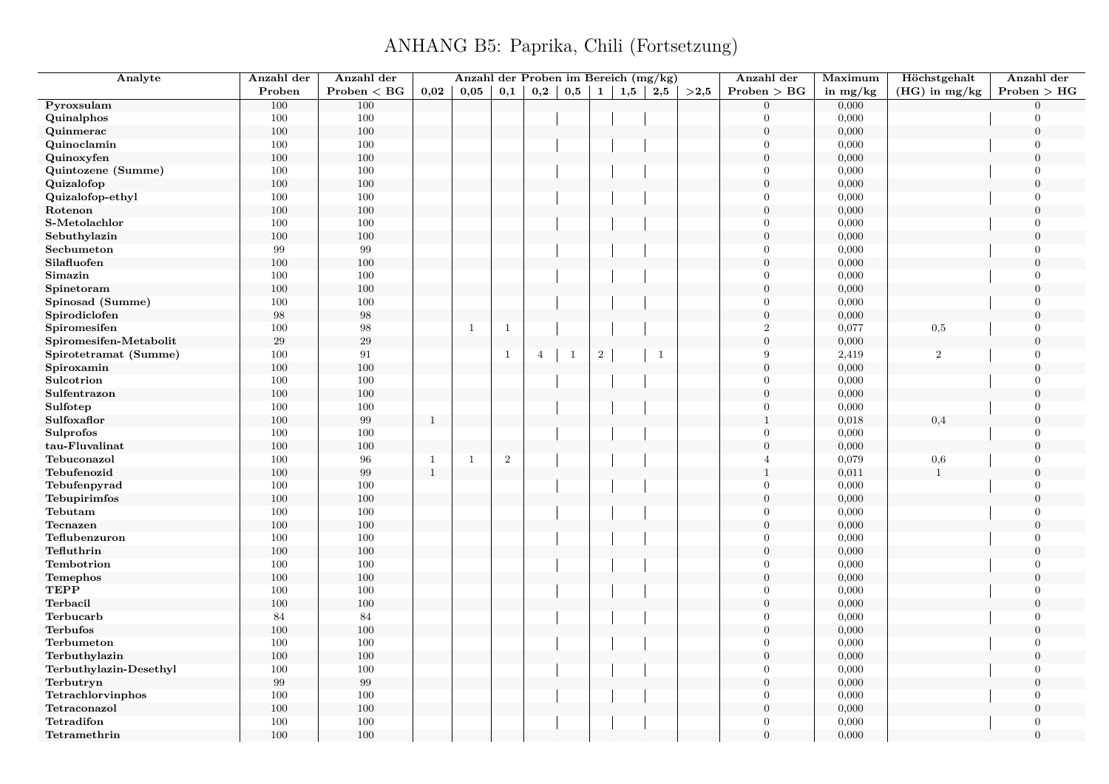| Analyte                | Anzahl der | Anzahl der                                |              | Anzahl der Proben im Bereich (mg/kg) |                  |                |              |                |     |              |      | Anzahl der       | Maximum    | Höchstgehalt    | Anzahl der     |
|------------------------|------------|-------------------------------------------|--------------|--------------------------------------|------------------|----------------|--------------|----------------|-----|--------------|------|------------------|------------|-----------------|----------------|
|                        | Proben     | $\mathbf{Problem} < \mathbf{B}\mathbf{G}$ | 0,02         | 0,05                                 | 0,1              | 0,2            | $_{\rm 0,5}$ | $\mathbf{1}$   | 1,5 | 2,5          | >2,5 | Problem > BG     | in $mg/kg$ | $(HG)$ in mg/kg | Problem > HG   |
| Pyroxsulam             | 100        | 100                                       |              |                                      |                  |                |              |                |     |              |      | $\Omega$         | 0,000      |                 | $\Omega$       |
| Quinalphos             | 100        | 100                                       |              |                                      |                  |                |              |                |     |              |      | $\Omega$         | 0,000      |                 | $\Omega$       |
| Quinmerac              | 100        | 100                                       |              |                                      |                  |                |              |                |     |              |      | $\boldsymbol{0}$ | 0,000      |                 | $\mathbf{0}$   |
| Quinoclamin            | 100        | 100                                       |              |                                      |                  |                |              |                |     |              |      | $\Omega$         | 0,000      |                 | $\Omega$       |
| Quinoxyfen             | $100\,$    | 100                                       |              |                                      |                  |                |              |                |     |              |      | $\theta$         | 0,000      |                 | $\theta$       |
| Quintozene (Summe)     | 100        | 100                                       |              |                                      |                  |                |              |                |     |              |      | $\Omega$         | 0,000      |                 | $\overline{0}$ |
| Quizalofop             | 100        | 100                                       |              |                                      |                  |                |              |                |     |              |      | $\overline{0}$   | 0,000      |                 | $\theta$       |
| Quizalofop-ethyl       | 100        | 100                                       |              |                                      |                  |                |              |                |     |              |      | $\overline{0}$   | 0,000      |                 | $\overline{0}$ |
| Rotenon                | 100        | 100                                       |              |                                      |                  |                |              |                |     |              |      | $\theta$         | 0,000      |                 | $\Omega$       |
| S-Metolachlor          | 100        | 100                                       |              |                                      |                  |                |              |                |     |              |      | $\overline{0}$   | 0,000      |                 | $\Omega$       |
| Sebuthylazin           | 100        | 100                                       |              |                                      |                  |                |              |                |     |              |      | $\overline{0}$   | 0,000      |                 | $\Omega$       |
| Secbumeton             | 99         | $\boldsymbol{99}$                         |              |                                      |                  |                |              |                |     |              |      | $\theta$         | 0,000      |                 | $\overline{0}$ |
| Silafluofen            | 100        | 100                                       |              |                                      |                  |                |              |                |     |              |      | $\overline{0}$   | 0,000      |                 | $\overline{0}$ |
| Simazin                | 100        | 100                                       |              |                                      |                  |                |              |                |     |              |      | $\overline{0}$   | 0,000      |                 | $\mathbf{0}$   |
| Spinetoram             | 100        | 100                                       |              |                                      |                  |                |              |                |     |              |      | $\overline{0}$   | 0,000      |                 | $\mathbf{0}$   |
| Spinosad (Summe)       | 100        | 100                                       |              |                                      |                  |                |              |                |     |              |      | $\Omega$         | 0,000      |                 | $\Omega$       |
| Spirodiclofen          | 98         | $98\,$                                    |              |                                      |                  |                |              |                |     |              |      | $\boldsymbol{0}$ | 0,000      |                 | $\mathbf{0}$   |
| Spiromesifen           | 100        | 98                                        |              | -1                                   | $\mathbf{1}$     |                |              |                |     |              |      | $\overline{2}$   | 0,077      | 0,5             | $\Omega$       |
| Spiromesifen-Metabolit | 29         | $\,29$                                    |              |                                      |                  |                |              |                |     |              |      | $\overline{0}$   | 0,000      |                 | $\overline{0}$ |
| Spirotetramat (Summe)  | 100        | 91                                        |              |                                      | $\mathbf{1}$     | $\overline{4}$ | $\mathbf{1}$ | $\overline{2}$ |     | $\mathbf{1}$ |      | 9                | 2,419      | $\overline{2}$  | $\Omega$       |
| Spiroxamin             | 100        | 100                                       |              |                                      |                  |                |              |                |     |              |      | $\boldsymbol{0}$ | 0,000      |                 | $\mathbf{0}$   |
| Sulcotrion             | 100        | 100                                       |              |                                      |                  |                |              |                |     |              |      | $\Omega$         | 0,000      |                 | $\Omega$       |
| Sulfentrazon           | 100        | 100                                       |              |                                      |                  |                |              |                |     |              |      | $\overline{0}$   | 0,000      |                 | $\theta$       |
| Sulfotep               | 100        | 100                                       |              |                                      |                  |                |              |                |     |              |      | $\Omega$         | 0,000      |                 | $\Omega$       |
| Sulfoxaflor            | 100        | $\boldsymbol{99}$                         | $\mathbf{1}$ |                                      |                  |                |              |                |     |              |      | $\mathbf{1}$     | 0,018      | 0,4             | $\mathbf{0}$   |
| Sulprofos              | 100        | 100                                       |              |                                      |                  |                |              |                |     |              |      | $\overline{0}$   | 0,000      |                 | $\overline{0}$ |
| tau-Fluvalinat         | 100        | 100                                       |              |                                      |                  |                |              |                |     |              |      | $\theta$         | 0,000      |                 | $\theta$       |
| Tebuconazol            | 100        | 96                                        | 1            | $\mathbf{1}$                         | $\boldsymbol{2}$ |                |              |                |     |              |      | $\overline{A}$   | 0,079      | $_{0,6}$        | $\Omega$       |
| Tebufenozid            | 100        | $\boldsymbol{99}$                         | $\mathbf{1}$ |                                      |                  |                |              |                |     |              |      | $\mathbf{1}$     | 0,011      | 1               | $\mathbf{0}$   |
| Tebufenpyrad           | 100        | 100                                       |              |                                      |                  |                |              |                |     |              |      | $\overline{0}$   | 0,000      |                 | $\overline{0}$ |
| Tebupirimfos           | $100\,$    | 100                                       |              |                                      |                  |                |              |                |     |              |      | $\theta$         | 0,000      |                 | $\Omega$       |
| Tebutam                | 100        | 100                                       |              |                                      |                  |                |              |                |     |              |      | $\boldsymbol{0}$ | 0,000      |                 | $\Omega$       |
| Tecnazen               | 100        | 100                                       |              |                                      |                  |                |              |                |     |              |      | $\overline{0}$   | 0,000      |                 | $\Omega$       |
| Teflubenzuron          | 100        | 100                                       |              |                                      |                  |                |              |                |     |              |      | $\Omega$         | 0,000      |                 | $\Omega$       |
| Tefluthrin             | $100\,$    | 100                                       |              |                                      |                  |                |              |                |     |              |      | $\theta$         | 0,000      |                 | $\Omega$       |
| Tembotrion             | 100        | 100                                       |              |                                      |                  |                |              |                |     |              |      | $\theta$         | 0,000      |                 | $\overline{0}$ |
| Temephos               | 100        | 100                                       |              |                                      |                  |                |              |                |     |              |      | $\boldsymbol{0}$ | 0,000      |                 | $\mathbf{0}$   |
| <b>TEPP</b>            | 100        | 100                                       |              |                                      |                  |                |              |                |     |              |      | $\Omega$         | 0,000      |                 | $\overline{0}$ |
| Terbacil               | $100\,$    | 100                                       |              |                                      |                  |                |              |                |     |              |      | $\overline{0}$   | 0,000      |                 | $\mathbf{0}$   |
| Terbucarb              | 84         | $84\,$                                    |              |                                      |                  |                |              |                |     |              |      | $\Omega$         | 0,000      |                 | $\overline{0}$ |
| <b>Terbufos</b>        | $100\,$    | 100                                       |              |                                      |                  |                |              |                |     |              |      | $\boldsymbol{0}$ | 0,000      |                 | $\mathbf{0}$   |
| Terbumeton             | 100        | 100                                       |              |                                      |                  |                |              |                |     |              |      | $\theta$         | 0,000      |                 | $\Omega$       |
| Terbuthylazin          | $100\,$    | 100                                       |              |                                      |                  |                |              |                |     |              |      | $\boldsymbol{0}$ | 0,000      |                 | $\overline{0}$ |
| Terbuthylazin-Desethyl | 100        | 100                                       |              |                                      |                  |                |              |                |     |              |      | $\overline{0}$   | 0,000      |                 | $\Omega$       |
| Terbutryn              | 99         | $\,99$                                    |              |                                      |                  |                |              |                |     |              |      | $\overline{0}$   | 0,000      |                 | $\theta$       |
| Tetrachlorvinphos      | 100        | 100                                       |              |                                      |                  |                |              |                |     |              |      | $\Omega$         | 0,000      |                 | $\Omega$       |
| Tetraconazol           | 100        | 100                                       |              |                                      |                  |                |              |                |     |              |      | $\boldsymbol{0}$ | 0,000      |                 | $\mathbf{0}$   |
| Tetradifon             | 100        | 100                                       |              |                                      |                  |                |              |                |     |              |      | $\overline{0}$   | 0,000      |                 | $\overline{0}$ |
| Tetramethrin           | 100        | 100                                       |              |                                      |                  |                |              |                |     |              |      | $\theta$         | 0,000      |                 | $\overline{0}$ |
|                        |            |                                           |              |                                      |                  |                |              |                |     |              |      |                  |            |                 |                |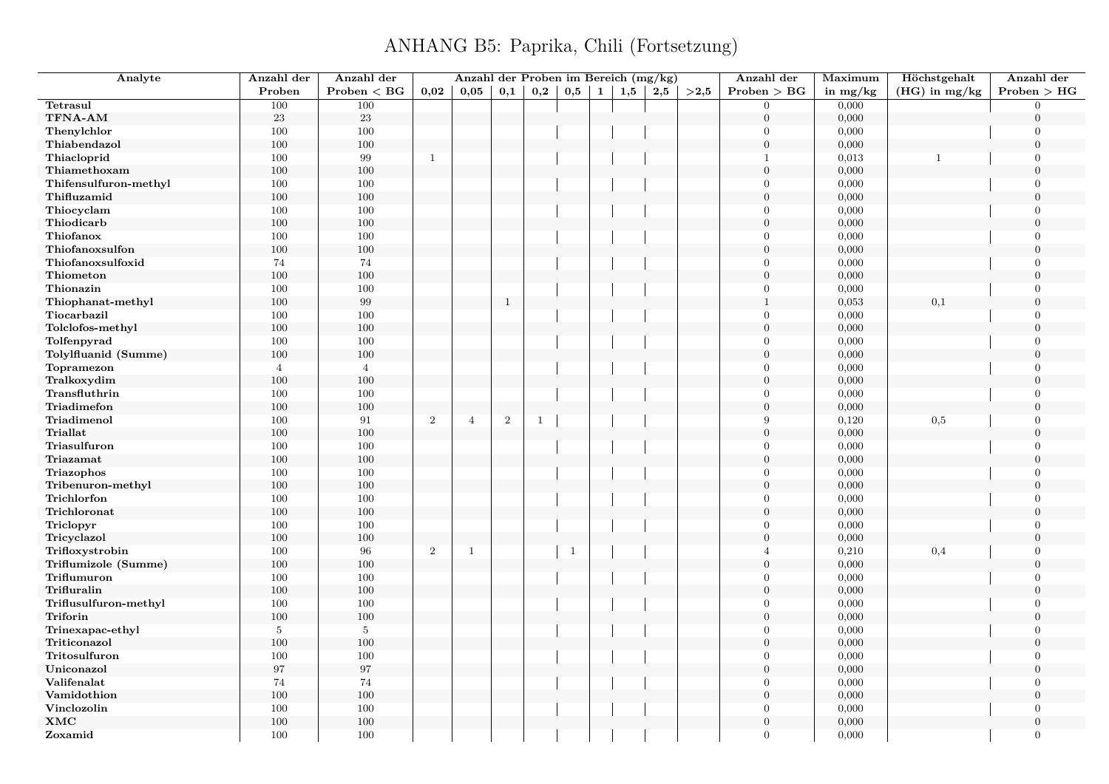| Analyte               | Anzahl der      | Anzahl der      |                | Anzahl der Proben im Bereich (mg/kg) |                  |              |              |              |     |     |      | Anzahl der       | Maximum    | Höchstgehalt    | Anzahl der       |
|-----------------------|-----------------|-----------------|----------------|--------------------------------------|------------------|--------------|--------------|--------------|-----|-----|------|------------------|------------|-----------------|------------------|
|                       | Proben          | $Problem < B$ G | 0,02           | 0.05                                 | 0,1              | 0,2          | 0,5          | <sup>1</sup> | 1,5 | 2,5 | >2.5 | Problem > BG     | in $mg/kg$ | $(HG)$ in mg/kg | Problem > HG     |
| Tetrasul              | 100             | 100             |                |                                      |                  |              |              |              |     |     |      | $\theta$         | 0,000      |                 | $\Omega$         |
| TFNA-AM               | $23\,$          | $23\,$          |                |                                      |                  |              |              |              |     |     |      | $\boldsymbol{0}$ | 0,000      |                 | $\Omega$         |
| Thenylchlor           | 100             | 100             |                |                                      |                  |              |              |              |     |     |      | $\Omega$         | 0,000      |                 | $\overline{0}$   |
| Thiabendazol          | 100             | 100             |                |                                      |                  |              |              |              |     |     |      | $\overline{0}$   | 0,000      |                 | $\overline{0}$   |
| Thiacloprid           | 100             | 99              | $\mathbf{1}$   |                                      |                  |              |              |              |     |     |      | -1               | 0,013      | $\overline{1}$  | $\Omega$         |
| Thiamethoxam          | 100             | 100             |                |                                      |                  |              |              |              |     |     |      | $\theta$         | 0,000      |                 | $\boldsymbol{0}$ |
| Thifensulfuron-methyl | 100             | 100             |                |                                      |                  |              |              |              |     |     |      | $\theta$         | 0,000      |                 | $\overline{0}$   |
| Thifluzamid           | 100             | 100             |                |                                      |                  |              |              |              |     |     |      | $\theta$         | 0,000      |                 | $\overline{0}$   |
| Thiocyclam            | 100             | 100             |                |                                      |                  |              |              |              |     |     |      | $\Omega$         | 0,000      |                 | $\Omega$         |
| Thiodicarb            | 100             | 100             |                |                                      |                  |              |              |              |     |     |      | $\theta$         | 0,000      |                 | $\overline{0}$   |
| Thiofanox             | 100             | 100             |                |                                      |                  |              |              |              |     |     |      | $\Omega$         | 0,000      |                 | $\Omega$         |
| Thiofanoxsulfon       | 100             | 100             |                |                                      |                  |              |              |              |     |     |      | $\theta$         | 0,000      |                 | $\theta$         |
| Thiofanoxsulfoxid     | 74              | 74              |                |                                      |                  |              |              |              |     |     |      | $\Omega$         | 0,000      |                 | $\Omega$         |
| Thiometon             | 100             | 100             |                |                                      |                  |              |              |              |     |     |      | $\theta$         | 0,000      |                 | $\overline{0}$   |
| Thionazin             | 100             | 100             |                |                                      |                  |              |              |              |     |     |      | $\Omega$         | 0,000      |                 | $\Omega$         |
| Thiophanat-methyl     | 100             | 99              |                |                                      | $\mathbf{1}$     |              |              |              |     |     |      | $\overline{1}$   | 0,053      | 0,1             | $\theta$         |
| Tiocarbazil           | 100             | 100             |                |                                      |                  |              |              |              |     |     |      | $\theta$         | 0,000      |                 | $\overline{0}$   |
| Tolclofos-methyl      | 100             | 100             |                |                                      |                  |              |              |              |     |     |      | $\overline{0}$   | 0,000      |                 | $\theta$         |
| Tolfenpyrad           | 100             | 100             |                |                                      |                  |              |              |              |     |     |      | $\mathbf{0}$     | 0,000      |                 | $\mathbf{0}$     |
| Tolylfluanid (Summe)  | 100             | 100             |                |                                      |                  |              |              |              |     |     |      | $\theta$         | 0,000      |                 | $\Omega$         |
| Topramezon            | $\overline{4}$  | $\overline{4}$  |                |                                      |                  |              |              |              |     |     |      | $\theta$         | 0,000      |                 | $\overline{0}$   |
| Tralkoxydim           | 100             | 100             |                |                                      |                  |              |              |              |     |     |      | $\theta$         | 0,000      |                 | $\theta$         |
| Transfluthrin         | 100             | 100             |                |                                      |                  |              |              |              |     |     |      | $\Omega$         | 0,000      |                 | $\overline{0}$   |
| Triadimefon           | 100             | 100             |                |                                      |                  |              |              |              |     |     |      | $\mathbf{0}$     | 0,000      |                 | $\overline{0}$   |
| Triadimenol           | 100             | 91              | $\overline{2}$ | $\overline{4}$                       | $\boldsymbol{2}$ | $\mathbf{1}$ |              |              |     |     |      | 9                | 0,120      | 0,5             | $\overline{0}$   |
| <b>Triallat</b>       | 100             | 100             |                |                                      |                  |              |              |              |     |     |      | $\theta$         | 0,000      |                 | $\theta$         |
| Triasulfuron          | 100             | 100             |                |                                      |                  |              |              |              |     |     |      | $\Omega$         | 0,000      |                 | $\overline{0}$   |
| Triazamat             | 100             | 100             |                |                                      |                  |              |              |              |     |     |      | $\overline{0}$   | 0,000      |                 | $\overline{0}$   |
| Triazophos            | 100             | 100             |                |                                      |                  |              |              |              |     |     |      | $\Omega$         | 0,000      |                 | $\overline{0}$   |
| Tribenuron-methyl     | 100             | 100             |                |                                      |                  |              |              |              |     |     |      | $\theta$         | 0,000      |                 | $\overline{0}$   |
| Trichlorfon           | 100             | 100             |                |                                      |                  |              |              |              |     |     |      | $\theta$         | 0,000      |                 | $\overline{0}$   |
| Trichloronat          | 100             | 100             |                |                                      |                  |              |              |              |     |     |      | $\boldsymbol{0}$ | 0,000      |                 | $\overline{0}$   |
| Triclopyr             | 100             | 100             |                |                                      |                  |              |              |              |     |     |      | $\Omega$         | 0,000      |                 | $\overline{0}$   |
| Tricyclazol           | 100             | 100             |                |                                      |                  |              |              |              |     |     |      | $\theta$         | 0,000      |                 | $\overline{0}$   |
| Trifloxystrobin       | 100             | $\bf{96}$       | $\,2\,$        | $\mathbf{1}$                         |                  |              | $\mathbf{1}$ |              |     |     |      | $\overline{A}$   | 0,210      | 0,4             | $\Omega$         |
| Triflumizole (Summe)  | 100             | 100             |                |                                      |                  |              |              |              |     |     |      | $\mathbf{0}$     | 0,000      |                 | $\overline{0}$   |
| Triflumuron           | 100             | 100             |                |                                      |                  |              |              |              |     |     |      | $\Omega$         | 0,000      |                 | $\overline{0}$   |
| Trifluralin           | 100             | 100             |                |                                      |                  |              |              |              |     |     |      | $\Omega$         | 0,000      |                 | $\Omega$         |
| Triflusulfuron-methyl | 100             | 100             |                |                                      |                  |              |              |              |     |     |      | $\Omega$         | 0,000      |                 | $\Omega$         |
| Triforin              | 100             | 100             |                |                                      |                  |              |              |              |     |     |      | $\mathbf{0}$     | 0,000      |                 | $\Omega$         |
| Trinexapac-ethyl      | $5\phantom{.0}$ | $5\phantom{.0}$ |                |                                      |                  |              |              |              |     |     |      | $\theta$         | 0,000      |                 | $\overline{0}$   |
| Triticonazol          | 100             | 100             |                |                                      |                  |              |              |              |     |     |      | $\Omega$         | 0,000      |                 | $\Omega$         |
| Tritosulfuron         | 100             | 100             |                |                                      |                  |              |              |              |     |     |      | $\theta$         | 0,000      |                 | $\overline{0}$   |
| Uniconazol            | 97              | 97              |                |                                      |                  |              |              |              |     |     |      | $\boldsymbol{0}$ | 0,000      |                 | $\theta$         |
| Valifenalat           | 74              | 74              |                |                                      |                  |              |              |              |     |     |      | $\theta$         | 0,000      |                 | $\overline{0}$   |
| Vamidothion           | 100             | 100             |                |                                      |                  |              |              |              |     |     |      | $\Omega$         | 0,000      |                 | $\theta$         |
| Vinclozolin           | 100             | 100             |                |                                      |                  |              |              |              |     |     |      | $\Omega$         | 0,000      |                 | $\theta$         |
| <b>XMC</b>            | 100             | 100             |                |                                      |                  |              |              |              |     |     |      | $\mathbf{0}$     | 0,000      |                 | $\overline{0}$   |
| Zoxamid               | 100             | 100             |                |                                      |                  |              |              |              |     |     |      | $\Omega$         | 0,000      |                 | $\overline{0}$   |
|                       |                 |                 |                |                                      |                  |              |              |              |     |     |      |                  |            |                 |                  |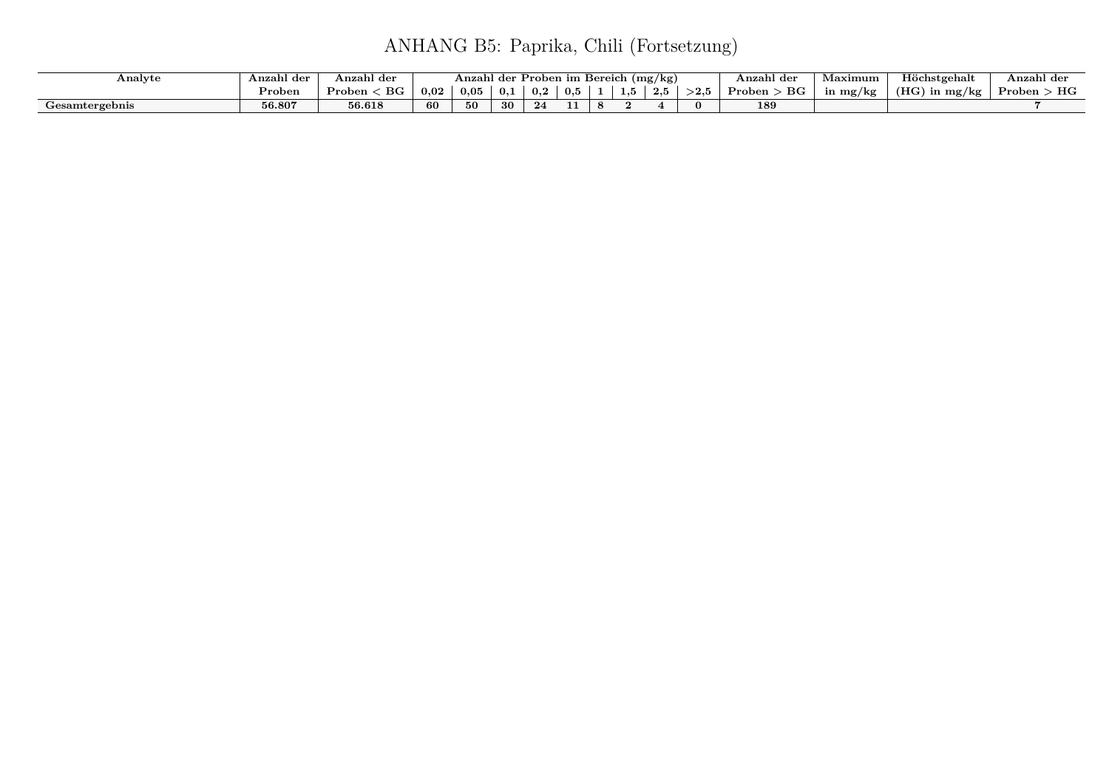| Analyte        | Anzahl der | Anzahl der            |      | Anzahl der |     | Proben im Bereich |     |        | (mg/kg)                |            | Anzahl der            | <b>Taximum</b> | Höchstgehalt        | . .<br>Anzahl der |
|----------------|------------|-----------------------|------|------------|-----|-------------------|-----|--------|------------------------|------------|-----------------------|----------------|---------------------|-------------------|
|                | Proben     | $_{\rm BG}$<br>Proben | 0,02 | 0,05       | 0.1 | 0,2               | 0,5 | 1,U    | $\Omega$ $\sim$<br>⊿∗∙ | $>\!\!2.5$ | $_{\rm BG}$<br>Proben | n mg/kg        | (HG)<br>$\ln mg/kg$ | НG<br>Proben      |
| Gesamtergebnis | 56.807     | 56.618                | 60   | 50.        | 30  | 24                |     | $\sim$ |                        | $\Omega$   | 189                   |                |                     |                   |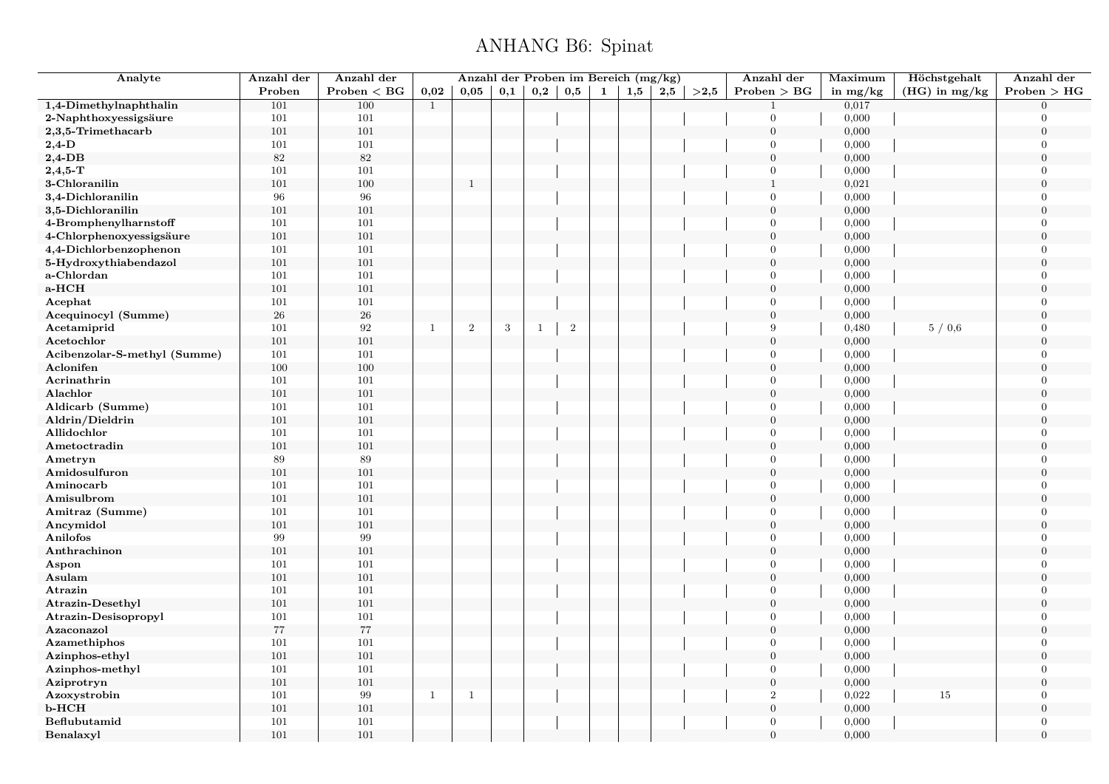## ANHANG B6: Spinat

| Analyte                      | Anzahl der | Anzahl der    |              | Anzahl der Proben im Bereich (mg/kg) |     |              |       |   |     |     |      | Anzahl der       | Maximum        | Höchstgehalt    | Anzahl der                 |
|------------------------------|------------|---------------|--------------|--------------------------------------|-----|--------------|-------|---|-----|-----|------|------------------|----------------|-----------------|----------------------------|
|                              | Proben     | Problem < BG  | 0,02         | 0,05                                 | 0,1 | 0,2          | 0,5   | 1 | 1,5 | 2,5 | >2,5 | Problem > BG     | in $mg/kg$     | $(HG)$ in mg/kg | Problem > HG               |
| 1,4-Dimethylnaphthalin       | 101        | 100           | $\mathbf{1}$ |                                      |     |              |       |   |     |     |      |                  | 0,017          |                 | $\Omega$                   |
| 2-Naphthoxyessigsäure        | 101        | 101           |              |                                      |     |              |       |   |     |     |      | $\Omega$         | 0,000          |                 | $\Omega$                   |
| 2,3,5-Trimethacarb           | 101        | 101           |              |                                      |     |              |       |   |     |     |      | $\boldsymbol{0}$ | 0,000          |                 | $\boldsymbol{0}$           |
| $2,4$ -D                     | 101        | 101           |              |                                      |     |              |       |   |     |     |      | $\overline{0}$   | 0,000          |                 | $\overline{0}$             |
| $2,4$ -DB                    | $82\,$     | 82            |              |                                      |     |              |       |   |     |     |      | $\overline{0}$   | 0,000          |                 | $\Omega$                   |
| $2,4,5$ -T                   | 101        | 101           |              |                                      |     |              |       |   |     |     |      | $\overline{0}$   | 0,000          |                 | $\overline{0}$             |
| 3-Chloranilin                | 101        | 100           |              | $\mathbf{1}$                         |     |              |       |   |     |     |      | $\mathbf{1}$     | 0,021          |                 | $\Omega$                   |
| 3,4-Dichloranilin            | 96         | 96            |              |                                      |     |              |       |   |     |     |      | $\overline{0}$   | 0,000          |                 | $\Omega$                   |
| 3,5-Dichloranilin            | 101        | 101           |              |                                      |     |              |       |   |     |     |      | $\mathbf{0}$     | 0,000          |                 | $\theta$                   |
| 4-Bromphenylharnstoff        | 101        | 101           |              |                                      |     |              |       |   |     |     |      | $\overline{0}$   | 0,000          |                 | $\Omega$                   |
| 4-Chlorphenoxyessigsäure     | 101        | 101           |              |                                      |     |              |       |   |     |     |      | $\mathbf{0}$     | 0,000          |                 | $\theta$                   |
| 4,4-Dichlorbenzophenon       | 101        | 101           |              |                                      |     |              |       |   |     |     |      | $\overline{0}$   | 0,000          |                 | $\overline{0}$             |
| 5-Hydroxythiabendazol        | 101        | 101           |              |                                      |     |              |       |   |     |     |      | $\boldsymbol{0}$ | 0,000          |                 | $\overline{0}$             |
| a-Chlordan                   | 101        | 101           |              |                                      |     |              |       |   |     |     |      | $\Omega$         | 0,000          |                 | $\overline{0}$             |
| a-HCH                        | 101        | 101           |              |                                      |     |              |       |   |     |     |      | $\mathbf{0}$     | 0,000          |                 | $\overline{0}$             |
| Acephat                      | 101        | 101           |              |                                      |     |              |       |   |     |     |      | $\Omega$         | 0,000          |                 | $\overline{0}$             |
| Acequinocyl (Summe)          | 26         | $26\,$        |              |                                      |     |              |       |   |     |     |      | $\boldsymbol{0}$ | 0,000          |                 | $\boldsymbol{0}$           |
| Acetamiprid                  | 101        | 92            | $\mathbf{1}$ | $\,2$                                | 3   | $\mathbf{1}$ | $\,2$ |   |     |     |      | 9                | 0,480          | 5/0,6           | $\overline{0}$             |
| Acetochlor                   | 101        | 101           |              |                                      |     |              |       |   |     |     |      | $\overline{0}$   | 0,000          |                 | $\overline{0}$             |
| Acibenzolar-S-methyl (Summe) | 101        | 101           |              |                                      |     |              |       |   |     |     |      | $\overline{0}$   | 0,000          |                 | $\Omega$                   |
| Aclonifen                    | 100        | 100           |              |                                      |     |              |       |   |     |     |      | $\boldsymbol{0}$ | 0,000          |                 | $\boldsymbol{0}$           |
| Acrinathrin                  | 101        | 101           |              |                                      |     |              |       |   |     |     |      | $\overline{0}$   | 0,000          |                 | $\Omega$                   |
| Alachlor                     | 101        | 101           |              |                                      |     |              |       |   |     |     |      | $\overline{0}$   | 0,000          |                 | $\Omega$                   |
| Aldicarb (Summe)             | 101        | 101           |              |                                      |     |              |       |   |     |     |      | $\Omega$         | 0,000          |                 | $\Omega$                   |
| Aldrin/Dieldrin              | 101        | 101           |              |                                      |     |              |       |   |     |     |      | $\boldsymbol{0}$ | 0,000          |                 | $\overline{0}$             |
| Allidochlor                  | 101        | 101           |              |                                      |     |              |       |   |     |     |      | $\Omega$         | 0,000          |                 | $\overline{0}$             |
| Ametoctradin                 | 101        | 101           |              |                                      |     |              |       |   |     |     |      | $\overline{0}$   | 0,000          |                 | $\Omega$                   |
| Ametryn                      | 89         | 89            |              |                                      |     |              |       |   |     |     |      | $\overline{0}$   | 0,000          |                 | $\overline{0}$             |
| Amidosulfuron                | 101        | 101           |              |                                      |     |              |       |   |     |     |      | $\boldsymbol{0}$ | 0,000          |                 | $\overline{0}$             |
| Aminocarb                    | 101        | 101           |              |                                      |     |              |       |   |     |     |      | $\overline{0}$   |                |                 | $\overline{0}$             |
| Amisulbrom                   |            | 101           |              |                                      |     |              |       |   |     |     |      | $\overline{0}$   | 0,000<br>0,000 |                 | $\Omega$                   |
|                              | 101        |               |              |                                      |     |              |       |   |     |     |      | $\overline{0}$   |                |                 |                            |
| Amitraz (Summe)              | 101        | 101           |              |                                      |     |              |       |   |     |     |      | $\boldsymbol{0}$ | 0,000          |                 | $\overline{0}$<br>$\Omega$ |
| Ancymidol<br>Anilofos        | 101<br>99  | 101<br>$\,99$ |              |                                      |     |              |       |   |     |     |      | $\overline{0}$   | 0,000          |                 | $\Omega$                   |
|                              |            |               |              |                                      |     |              |       |   |     |     |      |                  | 0,000          |                 | $\theta$                   |
| Anthrachinon                 | 101        | 101           |              |                                      |     |              |       |   |     |     |      | $\overline{0}$   | 0,000          |                 |                            |
| Aspon                        | 101        | 101           |              |                                      |     |              |       |   |     |     |      | $\overline{0}$   | 0,000          |                 | $\overline{0}$             |
| Asulam                       | 101        | 101           |              |                                      |     |              |       |   |     |     |      | $\overline{0}$   | 0,000          |                 | $\overline{0}$             |
| Atrazin                      | 101        | 101           |              |                                      |     |              |       |   |     |     |      | $\Omega$         | 0,000          |                 | $\overline{0}$             |
| <b>Atrazin-Desethyl</b>      | 101        | 101           |              |                                      |     |              |       |   |     |     |      | $\boldsymbol{0}$ | 0,000          |                 | $\boldsymbol{0}$           |
| Atrazin-Desisopropyl         | 101        | 101           |              |                                      |     |              |       |   |     |     |      | $\Omega$         | 0,000          |                 | $\overline{0}$             |
| Azaconazol                   | $77\,$     | $77\,$        |              |                                      |     |              |       |   |     |     |      | $\overline{0}$   | 0,000          |                 | $\overline{0}$             |
| Azamethiphos                 | 101        | 101           |              |                                      |     |              |       |   |     |     |      | $\Omega$         | 0,000          |                 | $\overline{0}$             |
| Azinphos-ethyl               | 101        | 101           |              |                                      |     |              |       |   |     |     |      | $\boldsymbol{0}$ | 0,000          |                 | $\boldsymbol{0}$           |
| Azinphos-methyl              | 101        | 101           |              |                                      |     |              |       |   |     |     |      | $\Omega$         | 0,000          |                 | $\Omega$                   |
| Aziprotryn                   | 101        | 101           |              |                                      |     |              |       |   |     |     |      | $\overline{0}$   | 0,000          |                 | $\Omega$                   |
| Azoxystrobin                 | 101        | $\,99$        | $\mathbf{1}$ | $\mathbf{1}$                         |     |              |       |   |     |     |      | $\overline{2}$   | 0,022          | 15              | $\theta$                   |
| b-HCH                        | 101        | 101           |              |                                      |     |              |       |   |     |     |      | $\boldsymbol{0}$ | 0,000          |                 | $\boldsymbol{0}$           |
| Beflubutamid                 | 101        | 101           |              |                                      |     |              |       |   |     |     |      | $\overline{0}$   | 0,000          |                 | $\overline{0}$             |
| Benalaxyl                    | 101        | 101           |              |                                      |     |              |       |   |     |     |      | $\theta$         | 0,000          |                 | $\overline{0}$             |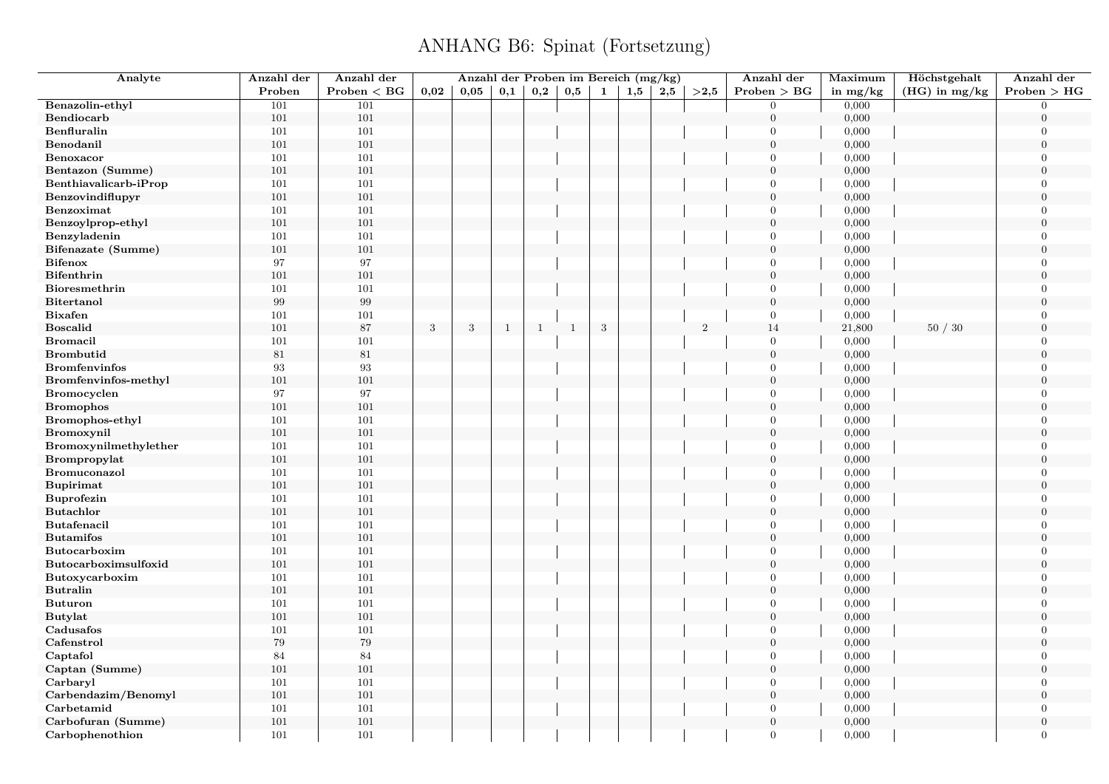| Analyte               | Anzahl der | Anzahl der   |              |      | Anzahl der Proben im Bereich (mg/kg) |              |              |            |     |     |                | Anzahl der       | Maximum    | Höchstgehalt    | Anzahl der       |
|-----------------------|------------|--------------|--------------|------|--------------------------------------|--------------|--------------|------------|-----|-----|----------------|------------------|------------|-----------------|------------------|
|                       | Proben     | Problem < BG | 0,02         | 0,05 | 0,1                                  | 0,2          | 0,5          | 1          | 1,5 | 2,5 | >2.5           | Problem > BG     | in $mg/kg$ | $(HG)$ in mg/kg | Problem > HG     |
| Benazolin-ethyl       | 101        | 101          |              |      |                                      |              |              |            |     |     |                | $\overline{0}$   | 0,000      |                 | $\Omega$         |
| Bendiocarb            | 101        | 101          |              |      |                                      |              |              |            |     |     |                | $\boldsymbol{0}$ | 0,000      |                 | $\overline{0}$   |
| Benfluralin           | 101        | 101          |              |      |                                      |              |              |            |     |     |                | $\overline{0}$   | 0,000      |                 | $\overline{0}$   |
| Benodanil             | 101        | 101          |              |      |                                      |              |              |            |     |     |                | $\mathbf{0}$     | 0,000      |                 | $\overline{0}$   |
| Benoxacor             | 101        | 101          |              |      |                                      |              |              |            |     |     |                | $\Omega$         | 0,000      |                 | $\overline{0}$   |
| Bentazon (Summe)      | 101        | 101          |              |      |                                      |              |              |            |     |     |                | $\overline{0}$   | 0,000      |                 | $\boldsymbol{0}$ |
| Benthiavalicarb-iProp | 101        | 101          |              |      |                                      |              |              |            |     |     |                | $\overline{0}$   | 0,000      |                 | $\overline{0}$   |
| Benzovindiflupyr      | 101        | 101          |              |      |                                      |              |              |            |     |     |                | $\overline{0}$   | 0,000      |                 | $\overline{0}$   |
| Benzoximat            | 101        | 101          |              |      |                                      |              |              |            |     |     |                | $\overline{0}$   | 0,000      |                 | $\overline{0}$   |
| Benzoylprop-ethyl     | 101        | 101          |              |      |                                      |              |              |            |     |     |                | $\overline{0}$   | 0,000      |                 | $\boldsymbol{0}$ |
| Benzyladenin          | 101        | 101          |              |      |                                      |              |              |            |     |     |                | $\overline{0}$   | 0,000      |                 | $\overline{0}$   |
| Bifenazate (Summe)    | 101        | 101          |              |      |                                      |              |              |            |     |     |                | $\mathbf{0}$     | 0,000      |                 | $\overline{0}$   |
| <b>Bifenox</b>        | 97         | 97           |              |      |                                      |              |              |            |     |     |                | $\overline{0}$   | 0,000      |                 | $\Omega$         |
| <b>Bifenthrin</b>     | 101        | 101          |              |      |                                      |              |              |            |     |     |                | $\overline{0}$   | 0,000      |                 | $\overline{0}$   |
| Bioresmethrin         | 101        | 101          |              |      |                                      |              |              |            |     |     |                | $\overline{0}$   | 0,000      |                 | $\Omega$         |
| <b>Bitertanol</b>     | $\,99$     | 99           |              |      |                                      |              |              |            |     |     |                | $\boldsymbol{0}$ | 0,000      |                 | $\overline{0}$   |
| <b>Bixafen</b>        | 101        | 101          |              |      |                                      |              |              |            |     |     |                | $\overline{0}$   | 0,000      |                 | $\overline{0}$   |
| <b>Boscalid</b>       | 101        | $87\,$       | $\mathbf{3}$ | 3    | <sup>1</sup>                         | $\mathbf{1}$ | $\mathbf{1}$ | $\sqrt{3}$ |     |     | $\overline{2}$ | 14               | 21,800     | 50/30           | $\overline{0}$   |
| <b>Bromacil</b>       | 101        | 101          |              |      |                                      |              |              |            |     |     |                | $\overline{0}$   | 0,000      |                 | $\overline{0}$   |
| <b>Brombutid</b>      | 81         | $81\,$       |              |      |                                      |              |              |            |     |     |                | $\mathbf{0}$     | 0,000      |                 | $\Omega$         |
| <b>Bromfenvinfos</b>  | 93         | 93           |              |      |                                      |              |              |            |     |     |                | $\overline{0}$   | 0,000      |                 | $\overline{0}$   |
| Bromfenvinfos-methyl  | 101        | 101          |              |      |                                      |              |              |            |     |     |                | $\mathbf{0}$     | 0,000      |                 | $\Omega$         |
| <b>Bromocyclen</b>    | 97         | 97           |              |      |                                      |              |              |            |     |     |                | $\overline{0}$   | 0,000      |                 | $\overline{0}$   |
| <b>Bromophos</b>      | 101        | 101          |              |      |                                      |              |              |            |     |     |                | $\overline{0}$   | 0,000      |                 | $\overline{0}$   |
| Bromophos-ethyl       | 101        | 101          |              |      |                                      |              |              |            |     |     |                | $\overline{0}$   | 0,000      |                 | $\overline{0}$   |
| Bromoxynil            | 101        | 101          |              |      |                                      |              |              |            |     |     |                | $\boldsymbol{0}$ | 0,000      |                 | $\overline{0}$   |
| Bromoxynilmethylether | 101        | 101          |              |      |                                      |              |              |            |     |     |                | $\overline{0}$   | 0,000      |                 | $\overline{0}$   |
| Brompropylat          | 101        | 101          |              |      |                                      |              |              |            |     |     |                | $\overline{0}$   | 0,000      |                 | $\overline{0}$   |
| Bromuconazol          | 101        | 101          |              |      |                                      |              |              |            |     |     |                | $\overline{0}$   | 0,000      |                 | $\overline{0}$   |
| <b>Bupirimat</b>      | 101        | 101          |              |      |                                      |              |              |            |     |     |                | $\mathbf{0}$     | 0,000      |                 | $\boldsymbol{0}$ |
| <b>Buprofezin</b>     | 101        | 101          |              |      |                                      |              |              |            |     |     |                | $\overline{0}$   | 0,000      |                 | $\overline{0}$   |
| <b>Butachlor</b>      | 101        | 101          |              |      |                                      |              |              |            |     |     |                | $\overline{0}$   | 0,000      |                 | $\overline{0}$   |
| Butafenacil           | 101        | 101          |              |      |                                      |              |              |            |     |     |                | $\overline{0}$   | 0,000      |                 | $\Omega$         |
| <b>Butamifos</b>      | 101        | 101          |              |      |                                      |              |              |            |     |     |                | $\mathbf{0}$     | 0,000      |                 | $\overline{0}$   |
| Butocarboxim          | 101        | 101          |              |      |                                      |              |              |            |     |     |                | $\overline{0}$   | 0,000      |                 | $\Omega$         |
| Butocarboximsulfoxid  | 101        | 101          |              |      |                                      |              |              |            |     |     |                | $\overline{0}$   | 0,000      |                 | $\overline{0}$   |
| Butoxycarboxim        | 101        | 101          |              |      |                                      |              |              |            |     |     |                | $\overline{0}$   | 0,000      |                 | $\Omega$         |
| <b>Butralin</b>       | 101        | 101          |              |      |                                      |              |              |            |     |     |                | $\overline{0}$   | 0,000      |                 | $\overline{0}$   |
| <b>Buturon</b>        | 101        | 101          |              |      |                                      |              |              |            |     |     |                | $\overline{0}$   | 0,000      |                 | $\overline{0}$   |
| <b>Butylat</b>        | 101        | 101          |              |      |                                      |              |              |            |     |     |                | $\boldsymbol{0}$ | 0,000      |                 | $\Omega$         |
| Cadusafos             | 101        | 101          |              |      |                                      |              |              |            |     |     |                | $\overline{0}$   | 0,000      |                 | $\overline{0}$   |
| Cafenstrol            | $79\,$     | 79           |              |      |                                      |              |              |            |     |     |                | $\overline{0}$   | 0,000      |                 | $\Omega$         |
| Captafol              | 84         | 84           |              |      |                                      |              |              |            |     |     |                | $\overline{0}$   | 0,000      |                 | $\overline{0}$   |
| Captan (Summe)        | 101        | 101          |              |      |                                      |              |              |            |     |     |                | $\boldsymbol{0}$ | 0,000      |                 | $\Omega$         |
| Carbaryl              | 101        | 101          |              |      |                                      |              |              |            |     |     |                | $\overline{0}$   | 0,000      |                 | $\overline{0}$   |
| Carbendazim/Benomyl   | 101        | 101          |              |      |                                      |              |              |            |     |     |                | $\overline{0}$   | 0,000      |                 | $\overline{0}$   |
| Carbetamid            | 101        | 101          |              |      |                                      |              |              |            |     |     |                | $\overline{0}$   | 0,000      |                 | $\overline{0}$   |
| Carbofuran (Summe)    | 101        | 101          |              |      |                                      |              |              |            |     |     |                | $\overline{0}$   | 0,000      |                 | $\boldsymbol{0}$ |
|                       | 101        | 101          |              |      |                                      |              |              |            |     |     |                | $\overline{0}$   |            |                 | $\overline{0}$   |
| Carbophenothion       |            |              |              |      |                                      |              |              |            |     |     |                |                  | 0,000      |                 |                  |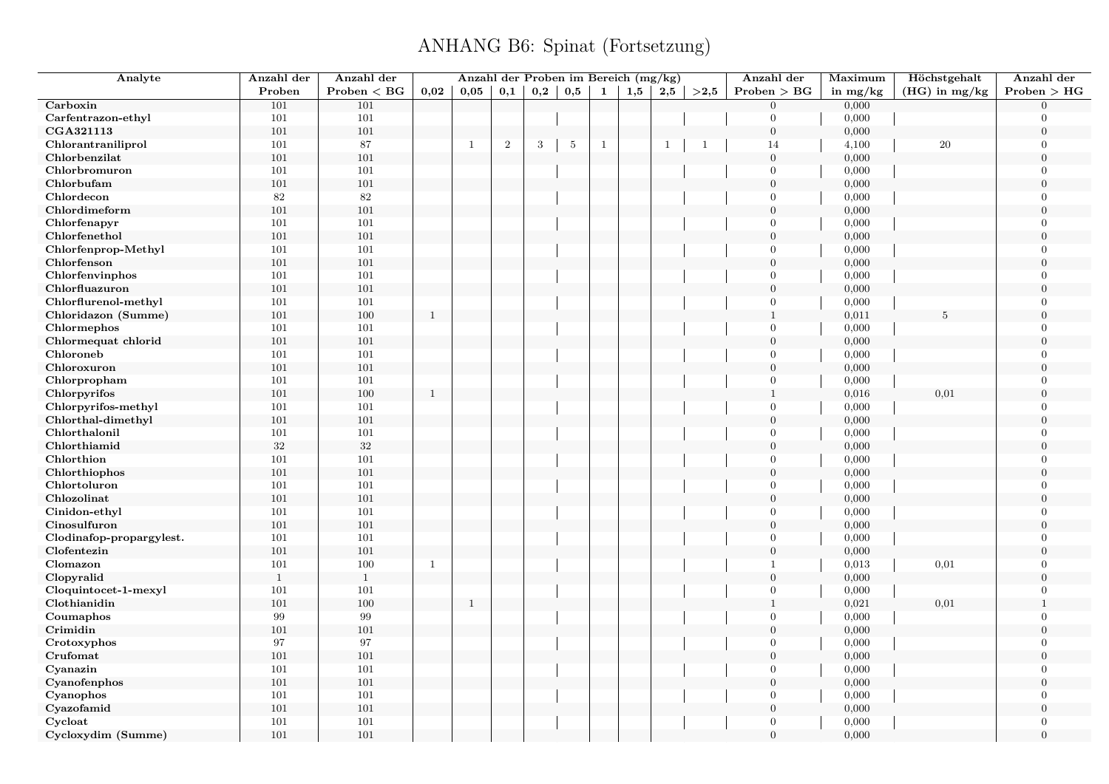| Analyte                  | Anzahl der   | Anzahl der   |              |                |            |     |                 |              | Anzahl der Proben im Bereich (mg/kg) |              |                | Anzahl der       | Maximum    | Höchstgehalt    | Anzahl der     |
|--------------------------|--------------|--------------|--------------|----------------|------------|-----|-----------------|--------------|--------------------------------------|--------------|----------------|------------------|------------|-----------------|----------------|
|                          | Proben       | Problem < BG | 0.02         | 0,05           | 0,1        | 0,2 | 0,5             | $\mathbf{1}$ | 1,5                                  | 2,5          | >2,5           | Problem > BG     | in $mg/kg$ | $(HG)$ in mg/kg | Problem > HG   |
| Carboxin                 | 101          | 101          |              |                |            |     |                 |              |                                      |              |                | $\overline{0}$   | 0,000      |                 | $\Omega$       |
| Carfentrazon-ethyl       | 101          | 101          |              |                |            |     |                 |              |                                      |              |                | $\overline{0}$   | 0,000      |                 | $\theta$       |
| CGA321113                | 101          | 101          |              |                |            |     |                 |              |                                      |              |                | $\mathbf{0}$     | 0,000      |                 | $\overline{0}$ |
| Chlorantraniliprol       | 101          | 87           |              | $\mathbf{1}$   | $\sqrt{2}$ | 3   | $5\phantom{.0}$ | $\mathbf{1}$ |                                      | $\mathbf{1}$ | $\overline{1}$ | 14               | 4,100      | 20              | $\Omega$       |
| Chlorbenzilat            | 101          | 101          |              |                |            |     |                 |              |                                      |              |                | $\mathbf{0}$     | 0,000      |                 | $\theta$       |
| Chlorbromuron            | 101          | 101          |              |                |            |     |                 |              |                                      |              |                | $\overline{0}$   | 0,000      |                 | $\Omega$       |
| Chlorbufam               | 101          | $101\,$      |              |                |            |     |                 |              |                                      |              |                | $\boldsymbol{0}$ | 0,000      |                 | $\overline{0}$ |
| Chlordecon               | $82\,$       | 82           |              |                |            |     |                 |              |                                      |              |                | $\mathbf{0}$     | 0,000      |                 | $\overline{0}$ |
| Chlordimeform            | 101          | 101          |              |                |            |     |                 |              |                                      |              |                | $\overline{0}$   | 0,000      |                 | $\theta$       |
| Chlorfenapyr             | 101          | 101          |              |                |            |     |                 |              |                                      |              |                | $\mathbf{0}$     | 0,000      |                 | $\overline{0}$ |
| Chlorfenethol            | 101          | 101          |              |                |            |     |                 |              |                                      |              |                | $\overline{0}$   | 0,000      |                 | $\theta$       |
| Chlorfenprop-Methyl      | 101          | 101          |              |                |            |     |                 |              |                                      |              |                | $\mathbf{0}$     | 0,000      |                 | $\overline{0}$ |
| Chlorfenson              | 101          | 101          |              |                |            |     |                 |              |                                      |              |                | $\mathbf{0}$     | 0,000      |                 | $\theta$       |
| Chlorfenvinphos          | 101          | 101          |              |                |            |     |                 |              |                                      |              |                | $\overline{0}$   | 0,000      |                 | $\theta$       |
| Chlorfluazuron           | 101          | 101          |              |                |            |     |                 |              |                                      |              |                | $\mathbf{0}$     | 0,000      |                 | $\overline{0}$ |
| Chlorflurenol-methyl     | 101          | 101          |              |                |            |     |                 |              |                                      |              |                | $\mathbf{0}$     | 0,000      |                 | $\overline{0}$ |
| Chloridazon (Summe)      | 101          | 100          | <sup>1</sup> |                |            |     |                 |              |                                      |              |                | $1\,$            | 0,011      | 5               | $\overline{0}$ |
| Chlormephos              | 101          | 101          |              |                |            |     |                 |              |                                      |              |                | $\overline{0}$   | 0,000      |                 | $\overline{0}$ |
| Chlormequat chlorid      | 101          | 101          |              |                |            |     |                 |              |                                      |              |                | $\overline{0}$   | 0,000      |                 | $\overline{0}$ |
| Chloroneb                | 101          | 101          |              |                |            |     |                 |              |                                      |              |                | $\Omega$         | 0,000      |                 | $\Omega$       |
| Chloroxuron              | 101          | $101\,$      |              |                |            |     |                 |              |                                      |              |                | $\mathbf{0}$     | 0,000      |                 | $\overline{0}$ |
| Chlorpropham             | 101          | 101          |              |                |            |     |                 |              |                                      |              |                | $\overline{0}$   | 0,000      |                 | $\Omega$       |
| Chlorpyrifos             | 101          | $100\,$      | $\mathbf{1}$ |                |            |     |                 |              |                                      |              |                | $\mathbf{1}$     | 0,016      | 0,01            | $\overline{0}$ |
| Chlorpyrifos-methyl      | 101          | $101\,$      |              |                |            |     |                 |              |                                      |              |                | $\overline{0}$   | 0,000      |                 | $\Omega$       |
| Chlorthal-dimethyl       | 101          | 101          |              |                |            |     |                 |              |                                      |              |                | $\mathbf{0}$     | 0,000      |                 | $\overline{0}$ |
| Chlorthalonil            | 101          | 101          |              |                |            |     |                 |              |                                      |              |                | $\overline{0}$   | 0,000      |                 | $\Omega$       |
| Chlorthiamid             | $32\,$       | $32\,$       |              |                |            |     |                 |              |                                      |              |                | $\overline{0}$   | 0,000      |                 | $\theta$       |
| Chlorthion               | 101          | 101          |              |                |            |     |                 |              |                                      |              |                | $\overline{0}$   | 0,000      |                 | $\theta$       |
| Chlorthiophos            | 101          | 101          |              |                |            |     |                 |              |                                      |              |                | $\boldsymbol{0}$ | 0,000      |                 | $\overline{0}$ |
| Chlortoluron             | 101          | 101          |              |                |            |     |                 |              |                                      |              |                | $\overline{0}$   | 0,000      |                 | $\theta$       |
| Chlozolinat              | 101          | 101          |              |                |            |     |                 |              |                                      |              |                | $\mathbf{0}$     | 0,000      |                 | $\theta$       |
| Cinidon-ethyl            | 101          | 101          |              |                |            |     |                 |              |                                      |              |                | $\overline{0}$   | 0,000      |                 | $\theta$       |
| Cinosulfuron             | 101          | $101\,$      |              |                |            |     |                 |              |                                      |              |                | $\mathbf{0}$     | 0,000      |                 | $\overline{0}$ |
| Clodinafop-propargylest. | 101          | 101          |              |                |            |     |                 |              |                                      |              |                | $\mathbf{0}$     | 0,000      |                 | $\overline{0}$ |
| Clofentezin              | 101          | 101          |              |                |            |     |                 |              |                                      |              |                | $\overline{0}$   | 0,000      |                 | $\theta$       |
| Clomazon                 | 101          | 100          | $\mathbf{1}$ |                |            |     |                 |              |                                      |              |                | $\mathbf{1}$     | 0,013      | 0,01            | $\overline{0}$ |
| Clopyralid               | $\mathbf{1}$ | $\mathbf{1}$ |              |                |            |     |                 |              |                                      |              |                | $\mathbf{0}$     | 0,000      |                 | $\theta$       |
| Cloquintocet-1-mexyl     | 101          | 101          |              |                |            |     |                 |              |                                      |              |                | $\overline{0}$   | 0,000      |                 | $\overline{0}$ |
| Clothianidin             | 101          | 100          |              | $\overline{1}$ |            |     |                 |              |                                      |              |                | $\mathbf{1}$     | 0,021      | 0,01            | $\mathbf{1}$   |
| Coumaphos                | 99           | 99           |              |                |            |     |                 |              |                                      |              |                | $\overline{0}$   | 0,000      |                 | $\overline{0}$ |
| Crimidin                 | 101          | 101          |              |                |            |     |                 |              |                                      |              |                | $\boldsymbol{0}$ | 0,000      |                 | $\overline{0}$ |
| Crotoxyphos              | 97           | 97           |              |                |            |     |                 |              |                                      |              |                | $\mathbf{0}$     | 0,000      |                 | $\overline{0}$ |
| Crufomat                 | 101          | $101\,$      |              |                |            |     |                 |              |                                      |              |                | $\mathbf{0}$     | 0,000      |                 | $\overline{0}$ |
| Cyanazin                 | 101          | 101          |              |                |            |     |                 |              |                                      |              |                | $\overline{0}$   | 0,000      |                 | $\theta$       |
| Cyanofenphos             | 101          | 101          |              |                |            |     |                 |              |                                      |              |                | $\boldsymbol{0}$ | 0,000      |                 | $\overline{0}$ |
| Cyanophos                | 101          | 101          |              |                |            |     |                 |              |                                      |              |                | $\overline{0}$   | 0,000      |                 | $\Omega$       |
| Cyazofamid               | 101          | 101          |              |                |            |     |                 |              |                                      |              |                | $\mathbf{0}$     | 0,000      |                 | $\overline{0}$ |
| Cycloat                  | 101          | 101          |              |                |            |     |                 |              |                                      |              |                | $\overline{0}$   | 0,000      |                 | $\Omega$       |
| Cycloxydim (Summe)       | 101          | 101          |              |                |            |     |                 |              |                                      |              |                | $\overline{0}$   | 0,000      |                 | $\theta$       |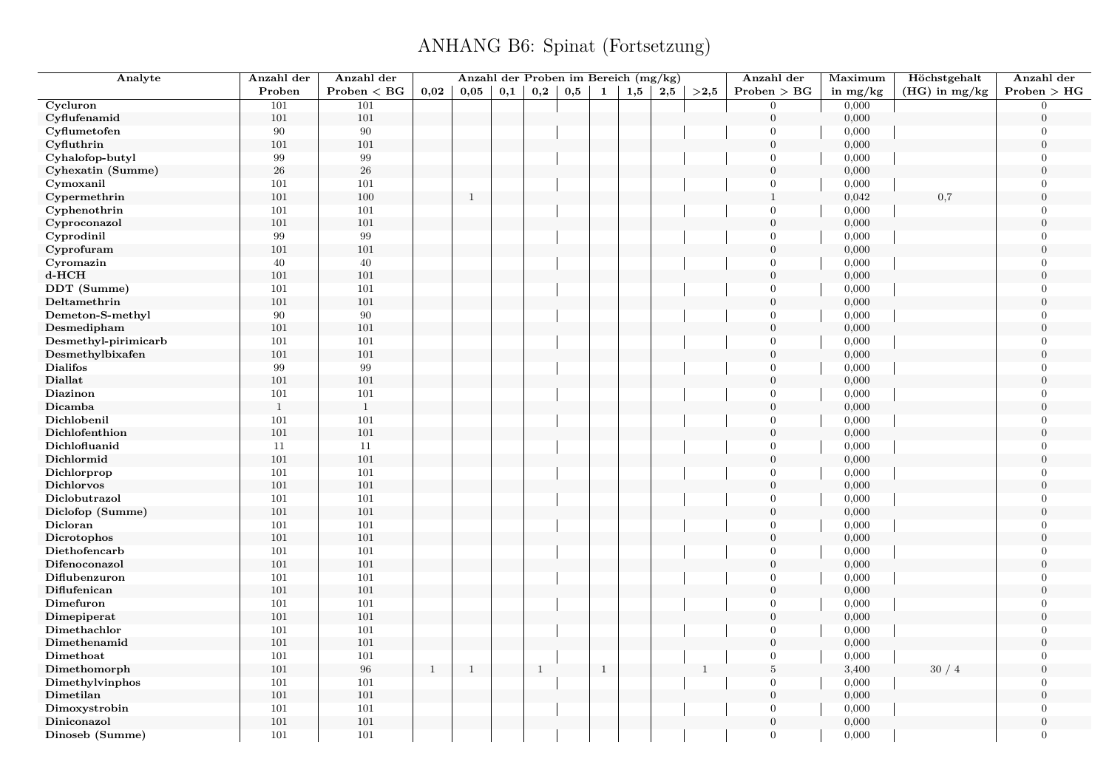| Analyte                     | Anzahl der   | Anzahl der      |              | Anzahl der Proben im Bereich (mg/kg) |     |                   |     |       |     |     |              | Anzahl der                     | Maximum    | Höchstgehalt    | Anzahl der       |
|-----------------------------|--------------|-----------------|--------------|--------------------------------------|-----|-------------------|-----|-------|-----|-----|--------------|--------------------------------|------------|-----------------|------------------|
|                             | Proben       | $Problem < B$ G | 0,02         | 0.05                                 | 0,1 | $_{\mathbf{0,2}}$ | 0,5 | 1     | 1,5 | 2,5 | >2,5         | Problem > BG                   | in $mg/kg$ | $(HG)$ in mg/kg | Problem > HG     |
| Cycluron                    | 101          | 101             |              |                                      |     |                   |     |       |     |     |              | $\overline{0}$                 | 0,000      |                 | $\overline{0}$   |
| Cyflufenamid                | 101          | 101             |              |                                      |     |                   |     |       |     |     |              | $\boldsymbol{0}$               | 0,000      |                 | $\boldsymbol{0}$ |
| Cyflumetofen                | 90           | 90              |              |                                      |     |                   |     |       |     |     |              | $\mathbf{0}$                   | 0,000      |                 | $\boldsymbol{0}$ |
| Cyfluthrin                  | 101          | 101             |              |                                      |     |                   |     |       |     |     |              | $\overline{0}$                 | 0,000      |                 | $\overline{0}$   |
| Cyhalofop-butyl             | 99           | 99              |              |                                      |     |                   |     |       |     |     |              | $\overline{0}$                 | 0,000      |                 | $\overline{0}$   |
| Cyhexatin (Summe)           | $\sqrt{26}$  | $26\,$          |              |                                      |     |                   |     |       |     |     |              | $\mathbf{0}$                   | 0,000      |                 | $\boldsymbol{0}$ |
| Cymoxanil                   | 101          | 101             |              |                                      |     |                   |     |       |     |     |              | $\overline{0}$                 | 0,000      |                 | $\overline{0}$   |
| Cypermethrin                | 101          | 100             |              | $\mathbf{1}$                         |     |                   |     |       |     |     |              | $\mathbf{1}$                   | 0,042      | 0,7             | $\overline{0}$   |
| Cyphenothrin                | 101          | 101             |              |                                      |     |                   |     |       |     |     |              | $\overline{0}$                 | 0,000      |                 | $\Omega$         |
| Cyproconazol                | 101          | 101             |              |                                      |     |                   |     |       |     |     |              | $\boldsymbol{0}$               | 0,000      |                 | $\boldsymbol{0}$ |
| Cyprodinil                  | 99           | 99              |              |                                      |     |                   |     |       |     |     |              | $\overline{0}$                 | 0,000      |                 | $\overline{0}$   |
| Cyprofuram                  | 101          | 101             |              |                                      |     |                   |     |       |     |     |              | $\overline{0}$                 | 0,000      |                 | $\overline{0}$   |
| Cyromazin                   | $40\,$       | 40              |              |                                      |     |                   |     |       |     |     |              | $\overline{0}$                 | 0,000      |                 | $\overline{0}$   |
| $d$ -HCH                    | 101          | 101             |              |                                      |     |                   |     |       |     |     |              | $\mathbf{0}$                   | 0,000      |                 | $\overline{0}$   |
| DDT (Summe)                 | 101          | 101             |              |                                      |     |                   |     |       |     |     |              | $\overline{0}$                 | 0,000      |                 | $\overline{0}$   |
| Deltamethrin                | 101          | 101             |              |                                      |     |                   |     |       |     |     |              | $\overline{0}$                 | 0,000      |                 | $\Omega$         |
| Demeton-S-methyl            | 90           | 90              |              |                                      |     |                   |     |       |     |     |              | $\overline{0}$                 | 0,000      |                 | $\overline{0}$   |
| Desmedipham                 | 101          | 101             |              |                                      |     |                   |     |       |     |     |              | $\overline{0}$                 | 0,000      |                 | $\overline{0}$   |
| Desmethyl-pirimicarb        | 101          | 101             |              |                                      |     |                   |     |       |     |     |              | $\mathbf{0}$                   | 0,000      |                 | $\overline{0}$   |
| Desmethylbixafen            | 101          | 101             |              |                                      |     |                   |     |       |     |     |              | $\overline{0}$                 | 0,000      |                 | $\overline{0}$   |
| <b>Dialifos</b>             | 99           | 99              |              |                                      |     |                   |     |       |     |     |              | $\boldsymbol{0}$               | 0,000      |                 | $\overline{0}$   |
| <b>Diallat</b>              | 101          | 101             |              |                                      |     |                   |     |       |     |     |              | $\mathbf{0}$                   | 0,000      |                 | $\overline{0}$   |
| Diazinon                    | 101          | 101             |              |                                      |     |                   |     |       |     |     |              | $\overline{0}$                 | 0,000      |                 | $\overline{0}$   |
| Dicamba                     | $\mathbf{1}$ | $\mathbf{1}$    |              |                                      |     |                   |     |       |     |     |              | $\overline{0}$                 | 0,000      |                 | $\overline{0}$   |
| Dichlobenil                 | 101          | 101             |              |                                      |     |                   |     |       |     |     |              | $\mathbf{0}$                   | 0,000      |                 | $\overline{0}$   |
| Dichlofenthion              | 101          | 101             |              |                                      |     |                   |     |       |     |     |              | $\mathbf{0}$                   | 0,000      |                 | $\overline{0}$   |
| Dichlofluanid               | 11           | 11              |              |                                      |     |                   |     |       |     |     |              | $\overline{0}$                 | 0,000      |                 | $\overline{0}$   |
| Dichlormid                  | 101          | 101             |              |                                      |     |                   |     |       |     |     |              | $\mathbf{0}$                   | 0,000      |                 | $\overline{0}$   |
| Dichlorprop                 | 101          | 101             |              |                                      |     |                   |     |       |     |     |              | $\Omega$                       | 0,000      |                 | $\overline{0}$   |
| <b>Dichlorvos</b>           | $101\,$      | 101             |              |                                      |     |                   |     |       |     |     |              | $\overline{0}$                 | 0,000      |                 | $\overline{0}$   |
| Diclobutrazol               | 101          | 101             |              |                                      |     |                   |     |       |     |     |              | $\overline{0}$                 | 0,000      |                 | $\Omega$         |
| Diclofop (Summe)            | $101\,$      | $101\,$         |              |                                      |     |                   |     |       |     |     |              | $\boldsymbol{0}$               | 0,000      |                 | $\boldsymbol{0}$ |
| Dicloran                    | 101          | 101             |              |                                      |     |                   |     |       |     |     |              | $\overline{0}$                 | 0,000      |                 | $\Omega$         |
| Dicrotophos                 | 101          | 101             |              |                                      |     |                   |     |       |     |     |              | $\mathbf{0}$                   | 0,000      |                 | $\overline{0}$   |
| Diethofencarb               | 101          | 101             |              |                                      |     |                   |     |       |     |     |              | $\overline{0}$                 | 0,000      |                 | $\overline{0}$   |
| Difenoconazol               | 101          | 101             |              |                                      |     |                   |     |       |     |     |              | $\boldsymbol{0}$               | 0,000      |                 | $\boldsymbol{0}$ |
| Diflubenzuron               | 101          | 101             |              |                                      |     |                   |     |       |     |     |              | $\overline{0}$                 | 0,000      |                 | $\overline{0}$   |
| Diflufenican                | 101          | 101             |              |                                      |     |                   |     |       |     |     |              | $\mathbf{0}$                   | 0,000      |                 | $\overline{0}$   |
| Dimefuron                   | 101          | 101             |              |                                      |     |                   |     |       |     |     |              | $\overline{0}$                 | 0,000      |                 | $\overline{0}$   |
|                             |              | 101             |              |                                      |     |                   |     |       |     |     |              | $\boldsymbol{0}$               | 0,000      |                 | $\overline{0}$   |
| Dimepiperat<br>Dimethachlor | 101<br>101   | 101             |              |                                      |     |                   |     |       |     |     |              | $\mathbf{0}$                   | 0,000      |                 | $\overline{0}$   |
|                             |              |                 |              |                                      |     |                   |     |       |     |     |              | $\overline{0}$                 |            |                 | $\Omega$         |
| Dimethenamid<br>Dimethoat   | 101          | 101             |              |                                      |     |                   |     |       |     |     |              | $\mathbf{0}$                   | 0,000      |                 | $\overline{0}$   |
|                             | 101          | 101<br>96       |              |                                      |     |                   |     |       |     |     |              |                                | 0,000      |                 |                  |
| Dimethomorph                | 101          |                 | $\mathbf{1}$ | $\mathbf{1}$                         |     | $\mathbf{1}$      |     | $1\,$ |     |     | $\mathbf{1}$ | $\bf 5$                        | 3,400      | 30/4            | $\overline{0}$   |
| Dimethylvinphos             | 101          | 101<br>101      |              |                                      |     |                   |     |       |     |     |              | $\mathbf{0}$<br>$\overline{0}$ | 0,000      |                 | $\overline{0}$   |
| Dimetilan                   | 101          |                 |              |                                      |     |                   |     |       |     |     |              |                                | 0,000      |                 | $\overline{0}$   |
| Dimoxystrobin               | 101          | 101             |              |                                      |     |                   |     |       |     |     |              | $\overline{0}$                 | 0,000      |                 | $\overline{0}$   |
| Diniconazol                 | 101          | 101             |              |                                      |     |                   |     |       |     |     |              | $\mathbf{0}$                   | 0,000      |                 | $\mathbf{0}$     |
| Dinoseb (Summe)             | 101          | 101             |              |                                      |     |                   |     |       |     |     |              | $\overline{0}$                 | 0,000      |                 | $\overline{0}$   |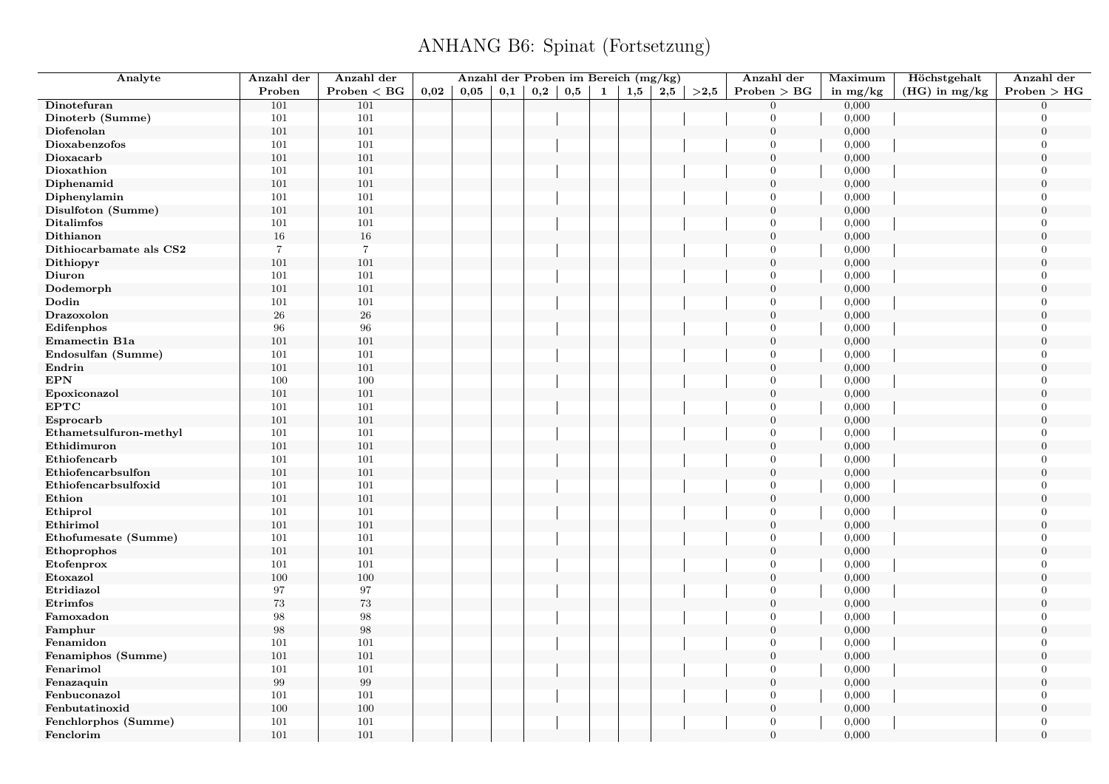| Analyte                 | Anzahl der     | Anzahl der     |      | Anzahl der Proben im Bereich (mg/kg) |                   |              |              |              |     |     |      | Anzahl der       | Maximum    | Höchstgehalt    | Anzahl der       |
|-------------------------|----------------|----------------|------|--------------------------------------|-------------------|--------------|--------------|--------------|-----|-----|------|------------------|------------|-----------------|------------------|
|                         | Proben         | Problem < BG   | 0,02 | 0,05                                 | $_{\mathbf{0,1}}$ | $_{\rm 0,2}$ | $_{\rm 0,5}$ | $\mathbf{1}$ | 1,5 | 2,5 | >2,5 | Problem > BG     | in $mg/kg$ | $(HG)$ in mg/kg | Problem > HG     |
| Dinotefuran             | 101            | 101            |      |                                      |                   |              |              |              |     |     |      | $\overline{0}$   | 0,000      |                 | $\Omega$         |
| Dinoterb (Summe)        | 101            | $101\,$        |      |                                      |                   |              |              |              |     |     |      | $\overline{0}$   | 0,000      |                 | $\Omega$         |
| Diofenolan              | 101            | 101            |      |                                      |                   |              |              |              |     |     |      | $\mathbf{0}$     | 0,000      |                 | $\overline{0}$   |
| Dioxabenzofos           | 101            | 101            |      |                                      |                   |              |              |              |     |     |      | $\overline{0}$   | 0,000      |                 | $\Omega$         |
| Dioxacarb               | 101            | 101            |      |                                      |                   |              |              |              |     |     |      | $\boldsymbol{0}$ | 0,000      |                 | $\theta$         |
| Dioxathion              | 101            | 101            |      |                                      |                   |              |              |              |     |     |      | $\overline{0}$   | 0,000      |                 | $\overline{0}$   |
| Diphenamid              | 101            | $101\,$        |      |                                      |                   |              |              |              |     |     |      | $\overline{0}$   | 0,000      |                 | $\theta$         |
| Diphenylamin            | 101            | 101            |      |                                      |                   |              |              |              |     |     |      | $\overline{0}$   | 0,000      |                 | $\overline{0}$   |
| Disulfoton (Summe)      | 101            | 101            |      |                                      |                   |              |              |              |     |     |      | $\mathbf{0}$     | 0,000      |                 | $\theta$         |
| <b>Ditalimfos</b>       | 101            | $101\,$        |      |                                      |                   |              |              |              |     |     |      | $\overline{0}$   | 0,000      |                 | $\overline{0}$   |
| Dithianon               | 16             | $16\,$         |      |                                      |                   |              |              |              |     |     |      | $\overline{0}$   | 0,000      |                 | $\overline{0}$   |
| Dithiocarbamate als CS2 | $\overline{7}$ | $\overline{7}$ |      |                                      |                   |              |              |              |     |     |      | $\overline{0}$   | 0,000      |                 | $\theta$         |
| Dithiopyr               | 101            | 101            |      |                                      |                   |              |              |              |     |     |      | $\boldsymbol{0}$ | 0,000      |                 | $\overline{0}$   |
| Diuron                  | 101            | 101            |      |                                      |                   |              |              |              |     |     |      | $\overline{0}$   | 0,000      |                 | $\overline{0}$   |
| Dodemorph               | 101            | 101            |      |                                      |                   |              |              |              |     |     |      | $\overline{0}$   | 0,000      |                 | $\overline{0}$   |
| Dodin                   | 101            | 101            |      |                                      |                   |              |              |              |     |     |      | $\overline{0}$   | 0,000      |                 | $\overline{0}$   |
| Drazoxolon              | ${\bf 26}$     | ${\bf 26}$     |      |                                      |                   |              |              |              |     |     |      | $\mathbf{0}$     | 0,000      |                 | $\mathbf{0}$     |
| Edifenphos              | 96             | 96             |      |                                      |                   |              |              |              |     |     |      | $\overline{0}$   | 0,000      |                 | $\overline{0}$   |
| Emamectin B1a           | 101            | 101            |      |                                      |                   |              |              |              |     |     |      | $\overline{0}$   | 0,000      |                 | $\overline{0}$   |
| Endosulfan (Summe)      | 101            | 101            |      |                                      |                   |              |              |              |     |     |      | $\overline{0}$   | 0,000      |                 | $\theta$         |
| Endrin                  | 101            | 101            |      |                                      |                   |              |              |              |     |     |      | $\mathbf{0}$     | 0,000      |                 | $\overline{0}$   |
| <b>EPN</b>              | 100            | 100            |      |                                      |                   |              |              |              |     |     |      | $\overline{0}$   | 0,000      |                 | $\Omega$         |
| Epoxiconazol            | 101            | 101            |      |                                      |                   |              |              |              |     |     |      | $\mathbf{0}$     | 0,000      |                 | $\overline{0}$   |
| <b>EPTC</b>             | 101            | 101            |      |                                      |                   |              |              |              |     |     |      | $\overline{0}$   | 0,000      |                 | $\overline{0}$   |
| Esprocarb               | 101            | 101            |      |                                      |                   |              |              |              |     |     |      | $\boldsymbol{0}$ | 0,000      |                 | $\overline{0}$   |
| Ethametsulfuron-methyl  | 101            | 101            |      |                                      |                   |              |              |              |     |     |      | $\overline{0}$   | 0,000      |                 | $\overline{0}$   |
| Ethidimuron             | 101            | 101            |      |                                      |                   |              |              |              |     |     |      | $\overline{0}$   | 0,000      |                 | $\theta$         |
| Ethiofencarb            | 101            | 101            |      |                                      |                   |              |              |              |     |     |      | $\overline{0}$   | 0,000      |                 | $\overline{0}$   |
| Ethiofencarbsulfon      | 101            | 101            |      |                                      |                   |              |              |              |     |     |      | $\mathbf{0}$     | 0,000      |                 | $\theta$         |
| Ethiofencarbsulfoxid    | 101            | 101            |      |                                      |                   |              |              |              |     |     |      | $\overline{0}$   | 0,000      |                 | $\theta$         |
| Ethion                  | 101            | 101            |      |                                      |                   |              |              |              |     |     |      | $\overline{0}$   | 0,000      |                 | $\overline{0}$   |
| Ethiprol                | 101            | 101            |      |                                      |                   |              |              |              |     |     |      | $\overline{0}$   | 0,000      |                 | $\overline{0}$   |
| Ethirimol               | 101            | 101            |      |                                      |                   |              |              |              |     |     |      | $\boldsymbol{0}$ | 0,000      |                 | $\overline{0}$   |
| Ethofumesate (Summe)    | 101            | 101            |      |                                      |                   |              |              |              |     |     |      | $\overline{0}$   | 0,000      |                 | $\overline{0}$   |
| Ethoprophos             | 101            | 101            |      |                                      |                   |              |              |              |     |     |      | $\boldsymbol{0}$ | 0,000      |                 | $\boldsymbol{0}$ |
| Etofenprox              | 101            | 101            |      |                                      |                   |              |              |              |     |     |      | $\overline{0}$   | 0,000      |                 | $\overline{0}$   |
| Etoxazol                | 100            | 100            |      |                                      |                   |              |              |              |     |     |      | $\overline{0}$   | 0,000      |                 | $\overline{0}$   |
| Etridiazol              | 97             | 97             |      |                                      |                   |              |              |              |     |     |      | $\overline{0}$   | 0,000      |                 | $\overline{0}$   |
| Etrimfos                | $73\,$         | $73\,$         |      |                                      |                   |              |              |              |     |     |      | $\mathbf{0}$     | 0,000      |                 | $\overline{0}$   |
| Famoxadon               | 98             | 98             |      |                                      |                   |              |              |              |     |     |      | $\mathbf{0}$     | 0,000      |                 | $\Omega$         |
| Famphur                 | 98             | 98             |      |                                      |                   |              |              |              |     |     |      | $\overline{0}$   | 0,000      |                 | $\overline{0}$   |
| Fenamidon               | 101            | $101\,$        |      |                                      |                   |              |              |              |     |     |      | $\overline{0}$   | 0,000      |                 | $\Omega$         |
| Fenamiphos (Summe)      | 101            | 101            |      |                                      |                   |              |              |              |     |     |      | $\mathbf{0}$     | 0,000      |                 | $\overline{0}$   |
| Fenarimol               | 101            | 101            |      |                                      |                   |              |              |              |     |     |      | $\overline{0}$   | 0,000      |                 | $\Omega$         |
| Fenazaquin              | 99             | 99             |      |                                      |                   |              |              |              |     |     |      | $\boldsymbol{0}$ | 0,000      |                 | $\overline{0}$   |
| Fenbuconazol            | 101            | 101            |      |                                      |                   |              |              |              |     |     |      | $\overline{0}$   | 0,000      |                 | $\overline{0}$   |
| Fenbutatinoxid          | 100            | 100            |      |                                      |                   |              |              |              |     |     |      | $\overline{0}$   | 0,000      |                 | $\overline{0}$   |
| Fenchlorphos (Summe)    | 101            | 101            |      |                                      |                   |              |              |              |     |     |      | $\overline{0}$   | 0,000      |                 | $\overline{0}$   |
| Fenclorim               | 101            | 101            |      |                                      |                   |              |              |              |     |     |      | $\theta$         | 0,000      |                 | $\theta$         |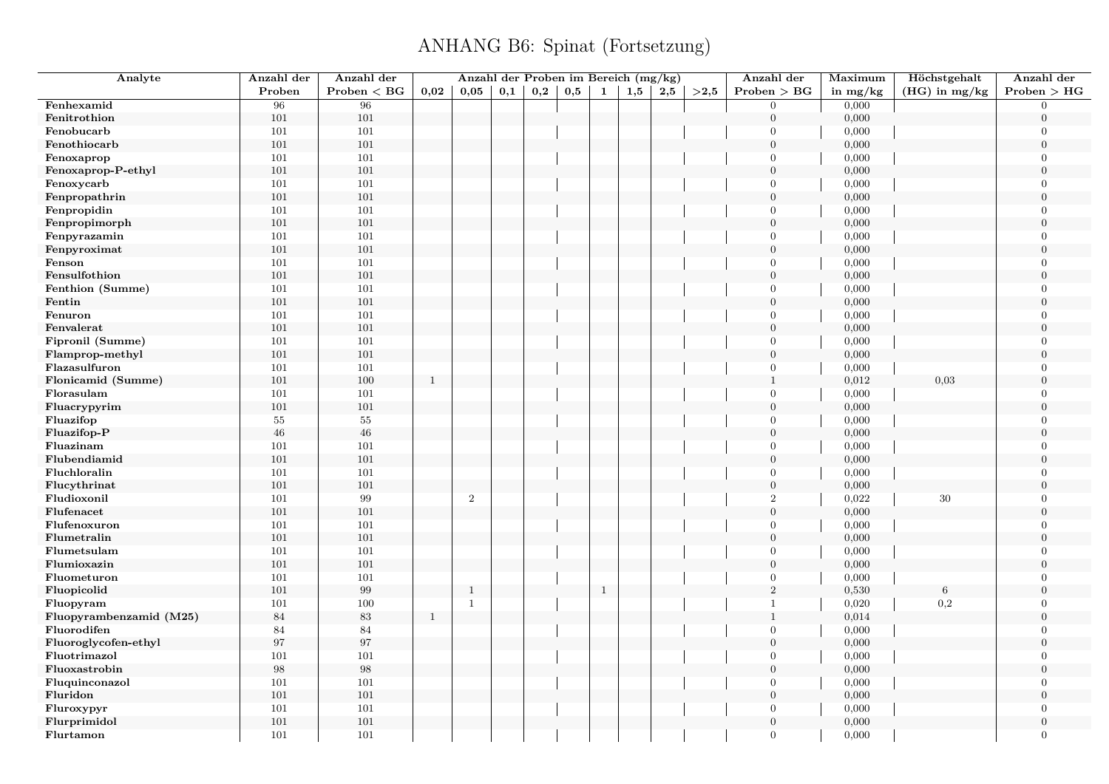| Analyte                 | Anzahl der | Anzahl der        |              | Anzahl der Proben im Bereich (mg/kg) |     |     |     |              |     |     |          | Anzahl der       | Maximum    | Höchstgehalt    | Anzahl der       |
|-------------------------|------------|-------------------|--------------|--------------------------------------|-----|-----|-----|--------------|-----|-----|----------|------------------|------------|-----------------|------------------|
|                         | Proben     | Problem < BG      | 0,02         | 0.05                                 | 0,1 | 0,2 | 0,5 | 1            | 1,5 | 2,5 | $>\!2,5$ | Problem > BG     | in $mg/kg$ | $(HG)$ in mg/kg | Problem > HG     |
| Fenhexamid              | 96         | 96                |              |                                      |     |     |     |              |     |     |          | $\overline{0}$   | 0,000      |                 | $\overline{0}$   |
| Fenitrothion            | 101        | 101               |              |                                      |     |     |     |              |     |     |          | $\boldsymbol{0}$ | 0,000      |                 | $\overline{0}$   |
| Fenobucarb              | 101        | 101               |              |                                      |     |     |     |              |     |     |          | $\overline{0}$   | 0,000      |                 | $\overline{0}$   |
| Fenothiocarb            | 101        | 101               |              |                                      |     |     |     |              |     |     |          | $\overline{0}$   | 0,000      |                 | $\overline{0}$   |
| Fenoxaprop              | 101        | 101               |              |                                      |     |     |     |              |     |     |          | $\Omega$         | 0,000      |                 | $\overline{0}$   |
| Fenoxaprop-P-ethyl      | 101        | 101               |              |                                      |     |     |     |              |     |     |          | $\mathbf{0}$     | 0,000      |                 | $\boldsymbol{0}$ |
| Fenoxycarb              | 101        | 101               |              |                                      |     |     |     |              |     |     |          | $\overline{0}$   | 0,000      |                 | $\overline{0}$   |
| Fenpropathrin           | $101\,$    | 101               |              |                                      |     |     |     |              |     |     |          | $\overline{0}$   | 0,000      |                 | $\boldsymbol{0}$ |
| Fenpropidin             | 101        | 101               |              |                                      |     |     |     |              |     |     |          | $\boldsymbol{0}$ | 0,000      |                 | $\overline{0}$   |
| Fenpropimorph           | 101        | 101               |              |                                      |     |     |     |              |     |     |          | $\mathbf{0}$     | 0,000      |                 | $\overline{0}$   |
| Fenpyrazamin            | $101\,$    | 101               |              |                                      |     |     |     |              |     |     |          | $\overline{0}$   | 0,000      |                 | $\Omega$         |
| Fenpyroximat            | 101        | 101               |              |                                      |     |     |     |              |     |     |          | $\mathbf{0}$     | 0,000      |                 | $\overline{0}$   |
| Fenson                  | 101        | 101               |              |                                      |     |     |     |              |     |     |          | $\overline{0}$   | 0,000      |                 | $\overline{0}$   |
| Fensulfothion           | 101        | 101               |              |                                      |     |     |     |              |     |     |          | $\mathbf{0}$     | 0,000      |                 | $\overline{0}$   |
| Fenthion (Summe)        | $101\,$    | 101               |              |                                      |     |     |     |              |     |     |          | $\overline{0}$   | 0,000      |                 | $\overline{0}$   |
| Fentin                  | 101        | 101               |              |                                      |     |     |     |              |     |     |          | $\mathbf{0}$     | 0,000      |                 | $\Omega$         |
| Fenuron                 | 101        | 101               |              |                                      |     |     |     |              |     |     |          | $\mathbf{0}$     | 0,000      |                 | $\overline{0}$   |
| Fenvalerat              | 101        | 101               |              |                                      |     |     |     |              |     |     |          | $\boldsymbol{0}$ | 0,000      |                 | $\overline{0}$   |
| Fipronil (Summe)        | 101        | 101               |              |                                      |     |     |     |              |     |     |          | $\mathbf{0}$     | 0,000      |                 | $\overline{0}$   |
| Flamprop-methyl         | 101        | 101               |              |                                      |     |     |     |              |     |     |          | $\mathbf{0}$     | 0,000      |                 | $\Omega$         |
| Flazasulfuron           | 101        | 101               |              |                                      |     |     |     |              |     |     |          | $\boldsymbol{0}$ | 0,000      |                 | $\overline{0}$   |
| Flonicamid (Summe)      | 101        | 100               | $\mathbf{1}$ |                                      |     |     |     |              |     |     |          | $\mathbf{1}$     | 0,012      | 0,03            | $\overline{0}$   |
| Florasulam              | 101        | 101               |              |                                      |     |     |     |              |     |     |          | $\mathbf{0}$     | 0,000      |                 | $\overline{0}$   |
| Fluacrypyrim            | 101        | 101               |              |                                      |     |     |     |              |     |     |          | $\mathbf{0}$     | 0,000      |                 | $\overline{0}$   |
|                         |            |                   |              |                                      |     |     |     |              |     |     |          |                  |            |                 |                  |
| Fluazifop               | $55\,$     | $55\,$            |              |                                      |     |     |     |              |     |     |          | $\overline{0}$   | 0,000      |                 | $\boldsymbol{0}$ |
| Fluazifop-P             | $\bf 46$   | $46\,$            |              |                                      |     |     |     |              |     |     |          | $\mathbf{0}$     | 0,000      |                 | $\boldsymbol{0}$ |
| Fluazinam               | 101        | 101               |              |                                      |     |     |     |              |     |     |          | $\overline{0}$   | 0,000      |                 | $\overline{0}$   |
| Flubendiamid            | $101\,$    | 101               |              |                                      |     |     |     |              |     |     |          | $\overline{0}$   | 0,000      |                 | $\boldsymbol{0}$ |
| Fluchloralin            | 101        | 101               |              |                                      |     |     |     |              |     |     |          | $\mathbf{0}$     | 0,000      |                 | $\overline{0}$   |
| Flucythrinat            | 101        | 101               |              |                                      |     |     |     |              |     |     |          | $\mathbf{0}$     | 0,000      |                 | $\overline{0}$   |
| Fludioxonil             | 101        | 99                |              | $\overline{2}$                       |     |     |     |              |     |     |          | $\,2\,$          | 0,022      | 30              | $\Omega$         |
| Flufenacet              | $101\,$    | 101               |              |                                      |     |     |     |              |     |     |          | $\boldsymbol{0}$ | 0,000      |                 | $\overline{0}$   |
| Flufenoxuron            | 101        | 101               |              |                                      |     |     |     |              |     |     |          | $\overline{0}$   | 0,000      |                 | $\overline{0}$   |
| Flumetralin             | 101        | 101               |              |                                      |     |     |     |              |     |     |          | $\overline{0}$   | 0,000      |                 | $\Omega$         |
| Flumetsulam             | $101\,$    | 101               |              |                                      |     |     |     |              |     |     |          | $\overline{0}$   | 0,000      |                 | $\overline{0}$   |
| Flumioxazin             | 101        | 101               |              |                                      |     |     |     |              |     |     |          | $\boldsymbol{0}$ | 0,000      |                 | $\overline{0}$   |
| Fluometuron             | 101        | 101               |              |                                      |     |     |     |              |     |     |          | $\overline{0}$   | 0,000      |                 | $\overline{0}$   |
| Fluopicolid             | 101        | $\boldsymbol{99}$ |              | $\mathbf{1}$                         |     |     |     | $\mathbf{1}$ |     |     |          | $\,2$            | 0,530      | $6\phantom{.}6$ | $\overline{0}$   |
| Fluopyram               | 101        | 100               |              | 1                                    |     |     |     |              |     |     |          | $\mathbf{1}$     | 0,020      | $_{0,2}$        | $\overline{0}$   |
| Fluopyrambenzamid (M25) | 84         | 83                | <sup>1</sup> |                                      |     |     |     |              |     |     |          | $\mathbf{1}$     | 0,014      |                 | $\overline{0}$   |
| Fluorodifen             | 84         | $84\,$            |              |                                      |     |     |     |              |     |     |          | $\mathbf{0}$     | 0,000      |                 | $\overline{0}$   |
| Fluoroglycofen-ethyl    | 97         | $\rm 97$          |              |                                      |     |     |     |              |     |     |          | $\overline{0}$   | 0,000      |                 | $\Omega$         |
| Fluotrimazol            | 101        | 101               |              |                                      |     |     |     |              |     |     |          | $\mathbf{0}$     | 0,000      |                 | $\overline{0}$   |
| Fluoxastrobin           | 98         | $\boldsymbol{98}$ |              |                                      |     |     |     |              |     |     |          | $\mathbf{0}$     | 0,000      |                 | $\overline{0}$   |
| Fluquinconazol          | 101        | 101               |              |                                      |     |     |     |              |     |     |          | $\overline{0}$   | 0,000      |                 | $\overline{0}$   |
| Fluridon                | 101        | 101               |              |                                      |     |     |     |              |     |     |          | $\mathbf{0}$     | 0,000      |                 | $\mathbf{0}$     |
| Fluroxypyr              | 101        | 101               |              |                                      |     |     |     |              |     |     |          | $\mathbf{0}$     | 0,000      |                 | $\overline{0}$   |
| Flurprimidol            | 101        | 101               |              |                                      |     |     |     |              |     |     |          | $\mathbf{0}$     | 0,000      |                 | $\boldsymbol{0}$ |
| Flurtamon               | 101        | 101               |              |                                      |     |     |     |              |     |     |          | $\overline{0}$   | 0,000      |                 | $\overline{0}$   |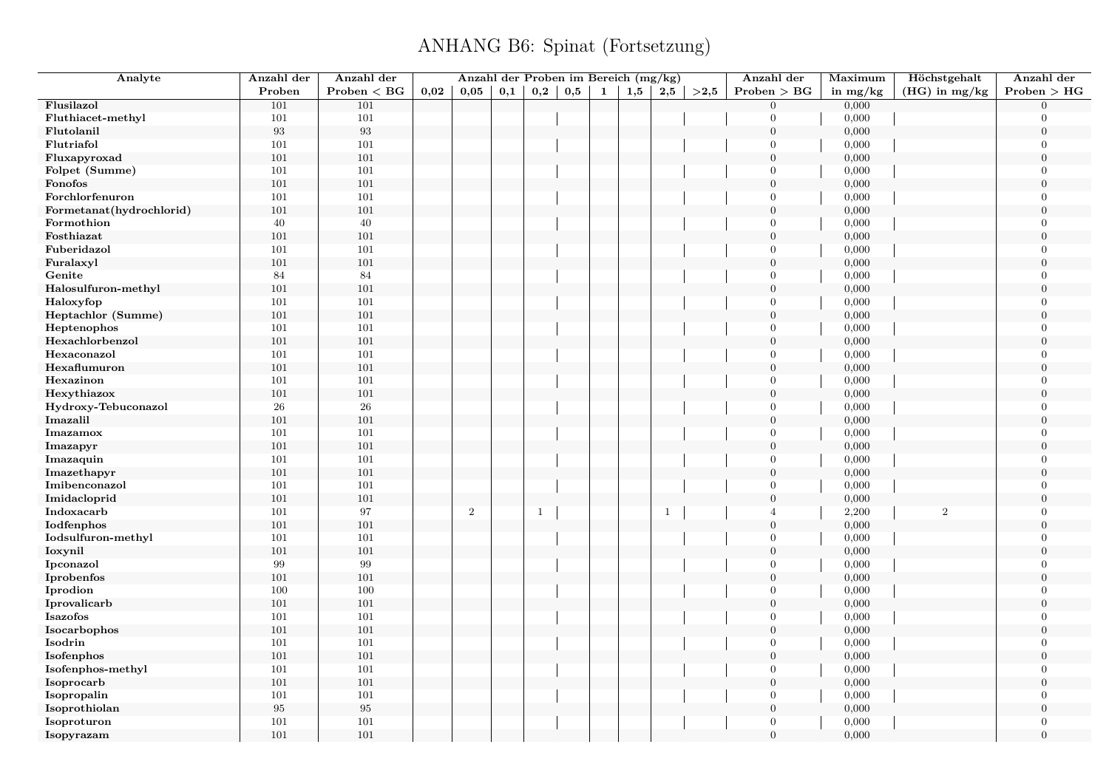| Analyte                  | Anzahl der        | Anzahl der   |      | Anzahl der Proben im Bereich (mg/kg) |              |              |              |              |     |              |      | Anzahl der       | Maximum    | Höchstgehalt    | Anzahl der       |
|--------------------------|-------------------|--------------|------|--------------------------------------|--------------|--------------|--------------|--------------|-----|--------------|------|------------------|------------|-----------------|------------------|
|                          | Proben            | Problem < BG | 0,02 | 0,05                                 | $_{\rm 0,1}$ | 0,2          | $_{\rm 0,5}$ | $\mathbf{1}$ | 1,5 | 2,5          | >2,5 | Problem > BG     | in $mg/kg$ | $(HG)$ in mg/kg | Problem > HG     |
| Flusilazol               | 101               | 101          |      |                                      |              |              |              |              |     |              |      | $\mathbf{0}$     | 0,000      |                 | $\Omega$         |
| Fluthiacet-methyl        | 101               | $101\,$      |      |                                      |              |              |              |              |     |              |      | $\Omega$         | 0,000      |                 | $\Omega$         |
| Flutolanil               | $\boldsymbol{93}$ | 93           |      |                                      |              |              |              |              |     |              |      | $\mathbf{0}$     | 0,000      |                 | $\boldsymbol{0}$ |
| Flutriafol               | 101               | 101          |      |                                      |              |              |              |              |     |              |      | $\overline{0}$   | 0,000      |                 | $\Omega$         |
| Fluxapyroxad             | 101               | 101          |      |                                      |              |              |              |              |     |              |      | $\boldsymbol{0}$ | 0,000      |                 | $\theta$         |
| Folpet (Summe)           | 101               | 101          |      |                                      |              |              |              |              |     |              |      | $\overline{0}$   | 0,000      |                 | $\overline{0}$   |
| Fonofos                  | 101               | $101\,$      |      |                                      |              |              |              |              |     |              |      | $\mathbf{0}$     | 0,000      |                 | $\overline{0}$   |
| Forchlorfenuron          | 101               | 101          |      |                                      |              |              |              |              |     |              |      | $\overline{0}$   | 0,000      |                 | $\overline{0}$   |
| Formetanat(hydrochlorid) | 101               | 101          |      |                                      |              |              |              |              |     |              |      | $\mathbf{0}$     | 0,000      |                 | $\Omega$         |
| Formothion               | 40                | $40\,$       |      |                                      |              |              |              |              |     |              |      | $\overline{0}$   | 0,000      |                 | $\Omega$         |
| Fosthiazat               | 101               | 101          |      |                                      |              |              |              |              |     |              |      | $\overline{0}$   | 0,000      |                 | $\theta$         |
| Fuberidazol              | 101               | 101          |      |                                      |              |              |              |              |     |              |      | $\overline{0}$   | 0,000      |                 | $\overline{0}$   |
| Furalaxyl                | 101               | 101          |      |                                      |              |              |              |              |     |              |      | $\boldsymbol{0}$ | 0,000      |                 | $\boldsymbol{0}$ |
| Genite                   | 84                | 84           |      |                                      |              |              |              |              |     |              |      | $\overline{0}$   | 0,000      |                 | $\mathbf{0}$     |
| Halosulfuron-methyl      | 101               | $101\,$      |      |                                      |              |              |              |              |     |              |      | $\overline{0}$   | 0,000      |                 | $\overline{0}$   |
| Haloxyfop                | 101               | 101          |      |                                      |              |              |              |              |     |              |      | $\overline{0}$   | 0,000      |                 | $\Omega$         |
| Heptachlor (Summe)       | 101               | 101          |      |                                      |              |              |              |              |     |              |      | $\overline{0}$   | 0,000      |                 | $\boldsymbol{0}$ |
| Heptenophos              | 101               | 101          |      |                                      |              |              |              |              |     |              |      | $\overline{0}$   | 0,000      |                 | $\Omega$         |
| Hexachlorbenzol          | 101               | 101          |      |                                      |              |              |              |              |     |              |      | $\mathbf{0}$     | 0,000      |                 | $\theta$         |
| Hexaconazol              | 101               | 101          |      |                                      |              |              |              |              |     |              |      | $\overline{0}$   | 0,000      |                 | $\Omega$         |
| Hexaflumuron             | 101               | 101          |      |                                      |              |              |              |              |     |              |      | $\overline{0}$   | 0,000      |                 | $\boldsymbol{0}$ |
| Hexazinon                | 101               | 101          |      |                                      |              |              |              |              |     |              |      | $\overline{0}$   | 0,000      |                 | $\Omega$         |
| Hexythiazox              | 101               | 101          |      |                                      |              |              |              |              |     |              |      | $\mathbf{0}$     | 0,000      |                 | $\overline{0}$   |
| Hydroxy-Tebuconazol      | ${\bf 26}$        | ${\bf 26}$   |      |                                      |              |              |              |              |     |              |      | $\overline{0}$   | 0,000      |                 | $\Omega$         |
| Imazalil                 | 101               | $101\,$      |      |                                      |              |              |              |              |     |              |      | $\boldsymbol{0}$ | 0,000      |                 | $\overline{0}$   |
| Imazamox                 | 101               | 101          |      |                                      |              |              |              |              |     |              |      | $\overline{0}$   | 0,000      |                 | $\overline{0}$   |
| Imazapyr                 | 101               | 101          |      |                                      |              |              |              |              |     |              |      | $\overline{0}$   | 0,000      |                 | $\Omega$         |
| Imazaquin                | 101               | 101          |      |                                      |              |              |              |              |     |              |      | $\overline{0}$   | 0,000      |                 | $\overline{0}$   |
| Imazethapyr              | 101               | 101          |      |                                      |              |              |              |              |     |              |      | $\mathbf{0}$     | 0,000      |                 | $\theta$         |
| Imibenconazol            | 101               | 101          |      |                                      |              |              |              |              |     |              |      | $\overline{0}$   | 0,000      |                 | $\Omega$         |
| Imidacloprid             | 101               | $101\,$      |      |                                      |              |              |              |              |     |              |      | $\overline{0}$   | 0,000      |                 | $\theta$         |
| Indoxacarb               | 101               | 97           |      | 2                                    |              | $\mathbf{1}$ |              |              |     | $\mathbf{1}$ |      | $\overline{4}$   | 2,200      | $\overline{2}$  | $\overline{0}$   |
| Iodfenphos               | 101               | 101          |      |                                      |              |              |              |              |     |              |      | $\boldsymbol{0}$ | 0,000      |                 | $\mathbf{0}$     |
| Iodsulfuron-methyl       | 101               | 101          |      |                                      |              |              |              |              |     |              |      | $\overline{0}$   | 0,000      |                 | $\Omega$         |
| Ioxynil                  | 101               | 101          |      |                                      |              |              |              |              |     |              |      | $\boldsymbol{0}$ | 0,000      |                 | $\boldsymbol{0}$ |
| Ipconazol                | 99                | 99           |      |                                      |              |              |              |              |     |              |      | $\overline{0}$   | 0,000      |                 | $\Omega$         |
| Iprobenfos               | 101               | $101\,$      |      |                                      |              |              |              |              |     |              |      | $\overline{0}$   | 0,000      |                 | $\overline{0}$   |
| Iprodion                 | 100               | $100\,$      |      |                                      |              |              |              |              |     |              |      | $\mathbf{0}$     | 0,000      |                 | $\Omega$         |
| Iprovalicarb             | 101               | 101          |      |                                      |              |              |              |              |     |              |      | $\overline{0}$   | 0,000      |                 | $\boldsymbol{0}$ |
| Isazofos                 | 101               | $101\,$      |      |                                      |              |              |              |              |     |              |      | $\mathbf{0}$     | 0,000      |                 | $\Omega$         |
| Isocarbophos             | 101               | 101          |      |                                      |              |              |              |              |     |              |      | $\overline{0}$   | 0,000      |                 | $\Omega$         |
| Isodrin                  | 101               | 101          |      |                                      |              |              |              |              |     |              |      | $\overline{0}$   | 0,000      |                 | $\Omega$         |
| Isofenphos               | 101               | 101          |      |                                      |              |              |              |              |     |              |      | $\boldsymbol{0}$ | 0,000      |                 | $\boldsymbol{0}$ |
| Isofenphos-methyl        | 101               | 101          |      |                                      |              |              |              |              |     |              |      | $\overline{0}$   | 0,000      |                 | $\Omega$         |
| Isoprocarb               | 101               | 101          |      |                                      |              |              |              |              |     |              |      | $\boldsymbol{0}$ | 0,000      |                 | $\Omega$         |
| Isopropalin              | 101               | 101          |      |                                      |              |              |              |              |     |              |      | $\overline{0}$   | 0,000      |                 | $\overline{0}$   |
| Isoprothiolan            | $\rm 95$          | 95           |      |                                      |              |              |              |              |     |              |      | $\overline{0}$   | 0,000      |                 | $\overline{0}$   |
| Isoproturon              | 101               | 101          |      |                                      |              |              |              |              |     |              |      | $\overline{0}$   | 0,000      |                 | $\overline{0}$   |
| Isopyrazam               | 101               | 101          |      |                                      |              |              |              |              |     |              |      | $\overline{0}$   | 0,000      |                 | $\overline{0}$   |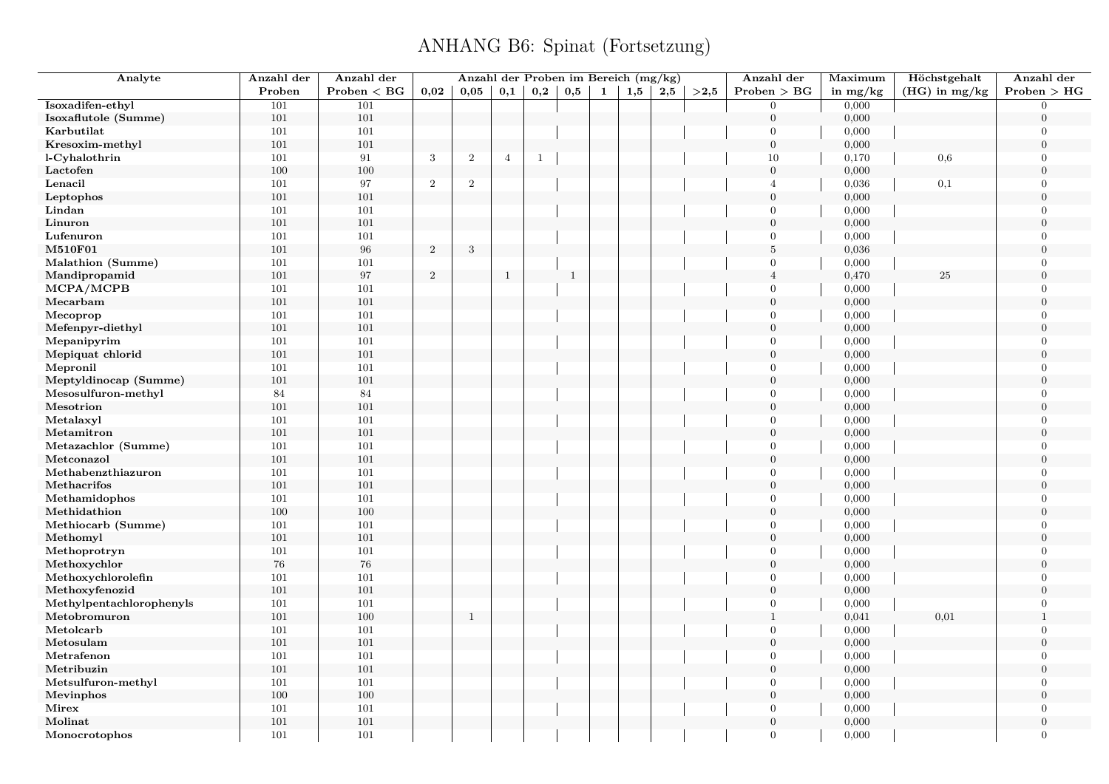| Analyte                  | Anzahl der | Anzahl der   |                | Anzahl der Proben im Bereich (mg/kg) |                |              |              |   |     |     |      | Anzahl der       | Maximum    | Höchstgehalt    | Anzahl der                     |
|--------------------------|------------|--------------|----------------|--------------------------------------|----------------|--------------|--------------|---|-----|-----|------|------------------|------------|-----------------|--------------------------------|
|                          | Proben     | Problem < BG | 0.02           | 0,05                                 | 0,1            | 0,2          | 0,5          | 1 | 1,5 | 2,5 | >2.5 | Problem > BG     | in $mg/kg$ | $(HG)$ in mg/kg | Problem > HG                   |
| Isoxadifen-ethyl         | 101        | 101          |                |                                      |                |              |              |   |     |     |      | $\overline{0}$   | 0,000      |                 | $\Omega$                       |
| Isoxaflutole (Summe)     | 101        | 101          |                |                                      |                |              |              |   |     |     |      | $\boldsymbol{0}$ | 0,000      |                 | $\overline{0}$                 |
| Karbutilat               | 101        | 101          |                |                                      |                |              |              |   |     |     |      | $\overline{0}$   | 0,000      |                 | $\overline{0}$                 |
| Kresoxim-methyl          | 101        | 101          |                |                                      |                |              |              |   |     |     |      | $\mathbf{0}$     | 0,000      |                 | $\overline{0}$                 |
| l-Cyhalothrin            | 101        | $\rm 91$     | $\sqrt{3}$     | $\,2$                                | $\overline{4}$ | $\mathbf{1}$ |              |   |     |     |      | $10\,$           | 0,170      | 0,6             | $\overline{0}$                 |
| Lactofen                 | $100\,$    | 100          |                |                                      |                |              |              |   |     |     |      | $\overline{0}$   | 0,000      |                 | $\boldsymbol{0}$               |
| Lenacil                  | 101        | 97           | $\,2$          | $\overline{2}$                       |                |              |              |   |     |     |      | $\overline{4}$   | 0,036      | 0,1             | $\overline{0}$                 |
| Leptophos                | 101        | 101          |                |                                      |                |              |              |   |     |     |      | $\overline{0}$   | 0,000      |                 | $\overline{0}$                 |
| Lindan                   | 101        | 101          |                |                                      |                |              |              |   |     |     |      | $\mathbf{0}$     | 0,000      |                 | $\overline{0}$                 |
| Linuron                  | 101        | 101          |                |                                      |                |              |              |   |     |     |      | $\mathbf{0}$     | 0,000      |                 | $\boldsymbol{0}$               |
| Lufenuron                | 101        | 101          |                |                                      |                |              |              |   |     |     |      | $\overline{0}$   | 0,000      |                 | $\overline{0}$                 |
| M510F01                  | 101        | 96           | $\,2$          | $\sqrt{3}$                           |                |              |              |   |     |     |      | $\bf 5$          | 0,036      |                 | $\overline{0}$                 |
| Malathion (Summe)        | 101        | 101          |                |                                      |                |              |              |   |     |     |      | $\mathbf{0}$     | 0,000      |                 | $\Omega$                       |
| Mandipropamid            | 101        | 97           | $\overline{2}$ |                                      | $\mathbf{1}$   |              | $\mathbf{1}$ |   |     |     |      | $\overline{4}$   | 0,470      | 25              | $\overline{0}$                 |
| MCPA/MCPB                | $101\,$    | 101          |                |                                      |                |              |              |   |     |     |      | $\overline{0}$   | 0,000      |                 | $\overline{0}$                 |
| Mecarbam                 | 101        | 101          |                |                                      |                |              |              |   |     |     |      | $\mathbf{0}$     | 0,000      |                 | $\overline{0}$                 |
| Mecoprop                 | 101        | 101          |                |                                      |                |              |              |   |     |     |      | $\overline{0}$   | 0,000      |                 | $\overline{0}$                 |
| Mefenpyr-diethyl         | 101        | 101          |                |                                      |                |              |              |   |     |     |      | $\mathbf{0}$     | 0,000      |                 | $\overline{0}$                 |
| Mepanipyrim              | 101        | 101          |                |                                      |                |              |              |   |     |     |      | $\mathbf{0}$     | 0,000      |                 | $\overline{0}$                 |
| Mepiquat chlorid         | 101        | 101          |                |                                      |                |              |              |   |     |     |      | $\mathbf{0}$     | 0,000      |                 | $\Omega$                       |
| Mepronil                 | 101        | 101          |                |                                      |                |              |              |   |     |     |      | $\mathbf{0}$     | 0,000      |                 | $\overline{0}$                 |
| Meptyldinocap (Summe)    | 101        | 101          |                |                                      |                |              |              |   |     |     |      | $\mathbf{0}$     | 0,000      |                 | $\overline{0}$                 |
| Mesosulfuron-methyl      | 84         | $84\,$       |                |                                      |                |              |              |   |     |     |      | $\overline{0}$   | 0,000      |                 | $\overline{0}$                 |
| Mesotrion                | 101        | 101          |                |                                      |                |              |              |   |     |     |      | $\mathbf{0}$     | 0,000      |                 | $\overline{0}$                 |
| Metalaxyl                | 101        | 101          |                |                                      |                |              |              |   |     |     |      | $\overline{0}$   | 0,000      |                 | $\overline{0}$                 |
| Metamitron               | 101        | 101          |                |                                      |                |              |              |   |     |     |      | $\overline{0}$   | 0,000      |                 | $\boldsymbol{0}$               |
| Metazachlor (Summe)      | 101        | 101          |                |                                      |                |              |              |   |     |     |      | $\overline{0}$   | 0,000      |                 | $\overline{0}$                 |
| Metconazol               | 101        | 101          |                |                                      |                |              |              |   |     |     |      | $\mathbf{0}$     | 0,000      |                 | $\boldsymbol{0}$               |
| Methabenzthiazuron       | 101        | 101          |                |                                      |                |              |              |   |     |     |      | $\overline{0}$   | 0,000      |                 | $\Omega$                       |
| Methacrifos              | 101        | 101          |                |                                      |                |              |              |   |     |     |      | $\mathbf{0}$     | 0,000      |                 | $\boldsymbol{0}$               |
| Methamidophos            | 101        | 101          |                |                                      |                |              |              |   |     |     |      | $\overline{0}$   | 0,000      |                 | $\overline{0}$                 |
| Methidathion             | 100        | 100          |                |                                      |                |              |              |   |     |     |      | $\mathbf{0}$     | 0,000      |                 | $\overline{0}$                 |
| Methiocarb (Summe)       | 101        | $101\,$      |                |                                      |                |              |              |   |     |     |      | $\overline{0}$   | 0,000      |                 | $\Omega$                       |
| Methomyl                 | 101        | 101          |                |                                      |                |              |              |   |     |     |      | $\mathbf{0}$     | 0,000      |                 | $\overline{0}$                 |
| Methoprotryn             | 101        | 101          |                |                                      |                |              |              |   |     |     |      | $\overline{0}$   | 0,000      |                 | $\overline{0}$                 |
| Methoxychlor             | 76         | 76           |                |                                      |                |              |              |   |     |     |      | $\mathbf{0}$     | 0,000      |                 | $\overline{0}$                 |
| Methoxychlorolefin       | 101        | 101          |                |                                      |                |              |              |   |     |     |      | $\mathbf{0}$     | 0,000      |                 | $\overline{0}$                 |
|                          |            |              |                |                                      |                |              |              |   |     |     |      |                  |            |                 |                                |
| Methoxyfenozid           | 101        | 101          |                |                                      |                |              |              |   |     |     |      | $\mathbf{0}$     | 0,000      |                 | $\overline{0}$                 |
| Methylpentachlorophenyls | 101        | 101          |                |                                      |                |              |              |   |     |     |      | $\mathbf{0}$     | 0,000      |                 | $\overline{0}$<br>$\mathbf{1}$ |
| Metobromuron             | 101        | 100          |                | $\mathbf{1}$                         |                |              |              |   |     |     |      | $\,1\,$          | 0,041      | 0,01            |                                |
| Metolcarb                | 101        | 101          |                |                                      |                |              |              |   |     |     |      | $\mathbf{0}$     | 0,000      |                 | $\overline{0}$                 |
| Metosulam                | 101        | 101          |                |                                      |                |              |              |   |     |     |      | $\mathbf{0}$     | 0,000      |                 | $\Omega$                       |
| Metrafenon               | 101        | 101          |                |                                      |                |              |              |   |     |     |      | $\mathbf{0}$     | 0,000      |                 | $\overline{0}$                 |
| Metribuzin               | 101        | 101          |                |                                      |                |              |              |   |     |     |      | $\overline{0}$   | 0,000      |                 | $\Omega$                       |
| Metsulfuron-methyl       | 101        | 101          |                |                                      |                |              |              |   |     |     |      | $\mathbf{0}$     | 0,000      |                 | $\overline{0}$                 |
| Mevinphos                | 100        | 100          |                |                                      |                |              |              |   |     |     |      | $\mathbf{0}$     | 0,000      |                 | $\overline{0}$                 |
| Mirex                    | 101        | 101          |                |                                      |                |              |              |   |     |     |      | $\overline{0}$   | 0,000      |                 | $\overline{0}$                 |
| Molinat                  | 101        | 101          |                |                                      |                |              |              |   |     |     |      | $\boldsymbol{0}$ | 0,000      |                 | $\boldsymbol{0}$               |
| Monocrotophos            | 101        | 101          |                |                                      |                |              |              |   |     |     |      | $\overline{0}$   | 0,000      |                 | $\overline{0}$                 |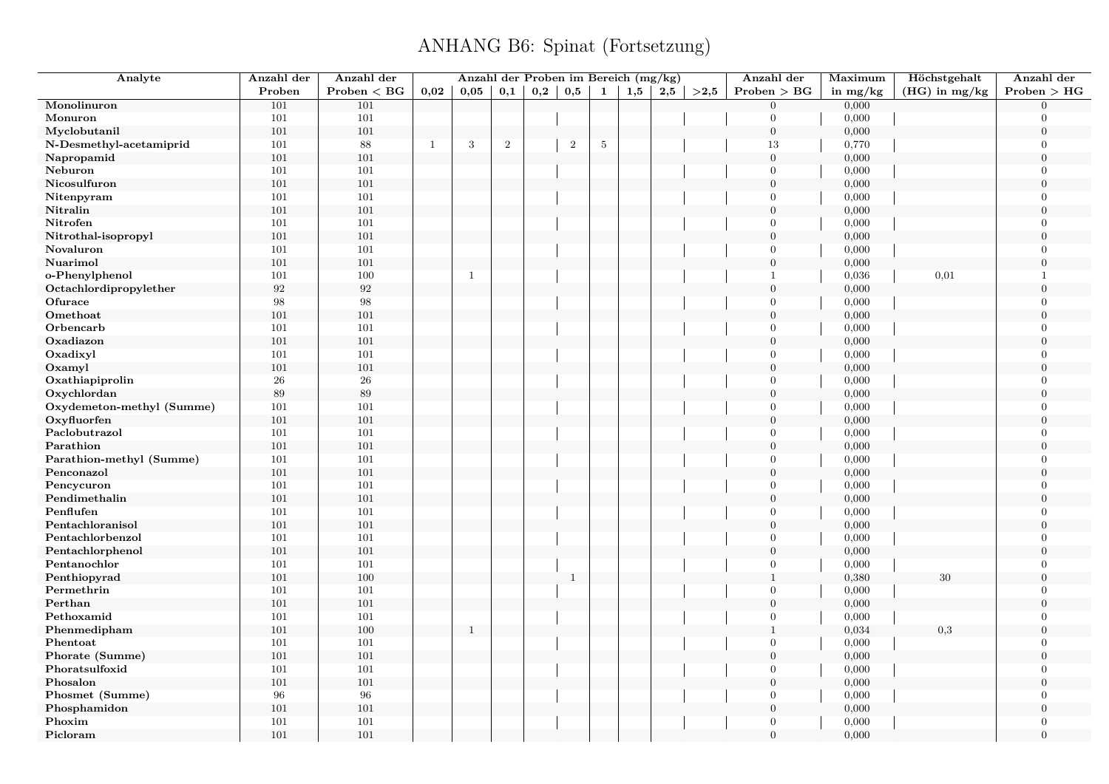| Analyte                   | Anzahl der        | Anzahl der   |              | Anzahl der Proben im Bereich (mg/kg) |       |              |              |              |          |     |      | Anzahl der       | Maximum    | Höchstgehalt    | Anzahl der       |
|---------------------------|-------------------|--------------|--------------|--------------------------------------|-------|--------------|--------------|--------------|----------|-----|------|------------------|------------|-----------------|------------------|
|                           | Proben            | Problem < BG | 0.02         | 0.05                                 | 0,1   | $_{\rm 0,2}$ | $_{\rm 0,5}$ | $\mathbf{1}$ | $_{1,5}$ | 2,5 | >2,5 | Problem > BG     | in $mg/kg$ | $(HG)$ in mg/kg | Problem > HG     |
| Monolinuron               | 101               | 101          |              |                                      |       |              |              |              |          |     |      | $\overline{0}$   | 0,000      |                 | $\Omega$         |
| Monuron                   | 101               | 101          |              |                                      |       |              |              |              |          |     |      | $\overline{0}$   | 0,000      |                 | $\Omega$         |
| Myclobutanil              | 101               | 101          |              |                                      |       |              |              |              |          |     |      | $\boldsymbol{0}$ | 0,000      |                 | $\boldsymbol{0}$ |
| N-Desmethyl-acetamiprid   | 101               | 88           | $\mathbf{1}$ | $\sqrt{3}$                           | $\,2$ |              | $\sqrt{2}$   | $\sqrt{5}$   |          |     |      | 13               | 0,770      |                 | $\Omega$         |
| Napropamid                | 101               | 101          |              |                                      |       |              |              |              |          |     |      | $\mathbf{0}$     | 0,000      |                 | $\Omega$         |
| Neburon                   | 101               | $101\,$      |              |                                      |       |              |              |              |          |     |      | $\overline{0}$   | 0,000      |                 | $\Omega$         |
| Nicosulfuron              | 101               | 101          |              |                                      |       |              |              |              |          |     |      | $\overline{0}$   | 0,000      |                 | $\Omega$         |
| Nitenpyram                | 101               | $101\,$      |              |                                      |       |              |              |              |          |     |      | $\overline{0}$   | 0,000      |                 | $\Omega$         |
| Nitralin                  | 101               | 101          |              |                                      |       |              |              |              |          |     |      | $\boldsymbol{0}$ | 0,000      |                 | $\Omega$         |
| Nitrofen                  | 101               | 101          |              |                                      |       |              |              |              |          |     |      | $\overline{0}$   | 0,000      |                 | $\overline{0}$   |
| Nitrothal-isopropyl       | 101               | $101\,$      |              |                                      |       |              |              |              |          |     |      | $\boldsymbol{0}$ | 0,000      |                 | $\boldsymbol{0}$ |
| Novaluron                 | 101               | 101          |              |                                      |       |              |              |              |          |     |      | $\overline{0}$   | 0,000      |                 | $\overline{0}$   |
| Nuarimol                  | 101               | 101          |              |                                      |       |              |              |              |          |     |      | $\overline{0}$   | 0,000      |                 | $\boldsymbol{0}$ |
| o-Phenylphenol            | 101               | $100\,$      |              | $\mathbf{1}$                         |       |              |              |              |          |     |      | $\overline{1}$   | 0,036      | 0,01            | $\mathbf{1}$     |
| Octachlordipropylether    | $\boldsymbol{92}$ | $\sqrt{92}$  |              |                                      |       |              |              |              |          |     |      | $\overline{0}$   | 0,000      |                 | $\boldsymbol{0}$ |
| Ofurace                   | 98                | 98           |              |                                      |       |              |              |              |          |     |      | $\overline{0}$   | 0,000      |                 | $\theta$         |
| Omethoat                  | 101               | $101\,$      |              |                                      |       |              |              |              |          |     |      | $\boldsymbol{0}$ | 0,000      |                 | $\mathbf{0}$     |
| Orbencarb                 | 101               | 101          |              |                                      |       |              |              |              |          |     |      | $\overline{0}$   | 0,000      |                 | $\Omega$         |
| Oxadiazon                 | 101               | $101\,$      |              |                                      |       |              |              |              |          |     |      | $\mathbf{0}$     | 0,000      |                 | $\Omega$         |
| Oxadixyl                  | 101               | 101          |              |                                      |       |              |              |              |          |     |      | $\overline{0}$   | 0,000      |                 | $\Omega$         |
| Oxamyl                    | 101               | $101\,$      |              |                                      |       |              |              |              |          |     |      | $\boldsymbol{0}$ | 0,000      |                 | $\overline{0}$   |
| Oxathiapiprolin           | 26                | ${\bf 26}$   |              |                                      |       |              |              |              |          |     |      | $\overline{0}$   | 0,000      |                 | $\Omega$         |
| Oxychlordan               | 89                | $89\,$       |              |                                      |       |              |              |              |          |     |      | $\mathbf{0}$     | 0,000      |                 | $\theta$         |
| Oxydemeton-methyl (Summe) | 101               | $101\,$      |              |                                      |       |              |              |              |          |     |      | $\overline{0}$   | 0,000      |                 | $\Omega$         |
| Oxyfluorfen               | 101               | 101          |              |                                      |       |              |              |              |          |     |      | $\mathbf{0}$     | 0,000      |                 | $\overline{0}$   |
| Paclobutrazol             | 101               | $101\,$      |              |                                      |       |              |              |              |          |     |      | $\overline{0}$   | 0,000      |                 | $\overline{0}$   |
| Parathion                 | 101               | 101          |              |                                      |       |              |              |              |          |     |      | $\mathbf{0}$     | 0,000      |                 | $\Omega$         |
| Parathion-methyl (Summe)  | 101               | 101          |              |                                      |       |              |              |              |          |     |      | $\overline{0}$   | 0,000      |                 | $\overline{0}$   |
| Penconazol                | 101               | $101\,$      |              |                                      |       |              |              |              |          |     |      | $\boldsymbol{0}$ | 0,000      |                 | $\Omega$         |
| Pencycuron                | 101               | 101          |              |                                      |       |              |              |              |          |     |      | $\overline{0}$   | 0,000      |                 | $\overline{0}$   |
| Pendimethalin             | 101               | $101\,$      |              |                                      |       |              |              |              |          |     |      | $\mathbf{0}$     | 0,000      |                 | $\overline{0}$   |
| Penflufen                 | 101               | 101          |              |                                      |       |              |              |              |          |     |      | $\overline{0}$   | 0,000      |                 | $\overline{0}$   |
| Pentachloranisol          | 101               | 101          |              |                                      |       |              |              |              |          |     |      | $\boldsymbol{0}$ | 0,000      |                 | $\boldsymbol{0}$ |
| Pentachlorbenzol          | 101               | 101          |              |                                      |       |              |              |              |          |     |      | $\overline{0}$   | 0,000      |                 | $\Omega$         |
| Pentachlorphenol          | 101               | $101\,$      |              |                                      |       |              |              |              |          |     |      | $\boldsymbol{0}$ | 0,000      |                 | $\overline{0}$   |
| Pentanochlor              | 101               | 101          |              |                                      |       |              |              |              |          |     |      | $\overline{0}$   | 0,000      |                 | $\Omega$         |
| Penthiopyrad              | 101               | $100\,$      |              |                                      |       |              | $\mathbf{1}$ |              |          |     |      | $\mathbf{1}$     | 0,380      | 30              | $\overline{0}$   |
| Permethrin                | 101               | 101          |              |                                      |       |              |              |              |          |     |      | $\overline{0}$   | 0,000      |                 | $\Omega$         |
| Perthan                   | 101               | 101          |              |                                      |       |              |              |              |          |     |      | $\boldsymbol{0}$ | 0,000      |                 | $\overline{0}$   |
| Pethoxamid                | 101               | $101\,$      |              |                                      |       |              |              |              |          |     |      | $\mathbf{0}$     | 0,000      |                 | $\Omega$         |
| Phenmedipham              | 101               | 100          |              | $\mathbf{1}$                         |       |              |              |              |          |     |      | $\mathbf{1}$     | 0,034      | 0,3             | $\overline{0}$   |
| Phentoat                  | 101               | 101          |              |                                      |       |              |              |              |          |     |      | $\overline{0}$   | 0,000      |                 | $\Omega$         |
| Phorate (Summe)           | 101               | 101          |              |                                      |       |              |              |              |          |     |      | $\boldsymbol{0}$ | 0,000      |                 | $\overline{0}$   |
| Phoratsulfoxid            | 101               | 101          |              |                                      |       |              |              |              |          |     |      | $\overline{0}$   | 0,000      |                 | $\Omega$         |
| Phosalon                  | 101               | 101          |              |                                      |       |              |              |              |          |     |      | $\boldsymbol{0}$ | 0,000      |                 | $\Omega$         |
| Phosmet (Summe)           | 96                | 96           |              |                                      |       |              |              |              |          |     |      | $\overline{0}$   | 0,000      |                 | $\overline{0}$   |
| Phosphamidon              | 101               | 101          |              |                                      |       |              |              |              |          |     |      | $\mathbf{0}$     | 0,000      |                 | $\theta$         |
| Phoxim                    | 101               | 101          |              |                                      |       |              |              |              |          |     |      | $\overline{0}$   | 0,000      |                 | $\overline{0}$   |
| Picloram                  | 101               | 101          |              |                                      |       |              |              |              |          |     |      | $\overline{0}$   | 0,000      |                 | $\overline{0}$   |
|                           |                   |              |              |                                      |       |              |              |              |          |     |      |                  |            |                 |                  |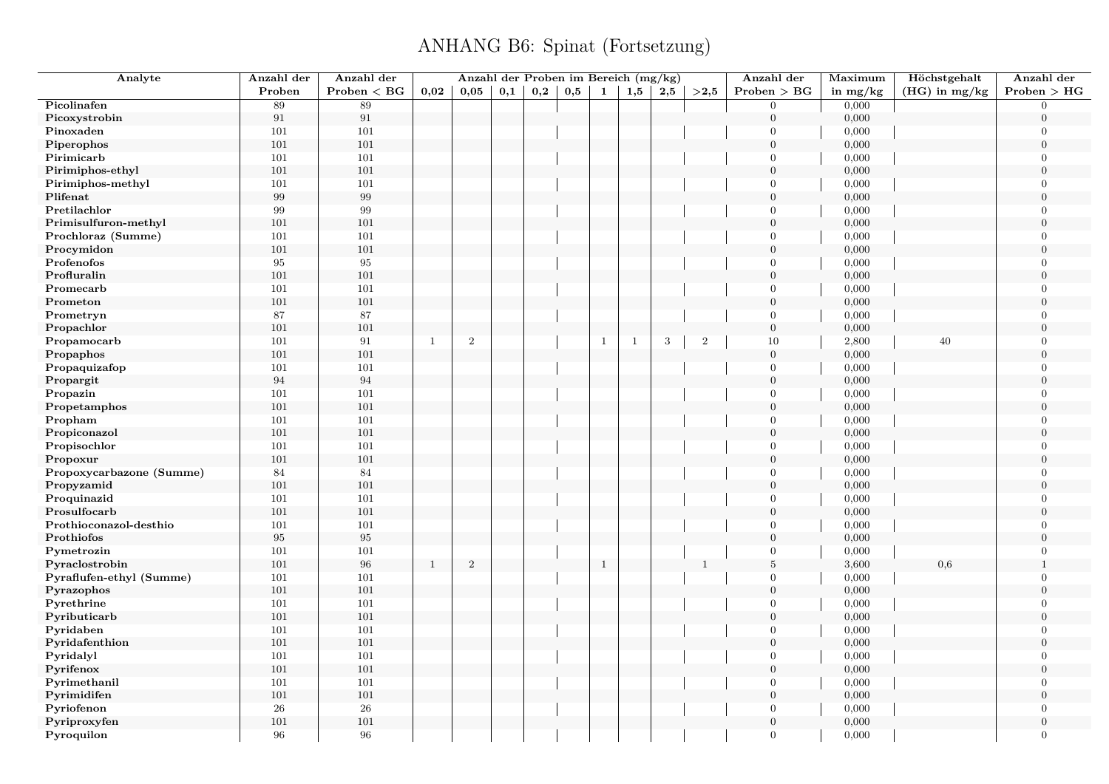| Analyte                     | Anzahl der | Anzahl der   |              |                | Anzahl der Proben im Bereich (mg/kg) |     |     |              |              |     |                | Anzahl der                     | Maximum        | Höchstgehalt    | Anzahl der                       |
|-----------------------------|------------|--------------|--------------|----------------|--------------------------------------|-----|-----|--------------|--------------|-----|----------------|--------------------------------|----------------|-----------------|----------------------------------|
|                             | Proben     | Problem < BG | 0.02         | 0.05           | 0,1                                  | 0,2 | 0,5 | 1            | 1,5          | 2,5 | >2.5           | Problem > BG                   | in $mg/kg$     | $(HG)$ in mg/kg | Problem > HG                     |
| Picolinafen                 | 89         | 89           |              |                |                                      |     |     |              |              |     |                | $\overline{0}$                 | 0,000          |                 | $\overline{0}$                   |
| Picoxystrobin               | $\rm 91$   | $\rm 91$     |              |                |                                      |     |     |              |              |     |                | $\boldsymbol{0}$               | 0,000          |                 | $\overline{0}$                   |
| Pinoxaden                   | 101        | 101          |              |                |                                      |     |     |              |              |     |                | $\overline{0}$                 | 0,000          |                 | $\overline{0}$                   |
| Piperophos                  | 101        | 101          |              |                |                                      |     |     |              |              |     |                | $\overline{0}$                 | 0,000          |                 | $\overline{0}$                   |
| Pirimicarb                  | 101        | 101          |              |                |                                      |     |     |              |              |     |                | $\Omega$                       | 0,000          |                 | $\boldsymbol{0}$                 |
| Pirimiphos-ethyl            | 101        | 101          |              |                |                                      |     |     |              |              |     |                | $\mathbf{0}$                   | 0,000          |                 | $\boldsymbol{0}$                 |
| Pirimiphos-methyl           | 101        | 101          |              |                |                                      |     |     |              |              |     |                | $\overline{0}$                 | 0,000          |                 | $\overline{0}$                   |
| Plifenat                    | $\,99$     | $\,99$       |              |                |                                      |     |     |              |              |     |                | $\mathbf{0}$                   | 0,000          |                 | $\overline{0}$                   |
| Pretilachlor                | $\,99$     | 99           |              |                |                                      |     |     |              |              |     |                | $\overline{0}$                 | 0,000          |                 | $\Omega$                         |
| Primisulfuron-methyl        | 101        | 101          |              |                |                                      |     |     |              |              |     |                | $\mathbf{0}$                   | 0,000          |                 | $\overline{0}$                   |
| Prochloraz (Summe)          | 101        | 101          |              |                |                                      |     |     |              |              |     |                | $\overline{0}$                 | 0,000          |                 | $\Omega$                         |
| Procymidon                  | $101\,$    | 101          |              |                |                                      |     |     |              |              |     |                | $\overline{0}$                 | 0,000          |                 | $\overline{0}$                   |
| Profenofos                  | 95         | $\bf{95}$    |              |                |                                      |     |     |              |              |     |                | $\overline{0}$                 | 0,000          |                 | $\overline{0}$                   |
| Profluralin                 | 101        | 101          |              |                |                                      |     |     |              |              |     |                | $\mathbf{0}$                   | 0,000          |                 | $\overline{0}$                   |
| Promecarb                   | 101        | 101          |              |                |                                      |     |     |              |              |     |                | $\overline{0}$                 | 0,000          |                 | $\overline{0}$                   |
| Prometon                    | 101        | 101          |              |                |                                      |     |     |              |              |     |                | $\mathbf{0}$                   | 0,000          |                 | $\Omega$                         |
| Prometryn                   | 87         | $87\,$       |              |                |                                      |     |     |              |              |     |                | $\mathbf{0}$                   | 0,000          |                 | $\overline{0}$                   |
| Propachlor                  | 101        | 101          |              |                |                                      |     |     |              |              |     |                | $\boldsymbol{0}$               | 0,000          |                 | $\overline{0}$                   |
| Propamocarb                 | 101        | $\rm 91$     | $\mathbf{1}$ | $\,2$          |                                      |     |     | $\mathbf{1}$ | $\mathbf{1}$ | 3   | $\overline{2}$ | $10\,$                         | 2,800          | 40              | $\mathbf{0}$                     |
| Propaphos                   | 101        | 101          |              |                |                                      |     |     |              |              |     |                | $\boldsymbol{0}$               | 0,000          |                 | $\Omega$                         |
| Propaquizafop               | 101        | 101          |              |                |                                      |     |     |              |              |     |                | $\mathbf{0}$                   | 0,000          |                 | $\overline{0}$                   |
| Propargit                   | 94         | 94           |              |                |                                      |     |     |              |              |     |                | $\mathbf{0}$                   | 0,000          |                 | $\overline{0}$                   |
| Propazin                    | 101        | 101          |              |                |                                      |     |     |              |              |     |                | $\overline{0}$                 | 0,000          |                 | $\overline{0}$                   |
| Propetamphos                | 101        | 101          |              |                |                                      |     |     |              |              |     |                | $\mathbf{0}$                   | 0,000          |                 | $\overline{0}$                   |
| Propham                     | 101        | 101          |              |                |                                      |     |     |              |              |     |                | $\overline{0}$                 | 0,000          |                 | $\overline{0}$                   |
| Propiconazol                | 101        | 101          |              |                |                                      |     |     |              |              |     |                | $\mathbf{0}$                   | 0,000          |                 | $\overline{0}$                   |
| Propisochlor                | 101        | 101          |              |                |                                      |     |     |              |              |     |                | $\boldsymbol{0}$               | 0,000          |                 | $\overline{0}$                   |
| Propoxur                    | 101        | 101          |              |                |                                      |     |     |              |              |     |                | $\mathbf{0}$                   | 0,000          |                 | $\boldsymbol{0}$                 |
| Propoxycarbazone (Summe)    | 84         | 84           |              |                |                                      |     |     |              |              |     |                | $\overline{0}$                 | 0,000          |                 | $\Omega$                         |
| Propyzamid                  | 101        | 101          |              |                |                                      |     |     |              |              |     |                | $\overline{0}$                 | 0,000          |                 | $\boldsymbol{0}$                 |
| Proquinazid                 | 101        | 101          |              |                |                                      |     |     |              |              |     |                | $\boldsymbol{0}$               | 0,000          |                 | $\overline{0}$                   |
| Prosulfocarb                | 101        | 101          |              |                |                                      |     |     |              |              |     |                | $\mathbf{0}$                   | 0,000          |                 | $\overline{0}$                   |
| Prothioconazol-desthio      | $101\,$    | 101          |              |                |                                      |     |     |              |              |     |                | $\overline{0}$                 | 0,000          |                 | $\Omega$                         |
| Prothiofos                  | 95         | $\bf 95$     |              |                |                                      |     |     |              |              |     |                | $\mathbf{0}$                   | 0,000          |                 | $\Omega$                         |
| Pymetrozin                  | 101        | 101          |              |                |                                      |     |     |              |              |     |                | $\overline{0}$                 | 0,000          |                 | $\Omega$                         |
| Pyraclostrobin              | 101        | 96           | <sup>1</sup> | $\overline{2}$ |                                      |     |     | $\mathbf{1}$ |              |     | $\mathbf{1}$   | $\bf 5$                        | 3,600          | 0,6             | $\overline{1}$                   |
| Pyraflufen-ethyl (Summe)    | $101\,$    | 101          |              |                |                                      |     |     |              |              |     |                | $\overline{0}$                 | 0,000          |                 | $\overline{0}$                   |
| Pyrazophos                  | 101        | 101          |              |                |                                      |     |     |              |              |     |                | $\mathbf{0}$                   | 0,000          |                 | $\overline{0}$                   |
| Pyrethrine                  | 101        | 101          |              |                |                                      |     |     |              |              |     |                | $\mathbf{0}$                   | 0,000          |                 | $\overline{0}$                   |
| Pyributicarb                | 101        | 101          |              |                |                                      |     |     |              |              |     |                | $\mathbf{0}$                   | 0,000          |                 | $\overline{0}$                   |
| Pyridaben                   | 101        | 101          |              |                |                                      |     |     |              |              |     |                | $\overline{0}$                 | 0,000          |                 | $\overline{0}$                   |
|                             | 101        | 101          |              |                |                                      |     |     |              |              |     |                | $\boldsymbol{0}$               |                |                 | $\Omega$                         |
| Pyridafenthion<br>Pyridalyl | 101        | 101          |              |                |                                      |     |     |              |              |     |                | $\boldsymbol{0}$               | 0,000<br>0,000 |                 | $\overline{0}$                   |
|                             |            | 101          |              |                |                                      |     |     |              |              |     |                | $\mathbf{0}$                   | 0,000          |                 | $\Omega$                         |
| Pyrifenox                   | 101        |              |              |                |                                      |     |     |              |              |     |                |                                |                |                 |                                  |
| Pyrimethanil                | 101        | 101          |              |                |                                      |     |     |              |              |     |                | $\overline{0}$<br>$\mathbf{0}$ | 0,000          |                 | $\overline{0}$<br>$\overline{0}$ |
| Pyrimidifen                 | 101        | 101          |              |                |                                      |     |     |              |              |     |                |                                | 0,000          |                 |                                  |
| Pyriofenon                  | 26         | 26           |              |                |                                      |     |     |              |              |     |                | $\overline{0}$                 | 0,000          |                 | $\overline{0}$                   |
| Pyriproxyfen                | 101        | 101          |              |                |                                      |     |     |              |              |     |                | $\boldsymbol{0}$               | 0,000          |                 | $\boldsymbol{0}$                 |
| Pyroquilon                  | 96         | 96           |              |                |                                      |     |     |              |              |     |                | $\overline{0}$                 | 0,000          |                 | $\overline{0}$                   |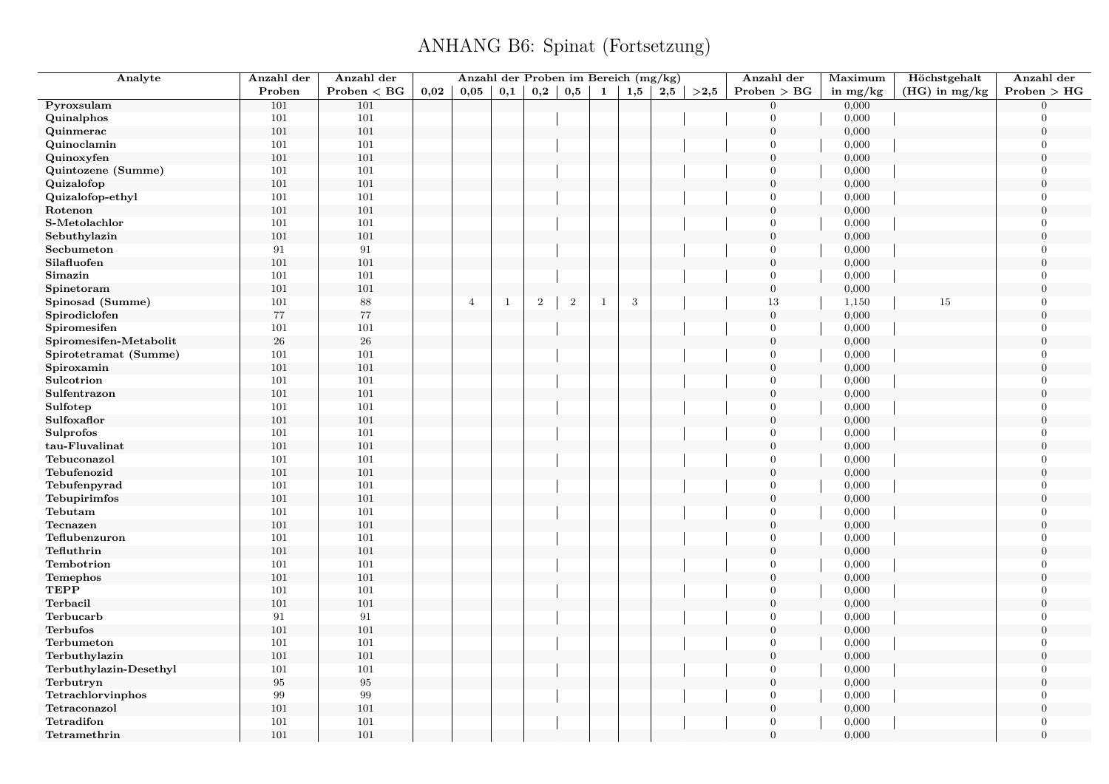| Analyte                | Anzahl der | Anzahl der   |      | Anzahl der Proben im Bereich (mg/kg) |              |            |                |              |              |     |      | Anzahl der       | Maximum    | Höchstgehalt  | Anzahl der       |
|------------------------|------------|--------------|------|--------------------------------------|--------------|------------|----------------|--------------|--------------|-----|------|------------------|------------|---------------|------------------|
|                        | Proben     | Problem < BG | 0.02 | 0,05                                 | 0,1          | 0,2        | 0,5            | $\mathbf{1}$ | $_{\rm 1,5}$ | 2,5 | >2,5 | Problem > BG     | in $mg/kg$ | (HG) in mg/kg | Problem > HG     |
| Pyroxsulam             | 101        | 101          |      |                                      |              |            |                |              |              |     |      | $\theta$         | 0,000      |               | $\Omega$         |
| Quinalphos             | 101        | 101          |      |                                      |              |            |                |              |              |     |      | $\Omega$         | 0,000      |               | $\Omega$         |
| Quinmerac              | 101        | 101          |      |                                      |              |            |                |              |              |     |      | $\overline{0}$   | 0,000      |               | $\overline{0}$   |
| Quinoclamin            | 101        | 101          |      |                                      |              |            |                |              |              |     |      | $\theta$         | 0,000      |               | $\overline{0}$   |
| Quinoxyfen             | 101        | 101          |      |                                      |              |            |                |              |              |     |      | $\overline{0}$   | 0,000      |               | $\overline{0}$   |
| Quintozene (Summe)     | 101        | 101          |      |                                      |              |            |                |              |              |     |      | $\theta$         | 0,000      |               | $\overline{0}$   |
| Quizalofop             | 101        | 101          |      |                                      |              |            |                |              |              |     |      | $\boldsymbol{0}$ | 0,000      |               | $\overline{0}$   |
| Quizalofop-ethyl       | 101        | 101          |      |                                      |              |            |                |              |              |     |      | $\overline{0}$   | 0,000      |               | $\overline{0}$   |
| Rotenon                | 101        | 101          |      |                                      |              |            |                |              |              |     |      | $\overline{0}$   | 0,000      |               | $\Omega$         |
| S-Metolachlor          | 101        | 101          |      |                                      |              |            |                |              |              |     |      | $\mathbf{0}$     | 0,000      |               | $\overline{0}$   |
| Sebuthylazin           | 101        | 101          |      |                                      |              |            |                |              |              |     |      | $\overline{0}$   | 0,000      |               | $\Omega$         |
| Secbumeton             | 91         | 91           |      |                                      |              |            |                |              |              |     |      | $\overline{0}$   | 0,000      |               | $\overline{0}$   |
| Silafluofen            | 101        | 101          |      |                                      |              |            |                |              |              |     |      | $\overline{0}$   | 0,000      |               | $\overline{0}$   |
| Simazin                | 101        | 101          |      |                                      |              |            |                |              |              |     |      | $\overline{0}$   | 0,000      |               | $\overline{0}$   |
| Spinetoram             | 101        | 101          |      |                                      |              |            |                |              |              |     |      | $\boldsymbol{0}$ | 0,000      |               | $\boldsymbol{0}$ |
| Spinosad (Summe)       | 101        | 88           |      | $\overline{4}$                       | $\mathbf{1}$ | $\sqrt{2}$ | $\overline{2}$ | $\mathbf{1}$ | 3            |     |      | 13               | 1,150      | 15            | $\overline{0}$   |
| Spirodiclofen          | 77         | $77\,$       |      |                                      |              |            |                |              |              |     |      | $\boldsymbol{0}$ | 0,000      |               | $\boldsymbol{0}$ |
| Spiromesifen           | 101        | 101          |      |                                      |              |            |                |              |              |     |      | $\theta$         | 0,000      |               | $\overline{0}$   |
| Spiromesifen-Metabolit | $26\,$     | $26\,$       |      |                                      |              |            |                |              |              |     |      | $\mathbf{0}$     | 0,000      |               | $\boldsymbol{0}$ |
| Spirotetramat (Summe)  | 101        | 101          |      |                                      |              |            |                |              |              |     |      | $\theta$         | 0,000      |               | $\overline{0}$   |
| Spiroxamin             | 101        | 101          |      |                                      |              |            |                |              |              |     |      | $\mathbf{0}$     | 0,000      |               | $\overline{0}$   |
| Sulcotrion             | 101        | 101          |      |                                      |              |            |                |              |              |     |      | $\Omega$         | 0,000      |               | $\Omega$         |
| Sulfentrazon           | 101        | $101\,$      |      |                                      |              |            |                |              |              |     |      | $\mathbf{0}$     | 0,000      |               | $\overline{0}$   |
| Sulfotep               | 101        | 101          |      |                                      |              |            |                |              |              |     |      | $\theta$         | 0,000      |               | $\Omega$         |
| Sulfoxaflor            | 101        | 101          |      |                                      |              |            |                |              |              |     |      | $\mathbf{0}$     | 0,000      |               | $\overline{0}$   |
| <b>Sulprofos</b>       | 101        | 101          |      |                                      |              |            |                |              |              |     |      | $\Omega$         | 0,000      |               | $\Omega$         |
| tau-Fluvalinat         | 101        | 101          |      |                                      |              |            |                |              |              |     |      | $\theta$         | 0,000      |               | $\overline{0}$   |
| Tebuconazol            | 101        | 101          |      |                                      |              |            |                |              |              |     |      | $\theta$         | 0,000      |               | $\overline{0}$   |
| Tebufenozid            | 101        | 101          |      |                                      |              |            |                |              |              |     |      | $\boldsymbol{0}$ | 0,000      |               | $\overline{0}$   |
| Tebufenpyrad           | 101        | 101          |      |                                      |              |            |                |              |              |     |      | $\overline{0}$   | 0,000      |               | $\overline{0}$   |
| Tebupirimfos           | 101        | 101          |      |                                      |              |            |                |              |              |     |      | $\overline{0}$   | 0,000      |               | $\Omega$         |
| Tebutam                | 101        | 101          |      |                                      |              |            |                |              |              |     |      | $\overline{0}$   | 0,000      |               | $\overline{0}$   |
| Tecnazen               | 101        | 101          |      |                                      |              |            |                |              |              |     |      | $\boldsymbol{0}$ | 0,000      |               | $\Omega$         |
| Teflubenzuron          | 101        | 101          |      |                                      |              |            |                |              |              |     |      | $\overline{0}$   | 0,000      |               | $\overline{0}$   |
| Tefluthrin             | 101        | 101          |      |                                      |              |            |                |              |              |     |      | $\overline{0}$   | 0,000      |               | $\Omega$         |
| Tembotrion             | 101        | 101          |      |                                      |              |            |                |              |              |     |      | $\overline{0}$   | 0,000      |               | $\overline{0}$   |
| Temephos               | 101        | $101\,$      |      |                                      |              |            |                |              |              |     |      | $\boldsymbol{0}$ | 0,000      |               | $\overline{0}$   |
| <b>TEPP</b>            | 101        | 101          |      |                                      |              |            |                |              |              |     |      | $\overline{0}$   | 0,000      |               | $\overline{0}$   |
| Terbacil               | 101        | 101          |      |                                      |              |            |                |              |              |     |      | $\mathbf{0}$     | 0,000      |               | $\overline{0}$   |
| Terbucarb              | 91         | 91           |      |                                      |              |            |                |              |              |     |      | $\mathbf{0}$     | 0,000      |               | $\overline{0}$   |
| <b>Terbufos</b>        | 101        | $101\,$      |      |                                      |              |            |                |              |              |     |      | $\mathbf{0}$     | 0,000      |               | $\boldsymbol{0}$ |
| Terbumeton             | 101        | 101          |      |                                      |              |            |                |              |              |     |      | $\theta$         | 0,000      |               | $\overline{0}$   |
| Terbuthylazin          | 101        | 101          |      |                                      |              |            |                |              |              |     |      | $\overline{0}$   | 0,000      |               | $\overline{0}$   |
| Terbuthylazin-Desethyl | 101        | 101          |      |                                      |              |            |                |              |              |     |      | $\overline{0}$   | 0,000      |               | $\overline{0}$   |
| Terbutryn              | 95         | 95           |      |                                      |              |            |                |              |              |     |      | $\boldsymbol{0}$ | 0,000      |               | $\overline{0}$   |
| Tetrachlorvinphos      | 99         | 99           |      |                                      |              |            |                |              |              |     |      | $\overline{0}$   | 0,000      |               | $\Omega$         |
| Tetraconazol           | 101        | $101\,$      |      |                                      |              |            |                |              |              |     |      | $\boldsymbol{0}$ | 0,000      |               | $\boldsymbol{0}$ |
| Tetradifon             | 101        | 101          |      |                                      |              |            |                |              |              |     |      | $\overline{0}$   | 0,000      |               | $\overline{0}$   |
| Tetramethrin           | 101        | 101          |      |                                      |              |            |                |              |              |     |      | $\overline{0}$   | 0,000      |               | $\overline{0}$   |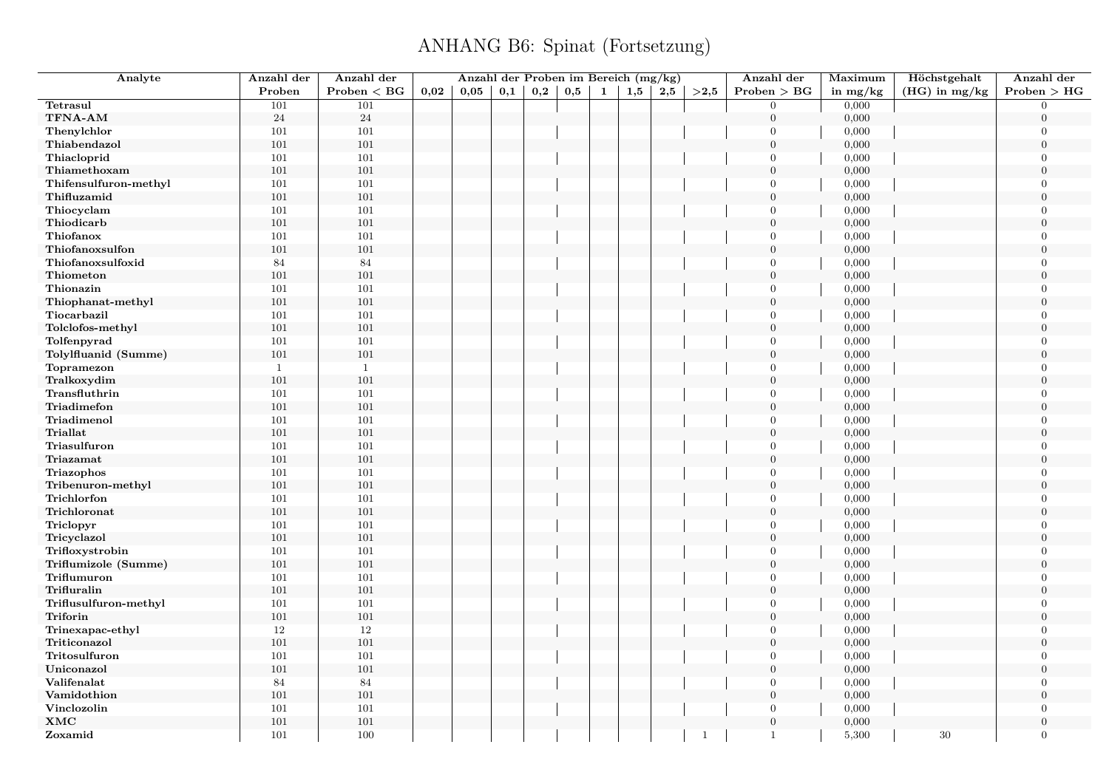| Analyte               | Anzahl der     | Anzahl der   |      | Anzahl der Proben im Bereich (mg/kg) |     |     |     |   |     |     |                | Anzahl der       | Maximum        | Höchstgehalt    | Anzahl der       |
|-----------------------|----------------|--------------|------|--------------------------------------|-----|-----|-----|---|-----|-----|----------------|------------------|----------------|-----------------|------------------|
|                       | Proben         | Problem < BG | 0.02 | 0.05                                 | 0,1 | 0,2 | 0,5 | 1 | 1,5 | 2,5 | >2.5           | Problem > BG     | in $mg/kg$     | $(HG)$ in mg/kg | Problem > HG     |
| Tetrasul              | 101            | 101          |      |                                      |     |     |     |   |     |     |                | $\overline{0}$   | 0,000          |                 | $\overline{0}$   |
| TFNA-AM               | 24             | $\sqrt{24}$  |      |                                      |     |     |     |   |     |     |                | $\boldsymbol{0}$ | 0,000          |                 | $\overline{0}$   |
| Thenylchlor           | 101            | 101          |      |                                      |     |     |     |   |     |     |                | $\mathbf{0}$     | 0,000          |                 | $\boldsymbol{0}$ |
| Thiabendazol          | 101            | 101          |      |                                      |     |     |     |   |     |     |                | $\overline{0}$   | 0,000          |                 | $\overline{0}$   |
| Thiacloprid           | 101            | 101          |      |                                      |     |     |     |   |     |     |                | $\overline{0}$   | 0,000          |                 | $\overline{0}$   |
| Thiamethoxam          | 101            | 101          |      |                                      |     |     |     |   |     |     |                | $\mathbf{0}$     | 0,000          |                 | $\boldsymbol{0}$ |
| Thifensulfuron-methyl | 101            | 101          |      |                                      |     |     |     |   |     |     |                | $\overline{0}$   | 0,000          |                 | $\overline{0}$   |
| Thifluzamid           | 101            | 101          |      |                                      |     |     |     |   |     |     |                | $\overline{0}$   | 0,000          |                 | $\overline{0}$   |
| Thiocyclam            | 101            | 101          |      |                                      |     |     |     |   |     |     |                | $\overline{0}$   | 0,000          |                 | $\Omega$         |
| Thiodicarb            | 101            | 101          |      |                                      |     |     |     |   |     |     |                | $\boldsymbol{0}$ | 0,000          |                 | $\boldsymbol{0}$ |
| Thiofanox             | 101            | 101          |      |                                      |     |     |     |   |     |     |                | $\overline{0}$   | 0,000          |                 | $\overline{0}$   |
| Thiofanoxsulfon       | 101            | 101          |      |                                      |     |     |     |   |     |     |                | $\overline{0}$   | 0,000          |                 | $\overline{0}$   |
| Thiofanoxsulfoxid     | 84             | 84           |      |                                      |     |     |     |   |     |     |                | $\overline{0}$   | 0,000          |                 | $\overline{0}$   |
| Thiometon             | 101            | 101          |      |                                      |     |     |     |   |     |     |                | $\mathbf{0}$     | 0,000          |                 | $\overline{0}$   |
| Thionazin             | 101            | 101          |      |                                      |     |     |     |   |     |     |                | $\overline{0}$   | 0,000          |                 | $\overline{0}$   |
| Thiophanat-methyl     | 101            | 101          |      |                                      |     |     |     |   |     |     |                | $\overline{0}$   | 0,000          |                 | $\Omega$         |
| Tiocarbazil           | $101\,$        | 101          |      |                                      |     |     |     |   |     |     |                | $\overline{0}$   | 0,000          |                 | $\overline{0}$   |
| Tolclofos-methyl      | $101\,$        | 101          |      |                                      |     |     |     |   |     |     |                | $\mathbf{0}$     | 0,000          |                 | $\overline{0}$   |
| Tolfenpyrad           | 101            | 101          |      |                                      |     |     |     |   |     |     |                | $\mathbf{0}$     | 0,000          |                 | $\overline{0}$   |
| Tolylfluanid (Summe)  | 101            | 101          |      |                                      |     |     |     |   |     |     |                | $\overline{0}$   | 0,000          |                 | $\overline{0}$   |
| Topramezon            | $\mathbf{1}$   | $\mathbf{1}$ |      |                                      |     |     |     |   |     |     |                | $\boldsymbol{0}$ | 0,000          |                 | $\boldsymbol{0}$ |
| Tralkoxydim           | 101            | 101          |      |                                      |     |     |     |   |     |     |                | $\mathbf{0}$     | 0,000          |                 | $\overline{0}$   |
| Transfluthrin         | 101            | 101          |      |                                      |     |     |     |   |     |     |                | $\overline{0}$   | 0,000          |                 | $\overline{0}$   |
| Triadimefon           | 101            | 101          |      |                                      |     |     |     |   |     |     |                | $\mathbf{0}$     | 0,000          |                 | $\overline{0}$   |
| Triadimenol           | 101            | 101          |      |                                      |     |     |     |   |     |     |                | $\mathbf{0}$     | 0,000          |                 | $\overline{0}$   |
| <b>Triallat</b>       | 101            | 101          |      |                                      |     |     |     |   |     |     |                | $\mathbf{0}$     | 0,000          |                 | $\overline{0}$   |
| Triasulfuron          | 101            | 101          |      |                                      |     |     |     |   |     |     |                | $\overline{0}$   | 0,000          |                 | $\overline{0}$   |
| Triazamat             | 101            | 101          |      |                                      |     |     |     |   |     |     |                | $\overline{0}$   | 0,000          |                 | $\overline{0}$   |
| Triazophos            | 101            | 101          |      |                                      |     |     |     |   |     |     |                | $\Omega$         | 0,000          |                 | $\overline{0}$   |
| Tribenuron-methyl     | $101\,$        | 101          |      |                                      |     |     |     |   |     |     |                | $\overline{0}$   | 0,000          |                 | $\overline{0}$   |
| Trichlorfon           | 101            | 101          |      |                                      |     |     |     |   |     |     |                | $\overline{0}$   | 0,000          |                 | $\overline{0}$   |
| Trichloronat          |                | 101          |      |                                      |     |     |     |   |     |     |                | $\boldsymbol{0}$ |                |                 | $\boldsymbol{0}$ |
|                       | $101\,$        |              |      |                                      |     |     |     |   |     |     |                | $\overline{0}$   | 0,000          |                 | $\Omega$         |
| Triclopyr             | $101\,$<br>101 | 101<br>101   |      |                                      |     |     |     |   |     |     |                | $\mathbf{0}$     | 0,000<br>0,000 |                 | $\overline{0}$   |
| Tricyclazol           |                | 101          |      |                                      |     |     |     |   |     |     |                | $\overline{0}$   | 0,000          |                 | $\Omega$         |
| Trifloxystrobin       | 101<br>101     | 101          |      |                                      |     |     |     |   |     |     |                | $\mathbf{0}$     | 0,000          |                 | $\boldsymbol{0}$ |
| Triflumizole (Summe)  | 101            | 101          |      |                                      |     |     |     |   |     |     |                | $\mathbf{0}$     |                |                 | $\overline{0}$   |
| Triflumuron           |                |              |      |                                      |     |     |     |   |     |     |                | $\mathbf{0}$     | 0,000          |                 |                  |
| Trifluralin           | 101            | 101<br>101   |      |                                      |     |     |     |   |     |     |                | $\overline{0}$   | 0,000          |                 | $\overline{0}$   |
| Triflusulfuron-methyl | 101            |              |      |                                      |     |     |     |   |     |     |                |                  | 0,000          |                 | $\overline{0}$   |
| Triforin              | $101\,$        | 101          |      |                                      |     |     |     |   |     |     |                | $\boldsymbol{0}$ | 0,000          |                 | $\overline{0}$   |
| Trinexapac-ethyl      | 12             | 12           |      |                                      |     |     |     |   |     |     |                | $\mathbf{0}$     | 0,000          |                 | $\overline{0}$   |
| Triticonazol          | 101            | 101          |      |                                      |     |     |     |   |     |     |                | $\overline{0}$   | 0,000          |                 | $\Omega$         |
| Tritosulfuron         | $101\,$        | 101          |      |                                      |     |     |     |   |     |     |                | $\mathbf{0}$     | 0,000          |                 | $\overline{0}$   |
| Uniconazol            | 101            | 101          |      |                                      |     |     |     |   |     |     |                | $\mathbf{0}$     | 0,000          |                 | $\overline{0}$   |
| Valifenalat           | 84             | 84           |      |                                      |     |     |     |   |     |     |                | $\mathbf{0}$     | 0,000          |                 | $\overline{0}$   |
| Vamidothion           | 101            | 101          |      |                                      |     |     |     |   |     |     |                | $\mathbf{0}$     | 0,000          |                 | $\overline{0}$   |
| Vinclozolin           | 101            | 101          |      |                                      |     |     |     |   |     |     |                | $\overline{0}$   | 0,000          |                 | $\overline{0}$   |
| XMC                   | 101            | 101          |      |                                      |     |     |     |   |     |     |                | $\mathbf{0}$     | 0,000          |                 | $\mathbf{0}$     |
| Zoxamid               | 101            | 100          |      |                                      |     |     |     |   |     |     | $\overline{1}$ | $\mathbf{1}$     | 5,300          | 30              | $\overline{0}$   |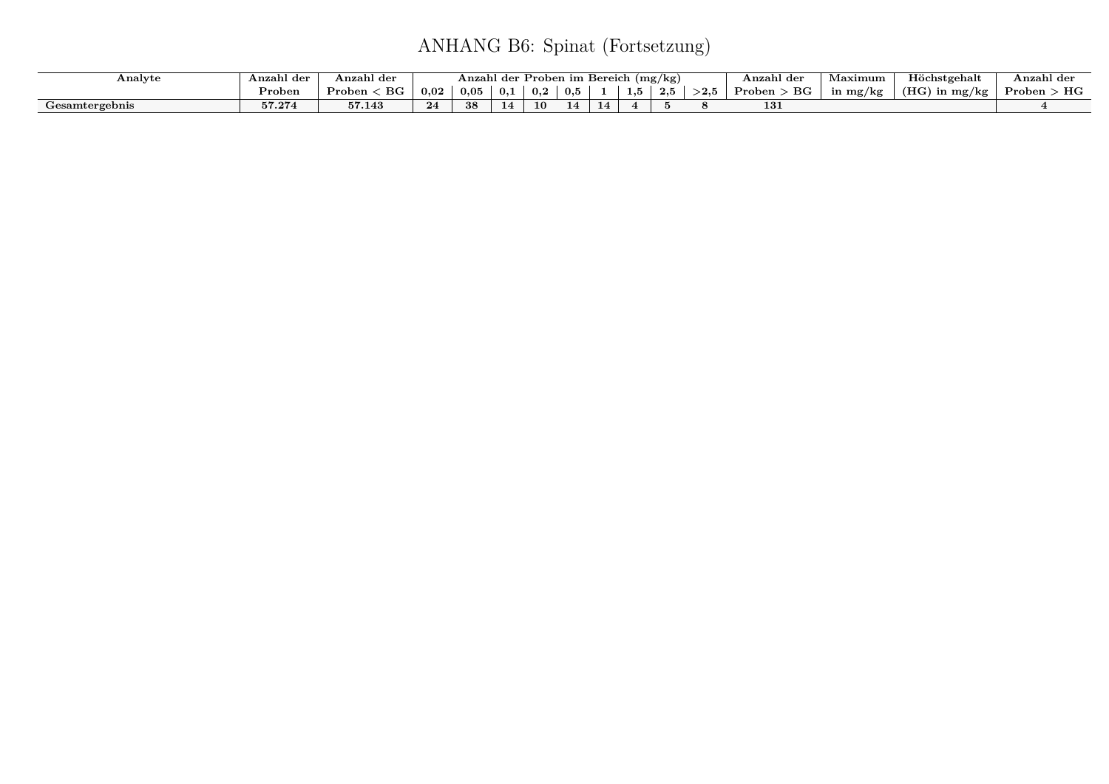| Analyte        | Anzahl der                  | Anzahl der            |                                                                    | Anzahl der |    | Proben im Bereich |  |    |  | (mg/kg) |  | Anzahl der   | Maximum  | Höchstgehalt            | Anzahl der   |
|----------------|-----------------------------|-----------------------|--------------------------------------------------------------------|------------|----|-------------------|--|----|--|---------|--|--------------|----------|-------------------------|--------------|
|                | $\mathbf{p}_{\text{roben}}$ | $_{\rm BG}$<br>Proben | 0.02<br>0,5<br>0.05<br>0,1<br>${>}2.5$<br>. .<br>0,2<br>⊥,⊍<br>ن م |            |    |                   |  |    |  |         |  | BG<br>Proben | in mg/kg | (HG)<br>.n mg/kg $\,$ ' | НG<br>Proben |
| Gesamtergebnis | 57.274                      | <b>K77</b><br>57.143  | $^{\bullet}$                                                       |            | 14 | 10                |  | 14 |  |         |  | 131          |          |                         |              |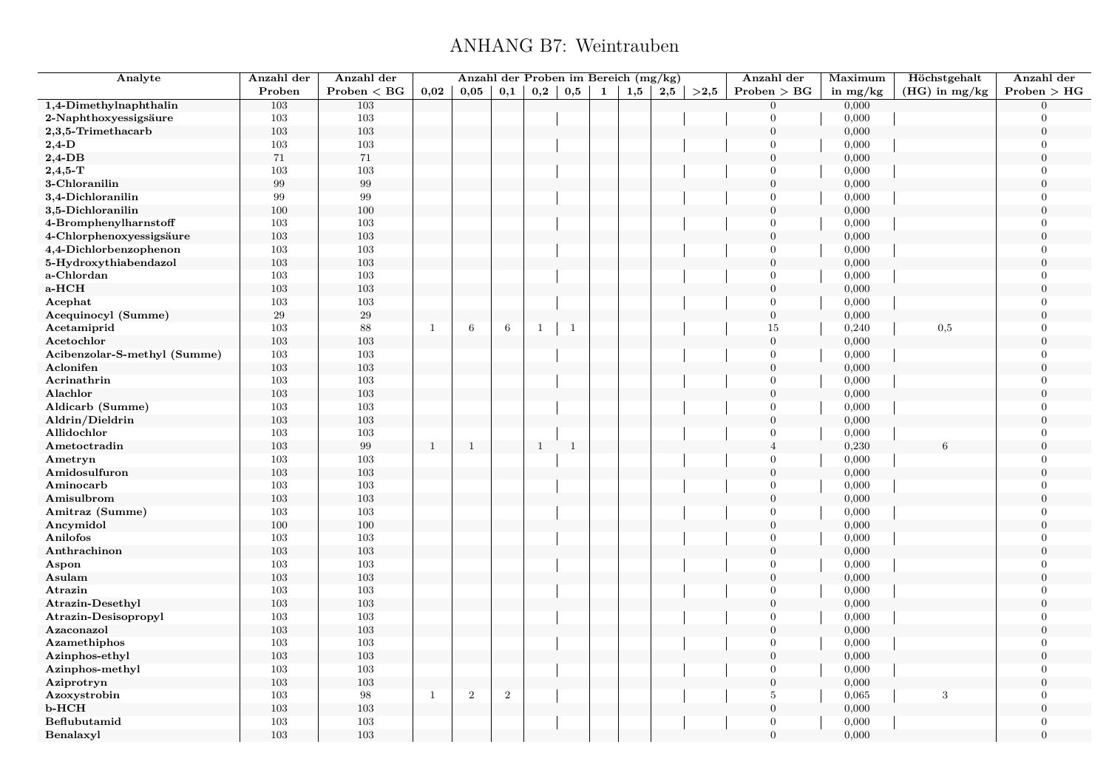#### ANHANG B7: Weintrauben

| Analyte                      | Anzahl der | Anzahl der        |              | Anzahl der Proben im Bereich (mg/kg) |                 |              |              |              |     |     |      | Anzahl der       | Maximum    | Höchstgehalt    | Anzahl der     |
|------------------------------|------------|-------------------|--------------|--------------------------------------|-----------------|--------------|--------------|--------------|-----|-----|------|------------------|------------|-----------------|----------------|
|                              | Proben     | Problem < BG      | 0,02         | 0,05                                 | 0,1             | 0,2          | $_{0,5}$     | $\mathbf{1}$ | 1,5 | 2,5 | >2,5 | Problem > BG     | in $mg/kg$ | $(HG)$ in mg/kg | Problem > HG   |
| 1,4-Dimethylnaphthalin       | 103        | 103               |              |                                      |                 |              |              |              |     |     |      | $\overline{0}$   | 0,000      |                 | $\Omega$       |
| 2-Naphthoxyessigsäure        | 103        | 103               |              |                                      |                 |              |              |              |     |     |      | $\overline{0}$   | 0,000      |                 | $\Omega$       |
| 2,3,5-Trimethacarb           | 103        | 103               |              |                                      |                 |              |              |              |     |     |      | $\overline{0}$   | 0,000      |                 | $\overline{0}$ |
| $2,4$ -D                     | 103        | 103               |              |                                      |                 |              |              |              |     |     |      | $\overline{0}$   | 0,000      |                 | $\Omega$       |
| $2,4$ -DB                    | 71         | 71                |              |                                      |                 |              |              |              |     |     |      | $\overline{0}$   | 0,000      |                 | $\theta$       |
| $2,4,5$ -T                   | 103        | $103\,$           |              |                                      |                 |              |              |              |     |     |      | $\overline{0}$   | 0,000      |                 | $\Omega$       |
| 3-Chloranilin                | 99         | $\boldsymbol{99}$ |              |                                      |                 |              |              |              |     |     |      | $\boldsymbol{0}$ | 0,000      |                 | $\overline{0}$ |
| 3,4-Dichloranilin            | 99         | 99                |              |                                      |                 |              |              |              |     |     |      | $\overline{0}$   | 0,000      |                 | $\overline{0}$ |
| 3,5-Dichloranilin            | 100        | 100               |              |                                      |                 |              |              |              |     |     |      | $\mathbf{0}$     | 0,000      |                 | $\theta$       |
| 4-Bromphenylharnstoff        | 103        | $103\,$           |              |                                      |                 |              |              |              |     |     |      | $\overline{0}$   | 0,000      |                 | $\overline{0}$ |
| 4-Chlorphenoxyessigsäure     | 103        | $103\,$           |              |                                      |                 |              |              |              |     |     |      | $\boldsymbol{0}$ | 0,000      |                 | $\Omega$       |
| 4,4-Dichlorbenzophenon       | 103        | 103               |              |                                      |                 |              |              |              |     |     |      | $\boldsymbol{0}$ | 0,000      |                 | $\overline{0}$ |
| 5-Hydroxythiabendazol        | 103        | 103               |              |                                      |                 |              |              |              |     |     |      | $\overline{0}$   | 0,000      |                 | $\overline{0}$ |
| a-Chlordan                   | 103        | 103               |              |                                      |                 |              |              |              |     |     |      | $\overline{0}$   | 0,000      |                 | $\overline{0}$ |
| a-HCH                        | 103        | 103               |              |                                      |                 |              |              |              |     |     |      | $\boldsymbol{0}$ | 0,000      |                 | $\overline{0}$ |
| Acephat                      | 103        | 103               |              |                                      |                 |              |              |              |     |     |      | $\overline{0}$   | 0,000      |                 | $\overline{0}$ |
| Acequinocyl (Summe)          | 29         | $\,29$            |              |                                      |                 |              |              |              |     |     |      | $\overline{0}$   | 0,000      |                 | $\overline{0}$ |
| Acetamiprid                  | 103        | 88                | -1           | 6                                    | $6\phantom{.}6$ | -1           | $\mathbf{1}$ |              |     |     |      | 15               | 0,240      | 0,5             | $\theta$       |
| Acetochlor                   | 103        | 103               |              |                                      |                 |              |              |              |     |     |      | $\mathbf{0}$     | 0,000      |                 | $\overline{0}$ |
| Acibenzolar-S-methyl (Summe) | 103        | 103               |              |                                      |                 |              |              |              |     |     |      | $\overline{0}$   | 0,000      |                 | $\overline{0}$ |
| Aclonifen                    | 103        | 103               |              |                                      |                 |              |              |              |     |     |      | $\mathbf{0}$     | 0,000      |                 | $\overline{0}$ |
| Acrinathrin                  | 103        | 103               |              |                                      |                 |              |              |              |     |     |      | $\overline{0}$   | 0,000      |                 | $\Omega$       |
| Alachlor                     | 103        | $103\,$           |              |                                      |                 |              |              |              |     |     |      | $\boldsymbol{0}$ | 0,000      |                 | $\theta$       |
| Aldicarb (Summe)             | 103        | 103               |              |                                      |                 |              |              |              |     |     |      | $\overline{0}$   | 0,000      |                 | $\Omega$       |
| Aldrin/Dieldrin              | 103        | 103               |              |                                      |                 |              |              |              |     |     |      | $\overline{0}$   | 0,000      |                 | $\overline{0}$ |
| Allidochlor                  | 103        | $103\,$           |              |                                      |                 |              |              |              |     |     |      | $\overline{0}$   | 0,000      |                 | $\theta$       |
| Ametoctradin                 | $103\,$    | $\,99$            | $\mathbf{1}$ | $\mathbf{1}$                         |                 | $\mathbf{1}$ | $\mathbf{1}$ |              |     |     |      | $\overline{4}$   | 0,230      | 6               | $\theta$       |
| Ametryn                      | 103        | 103               |              |                                      |                 |              |              |              |     |     |      | $\overline{0}$   | 0,000      |                 | $\overline{0}$ |
| Amidosulfuron                | 103        | 103               |              |                                      |                 |              |              |              |     |     |      | $\mathbf{0}$     | 0,000      |                 | $\overline{0}$ |
| Aminocarb                    | 103        | 103               |              |                                      |                 |              |              |              |     |     |      | $\overline{0}$   | 0,000      |                 | $\theta$       |
| Amisulbrom                   | 103        | 103               |              |                                      |                 |              |              |              |     |     |      | $\mathbf{0}$     | 0,000      |                 | $\Omega$       |
| Amitraz (Summe)              | 103        | 103               |              |                                      |                 |              |              |              |     |     |      | $\overline{0}$   | 0,000      |                 | $\overline{0}$ |
| Ancymidol                    | 100        | 100               |              |                                      |                 |              |              |              |     |     |      | $\mathbf{0}$     | 0,000      |                 | $\theta$       |
| Anilofos                     | 103        | $103\,$           |              |                                      |                 |              |              |              |     |     |      | $\overline{0}$   | 0,000      |                 | $\overline{0}$ |
| Anthrachinon                 | 103        | $103\,$           |              |                                      |                 |              |              |              |     |     |      | $\mathbf{0}$     | 0,000      |                 | $\theta$       |
| Aspon                        | 103        | 103               |              |                                      |                 |              |              |              |     |     |      | $\mathbf{0}$     | 0,000      |                 | $\overline{0}$ |
| Asulam                       | 103        | 103               |              |                                      |                 |              |              |              |     |     |      | $\boldsymbol{0}$ | 0,000      |                 | $\overline{0}$ |
| Atrazin                      | 103        | 103               |              |                                      |                 |              |              |              |     |     |      | $\overline{0}$   | 0,000      |                 | $\Omega$       |
| Atrazin-Desethyl             | 103        | $103\,$           |              |                                      |                 |              |              |              |     |     |      | $\boldsymbol{0}$ | 0,000      |                 | $\overline{0}$ |
| Atrazin-Desisopropyl         | 103        | 103               |              |                                      |                 |              |              |              |     |     |      | $\overline{0}$   | 0,000      |                 | $\overline{0}$ |
| Azaconazol                   | 103        | $103\,$           |              |                                      |                 |              |              |              |     |     |      | $\overline{0}$   | 0,000      |                 | $\overline{0}$ |
| Azamethiphos                 | 103        | 103               |              |                                      |                 |              |              |              |     |     |      | $\overline{0}$   | 0,000      |                 | $\theta$       |
| Azinphos-ethyl               | $103\,$    | $103\,$           |              |                                      |                 |              |              |              |     |     |      | $\mathbf{0}$     | 0,000      |                 | $\overline{0}$ |
| Azinphos-methyl              | 103        | 103               |              |                                      |                 |              |              |              |     |     |      | $\overline{0}$   | 0,000      |                 | $\Omega$       |
| Aziprotryn                   | 103        | 103               |              |                                      |                 |              |              |              |     |     |      | $\overline{0}$   | 0,000      |                 | $\overline{0}$ |
| Azoxystrobin                 | 103        | $98\,$            | $\mathbf{1}$ | $\sqrt{2}$                           | $\,2$           |              |              |              |     |     |      | $\overline{5}$   | 0,065      | 3               | $\theta$       |
| b-HCH                        | $103\,$    | $103\,$           |              |                                      |                 |              |              |              |     |     |      | $\boldsymbol{0}$ | 0,000      |                 | $\overline{0}$ |
| Beflubutamid                 | 103        | 103               |              |                                      |                 |              |              |              |     |     |      | $\overline{0}$   | 0,000      |                 | $\Omega$       |
| Benalaxyl                    | 103        | 103               |              |                                      |                 |              |              |              |     |     |      | $\overline{0}$   | 0,000      |                 | $\theta$       |
|                              |            |                   |              |                                      |                 |              |              |              |     |     |      |                  |            |                 |                |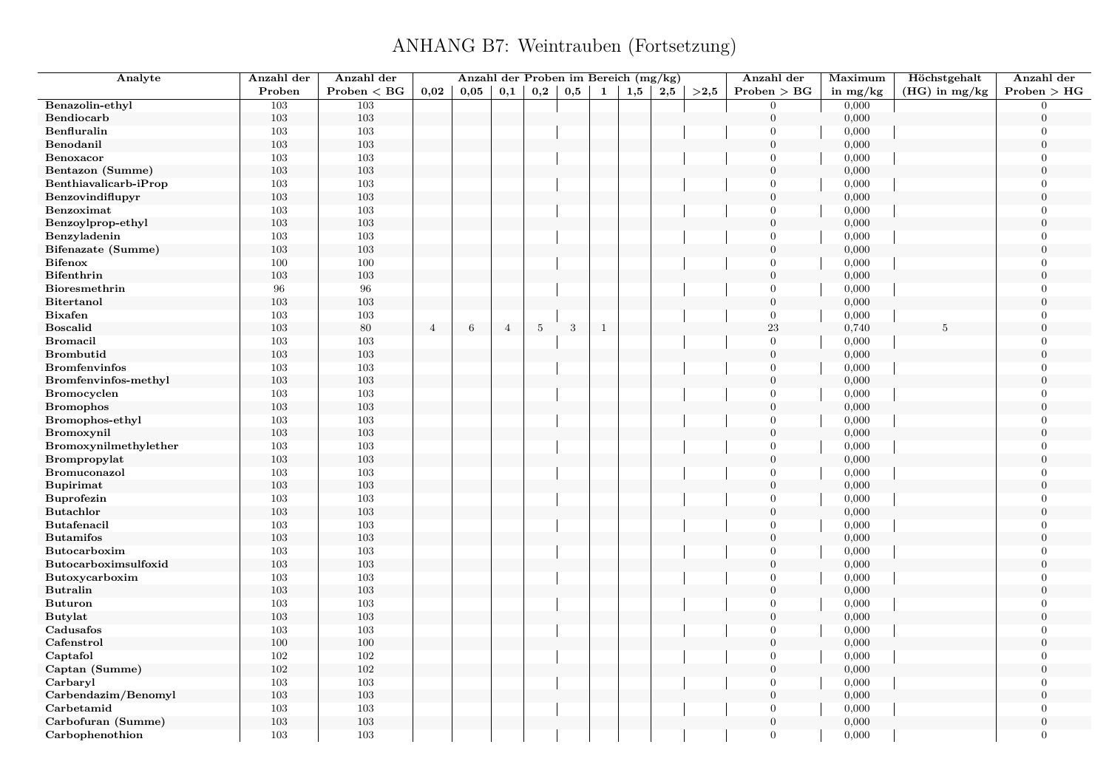#### ANHANG B7: Weintrauben (Fortsetzung)

| Analyte               | Anzahl der | Anzahl der   |                |                 |                |                |     |              | Anzahl der Proben im Bereich (mg/kg) |     |      | Anzahl der       | Maximum        | Höchstgehalt    | Anzahl der                 |
|-----------------------|------------|--------------|----------------|-----------------|----------------|----------------|-----|--------------|--------------------------------------|-----|------|------------------|----------------|-----------------|----------------------------|
|                       | Proben     | Problem < BG | 0.02           | 0,05            | 0,1            | $_{\rm 0,2}$   | 0,5 | 1            | 1,5                                  | 2,5 | >2,5 | Problem > BG     | in $mg/kg$     | $(HG)$ in mg/kg | Problem > HG               |
| Benazolin-ethyl       | 103        | 103          |                |                 |                |                |     |              |                                      |     |      | $\overline{0}$   | 0,000          |                 | $\overline{0}$             |
| Bendiocarb            | 103        | $103\,$      |                |                 |                |                |     |              |                                      |     |      | $\mathbf{0}$     | 0,000          |                 | $\overline{0}$             |
| Benfluralin           | 103        | 103          |                |                 |                |                |     |              |                                      |     |      | $\overline{0}$   | 0,000          |                 | $\overline{0}$             |
| Benodanil             | 103        | 103          |                |                 |                |                |     |              |                                      |     |      | $\overline{0}$   | 0,000          |                 | $\overline{0}$             |
| Benoxacor             | 103        | 103          |                |                 |                |                |     |              |                                      |     |      | $\Omega$         | 0,000          |                 | $\overline{0}$             |
| Bentazon (Summe)      | 103        | $103\,$      |                |                 |                |                |     |              |                                      |     |      | $\boldsymbol{0}$ | 0,000          |                 | $\boldsymbol{0}$           |
| Benthiavalicarb-iProp | 103        | 103          |                |                 |                |                |     |              |                                      |     |      | $\overline{0}$   | 0,000          |                 | $\overline{0}$             |
| Benzovindiflupyr      | 103        | 103          |                |                 |                |                |     |              |                                      |     |      | $\overline{0}$   | 0,000          |                 | $\overline{0}$             |
| Benzoximat            | 103        | 103          |                |                 |                |                |     |              |                                      |     |      | $\overline{0}$   | 0,000          |                 | $\Omega$                   |
| Benzoylprop-ethyl     | 103        | $103\,$      |                |                 |                |                |     |              |                                      |     |      | $\boldsymbol{0}$ | 0,000          |                 | $\boldsymbol{0}$           |
| Benzyladenin          | 103        | 103          |                |                 |                |                |     |              |                                      |     |      | $\overline{0}$   | 0,000          |                 | $\Omega$                   |
| Bifenazate (Summe)    | 103        | 103          |                |                 |                |                |     |              |                                      |     |      | $\overline{0}$   | 0,000          |                 | $\Omega$                   |
| <b>Bifenox</b>        | 100        | 100          |                |                 |                |                |     |              |                                      |     |      | $\overline{0}$   | 0,000          |                 | $\Omega$                   |
| <b>Bifenthrin</b>     | 103        | 103          |                |                 |                |                |     |              |                                      |     |      | $\boldsymbol{0}$ | 0,000          |                 | $\overline{0}$             |
| Bioresmethrin         | 96         | 96           |                |                 |                |                |     |              |                                      |     |      | $\overline{0}$   | 0,000          |                 | $\overline{0}$             |
| Bitertanol            | 103        | 103          |                |                 |                |                |     |              |                                      |     |      | $\overline{0}$   | 0,000          |                 | $\Omega$                   |
| <b>Bixafen</b>        | 103        | 103          |                |                 |                |                |     |              |                                      |     |      | $\overline{0}$   | 0,000          |                 | $\overline{0}$             |
| <b>Boscalid</b>       | 103        | 80           | $\overline{4}$ | $6\phantom{.}6$ | $\overline{4}$ | $\overline{5}$ | 3   | $\mathbf{1}$ |                                      |     |      | 23               | 0,740          | 5               | $\overline{0}$             |
| <b>Bromacil</b>       | 103        | 103          |                |                 |                |                |     |              |                                      |     |      | $\overline{0}$   | 0,000          |                 | $\overline{0}$             |
| <b>Brombutid</b>      | 103        | 103          |                |                 |                |                |     |              |                                      |     |      | $\mathbf{0}$     | 0,000          |                 | $\Omega$                   |
| <b>Bromfenvinfos</b>  | 103        | 103          |                |                 |                |                |     |              |                                      |     |      | $\overline{0}$   | 0,000          |                 | $\overline{0}$             |
| Bromfenvinfos-methyl  | 103        | 103          |                |                 |                |                |     |              |                                      |     |      | $\overline{0}$   | 0,000          |                 | $\overline{0}$             |
| <b>Bromocyclen</b>    | 103        | 103          |                |                 |                |                |     |              |                                      |     |      | $\overline{0}$   | 0,000          |                 | $\overline{0}$             |
| <b>Bromophos</b>      | 103        | 103          |                |                 |                |                |     |              |                                      |     |      | $\overline{0}$   | 0,000          |                 | $\overline{0}$             |
| Bromophos-ethyl       | 103        | 103          |                |                 |                |                |     |              |                                      |     |      | $\overline{0}$   | 0,000          |                 | $\overline{0}$             |
| Bromoxynil            | 103        | 103          |                |                 |                |                |     |              |                                      |     |      | $\overline{0}$   | 0,000          |                 | $\overline{0}$             |
| Bromoxynilmethylether | 103        | 103          |                |                 |                |                |     |              |                                      |     |      | $\overline{0}$   | 0,000          |                 | $\overline{0}$             |
| Brompropylat          | 103        | $103\,$      |                |                 |                |                |     |              |                                      |     |      | $\overline{0}$   | 0,000          |                 | $\overline{0}$             |
| Bromuconazol          | 103        | 103          |                |                 |                |                |     |              |                                      |     |      | $\Omega$         | 0,000          |                 | $\overline{0}$             |
| <b>Bupirimat</b>      | 103        | 103          |                |                 |                |                |     |              |                                      |     |      | $\overline{0}$   | 0,000          |                 | $\overline{0}$             |
| Buprofezin            | 103        | 103          |                |                 |                |                |     |              |                                      |     |      | $\overline{0}$   | 0,000          |                 | $\Omega$                   |
| <b>Butachlor</b>      | 103        | $103\,$      |                |                 |                |                |     |              |                                      |     |      | $\boldsymbol{0}$ | 0,000          |                 | $\boldsymbol{0}$           |
| <b>Butafenacil</b>    | 103        | $103\,$      |                |                 |                |                |     |              |                                      |     |      | $\overline{0}$   | 0,000          |                 | $\Omega$                   |
| <b>Butamifos</b>      | 103        | 103          |                |                 |                |                |     |              |                                      |     |      | $\overline{0}$   | 0,000          |                 | $\overline{0}$             |
| <b>Butocarboxim</b>   | 103        | 103          |                |                 |                |                |     |              |                                      |     |      | $\overline{0}$   | 0,000          |                 | $\Omega$                   |
| Butocarboximsulfoxid  | 103        | 103          |                |                 |                |                |     |              |                                      |     |      | $\overline{0}$   | 0,000          |                 | $\boldsymbol{0}$           |
| Butoxycarboxim        | 103        | 103          |                |                 |                |                |     |              |                                      |     |      | $\overline{0}$   | 0,000          |                 | $\overline{0}$             |
| <b>Butralin</b>       |            |              |                |                 |                |                |     |              |                                      |     |      | $\overline{0}$   |                |                 | $\overline{0}$             |
| <b>Buturon</b>        | 103<br>103 | 103<br>103   |                |                 |                |                |     |              |                                      |     |      | $\overline{0}$   | 0,000<br>0,000 |                 | $\overline{0}$             |
|                       | 103        | 103          |                |                 |                |                |     |              |                                      |     |      | $\boldsymbol{0}$ | 0,000          |                 | $\Omega$                   |
| <b>Butylat</b>        |            | 103          |                |                 |                |                |     |              |                                      |     |      | $\overline{0}$   |                |                 | $\overline{0}$             |
| Cadusafos             | 103<br>100 |              |                |                 |                |                |     |              |                                      |     |      | $\overline{0}$   | 0,000          |                 | $\Omega$                   |
| Cafenstrol            | 102        | 100          |                |                 |                |                |     |              |                                      |     |      |                  | 0,000          |                 |                            |
| Captafol              |            | $102\,$      |                |                 |                |                |     |              |                                      |     |      | $\overline{0}$   | 0,000          |                 | $\overline{0}$<br>$\Omega$ |
| Captan (Summe)        | 102        | $102\,$      |                |                 |                |                |     |              |                                      |     |      | $\boldsymbol{0}$ | 0,000          |                 |                            |
| Carbaryl              | 103        | 103          |                |                 |                |                |     |              |                                      |     |      | $\overline{0}$   | 0,000          |                 | $\overline{0}$             |
| Carbendazim/Benomyl   | 103        | 103          |                |                 |                |                |     |              |                                      |     |      | $\overline{0}$   | 0,000          |                 | $\overline{0}$             |
| Carbetamid            | 103        | 103          |                |                 |                |                |     |              |                                      |     |      | $\overline{0}$   | 0,000          |                 | $\overline{0}$             |
| Carbofuran (Summe)    | 103        | 103          |                |                 |                |                |     |              |                                      |     |      | $\mathbf{0}$     | 0,000          |                 | $\mathbf{0}$               |
| Carbophenothion       | 103        | 103          |                |                 |                |                |     |              |                                      |     |      | $\overline{0}$   | 0,000          |                 | $\overline{0}$             |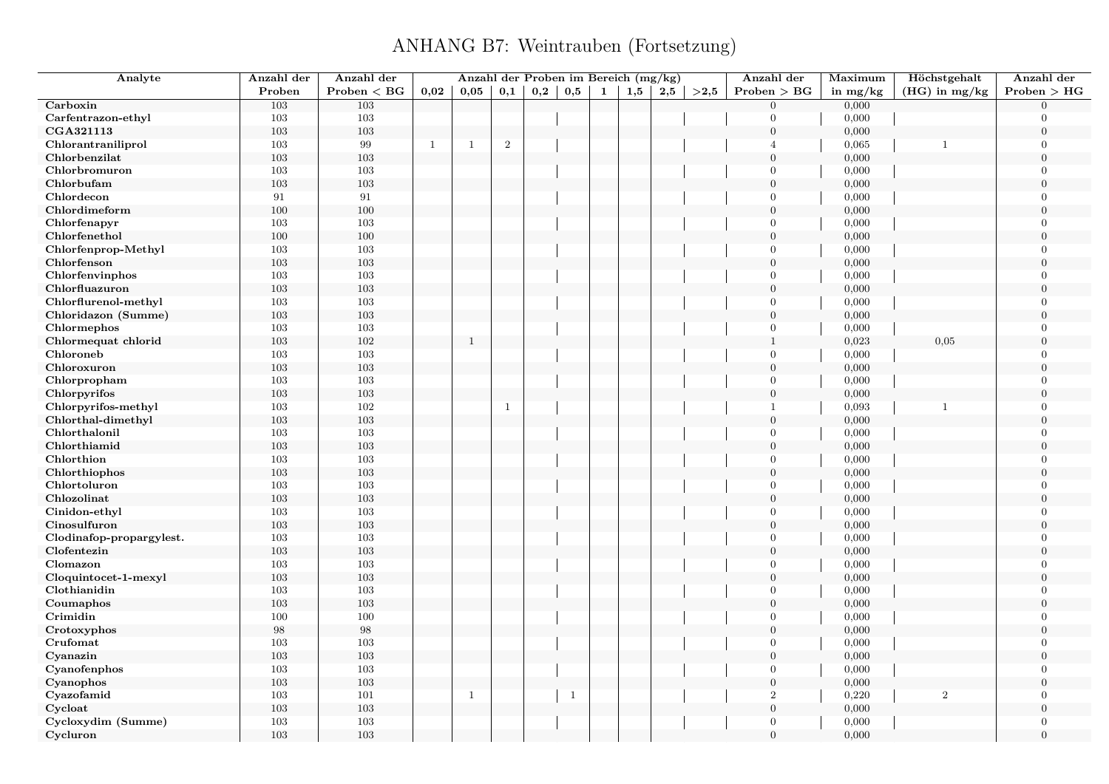## ANHANG B7: Weintrauben (Fortsetzung)

| Analyte                  | Anzahl der | Anzahl der   |              |              |                  |     |     |              | Anzahl der Proben im Bereich (mg/kg) |     |      | Anzahl der       | Maximum    | Höchstgehalt    | Anzahl der     |
|--------------------------|------------|--------------|--------------|--------------|------------------|-----|-----|--------------|--------------------------------------|-----|------|------------------|------------|-----------------|----------------|
|                          | Proben     | Problem < BG | 0,02         | 0.05         | 0,1              | 0,2 | 0,5 | $\mathbf{1}$ | 1,5                                  | 2,5 | >2,5 | Problem > BG     | in $mg/kg$ | $(HG)$ in mg/kg | Problem > HG   |
| Carboxin                 | 103        | 103          |              |              |                  |     |     |              |                                      |     |      | $\overline{0}$   | 0,000      |                 | $\Omega$       |
| Carfentrazon-ethyl       | 103        | 103          |              |              |                  |     |     |              |                                      |     |      | $\overline{0}$   | 0,000      |                 | $\overline{0}$ |
| CGA321113                | 103        | 103          |              |              |                  |     |     |              |                                      |     |      | $\mathbf{0}$     | 0,000      |                 | $\overline{0}$ |
| Chlorantraniliprol       | 103        | 99           | $\mathbf{1}$ | $\mathbf{1}$ | $\boldsymbol{2}$ |     |     |              |                                      |     |      | $\overline{4}$   | 0,065      | $\mathbf{1}$    | $\Omega$       |
| Chlorbenzilat            | 103        | 103          |              |              |                  |     |     |              |                                      |     |      | $\overline{0}$   | 0,000      |                 | $\theta$       |
| Chlorbromuron            | 103        | 103          |              |              |                  |     |     |              |                                      |     |      | $\overline{0}$   | 0,000      |                 | $\overline{0}$ |
| Chlorbufam               | 103        | 103          |              |              |                  |     |     |              |                                      |     |      | $\mathbf{0}$     | 0,000      |                 | $\overline{0}$ |
| Chlordecon               | 91         | 91           |              |              |                  |     |     |              |                                      |     |      | $\overline{0}$   | 0,000      |                 | $\overline{0}$ |
| Chlordimeform            | 100        | $100\,$      |              |              |                  |     |     |              |                                      |     |      | $\overline{0}$   | 0,000      |                 | $\Omega$       |
| Chlorfenapyr             | 103        | 103          |              |              |                  |     |     |              |                                      |     |      | $\overline{0}$   | 0,000      |                 | $\overline{0}$ |
| Chlorfenethol            | 100        | 100          |              |              |                  |     |     |              |                                      |     |      | $\mathbf{0}$     | 0,000      |                 | $\theta$       |
| Chlorfenprop-Methyl      | 103        | $103\,$      |              |              |                  |     |     |              |                                      |     |      | $\overline{0}$   | 0,000      |                 | $\overline{0}$ |
| Chlorfenson              | 103        | $103\,$      |              |              |                  |     |     |              |                                      |     |      | $\overline{0}$   | 0,000      |                 | $\theta$       |
| Chlorfenvinphos          | 103        | 103          |              |              |                  |     |     |              |                                      |     |      | $\mathbf{0}$     | 0,000      |                 | $\overline{0}$ |
| Chlorfluazuron           | 103        | 103          |              |              |                  |     |     |              |                                      |     |      | $\mathbf{0}$     | 0,000      |                 | $\overline{0}$ |
| Chlorflurenol-methyl     | 103        | 103          |              |              |                  |     |     |              |                                      |     |      | $\overline{0}$   | 0,000      |                 | $\overline{0}$ |
| Chloridazon (Summe)      | 103        | 103          |              |              |                  |     |     |              |                                      |     |      | $\boldsymbol{0}$ | 0,000      |                 | $\overline{0}$ |
| Chlormephos              | 103        | 103          |              |              |                  |     |     |              |                                      |     |      | $\overline{0}$   | 0,000      |                 | $\overline{0}$ |
| Chlormequat chlorid      | 103        | 102          |              | $\mathbf{1}$ |                  |     |     |              |                                      |     |      | $\mathbf{1}$     | 0,023      | 0,05            | $\overline{0}$ |
| Chloroneb                | 103        | 103          |              |              |                  |     |     |              |                                      |     |      | $\overline{0}$   | 0,000      |                 | $\Omega$       |
| Chloroxuron              | 103        | $103\,$      |              |              |                  |     |     |              |                                      |     |      | $\boldsymbol{0}$ | 0,000      |                 | $\overline{0}$ |
| Chlorpropham             | 103        | 103          |              |              |                  |     |     |              |                                      |     |      | $\overline{0}$   | 0,000      |                 | $\Omega$       |
| Chlorpyrifos             | 103        | 103          |              |              |                  |     |     |              |                                      |     |      | $\mathbf{0}$     | 0,000      |                 | $\theta$       |
| Chlorpyrifos-methyl      | 103        | 102          |              |              | $\overline{1}$   |     |     |              |                                      |     |      | $\mathbf{1}$     | 0,093      | $\mathbf{1}$    | $\Omega$       |
| Chlorthal-dimethyl       | 103        | $103\,$      |              |              |                  |     |     |              |                                      |     |      | $\mathbf{0}$     | 0,000      |                 | $\overline{0}$ |
| Chlorthalonil            | 103        | 103          |              |              |                  |     |     |              |                                      |     |      | $\overline{0}$   | 0,000      |                 | $\Omega$       |
| Chlorthiamid             | 103        | 103          |              |              |                  |     |     |              |                                      |     |      | $\overline{0}$   | 0,000      |                 | $\theta$       |
| Chlorthion               | 103        | $103\,$      |              |              |                  |     |     |              |                                      |     |      | $\Omega$         | 0,000      |                 | $\theta$       |
| Chlorthiophos            | 103        | $103\,$      |              |              |                  |     |     |              |                                      |     |      | $\boldsymbol{0}$ | 0,000      |                 | $\overline{0}$ |
| Chlortoluron             | 103        | 103          |              |              |                  |     |     |              |                                      |     |      | $\overline{0}$   | 0,000      |                 | $\theta$       |
| Chlozolinat              | 103        | $103\,$      |              |              |                  |     |     |              |                                      |     |      | $\overline{0}$   | 0,000      |                 | $\theta$       |
| Cinidon-ethyl            | 103        | 103          |              |              |                  |     |     |              |                                      |     |      | $\mathbf{0}$     | 0,000      |                 | $\Omega$       |
| Cinosulfuron             | 103        | 103          |              |              |                  |     |     |              |                                      |     |      | $\boldsymbol{0}$ | 0,000      |                 | $\theta$       |
| Clodinafop-propargylest. | 103        | 103          |              |              |                  |     |     |              |                                      |     |      | $\mathbf{0}$     | 0,000      |                 | $\overline{0}$ |
| Clofentezin              | 103        | $103\,$      |              |              |                  |     |     |              |                                      |     |      | $\overline{0}$   | 0,000      |                 | $\theta$       |
| Clomazon                 | 103        | 103          |              |              |                  |     |     |              |                                      |     |      | $\boldsymbol{0}$ | 0,000      |                 | $\theta$       |
| Cloquintocet-1-mexyl     | 103        | 103          |              |              |                  |     |     |              |                                      |     |      | $\mathbf{0}$     | 0,000      |                 | $\overline{0}$ |
| Clothianidin             | 103        | 103          |              |              |                  |     |     |              |                                      |     |      | $\overline{0}$   | 0,000      |                 | $\overline{0}$ |
| Coumaphos                | 103        | $103\,$      |              |              |                  |     |     |              |                                      |     |      | $\mathbf{0}$     | 0,000      |                 | $\overline{0}$ |
| Crimidin                 | 100        | 100          |              |              |                  |     |     |              |                                      |     |      | $\overline{0}$   | 0,000      |                 | $\overline{0}$ |
| Crotoxyphos              | $98\,$     | $98\,$       |              |              |                  |     |     |              |                                      |     |      | $\mathbf{0}$     | 0,000      |                 | $\overline{0}$ |
| Crufomat                 | 103        | 103          |              |              |                  |     |     |              |                                      |     |      | $\overline{0}$   | 0,000      |                 | $\Omega$       |
| Cyanazin                 | 103        | $103\,$      |              |              |                  |     |     |              |                                      |     |      | $\mathbf{0}$     | 0,000      |                 | $\overline{0}$ |
| Cyanofenphos             | 103        | 103          |              |              |                  |     |     |              |                                      |     |      | $\mathbf{0}$     | 0,000      |                 | $\Omega$       |
| Cyanophos                | 103        | 103          |              |              |                  |     |     |              |                                      |     |      | $\overline{0}$   | 0,000      |                 | $\overline{0}$ |
| Cyazofamid               | 103        | 101          |              | $\mathbf{1}$ |                  |     | -1  |              |                                      |     |      | $\sqrt{2}$       | 0,220      | $\sqrt{2}$      | $\theta$       |
| Cycloat                  | 103        | $103\,$      |              |              |                  |     |     |              |                                      |     |      | $\boldsymbol{0}$ | 0,000      |                 | $\theta$       |
| Cycloxydim (Summe)       | 103        | 103          |              |              |                  |     |     |              |                                      |     |      | $\mathbf{0}$     | 0,000      |                 | $\Omega$       |
| Cycluron                 | 103        | 103          |              |              |                  |     |     |              |                                      |     |      | $\overline{0}$   | 0,000      |                 | $\theta$       |
|                          |            |              |              |              |                  |     |     |              |                                      |     |      |                  |            |                 |                |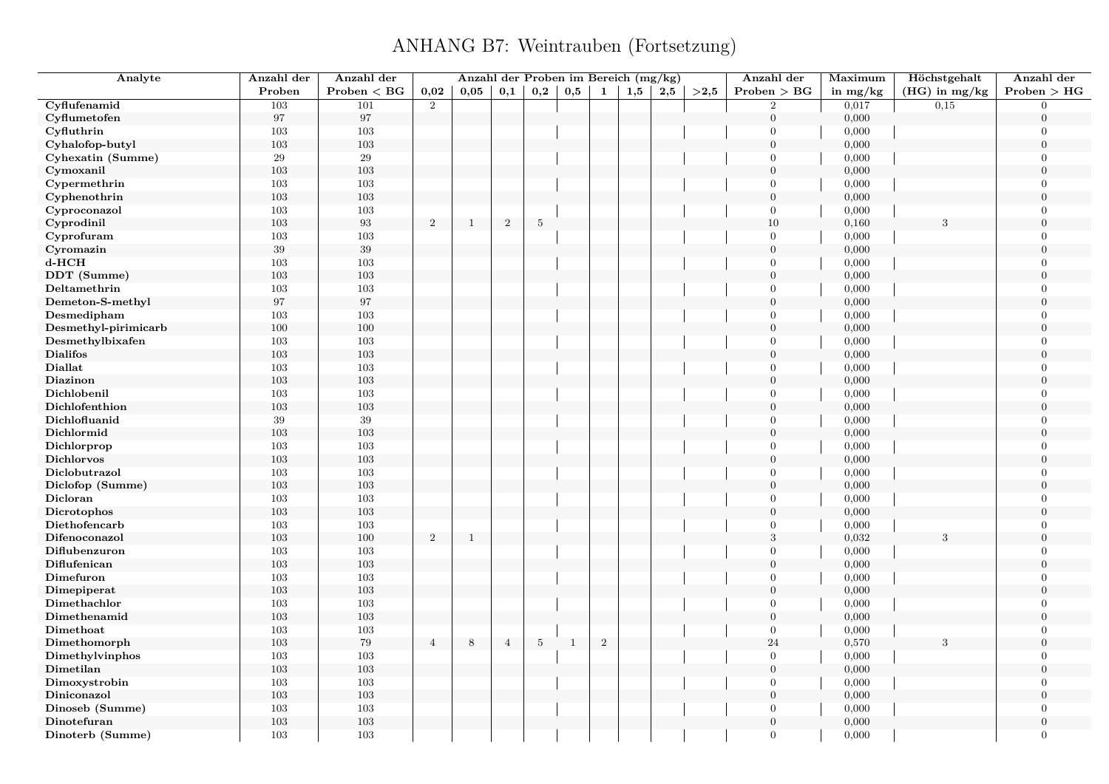#### ANHANG B7: Weintrauben (Fortsetzung)

| Analyte              | Anzahl der | Anzahl der        |                | Anzahl der Proben im Bereich (mg/kg) |                |                |              |            |     |     |      | Anzahl der       | Maximum    | Höchstgehalt    | Anzahl der       |
|----------------------|------------|-------------------|----------------|--------------------------------------|----------------|----------------|--------------|------------|-----|-----|------|------------------|------------|-----------------|------------------|
|                      | Proben     | Problem < BG      | 0,02           | 0.05                                 | 0,1            | 0,2            | 0,5          | 1          | 1,5 | 2,5 | >2,5 | Problem > BG     | in $mg/kg$ | $(HG)$ in mg/kg | Problem > HG     |
| Cyflufenamid         | 103        | 101               | $\overline{2}$ |                                      |                |                |              |            |     |     |      | $\overline{2}$   | 0,017      | 0.15            | $\Omega$         |
| Cyflumetofen         | 97         | $\bf{97}$         |                |                                      |                |                |              |            |     |     |      | $\boldsymbol{0}$ | 0,000      |                 | $\overline{0}$   |
| Cyfluthrin           | 103        | 103               |                |                                      |                |                |              |            |     |     |      | $\mathbf{0}$     | 0,000      |                 | $\overline{0}$   |
| Cyhalofop-butyl      | 103        | 103               |                |                                      |                |                |              |            |     |     |      | $\overline{0}$   | 0,000      |                 | $\overline{0}$   |
| Cyhexatin (Summe)    | 29         | 29                |                |                                      |                |                |              |            |     |     |      | $\Omega$         | 0,000      |                 | $\theta$         |
| Cymoxanil            | $103\,$    | 103               |                |                                      |                |                |              |            |     |     |      | $\mathbf{0}$     | 0,000      |                 | $\boldsymbol{0}$ |
| Cypermethrin         | 103        | 103               |                |                                      |                |                |              |            |     |     |      | $\overline{0}$   | 0,000      |                 | $\Omega$         |
| Cyphenothrin         | 103        | 103               |                |                                      |                |                |              |            |     |     |      | $\boldsymbol{0}$ | 0,000      |                 | $\overline{0}$   |
| Cyproconazol         | 103        | 103               |                |                                      |                |                |              |            |     |     |      | $\overline{0}$   | 0,000      |                 | $\Omega$         |
| Cyprodinil           | 103        | $\boldsymbol{93}$ | $\sqrt{2}$     | $\mathbf{1}$                         | $\,2$          | $\overline{5}$ |              |            |     |     |      | $10\,$           | 0,160      | $\sqrt{3}$      | $\overline{0}$   |
| Cyprofuram           | 103        | 103               |                |                                      |                |                |              |            |     |     |      | $\overline{0}$   | 0,000      |                 | $\theta$         |
| Cyromazin            | $39\,$     | $39\,$            |                |                                      |                |                |              |            |     |     |      | $\overline{0}$   | 0,000      |                 | $\theta$         |
| $d$ - $HCH$          | 103        | 103               |                |                                      |                |                |              |            |     |     |      | $\overline{0}$   | 0,000      |                 | $\theta$         |
| DDT (Summe)          | 103        | 103               |                |                                      |                |                |              |            |     |     |      | $\boldsymbol{0}$ | 0,000      |                 | $\overline{0}$   |
| Deltamethrin         | 103        | 103               |                |                                      |                |                |              |            |     |     |      | $\overline{0}$   | 0,000      |                 | $\Omega$         |
| Demeton-S-methyl     | 97         | 97                |                |                                      |                |                |              |            |     |     |      | $\overline{0}$   | 0,000      |                 | $\theta$         |
| Desmedipham          | 103        | 103               |                |                                      |                |                |              |            |     |     |      | $\overline{0}$   | 0,000      |                 | $\Omega$         |
| Desmethyl-pirimicarb | $100\,$    | 100               |                |                                      |                |                |              |            |     |     |      | $\boldsymbol{0}$ | 0,000      |                 | $\overline{0}$   |
| Desmethylbixafen     | 103        | 103               |                |                                      |                |                |              |            |     |     |      | $\boldsymbol{0}$ | 0,000      |                 | $\overline{0}$   |
| <b>Dialifos</b>      | 103        | 103               |                |                                      |                |                |              |            |     |     |      | $\overline{0}$   | 0,000      |                 | $\theta$         |
| Diallat              | 103        | 103               |                |                                      |                |                |              |            |     |     |      | $\boldsymbol{0}$ | 0,000      |                 | $\Omega$         |
| Diazinon             | 103        | 103               |                |                                      |                |                |              |            |     |     |      | $\overline{0}$   | 0,000      |                 | $\overline{0}$   |
| Dichlobenil          | 103        | 103               |                |                                      |                |                |              |            |     |     |      | $\overline{0}$   | 0,000      |                 | $\Omega$         |
| Dichlofenthion       | 103        | 103               |                |                                      |                |                |              |            |     |     |      | $\overline{0}$   | 0,000      |                 | $\overline{0}$   |
| Dichlofluanid        | $39\,$     | $39\,$            |                |                                      |                |                |              |            |     |     |      | $\mathbf{0}$     | 0,000      |                 | $\theta$         |
| Dichlormid           | 103        | 103               |                |                                      |                |                |              |            |     |     |      | $\boldsymbol{0}$ | 0,000      |                 | $\overline{0}$   |
| Dichlorprop          | 103        | 103               |                |                                      |                |                |              |            |     |     |      | $\overline{0}$   | 0,000      |                 | $\overline{0}$   |
| Dichlorvos           | 103        | 103               |                |                                      |                |                |              |            |     |     |      | $\overline{0}$   | 0,000      |                 | $\overline{0}$   |
| Diclobutrazol        | 103        | 103               |                |                                      |                |                |              |            |     |     |      | $\Omega$         | 0,000      |                 | $\theta$         |
| Diclofop (Summe)     | 103        | 103               |                |                                      |                |                |              |            |     |     |      | $\overline{0}$   | 0,000      |                 | $\overline{0}$   |
| Dicloran             | 103        | 103               |                |                                      |                |                |              |            |     |     |      | $\overline{0}$   | 0,000      |                 | $\Omega$         |
| Dicrotophos          | 103        | 103               |                |                                      |                |                |              |            |     |     |      | $\overline{0}$   | 0,000      |                 | $\overline{0}$   |
| Diethofencarb        | $103\,$    | $103\,$           |                |                                      |                |                |              |            |     |     |      | $\overline{0}$   | 0,000      |                 | $\Omega$         |
| Difenoconazol        | 103        | 100               | $\,2$          | $\mathbf{1}$                         |                |                |              |            |     |     |      | 3                | 0,032      | 3               | $\overline{0}$   |
| Diflubenzuron        | 103        | 103               |                |                                      |                |                |              |            |     |     |      | $\Omega$         | 0,000      |                 | $\Omega$         |
| Diflufenican         | 103        | 103               |                |                                      |                |                |              |            |     |     |      | $\overline{0}$   | 0,000      |                 | $\overline{0}$   |
| Dimefuron            | 103        | 103               |                |                                      |                |                |              |            |     |     |      | $\overline{0}$   | 0,000      |                 | $\Omega$         |
| Dimepiperat          | 103        | 103               |                |                                      |                |                |              |            |     |     |      | $\overline{0}$   | 0,000      |                 | $\theta$         |
| Dimethachlor         | 103        | 103               |                |                                      |                |                |              |            |     |     |      | $\overline{0}$   | 0,000      |                 | $\Omega$         |
| Dimethenamid         | $103\,$    | 103               |                |                                      |                |                |              |            |     |     |      | $\boldsymbol{0}$ | 0,000      |                 | $\theta$         |
| Dimethoat            | 103        | 103               |                |                                      |                |                |              |            |     |     |      | $\overline{0}$   | 0,000      |                 | $\overline{0}$   |
| Dimethomorph         | 103        | $79\,$            | $\overline{4}$ | 8                                    | $\overline{4}$ | $\overline{5}$ | <sup>1</sup> | $\sqrt{2}$ |     |     |      | 24               | 0,570      |                 | $\theta$         |
| Dimethylvinphos      | 103        | $103\,$           |                |                                      |                |                |              |            |     |     |      | $\overline{0}$   | 0,000      |                 | $\overline{0}$   |
| Dimetilan            | $103\,$    | $103\,$           |                |                                      |                |                |              |            |     |     |      | $\boldsymbol{0}$ | 0,000      |                 | $\theta$         |
| Dimoxystrobin        | 103        | 103               |                |                                      |                |                |              |            |     |     |      | $\boldsymbol{0}$ | 0,000      |                 | $\overline{0}$   |
| Diniconazol          | 103        | 103               |                |                                      |                |                |              |            |     |     |      | $\overline{0}$   | 0,000      |                 | $\theta$         |
| Dinoseb (Summe)      | 103        | 103               |                |                                      |                |                |              |            |     |     |      | $\overline{0}$   | 0,000      |                 | $\Omega$         |
| Dinotefuran          | 103        | 103               |                |                                      |                |                |              |            |     |     |      | $\mathbf{0}$     | 0,000      |                 | $\overline{0}$   |
| Dinoterb (Summe)     | 103        | 103               |                |                                      |                |                |              |            |     |     |      | $\overline{0}$   | 0,000      |                 | $\Omega$         |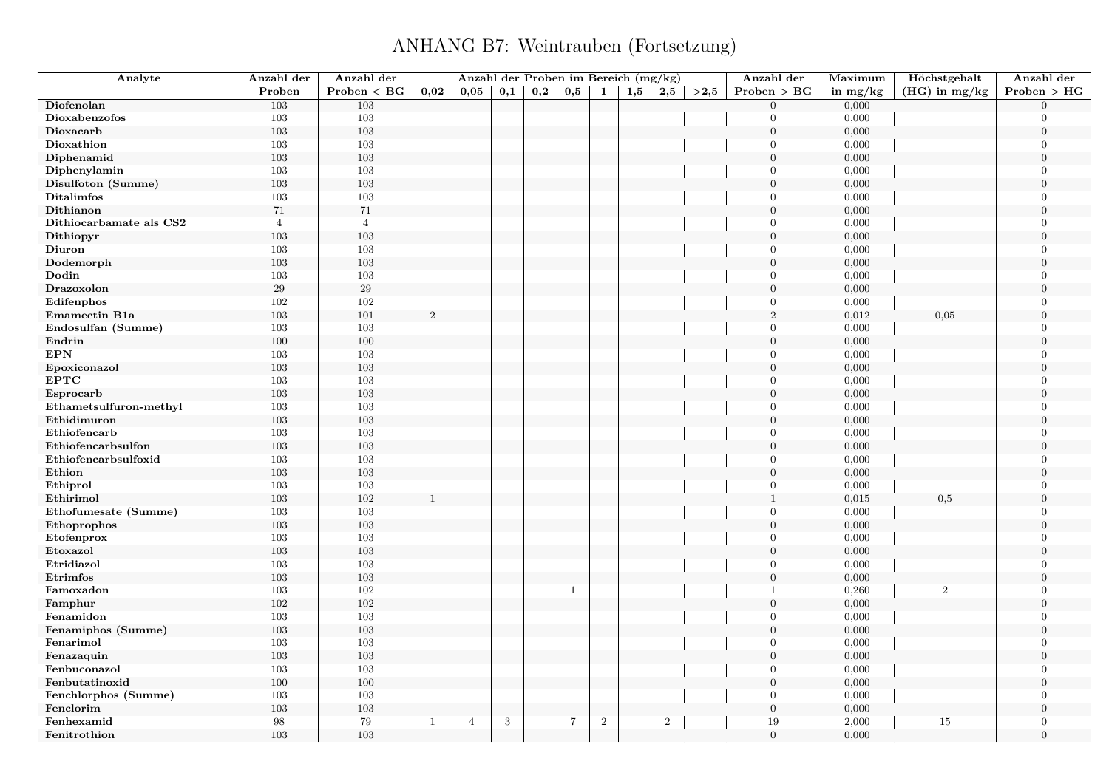| Analyte                 | Anzahl der     | Anzahl der     |                | Anzahl der Proben im Bereich (mg/kg) |     |     |                |                |     |                |      | Anzahl der       | Maximum    | Höchstgehalt    | Anzahl der       |
|-------------------------|----------------|----------------|----------------|--------------------------------------|-----|-----|----------------|----------------|-----|----------------|------|------------------|------------|-----------------|------------------|
|                         | Proben         | Problem < BG   | 0,02           | 0,05                                 | 0,1 | 0,2 | 0,5            | 1              | 1,5 | 2,5            | >2,5 | Problem > BG     | in $mg/kg$ | $(HG)$ in mg/kg | Problem > HG     |
| Diofenolan              | 103            | 103            |                |                                      |     |     |                |                |     |                |      | $\theta$         | 0,000      |                 | $\Omega$         |
| Dioxabenzofos           | 103            | 103            |                |                                      |     |     |                |                |     |                |      | $\Omega$         | 0,000      |                 | $\Omega$         |
| Dioxacarb               | 103            | 103            |                |                                      |     |     |                |                |     |                |      | $\boldsymbol{0}$ | 0,000      |                 | $\overline{0}$   |
| Dioxathion              | 103            | 103            |                |                                      |     |     |                |                |     |                |      | $\theta$         | 0,000      |                 | $\Omega$         |
| Diphenamid              | 103            | 103            |                |                                      |     |     |                |                |     |                |      | $\overline{0}$   | 0,000      |                 | $\Omega$         |
| Diphenylamin            | 103            | 103            |                |                                      |     |     |                |                |     |                |      | $\theta$         | 0,000      |                 | $\Omega$         |
| Disulfoton (Summe)      | 103            | 103            |                |                                      |     |     |                |                |     |                |      | $\boldsymbol{0}$ | 0,000      |                 | $\overline{0}$   |
| Ditalimfos              | 103            | 103            |                |                                      |     |     |                |                |     |                |      | $\overline{0}$   | 0,000      |                 | $\overline{0}$   |
| Dithianon               | 71             | 71             |                |                                      |     |     |                |                |     |                |      | $\overline{0}$   | 0,000      |                 | $\Omega$         |
| Dithiocarbamate als CS2 | $\overline{4}$ | $\overline{4}$ |                |                                      |     |     |                |                |     |                |      | $\overline{0}$   | 0,000      |                 | $\Omega$         |
| Dithiopyr               | 103            | $103\,$        |                |                                      |     |     |                |                |     |                |      | $\overline{0}$   | 0,000      |                 | $\overline{0}$   |
| Diuron                  | 103            | 103            |                |                                      |     |     |                |                |     |                |      | $\overline{0}$   | 0,000      |                 | $\overline{0}$   |
| Dodemorph               | 103            | 103            |                |                                      |     |     |                |                |     |                |      | $\overline{0}$   | 0,000      |                 | $\overline{0}$   |
| Dodin                   | 103            | 103            |                |                                      |     |     |                |                |     |                |      | $\theta$         | 0,000      |                 | $\overline{0}$   |
| Drazoxolon              | 29             | $\,29$         |                |                                      |     |     |                |                |     |                |      | $\boldsymbol{0}$ | 0,000      |                 | $\overline{0}$   |
| Edifenphos              | 102            | 102            |                |                                      |     |     |                |                |     |                |      | $\mathbf{0}$     | 0,000      |                 | $\overline{0}$   |
| <b>Emamectin B1a</b>    | 103            | 101            | $\overline{2}$ |                                      |     |     |                |                |     |                |      | 2                | 0,012      | 0,05            | $\boldsymbol{0}$ |
| Endosulfan (Summe)      | 103            | 103            |                |                                      |     |     |                |                |     |                |      | $\Omega$         | 0,000      |                 | $\theta$         |
| Endrin                  | 100            | 100            |                |                                      |     |     |                |                |     |                |      | $\mathbf{0}$     | 0,000      |                 | $\overline{0}$   |
| <b>EPN</b>              | 103            | 103            |                |                                      |     |     |                |                |     |                |      | $\overline{0}$   | 0,000      |                 | $\overline{0}$   |
| Epoxiconazol            | 103            | 103            |                |                                      |     |     |                |                |     |                |      | $\boldsymbol{0}$ | 0,000      |                 | $\overline{0}$   |
| <b>EPTC</b>             | 103            | 103            |                |                                      |     |     |                |                |     |                |      | $\Omega$         | 0,000      |                 | $\Omega$         |
| Esprocarb               | 103            | $103\,$        |                |                                      |     |     |                |                |     |                |      | $\mathbf{0}$     | 0,000      |                 | $\Omega$         |
| Ethametsulfuron-methyl  | 103            | 103            |                |                                      |     |     |                |                |     |                |      | $\theta$         | 0,000      |                 | $\theta$         |
| Ethidimuron             | 103            | 103            |                |                                      |     |     |                |                |     |                |      | $\overline{0}$   | 0,000      |                 | $\overline{0}$   |
| Ethiofencarb            | 103            | 103            |                |                                      |     |     |                |                |     |                |      | $\overline{0}$   | 0,000      |                 | $\theta$         |
| Ethiofencarbsulfon      | 103            | 103            |                |                                      |     |     |                |                |     |                |      | $\overline{0}$   | 0,000      |                 | $\Omega$         |
| Ethiofencarbsulfoxid    | 103            | 103            |                |                                      |     |     |                |                |     |                |      | $\theta$         | 0,000      |                 | $\overline{0}$   |
| Ethion                  | 103            | 103            |                |                                      |     |     |                |                |     |                |      | $\overline{0}$   | 0,000      |                 | $\Omega$         |
| Ethiprol                | 103            | 103            |                |                                      |     |     |                |                |     |                |      | $\overline{0}$   | 0,000      |                 | $\theta$         |
| Ethirimol               | 103            | $102\,$        | $\mathbf{1}$   |                                      |     |     |                |                |     |                |      | $\mathbf{1}$     | 0,015      | 0,5             | $\Omega$         |
| Ethofumesate (Summe)    | 103            | 103            |                |                                      |     |     |                |                |     |                |      | $\mathbf{0}$     | 0,000      |                 | $\overline{0}$   |
| Ethoprophos             | 103            | 103            |                |                                      |     |     |                |                |     |                |      | $\overline{0}$   | 0,000      |                 | $\Omega$         |
| Etofenprox              | $103\,$        | 103            |                |                                      |     |     |                |                |     |                |      | $\theta$         | 0,000      |                 | $\theta$         |
|                         |                | $103\,$        |                |                                      |     |     |                |                |     |                |      | $\overline{0}$   | 0,000      |                 | $\Omega$         |
| Etoxazol<br>Etridiazol  | 103<br>103     | 103            |                |                                      |     |     |                |                |     |                |      | $\overline{0}$   |            |                 | $\overline{0}$   |
|                         |                |                |                |                                      |     |     |                |                |     |                |      | $\mathbf{0}$     | 0,000      |                 | $\overline{0}$   |
| Etrimfos                | 103            | 103            |                |                                      |     |     |                |                |     |                |      |                  | 0,000      |                 |                  |
| Famoxadon               | 103            | 102            |                |                                      |     |     | $\mathbf{1}$   |                |     |                |      | $\mathbf{1}$     | 0,260      | $\overline{2}$  | $\theta$         |
| Famphur                 | $102\,$        | 102            |                |                                      |     |     |                |                |     |                |      | $\boldsymbol{0}$ | 0,000      |                 | $\overline{0}$   |
| Fenamidon               | 103            | 103            |                |                                      |     |     |                |                |     |                |      | $\theta$         | 0,000      |                 | $\overline{0}$   |
| Fenamiphos (Summe)      | 103            | 103            |                |                                      |     |     |                |                |     |                |      | $\theta$         | 0,000      |                 | $\overline{0}$   |
| Fenarimol               | 103            | 103            |                |                                      |     |     |                |                |     |                |      | $\theta$         | 0,000      |                 | $\theta$         |
| Fenazaquin              | $103\,$        | $103\,$        |                |                                      |     |     |                |                |     |                |      | $\boldsymbol{0}$ | 0,000      |                 | $\boldsymbol{0}$ |
| Fenbuconazol            | 103            | 103            |                |                                      |     |     |                |                |     |                |      | $\theta$         | 0,000      |                 | $\theta$         |
| Fenbutatinoxid          | 100            | 100            |                |                                      |     |     |                |                |     |                |      | $\mathbf{0}$     | 0,000      |                 | $\overline{0}$   |
| Fenchlorphos (Summe)    | 103            | 103            |                |                                      |     |     |                |                |     |                |      | $\overline{0}$   | 0,000      |                 | $\Omega$         |
| Fenclorim               | $103\,$        | $103\,$        |                |                                      |     |     |                |                |     |                |      | $\boldsymbol{0}$ | 0,000      |                 | $\Omega$         |
| Fenhexamid              | 98             | 79             | $\mathbf{1}$   | $\overline{4}$                       | 3   |     | $\overline{7}$ | $\overline{2}$ |     | $\overline{2}$ |      | 19               | 2,000      | 15              | $\Omega$         |
| Fenitrothion            | 103            | 103            |                |                                      |     |     |                |                |     |                |      | $\overline{0}$   | 0,000      |                 | $\Omega$         |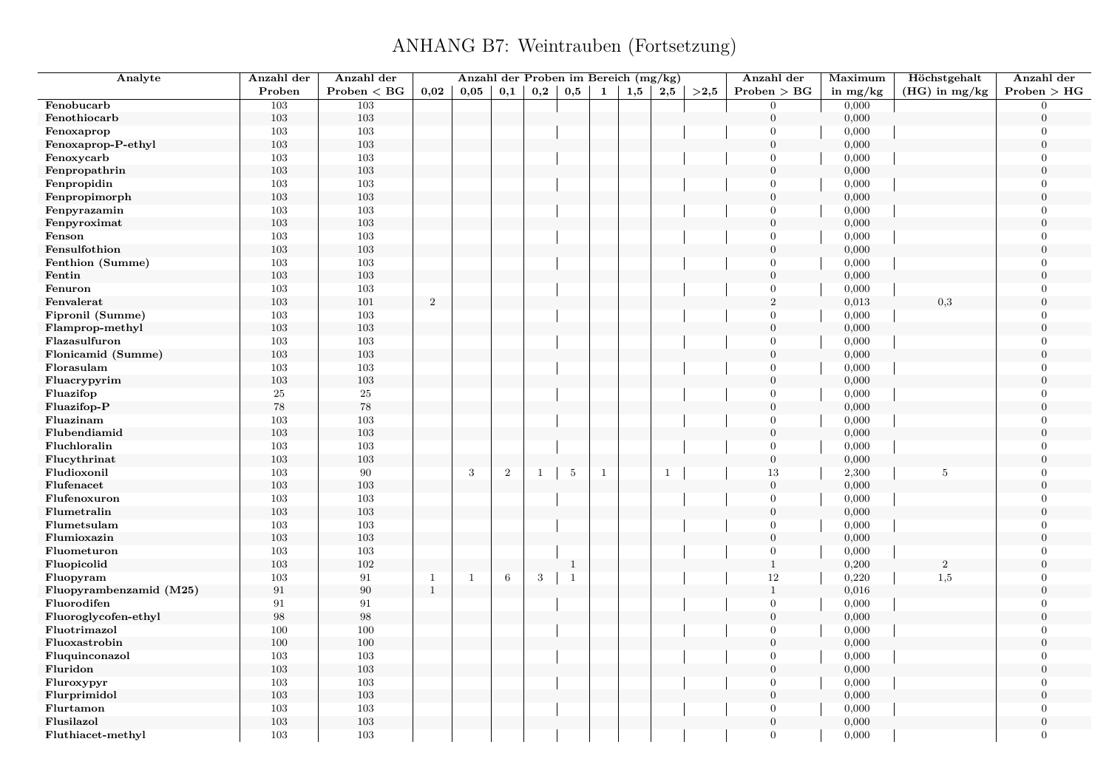| Analyte                 | Anzahl der        | Anzahl der   |              | Anzahl der Proben im Bereich (mg/kg) |                 |     |                 |              |     |                |          | Anzahl der       | Maximum    | Höchstgehalt     | Anzahl der       |
|-------------------------|-------------------|--------------|--------------|--------------------------------------|-----------------|-----|-----------------|--------------|-----|----------------|----------|------------------|------------|------------------|------------------|
|                         | Proben            | Problem < BG | 0,02         | 0.05                                 | 0,1             | 0,2 | 0,5             | 1            | 1,5 | 2,5            | $>\!2,5$ | Problem > BG     | in $mg/kg$ | $(HG)$ in mg/kg  | Problem > HG     |
| Fenobucarb              | 103               | 103          |              |                                      |                 |     |                 |              |     |                |          | $\overline{0}$   | 0,000      |                  | $\overline{0}$   |
| Fenothiocarb            | 103               | 103          |              |                                      |                 |     |                 |              |     |                |          | $\mathbf{0}$     | 0,000      |                  | $\overline{0}$   |
| Fenoxaprop              | 103               | 103          |              |                                      |                 |     |                 |              |     |                |          | $\overline{0}$   | 0,000      |                  | $\boldsymbol{0}$ |
| Fenoxaprop-P-ethyl      | 103               | 103          |              |                                      |                 |     |                 |              |     |                |          | $\overline{0}$   | 0,000      |                  | $\overline{0}$   |
| Fenoxycarb              | 103               | 103          |              |                                      |                 |     |                 |              |     |                |          | $\Omega$         | 0,000      |                  | $\overline{0}$   |
| Fenpropathrin           | $103\,$           | 103          |              |                                      |                 |     |                 |              |     |                |          | $\overline{0}$   | 0,000      |                  | $\boldsymbol{0}$ |
| Fenpropidin             | 103               | 103          |              |                                      |                 |     |                 |              |     |                |          | $\overline{0}$   | 0,000      |                  | $\overline{0}$   |
| Fenpropimorph           | 103               | 103          |              |                                      |                 |     |                 |              |     |                |          | $\overline{0}$   | 0,000      |                  | $\overline{0}$   |
| Fenpyrazamin            | 103               | 103          |              |                                      |                 |     |                 |              |     |                |          | $\overline{0}$   | 0,000      |                  | $\Omega$         |
| Fenpyroximat            | 103               | 103          |              |                                      |                 |     |                 |              |     |                |          | $\overline{0}$   | 0,000      |                  | $\overline{0}$   |
| Fenson                  | 103               | 103          |              |                                      |                 |     |                 |              |     |                |          | $\overline{0}$   | 0,000      |                  | $\Omega$         |
| Fensulfothion           | 103               | 103          |              |                                      |                 |     |                 |              |     |                |          | $\overline{0}$   | 0,000      |                  | $\Omega$         |
| Fenthion (Summe)        | 103               | 103          |              |                                      |                 |     |                 |              |     |                |          | $\overline{0}$   | 0,000      |                  | $\Omega$         |
| Fentin                  | 103               | 103          |              |                                      |                 |     |                 |              |     |                |          | $\mathbf{0}$     | 0,000      |                  | $\overline{0}$   |
| Fenuron                 | 103               | 103          |              |                                      |                 |     |                 |              |     |                |          | $\Omega$         | 0,000      |                  | $\Omega$         |
| Fenvalerat              | 103               | 101          | $\,2\,$      |                                      |                 |     |                 |              |     |                |          | $\overline{2}$   | 0,013      | 0,3              | $\overline{0}$   |
| Fipronil (Summe)        | 103               | 103          |              |                                      |                 |     |                 |              |     |                |          | $\overline{0}$   | 0,000      |                  | $\overline{0}$   |
| Flamprop-methyl         | 103               | 103          |              |                                      |                 |     |                 |              |     |                |          | $\overline{0}$   | 0,000      |                  | $\overline{0}$   |
| Flazasulfuron           | 103               | 103          |              |                                      |                 |     |                 |              |     |                |          | $\overline{0}$   | 0,000      |                  | $\overline{0}$   |
| Flonicamid (Summe)      | 103               | 103          |              |                                      |                 |     |                 |              |     |                |          | $\mathbf{0}$     | 0,000      |                  | $\Omega$         |
| Florasulam              | 103               | 103          |              |                                      |                 |     |                 |              |     |                |          | $\overline{0}$   | 0,000      |                  | $\overline{0}$   |
| Fluacrypyrim            | $103\,$           | $103\,$      |              |                                      |                 |     |                 |              |     |                |          | $\overline{0}$   | 0,000      |                  | $\overline{0}$   |
| Fluazifop               | $25\,$            | $25\,$       |              |                                      |                 |     |                 |              |     |                |          | $\overline{0}$   | 0,000      |                  | $\overline{0}$   |
| Fluazifop-P             | $78\,$            | $78\,$       |              |                                      |                 |     |                 |              |     |                |          | $\overline{0}$   | 0,000      |                  | $\overline{0}$   |
| Fluazinam               | 103               | 103          |              |                                      |                 |     |                 |              |     |                |          | $\overline{0}$   | 0,000      |                  | $\overline{0}$   |
| Flubendiamid            | 103               | 103          |              |                                      |                 |     |                 |              |     |                |          | $\boldsymbol{0}$ | 0,000      |                  | $\overline{0}$   |
| Fluchloralin            | 103               | 103          |              |                                      |                 |     |                 |              |     |                |          | $\overline{0}$   | 0,000      |                  | $\Omega$         |
| Flucythrinat            | 103               | 103          |              |                                      |                 |     |                 |              |     |                |          | $\overline{0}$   | 0,000      |                  | $\boldsymbol{0}$ |
| Fludioxonil             | 103               | 90           |              | 3                                    | $\overline{2}$  | -1  | $5\phantom{.0}$ | $\mathbf{1}$ |     | $\overline{1}$ |          | 13               | 2,300      | 5                | $\overline{0}$   |
| Flufenacet              | 103               | 103          |              |                                      |                 |     |                 |              |     |                |          | $\overline{0}$   | 0,000      |                  | $\overline{0}$   |
| Flufenoxuron            | 103               | 103          |              |                                      |                 |     |                 |              |     |                |          | $\overline{0}$   | 0,000      |                  | $\overline{0}$   |
| Flumetralin             | 103               | 103          |              |                                      |                 |     |                 |              |     |                |          | $\overline{0}$   | 0,000      |                  | $\boldsymbol{0}$ |
| Flumetsulam             | 103               | 103          |              |                                      |                 |     |                 |              |     |                |          | $\overline{0}$   | 0,000      |                  | $\Omega$         |
| Flumioxazin             | 103               | $103\,$      |              |                                      |                 |     |                 |              |     |                |          | $\overline{0}$   | 0,000      |                  | $\overline{0}$   |
| Fluometuron             | 103               | 103          |              |                                      |                 |     |                 |              |     |                |          | $\mathbf{0}$     | 0,000      |                  | $\Omega$         |
| Fluopicolid             | 103               | 102          |              |                                      |                 |     | $\mathbf{1}$    |              |     |                |          | $\mathbf{1}$     | 0,200      | $\boldsymbol{2}$ | $\overline{0}$   |
| Fluopyram               | 103               | $\rm 91$     | $\mathbf{1}$ | $\mathbf{1}$                         | $6\phantom{.}6$ | 3   | $\mathbf{1}$    |              |     |                |          | $12\,$           | 0,220      | 1,5              | $\overline{0}$   |
| Fluopyrambenzamid (M25) | 91                | 90           | $\mathbf{1}$ |                                      |                 |     |                 |              |     |                |          | $\mathbf{1}$     | 0,016      |                  | $\Omega$         |
| Fluorodifen             | 91                | 91           |              |                                      |                 |     |                 |              |     |                |          | $\overline{0}$   | 0,000      |                  | $\overline{0}$   |
| Fluoroglycofen-ethyl    | $\boldsymbol{98}$ | $98\,$       |              |                                      |                 |     |                 |              |     |                |          | $\overline{0}$   | 0,000      |                  | $\overline{0}$   |
| Fluotrimazol            | 100               | 100          |              |                                      |                 |     |                 |              |     |                |          | $\overline{0}$   | 0,000      |                  | $\overline{0}$   |
| Fluoxastrobin           | 100               | 100          |              |                                      |                 |     |                 |              |     |                |          | $\overline{0}$   | 0,000      |                  | $\Omega$         |
| Fluquinconazol          | 103               | 103          |              |                                      |                 |     |                 |              |     |                |          | $\overline{0}$   | 0,000      |                  | $\boldsymbol{0}$ |
| Fluridon                | 103               | 103          |              |                                      |                 |     |                 |              |     |                |          | $\overline{0}$   | 0,000      |                  | $\overline{0}$   |
| Fluroxypyr              | 103               | 103          |              |                                      |                 |     |                 |              |     |                |          | $\overline{0}$   | 0,000      |                  | $\overline{0}$   |
| Flurprimidol            | $103\,$           | 103          |              |                                      |                 |     |                 |              |     |                |          | $\mathbf{0}$     | 0,000      |                  | $\overline{0}$   |
| Flurtamon               | 103               | 103          |              |                                      |                 |     |                 |              |     |                |          | $\overline{0}$   | 0,000      |                  | $\overline{0}$   |
| Flusilazol              | 103               | 103          |              |                                      |                 |     |                 |              |     |                |          | $\overline{0}$   | 0,000      |                  | $\overline{0}$   |
| Fluthiacet-methyl       | 103               | 103          |              |                                      |                 |     |                 |              |     |                |          | $\overline{0}$   | 0,000      |                  | $\overline{0}$   |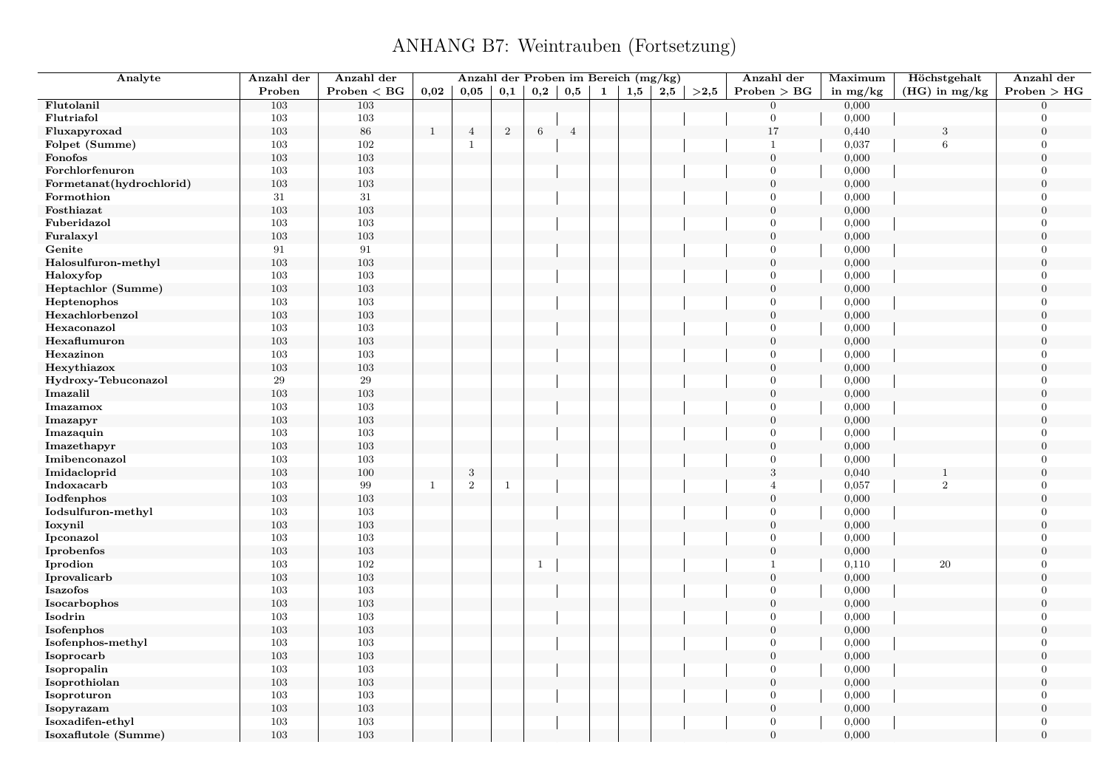| Analyte                  | Anzahl der | Anzahl der   |              | Anzahl der Proben im Bereich (mg/kg) |                |              |                |              |     |     |      | Anzahl der       | Maximum    | Höchstgehalt    | Anzahl der     |
|--------------------------|------------|--------------|--------------|--------------------------------------|----------------|--------------|----------------|--------------|-----|-----|------|------------------|------------|-----------------|----------------|
|                          | Proben     | Problem < BG | 0,02         | 0,05                                 | 0,1            | 0,2          | 0,5            | $\mathbf{1}$ | 1,5 | 2,5 | >2,5 | Problem > BG     | in $mg/kg$ | $(HG)$ in mg/kg | Problem > HG   |
| Flutolanil               | 103        | 103          |              |                                      |                |              |                |              |     |     |      | $\mathbf{0}$     | 0,000      |                 | $\Omega$       |
| Flutriafol               | $103\,$    | $103\,$      |              |                                      |                |              |                |              |     |     |      | $\overline{0}$   | 0,000      |                 | $\Omega$       |
| Fluxapyroxad             | 103        | 86           | $\mathbf{1}$ | $\overline{4}$                       | $\overline{2}$ | 6            | $\overline{4}$ |              |     |     |      | 17               | 0,440      | 3               | $\overline{0}$ |
| Folpet (Summe)           | 103        | 102          |              | $\mathbf{1}$                         |                |              |                |              |     |     |      | $\mathbf{1}$     | 0,037      | 6               | $\Omega$       |
| Fonofos                  | 103        | 103          |              |                                      |                |              |                |              |     |     |      | $\overline{0}$   | 0,000      |                 | $\theta$       |
| Forchlorfenuron          | 103        | $103\,$      |              |                                      |                |              |                |              |     |     |      | $\overline{0}$   | 0,000      |                 | $\Omega$       |
| Formetanat(hydrochlorid) | 103        | 103          |              |                                      |                |              |                |              |     |     |      | $\boldsymbol{0}$ | 0,000      |                 | $\overline{0}$ |
| Formothion               | 31         | 31           |              |                                      |                |              |                |              |     |     |      | $\overline{0}$   | 0,000      |                 | $\overline{0}$ |
| Fosthiazat               | 103        | 103          |              |                                      |                |              |                |              |     |     |      | $\overline{0}$   | 0,000      |                 | $\Omega$       |
| Fuberidazol              | 103        | $103\,$      |              |                                      |                |              |                |              |     |     |      | $\overline{0}$   | 0,000      |                 | $\overline{0}$ |
| Furalaxyl                | $103\,$    | $103\,$      |              |                                      |                |              |                |              |     |     |      | $\boldsymbol{0}$ | 0,000      |                 | $\theta$       |
| Genite                   | 91         | 91           |              |                                      |                |              |                |              |     |     |      | $\overline{0}$   | 0,000      |                 | $\overline{0}$ |
| Halosulfuron-methyl      | 103        | 103          |              |                                      |                |              |                |              |     |     |      | $\overline{0}$   | 0,000      |                 | $\theta$       |
| Haloxyfop                | 103        | 103          |              |                                      |                |              |                |              |     |     |      | $\overline{0}$   | 0,000      |                 | $\overline{0}$ |
| Heptachlor (Summe)       | $103\,$    | $103\,$      |              |                                      |                |              |                |              |     |     |      | $\boldsymbol{0}$ | 0,000      |                 | $\overline{0}$ |
| Heptenophos              | 103        | 103          |              |                                      |                |              |                |              |     |     |      | $\mathbf{0}$     | 0,000      |                 | $\overline{0}$ |
| Hexachlorbenzol          | 103        | 103          |              |                                      |                |              |                |              |     |     |      | $\overline{0}$   | 0,000      |                 | $\overline{0}$ |
| Hexaconazol              | 103        | 103          |              |                                      |                |              |                |              |     |     |      | $\overline{0}$   | 0,000      |                 | $\overline{0}$ |
| Hexaflumuron             | $103\,$    | $103\,$      |              |                                      |                |              |                |              |     |     |      | $\overline{0}$   | 0,000      |                 | $\overline{0}$ |
| Hexazinon                | 103        | 103          |              |                                      |                |              |                |              |     |     |      | $\overline{0}$   | 0,000      |                 | $\Omega$       |
| Hexythiazox              | 103        | $103\,$      |              |                                      |                |              |                |              |     |     |      | $\mathbf{0}$     | 0,000      |                 | $\overline{0}$ |
| Hydroxy-Tebuconazol      | 29         | 29           |              |                                      |                |              |                |              |     |     |      | $\overline{0}$   | 0,000      |                 | $\Omega$       |
| Imazalil                 | $103\,$    | $103\,$      |              |                                      |                |              |                |              |     |     |      | $\mathbf{0}$     | 0,000      |                 | $\overline{0}$ |
| Imazamox                 | 103        | 103          |              |                                      |                |              |                |              |     |     |      | $\overline{0}$   | 0,000      |                 | $\Omega$       |
| Imazapyr                 | 103        | 103          |              |                                      |                |              |                |              |     |     |      | $\mathbf{0}$     | 0,000      |                 | $\overline{0}$ |
| Imazaquin                | 103        | 103          |              |                                      |                |              |                |              |     |     |      | $\overline{0}$   | 0,000      |                 | $\Omega$       |
| Imazethapyr              | 103        | 103          |              |                                      |                |              |                |              |     |     |      | $\overline{0}$   | 0,000      |                 | $\theta$       |
| Imibenconazol            | 103        | 103          |              |                                      |                |              |                |              |     |     |      | $\overline{0}$   | 0,000      |                 | $\Omega$       |
| Imidacloprid             | 103        | 100          |              | $\sqrt{3}$                           |                |              |                |              |     |     |      | $\sqrt{3}$       | 0,040      | 1               | $\overline{0}$ |
| Indoxacarb               | 103        | 99           | $\mathbf{1}$ | $\sqrt{2}$                           | $\mathbf{1}$   |              |                |              |     |     |      | $\overline{4}$   | 0,057      | $\overline{2}$  | $\overline{0}$ |
| Iodfenphos               | 103        | 103          |              |                                      |                |              |                |              |     |     |      | $\overline{0}$   | 0,000      |                 | $\theta$       |
| Iodsulfuron-methyl       | 103        | 103          |              |                                      |                |              |                |              |     |     |      | $\overline{0}$   | 0,000      |                 | $\overline{0}$ |
| Ioxynil                  | 103        | 103          |              |                                      |                |              |                |              |     |     |      | $\boldsymbol{0}$ | 0,000      |                 | $\overline{0}$ |
| Ipconazol                | 103        | 103          |              |                                      |                |              |                |              |     |     |      | $\overline{0}$   | 0,000      |                 | $\overline{0}$ |
| Iprobenfos               | 103        | 103          |              |                                      |                |              |                |              |     |     |      | $\mathbf{0}$     | 0,000      |                 | $\theta$       |
| Iprodion                 | 103        | 102          |              |                                      |                | $\mathbf{1}$ |                |              |     |     |      | $\mathbf{1}$     | 0,110      | 20              | $\overline{0}$ |
| Iprovalicarb             | $103\,$    | $103\,$      |              |                                      |                |              |                |              |     |     |      | $\boldsymbol{0}$ | 0,000      |                 | $\theta$       |
| <b>Isazofos</b>          | 103        | 103          |              |                                      |                |              |                |              |     |     |      | $\mathbf{0}$     | 0,000      |                 | $\overline{0}$ |
| Isocarbophos             | 103        | 103          |              |                                      |                |              |                |              |     |     |      | $\overline{0}$   | 0,000      |                 | $\overline{0}$ |
| Isodrin                  | 103        | 103          |              |                                      |                |              |                |              |     |     |      | $\overline{0}$   | 0,000      |                 | $\overline{0}$ |
| Isofenphos               | 103        | $103\,$      |              |                                      |                |              |                |              |     |     |      | $\boldsymbol{0}$ | 0,000      |                 | $\overline{0}$ |
| Isofenphos-methyl        | 103        | 103          |              |                                      |                |              |                |              |     |     |      | $\overline{0}$   | 0,000      |                 | $\overline{0}$ |
| Isoprocarb               | 103        | 103          |              |                                      |                |              |                |              |     |     |      | $\overline{0}$   | 0,000      |                 | $\overline{0}$ |
| Isopropalin              | 103        | 103          |              |                                      |                |              |                |              |     |     |      | $\overline{0}$   | 0,000      |                 | $\overline{0}$ |
| Isoprothiolan            | $103\,$    | $103\,$      |              |                                      |                |              |                |              |     |     |      | $\mathbf{0}$     | 0,000      |                 | $\overline{0}$ |
| Isoproturon              | 103        | 103          |              |                                      |                |              |                |              |     |     |      | $\overline{0}$   | 0,000      |                 | $\Omega$       |
| Isopyrazam               | 103        | 103          |              |                                      |                |              |                |              |     |     |      | $\mathbf{0}$     | 0,000      |                 | $\overline{0}$ |
| Isoxadifen-ethyl         | 103        | 103          |              |                                      |                |              |                |              |     |     |      | $\overline{0}$   | 0,000      |                 | $\Omega$       |
| Isoxaflutole (Summe)     | 103        | 103          |              |                                      |                |              |                |              |     |     |      | $\overline{0}$   | 0,000      |                 | $\theta$       |
|                          |            |              |              |                                      |                |              |                |              |     |     |      |                  |            |                 |                |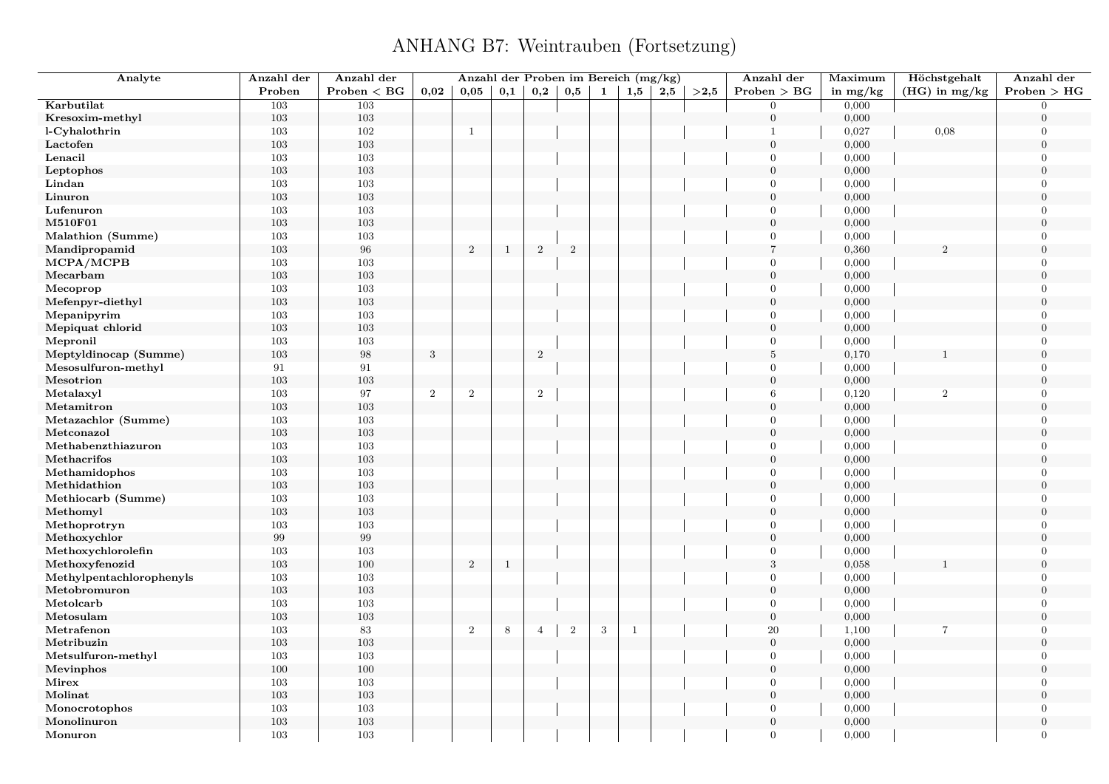| Analyte                              | Anzahl der        | Anzahl der   |       | Anzahl der Proben im Bereich (mg/kg) |              |                |                |            |              |     |      | Anzahl der                     | Maximum        | Höchstgehalt    | Anzahl der           |
|--------------------------------------|-------------------|--------------|-------|--------------------------------------|--------------|----------------|----------------|------------|--------------|-----|------|--------------------------------|----------------|-----------------|----------------------|
|                                      | Proben            | Problem < BG | 0.02  | 0.05                                 | 0,1          | 0,2            | 0,5            | 1          | 1,5          | 2,5 | >2,5 | Problem > BG                   | in $mg/kg$     | $(HG)$ in mg/kg | Problem > HG         |
| Karbutilat                           | 103               | 103          |       |                                      |              |                |                |            |              |     |      | $\overline{0}$                 | 0,000          |                 | $\overline{0}$       |
| Kresoxim-methyl                      | 103               | 103          |       |                                      |              |                |                |            |              |     |      | $\boldsymbol{0}$               | 0,000          |                 | $\theta$             |
| l-Cyhalothrin                        | 103               | 102          |       | $\mathbf{1}$                         |              |                |                |            |              |     |      | -1                             | 0,027          | 0,08            | $\overline{0}$       |
| Lactofen                             | 103               | 103          |       |                                      |              |                |                |            |              |     |      | $\mathbf{0}$                   | 0,000          |                 | $\mathbf{0}$         |
| Lenacil                              | 103               | 103          |       |                                      |              |                |                |            |              |     |      | $\overline{0}$                 | 0,000          |                 | $\theta$             |
| Leptophos                            | $103\,$           | 103          |       |                                      |              |                |                |            |              |     |      | $\overline{0}$                 | 0,000          |                 | $\overline{0}$       |
| Lindan                               | 103               | 103          |       |                                      |              |                |                |            |              |     |      | $\overline{0}$                 | 0,000          |                 | $\Omega$             |
| Linuron                              | 103               | 103          |       |                                      |              |                |                |            |              |     |      | $\mathbf{0}$                   | 0,000          |                 | $\overline{0}$       |
| Lufenuron                            | 103               | 103          |       |                                      |              |                |                |            |              |     |      | $\overline{0}$                 | 0,000          |                 | $\Omega$             |
| M510F01                              | 103               | 103          |       |                                      |              |                |                |            |              |     |      | $\mathbf{0}$                   | 0,000          |                 | $\overline{0}$       |
| Malathion (Summe)                    | 103               | 103          |       |                                      |              |                |                |            |              |     |      | $\overline{0}$                 | 0,000          |                 | $\Omega$             |
| Mandipropamid                        | 103               | 96           |       | $\boldsymbol{2}$                     | $\mathbf{1}$ | $\overline{2}$ | $\overline{2}$ |            |              |     |      | $\overline{7}$                 | 0,360          | $\overline{2}$  | $\theta$             |
| MCPA/MCPB                            | 103               | 103          |       |                                      |              |                |                |            |              |     |      | $\overline{0}$                 | 0,000          |                 | $\Omega$             |
| Mecarbam                             | 103               | 103          |       |                                      |              |                |                |            |              |     |      | $\boldsymbol{0}$               | 0,000          |                 | $\overline{0}$       |
| Mecoprop                             | 103               | 103          |       |                                      |              |                |                |            |              |     |      | $\Omega$                       | 0,000          |                 | $\Omega$             |
| Mefenpyr-diethyl                     | 103               | 103          |       |                                      |              |                |                |            |              |     |      | $\mathbf{0}$                   | 0,000          |                 | $\theta$             |
| Mepanipyrim                          | 103               | 103          |       |                                      |              |                |                |            |              |     |      | $\overline{0}$                 | 0,000          |                 | $\Omega$             |
| Mepiquat chlorid                     | 103               | 103          |       |                                      |              |                |                |            |              |     |      | $\mathbf{0}$                   | 0,000          |                 | $\theta$             |
| Mepronil                             | 103               | 103          |       |                                      |              |                |                |            |              |     |      | $\mathbf{0}$                   | 0,000          |                 | $\mathbf{0}$         |
| Meptyldinocap (Summe)                | 103               | $98\,$       | 3     |                                      |              | $\overline{2}$ |                |            |              |     |      | $\,$ 5 $\,$                    | 0,170          |                 | $\theta$             |
| Mesosulfuron-methyl                  | 91                | 91           |       |                                      |              |                |                |            |              |     |      | $\mathbf{0}$                   | 0,000          |                 | $\Omega$             |
| Mesotrion                            | $103\,$           | 103          |       |                                      |              |                |                |            |              |     |      | $\overline{0}$                 | 0,000          |                 | $\Omega$             |
| Metalaxyl                            | 103               | 97           | $\,2$ | $\,2$                                |              | $\sqrt{2}$     |                |            |              |     |      | 6                              | 0,120          | $\,2$           | $\Omega$             |
| Metamitron                           | 103               | 103          |       |                                      |              |                |                |            |              |     |      | $\mathbf{0}$                   | 0,000          |                 | $\mathbf{0}$         |
| Metazachlor (Summe)                  | 103               | 103          |       |                                      |              |                |                |            |              |     |      | $\overline{0}$                 | 0,000          |                 | $\overline{0}$       |
| Metconazol                           | 103               | 103          |       |                                      |              |                |                |            |              |     |      | $\overline{0}$                 | 0,000          |                 | $\theta$             |
| Methabenzthiazuron                   | 103               | 103          |       |                                      |              |                |                |            |              |     |      | $\overline{0}$                 | 0,000          |                 | $\Omega$             |
| Methacrifos                          | 103               | 103          |       |                                      |              |                |                |            |              |     |      | $\mathbf{0}$                   | 0,000          |                 | $\mathbf{0}$         |
| Methamidophos                        | 103               | 103          |       |                                      |              |                |                |            |              |     |      | $\overline{0}$                 | 0,000          |                 | $\theta$             |
| Methidathion                         | 103               | 103          |       |                                      |              |                |                |            |              |     |      | $\overline{0}$                 | 0,000          |                 | $\overline{0}$       |
| Methiocarb (Summe)                   | 103               | 103          |       |                                      |              |                |                |            |              |     |      | $\mathbf{0}$                   | 0,000          |                 | $\Omega$             |
| Methomyl                             | 103               | 103          |       |                                      |              |                |                |            |              |     |      | $\mathbf{0}$                   | 0,000          |                 | $\mathbf{0}$         |
| Methoprotryn                         | 103               | 103          |       |                                      |              |                |                |            |              |     |      | $\overline{0}$                 | 0,000          |                 | $\Omega$             |
| Methoxychlor                         | $\boldsymbol{99}$ | $\,99$       |       |                                      |              |                |                |            |              |     |      | $\mathbf{0}$                   | 0,000          |                 | $\theta$             |
|                                      | 103               | 103          |       |                                      |              |                |                |            |              |     |      | $\mathbf{0}$                   | 0,000          |                 | $\Omega$             |
| Methoxychlorolefin<br>Methoxyfenozid | 103               | 100          |       | $\overline{2}$                       | $\mathbf{1}$ |                |                |            |              |     |      | $\sqrt{3}$                     | 0,058          |                 | $\mathbf{0}$         |
| Methylpentachlorophenyls             | 103               | 103          |       |                                      |              |                |                |            |              |     |      | $\overline{0}$                 | 0,000          |                 | $\Omega$             |
| Metobromuron                         | 103               | 103          |       |                                      |              |                |                |            |              |     |      | $\overline{0}$                 | 0,000          |                 | $\theta$             |
| Metolcarb                            |                   |              |       |                                      |              |                |                |            |              |     |      |                                |                |                 | $\Omega$             |
|                                      | 103               | 103          |       |                                      |              |                |                |            |              |     |      | $\overline{0}$                 | 0,000          |                 | $\overline{0}$       |
| Metosulam<br>Metrafenon              | 103<br>103        | 103<br>83    |       | $\overline{2}$                       | 8            | $\overline{4}$ | $\overline{2}$ | $\sqrt{3}$ | $\mathbf{1}$ |     |      | $\boldsymbol{0}$<br>20         | 0,000<br>1,100 | $\overline{7}$  | $\overline{0}$       |
|                                      |                   |              |       |                                      |              |                |                |            |              |     |      |                                |                |                 | $\Omega$             |
| Metribuzin                           | 103<br>103        | 103<br>103   |       |                                      |              |                |                |            |              |     |      | $\overline{0}$<br>$\mathbf{0}$ | 0,000          |                 | $\overline{0}$       |
| Metsulfuron-methyl                   |                   |              |       |                                      |              |                |                |            |              |     |      |                                | 0,000          |                 |                      |
| Mevinphos                            | 100               | 100          |       |                                      |              |                |                |            |              |     |      | $\mathbf{0}$                   | 0,000          |                 | $\theta$             |
| Mirex                                | 103               | 103          |       |                                      |              |                |                |            |              |     |      | $\mathbf{0}$                   | 0,000          |                 | $\Omega$<br>$\Omega$ |
| Molinat                              | $103\,$           | 103          |       |                                      |              |                |                |            |              |     |      | $\overline{0}$                 | 0,000          |                 |                      |
| Monocrotophos                        | 103               | 103          |       |                                      |              |                |                |            |              |     |      | $\mathbf{0}$                   | 0,000          |                 | $\theta$             |
| Monolinuron                          | 103               | 103          |       |                                      |              |                |                |            |              |     |      | $\mathbf{0}$                   | 0,000          |                 | $\overline{0}$       |
| Monuron                              | 103               | 103          |       |                                      |              |                |                |            |              |     |      | $\overline{0}$                 | 0,000          |                 | $\overline{0}$       |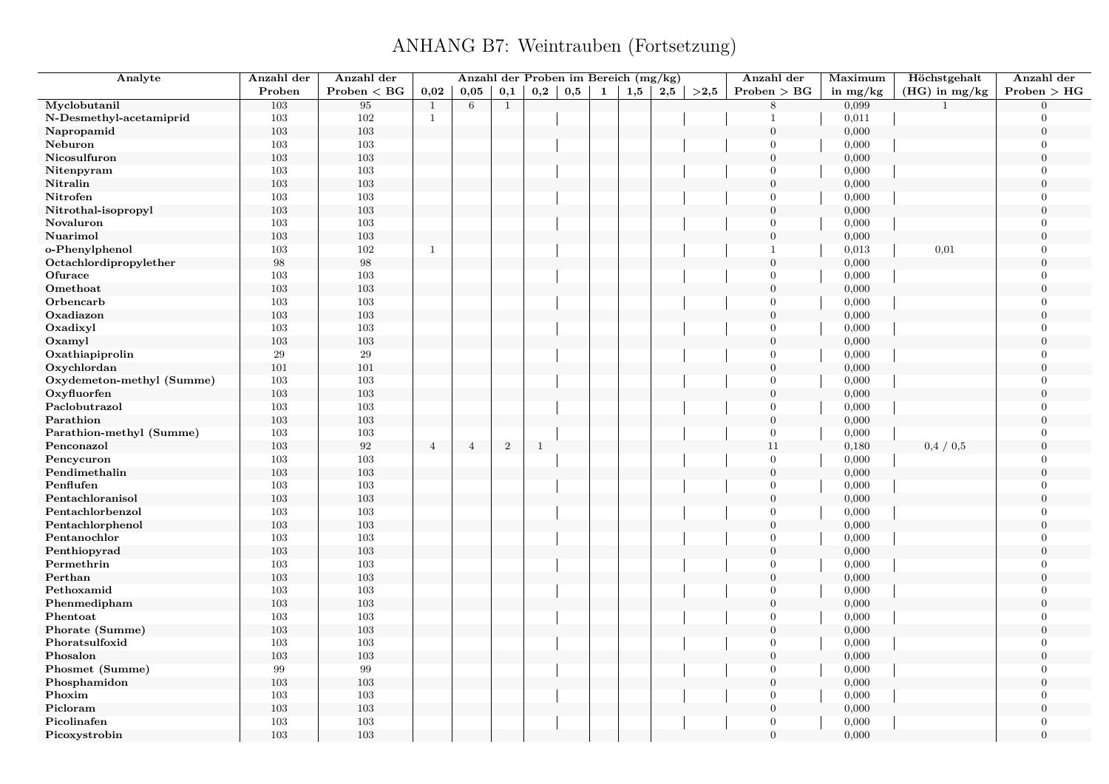| Analyte                   | Anzahl der        | Anzahl der   |                |                |                |              |     |   | Anzahl der Proben im Bereich (mg/kg) |     |      | Anzahl der       | Maximum    | Höchstgehalt    | Anzahl der     |
|---------------------------|-------------------|--------------|----------------|----------------|----------------|--------------|-----|---|--------------------------------------|-----|------|------------------|------------|-----------------|----------------|
|                           | Proben            | Problem < BG | 0,02           | 0,05           | 0,1            | $_{\rm 0,2}$ | 0,5 | 1 | 1,5                                  | 2,5 | >2,5 | Problem > BG     | in $mg/kg$ | $(HG)$ in mg/kg | Problem > HG   |
| Myclobutanil              | 103               | 95           | $\mathbf{1}$   | 6              | $\mathbf{1}$   |              |     |   |                                      |     |      | 8                | 0,099      | $\mathbf{1}$    | $\Omega$       |
| N-Desmethyl-acetamiprid   | 103               | 102          | $\mathbf{1}$   |                |                |              |     |   |                                      |     |      | $\mathbf{1}$     | 0,011      |                 | $\Omega$       |
| Napropamid                | 103               | $103\,$      |                |                |                |              |     |   |                                      |     |      | $\mathbf{0}$     | 0,000      |                 | $\overline{0}$ |
| Neburon                   | 103               | 103          |                |                |                |              |     |   |                                      |     |      | $\overline{0}$   | 0,000      |                 | $\Omega$       |
| Nicosulfuron              | 103               | 103          |                |                |                |              |     |   |                                      |     |      | $\overline{0}$   | 0,000      |                 | $\theta$       |
| Nitenpyram                | 103               | 103          |                |                |                |              |     |   |                                      |     |      | $\overline{0}$   | 0,000      |                 | $\Omega$       |
| Nitralin                  | 103               | $103\,$      |                |                |                |              |     |   |                                      |     |      | $\boldsymbol{0}$ | 0,000      |                 | $\overline{0}$ |
| Nitrofen                  | 103               | 103          |                |                |                |              |     |   |                                      |     |      | $\overline{0}$   | 0,000      |                 | $\overline{0}$ |
| Nitrothal-isopropyl       | 103               | 103          |                |                |                |              |     |   |                                      |     |      | $\mathbf{0}$     | 0,000      |                 | $\theta$       |
| Novaluron                 | 103               | $103\,$      |                |                |                |              |     |   |                                      |     |      | $\overline{0}$   | 0,000      |                 | $\overline{0}$ |
| Nuarimol                  | 103               | $103\,$      |                |                |                |              |     |   |                                      |     |      | $\mathbf{0}$     | 0,000      |                 | $\overline{0}$ |
| o-Phenylphenol            | 103               | 102          | $\mathbf{1}$   |                |                |              |     |   |                                      |     |      | $\mathbf{1}$     | 0,013      | 0,01            | $\overline{0}$ |
| Octachlordipropylether    | $\boldsymbol{98}$ | 98           |                |                |                |              |     |   |                                      |     |      | $\overline{0}$   | 0,000      |                 | $\overline{0}$ |
| Ofurace                   | 103               | 103          |                |                |                |              |     |   |                                      |     |      | $\overline{0}$   | 0,000      |                 | $\overline{0}$ |
| Omethoat                  | 103               | $103\,$      |                |                |                |              |     |   |                                      |     |      | $\mathbf{0}$     | 0,000      |                 | $\overline{0}$ |
| Orbencarb                 | 103               | 103          |                |                |                |              |     |   |                                      |     |      | $\theta$         | 0,000      |                 | $\overline{0}$ |
| Oxadiazon                 | 103               | 103          |                |                |                |              |     |   |                                      |     |      | $\overline{0}$   | 0,000      |                 | $\overline{0}$ |
| Oxadixyl                  | 103               | 103          |                |                |                |              |     |   |                                      |     |      | $\overline{0}$   | 0,000      |                 | $\theta$       |
| Oxamyl                    | 103               | $103\,$      |                |                |                |              |     |   |                                      |     |      | $\mathbf{0}$     | 0,000      |                 | $\overline{0}$ |
| Oxathiapiprolin           | $\bf 29$          | $\,29$       |                |                |                |              |     |   |                                      |     |      | $\overline{0}$   | 0,000      |                 | $\Omega$       |
| Oxychlordan               | 101               | 101          |                |                |                |              |     |   |                                      |     |      | $\overline{0}$   | 0,000      |                 | $\overline{0}$ |
| Oxydemeton-methyl (Summe) | 103               | 103          |                |                |                |              |     |   |                                      |     |      | $\overline{0}$   | 0,000      |                 | $\Omega$       |
| Oxyfluorfen               | 103               | $103\,$      |                |                |                |              |     |   |                                      |     |      | $\mathbf{0}$     | 0,000      |                 | $\theta$       |
| Paclobutrazol             | 103               | 103          |                |                |                |              |     |   |                                      |     |      | $\overline{0}$   | 0,000      |                 | $\Omega$       |
| Parathion                 | 103               | 103          |                |                |                |              |     |   |                                      |     |      | $\overline{0}$   | 0,000      |                 | $\overline{0}$ |
| Parathion-methyl (Summe)  | 103               | $103\,$      |                |                |                |              |     |   |                                      |     |      | $\overline{0}$   | 0,000      |                 | $\Omega$       |
| Penconazol                | 103               | 92           | $\overline{4}$ | $\overline{4}$ | $\overline{2}$ | $\mathbf{1}$ |     |   |                                      |     |      | 11               | 0,180      | 0,4/0,5         | $\theta$       |
| Pencycuron                | 103               | 103          |                |                |                |              |     |   |                                      |     |      | $\overline{0}$   | 0,000      |                 | $\overline{0}$ |
| Pendimethalin             | 103               | 103          |                |                |                |              |     |   |                                      |     |      | $\overline{0}$   | 0,000      |                 | $\overline{0}$ |
| Penflufen                 | 103               | 103          |                |                |                |              |     |   |                                      |     |      | $\overline{0}$   | 0,000      |                 | $\theta$       |
| Pentachloranisol          | 103               | $103\,$      |                |                |                |              |     |   |                                      |     |      | $\mathbf{0}$     | 0,000      |                 | $\Omega$       |
| Pentachlorbenzol          | 103               | 103          |                |                |                |              |     |   |                                      |     |      | $\overline{0}$   | 0,000      |                 | $\overline{0}$ |
| Pentachlorphenol          | 103               | 103          |                |                |                |              |     |   |                                      |     |      | $\mathbf{0}$     | 0,000      |                 | $\theta$       |
| Pentanochlor              | 103               | $103\,$      |                |                |                |              |     |   |                                      |     |      | $\overline{0}$   | 0,000      |                 | $\Omega$       |
| Penthiopyrad              | 103               | $103\,$      |                |                |                |              |     |   |                                      |     |      | $\overline{0}$   | 0,000      |                 | $\theta$       |
| Permethrin                | 103               | 103          |                |                |                |              |     |   |                                      |     |      | $\overline{0}$   | 0,000      |                 | $\overline{0}$ |
| Perthan                   | 103               | 103          |                |                |                |              |     |   |                                      |     |      | $\overline{0}$   | 0,000      |                 | $\overline{0}$ |
| Pethoxamid                | 103               | 103          |                |                |                |              |     |   |                                      |     |      | $\overline{0}$   | 0,000      |                 | $\Omega$       |
| Phenmedipham              | 103               | $103\,$      |                |                |                |              |     |   |                                      |     |      | $\boldsymbol{0}$ | 0,000      |                 | $\overline{0}$ |
| Phentoat                  | 103               | 103          |                |                |                |              |     |   |                                      |     |      | $\overline{0}$   | 0,000      |                 | $\overline{0}$ |
| Phorate (Summe)           | 103               | 103          |                |                |                |              |     |   |                                      |     |      | $\overline{0}$   | 0,000      |                 | $\overline{0}$ |
| Phoratsulfoxid            | 103               | 103          |                |                |                |              |     |   |                                      |     |      | $\overline{0}$   | 0,000      |                 | $\theta$       |
| Phosalon                  | 103               | $103\,$      |                |                |                |              |     |   |                                      |     |      | $\boldsymbol{0}$ | 0,000      |                 | $\overline{0}$ |
| Phosmet (Summe)           | 99                | 99           |                |                |                |              |     |   |                                      |     |      | $\overline{0}$   | 0,000      |                 | $\Omega$       |
| Phosphamidon              | 103               | 103          |                |                |                |              |     |   |                                      |     |      | $\overline{0}$   | 0,000      |                 | $\overline{0}$ |
| Phoxim                    | 103               | $103\,$      |                |                |                |              |     |   |                                      |     |      | $\overline{0}$   | 0,000      |                 | $\Omega$       |
| Picloram                  | 103               | $103\,$      |                |                |                |              |     |   |                                      |     |      | $\boldsymbol{0}$ | 0,000      |                 | $\theta$       |
| Picolinafen               | 103               | 103          |                |                |                |              |     |   |                                      |     |      | $\overline{0}$   | 0,000      |                 | $\Omega$       |
| Picoxystrobin             | 103               | 103          |                |                |                |              |     |   |                                      |     |      | $\overline{0}$   | 0,000      |                 | $\theta$       |
|                           |                   |              |                |                |                |              |     |   |                                      |     |      |                  |            |                 |                |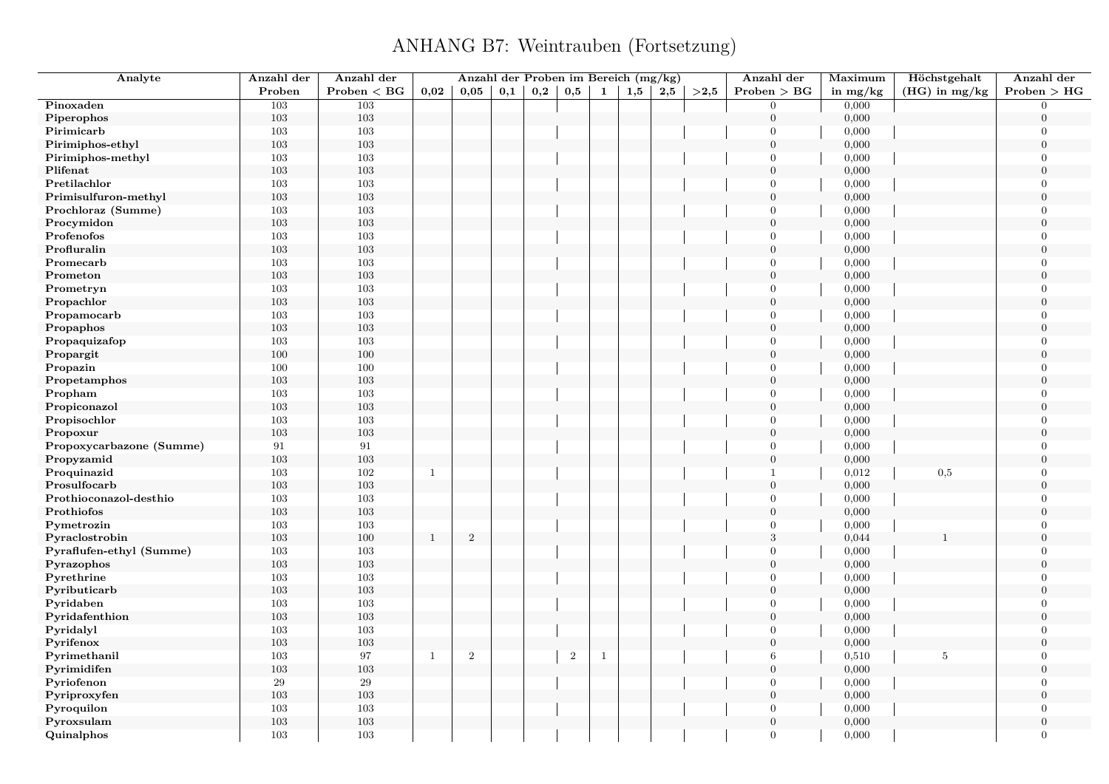| Analyte                  | Anzahl der | Anzahl der                                |              |              |     |              |                |              | Anzahl der Proben im Bereich (mg/kg) |     |      | Anzahl der     | Maximum    | Höchstgehalt    | Anzahl der     |
|--------------------------|------------|-------------------------------------------|--------------|--------------|-----|--------------|----------------|--------------|--------------------------------------|-----|------|----------------|------------|-----------------|----------------|
|                          | Proben     | $\mathbf{Problem} < \mathbf{B}\mathbf{G}$ | 0,02         | 0.05         | 0,1 | $_{\rm 0,2}$ | 0,5            | $\mathbf{1}$ | 1,5                                  | 2,5 | >2.5 | Problem > BG   | in $mg/kg$ | $(HG)$ in mg/kg | Problem > HG   |
| Pinoxaden                | 103        | $\overline{103}$                          |              |              |     |              |                |              |                                      |     |      | $\Omega$       | 0,000      |                 | $\Omega$       |
| Piperophos               | $103\,$    | $103\,$                                   |              |              |     |              |                |              |                                      |     |      | $\overline{0}$ | 0,000      |                 | $\overline{0}$ |
| Pirimicarb               | 103        | 103                                       |              |              |     |              |                |              |                                      |     |      | $\Omega$       | 0,000      |                 | $\theta$       |
| Pirimiphos-ethyl         | $103\,$    | 103                                       |              |              |     |              |                |              |                                      |     |      | $\overline{0}$ | 0,000      |                 | $\overline{0}$ |
| Pirimiphos-methyl        | 103        | 103                                       |              |              |     |              |                |              |                                      |     |      | $\Omega$       | 0,000      |                 | $\Omega$       |
| Plifenat                 | $103\,$    | 103                                       |              |              |     |              |                |              |                                      |     |      | $\overline{0}$ | 0,000      |                 | $\overline{0}$ |
| Pretilachlor             | 103        | 103                                       |              |              |     |              |                |              |                                      |     |      | $\Omega$       | 0,000      |                 | $\Omega$       |
| Primisulfuron-methyl     | 103        | 103                                       |              |              |     |              |                |              |                                      |     |      | $\overline{0}$ | 0,000      |                 | $\overline{0}$ |
| Prochloraz (Summe)       | 103        | 103                                       |              |              |     |              |                |              |                                      |     |      | $\theta$       | 0,000      |                 | $\Omega$       |
| Procymidon               | 103        | 103                                       |              |              |     |              |                |              |                                      |     |      | $\overline{0}$ | 0,000      |                 | $\overline{0}$ |
| Profenofos               | 103        | 103                                       |              |              |     |              |                |              |                                      |     |      | $\Omega$       | 0,000      |                 | $\Omega$       |
| Profluralin              | 103        | 103                                       |              |              |     |              |                |              |                                      |     |      | $\Omega$       | 0,000      |                 | $\overline{0}$ |
| Promecarb                | 103        | 103                                       |              |              |     |              |                |              |                                      |     |      | $\Omega$       | 0,000      |                 | $\Omega$       |
| Prometon                 | $103\,$    | 103                                       |              |              |     |              |                |              |                                      |     |      | $\overline{0}$ | 0,000      |                 | $\overline{0}$ |
| Prometryn                | $103\,$    | 103                                       |              |              |     |              |                |              |                                      |     |      | $\Omega$       | 0,000      |                 | $\theta$       |
| Propachlor               | $103\,$    | 103                                       |              |              |     |              |                |              |                                      |     |      | $\Omega$       | 0,000      |                 | $\overline{0}$ |
| Propamocarb              | 103        | 103                                       |              |              |     |              |                |              |                                      |     |      | $\mathbf{0}$   | 0,000      |                 | $\overline{0}$ |
| Propaphos                | 103        | 103                                       |              |              |     |              |                |              |                                      |     |      | $\theta$       | 0,000      |                 | $\theta$       |
| Propaquizafop            | 103        | 103                                       |              |              |     |              |                |              |                                      |     |      | $\overline{0}$ | 0,000      |                 | $\theta$       |
| Propargit                | 100        | 100                                       |              |              |     |              |                |              |                                      |     |      | $\overline{0}$ | 0,000      |                 | $\Omega$       |
| Propazin                 |            | 100                                       |              |              |     |              |                |              |                                      |     |      | $\overline{0}$ | 0,000      |                 | $\overline{0}$ |
|                          | 100<br>103 | 103                                       |              |              |     |              |                |              |                                      |     |      | $\theta$       | 0,000      |                 | $\theta$       |
| Propetamphos             |            |                                           |              |              |     |              |                |              |                                      |     |      | $\theta$       |            |                 | $\theta$       |
| Propham                  | 103        | 103                                       |              |              |     |              |                |              |                                      |     |      | $\overline{0}$ | 0,000      |                 | $\overline{0}$ |
| Propiconazol             | 103        | 103                                       |              |              |     |              |                |              |                                      |     |      |                | 0,000      |                 |                |
| Propisochlor             | 103        | 103                                       |              |              |     |              |                |              |                                      |     |      | $\Omega$       | 0,000      |                 | $\overline{0}$ |
| Propoxur                 | $103\,$    | 103                                       |              |              |     |              |                |              |                                      |     |      | $\Omega$       | 0,000      |                 | $\overline{0}$ |
| Propoxycarbazone (Summe) | $\rm 91$   | $\rm 91$                                  |              |              |     |              |                |              |                                      |     |      | $\Omega$       | 0,000      |                 | $\theta$       |
| Propyzamid               | $103\,$    | 103                                       |              |              |     |              |                |              |                                      |     |      | $\overline{0}$ | 0,000      |                 | $\overline{0}$ |
| Proquinazid              | 103        | 102                                       | $\mathbf{1}$ |              |     |              |                |              |                                      |     |      | $\mathbf{1}$   | 0,012      | 0,5             | $\overline{0}$ |
| Prosulfocarb             | 103        | 103                                       |              |              |     |              |                |              |                                      |     |      | $\overline{0}$ | 0,000      |                 | $\overline{0}$ |
| Prothioconazol-desthio   | 103        | 103                                       |              |              |     |              |                |              |                                      |     |      | $\theta$       | 0,000      |                 | $\Omega$       |
| Prothiofos               | $103\,$    | 103                                       |              |              |     |              |                |              |                                      |     |      | $\mathbf{0}$   | 0,000      |                 | $\overline{0}$ |
| Pymetrozin               | $103\,$    | 103                                       |              |              |     |              |                |              |                                      |     |      | $\Omega$       | 0,000      |                 | $\theta$       |
| Pyraclostrobin           | 103        | 100                                       | $\mathbf{1}$ | $\mathbf{2}$ |     |              |                |              |                                      |     |      | 3              | 0,044      |                 | $\theta$       |
| Pyraflufen-ethyl (Summe) | 103        | 103                                       |              |              |     |              |                |              |                                      |     |      | $\Omega$       | 0,000      |                 | $\Omega$       |
| Pyrazophos               | 103        | 103                                       |              |              |     |              |                |              |                                      |     |      | $\mathbf{0}$   | 0,000      |                 | $\overline{0}$ |
| Pyrethrine               | 103        | 103                                       |              |              |     |              |                |              |                                      |     |      | $\Omega$       | 0,000      |                 | $\Omega$       |
| Pyributicarb             | 103        | 103                                       |              |              |     |              |                |              |                                      |     |      | $\theta$       | 0,000      |                 | $\theta$       |
| Pyridaben                | $103\,$    | 103                                       |              |              |     |              |                |              |                                      |     |      | $\Omega$       | 0,000      |                 | $\theta$       |
| Pyridafenthion           | $103\,$    | 103                                       |              |              |     |              |                |              |                                      |     |      | $\overline{0}$ | 0,000      |                 | $\overline{0}$ |
| Pyridalyl                | 103        | 103                                       |              |              |     |              |                |              |                                      |     |      | $\theta$       | 0,000      |                 | $\overline{0}$ |
| Pyrifenox                | 103        | 103                                       |              |              |     |              |                |              |                                      |     |      | $\theta$       | 0,000      |                 | $\theta$       |
| Pyrimethanil             | $103\,$    | 97                                        | $\mathbf{1}$ | $\sqrt{2}$   |     |              | $\overline{2}$ | $\mathbf{1}$ |                                      |     |      | 6              | 0,510      | 5               | $\overline{0}$ |
| Pyrimidifen              | $103\,$    | 103                                       |              |              |     |              |                |              |                                      |     |      | $\overline{0}$ | 0,000      |                 | $\overline{0}$ |
| Pyriofenon               | 29         | $\sqrt{29}$                               |              |              |     |              |                |              |                                      |     |      | $\overline{0}$ | 0,000      |                 | $\overline{0}$ |
| Pyriproxyfen             | 103        | 103                                       |              |              |     |              |                |              |                                      |     |      | $\theta$       | 0,000      |                 | $\theta$       |
| Pyroquilon               | 103        | 103                                       |              |              |     |              |                |              |                                      |     |      | $\Omega$       | 0,000      |                 | $\theta$       |
| Pyroxsulam               | 103        | 103                                       |              |              |     |              |                |              |                                      |     |      | $\Omega$       | 0,000      |                 | $\overline{0}$ |
| Quinalphos               | 103        | 103                                       |              |              |     |              |                |              |                                      |     |      | $\Omega$       | 0,000      |                 | $\theta$       |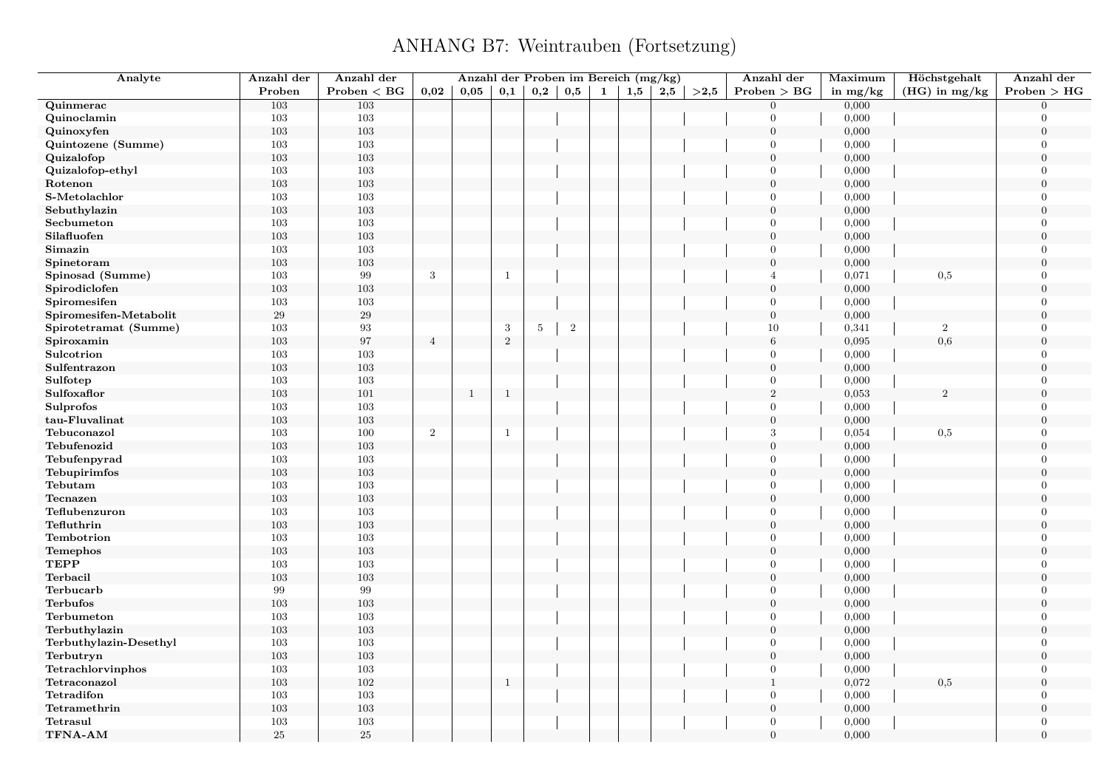| Analyte                | Anzahl der | Anzahl der   |                | Anzahl der Proben im Bereich (mg/kg) |              |              |          |              |              |     |      | Anzahl der       | Maximum    | Höchstgehalt      | Anzahl der       |
|------------------------|------------|--------------|----------------|--------------------------------------|--------------|--------------|----------|--------------|--------------|-----|------|------------------|------------|-------------------|------------------|
|                        | Proben     | Problem < BG | 0.02           | 0,05                                 | 0,1          | $_{\rm 0,2}$ | $_{0,5}$ | $\mathbf{1}$ | $_{\bf 1,5}$ | 2,5 | >2,5 | Problem > BG     | in $mg/kg$ | $(HG)$ in mg/kg   | Problem > HG     |
| Quinmerac              | 103        | 103          |                |                                      |              |              |          |              |              |     |      | $\overline{0}$   | 0,000      |                   | $\Omega$         |
| Quinoclamin            | 103        | 103          |                |                                      |              |              |          |              |              |     |      | $\overline{0}$   | 0,000      |                   | $\theta$         |
| Quinoxyfen             | 103        | 103          |                |                                      |              |              |          |              |              |     |      | $\boldsymbol{0}$ | 0,000      |                   | $\boldsymbol{0}$ |
| Quintozene (Summe)     | 103        | 103          |                |                                      |              |              |          |              |              |     |      | $\overline{0}$   | 0,000      |                   | $\Omega$         |
| Quizalofop             | 103        | 103          |                |                                      |              |              |          |              |              |     |      | $\mathbf{0}$     | 0,000      |                   | $\Omega$         |
| Quizalofop-ethyl       | 103        | 103          |                |                                      |              |              |          |              |              |     |      | $\overline{0}$   | 0,000      |                   | $\Omega$         |
| Rotenon                | 103        | 103          |                |                                      |              |              |          |              |              |     |      | $\boldsymbol{0}$ | 0,000      |                   | $\theta$         |
| S-Metolachlor          | 103        | 103          |                |                                      |              |              |          |              |              |     |      | $\overline{0}$   | 0,000      |                   | $\Omega$         |
| Sebuthylazin           | 103        | $103\,$      |                |                                      |              |              |          |              |              |     |      | $\mathbf{0}$     | 0,000      |                   | $\Omega$         |
| Secbumeton             | 103        | 103          |                |                                      |              |              |          |              |              |     |      | $\overline{0}$   | 0,000      |                   | $\overline{0}$   |
| Silafluofen            | 103        | 103          |                |                                      |              |              |          |              |              |     |      | $\overline{0}$   | 0,000      |                   | $\overline{0}$   |
| Simazin                | 103        | 103          |                |                                      |              |              |          |              |              |     |      | $\overline{0}$   | 0,000      |                   | $\overline{0}$   |
| Spinetoram             | 103        | 103          |                |                                      |              |              |          |              |              |     |      | $\overline{0}$   | 0,000      |                   | $\boldsymbol{0}$ |
| Spinosad (Summe)       | 103        | $\,99$       | $\sqrt{3}$     |                                      | $\mathbf{1}$ |              |          |              |              |     |      | $\overline{4}$   | 0,071      | 0,5               | $\theta$         |
| Spirodiclofen          | 103        | $103\,$      |                |                                      |              |              |          |              |              |     |      | $\overline{0}$   | 0,000      |                   | $\overline{0}$   |
| Spiromesifen           | 103        | 103          |                |                                      |              |              |          |              |              |     |      | $\overline{0}$   | 0,000      |                   | $\Omega$         |
| Spiromesifen-Metabolit | 29         | $\rm 29$     |                |                                      |              |              |          |              |              |     |      | $\boldsymbol{0}$ | 0,000      |                   | $\boldsymbol{0}$ |
| Spirotetramat (Summe)  | 103        | 93           |                |                                      | $\sqrt{3}$   | $5\,$        | $\,2$    |              |              |     |      | 10               | 0,341      | $\overline{2}$    | $\Omega$         |
| Spiroxamin             | 103        | 97           | $\overline{4}$ |                                      | $\sqrt{2}$   |              |          |              |              |     |      | $\,6\,$          | 0,095      | 0,6               | $\overline{0}$   |
| Sulcotrion             | 103        | 103          |                |                                      |              |              |          |              |              |     |      | $\overline{0}$   | 0,000      |                   | $\Omega$         |
| Sulfentrazon           | 103        | 103          |                |                                      |              |              |          |              |              |     |      | $\mathbf{0}$     | 0,000      |                   | $\boldsymbol{0}$ |
| Sulfotep               | 103        | 103          |                |                                      |              |              |          |              |              |     |      | $\overline{0}$   | 0,000      |                   | $\Omega$         |
| Sulfoxaflor            | 103        | 101          |                | $\mathbf{1}$                         | $\mathbf{1}$ |              |          |              |              |     |      | $\overline{2}$   | 0,053      | $\mathcal{D}_{1}$ | $\Omega$         |
| Sulprofos              | 103        | 103          |                |                                      |              |              |          |              |              |     |      | $\overline{0}$   | 0,000      |                   | $\overline{0}$   |
| tau-Fluvalinat         | 103        | $103\,$      |                |                                      |              |              |          |              |              |     |      | $\overline{0}$   | 0,000      |                   | $\theta$         |
| Tebuconazol            | 103        | 100          | $\overline{2}$ |                                      | $\mathbf{1}$ |              |          |              |              |     |      | 3                | 0,054      | 0,5               | $\mathbf{0}$     |
| Tebufenozid            | 103        | 103          |                |                                      |              |              |          |              |              |     |      | $\mathbf{0}$     | 0,000      |                   | $\Omega$         |
| Tebufenpyrad           | 103        | 103          |                |                                      |              |              |          |              |              |     |      | $\overline{0}$   | 0,000      |                   | $\boldsymbol{0}$ |
| Tebupirimfos           | 103        | 103          |                |                                      |              |              |          |              |              |     |      | $\overline{0}$   | 0,000      |                   | $\mathbf{0}$     |
| Tebutam                | 103        | 103          |                |                                      |              |              |          |              |              |     |      | $\overline{0}$   | 0,000      |                   | $\overline{0}$   |
| Tecnazen               | 103        | 103          |                |                                      |              |              |          |              |              |     |      | $\overline{0}$   | 0,000      |                   | $\boldsymbol{0}$ |
| Teflubenzuron          | 103        | 103          |                |                                      |              |              |          |              |              |     |      | $\overline{0}$   | 0,000      |                   | $\Omega$         |
| Tefluthrin             | 103        | 103          |                |                                      |              |              |          |              |              |     |      | $\mathbf{0}$     | 0,000      |                   | $\overline{0}$   |
| Tembotrion             | 103        | 103          |                |                                      |              |              |          |              |              |     |      | $\overline{0}$   | 0,000      |                   | $\Omega$         |
| Temephos               | 103        | 103          |                |                                      |              |              |          |              |              |     |      | $\boldsymbol{0}$ | 0,000      |                   | $\boldsymbol{0}$ |
| <b>TEPP</b>            | 103        | 103          |                |                                      |              |              |          |              |              |     |      | $\overline{0}$   | 0,000      |                   | $\Omega$         |
| Terbacil               | 103        | $103\,$      |                |                                      |              |              |          |              |              |     |      | $\boldsymbol{0}$ | 0,000      |                   | $\Omega$         |
| Terbucarb              | 99         | 99           |                |                                      |              |              |          |              |              |     |      | $\overline{0}$   | 0,000      |                   | $\Omega$         |
| <b>Terbufos</b>        | 103        | $103\,$      |                |                                      |              |              |          |              |              |     |      | $\overline{0}$   | 0,000      |                   | $\overline{0}$   |
| Terbumeton             | 103        | 103          |                |                                      |              |              |          |              |              |     |      | $\overline{0}$   | 0,000      |                   | $\Omega$         |
| Terbuthylazin          | 103        | 103          |                |                                      |              |              |          |              |              |     |      | $\overline{0}$   | 0,000      |                   | $\theta$         |
| Terbuthylazin-Desethyl | 103        | $103\,$      |                |                                      |              |              |          |              |              |     |      | $\overline{0}$   | 0,000      |                   | $\overline{0}$   |
| Terbutryn              | 103        | 103          |                |                                      |              |              |          |              |              |     |      | $\mathbf{0}$     | 0,000      |                   | $\overline{0}$   |
| Tetrachlorvinphos      | 103        | 103          |                |                                      |              |              |          |              |              |     |      | $\overline{0}$   | 0,000      |                   | $\overline{0}$   |
| Tetraconazol           | 103        | 102          |                |                                      | $\mathbf{1}$ |              |          |              |              |     |      | $\mathbf{1}$     | 0,072      | 0,5               | $\theta$         |
| Tetradifon             | 103        | $103\,$      |                |                                      |              |              |          |              |              |     |      | $\overline{0}$   | 0,000      |                   | $\overline{0}$   |
| Tetramethrin           | 103        | $103\,$      |                |                                      |              |              |          |              |              |     |      | $\overline{0}$   | 0,000      |                   | $\overline{0}$   |
| Tetrasul               | 103        | 103          |                |                                      |              |              |          |              |              |     |      | $\overline{0}$   | 0,000      |                   | $\mathbf{0}$     |
| TFNA-AM                | 25         | $25\,$       |                |                                      |              |              |          |              |              |     |      | $\mathbf{0}$     | 0,000      |                   | $\overline{0}$   |
|                        |            |              |                |                                      |              |              |          |              |              |     |      |                  |            |                   |                  |